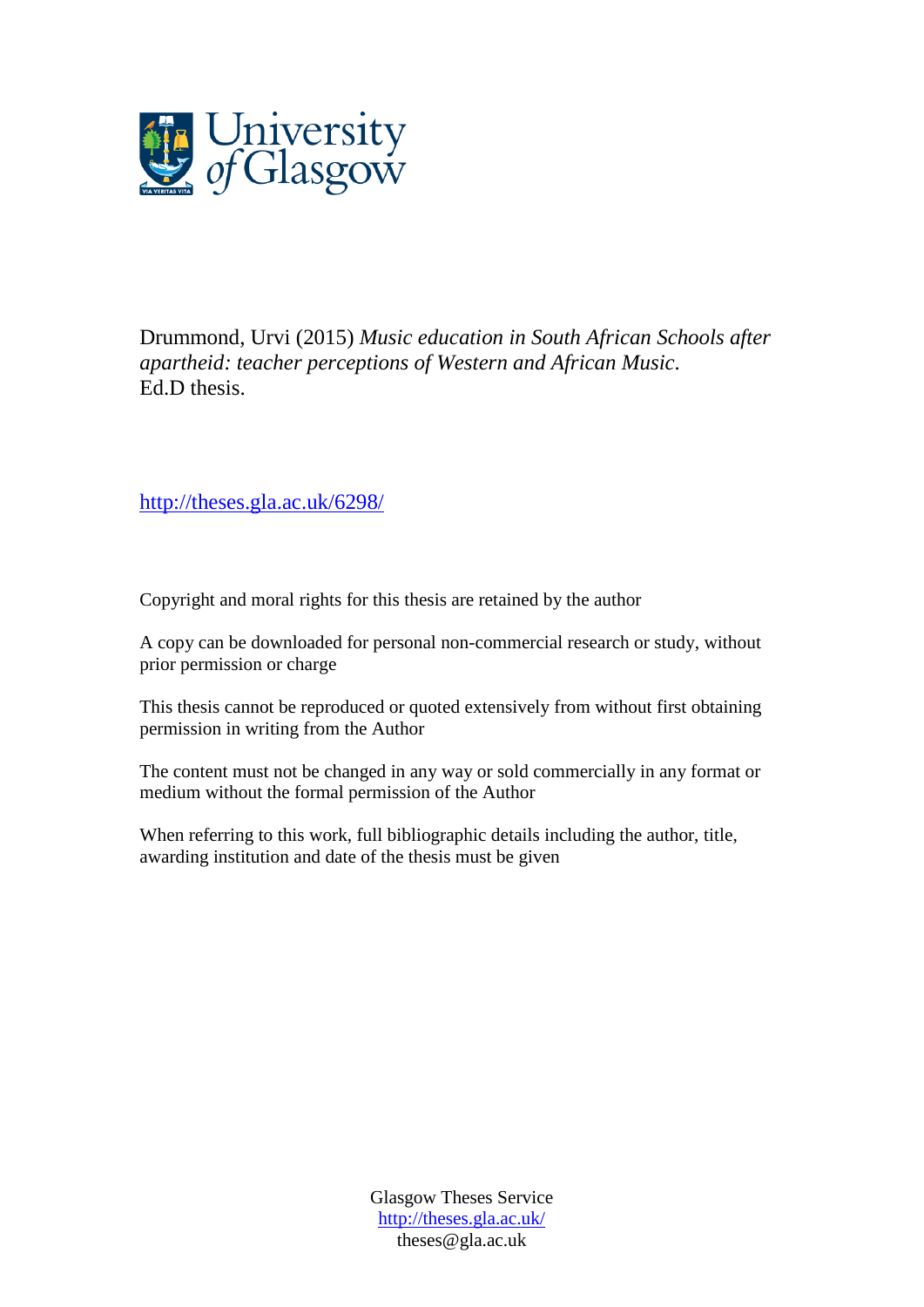

Drummond, Urvi (2015) *Music education in South African Schools after apartheid: teacher perceptions of Western and African Music.* Ed.D thesis.

<http://theses.gla.ac.uk/6298/>

Copyright and moral rights for this thesis are retained by the author

A copy can be downloaded for personal non-commercial research or study, without prior permission or charge

This thesis cannot be reproduced or quoted extensively from without first obtaining permission in writing from the Author

The content must not be changed in any way or sold commercially in any format or medium without the formal permission of the Author

When referring to this work, full bibliographic details including the author, title, awarding institution and date of the thesis must be given

> Glasgow Theses Service <http://theses.gla.ac.uk/> theses@gla.ac.uk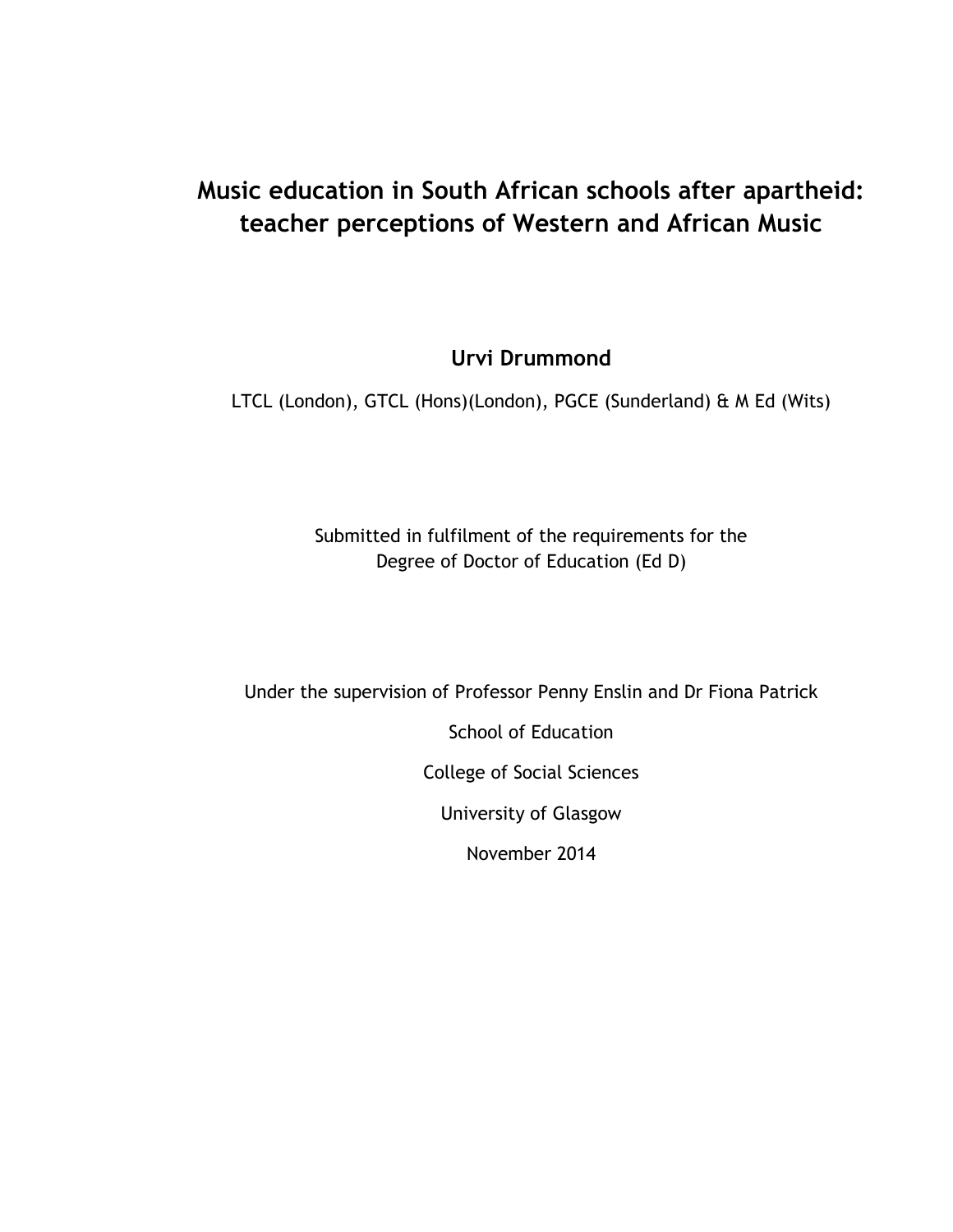### **Music education in South African schools after apartheid: teacher perceptions of Western and African Music**

**Urvi Drummond**

LTCL (London), GTCL (Hons)(London), PGCE (Sunderland) & M Ed (Wits)

Submitted in fulfilment of the requirements for the Degree of Doctor of Education (Ed D)

Under the supervision of Professor Penny Enslin and Dr Fiona Patrick

School of Education

College of Social Sciences

University of Glasgow

November 2014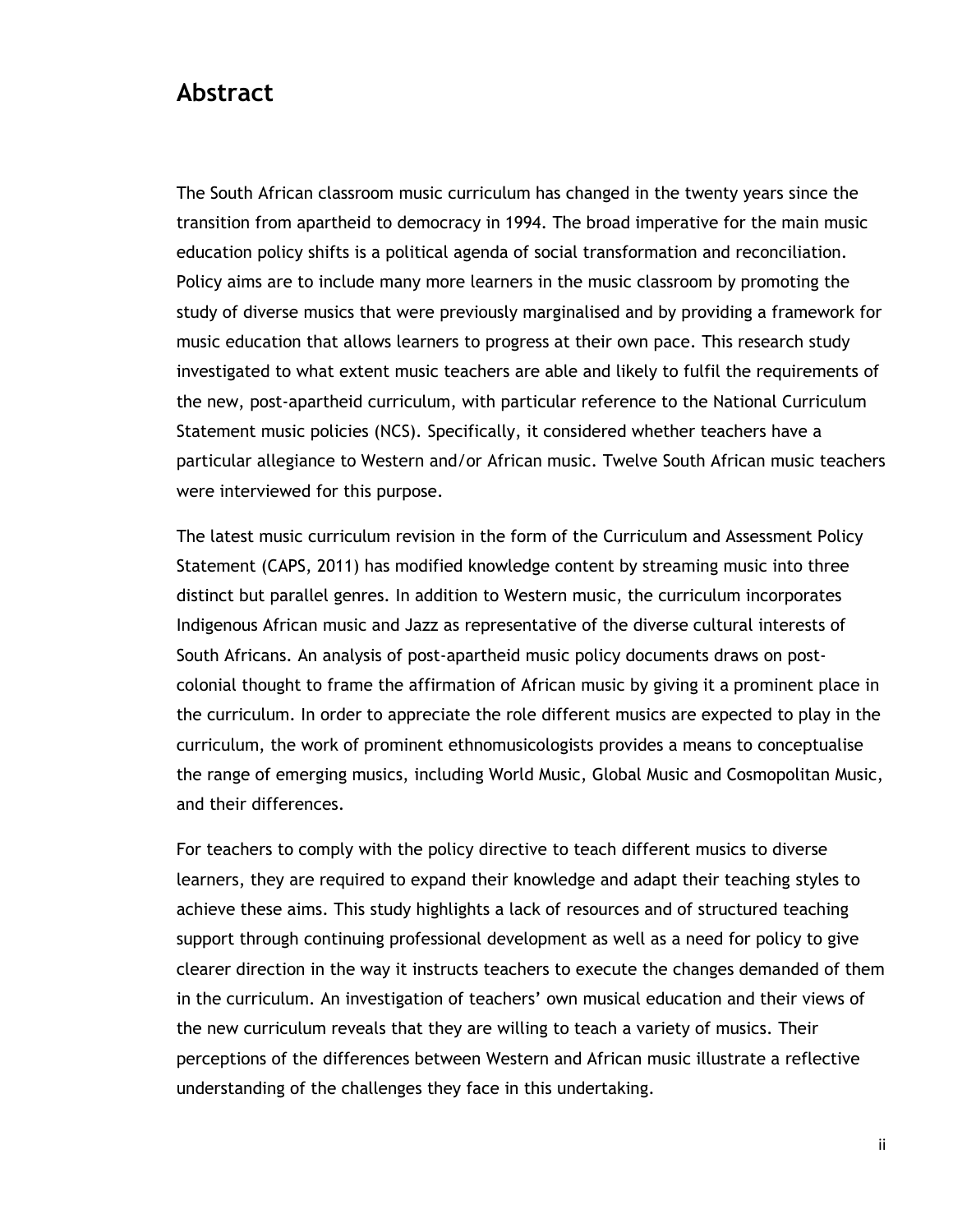#### **Abstract**

The South African classroom music curriculum has changed in the twenty years since the transition from apartheid to democracy in 1994. The broad imperative for the main music education policy shifts is a political agenda of social transformation and reconciliation. Policy aims are to include many more learners in the music classroom by promoting the study of diverse musics that were previously marginalised and by providing a framework for music education that allows learners to progress at their own pace. This research study investigated to what extent music teachers are able and likely to fulfil the requirements of the new, post-apartheid curriculum, with particular reference to the National Curriculum Statement music policies (NCS). Specifically, it considered whether teachers have a particular allegiance to Western and/or African music. Twelve South African music teachers were interviewed for this purpose.

The latest music curriculum revision in the form of the Curriculum and Assessment Policy Statement (CAPS, 2011) has modified knowledge content by streaming music into three distinct but parallel genres. In addition to Western music, the curriculum incorporates Indigenous African music and Jazz as representative of the diverse cultural interests of South Africans. An analysis of post-apartheid music policy documents draws on postcolonial thought to frame the affirmation of African music by giving it a prominent place in the curriculum. In order to appreciate the role different musics are expected to play in the curriculum, the work of prominent ethnomusicologists provides a means to conceptualise the range of emerging musics, including World Music, Global Music and Cosmopolitan Music, and their differences.

For teachers to comply with the policy directive to teach different musics to diverse learners, they are required to expand their knowledge and adapt their teaching styles to achieve these aims. This study highlights a lack of resources and of structured teaching support through continuing professional development as well as a need for policy to give clearer direction in the way it instructs teachers to execute the changes demanded of them in the curriculum. An investigation of teachers" own musical education and their views of the new curriculum reveals that they are willing to teach a variety of musics. Their perceptions of the differences between Western and African music illustrate a reflective understanding of the challenges they face in this undertaking.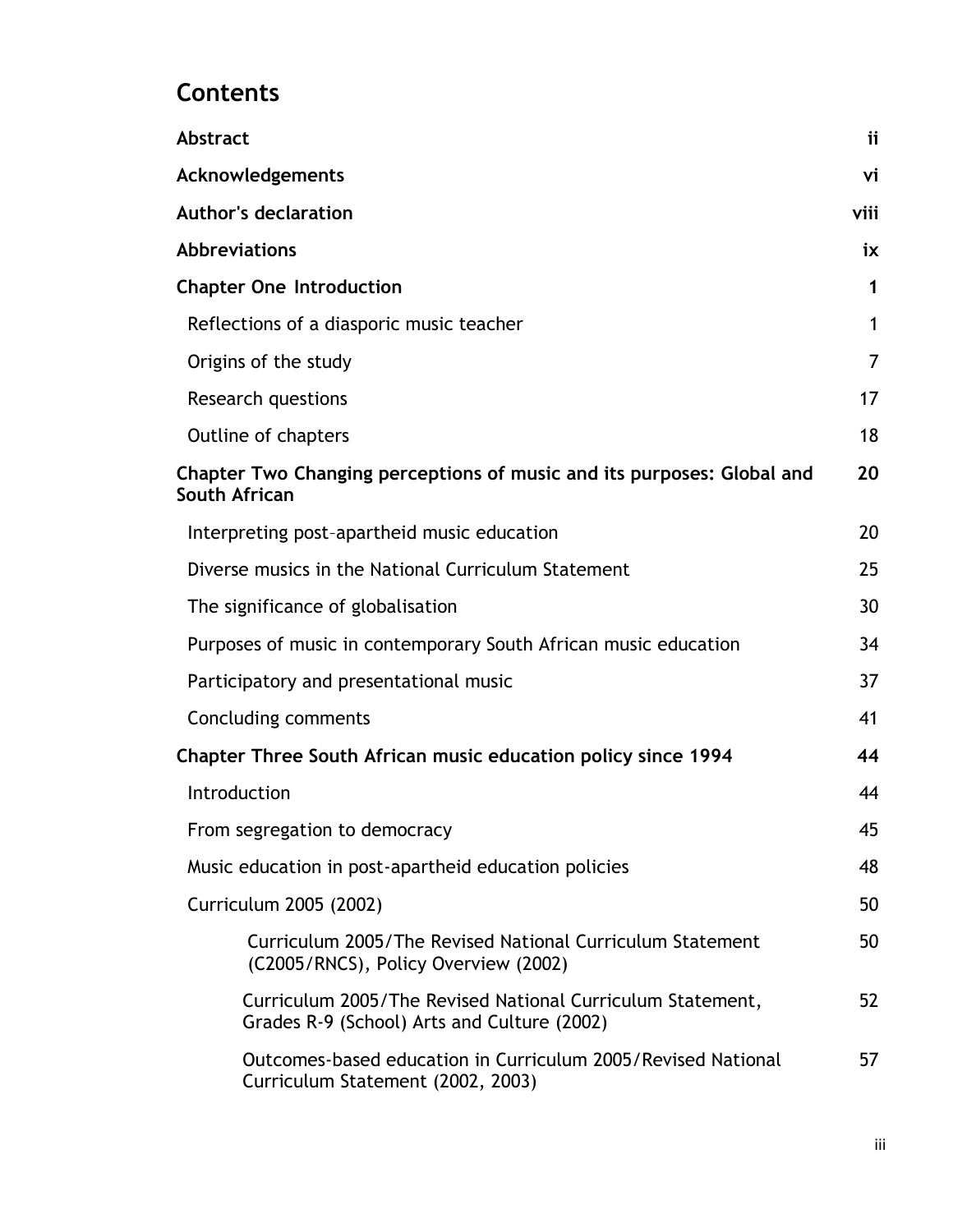## **Contents**

| <b>Abstract</b>                                                                                           | ii   |
|-----------------------------------------------------------------------------------------------------------|------|
| Acknowledgements                                                                                          | vi   |
| <b>Author's declaration</b>                                                                               | viii |
| <b>Abbreviations</b>                                                                                      | iх   |
| <b>Chapter One Introduction</b>                                                                           | 1    |
| Reflections of a diasporic music teacher                                                                  | 1    |
| Origins of the study                                                                                      | 7    |
| <b>Research questions</b>                                                                                 | 17   |
| Outline of chapters                                                                                       | 18   |
| Chapter Two Changing perceptions of music and its purposes: Global and<br>South African                   | 20   |
| Interpreting post-apartheid music education                                                               | 20   |
| Diverse musics in the National Curriculum Statement                                                       | 25   |
| The significance of globalisation                                                                         | 30   |
| Purposes of music in contemporary South African music education                                           | 34   |
| Participatory and presentational music                                                                    | 37   |
| Concluding comments                                                                                       | 41   |
| Chapter Three South African music education policy since 1994                                             | 44   |
| Introduction                                                                                              | 44   |
| From segregation to democracy                                                                             | 45   |
| Music education in post-apartheid education policies                                                      | 48   |
| Curriculum 2005 (2002)                                                                                    | 50   |
| Curriculum 2005/The Revised National Curriculum Statement<br>(C2005/RNCS), Policy Overview (2002)         | 50   |
| Curriculum 2005/The Revised National Curriculum Statement,<br>Grades R-9 (School) Arts and Culture (2002) | 52   |
| Outcomes-based education in Curriculum 2005/Revised National<br>Curriculum Statement (2002, 2003)         | 57   |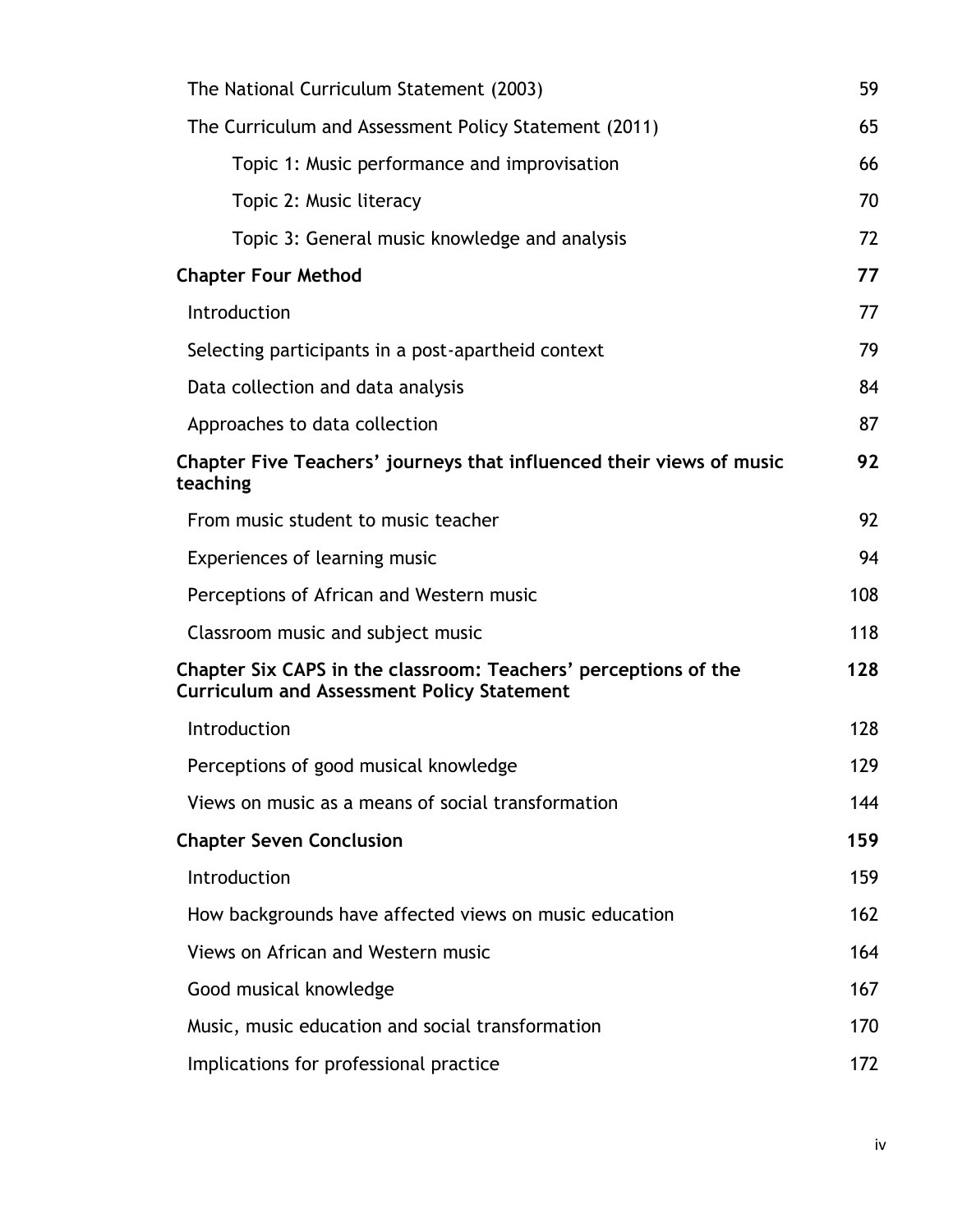| The National Curriculum Statement (2003)                                                                             |     |  |
|----------------------------------------------------------------------------------------------------------------------|-----|--|
| The Curriculum and Assessment Policy Statement (2011)                                                                | 65  |  |
| Topic 1: Music performance and improvisation                                                                         | 66  |  |
| Topic 2: Music literacy                                                                                              | 70  |  |
| Topic 3: General music knowledge and analysis                                                                        | 72  |  |
| <b>Chapter Four Method</b>                                                                                           | 77  |  |
| Introduction                                                                                                         | 77  |  |
| Selecting participants in a post-apartheid context                                                                   | 79  |  |
| Data collection and data analysis                                                                                    | 84  |  |
| Approaches to data collection                                                                                        | 87  |  |
| Chapter Five Teachers' journeys that influenced their views of music<br>teaching                                     | 92  |  |
| From music student to music teacher                                                                                  | 92  |  |
| Experiences of learning music                                                                                        | 94  |  |
| Perceptions of African and Western music                                                                             | 108 |  |
| Classroom music and subject music                                                                                    | 118 |  |
| Chapter Six CAPS in the classroom: Teachers' perceptions of the<br><b>Curriculum and Assessment Policy Statement</b> | 128 |  |
| Introduction                                                                                                         | 128 |  |
| Perceptions of good musical knowledge                                                                                | 129 |  |
| Views on music as a means of social transformation                                                                   | 144 |  |
| <b>Chapter Seven Conclusion</b>                                                                                      | 159 |  |
| Introduction                                                                                                         | 159 |  |
| How backgrounds have affected views on music education                                                               | 162 |  |
| Views on African and Western music                                                                                   | 164 |  |
| Good musical knowledge                                                                                               | 167 |  |
| Music, music education and social transformation                                                                     | 170 |  |
| Implications for professional practice                                                                               | 172 |  |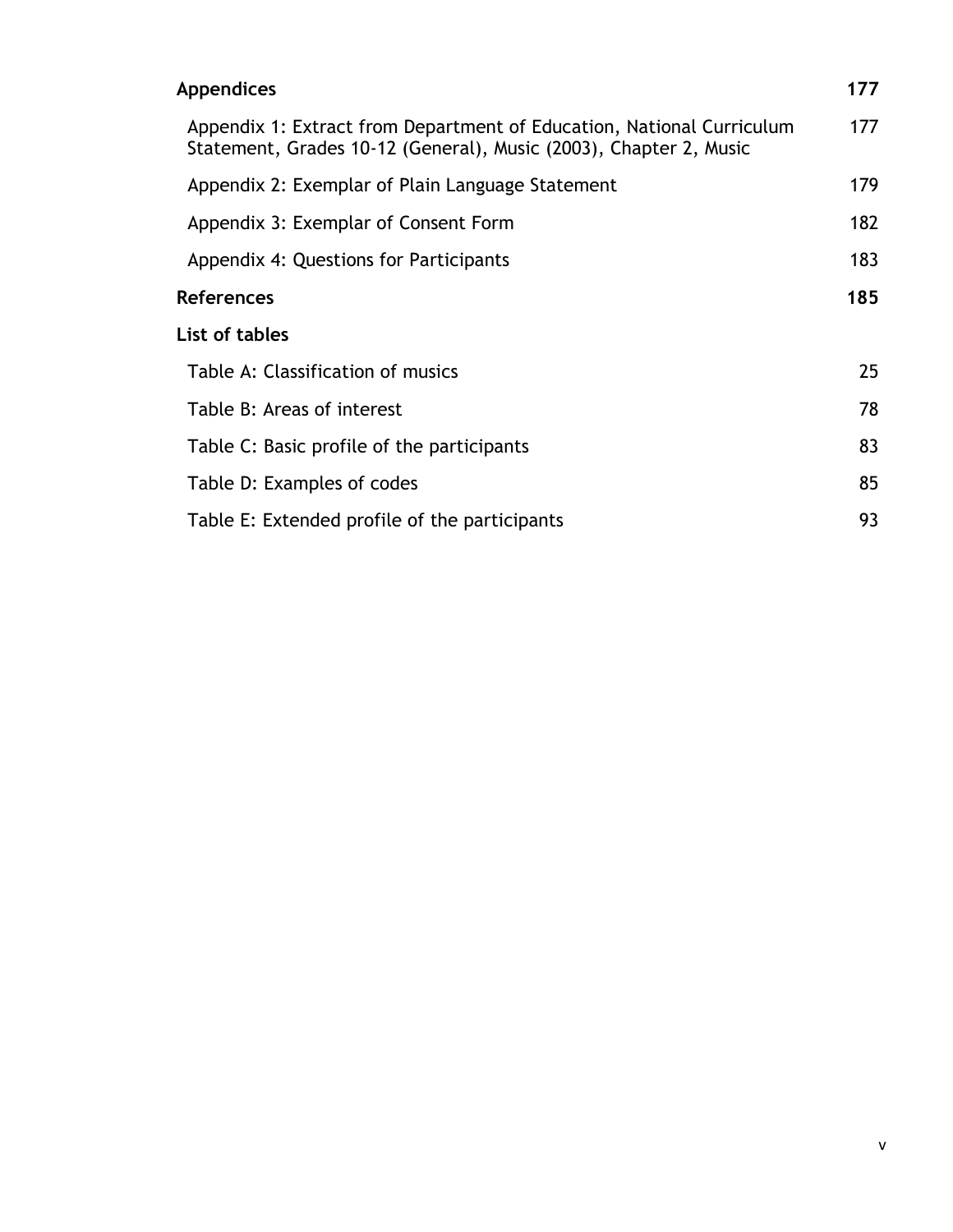| <b>Appendices</b>                                                                                                                          | 177 |
|--------------------------------------------------------------------------------------------------------------------------------------------|-----|
| Appendix 1: Extract from Department of Education, National Curriculum<br>Statement, Grades 10-12 (General), Music (2003), Chapter 2, Music | 177 |
| Appendix 2: Exemplar of Plain Language Statement                                                                                           | 179 |
| Appendix 3: Exemplar of Consent Form                                                                                                       | 182 |
| Appendix 4: Questions for Participants                                                                                                     | 183 |
| <b>References</b>                                                                                                                          | 185 |
| List of tables                                                                                                                             |     |
| Table A: Classification of musics                                                                                                          | 25  |
| Table B: Areas of interest                                                                                                                 | 78  |
| Table C: Basic profile of the participants                                                                                                 | 83  |
| Table D: Examples of codes                                                                                                                 | 85  |
| Table E: Extended profile of the participants                                                                                              | 93  |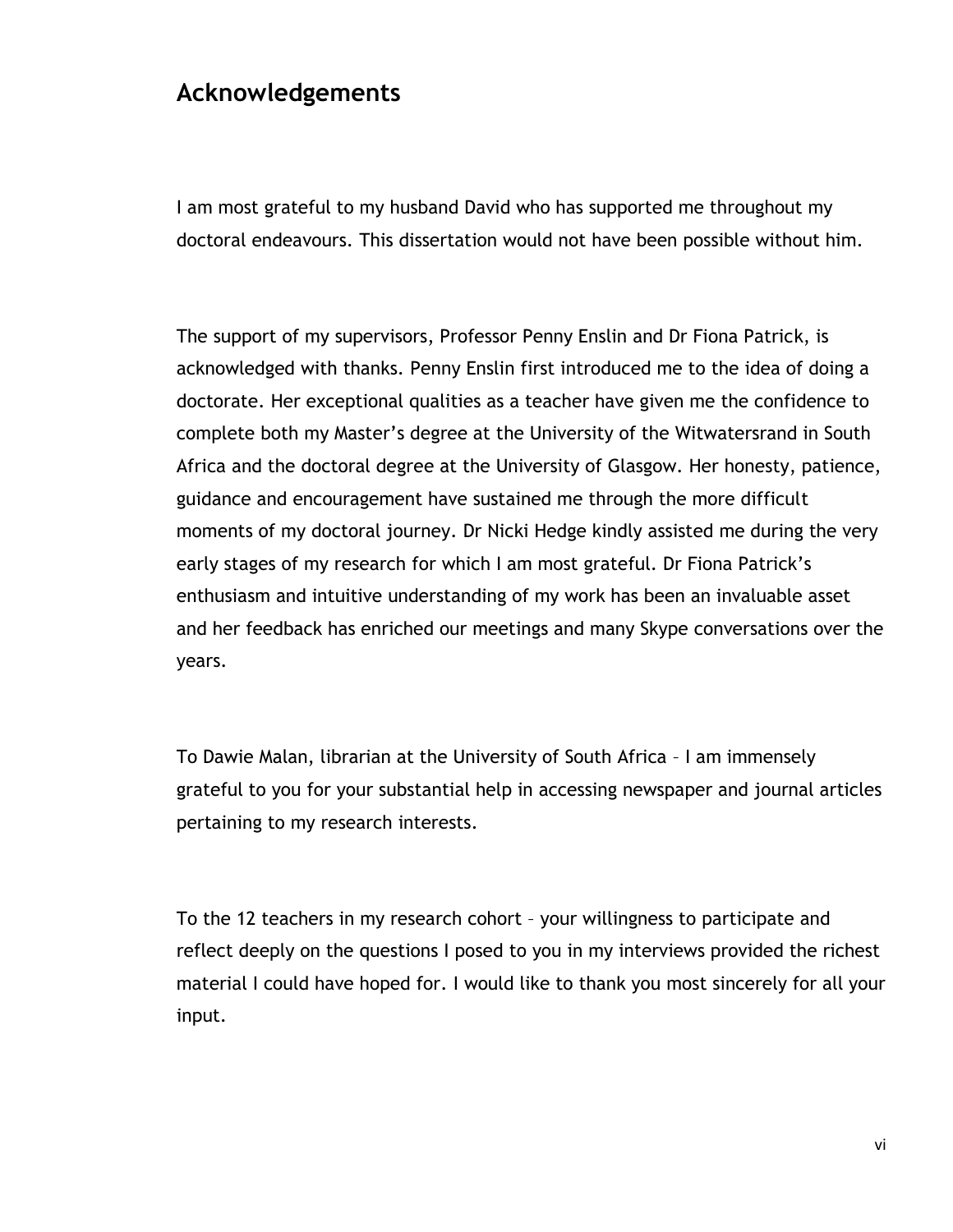### **Acknowledgements**

I am most grateful to my husband David who has supported me throughout my doctoral endeavours. This dissertation would not have been possible without him.

The support of my supervisors, Professor Penny Enslin and Dr Fiona Patrick, is acknowledged with thanks. Penny Enslin first introduced me to the idea of doing a doctorate. Her exceptional qualities as a teacher have given me the confidence to complete both my Master"s degree at the University of the Witwatersrand in South Africa and the doctoral degree at the University of Glasgow. Her honesty, patience, guidance and encouragement have sustained me through the more difficult moments of my doctoral journey. Dr Nicki Hedge kindly assisted me during the very early stages of my research for which I am most grateful. Dr Fiona Patrick"s enthusiasm and intuitive understanding of my work has been an invaluable asset and her feedback has enriched our meetings and many Skype conversations over the years.

To Dawie Malan, librarian at the University of South Africa – I am immensely grateful to you for your substantial help in accessing newspaper and journal articles pertaining to my research interests.

To the 12 teachers in my research cohort – your willingness to participate and reflect deeply on the questions I posed to you in my interviews provided the richest material I could have hoped for. I would like to thank you most sincerely for all your input.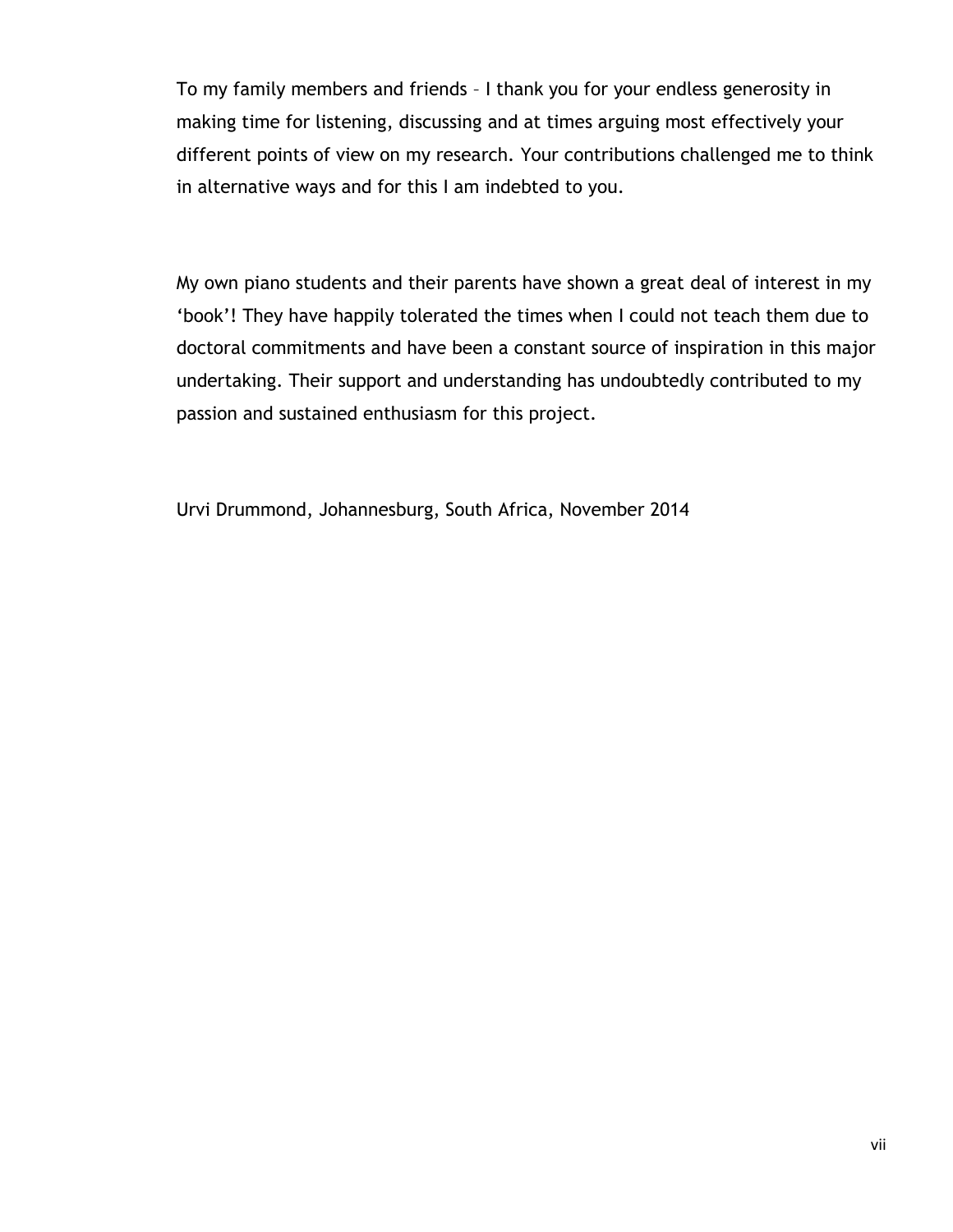To my family members and friends – I thank you for your endless generosity in making time for listening, discussing and at times arguing most effectively your different points of view on my research. Your contributions challenged me to think in alternative ways and for this I am indebted to you.

My own piano students and their parents have shown a great deal of interest in my "book"! They have happily tolerated the times when I could not teach them due to doctoral commitments and have been a constant source of inspiration in this major undertaking. Their support and understanding has undoubtedly contributed to my passion and sustained enthusiasm for this project.

Urvi Drummond, Johannesburg, South Africa, November 2014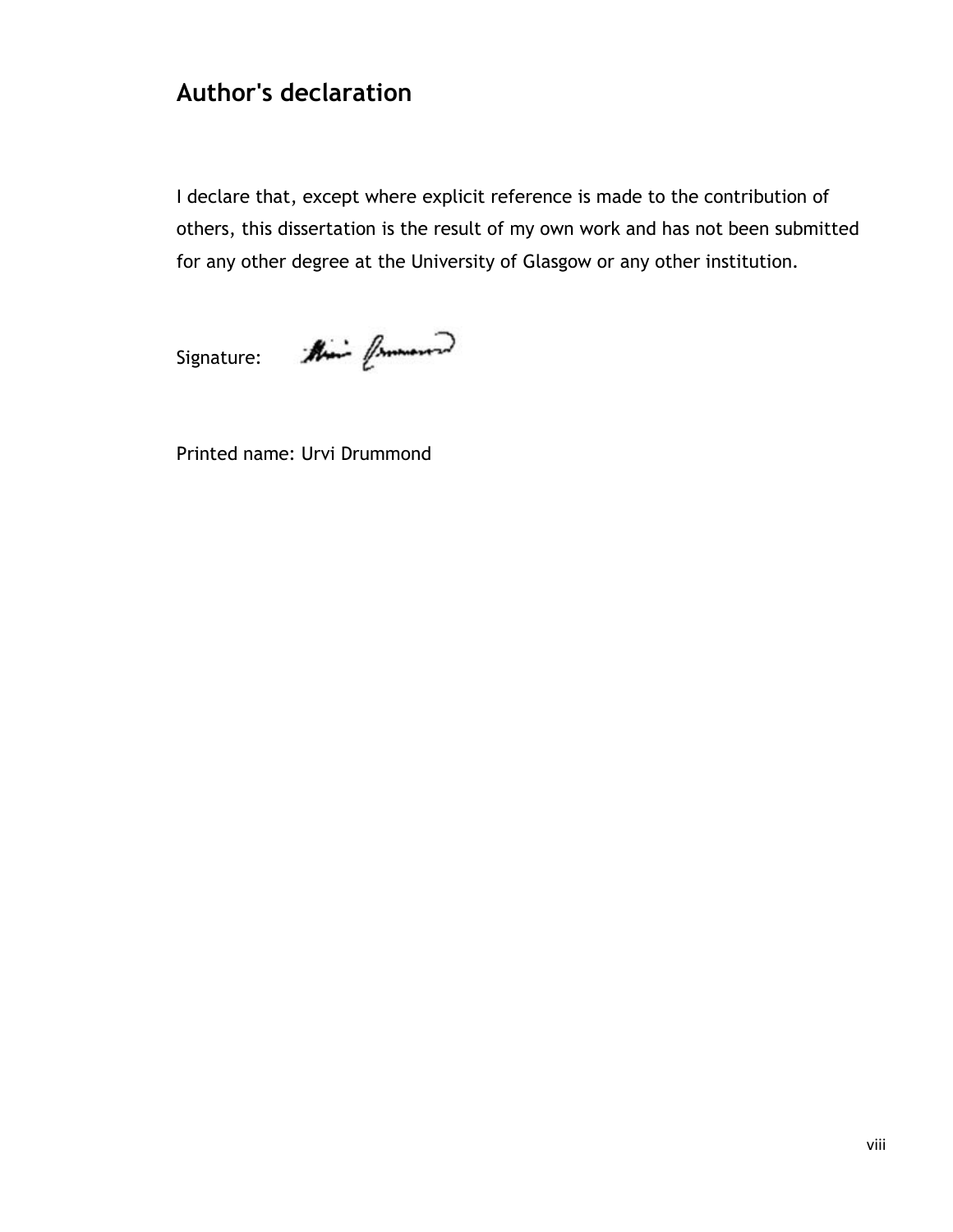## **Author's declaration**

I declare that, except where explicit reference is made to the contribution of others, this dissertation is the result of my own work and has not been submitted for any other degree at the University of Glasgow or any other institution.

Signature: Aline from 2

Printed name: Urvi Drummond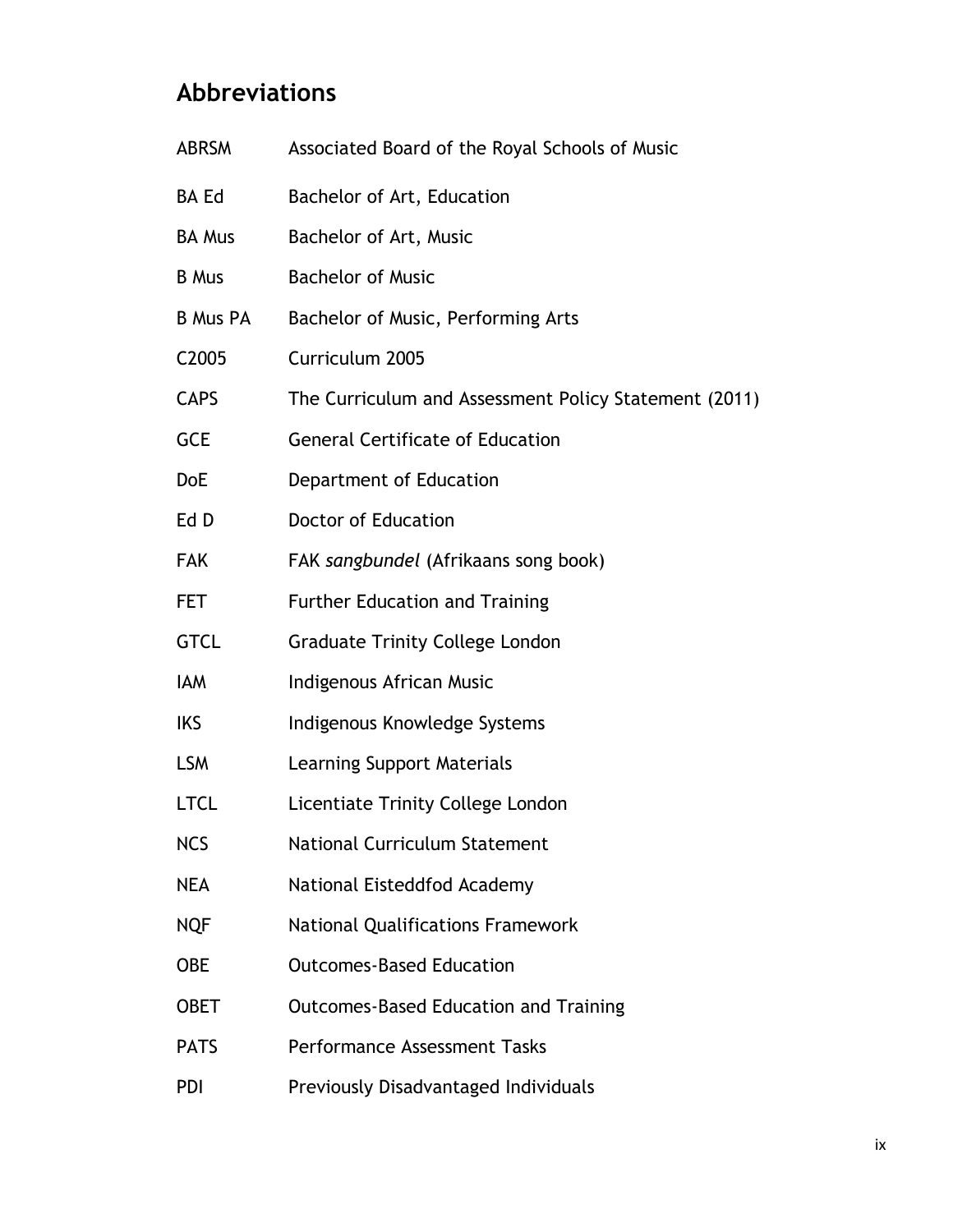## **Abbreviations**

| <b>ABRSM</b>      | Associated Board of the Royal Schools of Music        |  |  |
|-------------------|-------------------------------------------------------|--|--|
| <b>BA Ed</b>      | Bachelor of Art, Education                            |  |  |
| <b>BA Mus</b>     | Bachelor of Art, Music                                |  |  |
| <b>B</b> Mus      | <b>Bachelor of Music</b>                              |  |  |
| <b>B Mus PA</b>   | Bachelor of Music, Performing Arts                    |  |  |
| C <sub>2005</sub> | Curriculum 2005                                       |  |  |
| <b>CAPS</b>       | The Curriculum and Assessment Policy Statement (2011) |  |  |
| <b>GCE</b>        | <b>General Certificate of Education</b>               |  |  |
| <b>DoE</b>        | Department of Education                               |  |  |
| Ed D              | <b>Doctor of Education</b>                            |  |  |
| <b>FAK</b>        | FAK sangbundel (Afrikaans song book)                  |  |  |
| <b>FET</b>        | <b>Further Education and Training</b>                 |  |  |
| <b>GTCL</b>       | <b>Graduate Trinity College London</b>                |  |  |
| IAM               | Indigenous African Music                              |  |  |
| <b>IKS</b>        | Indigenous Knowledge Systems                          |  |  |
| <b>LSM</b>        | Learning Support Materials                            |  |  |
| <b>LTCL</b>       | Licentiate Trinity College London                     |  |  |
| <b>NCS</b>        | <b>National Curriculum Statement</b>                  |  |  |
| <b>NEA</b>        | National Eisteddfod Academy                           |  |  |
| <b>NQF</b>        | <b>National Qualifications Framework</b>              |  |  |
| <b>OBE</b>        | <b>Outcomes-Based Education</b>                       |  |  |
| <b>OBET</b>       | <b>Outcomes-Based Education and Training</b>          |  |  |
| <b>PATS</b>       | <b>Performance Assessment Tasks</b>                   |  |  |
| PDI               | Previously Disadvantaged Individuals                  |  |  |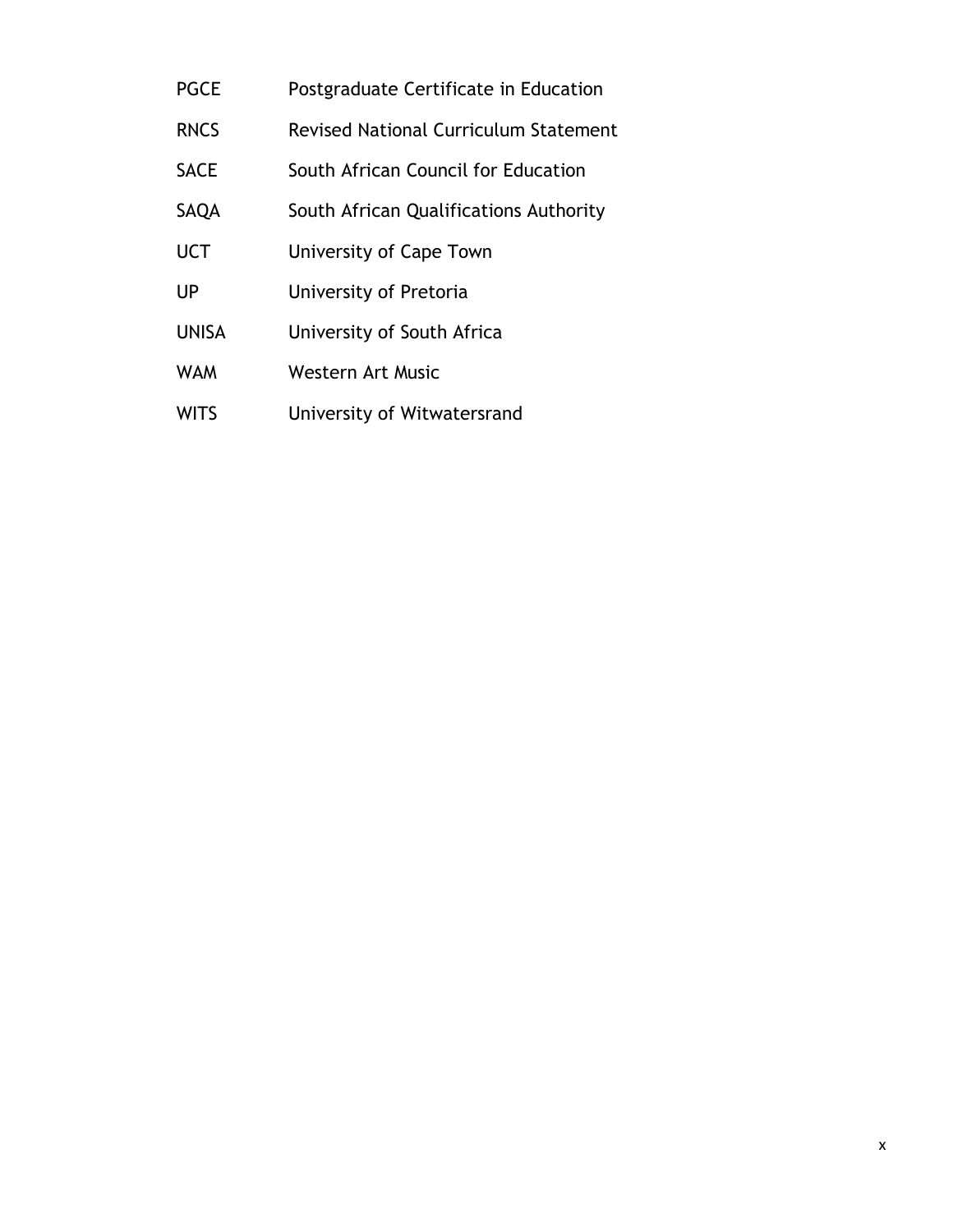- PGCE Postgraduate Certificate in Education
- RNCS Revised National Curriculum Statement
- SACE South African Council for Education
- SAQA South African Qualifications Authority
- UCT University of Cape Town
- UP University of Pretoria
- UNISA University of South Africa
- WAM Western Art Music
- WITS University of Witwatersrand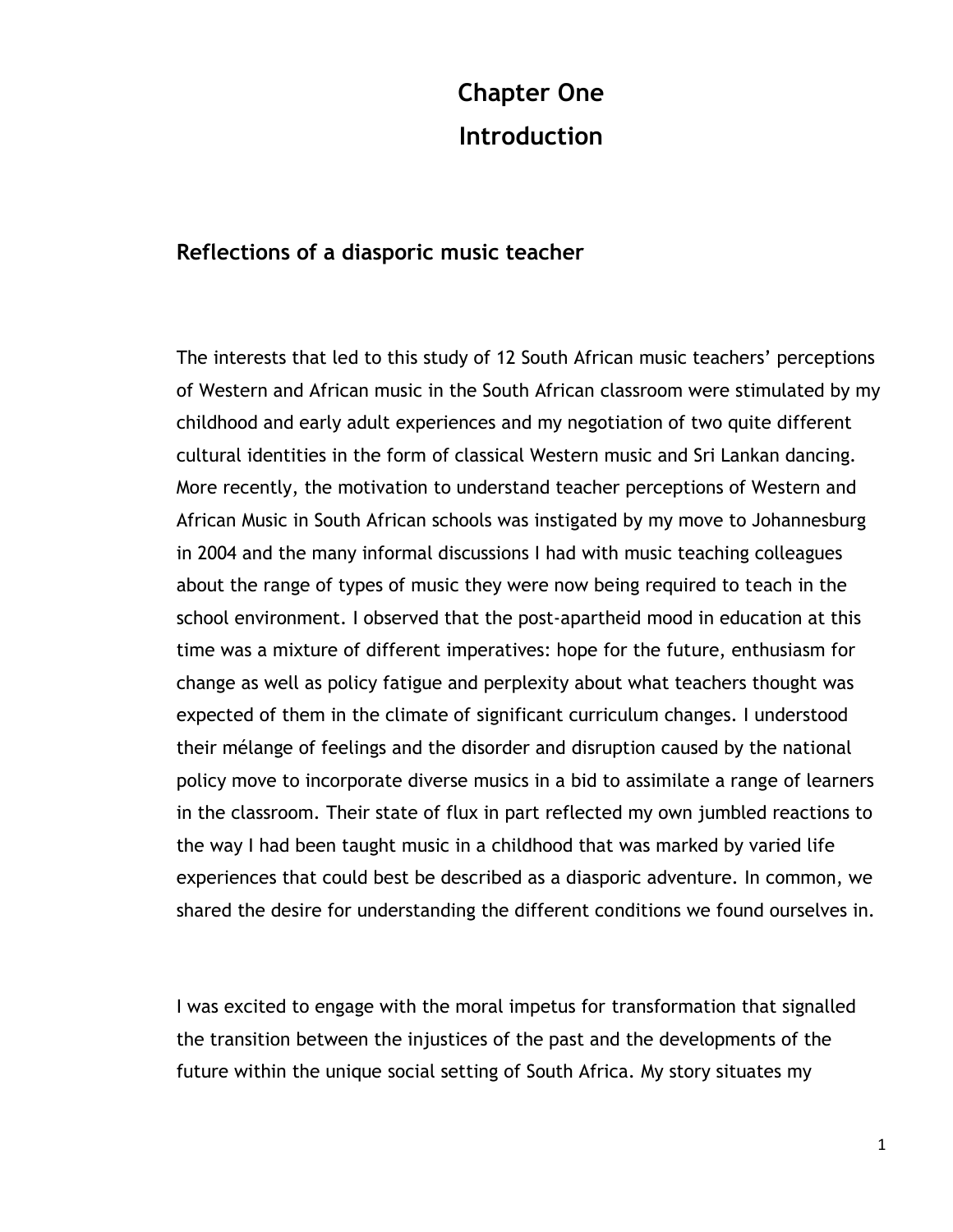# **Chapter One Introduction**

#### **Reflections of a diasporic music teacher**

The interests that led to this study of 12 South African music teachers' perceptions of Western and African music in the South African classroom were stimulated by my childhood and early adult experiences and my negotiation of two quite different cultural identities in the form of classical Western music and Sri Lankan dancing. More recently, the motivation to understand teacher perceptions of Western and African Music in South African schools was instigated by my move to Johannesburg in 2004 and the many informal discussions I had with music teaching colleagues about the range of types of music they were now being required to teach in the school environment. I observed that the post-apartheid mood in education at this time was a mixture of different imperatives: hope for the future, enthusiasm for change as well as policy fatigue and perplexity about what teachers thought was expected of them in the climate of significant curriculum changes. I understood their mélange of feelings and the disorder and disruption caused by the national policy move to incorporate diverse musics in a bid to assimilate a range of learners in the classroom. Their state of flux in part reflected my own jumbled reactions to the way I had been taught music in a childhood that was marked by varied life experiences that could best be described as a diasporic adventure. In common, we shared the desire for understanding the different conditions we found ourselves in.

I was excited to engage with the moral impetus for transformation that signalled the transition between the injustices of the past and the developments of the future within the unique social setting of South Africa. My story situates my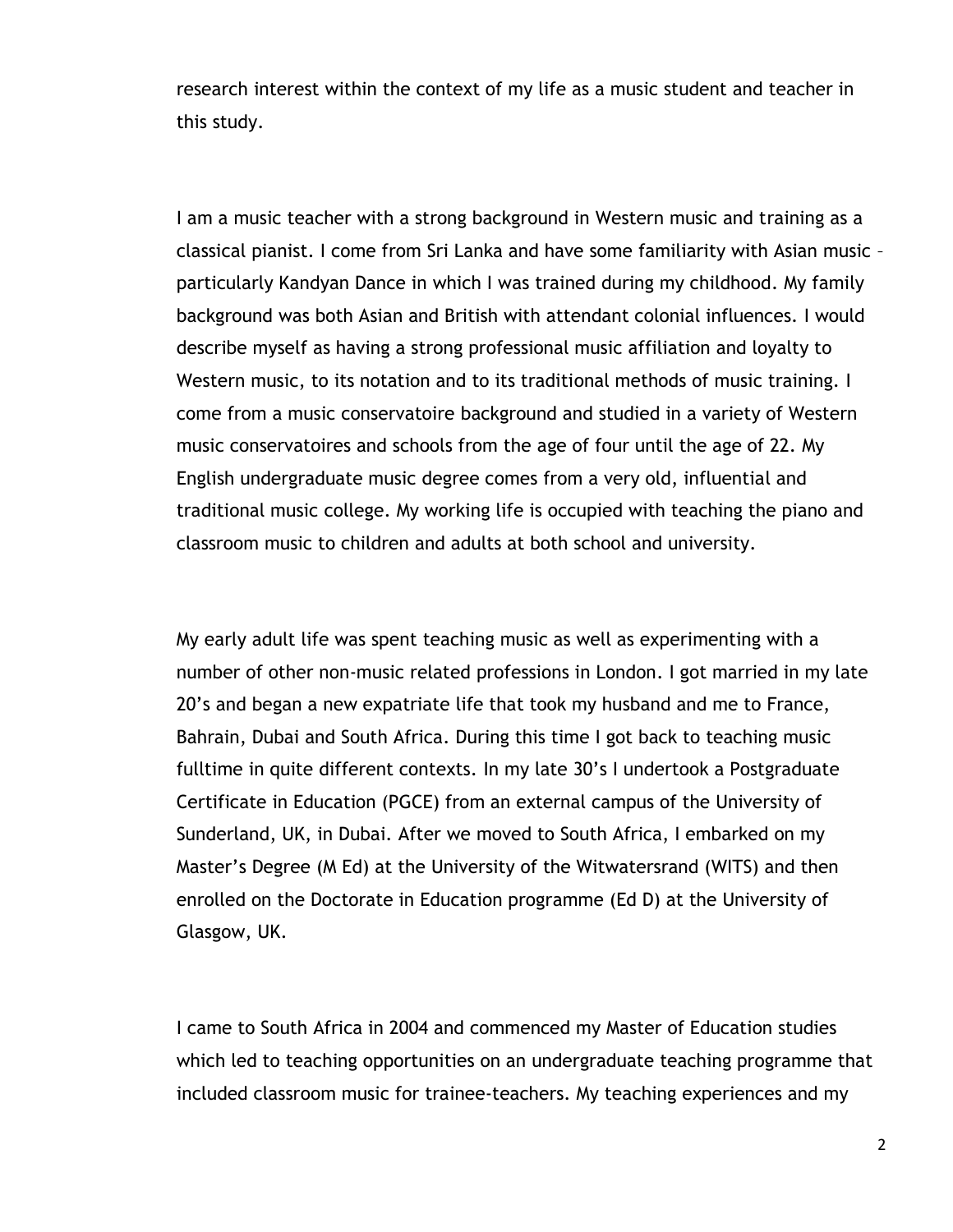research interest within the context of my life as a music student and teacher in this study.

I am a music teacher with a strong background in Western music and training as a classical pianist. I come from Sri Lanka and have some familiarity with Asian music – particularly Kandyan Dance in which I was trained during my childhood. My family background was both Asian and British with attendant colonial influences. I would describe myself as having a strong professional music affiliation and loyalty to Western music, to its notation and to its traditional methods of music training. I come from a music conservatoire background and studied in a variety of Western music conservatoires and schools from the age of four until the age of 22. My English undergraduate music degree comes from a very old, influential and traditional music college. My working life is occupied with teaching the piano and classroom music to children and adults at both school and university.

My early adult life was spent teaching music as well as experimenting with a number of other non-music related professions in London. I got married in my late 20"s and began a new expatriate life that took my husband and me to France, Bahrain, Dubai and South Africa. During this time I got back to teaching music fulltime in quite different contexts. In my late 30"s I undertook a Postgraduate Certificate in Education (PGCE) from an external campus of the University of Sunderland, UK, in Dubai. After we moved to South Africa, I embarked on my Master"s Degree (M Ed) at the University of the Witwatersrand (WITS) and then enrolled on the Doctorate in Education programme (Ed D) at the University of Glasgow, UK.

I came to South Africa in 2004 and commenced my Master of Education studies which led to teaching opportunities on an undergraduate teaching programme that included classroom music for trainee-teachers. My teaching experiences and my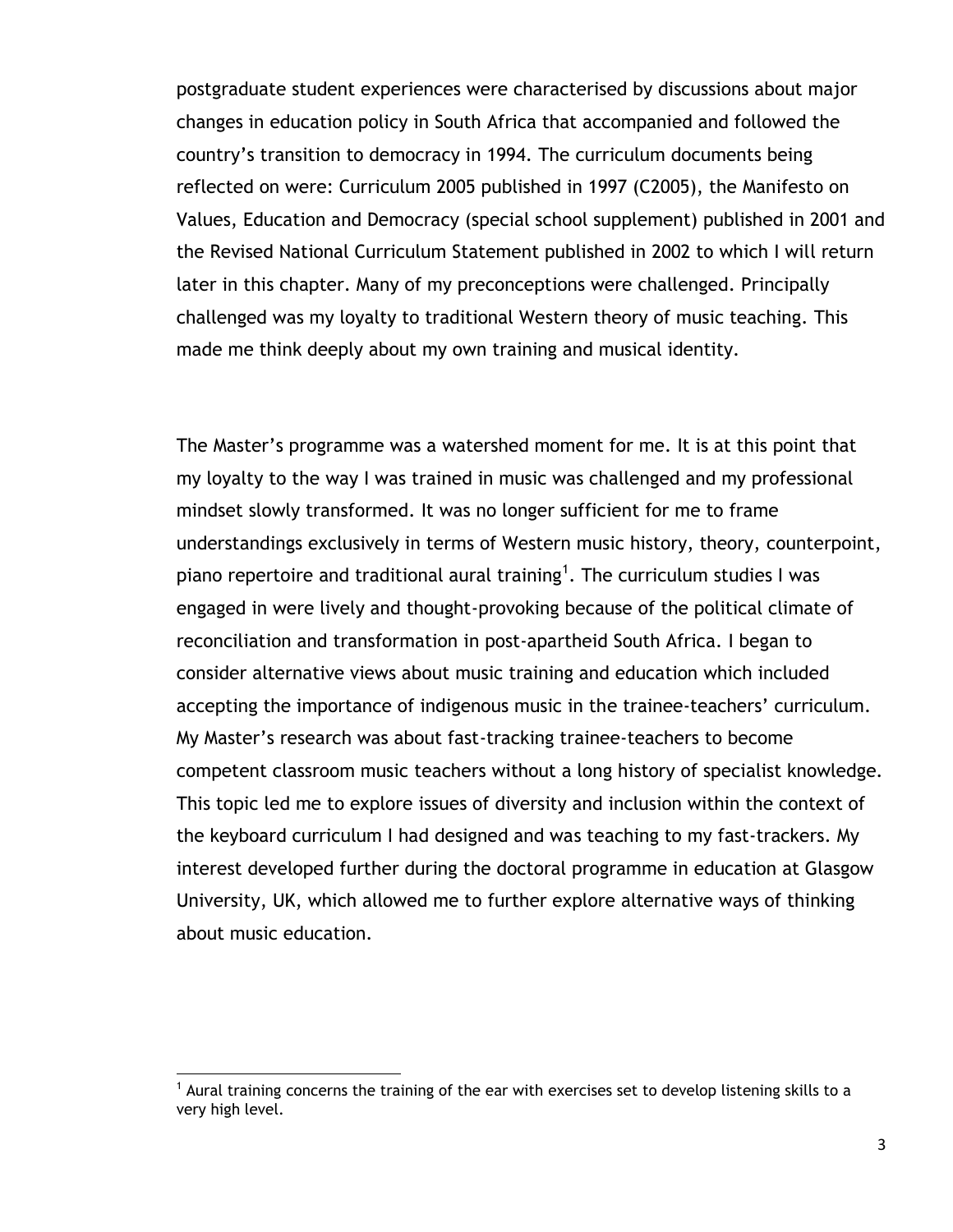postgraduate student experiences were characterised by discussions about major changes in education policy in South Africa that accompanied and followed the country"s transition to democracy in 1994. The curriculum documents being reflected on were: Curriculum 2005 published in 1997 (C2005), the Manifesto on Values, Education and Democracy (special school supplement) published in 2001 and the Revised National Curriculum Statement published in 2002 to which I will return later in this chapter. Many of my preconceptions were challenged. Principally challenged was my loyalty to traditional Western theory of music teaching. This made me think deeply about my own training and musical identity.

The Master"s programme was a watershed moment for me. It is at this point that my loyalty to the way I was trained in music was challenged and my professional mindset slowly transformed. It was no longer sufficient for me to frame understandings exclusively in terms of Western music history, theory, counterpoint, piano repertoire and traditional aural training<sup>1</sup>. The curriculum studies I was engaged in were lively and thought-provoking because of the political climate of reconciliation and transformation in post-apartheid South Africa. I began to consider alternative views about music training and education which included accepting the importance of indigenous music in the trainee-teachers' curriculum. My Master"s research was about fast-tracking trainee-teachers to become competent classroom music teachers without a long history of specialist knowledge. This topic led me to explore issues of diversity and inclusion within the context of the keyboard curriculum I had designed and was teaching to my fast-trackers. My interest developed further during the doctoral programme in education at Glasgow University, UK, which allowed me to further explore alternative ways of thinking about music education.

 $<sup>1</sup>$  Aural training concerns the training of the ear with exercises set to develop listening skills to a</sup> very high level.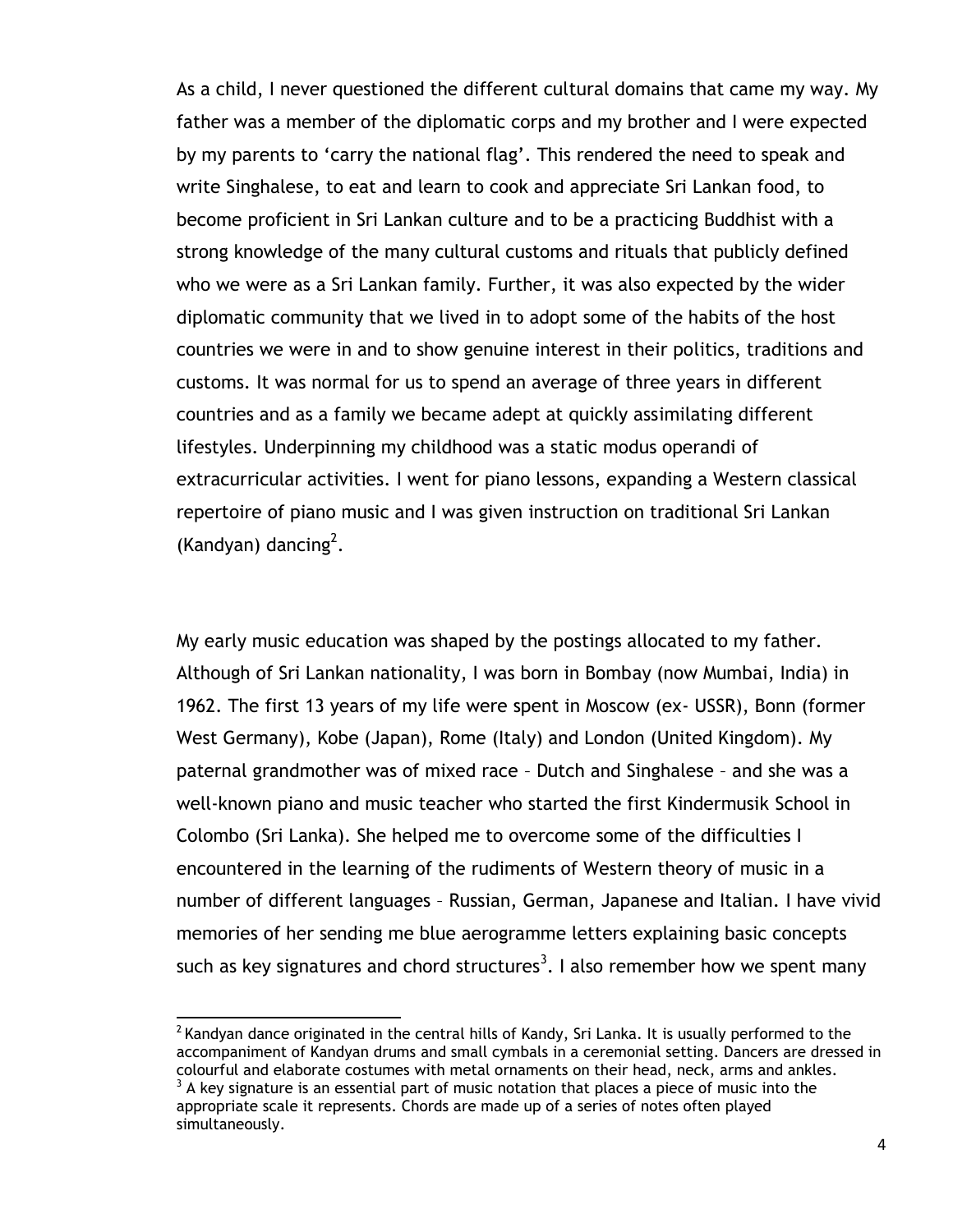As a child, I never questioned the different cultural domains that came my way. My father was a member of the diplomatic corps and my brother and I were expected by my parents to 'carry the national flag'. This rendered the need to speak and write Singhalese, to eat and learn to cook and appreciate Sri Lankan food, to become proficient in Sri Lankan culture and to be a practicing Buddhist with a strong knowledge of the many cultural customs and rituals that publicly defined who we were as a Sri Lankan family. Further, it was also expected by the wider diplomatic community that we lived in to adopt some of the habits of the host countries we were in and to show genuine interest in their politics, traditions and customs. It was normal for us to spend an average of three years in different countries and as a family we became adept at quickly assimilating different lifestyles. Underpinning my childhood was a static modus operandi of extracurricular activities. I went for piano lessons, expanding a Western classical repertoire of piano music and I was given instruction on traditional Sri Lankan (Kandyan) dancing<sup>2</sup>.

My early music education was shaped by the postings allocated to my father. Although of Sri Lankan nationality, I was born in Bombay (now Mumbai, India) in 1962. The first 13 years of my life were spent in Moscow (ex- USSR), Bonn (former West Germany), Kobe (Japan), Rome (Italy) and London (United Kingdom). My paternal grandmother was of mixed race – Dutch and Singhalese – and she was a well-known piano and music teacher who started the first Kindermusik School in Colombo (Sri Lanka). She helped me to overcome some of the difficulties I encountered in the learning of the rudiments of Western theory of music in a number of different languages – Russian, German, Japanese and Italian. I have vivid memories of her sending me blue aerogramme letters explaining basic concepts such as key signatures and chord structures<sup>3</sup>. I also remember how we spent many

 $^2$  Kandyan dance originated in the central hills of Kandy, Sri Lanka. It is usually performed to the accompaniment of Kandyan drums and small cymbals in a ceremonial setting. Dancers are dressed in colourful and elaborate costumes with metal ornaments on their head, neck, arms and ankles.  $3$  A key signature is an essential part of music notation that places a piece of music into the

appropriate scale it represents. Chords are made up of a series of notes often played simultaneously.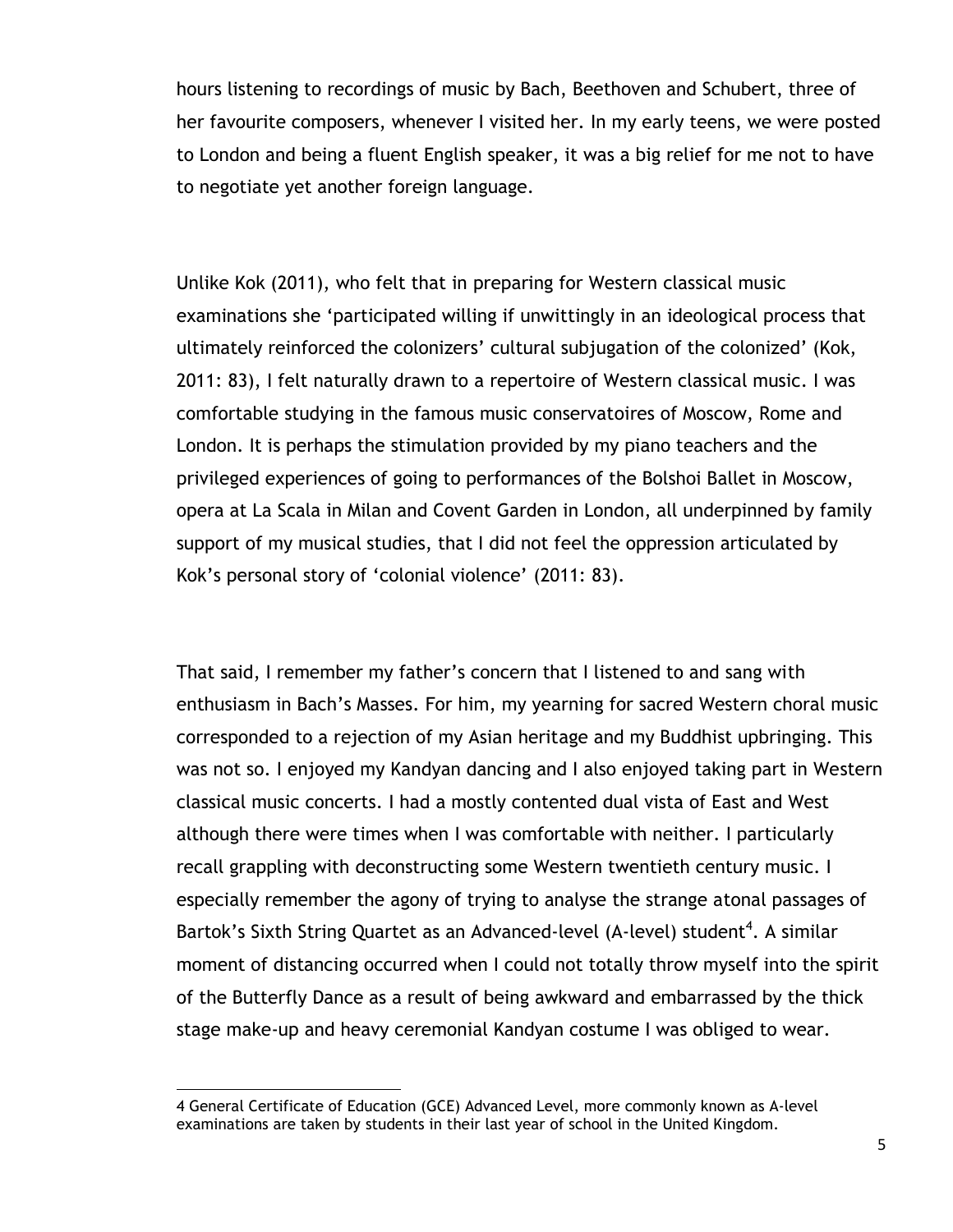hours listening to recordings of music by Bach, Beethoven and Schubert, three of her favourite composers, whenever I visited her. In my early teens, we were posted to London and being a fluent English speaker, it was a big relief for me not to have to negotiate yet another foreign language.

Unlike Kok (2011), who felt that in preparing for Western classical music examinations she "participated willing if unwittingly in an ideological process that ultimately reinforced the colonizers" cultural subjugation of the colonized" (Kok, 2011: 83), I felt naturally drawn to a repertoire of Western classical music. I was comfortable studying in the famous music conservatoires of Moscow, Rome and London. It is perhaps the stimulation provided by my piano teachers and the privileged experiences of going to performances of the Bolshoi Ballet in Moscow, opera at La Scala in Milan and Covent Garden in London, all underpinned by family support of my musical studies, that I did not feel the oppression articulated by Kok's personal story of 'colonial violence' (2011: 83).

That said, I remember my father"s concern that I listened to and sang with enthusiasm in Bach"s Masses. For him, my yearning for sacred Western choral music corresponded to a rejection of my Asian heritage and my Buddhist upbringing. This was not so. I enjoyed my Kandyan dancing and I also enjoyed taking part in Western classical music concerts. I had a mostly contented dual vista of East and West although there were times when I was comfortable with neither. I particularly recall grappling with deconstructing some Western twentieth century music. I especially remember the agony of trying to analyse the strange atonal passages of Bartok's Sixth String Quartet as an Advanced-level (A-level) student<sup>4</sup>. A similar moment of distancing occurred when I could not totally throw myself into the spirit of the Butterfly Dance as a result of being awkward and embarrassed by the thick stage make-up and heavy ceremonial Kandyan costume I was obliged to wear.

<sup>4</sup> General Certificate of Education (GCE) Advanced Level, more commonly known as A-level examinations are taken by students in their last year of school in the United Kingdom.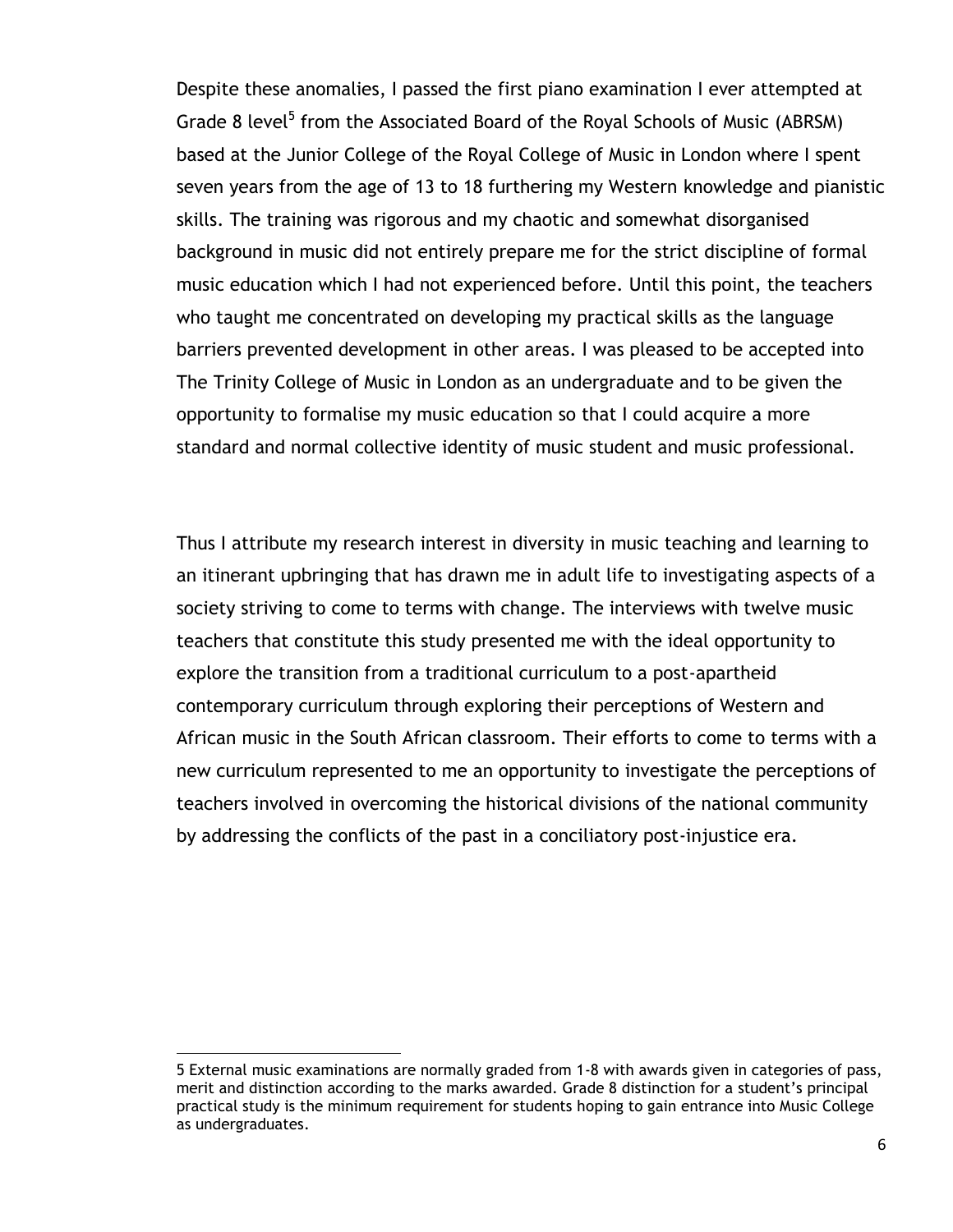Despite these anomalies, I passed the first piano examination I ever attempted at Grade 8 level<sup>5</sup> from the Associated Board of the Royal Schools of Music (ABRSM) based at the Junior College of the Royal College of Music in London where I spent seven years from the age of 13 to 18 furthering my Western knowledge and pianistic skills. The training was rigorous and my chaotic and somewhat disorganised background in music did not entirely prepare me for the strict discipline of formal music education which I had not experienced before. Until this point, the teachers who taught me concentrated on developing my practical skills as the language barriers prevented development in other areas. I was pleased to be accepted into The Trinity College of Music in London as an undergraduate and to be given the opportunity to formalise my music education so that I could acquire a more standard and normal collective identity of music student and music professional.

Thus I attribute my research interest in diversity in music teaching and learning to an itinerant upbringing that has drawn me in adult life to investigating aspects of a society striving to come to terms with change. The interviews with twelve music teachers that constitute this study presented me with the ideal opportunity to explore the transition from a traditional curriculum to a post-apartheid contemporary curriculum through exploring their perceptions of Western and African music in the South African classroom. Their efforts to come to terms with a new curriculum represented to me an opportunity to investigate the perceptions of teachers involved in overcoming the historical divisions of the national community by addressing the conflicts of the past in a conciliatory post-injustice era.

<sup>5</sup> External music examinations are normally graded from 1-8 with awards given in categories of pass, merit and distinction according to the marks awarded. Grade 8 distinction for a student"s principal practical study is the minimum requirement for students hoping to gain entrance into Music College as undergraduates.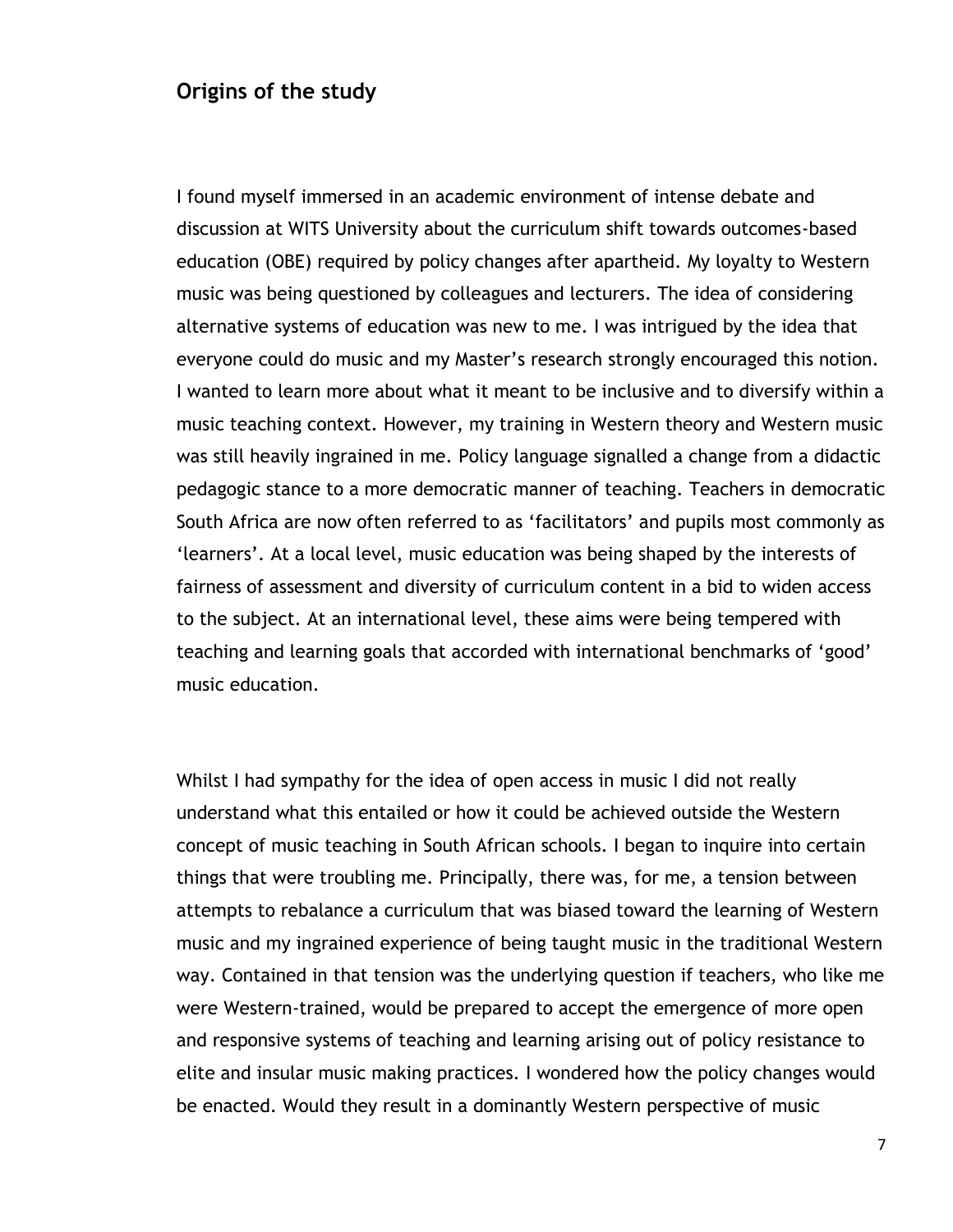#### **Origins of the study**

I found myself immersed in an academic environment of intense debate and discussion at WITS University about the curriculum shift towards outcomes-based education (OBE) required by policy changes after apartheid. My loyalty to Western music was being questioned by colleagues and lecturers. The idea of considering alternative systems of education was new to me. I was intrigued by the idea that everyone could do music and my Master"s research strongly encouraged this notion. I wanted to learn more about what it meant to be inclusive and to diversify within a music teaching context. However, my training in Western theory and Western music was still heavily ingrained in me. Policy language signalled a change from a didactic pedagogic stance to a more democratic manner of teaching. Teachers in democratic South Africa are now often referred to as "facilitators" and pupils most commonly as "learners". At a local level, music education was being shaped by the interests of fairness of assessment and diversity of curriculum content in a bid to widen access to the subject. At an international level, these aims were being tempered with teaching and learning goals that accorded with international benchmarks of "good" music education.

Whilst I had sympathy for the idea of open access in music I did not really understand what this entailed or how it could be achieved outside the Western concept of music teaching in South African schools. I began to inquire into certain things that were troubling me. Principally, there was, for me, a tension between attempts to rebalance a curriculum that was biased toward the learning of Western music and my ingrained experience of being taught music in the traditional Western way. Contained in that tension was the underlying question if teachers, who like me were Western-trained, would be prepared to accept the emergence of more open and responsive systems of teaching and learning arising out of policy resistance to elite and insular music making practices. I wondered how the policy changes would be enacted. Would they result in a dominantly Western perspective of music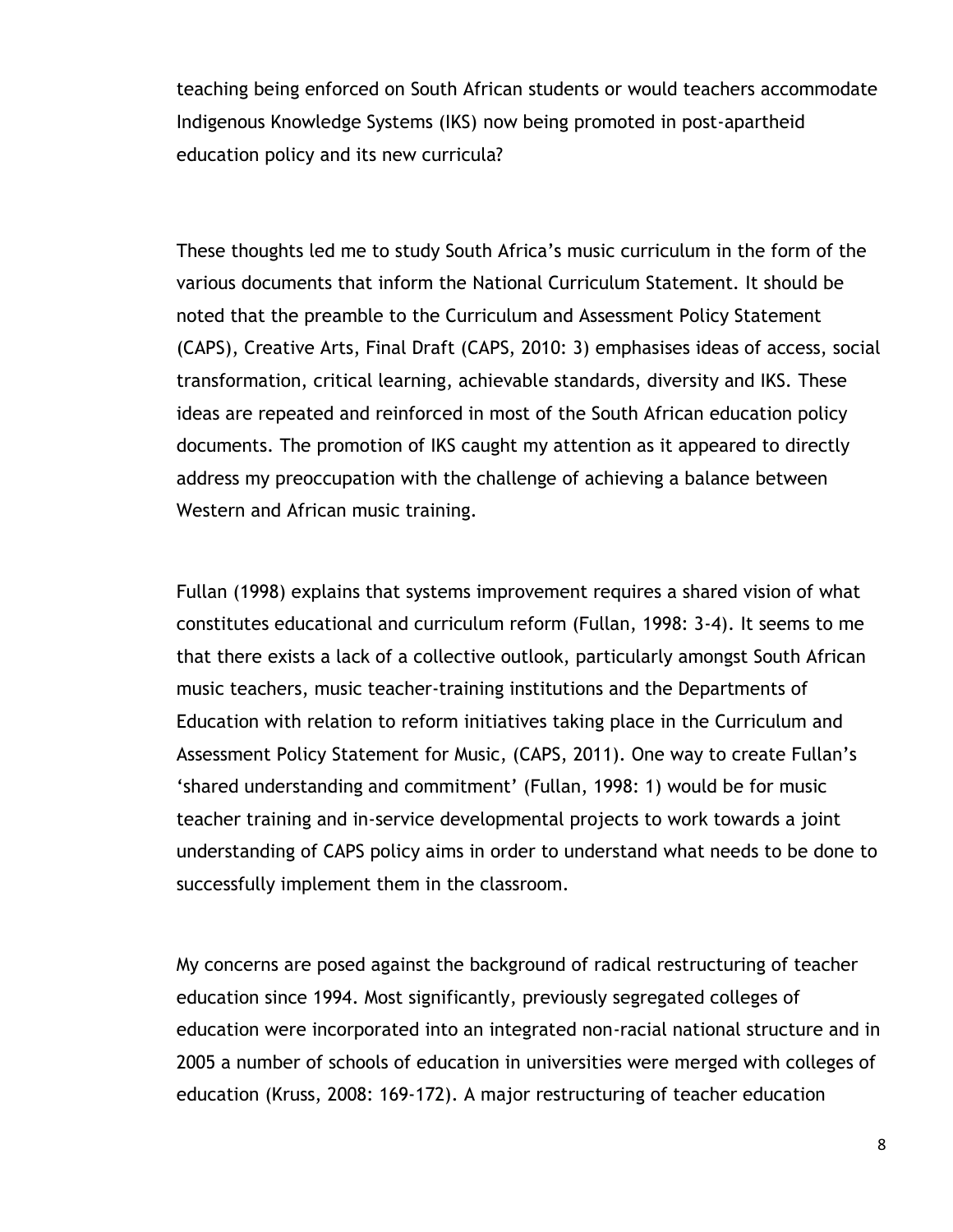teaching being enforced on South African students or would teachers accommodate Indigenous Knowledge Systems (IKS) now being promoted in post-apartheid education policy and its new curricula?

These thoughts led me to study South Africa"s music curriculum in the form of the various documents that inform the National Curriculum Statement. It should be noted that the preamble to the Curriculum and Assessment Policy Statement (CAPS), Creative Arts, Final Draft (CAPS, 2010: 3) emphasises ideas of access, social transformation, critical learning, achievable standards, diversity and IKS. These ideas are repeated and reinforced in most of the South African education policy documents. The promotion of IKS caught my attention as it appeared to directly address my preoccupation with the challenge of achieving a balance between Western and African music training.

Fullan (1998) explains that systems improvement requires a shared vision of what constitutes educational and curriculum reform (Fullan, 1998: 3-4). It seems to me that there exists a lack of a collective outlook, particularly amongst South African music teachers, music teacher-training institutions and the Departments of Education with relation to reform initiatives taking place in the Curriculum and Assessment Policy Statement for Music, (CAPS, 2011). One way to create Fullan"s "shared understanding and commitment" (Fullan, 1998: 1) would be for music teacher training and in-service developmental projects to work towards a joint understanding of CAPS policy aims in order to understand what needs to be done to successfully implement them in the classroom.

My concerns are posed against the background of radical restructuring of teacher education since 1994. Most significantly, previously segregated colleges of education were incorporated into an integrated non-racial national structure and in 2005 a number of schools of education in universities were merged with colleges of education (Kruss, 2008: 169-172). A major restructuring of teacher education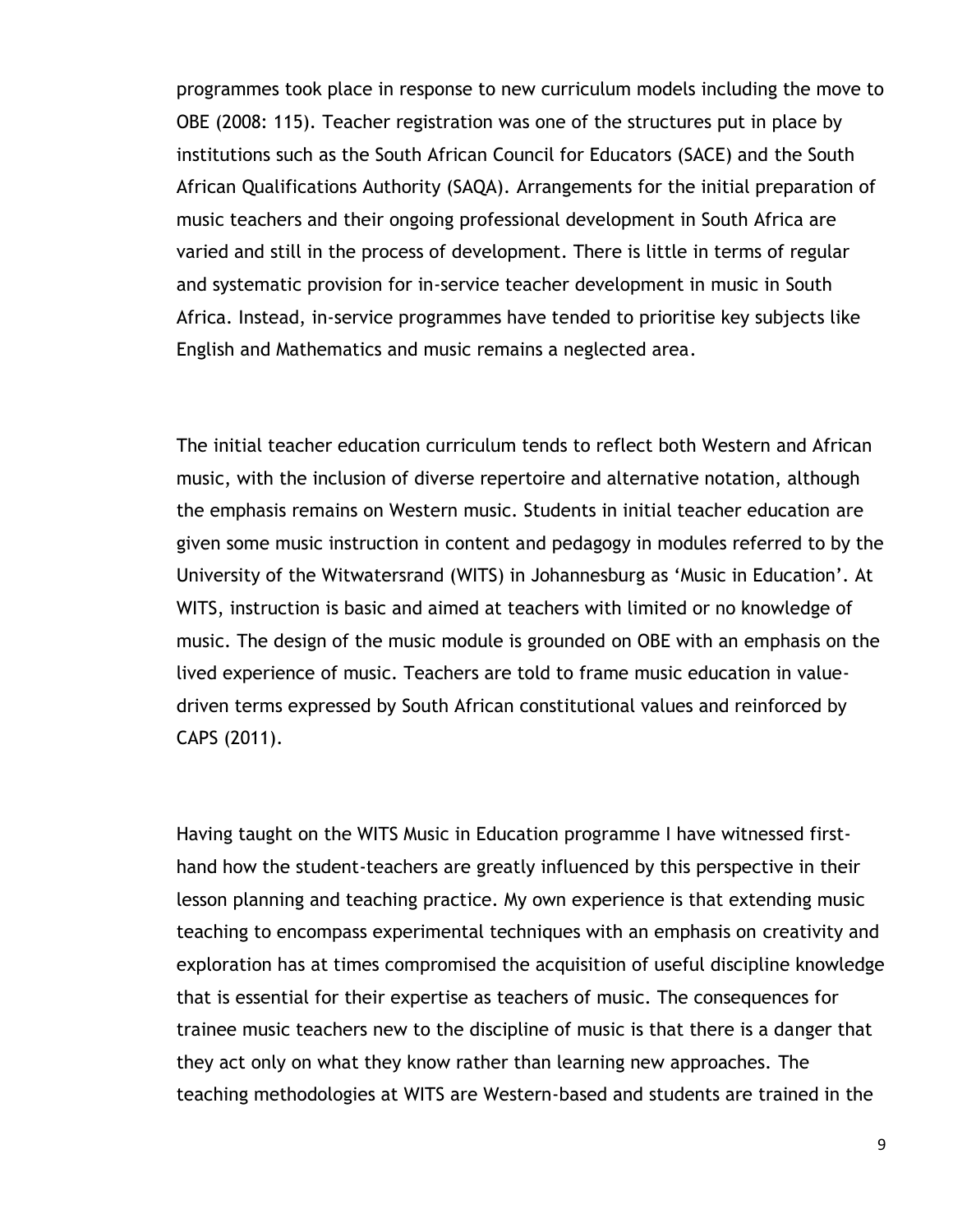programmes took place in response to new curriculum models including the move to OBE (2008: 115). Teacher registration was one of the structures put in place by institutions such as the South African Council for Educators (SACE) and the South African Qualifications Authority (SAQA). Arrangements for the initial preparation of music teachers and their ongoing professional development in South Africa are varied and still in the process of development. There is little in terms of regular and systematic provision for in-service teacher development in music in South Africa. Instead, in-service programmes have tended to prioritise key subjects like English and Mathematics and music remains a neglected area.

The initial teacher education curriculum tends to reflect both Western and African music, with the inclusion of diverse repertoire and alternative notation, although the emphasis remains on Western music. Students in initial teacher education are given some music instruction in content and pedagogy in modules referred to by the University of the Witwatersrand (WITS) in Johannesburg as "Music in Education". At WITS, instruction is basic and aimed at teachers with limited or no knowledge of music. The design of the music module is grounded on OBE with an emphasis on the lived experience of music. Teachers are told to frame music education in valuedriven terms expressed by South African constitutional values and reinforced by CAPS (2011).

Having taught on the WITS Music in Education programme I have witnessed firsthand how the student-teachers are greatly influenced by this perspective in their lesson planning and teaching practice. My own experience is that extending music teaching to encompass experimental techniques with an emphasis on creativity and exploration has at times compromised the acquisition of useful discipline knowledge that is essential for their expertise as teachers of music. The consequences for trainee music teachers new to the discipline of music is that there is a danger that they act only on what they know rather than learning new approaches. The teaching methodologies at WITS are Western-based and students are trained in the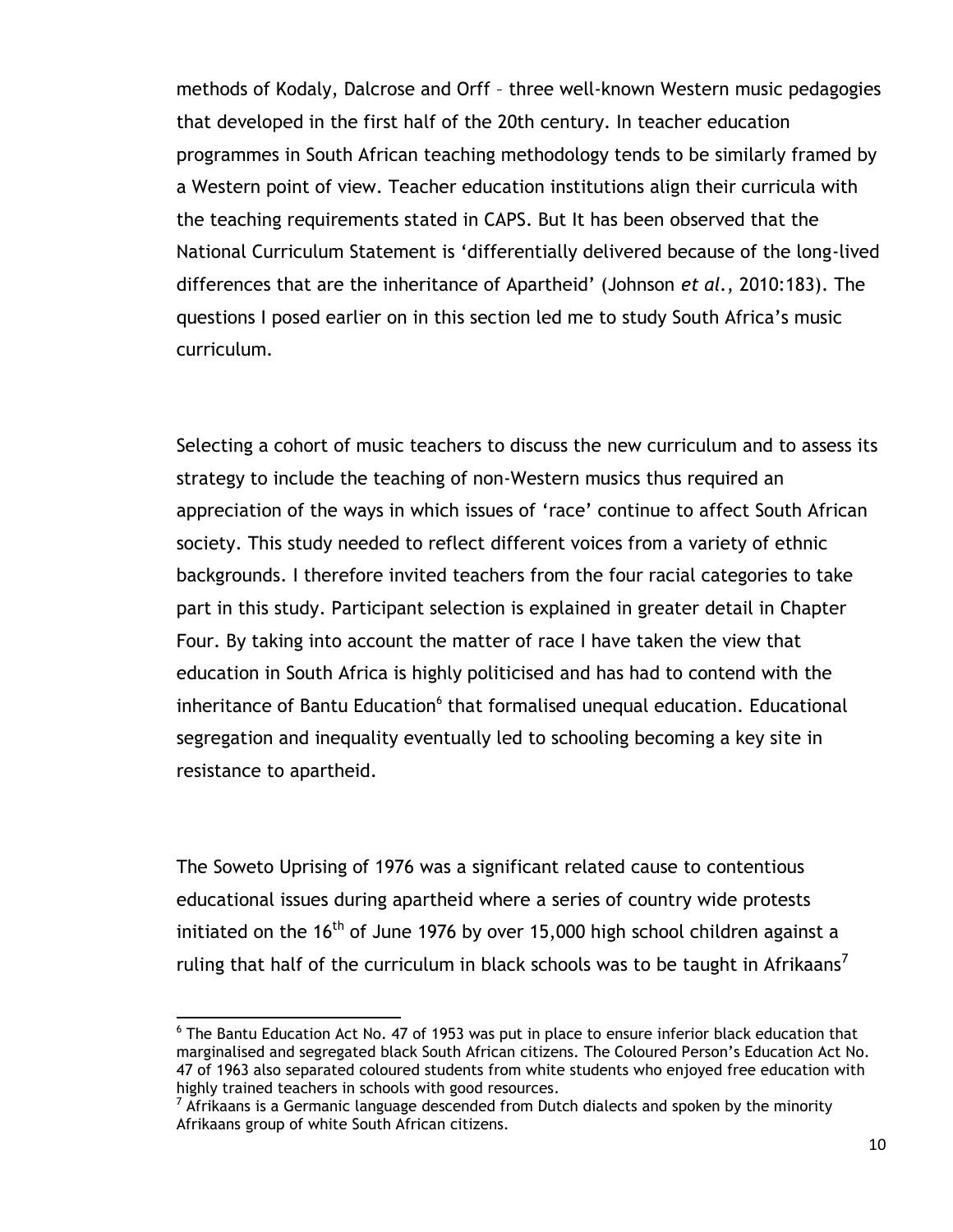methods of Kodaly, Dalcrose and Orff – three well-known Western music pedagogies that developed in the first half of the 20th century. In teacher education programmes in South African teaching methodology tends to be similarly framed by a Western point of view. Teacher education institutions align their curricula with the teaching requirements stated in CAPS. But It has been observed that the National Curriculum Statement is "differentially delivered because of the long-lived differences that are the inheritance of Apartheid" (Johnson *et al.*, 2010:183). The questions I posed earlier on in this section led me to study South Africa"s music curriculum.

Selecting a cohort of music teachers to discuss the new curriculum and to assess its strategy to include the teaching of non-Western musics thus required an appreciation of the ways in which issues of "race" continue to affect South African society. This study needed to reflect different voices from a variety of ethnic backgrounds. I therefore invited teachers from the four racial categories to take part in this study. Participant selection is explained in greater detail in Chapter Four. By taking into account the matter of race I have taken the view that education in South Africa is highly politicised and has had to contend with the inheritance of Bantu Education<sup>6</sup> that formalised unequal education. Educational segregation and inequality eventually led to schooling becoming a key site in resistance to apartheid.

The Soweto Uprising of 1976 was a significant related cause to contentious educational issues during apartheid where a series of country wide protests initiated on the  $16<sup>th</sup>$  of June 1976 by over 15,000 high school children against a ruling that half of the curriculum in black schools was to be taught in Afrikaans<sup>7</sup>

 $\overline{a}$  $^6$  The Bantu Education Act No. 47 of 1953 was put in place to ensure inferior black education that marginalised and segregated black South African citizens. The Coloured Person"s Education Act No. 47 of 1963 also separated coloured students from white students who enjoyed free education with highly trained teachers in schools with good resources.

 $7$  Afrikaans is a Germanic language descended from Dutch dialects and spoken by the minority Afrikaans group of white South African citizens.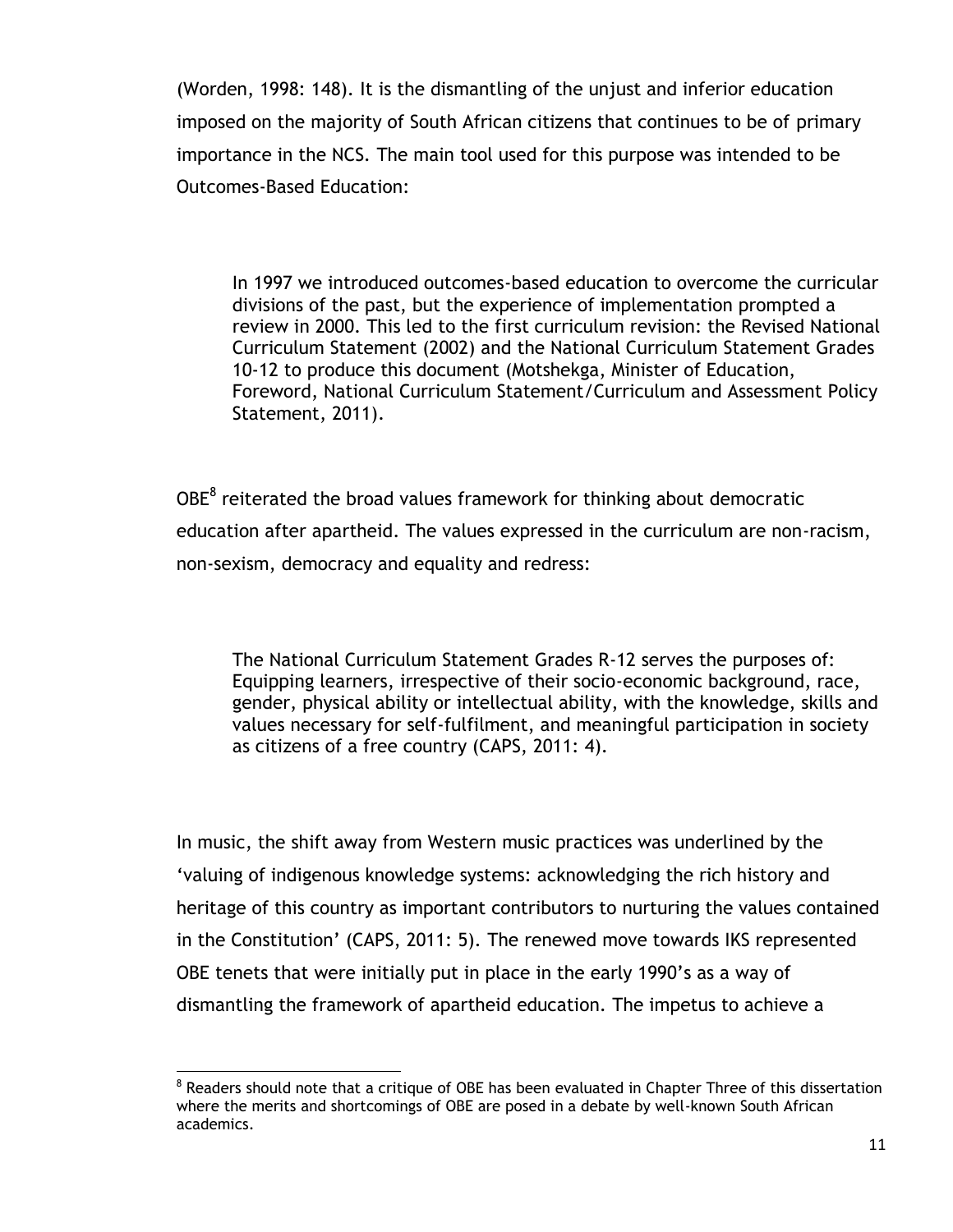(Worden, 1998: 148). It is the dismantling of the unjust and inferior education imposed on the majority of South African citizens that continues to be of primary importance in the NCS. The main tool used for this purpose was intended to be Outcomes-Based Education:

In 1997 we introduced outcomes-based education to overcome the curricular divisions of the past, but the experience of implementation prompted a review in 2000. This led to the first curriculum revision: the Revised National Curriculum Statement (2002) and the National Curriculum Statement Grades 10-12 to produce this document (Motshekga, Minister of Education, Foreword, National Curriculum Statement/Curriculum and Assessment Policy Statement, 2011).

 $OBE<sup>8</sup>$  reiterated the broad values framework for thinking about democratic education after apartheid. The values expressed in the curriculum are non-racism, non-sexism, democracy and equality and redress:

The National Curriculum Statement Grades R-12 serves the purposes of: Equipping learners, irrespective of their socio-economic background, race, gender, physical ability or intellectual ability, with the knowledge, skills and values necessary for self-fulfilment, and meaningful participation in society as citizens of a free country (CAPS, 2011: 4).

In music, the shift away from Western music practices was underlined by the "valuing of indigenous knowledge systems: acknowledging the rich history and heritage of this country as important contributors to nurturing the values contained in the Constitution" (CAPS, 2011: 5). The renewed move towards IKS represented OBE tenets that were initially put in place in the early 1990"s as a way of dismantling the framework of apartheid education. The impetus to achieve a

 $\overline{a}$  $8$  Readers should note that a critique of OBE has been evaluated in Chapter Three of this dissertation where the merits and shortcomings of OBE are posed in a debate by well-known South African academics.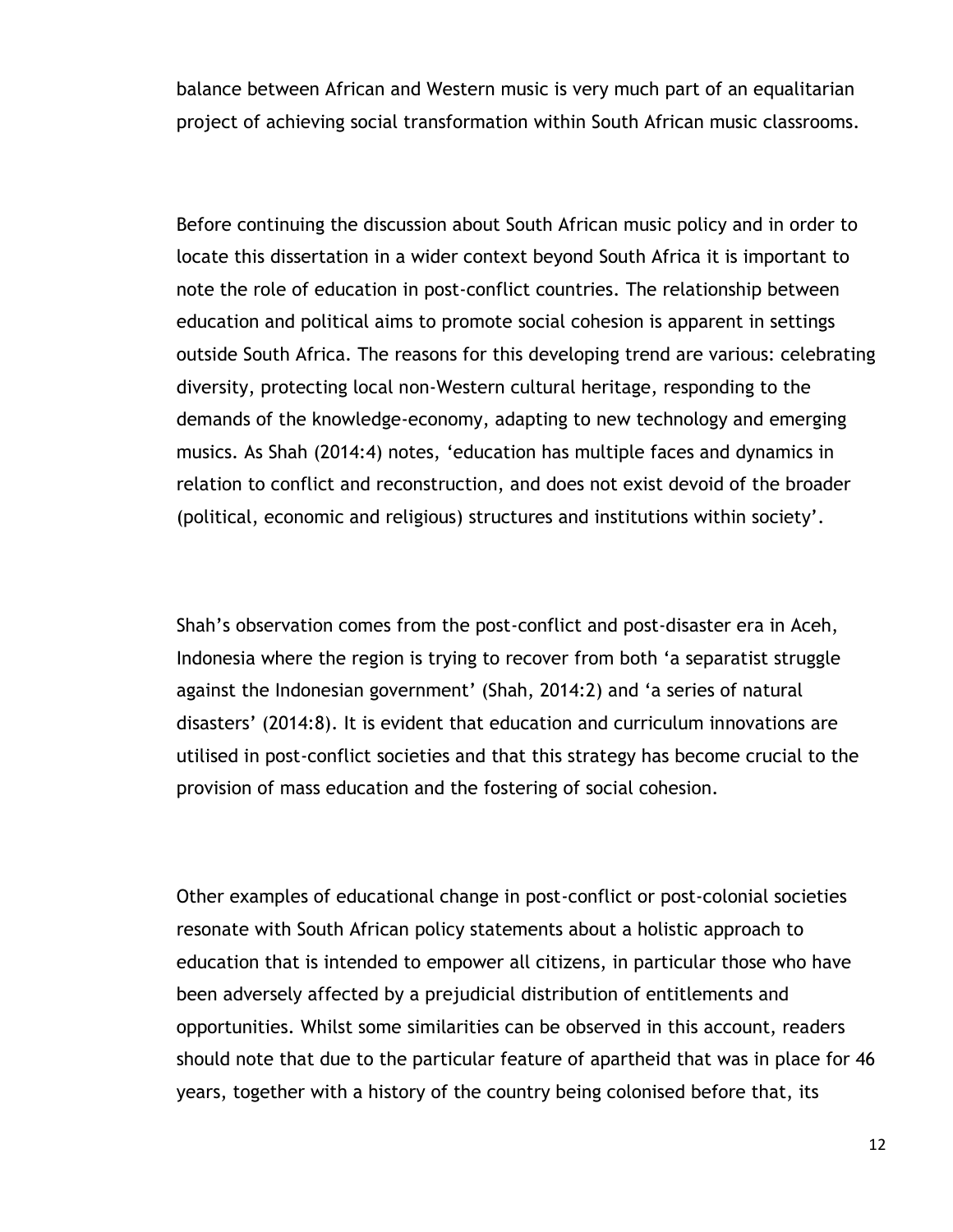balance between African and Western music is very much part of an equalitarian project of achieving social transformation within South African music classrooms.

Before continuing the discussion about South African music policy and in order to locate this dissertation in a wider context beyond South Africa it is important to note the role of education in post-conflict countries. The relationship between education and political aims to promote social cohesion is apparent in settings outside South Africa. The reasons for this developing trend are various: celebrating diversity, protecting local non-Western cultural heritage, responding to the demands of the knowledge-economy, adapting to new technology and emerging musics. As Shah (2014:4) notes, "education has multiple faces and dynamics in relation to conflict and reconstruction, and does not exist devoid of the broader (political, economic and religious) structures and institutions within society".

Shah"s observation comes from the post-conflict and post-disaster era in Aceh, Indonesia where the region is trying to recover from both "a separatist struggle against the Indonesian government' (Shah, 2014:2) and 'a series of natural disasters" (2014:8). It is evident that education and curriculum innovations are utilised in post-conflict societies and that this strategy has become crucial to the provision of mass education and the fostering of social cohesion.

Other examples of educational change in post-conflict or post-colonial societies resonate with South African policy statements about a holistic approach to education that is intended to empower all citizens, in particular those who have been adversely affected by a prejudicial distribution of entitlements and opportunities. Whilst some similarities can be observed in this account, readers should note that due to the particular feature of apartheid that was in place for 46 years, together with a history of the country being colonised before that, its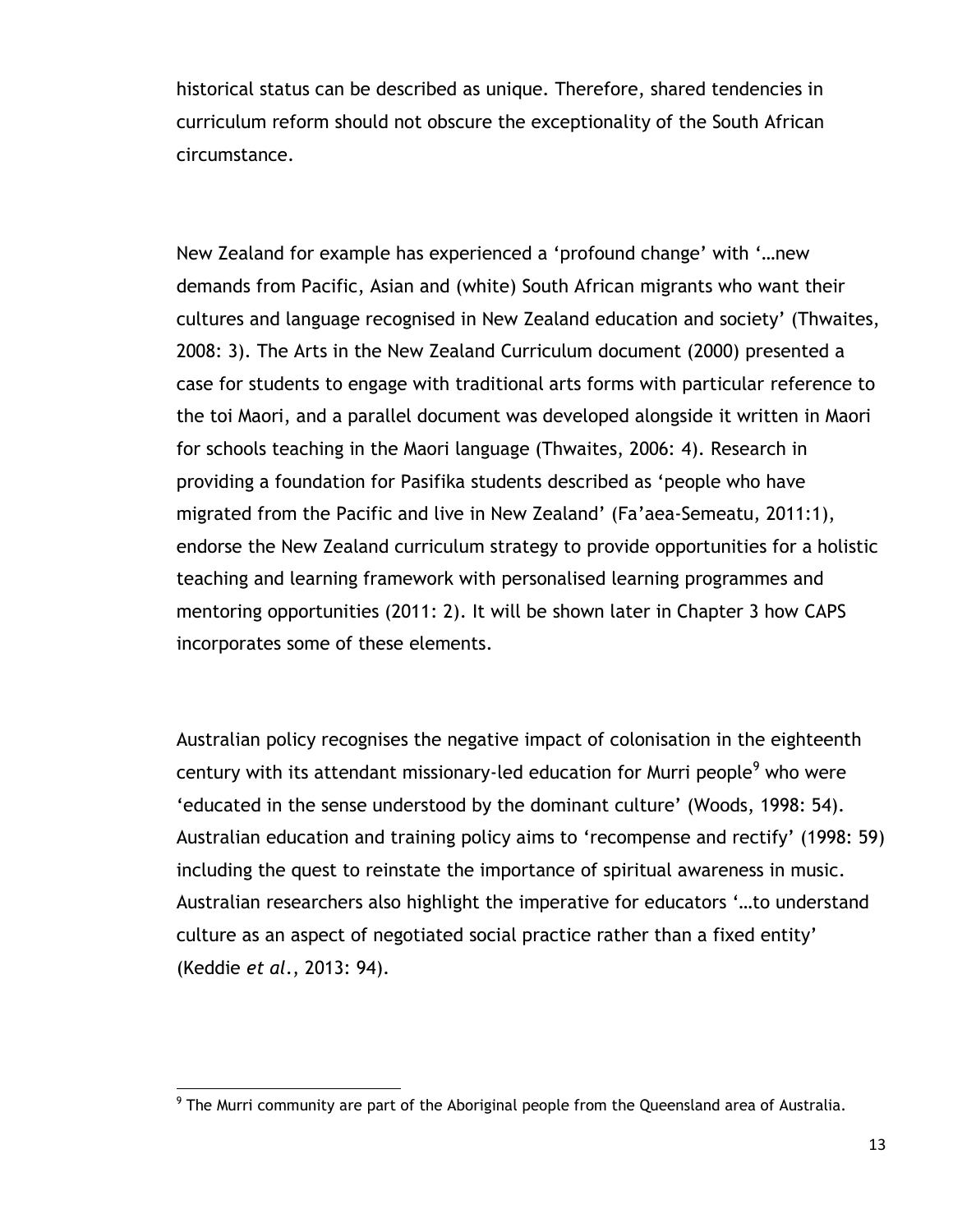historical status can be described as unique. Therefore, shared tendencies in curriculum reform should not obscure the exceptionality of the South African circumstance.

New Zealand for example has experienced a "profound change" with "…new demands from Pacific, Asian and (white) South African migrants who want their cultures and language recognised in New Zealand education and society" (Thwaites, 2008: 3). The Arts in the New Zealand Curriculum document (2000) presented a case for students to engage with traditional arts forms with particular reference to the toi Maori, and a parallel document was developed alongside it written in Maori for schools teaching in the Maori language (Thwaites, 2006: 4). Research in providing a foundation for Pasifika students described as "people who have migrated from the Pacific and live in New Zealand" (Fa"aea-Semeatu, 2011:1), endorse the New Zealand curriculum strategy to provide opportunities for a holistic teaching and learning framework with personalised learning programmes and mentoring opportunities (2011: 2). It will be shown later in Chapter 3 how CAPS incorporates some of these elements.

Australian policy recognises the negative impact of colonisation in the eighteenth century with its attendant missionary-led education for Murri people<sup>9</sup> who were "educated in the sense understood by the dominant culture" (Woods, 1998: 54). Australian education and training policy aims to "recompense and rectify" (1998: 59) including the quest to reinstate the importance of spiritual awareness in music. Australian researchers also highlight the imperative for educators "…to understand culture as an aspect of negotiated social practice rather than a fixed entity" (Keddie *et al*., 2013: 94).

 9 The Murri community are part of the Aboriginal people from the Queensland area of Australia.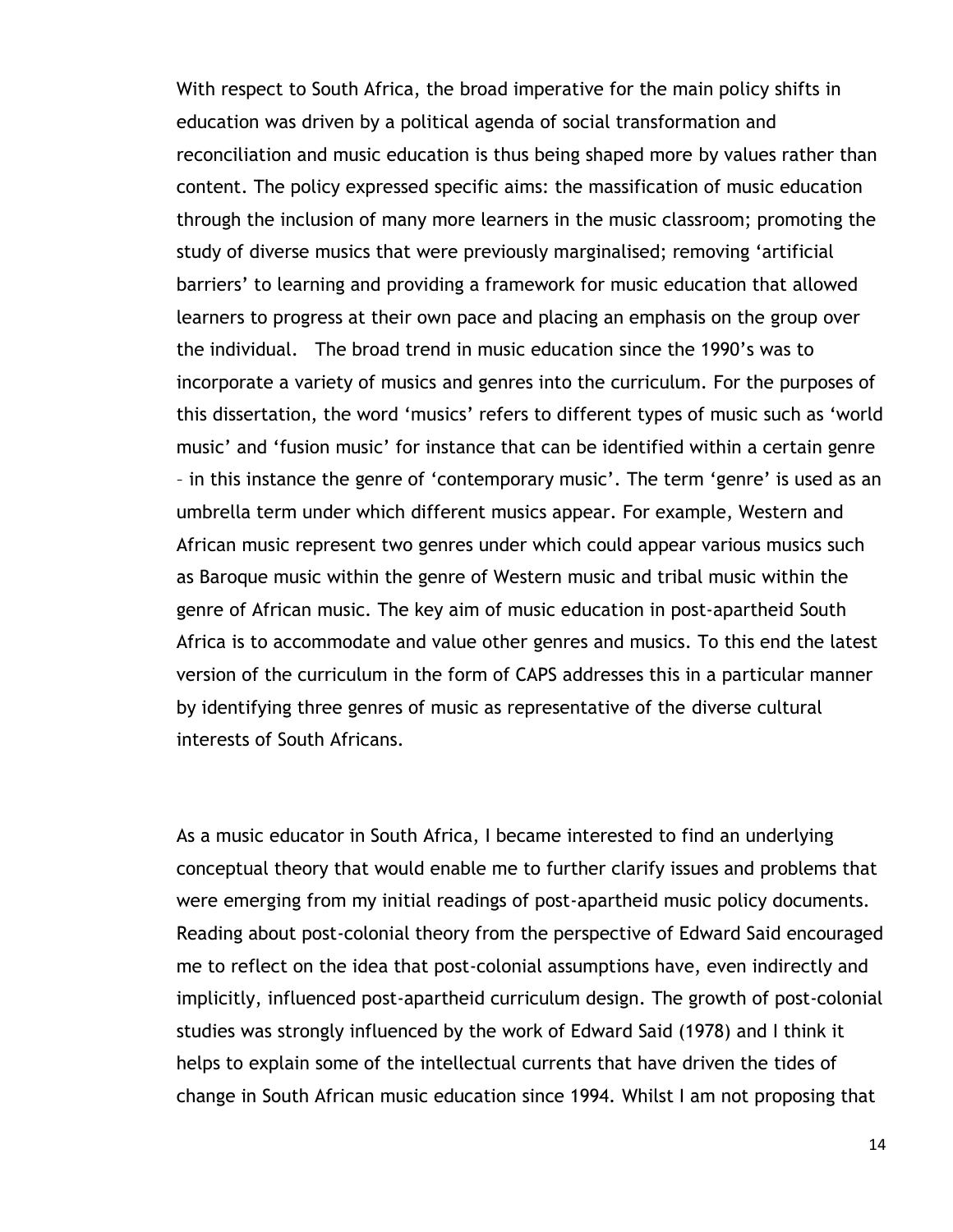With respect to South Africa, the broad imperative for the main policy shifts in education was driven by a political agenda of social transformation and reconciliation and music education is thus being shaped more by values rather than content. The policy expressed specific aims: the massification of music education through the inclusion of many more learners in the music classroom; promoting the study of diverse musics that were previously marginalised; removing "artificial barriers" to learning and providing a framework for music education that allowed learners to progress at their own pace and placing an emphasis on the group over the individual. The broad trend in music education since the 1990"s was to incorporate a variety of musics and genres into the curriculum. For the purposes of this dissertation, the word "musics" refers to different types of music such as "world music" and "fusion music" for instance that can be identified within a certain genre – in this instance the genre of "contemporary music". The term "genre" is used as an umbrella term under which different musics appear. For example, Western and African music represent two genres under which could appear various musics such as Baroque music within the genre of Western music and tribal music within the genre of African music. The key aim of music education in post-apartheid South Africa is to accommodate and value other genres and musics. To this end the latest version of the curriculum in the form of CAPS addresses this in a particular manner by identifying three genres of music as representative of the diverse cultural interests of South Africans.

As a music educator in South Africa, I became interested to find an underlying conceptual theory that would enable me to further clarify issues and problems that were emerging from my initial readings of post-apartheid music policy documents. Reading about post-colonial theory from the perspective of Edward Said encouraged me to reflect on the idea that post-colonial assumptions have, even indirectly and implicitly, influenced post-apartheid curriculum design. The growth of post-colonial studies was strongly influenced by the work of Edward Said (1978) and I think it helps to explain some of the intellectual currents that have driven the tides of change in South African music education since 1994. Whilst I am not proposing that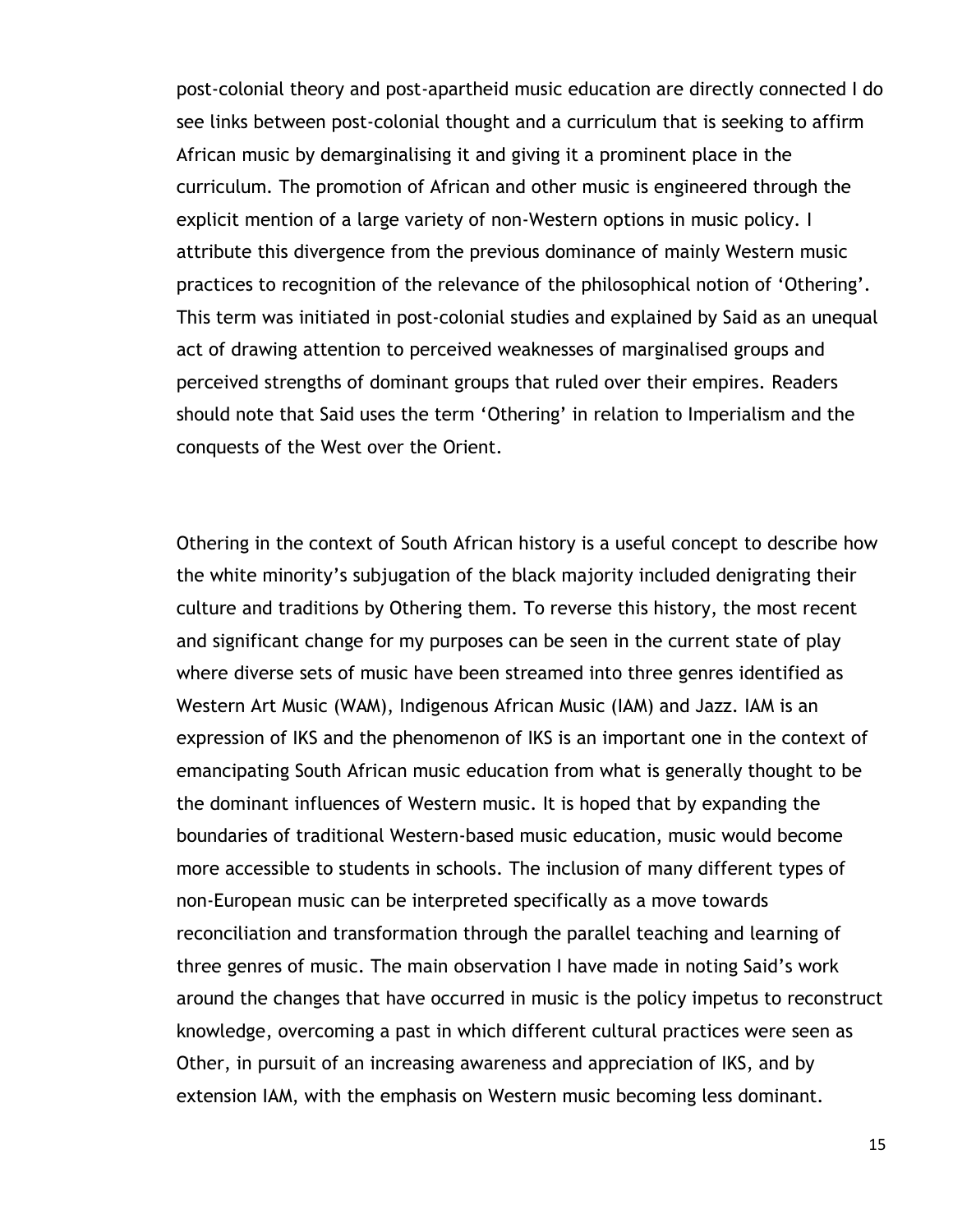post-colonial theory and post-apartheid music education are directly connected I do see links between post-colonial thought and a curriculum that is seeking to affirm African music by demarginalising it and giving it a prominent place in the curriculum. The promotion of African and other music is engineered through the explicit mention of a large variety of non-Western options in music policy. I attribute this divergence from the previous dominance of mainly Western music practices to recognition of the relevance of the philosophical notion of "Othering". This term was initiated in post-colonial studies and explained by Said as an unequal act of drawing attention to perceived weaknesses of marginalised groups and perceived strengths of dominant groups that ruled over their empires. Readers should note that Said uses the term 'Othering' in relation to Imperialism and the conquests of the West over the Orient.

Othering in the context of South African history is a useful concept to describe how the white minority"s subjugation of the black majority included denigrating their culture and traditions by Othering them. To reverse this history, the most recent and significant change for my purposes can be seen in the current state of play where diverse sets of music have been streamed into three genres identified as Western Art Music (WAM), Indigenous African Music (IAM) and Jazz. IAM is an expression of IKS and the phenomenon of IKS is an important one in the context of emancipating South African music education from what is generally thought to be the dominant influences of Western music. It is hoped that by expanding the boundaries of traditional Western-based music education, music would become more accessible to students in schools. The inclusion of many different types of non-European music can be interpreted specifically as a move towards reconciliation and transformation through the parallel teaching and learning of three genres of music. The main observation I have made in noting Said"s work around the changes that have occurred in music is the policy impetus to reconstruct knowledge, overcoming a past in which different cultural practices were seen as Other, in pursuit of an increasing awareness and appreciation of IKS, and by extension IAM, with the emphasis on Western music becoming less dominant.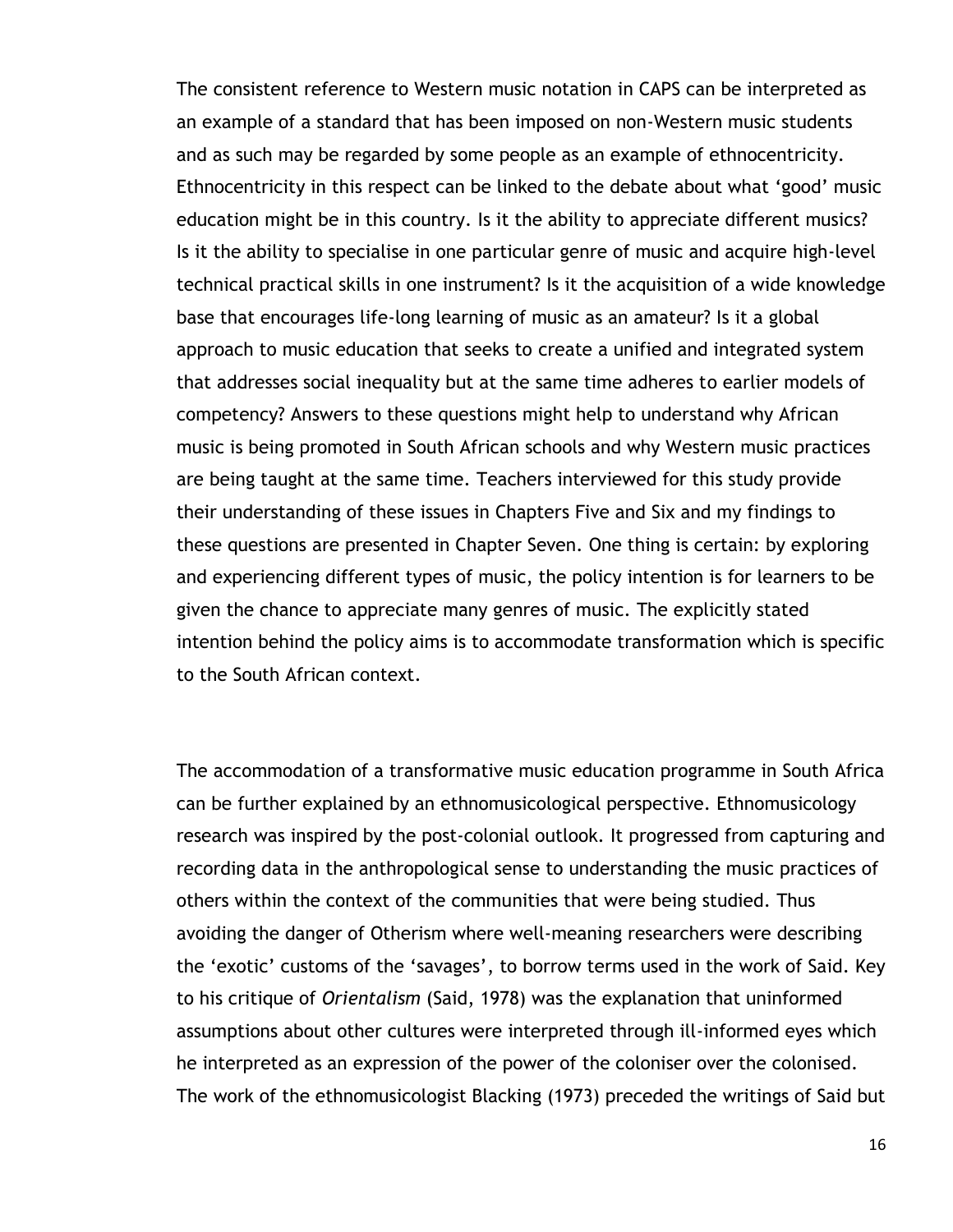The consistent reference to Western music notation in CAPS can be interpreted as an example of a standard that has been imposed on non-Western music students and as such may be regarded by some people as an example of ethnocentricity. Ethnocentricity in this respect can be linked to the debate about what "good" music education might be in this country. Is it the ability to appreciate different musics? Is it the ability to specialise in one particular genre of music and acquire high-level technical practical skills in one instrument? Is it the acquisition of a wide knowledge base that encourages life-long learning of music as an amateur? Is it a global approach to music education that seeks to create a unified and integrated system that addresses social inequality but at the same time adheres to earlier models of competency? Answers to these questions might help to understand why African music is being promoted in South African schools and why Western music practices are being taught at the same time. Teachers interviewed for this study provide their understanding of these issues in Chapters Five and Six and my findings to these questions are presented in Chapter Seven. One thing is certain: by exploring and experiencing different types of music, the policy intention is for learners to be given the chance to appreciate many genres of music. The explicitly stated intention behind the policy aims is to accommodate transformation which is specific to the South African context.

The accommodation of a transformative music education programme in South Africa can be further explained by an ethnomusicological perspective. Ethnomusicology research was inspired by the post-colonial outlook. It progressed from capturing and recording data in the anthropological sense to understanding the music practices of others within the context of the communities that were being studied. Thus avoiding the danger of Otherism where well-meaning researchers were describing the "exotic" customs of the "savages", to borrow terms used in the work of Said. Key to his critique of *Orientalism* (Said, 1978) was the explanation that uninformed assumptions about other cultures were interpreted through ill-informed eyes which he interpreted as an expression of the power of the coloniser over the colonised. The work of the ethnomusicologist Blacking (1973) preceded the writings of Said but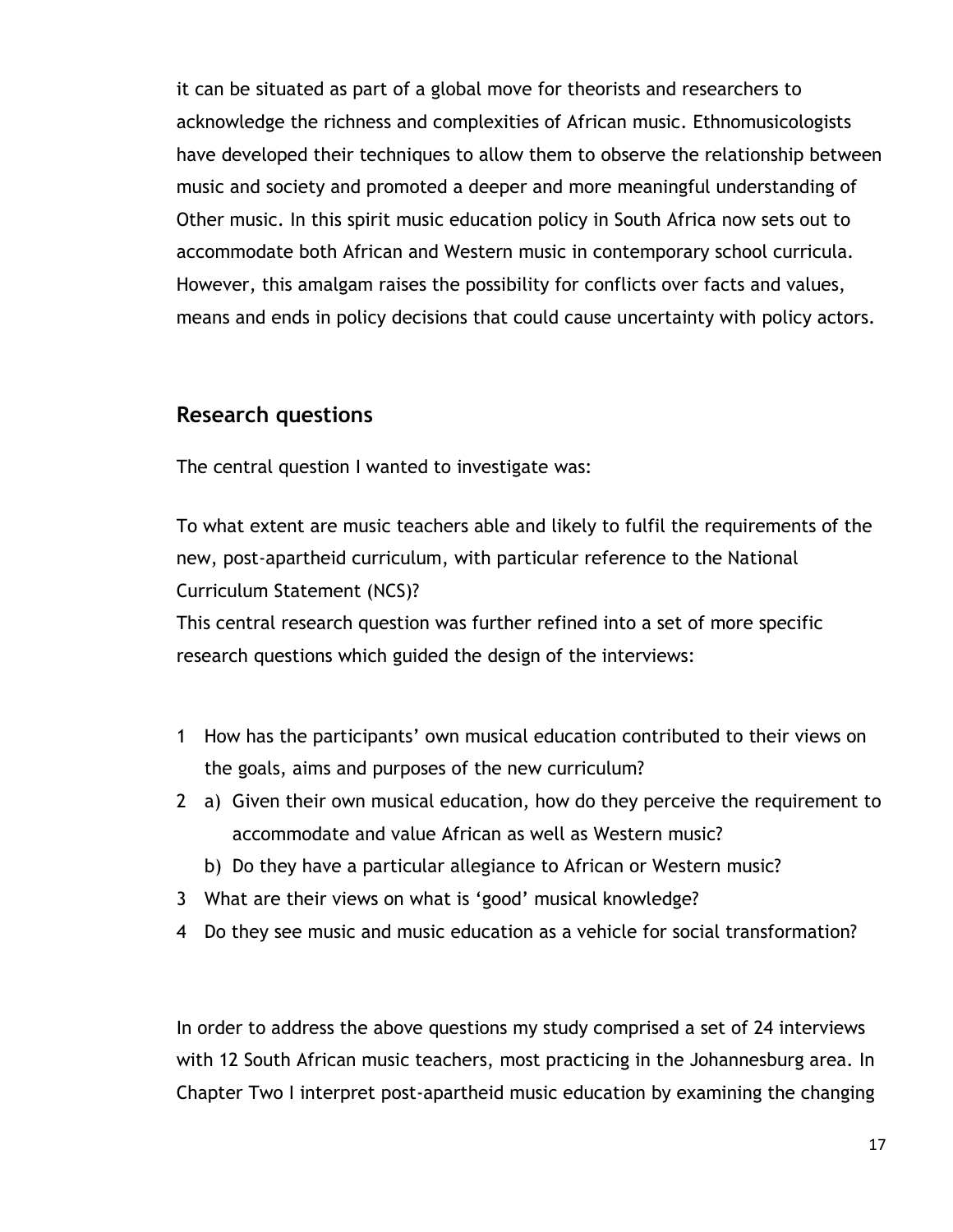it can be situated as part of a global move for theorists and researchers to acknowledge the richness and complexities of African music. Ethnomusicologists have developed their techniques to allow them to observe the relationship between music and society and promoted a deeper and more meaningful understanding of Other music. In this spirit music education policy in South Africa now sets out to accommodate both African and Western music in contemporary school curricula. However, this amalgam raises the possibility for conflicts over facts and values, means and ends in policy decisions that could cause uncertainty with policy actors.

#### **Research questions**

The central question I wanted to investigate was:

To what extent are music teachers able and likely to fulfil the requirements of the new, post-apartheid curriculum, with particular reference to the National Curriculum Statement (NCS)?

This central research question was further refined into a set of more specific research questions which guided the design of the interviews:

- 1 How has the participants" own musical education contributed to their views on the goals, aims and purposes of the new curriculum?
- 2 a) Given their own musical education, how do they perceive the requirement to accommodate and value African as well as Western music?
	- b) Do they have a particular allegiance to African or Western music?
- 3 What are their views on what is "good" musical knowledge?
- 4 Do they see music and music education as a vehicle for social transformation?

In order to address the above questions my study comprised a set of 24 interviews with 12 South African music teachers, most practicing in the Johannesburg area. In Chapter Two I interpret post-apartheid music education by examining the changing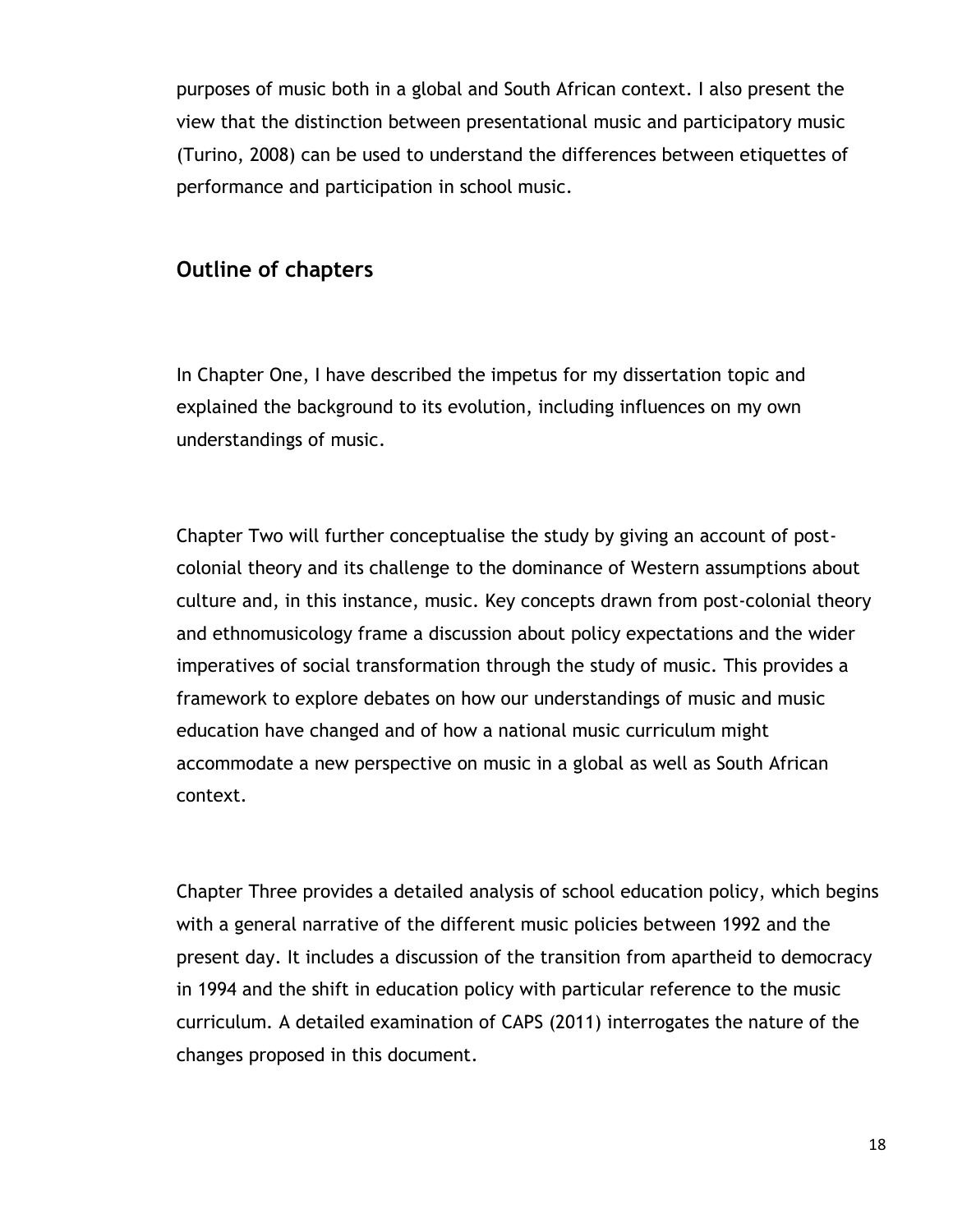purposes of music both in a global and South African context. I also present the view that the distinction between presentational music and participatory music (Turino, 2008) can be used to understand the differences between etiquettes of performance and participation in school music.

#### **Outline of chapters**

In Chapter One, I have described the impetus for my dissertation topic and explained the background to its evolution, including influences on my own understandings of music.

Chapter Two will further conceptualise the study by giving an account of postcolonial theory and its challenge to the dominance of Western assumptions about culture and, in this instance, music. Key concepts drawn from post-colonial theory and ethnomusicology frame a discussion about policy expectations and the wider imperatives of social transformation through the study of music. This provides a framework to explore debates on how our understandings of music and music education have changed and of how a national music curriculum might accommodate a new perspective on music in a global as well as South African context.

Chapter Three provides a detailed analysis of school education policy, which begins with a general narrative of the different music policies between 1992 and the present day. It includes a discussion of the transition from apartheid to democracy in 1994 and the shift in education policy with particular reference to the music curriculum. A detailed examination of CAPS (2011) interrogates the nature of the changes proposed in this document.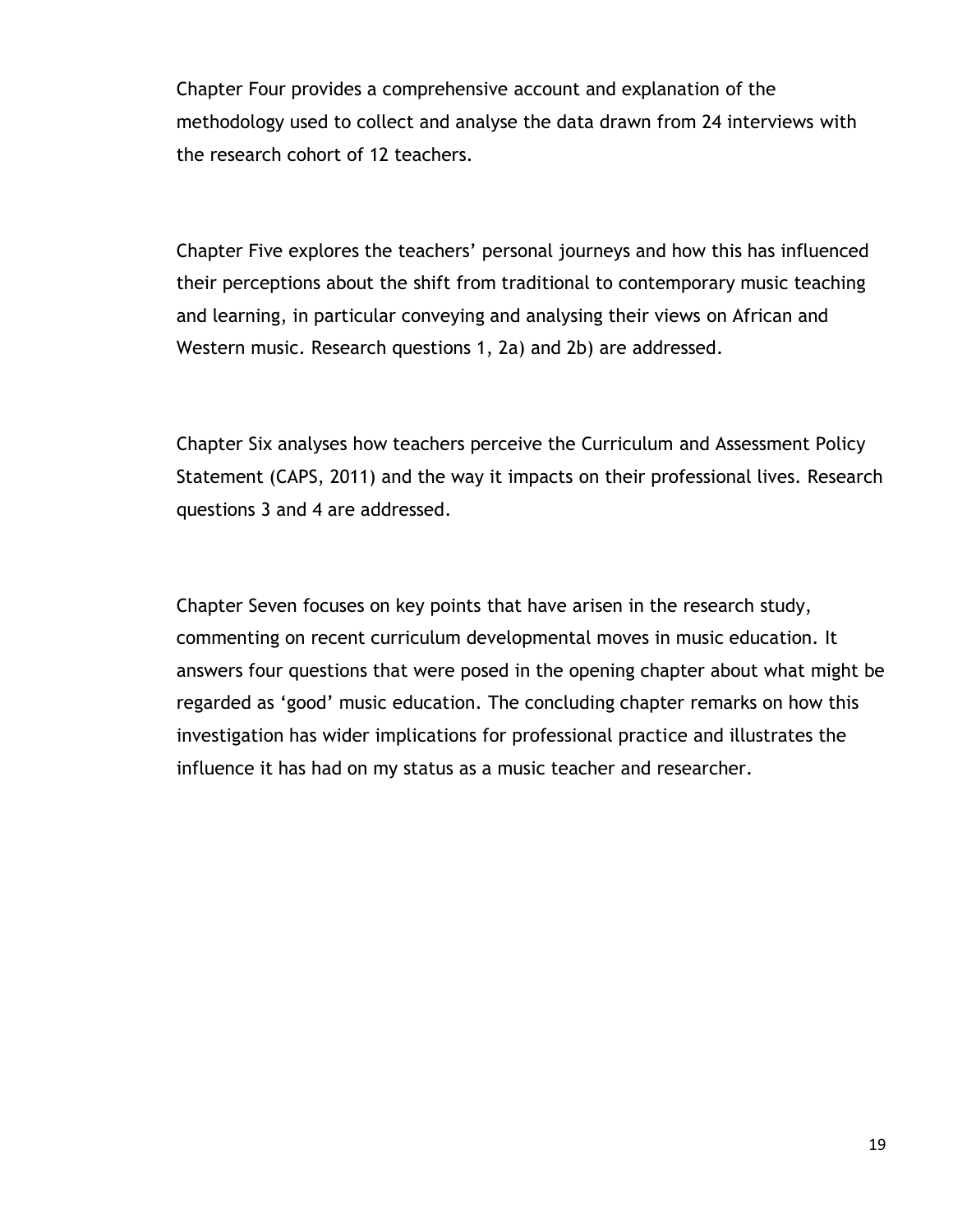Chapter Four provides a comprehensive account and explanation of the methodology used to collect and analyse the data drawn from 24 interviews with the research cohort of 12 teachers.

Chapter Five explores the teachers" personal journeys and how this has influenced their perceptions about the shift from traditional to contemporary music teaching and learning, in particular conveying and analysing their views on African and Western music. Research questions 1, 2a) and 2b) are addressed.

Chapter Six analyses how teachers perceive the Curriculum and Assessment Policy Statement (CAPS, 2011) and the way it impacts on their professional lives. Research questions 3 and 4 are addressed.

Chapter Seven focuses on key points that have arisen in the research study, commenting on recent curriculum developmental moves in music education. It answers four questions that were posed in the opening chapter about what might be regarded as "good" music education. The concluding chapter remarks on how this investigation has wider implications for professional practice and illustrates the influence it has had on my status as a music teacher and researcher.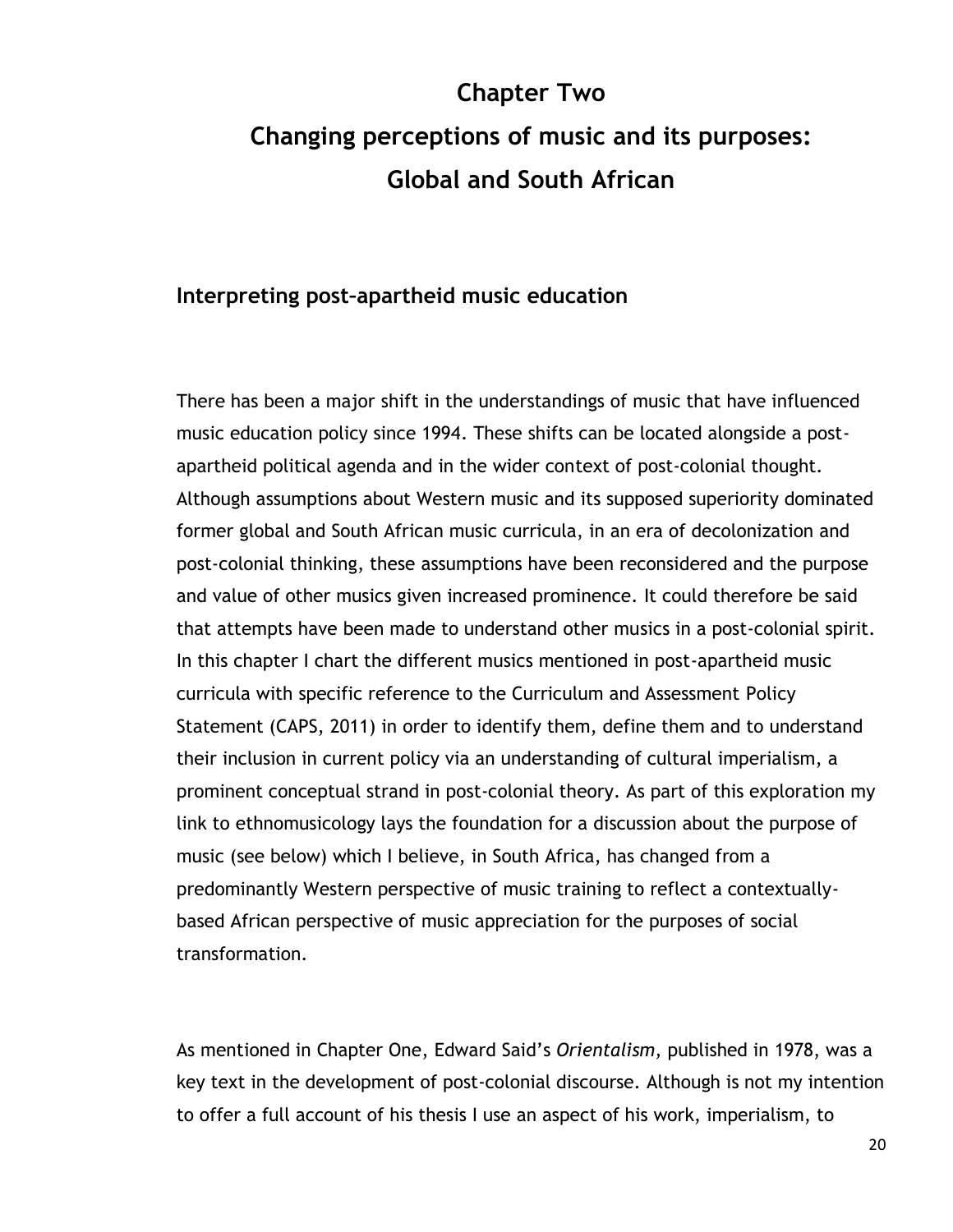# **Chapter Two Changing perceptions of music and its purposes: Global and South African**

#### **Interpreting post–apartheid music education**

There has been a major shift in the understandings of music that have influenced music education policy since 1994. These shifts can be located alongside a postapartheid political agenda and in the wider context of post-colonial thought. Although assumptions about Western music and its supposed superiority dominated former global and South African music curricula, in an era of decolonization and post-colonial thinking, these assumptions have been reconsidered and the purpose and value of other musics given increased prominence. It could therefore be said that attempts have been made to understand other musics in a post-colonial spirit. In this chapter I chart the different musics mentioned in post-apartheid music curricula with specific reference to the Curriculum and Assessment Policy Statement (CAPS, 2011) in order to identify them, define them and to understand their inclusion in current policy via an understanding of cultural imperialism, a prominent conceptual strand in post-colonial theory. As part of this exploration my link to ethnomusicology lays the foundation for a discussion about the purpose of music (see below) which I believe, in South Africa, has changed from a predominantly Western perspective of music training to reflect a contextuallybased African perspective of music appreciation for the purposes of social transformation.

As mentioned in Chapter One, Edward Said"s *Orientalism,* published in 1978, was a key text in the development of post-colonial discourse. Although is not my intention to offer a full account of his thesis I use an aspect of his work, imperialism, to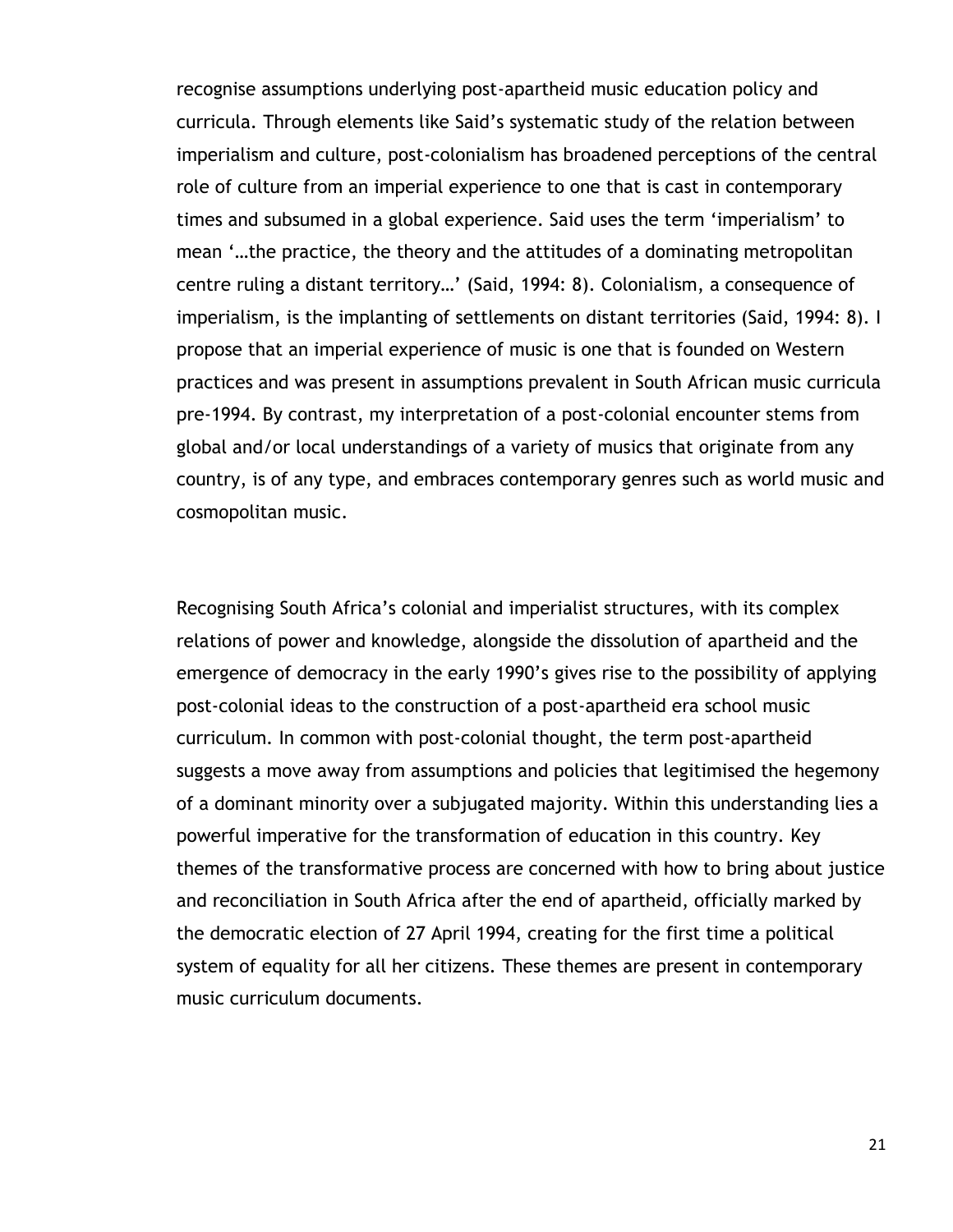recognise assumptions underlying post-apartheid music education policy and curricula. Through elements like Said"s systematic study of the relation between imperialism and culture, post-colonialism has broadened perceptions of the central role of culture from an imperial experience to one that is cast in contemporary times and subsumed in a global experience. Said uses the term "imperialism" to mean "…the practice, the theory and the attitudes of a dominating metropolitan centre ruling a distant territory…" (Said, 1994: 8). Colonialism, a consequence of imperialism, is the implanting of settlements on distant territories (Said, 1994: 8). I propose that an imperial experience of music is one that is founded on Western practices and was present in assumptions prevalent in South African music curricula pre-1994. By contrast, my interpretation of a post-colonial encounter stems from global and/or local understandings of a variety of musics that originate from any country, is of any type, and embraces contemporary genres such as world music and cosmopolitan music.

Recognising South Africa"s colonial and imperialist structures, with its complex relations of power and knowledge, alongside the dissolution of apartheid and the emergence of democracy in the early 1990"s gives rise to the possibility of applying post-colonial ideas to the construction of a post-apartheid era school music curriculum. In common with post-colonial thought, the term post-apartheid suggests a move away from assumptions and policies that legitimised the hegemony of a dominant minority over a subjugated majority. Within this understanding lies a powerful imperative for the transformation of education in this country. Key themes of the transformative process are concerned with how to bring about justice and reconciliation in South Africa after the end of apartheid, officially marked by the democratic election of 27 April 1994, creating for the first time a political system of equality for all her citizens. These themes are present in contemporary music curriculum documents.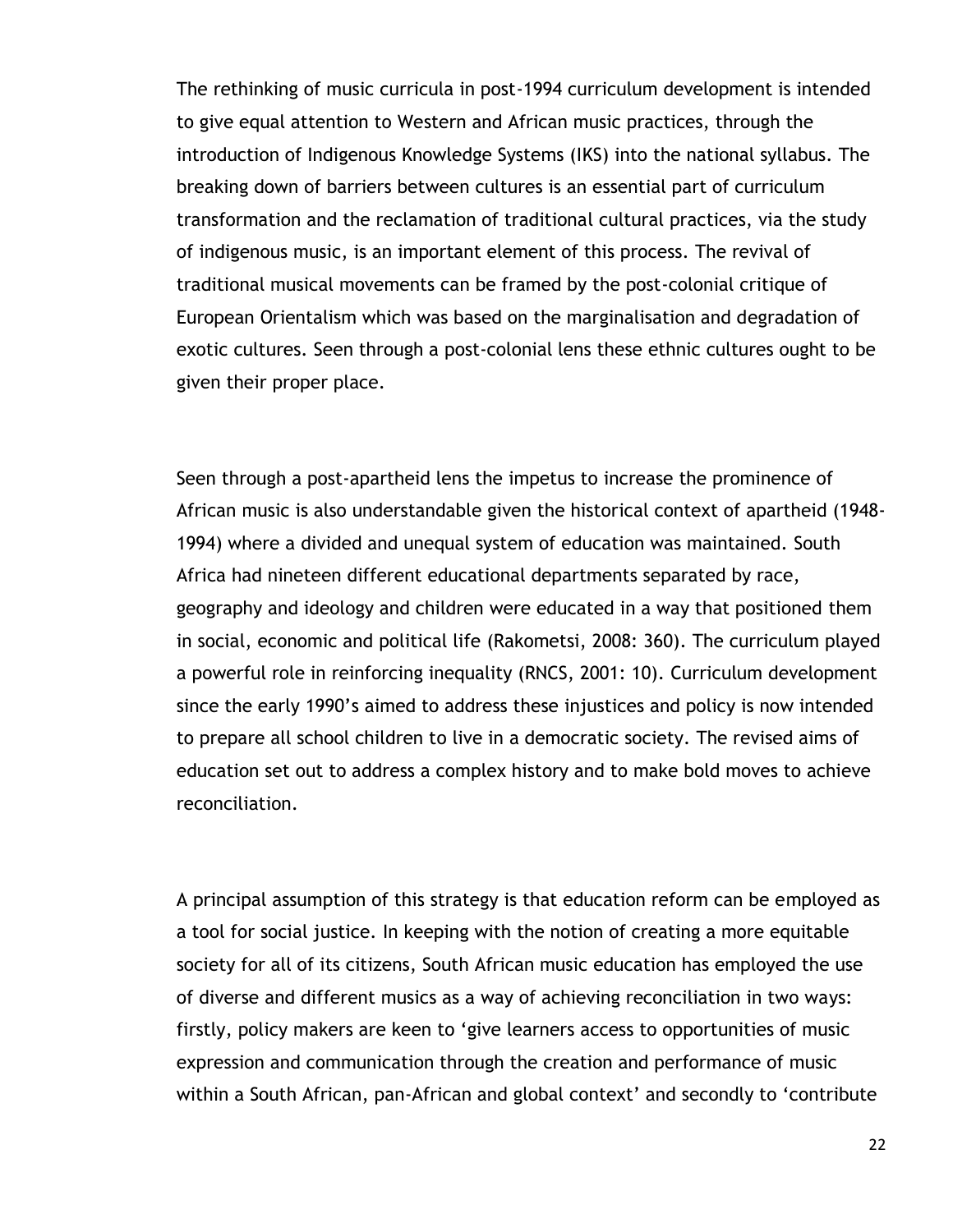The rethinking of music curricula in post-1994 curriculum development is intended to give equal attention to Western and African music practices, through the introduction of Indigenous Knowledge Systems (IKS) into the national syllabus. The breaking down of barriers between cultures is an essential part of curriculum transformation and the reclamation of traditional cultural practices, via the study of indigenous music, is an important element of this process. The revival of traditional musical movements can be framed by the post-colonial critique of European Orientalism which was based on the marginalisation and degradation of exotic cultures. Seen through a post-colonial lens these ethnic cultures ought to be given their proper place.

Seen through a post-apartheid lens the impetus to increase the prominence of African music is also understandable given the historical context of apartheid (1948- 1994) where a divided and unequal system of education was maintained. South Africa had nineteen different educational departments separated by race, geography and ideology and children were educated in a way that positioned them in social, economic and political life (Rakometsi, 2008: 360). The curriculum played a powerful role in reinforcing inequality (RNCS, 2001: 10). Curriculum development since the early 1990"s aimed to address these injustices and policy is now intended to prepare all school children to live in a democratic society. The revised aims of education set out to address a complex history and to make bold moves to achieve reconciliation.

A principal assumption of this strategy is that education reform can be employed as a tool for social justice. In keeping with the notion of creating a more equitable society for all of its citizens, South African music education has employed the use of diverse and different musics as a way of achieving reconciliation in two ways: firstly, policy makers are keen to "give learners access to opportunities of music expression and communication through the creation and performance of music within a South African, pan-African and global context' and secondly to 'contribute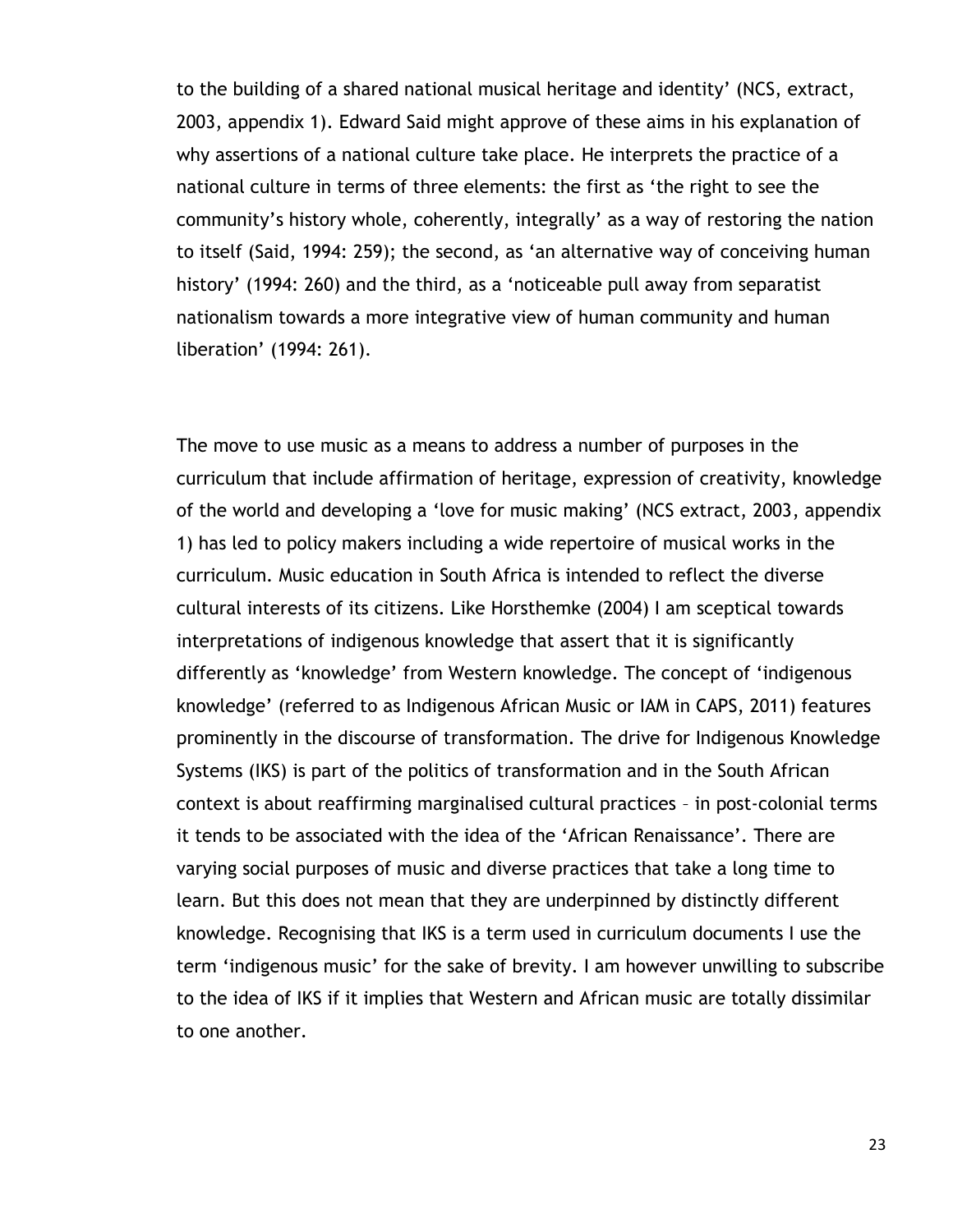to the building of a shared national musical heritage and identity" (NCS, extract, 2003, appendix 1). Edward Said might approve of these aims in his explanation of why assertions of a national culture take place. He interprets the practice of a national culture in terms of three elements: the first as "the right to see the community"s history whole, coherently, integrally" as a way of restoring the nation to itself (Said, 1994: 259); the second, as "an alternative way of conceiving human history' (1994: 260) and the third, as a 'noticeable pull away from separatist nationalism towards a more integrative view of human community and human liberation" (1994: 261).

The move to use music as a means to address a number of purposes in the curriculum that include affirmation of heritage, expression of creativity, knowledge of the world and developing a "love for music making" (NCS extract, 2003, appendix 1) has led to policy makers including a wide repertoire of musical works in the curriculum. Music education in South Africa is intended to reflect the diverse cultural interests of its citizens. Like Horsthemke (2004) I am sceptical towards interpretations of indigenous knowledge that assert that it is significantly differently as "knowledge" from Western knowledge. The concept of "indigenous knowledge" (referred to as Indigenous African Music or IAM in CAPS, 2011) features prominently in the discourse of transformation. The drive for Indigenous Knowledge Systems (IKS) is part of the politics of transformation and in the South African context is about reaffirming marginalised cultural practices – in post-colonial terms it tends to be associated with the idea of the "African Renaissance". There are varying social purposes of music and diverse practices that take a long time to learn. But this does not mean that they are underpinned by distinctly different knowledge. Recognising that IKS is a term used in curriculum documents I use the term "indigenous music" for the sake of brevity. I am however unwilling to subscribe to the idea of IKS if it implies that Western and African music are totally dissimilar to one another.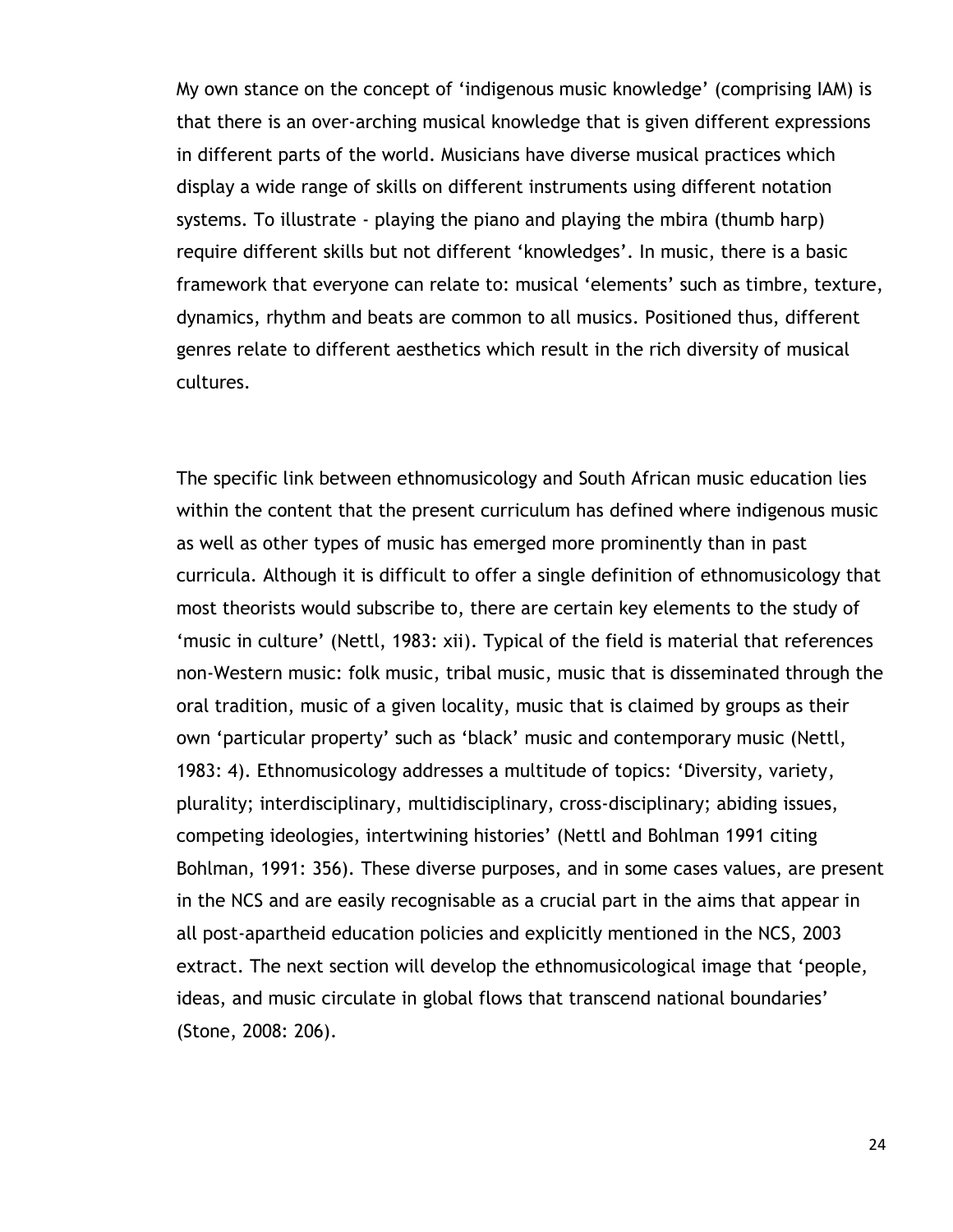My own stance on the concept of "indigenous music knowledge" (comprising IAM) is that there is an over-arching musical knowledge that is given different expressions in different parts of the world. Musicians have diverse musical practices which display a wide range of skills on different instruments using different notation systems. To illustrate - playing the piano and playing the mbira (thumb harp) require different skills but not different "knowledges". In music, there is a basic framework that everyone can relate to: musical "elements" such as timbre, texture, dynamics, rhythm and beats are common to all musics. Positioned thus, different genres relate to different aesthetics which result in the rich diversity of musical cultures.

The specific link between ethnomusicology and South African music education lies within the content that the present curriculum has defined where indigenous music as well as other types of music has emerged more prominently than in past curricula. Although it is difficult to offer a single definition of ethnomusicology that most theorists would subscribe to, there are certain key elements to the study of 'music in culture' (Nettl, 1983: xii). Typical of the field is material that references non-Western music: folk music, tribal music, music that is disseminated through the oral tradition, music of a given locality, music that is claimed by groups as their own "particular property" such as "black" music and contemporary music (Nettl, 1983: 4). Ethnomusicology addresses a multitude of topics: "Diversity, variety, plurality; interdisciplinary, multidisciplinary, cross-disciplinary; abiding issues, competing ideologies, intertwining histories" (Nettl and Bohlman 1991 citing Bohlman, 1991: 356). These diverse purposes, and in some cases values, are present in the NCS and are easily recognisable as a crucial part in the aims that appear in all post-apartheid education policies and explicitly mentioned in the NCS, 2003 extract. The next section will develop the ethnomusicological image that "people, ideas, and music circulate in global flows that transcend national boundaries" (Stone, 2008: 206).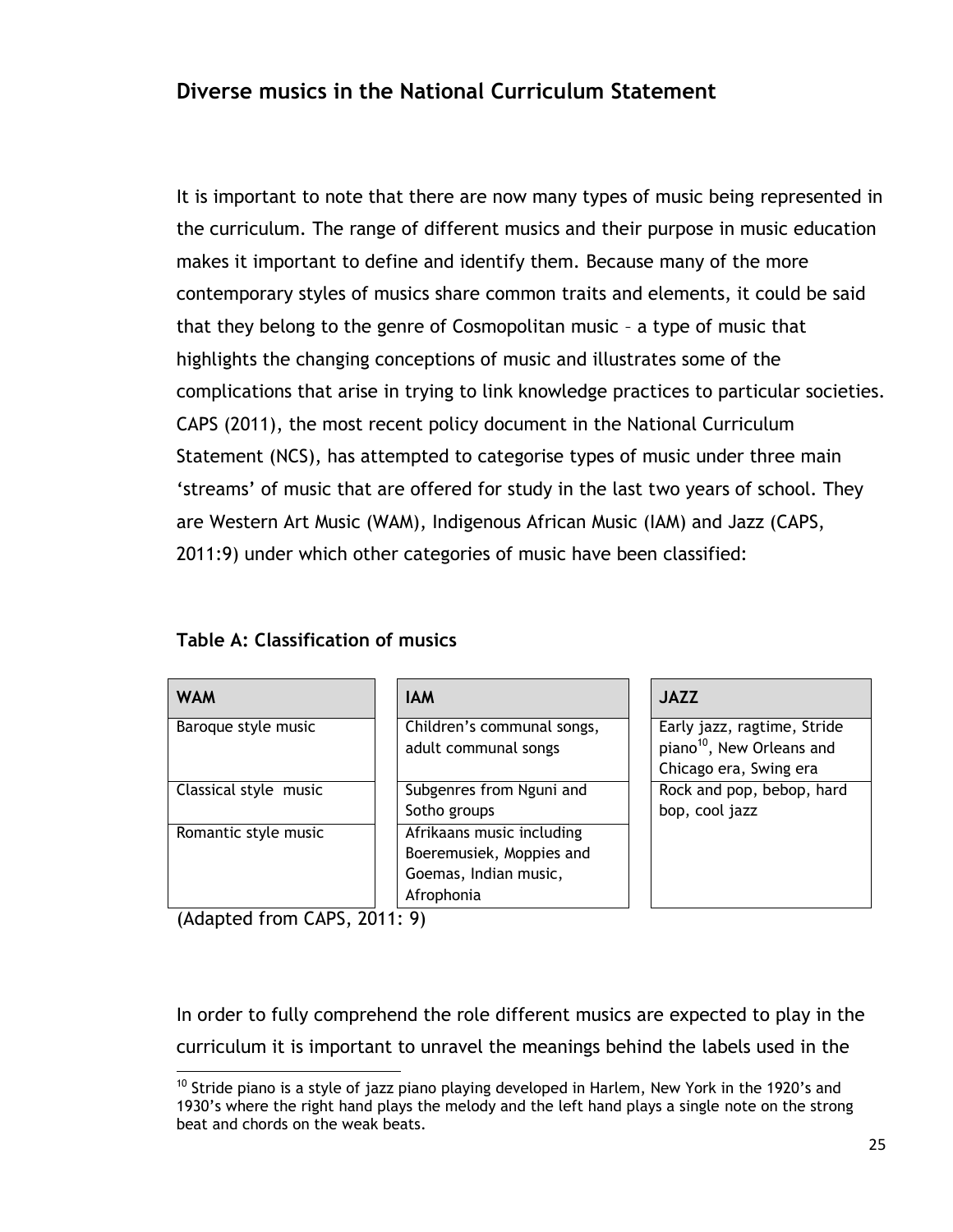### **Diverse musics in the National Curriculum Statement**

It is important to note that there are now many types of music being represented in the curriculum. The range of different musics and their purpose in music education makes it important to define and identify them. Because many of the more contemporary styles of musics share common traits and elements, it could be said that they belong to the genre of Cosmopolitan music – a type of music that highlights the changing conceptions of music and illustrates some of the complications that arise in trying to link knowledge practices to particular societies. CAPS (2011), the most recent policy document in the National Curriculum Statement (NCS), has attempted to categorise types of music under three main 'streams' of music that are offered for study in the last two years of school. They are Western Art Music (WAM), Indigenous African Music (IAM) and Jazz (CAPS, 2011:9) under which other categories of music have been classified:

| <b>WAM</b>            | <b>IAM</b>                 | <b>JAZZ</b>                           |
|-----------------------|----------------------------|---------------------------------------|
| Baroque style music   | Children's communal songs, | Early jazz, ragtime, Stride           |
|                       | adult communal songs       | piano <sup>10</sup> , New Orleans and |
|                       |                            | Chicago era, Swing era                |
| Classical style music | Subgenres from Nguni and   | Rock and pop, bebop, hard             |
|                       | Sotho groups               | bop, cool jazz                        |
| Romantic style music  | Afrikaans music including  |                                       |
|                       | Boeremusiek, Moppies and   |                                       |
|                       | Goemas, Indian music,      |                                       |
|                       | Afrophonia                 |                                       |

#### **Table A: Classification of musics**

(Adapted from CAPS, 2011: 9)

 $\overline{a}$ 

In order to fully comprehend the role different musics are expected to play in the curriculum it is important to unravel the meanings behind the labels used in the

 $10$  Stride piano is a style of jazz piano playing developed in Harlem, New York in the 1920's and 1930"s where the right hand plays the melody and the left hand plays a single note on the strong beat and chords on the weak beats.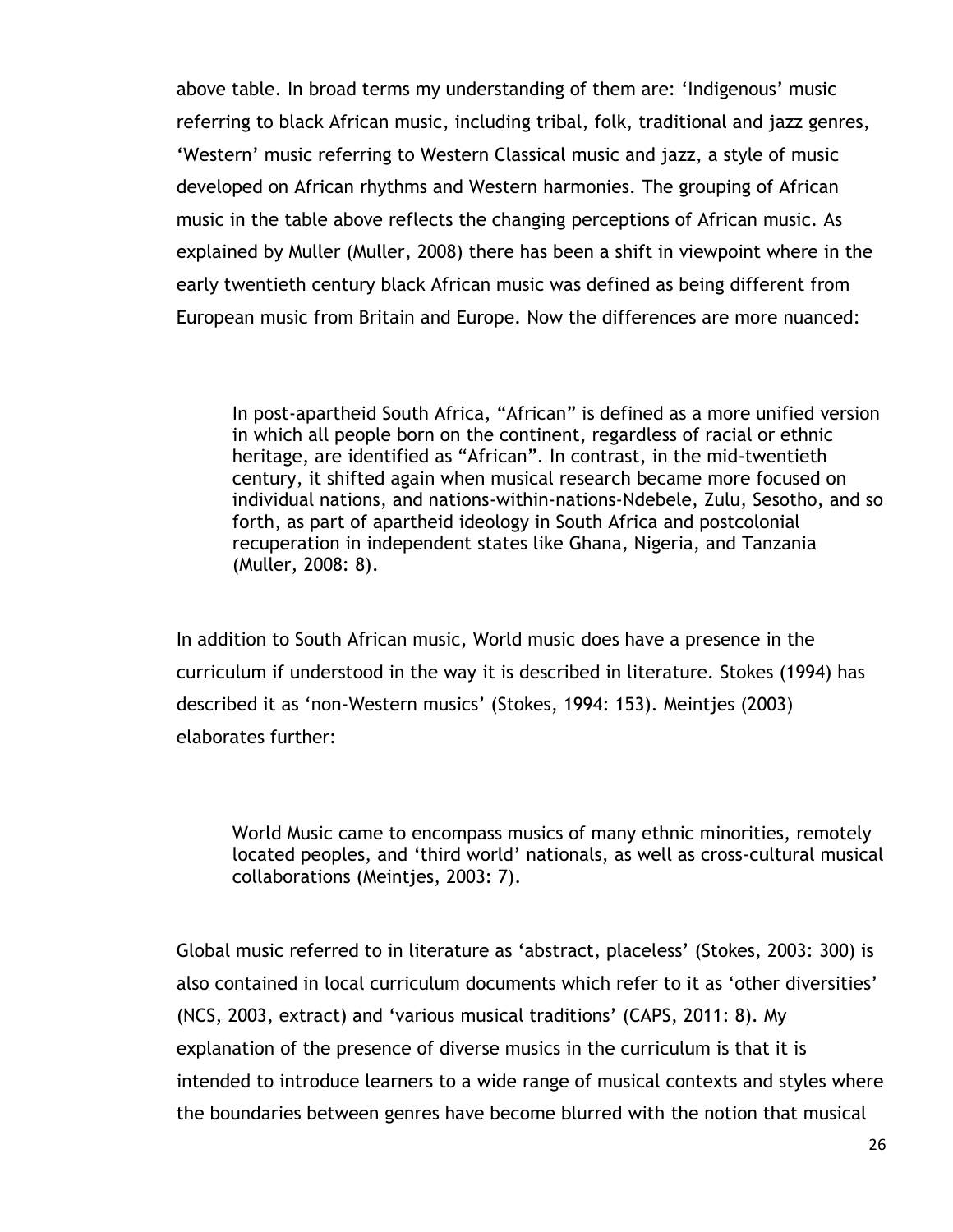above table. In broad terms my understanding of them are: "Indigenous" music referring to black African music, including tribal, folk, traditional and jazz genres, "Western" music referring to Western Classical music and jazz, a style of music developed on African rhythms and Western harmonies. The grouping of African music in the table above reflects the changing perceptions of African music. As explained by Muller (Muller, 2008) there has been a shift in viewpoint where in the early twentieth century black African music was defined as being different from European music from Britain and Europe. Now the differences are more nuanced:

In post-apartheid South Africa, "African" is defined as a more unified version in which all people born on the continent, regardless of racial or ethnic heritage, are identified as "African". In contrast, in the mid-twentieth century, it shifted again when musical research became more focused on individual nations, and nations-within-nations-Ndebele, Zulu, Sesotho, and so forth, as part of apartheid ideology in South Africa and postcolonial recuperation in independent states like Ghana, Nigeria, and Tanzania (Muller, 2008: 8).

In addition to South African music, World music does have a presence in the curriculum if understood in the way it is described in literature. Stokes (1994) has described it as "non-Western musics" (Stokes, 1994: 153). Meintjes (2003) elaborates further:

World Music came to encompass musics of many ethnic minorities, remotely located peoples, and "third world" nationals, as well as cross-cultural musical collaborations (Meintjes, 2003: 7).

Global music referred to in literature as "abstract, placeless" (Stokes, 2003: 300) is also contained in local curriculum documents which refer to it as "other diversities" (NCS, 2003, extract) and "various musical traditions" (CAPS, 2011: 8). My explanation of the presence of diverse musics in the curriculum is that it is intended to introduce learners to a wide range of musical contexts and styles where the boundaries between genres have become blurred with the notion that musical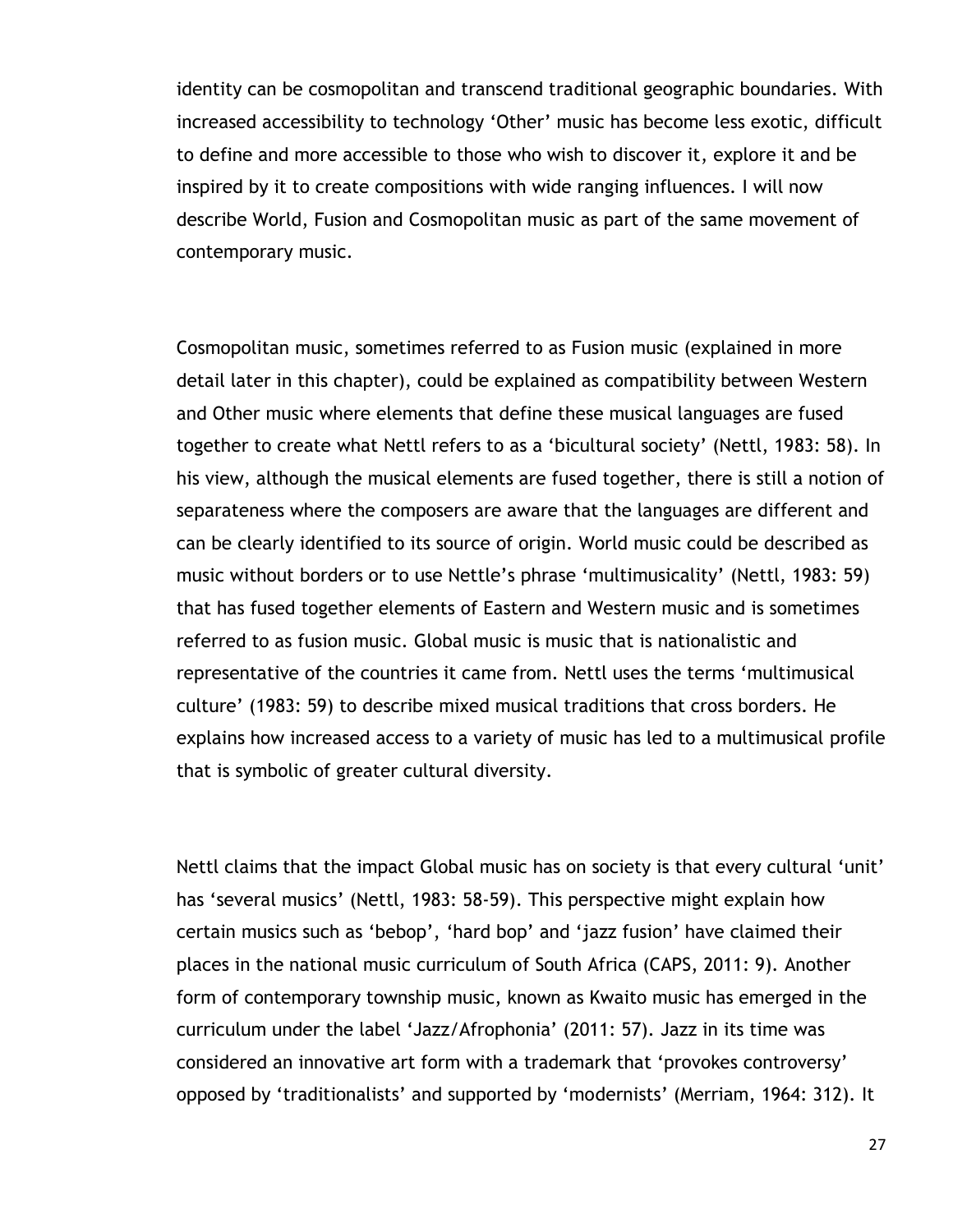identity can be cosmopolitan and transcend traditional geographic boundaries. With increased accessibility to technology "Other" music has become less exotic, difficult to define and more accessible to those who wish to discover it, explore it and be inspired by it to create compositions with wide ranging influences. I will now describe World, Fusion and Cosmopolitan music as part of the same movement of contemporary music.

Cosmopolitan music, sometimes referred to as Fusion music (explained in more detail later in this chapter), could be explained as compatibility between Western and Other music where elements that define these musical languages are fused together to create what Nettl refers to as a "bicultural society" (Nettl, 1983: 58). In his view, although the musical elements are fused together, there is still a notion of separateness where the composers are aware that the languages are different and can be clearly identified to its source of origin. World music could be described as music without borders or to use Nettle"s phrase "multimusicality" (Nettl, 1983: 59) that has fused together elements of Eastern and Western music and is sometimes referred to as fusion music. Global music is music that is nationalistic and representative of the countries it came from. Nettl uses the terms "multimusical culture" (1983: 59) to describe mixed musical traditions that cross borders. He explains how increased access to a variety of music has led to a multimusical profile that is symbolic of greater cultural diversity.

Nettl claims that the impact Global music has on society is that every cultural 'unit' has 'several musics' (Nettl, 1983: 58-59). This perspective might explain how certain musics such as "bebop", "hard bop" and "jazz fusion" have claimed their places in the national music curriculum of South Africa (CAPS, 2011: 9). Another form of contemporary township music, known as Kwaito music has emerged in the curriculum under the label "Jazz/Afrophonia" (2011: 57). Jazz in its time was considered an innovative art form with a trademark that "provokes controversy" opposed by "traditionalists" and supported by "modernists" (Merriam, 1964: 312). It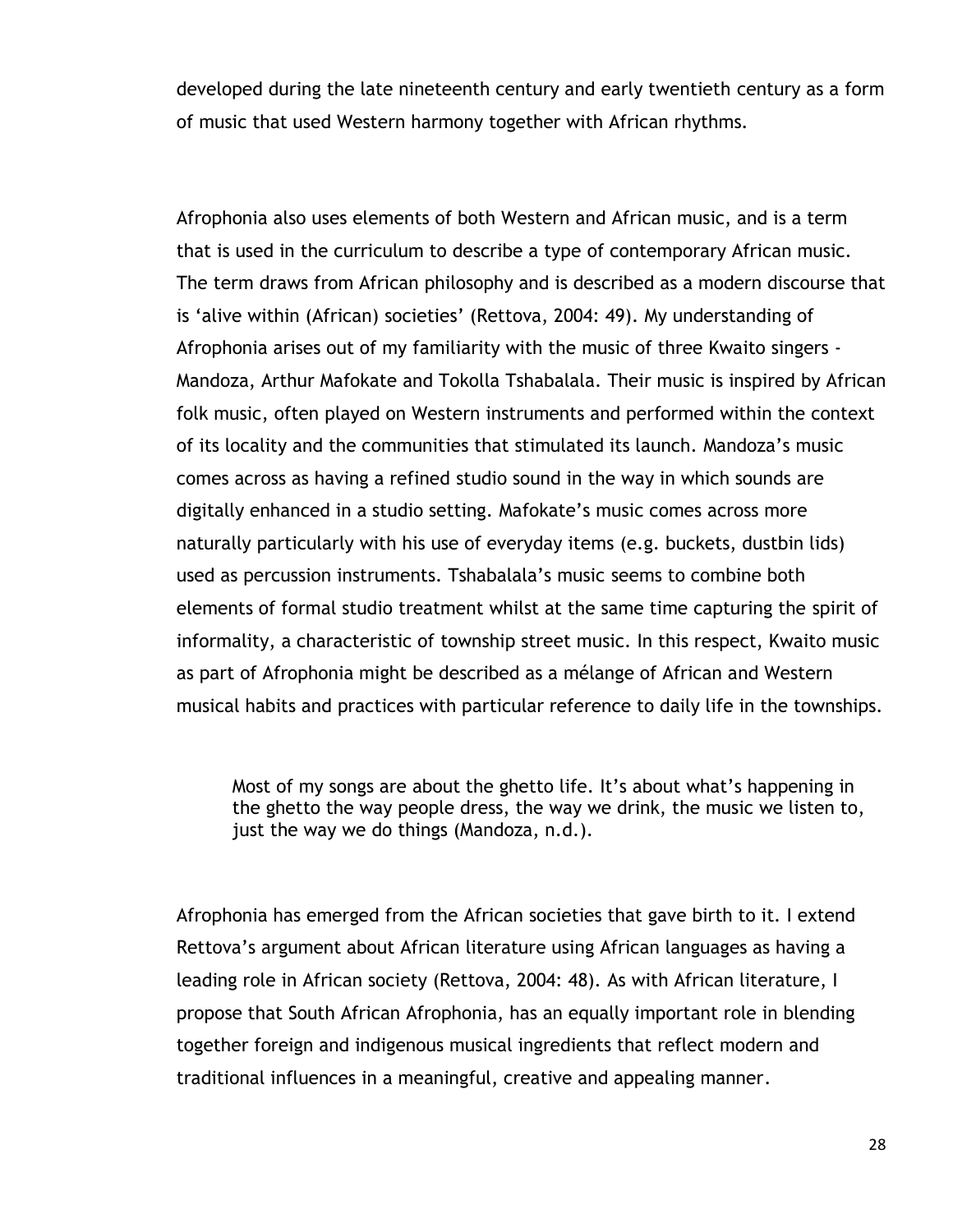developed during the late nineteenth century and early twentieth century as a form of music that used Western harmony together with African rhythms.

Afrophonia also uses elements of both Western and African music, and is a term that is used in the curriculum to describe a type of contemporary African music. The term draws from African philosophy and is described as a modern discourse that is 'alive within (African) societies' (Rettova, 2004: 49). My understanding of Afrophonia arises out of my familiarity with the music of three Kwaito singers - Mandoza, Arthur Mafokate and Tokolla Tshabalala. Their music is inspired by African folk music, often played on Western instruments and performed within the context of its locality and the communities that stimulated its launch. Mandoza"s music comes across as having a refined studio sound in the way in which sounds are digitally enhanced in a studio setting. Mafokate's music comes across more naturally particularly with his use of everyday items (e.g. buckets, dustbin lids) used as percussion instruments. Tshabalala"s music seems to combine both elements of formal studio treatment whilst at the same time capturing the spirit of informality, a characteristic of township street music. In this respect, Kwaito music as part of Afrophonia might be described as a mélange of African and Western musical habits and practices with particular reference to daily life in the townships.

Most of my songs are about the ghetto life. It's about what's happening in the ghetto the way people dress, the way we drink, the music we listen to, just the way we do things (Mandoza, n.d.).

Afrophonia has emerged from the African societies that gave birth to it. I extend Rettova"s argument about African literature using African languages as having a leading role in African society (Rettova, 2004: 48). As with African literature, I propose that South African Afrophonia, has an equally important role in blending together foreign and indigenous musical ingredients that reflect modern and traditional influences in a meaningful, creative and appealing manner.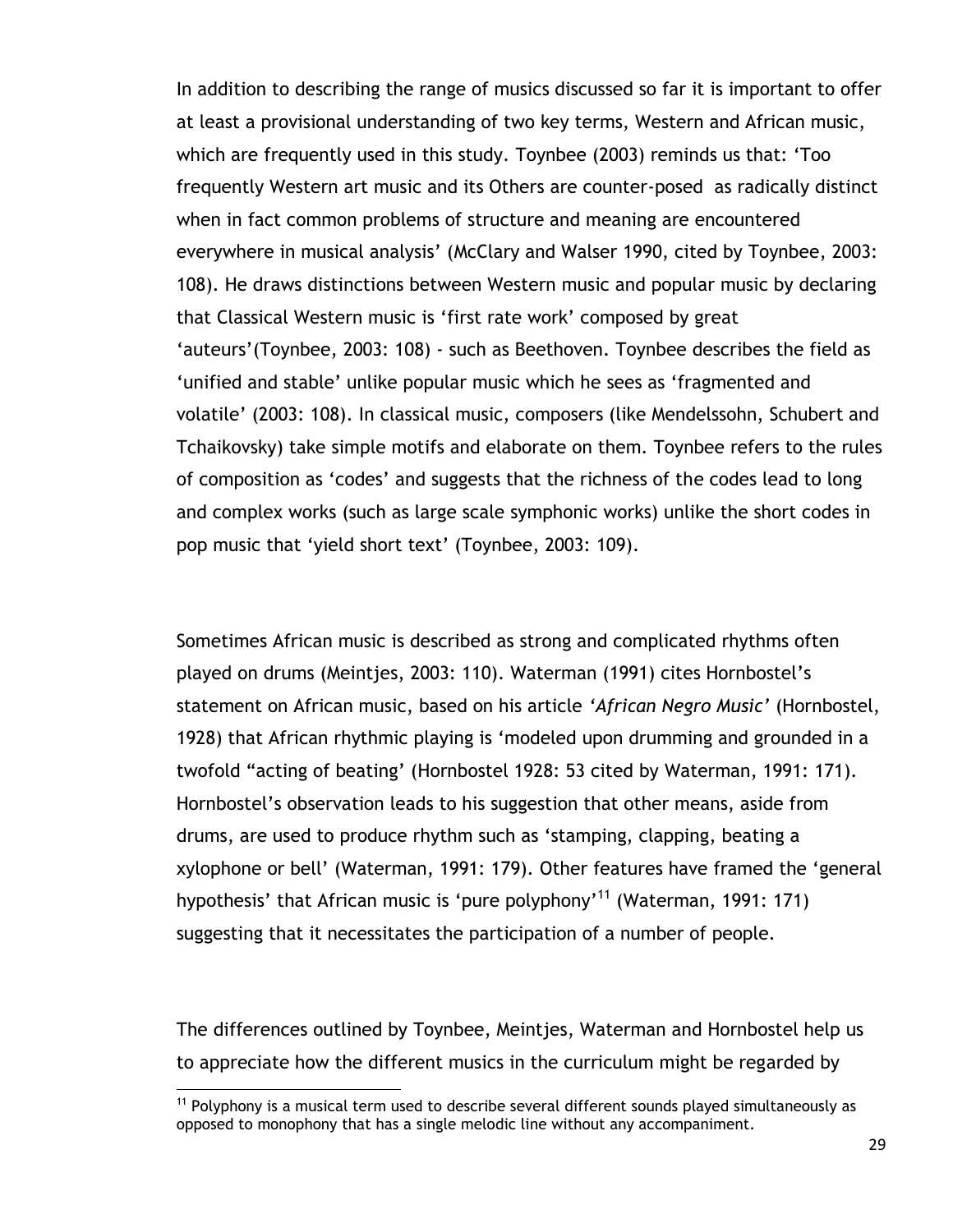In addition to describing the range of musics discussed so far it is important to offer at least a provisional understanding of two key terms, Western and African music, which are frequently used in this study. Toynbee (2003) reminds us that: "Too frequently Western art music and its Others are counter-posed as radically distinct when in fact common problems of structure and meaning are encountered everywhere in musical analysis" (McClary and Walser 1990, cited by Toynbee, 2003: 108). He draws distinctions between Western music and popular music by declaring that Classical Western music is "first rate work" composed by great 'auteurs'(Toynbee, 2003: 108) - such as Beethoven. Toynbee describes the field as "unified and stable" unlike popular music which he sees as "fragmented and volatile" (2003: 108). In classical music, composers (like Mendelssohn, Schubert and Tchaikovsky) take simple motifs and elaborate on them. Toynbee refers to the rules of composition as "codes" and suggests that the richness of the codes lead to long and complex works (such as large scale symphonic works) unlike the short codes in pop music that "yield short text" (Toynbee, 2003: 109).

Sometimes African music is described as strong and complicated rhythms often played on drums (Meintjes, 2003: 110). Waterman (1991) cites Hornbostel"s statement on African music, based on his article *'African Negro Music'* (Hornbostel, 1928) that African rhythmic playing is "modeled upon drumming and grounded in a twofold "acting of beating" (Hornbostel 1928: 53 cited by Waterman, 1991: 171). Hornbostel"s observation leads to his suggestion that other means, aside from drums, are used to produce rhythm such as "stamping, clapping, beating a xylophone or bell" (Waterman, 1991: 179). Other features have framed the "general hypothesis' that African music is 'pure polyphony'<sup>11</sup> (Waterman, 1991: 171) suggesting that it necessitates the participation of a number of people.

The differences outlined by Toynbee, Meintjes, Waterman and Hornbostel help us to appreciate how the different musics in the curriculum might be regarded by

 $\overline{a}$ 

 $11$  Polyphony is a musical term used to describe several different sounds played simultaneously as opposed to monophony that has a single melodic line without any accompaniment.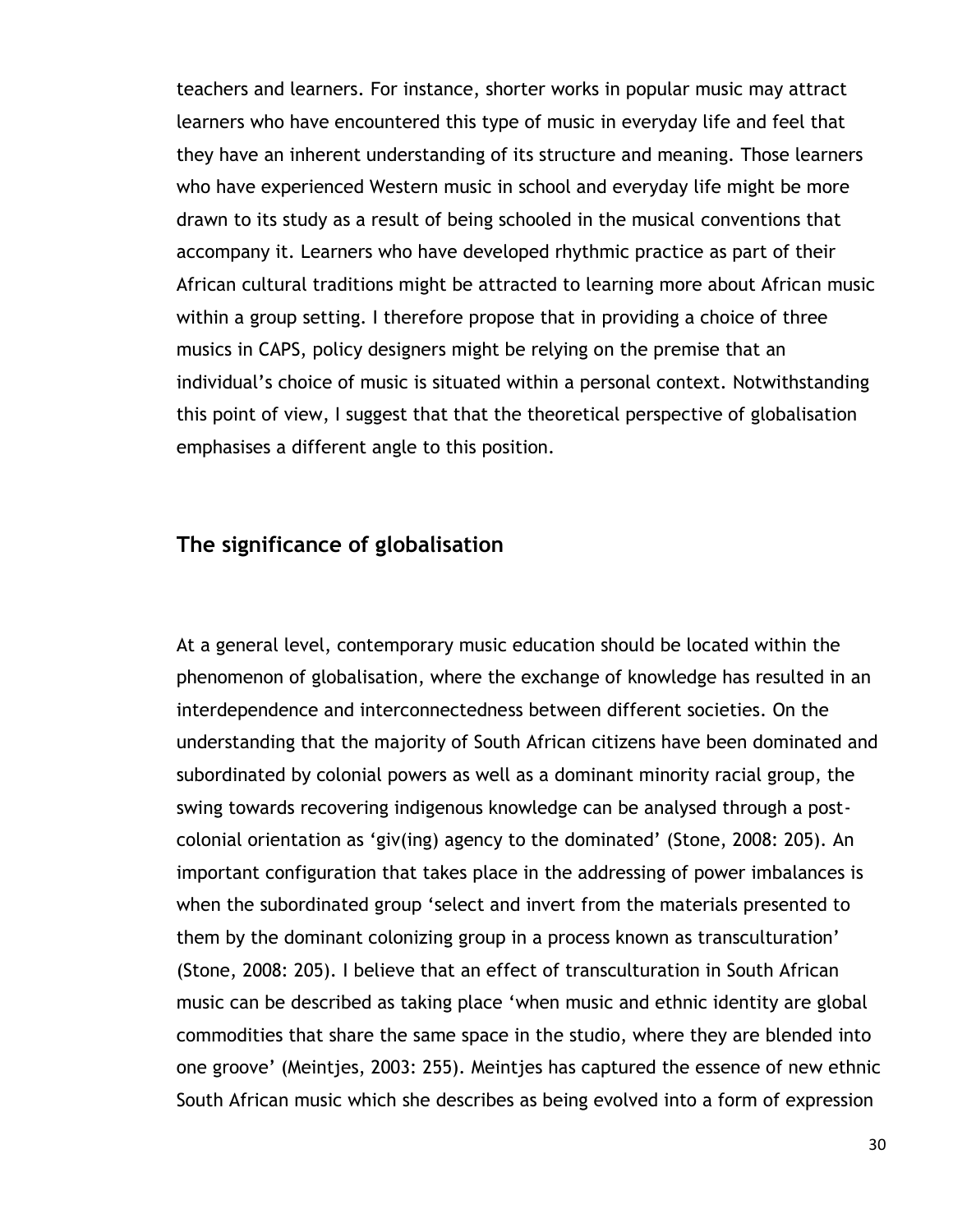teachers and learners. For instance, shorter works in popular music may attract learners who have encountered this type of music in everyday life and feel that they have an inherent understanding of its structure and meaning. Those learners who have experienced Western music in school and everyday life might be more drawn to its study as a result of being schooled in the musical conventions that accompany it. Learners who have developed rhythmic practice as part of their African cultural traditions might be attracted to learning more about African music within a group setting. I therefore propose that in providing a choice of three musics in CAPS, policy designers might be relying on the premise that an individual's choice of music is situated within a personal context. Notwithstanding this point of view, I suggest that that the theoretical perspective of globalisation emphasises a different angle to this position.

#### **The significance of globalisation**

At a general level, contemporary music education should be located within the phenomenon of globalisation, where the exchange of knowledge has resulted in an interdependence and interconnectedness between different societies. On the understanding that the majority of South African citizens have been dominated and subordinated by colonial powers as well as a dominant minority racial group, the swing towards recovering indigenous knowledge can be analysed through a postcolonial orientation as "giv(ing) agency to the dominated" (Stone, 2008: 205). An important configuration that takes place in the addressing of power imbalances is when the subordinated group "select and invert from the materials presented to them by the dominant colonizing group in a process known as transculturation" (Stone, 2008: 205). I believe that an effect of transculturation in South African music can be described as taking place "when music and ethnic identity are global commodities that share the same space in the studio, where they are blended into one groove" (Meintjes, 2003: 255). Meintjes has captured the essence of new ethnic South African music which she describes as being evolved into a form of expression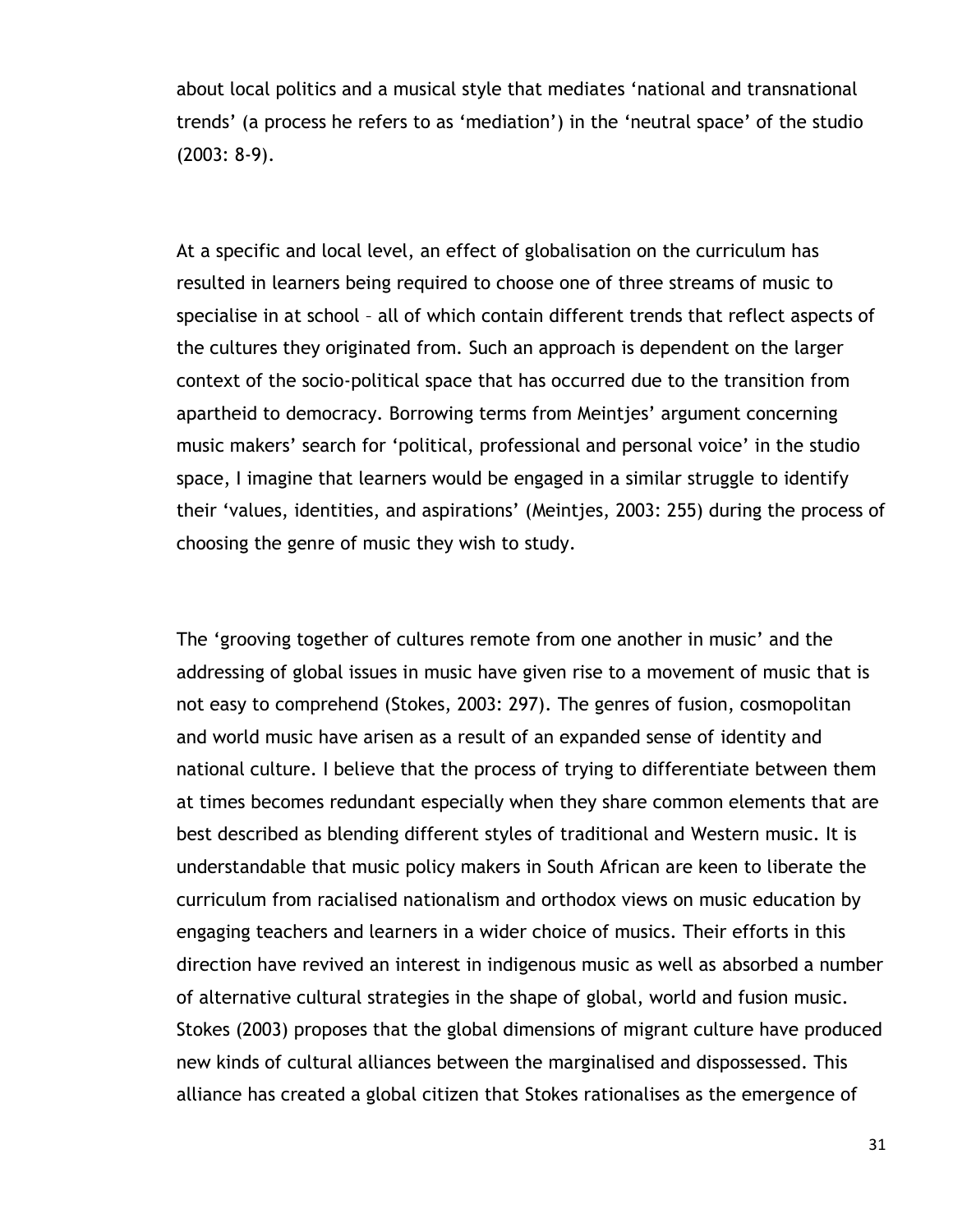about local politics and a musical style that mediates "national and transnational trends" (a process he refers to as "mediation") in the "neutral space" of the studio (2003: 8-9).

At a specific and local level, an effect of globalisation on the curriculum has resulted in learners being required to choose one of three streams of music to specialise in at school – all of which contain different trends that reflect aspects of the cultures they originated from. Such an approach is dependent on the larger context of the socio-political space that has occurred due to the transition from apartheid to democracy. Borrowing terms from Meintjes' argument concerning music makers' search for 'political, professional and personal voice' in the studio space, I imagine that learners would be engaged in a similar struggle to identify their "values, identities, and aspirations" (Meintjes, 2003: 255) during the process of choosing the genre of music they wish to study.

The "grooving together of cultures remote from one another in music" and the addressing of global issues in music have given rise to a movement of music that is not easy to comprehend (Stokes, 2003: 297). The genres of fusion, cosmopolitan and world music have arisen as a result of an expanded sense of identity and national culture. I believe that the process of trying to differentiate between them at times becomes redundant especially when they share common elements that are best described as blending different styles of traditional and Western music. It is understandable that music policy makers in South African are keen to liberate the curriculum from racialised nationalism and orthodox views on music education by engaging teachers and learners in a wider choice of musics. Their efforts in this direction have revived an interest in indigenous music as well as absorbed a number of alternative cultural strategies in the shape of global, world and fusion music. Stokes (2003) proposes that the global dimensions of migrant culture have produced new kinds of cultural alliances between the marginalised and dispossessed. This alliance has created a global citizen that Stokes rationalises as the emergence of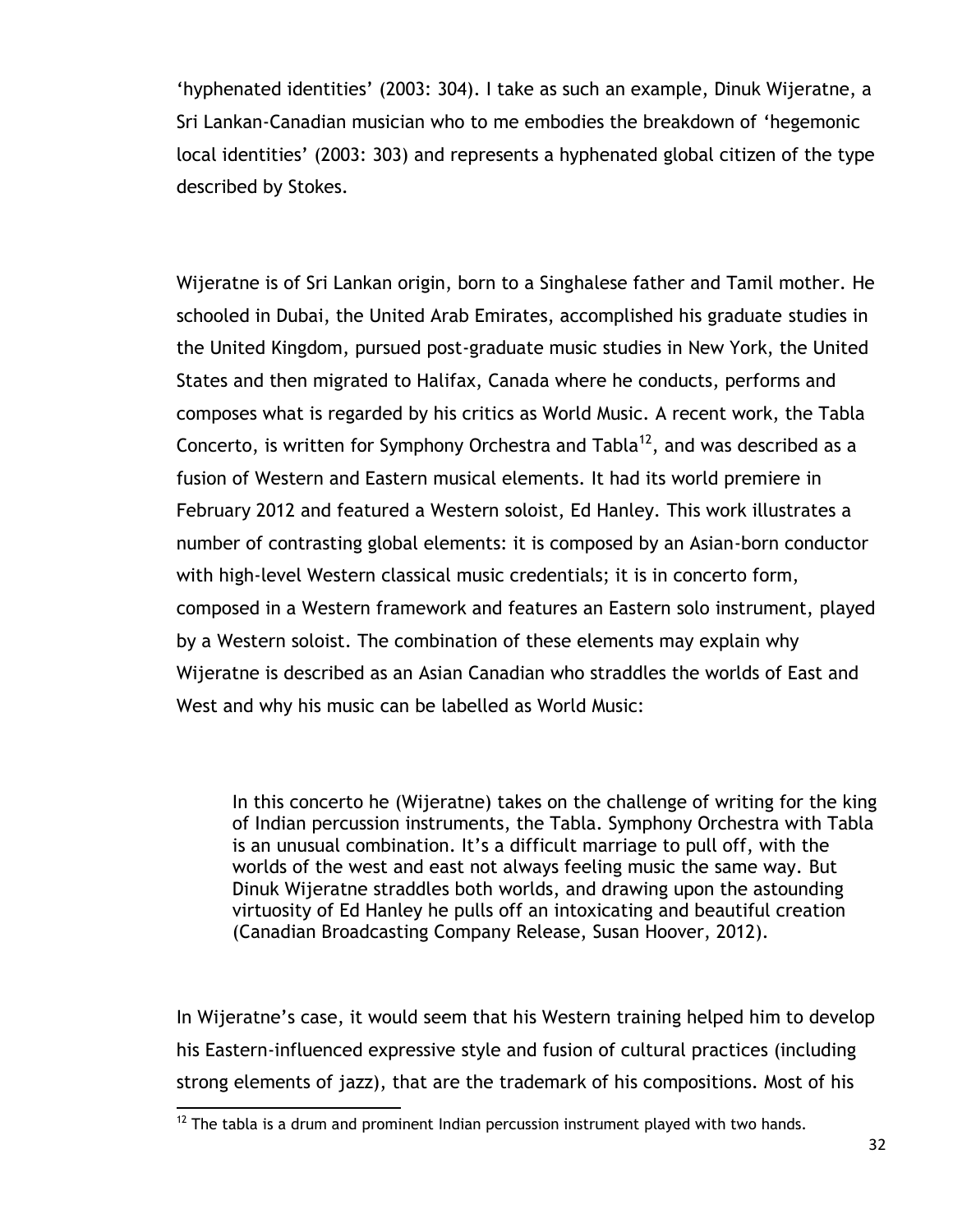"hyphenated identities" (2003: 304). I take as such an example, Dinuk Wijeratne, a Sri Lankan-Canadian musician who to me embodies the breakdown of "hegemonic local identities" (2003: 303) and represents a hyphenated global citizen of the type described by Stokes.

Wijeratne is of Sri Lankan origin, born to a Singhalese father and Tamil mother. He schooled in Dubai, the United Arab Emirates, accomplished his graduate studies in the United Kingdom, pursued post-graduate music studies in New York, the United States and then migrated to Halifax, Canada where he conducts, performs and composes what is regarded by his critics as World Music. A recent work, the Tabla Concerto, is written for Symphony Orchestra and Tabla<sup>12</sup>, and was described as a fusion of Western and Eastern musical elements. It had its world premiere in February 2012 and featured a Western soloist, Ed Hanley. This work illustrates a number of contrasting global elements: it is composed by an Asian-born conductor with high-level Western classical music credentials; it is in concerto form, composed in a Western framework and features an Eastern solo instrument, played by a Western soloist. The combination of these elements may explain why Wijeratne is described as an Asian Canadian who straddles the worlds of East and West and why his music can be labelled as World Music:

In this concerto he (Wijeratne) takes on the challenge of writing for the king of Indian percussion instruments, the Tabla. Symphony Orchestra with Tabla is an unusual combination. It's a difficult marriage to pull off, with the worlds of the west and east not always feeling music the same way. But Dinuk Wijeratne straddles both worlds, and drawing upon the astounding virtuosity of Ed Hanley he pulls off an intoxicating and beautiful creation (Canadian Broadcasting Company Release, Susan Hoover, 2012).

In Wijeratne's case, it would seem that his Western training helped him to develop his Eastern-influenced expressive style and fusion of cultural practices (including strong elements of jazz), that are the trademark of his compositions. Most of his

 $\overline{a}$  $12$  The tabla is a drum and prominent Indian percussion instrument played with two hands.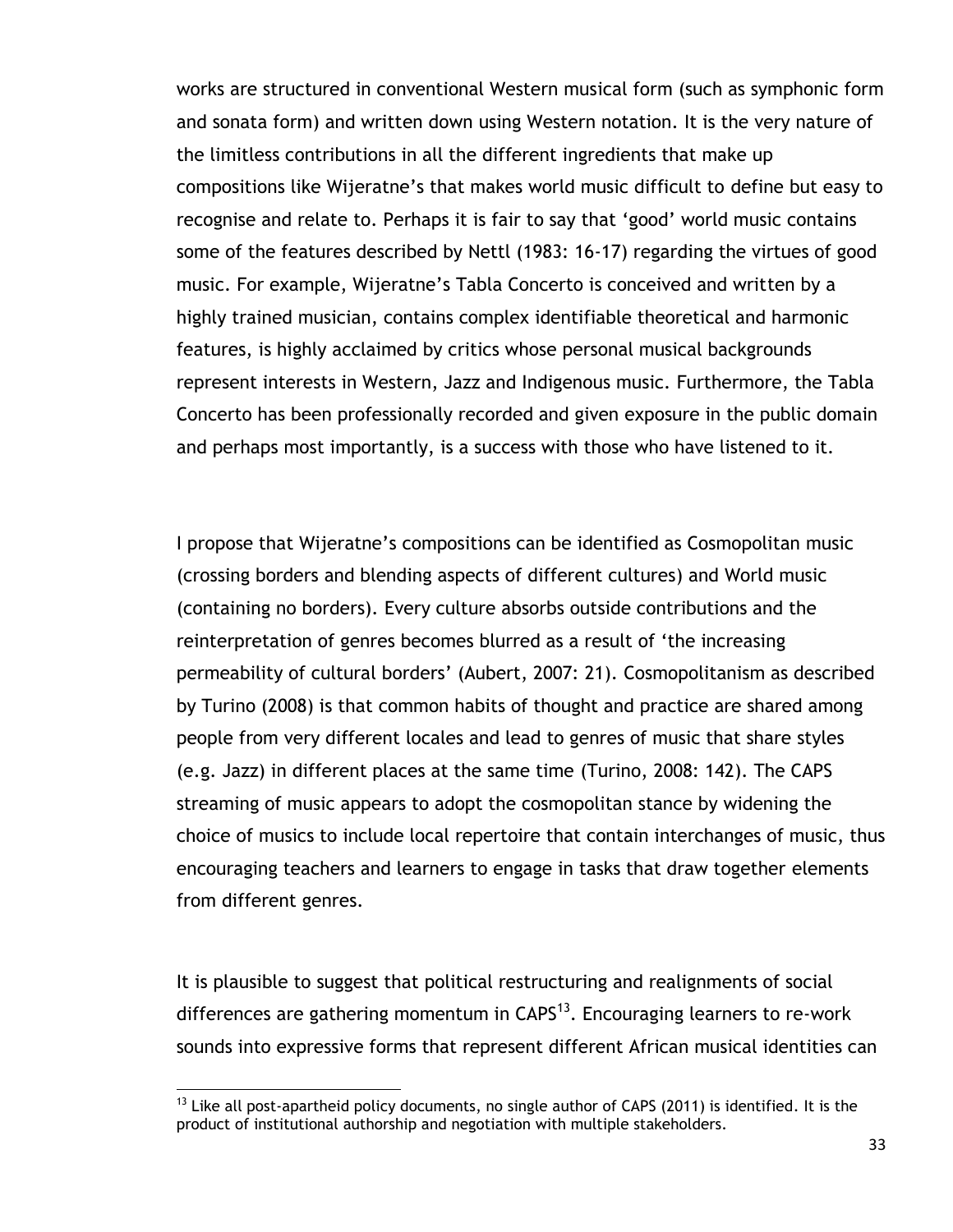works are structured in conventional Western musical form (such as symphonic form and sonata form) and written down using Western notation. It is the very nature of the limitless contributions in all the different ingredients that make up compositions like Wijeratne"s that makes world music difficult to define but easy to recognise and relate to. Perhaps it is fair to say that "good" world music contains some of the features described by Nettl (1983: 16-17) regarding the virtues of good music. For example, Wijeratne"s Tabla Concerto is conceived and written by a highly trained musician, contains complex identifiable theoretical and harmonic features, is highly acclaimed by critics whose personal musical backgrounds represent interests in Western, Jazz and Indigenous music. Furthermore, the Tabla Concerto has been professionally recorded and given exposure in the public domain and perhaps most importantly, is a success with those who have listened to it.

I propose that Wijeratne"s compositions can be identified as Cosmopolitan music (crossing borders and blending aspects of different cultures) and World music (containing no borders). Every culture absorbs outside contributions and the reinterpretation of genres becomes blurred as a result of "the increasing permeability of cultural borders" (Aubert, 2007: 21). Cosmopolitanism as described by Turino (2008) is that common habits of thought and practice are shared among people from very different locales and lead to genres of music that share styles (e.g. Jazz) in different places at the same time (Turino, 2008: 142). The CAPS streaming of music appears to adopt the cosmopolitan stance by widening the choice of musics to include local repertoire that contain interchanges of music, thus encouraging teachers and learners to engage in tasks that draw together elements from different genres.

It is plausible to suggest that political restructuring and realignments of social differences are gathering momentum in  $CAPS^{13}$ . Encouraging learners to re-work sounds into expressive forms that represent different African musical identities can

 $\overline{a}$ 

 $13$  Like all post-apartheid policy documents, no single author of CAPS (2011) is identified. It is the product of institutional authorship and negotiation with multiple stakeholders.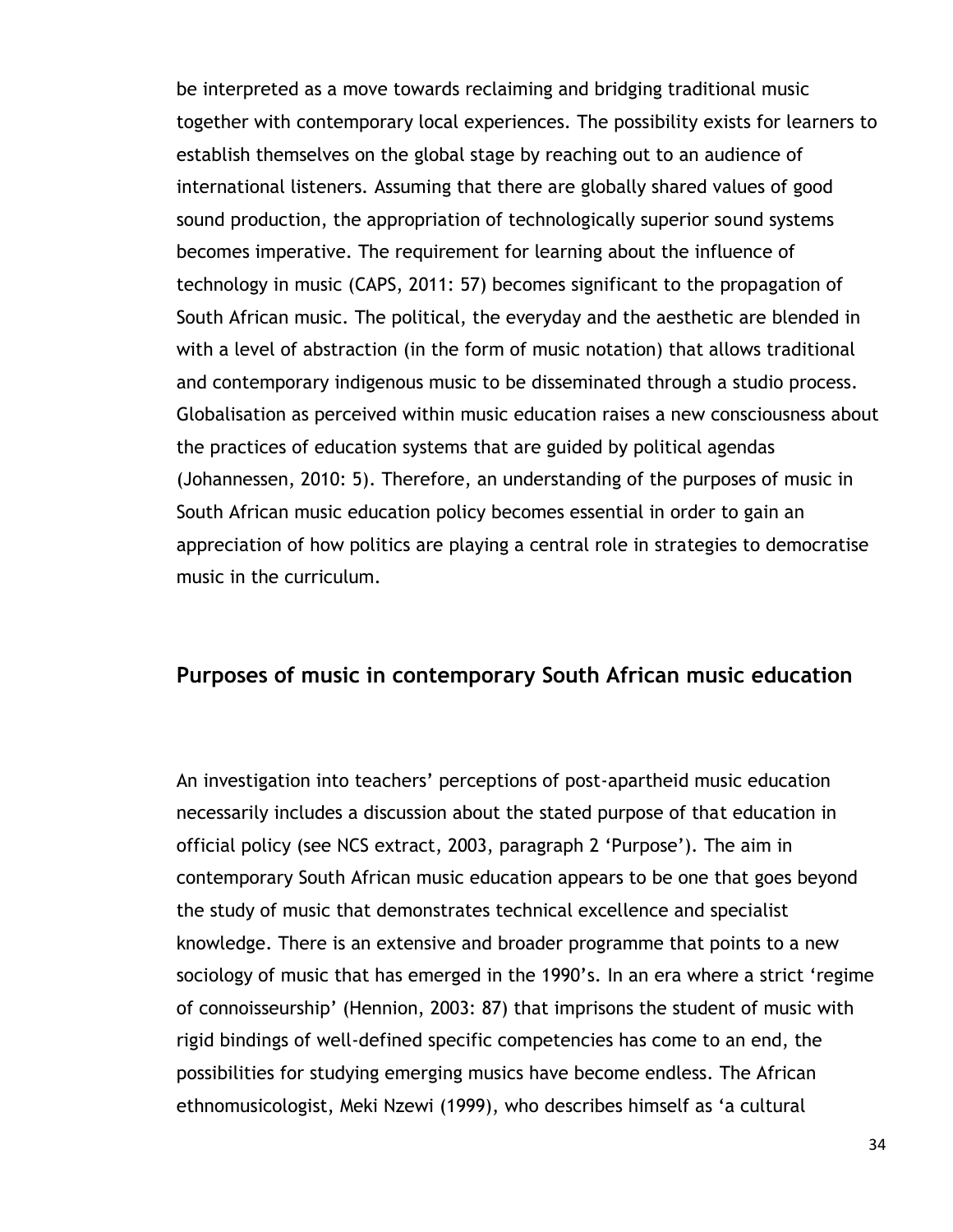be interpreted as a move towards reclaiming and bridging traditional music together with contemporary local experiences. The possibility exists for learners to establish themselves on the global stage by reaching out to an audience of international listeners. Assuming that there are globally shared values of good sound production, the appropriation of technologically superior sound systems becomes imperative. The requirement for learning about the influence of technology in music (CAPS, 2011: 57) becomes significant to the propagation of South African music. The political, the everyday and the aesthetic are blended in with a level of abstraction (in the form of music notation) that allows traditional and contemporary indigenous music to be disseminated through a studio process. Globalisation as perceived within music education raises a new consciousness about the practices of education systems that are guided by political agendas (Johannessen, 2010: 5). Therefore, an understanding of the purposes of music in South African music education policy becomes essential in order to gain an appreciation of how politics are playing a central role in strategies to democratise music in the curriculum.

#### **Purposes of music in contemporary South African music education**

An investigation into teachers" perceptions of post-apartheid music education necessarily includes a discussion about the stated purpose of that education in official policy (see NCS extract, 2003, paragraph 2 "Purpose"). The aim in contemporary South African music education appears to be one that goes beyond the study of music that demonstrates technical excellence and specialist knowledge. There is an extensive and broader programme that points to a new sociology of music that has emerged in the 1990's. In an era where a strict 'regime of connoisseurship" (Hennion, 2003: 87) that imprisons the student of music with rigid bindings of well-defined specific competencies has come to an end, the possibilities for studying emerging musics have become endless. The African ethnomusicologist, Meki Nzewi (1999), who describes himself as "a cultural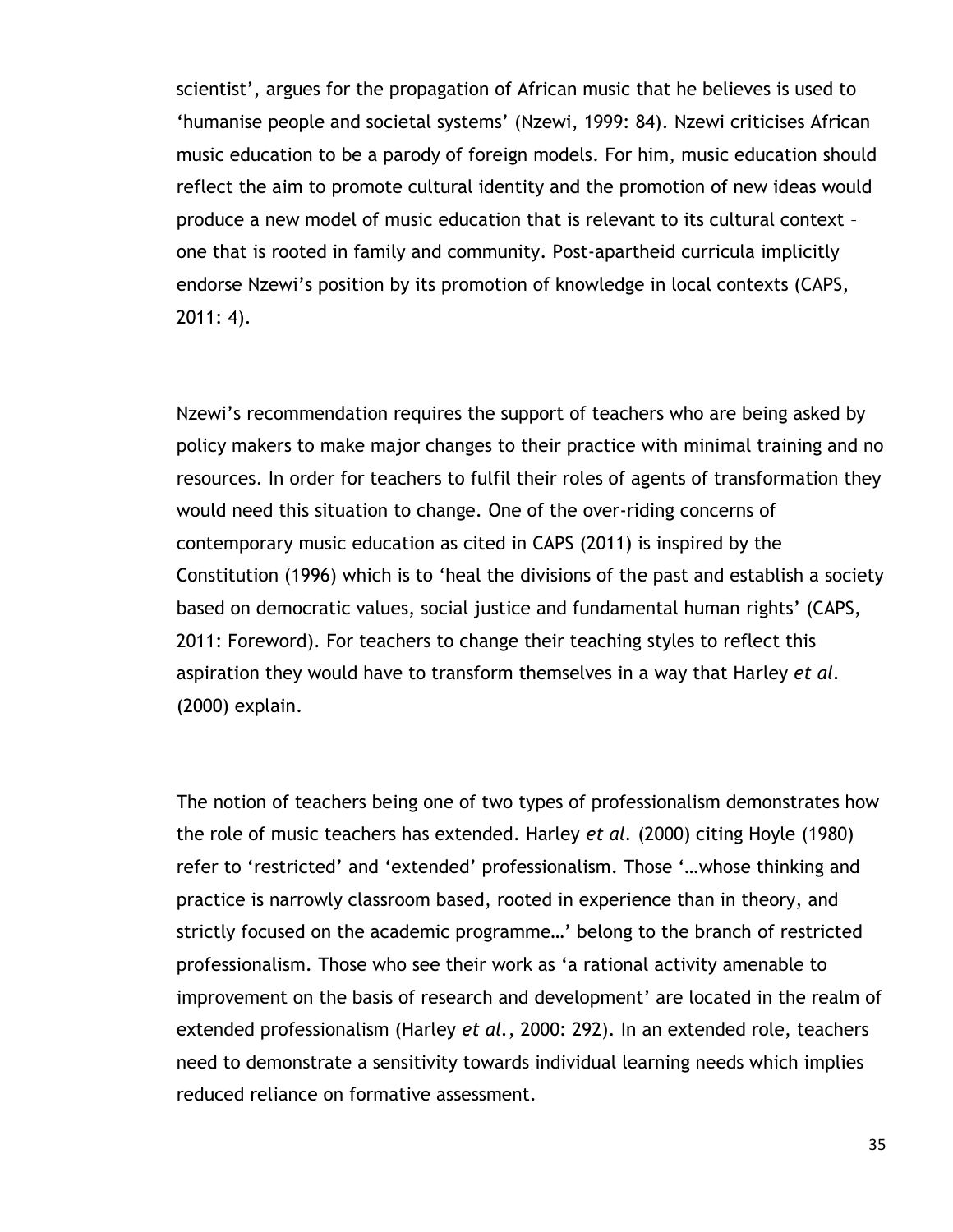scientist', argues for the propagation of African music that he believes is used to "humanise people and societal systems" (Nzewi, 1999: 84). Nzewi criticises African music education to be a parody of foreign models. For him, music education should reflect the aim to promote cultural identity and the promotion of new ideas would produce a new model of music education that is relevant to its cultural context – one that is rooted in family and community. Post-apartheid curricula implicitly endorse Nzewi"s position by its promotion of knowledge in local contexts (CAPS, 2011: 4).

Nzewi's recommendation requires the support of teachers who are being asked by policy makers to make major changes to their practice with minimal training and no resources. In order for teachers to fulfil their roles of agents of transformation they would need this situation to change. One of the over-riding concerns of contemporary music education as cited in CAPS (2011) is inspired by the Constitution (1996) which is to "heal the divisions of the past and establish a society based on democratic values, social justice and fundamental human rights" (CAPS, 2011: Foreword). For teachers to change their teaching styles to reflect this aspiration they would have to transform themselves in a way that Harley *et al.* (2000) explain.

The notion of teachers being one of two types of professionalism demonstrates how the role of music teachers has extended. Harley *et al.* (2000) citing Hoyle (1980) refer to 'restricted' and 'extended' professionalism. Those '...whose thinking and practice is narrowly classroom based, rooted in experience than in theory, and strictly focused on the academic programme...' belong to the branch of restricted professionalism. Those who see their work as "a rational activity amenable to improvement on the basis of research and development' are located in the realm of extended professionalism (Harley *et al.*, 2000: 292). In an extended role, teachers need to demonstrate a sensitivity towards individual learning needs which implies reduced reliance on formative assessment.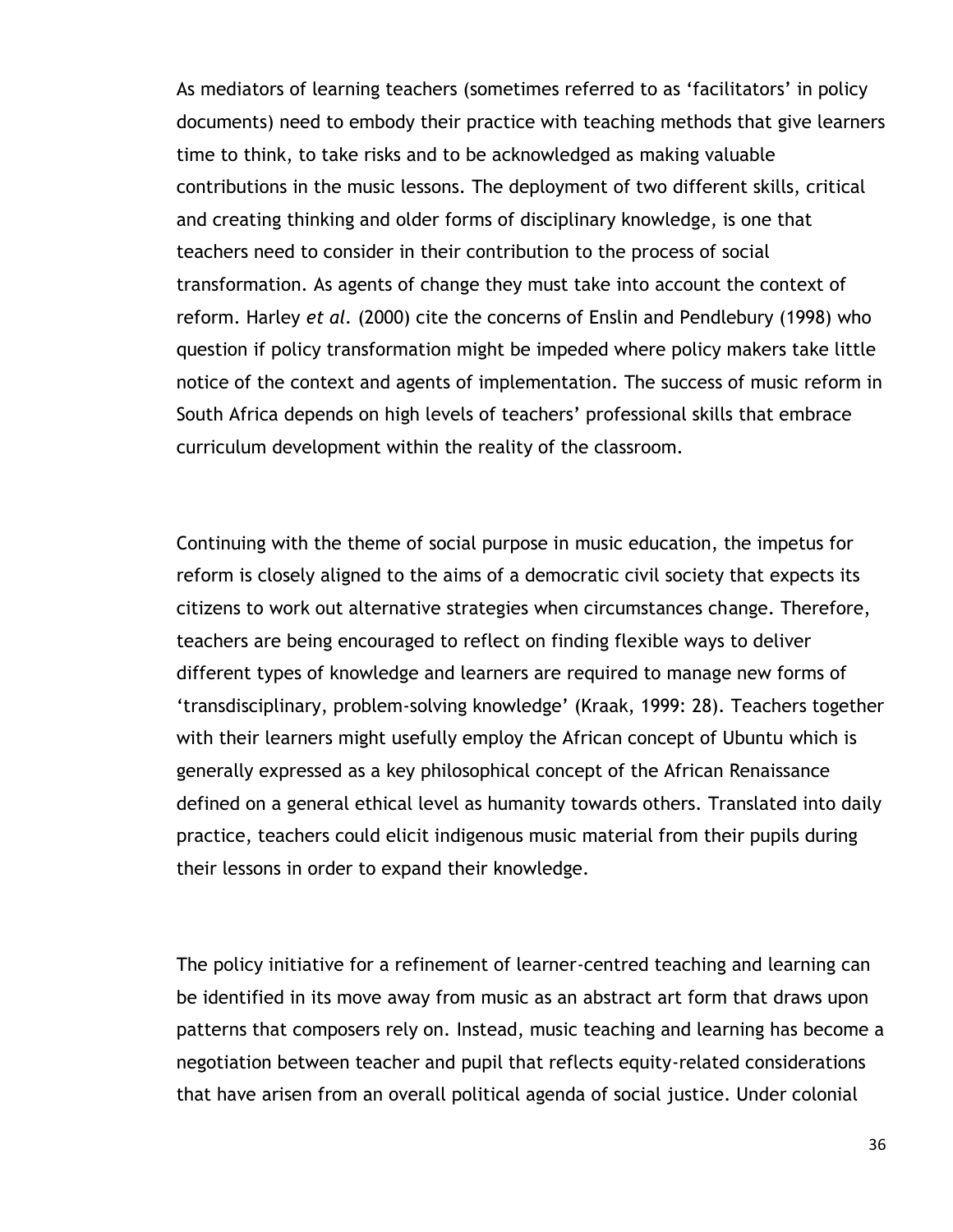As mediators of learning teachers (sometimes referred to as 'facilitators' in policy documents) need to embody their practice with teaching methods that give learners time to think, to take risks and to be acknowledged as making valuable contributions in the music lessons. The deployment of two different skills, critical and creating thinking and older forms of disciplinary knowledge, is one that teachers need to consider in their contribution to the process of social transformation. As agents of change they must take into account the context of reform. Harley *et al.* (2000) cite the concerns of Enslin and Pendlebury (1998) who question if policy transformation might be impeded where policy makers take little notice of the context and agents of implementation. The success of music reform in South Africa depends on high levels of teachers' professional skills that embrace curriculum development within the reality of the classroom.

Continuing with the theme of social purpose in music education, the impetus for reform is closely aligned to the aims of a democratic civil society that expects its citizens to work out alternative strategies when circumstances change. Therefore, teachers are being encouraged to reflect on finding flexible ways to deliver different types of knowledge and learners are required to manage new forms of "transdisciplinary, problem-solving knowledge" (Kraak, 1999: 28). Teachers together with their learners might usefully employ the African concept of Ubuntu which is generally expressed as a key philosophical concept of the African Renaissance defined on a general ethical level as humanity towards others. Translated into daily practice, teachers could elicit indigenous music material from their pupils during their lessons in order to expand their knowledge.

The policy initiative for a refinement of learner-centred teaching and learning can be identified in its move away from music as an abstract art form that draws upon patterns that composers rely on. Instead, music teaching and learning has become a negotiation between teacher and pupil that reflects equity-related considerations that have arisen from an overall political agenda of social justice. Under colonial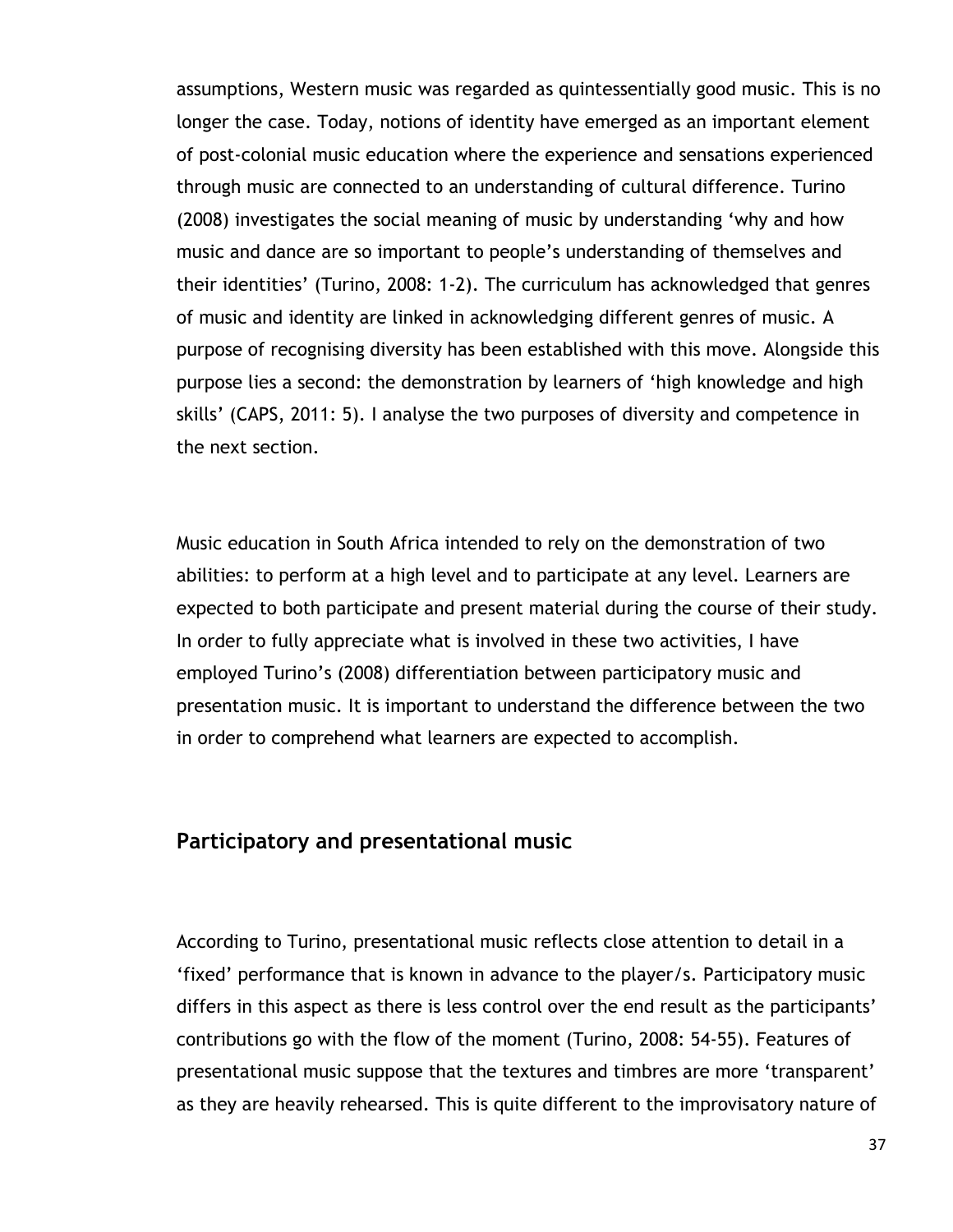assumptions, Western music was regarded as quintessentially good music. This is no longer the case. Today, notions of identity have emerged as an important element of post-colonial music education where the experience and sensations experienced through music are connected to an understanding of cultural difference. Turino (2008) investigates the social meaning of music by understanding "why and how music and dance are so important to people"s understanding of themselves and their identities" (Turino, 2008: 1-2). The curriculum has acknowledged that genres of music and identity are linked in acknowledging different genres of music. A purpose of recognising diversity has been established with this move. Alongside this purpose lies a second: the demonstration by learners of "high knowledge and high skills" (CAPS, 2011: 5). I analyse the two purposes of diversity and competence in the next section.

Music education in South Africa intended to rely on the demonstration of two abilities: to perform at a high level and to participate at any level. Learners are expected to both participate and present material during the course of their study. In order to fully appreciate what is involved in these two activities, I have employed Turino"s (2008) differentiation between participatory music and presentation music. It is important to understand the difference between the two in order to comprehend what learners are expected to accomplish.

## **Participatory and presentational music**

According to Turino, presentational music reflects close attention to detail in a "fixed" performance that is known in advance to the player/s. Participatory music differs in this aspect as there is less control over the end result as the participants' contributions go with the flow of the moment (Turino, 2008: 54-55). Features of presentational music suppose that the textures and timbres are more "transparent" as they are heavily rehearsed. This is quite different to the improvisatory nature of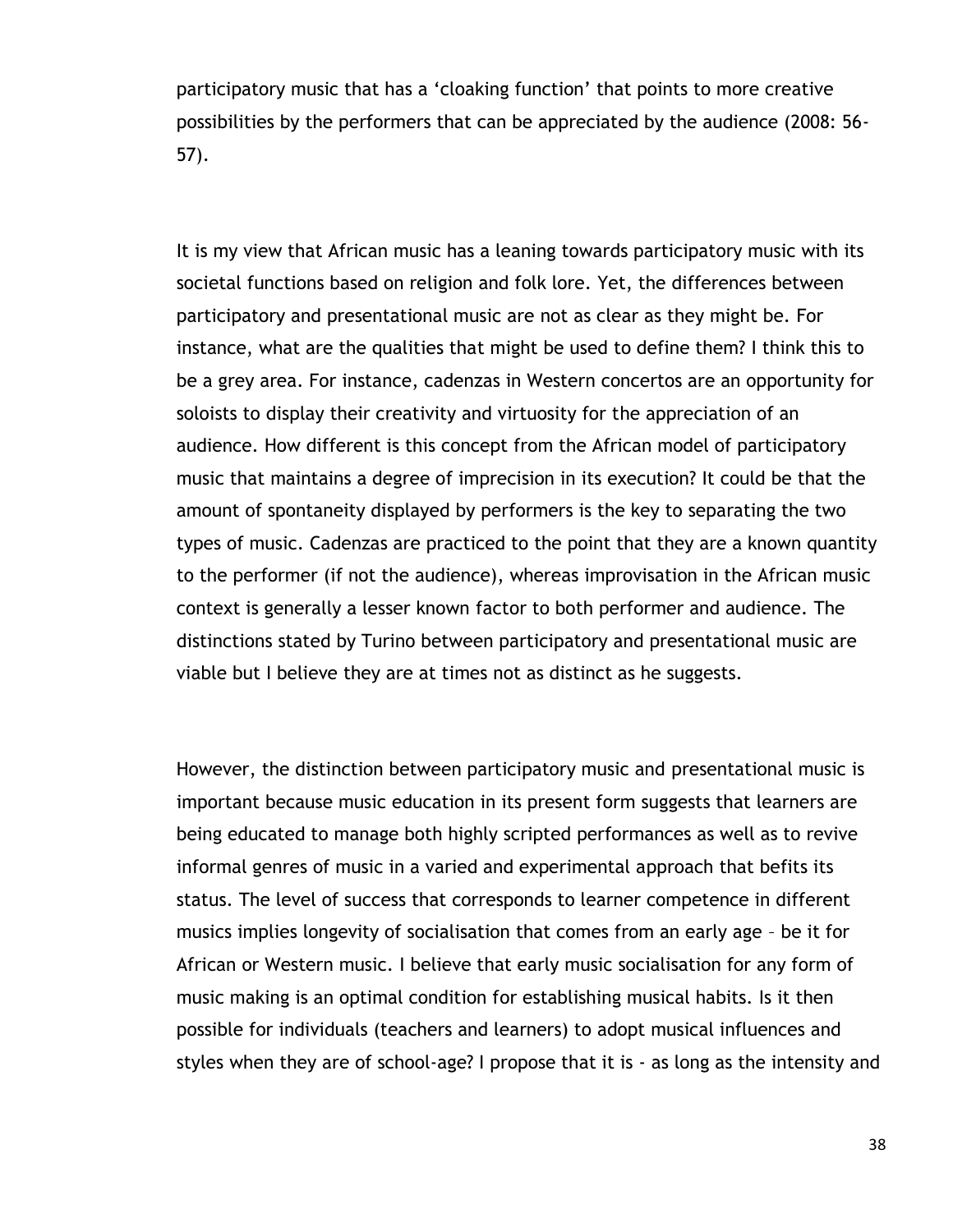participatory music that has a "cloaking function" that points to more creative possibilities by the performers that can be appreciated by the audience (2008: 56- 57).

It is my view that African music has a leaning towards participatory music with its societal functions based on religion and folk lore. Yet, the differences between participatory and presentational music are not as clear as they might be. For instance, what are the qualities that might be used to define them? I think this to be a grey area. For instance, cadenzas in Western concertos are an opportunity for soloists to display their creativity and virtuosity for the appreciation of an audience. How different is this concept from the African model of participatory music that maintains a degree of imprecision in its execution? It could be that the amount of spontaneity displayed by performers is the key to separating the two types of music. Cadenzas are practiced to the point that they are a known quantity to the performer (if not the audience), whereas improvisation in the African music context is generally a lesser known factor to both performer and audience. The distinctions stated by Turino between participatory and presentational music are viable but I believe they are at times not as distinct as he suggests.

However, the distinction between participatory music and presentational music is important because music education in its present form suggests that learners are being educated to manage both highly scripted performances as well as to revive informal genres of music in a varied and experimental approach that befits its status. The level of success that corresponds to learner competence in different musics implies longevity of socialisation that comes from an early age – be it for African or Western music. I believe that early music socialisation for any form of music making is an optimal condition for establishing musical habits. Is it then possible for individuals (teachers and learners) to adopt musical influences and styles when they are of school-age? I propose that it is - as long as the intensity and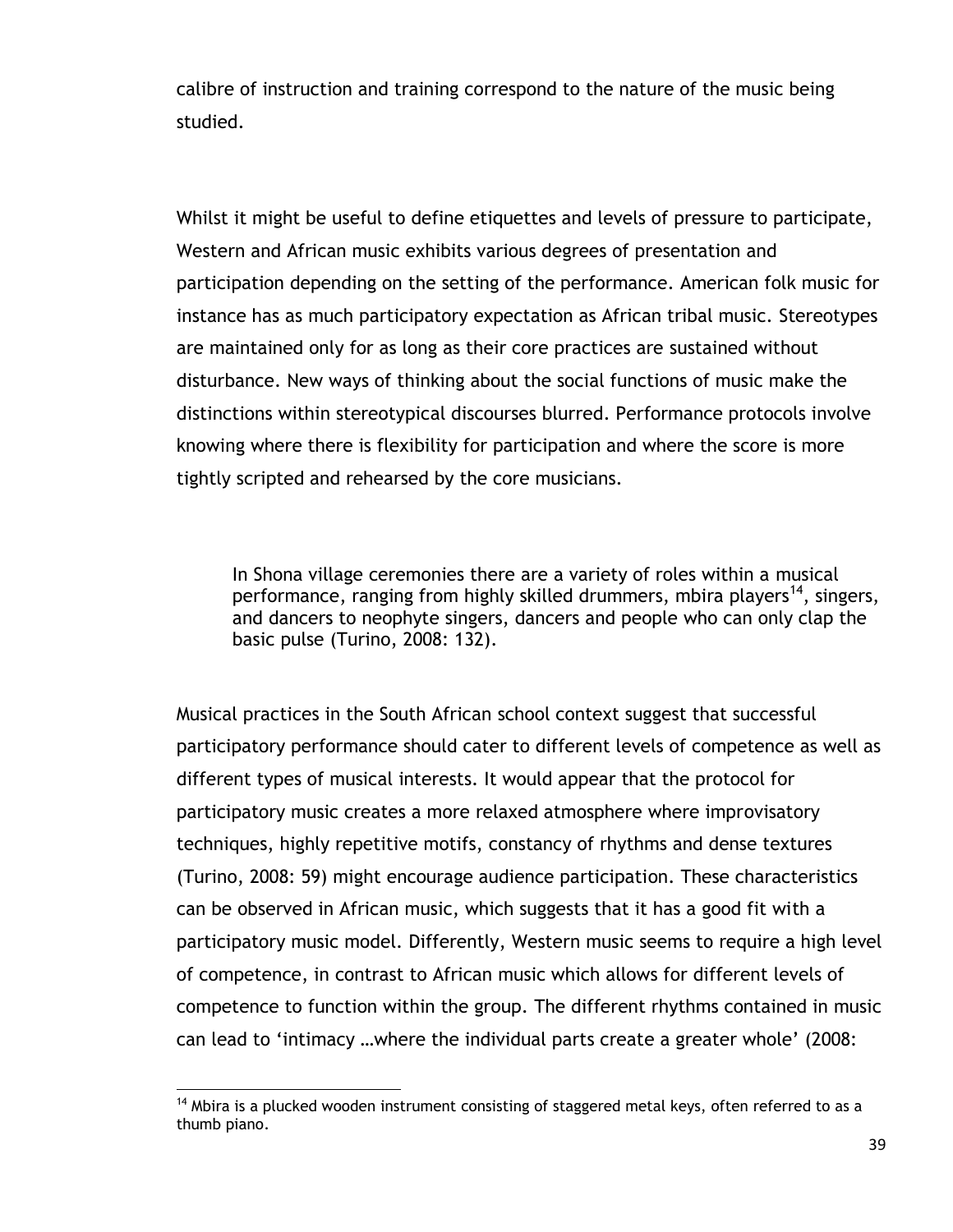calibre of instruction and training correspond to the nature of the music being studied.

Whilst it might be useful to define etiquettes and levels of pressure to participate, Western and African music exhibits various degrees of presentation and participation depending on the setting of the performance. American folk music for instance has as much participatory expectation as African tribal music. Stereotypes are maintained only for as long as their core practices are sustained without disturbance. New ways of thinking about the social functions of music make the distinctions within stereotypical discourses blurred. Performance protocols involve knowing where there is flexibility for participation and where the score is more tightly scripted and rehearsed by the core musicians.

In Shona village ceremonies there are a variety of roles within a musical performance, ranging from highly skilled drummers, mbira players<sup>14</sup>, singers, and dancers to neophyte singers, dancers and people who can only clap the basic pulse (Turino, 2008: 132).

Musical practices in the South African school context suggest that successful participatory performance should cater to different levels of competence as well as different types of musical interests. It would appear that the protocol for participatory music creates a more relaxed atmosphere where improvisatory techniques, highly repetitive motifs, constancy of rhythms and dense textures (Turino, 2008: 59) might encourage audience participation. These characteristics can be observed in African music, which suggests that it has a good fit with a participatory music model. Differently, Western music seems to require a high level of competence, in contrast to African music which allows for different levels of competence to function within the group. The different rhythms contained in music can lead to "intimacy …where the individual parts create a greater whole" (2008:

 $\overline{a}$ 

 $14$  Mbira is a plucked wooden instrument consisting of staggered metal keys, often referred to as a thumb piano.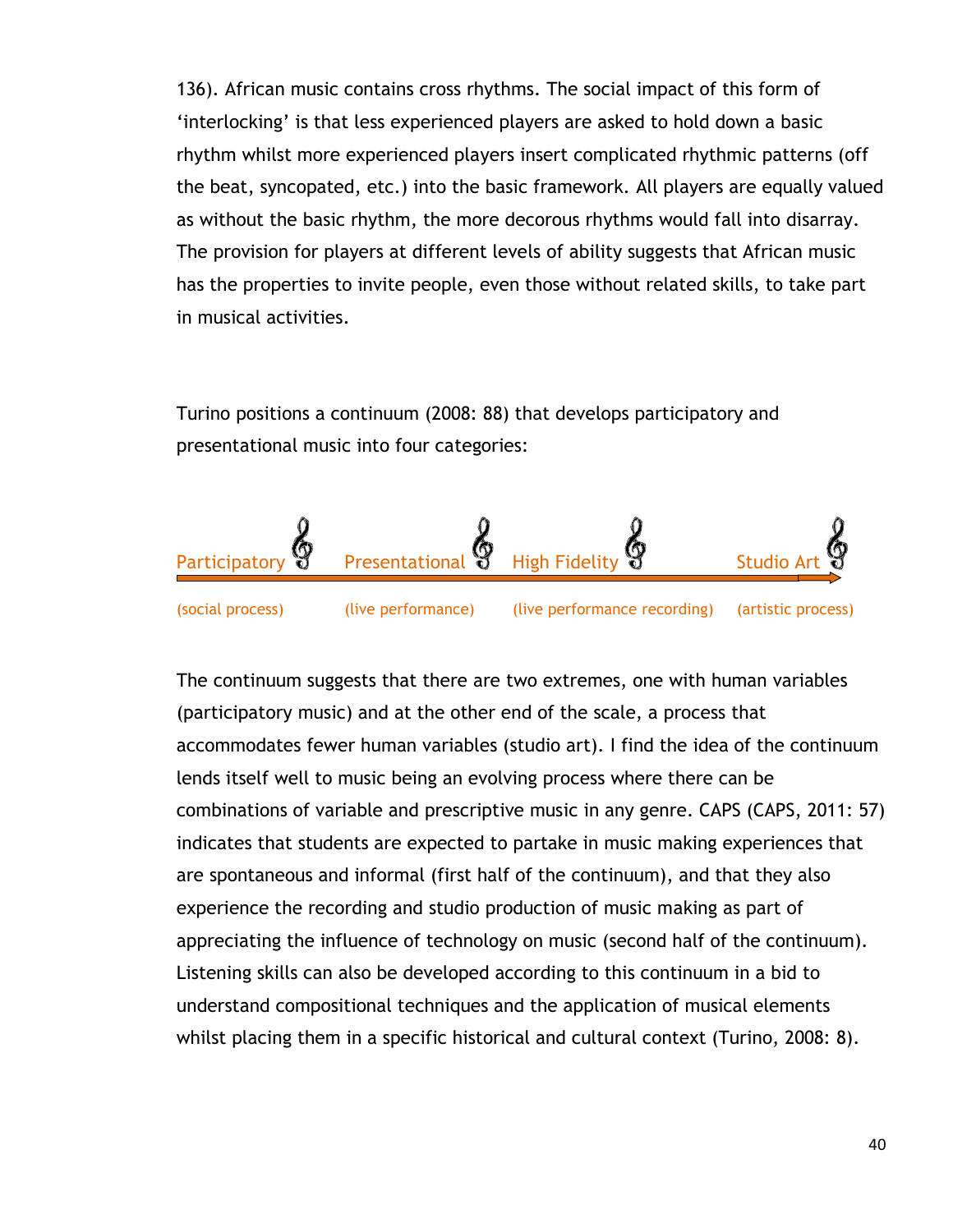136). African music contains cross rhythms. The social impact of this form of "interlocking" is that less experienced players are asked to hold down a basic rhythm whilst more experienced players insert complicated rhythmic patterns (off the beat, syncopated, etc.) into the basic framework. All players are equally valued as without the basic rhythm, the more decorous rhythms would fall into disarray. The provision for players at different levels of ability suggests that African music has the properties to invite people, even those without related skills, to take part in musical activities.

Turino positions a continuum (2008: 88) that develops participatory and presentational music into four categories:



The continuum suggests that there are two extremes, one with human variables (participatory music) and at the other end of the scale, a process that accommodates fewer human variables (studio art). I find the idea of the continuum lends itself well to music being an evolving process where there can be combinations of variable and prescriptive music in any genre. CAPS (CAPS, 2011: 57) indicates that students are expected to partake in music making experiences that are spontaneous and informal (first half of the continuum), and that they also experience the recording and studio production of music making as part of appreciating the influence of technology on music (second half of the continuum). Listening skills can also be developed according to this continuum in a bid to understand compositional techniques and the application of musical elements whilst placing them in a specific historical and cultural context (Turino, 2008: 8).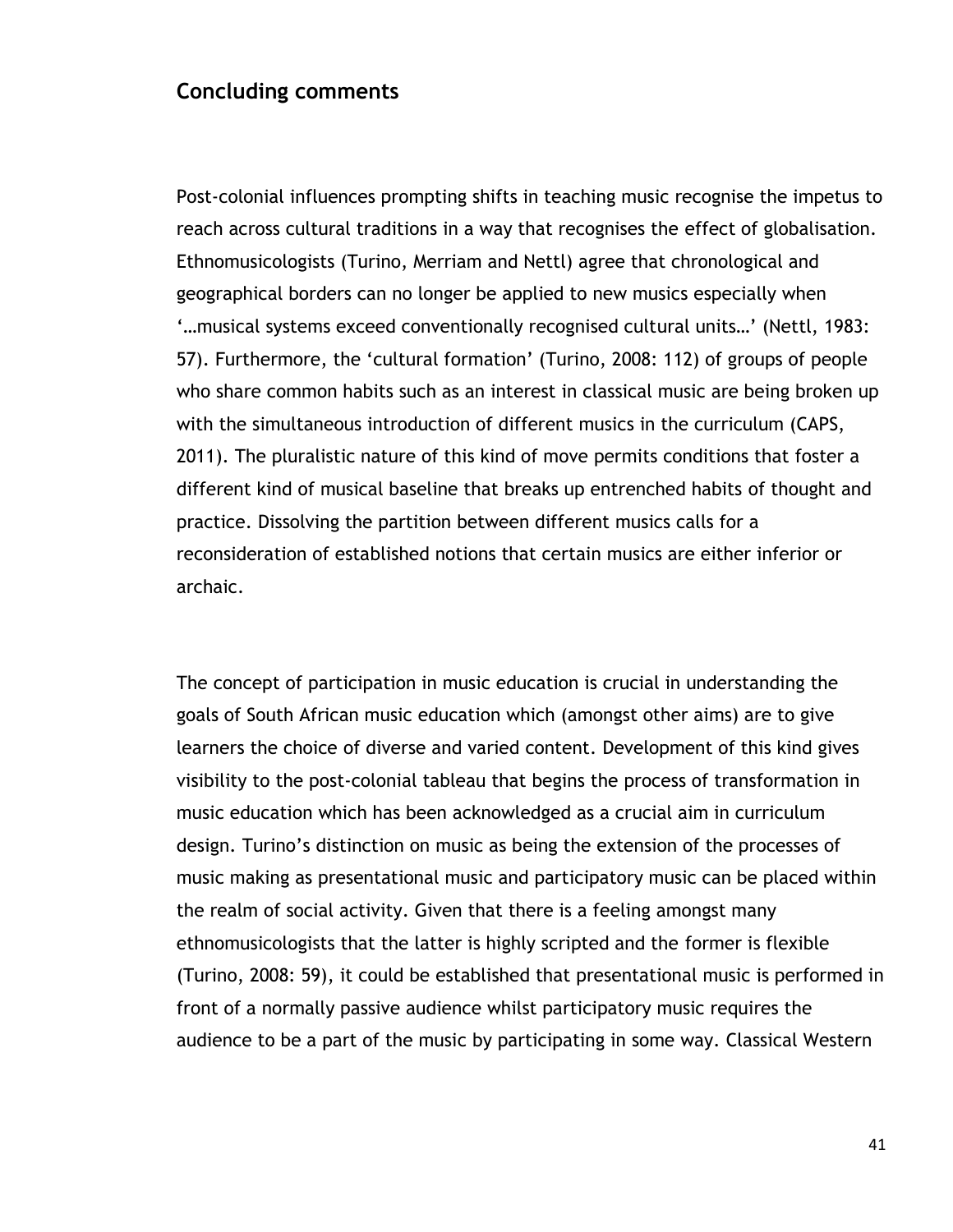#### **Concluding comments**

Post-colonial influences prompting shifts in teaching music recognise the impetus to reach across cultural traditions in a way that recognises the effect of globalisation. Ethnomusicologists (Turino, Merriam and Nettl) agree that chronological and geographical borders can no longer be applied to new musics especially when "...musical systems exceed conventionally recognised cultural units...' (Nettl, 1983: 57). Furthermore, the "cultural formation" (Turino, 2008: 112) of groups of people who share common habits such as an interest in classical music are being broken up with the simultaneous introduction of different musics in the curriculum (CAPS, 2011). The pluralistic nature of this kind of move permits conditions that foster a different kind of musical baseline that breaks up entrenched habits of thought and practice. Dissolving the partition between different musics calls for a reconsideration of established notions that certain musics are either inferior or archaic.

The concept of participation in music education is crucial in understanding the goals of South African music education which (amongst other aims) are to give learners the choice of diverse and varied content. Development of this kind gives visibility to the post-colonial tableau that begins the process of transformation in music education which has been acknowledged as a crucial aim in curriculum design. Turino"s distinction on music as being the extension of the processes of music making as presentational music and participatory music can be placed within the realm of social activity. Given that there is a feeling amongst many ethnomusicologists that the latter is highly scripted and the former is flexible (Turino, 2008: 59), it could be established that presentational music is performed in front of a normally passive audience whilst participatory music requires the audience to be a part of the music by participating in some way. Classical Western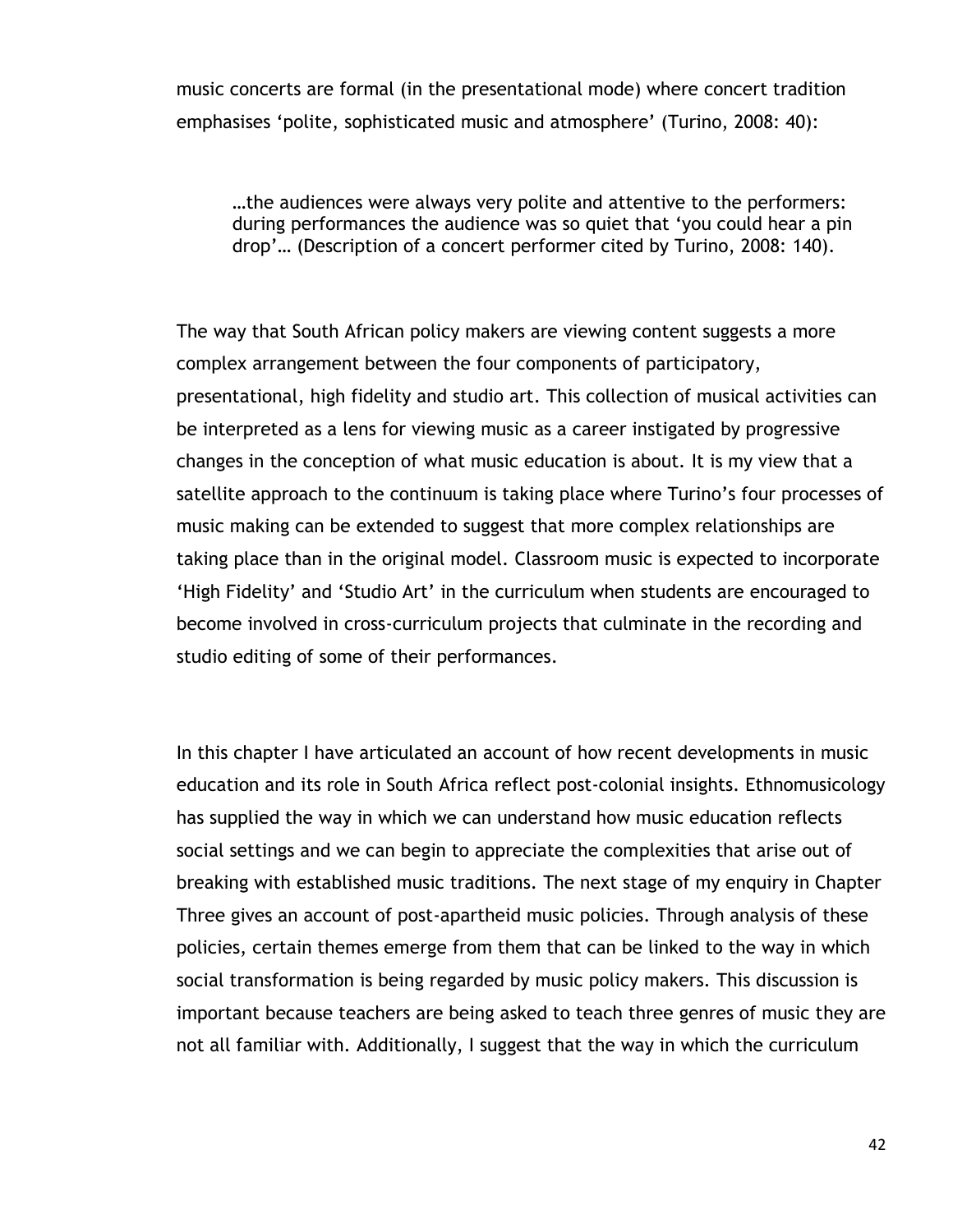music concerts are formal (in the presentational mode) where concert tradition emphasises 'polite, sophisticated music and atmosphere' (Turino, 2008: 40):

…the audiences were always very polite and attentive to the performers: during performances the audience was so quiet that "you could hear a pin drop"… (Description of a concert performer cited by Turino, 2008: 140).

The way that South African policy makers are viewing content suggests a more complex arrangement between the four components of participatory, presentational, high fidelity and studio art. This collection of musical activities can be interpreted as a lens for viewing music as a career instigated by progressive changes in the conception of what music education is about. It is my view that a satellite approach to the continuum is taking place where Turino"s four processes of music making can be extended to suggest that more complex relationships are taking place than in the original model. Classroom music is expected to incorporate "High Fidelity" and "Studio Art" in the curriculum when students are encouraged to become involved in cross-curriculum projects that culminate in the recording and studio editing of some of their performances.

In this chapter I have articulated an account of how recent developments in music education and its role in South Africa reflect post-colonial insights. Ethnomusicology has supplied the way in which we can understand how music education reflects social settings and we can begin to appreciate the complexities that arise out of breaking with established music traditions. The next stage of my enquiry in Chapter Three gives an account of post-apartheid music policies. Through analysis of these policies, certain themes emerge from them that can be linked to the way in which social transformation is being regarded by music policy makers. This discussion is important because teachers are being asked to teach three genres of music they are not all familiar with. Additionally, I suggest that the way in which the curriculum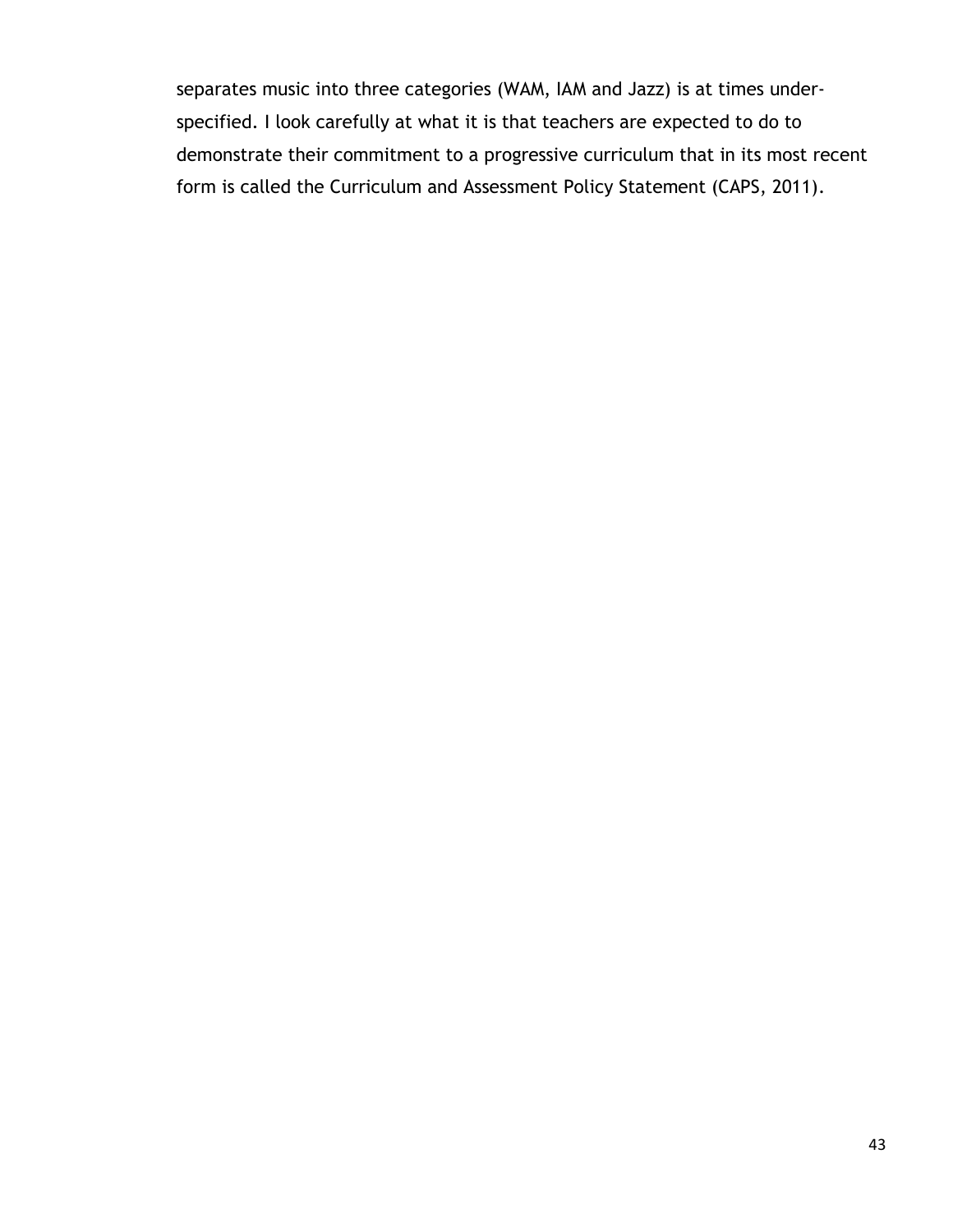separates music into three categories (WAM, IAM and Jazz) is at times underspecified. I look carefully at what it is that teachers are expected to do to demonstrate their commitment to a progressive curriculum that in its most recent form is called the Curriculum and Assessment Policy Statement (CAPS, 2011)*.*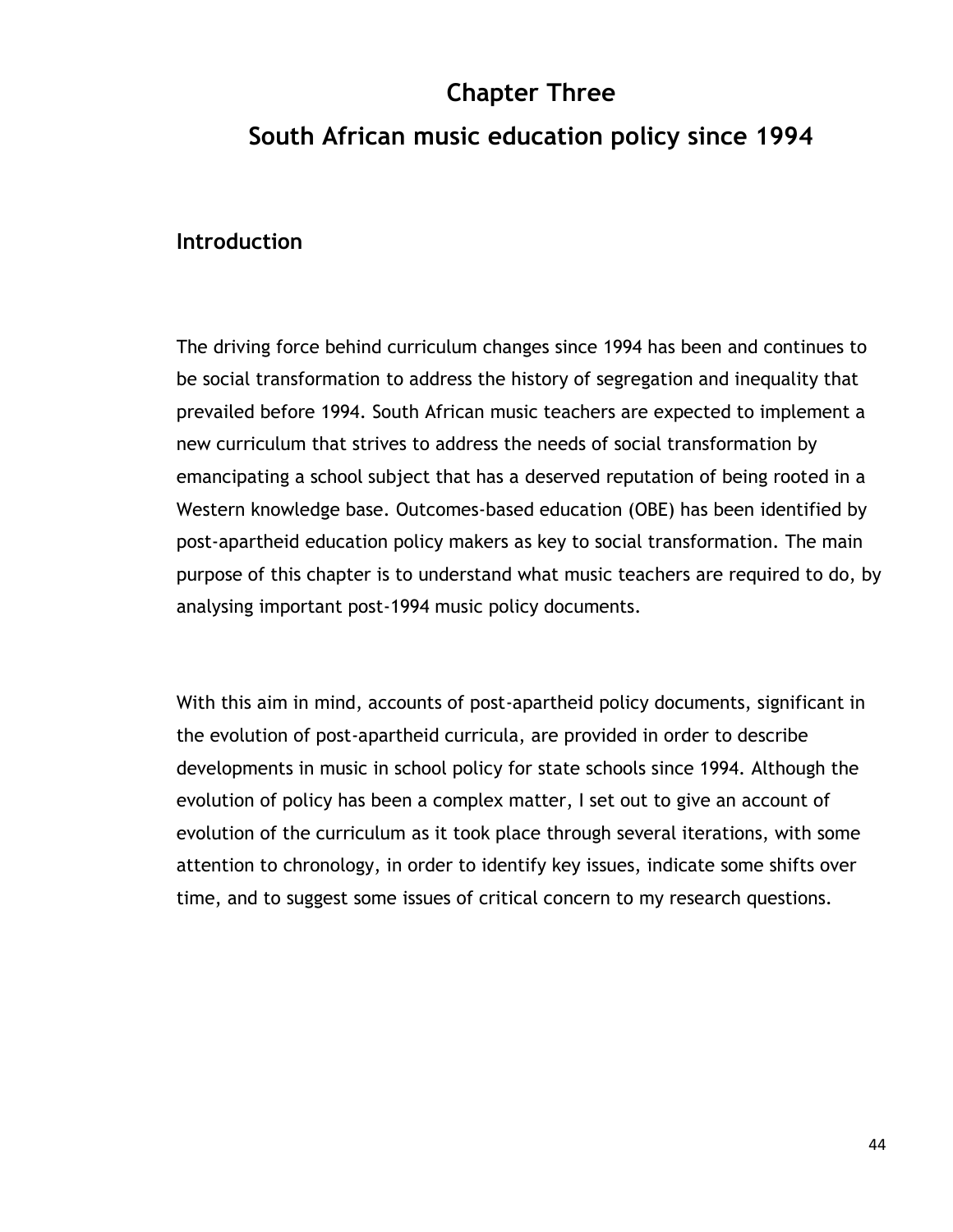# **Chapter Three South African music education policy since 1994**

#### **Introduction**

The driving force behind curriculum changes since 1994 has been and continues to be social transformation to address the history of segregation and inequality that prevailed before 1994. South African music teachers are expected to implement a new curriculum that strives to address the needs of social transformation by emancipating a school subject that has a deserved reputation of being rooted in a Western knowledge base. Outcomes-based education (OBE) has been identified by post-apartheid education policy makers as key to social transformation. The main purpose of this chapter is to understand what music teachers are required to do, by analysing important post-1994 music policy documents.

With this aim in mind, accounts of post-apartheid policy documents, significant in the evolution of post-apartheid curricula, are provided in order to describe developments in music in school policy for state schools since 1994. Although the evolution of policy has been a complex matter, I set out to give an account of evolution of the curriculum as it took place through several iterations, with some attention to chronology, in order to identify key issues, indicate some shifts over time, and to suggest some issues of critical concern to my research questions.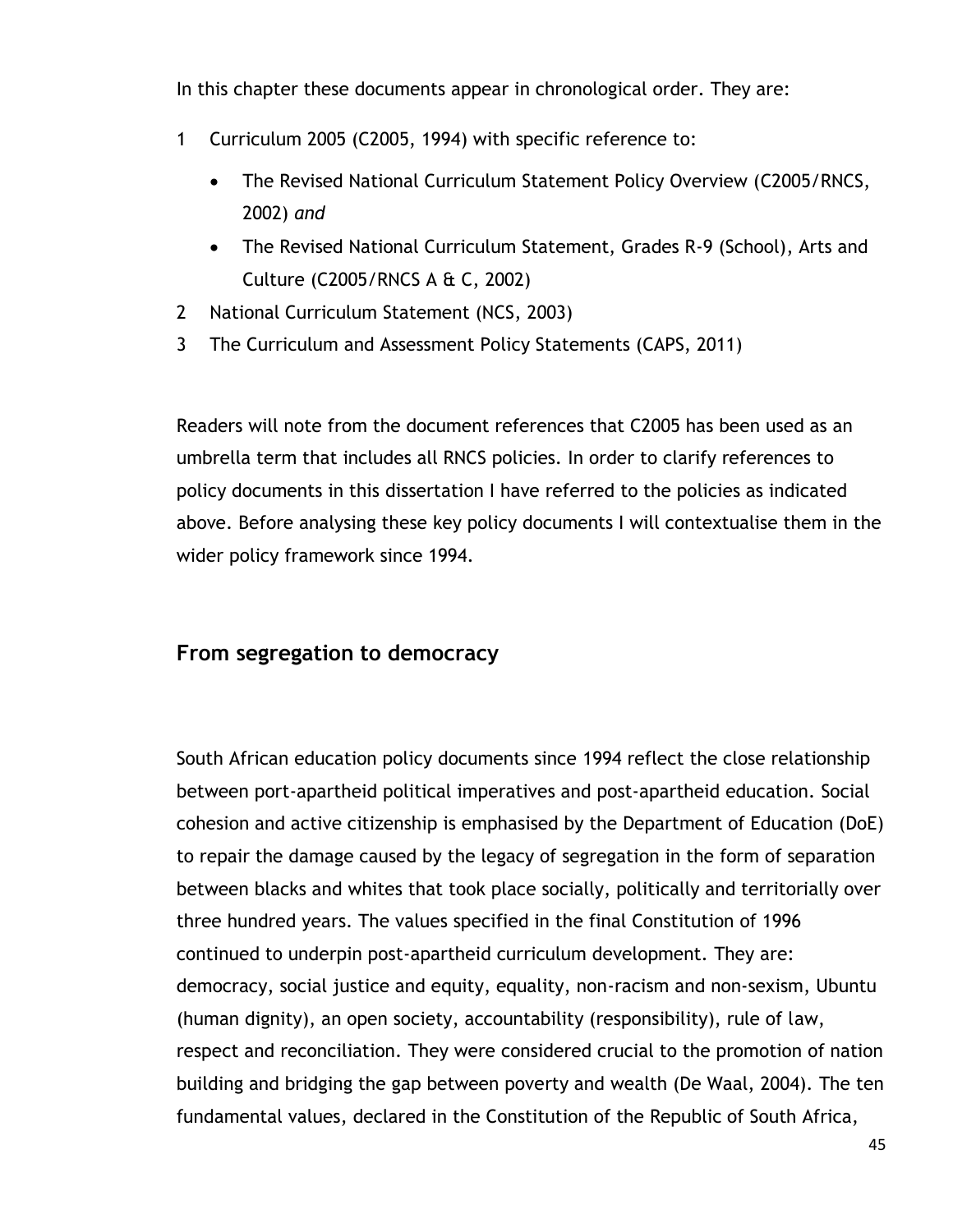In this chapter these documents appear in chronological order. They are:

- 1 Curriculum 2005 (C2005, 1994) with specific reference to:
	- The Revised National Curriculum Statement Policy Overview (C2005/RNCS, 2002) *and*
	- The Revised National Curriculum Statement, Grades R-9 (School), Arts and Culture (C2005/RNCS A & C, 2002)
- 2 National Curriculum Statement (NCS, 2003)
- 3 The Curriculum and Assessment Policy Statements (CAPS, 2011)

Readers will note from the document references that C2005 has been used as an umbrella term that includes all RNCS policies. In order to clarify references to policy documents in this dissertation I have referred to the policies as indicated above. Before analysing these key policy documents I will contextualise them in the wider policy framework since 1994.

## **From segregation to democracy**

South African education policy documents since 1994 reflect the close relationship between port-apartheid political imperatives and post-apartheid education. Social cohesion and active citizenship is emphasised by the Department of Education (DoE) to repair the damage caused by the legacy of segregation in the form of separation between blacks and whites that took place socially, politically and territorially over three hundred years. The values specified in the final Constitution of 1996 continued to underpin post-apartheid curriculum development. They are: democracy, social justice and equity, equality, non-racism and non-sexism, Ubuntu (human dignity), an open society, accountability (responsibility), rule of law, respect and reconciliation. They were considered crucial to the promotion of nation building and bridging the gap between poverty and wealth (De Waal, 2004). The ten fundamental values, declared in the Constitution of the Republic of South Africa,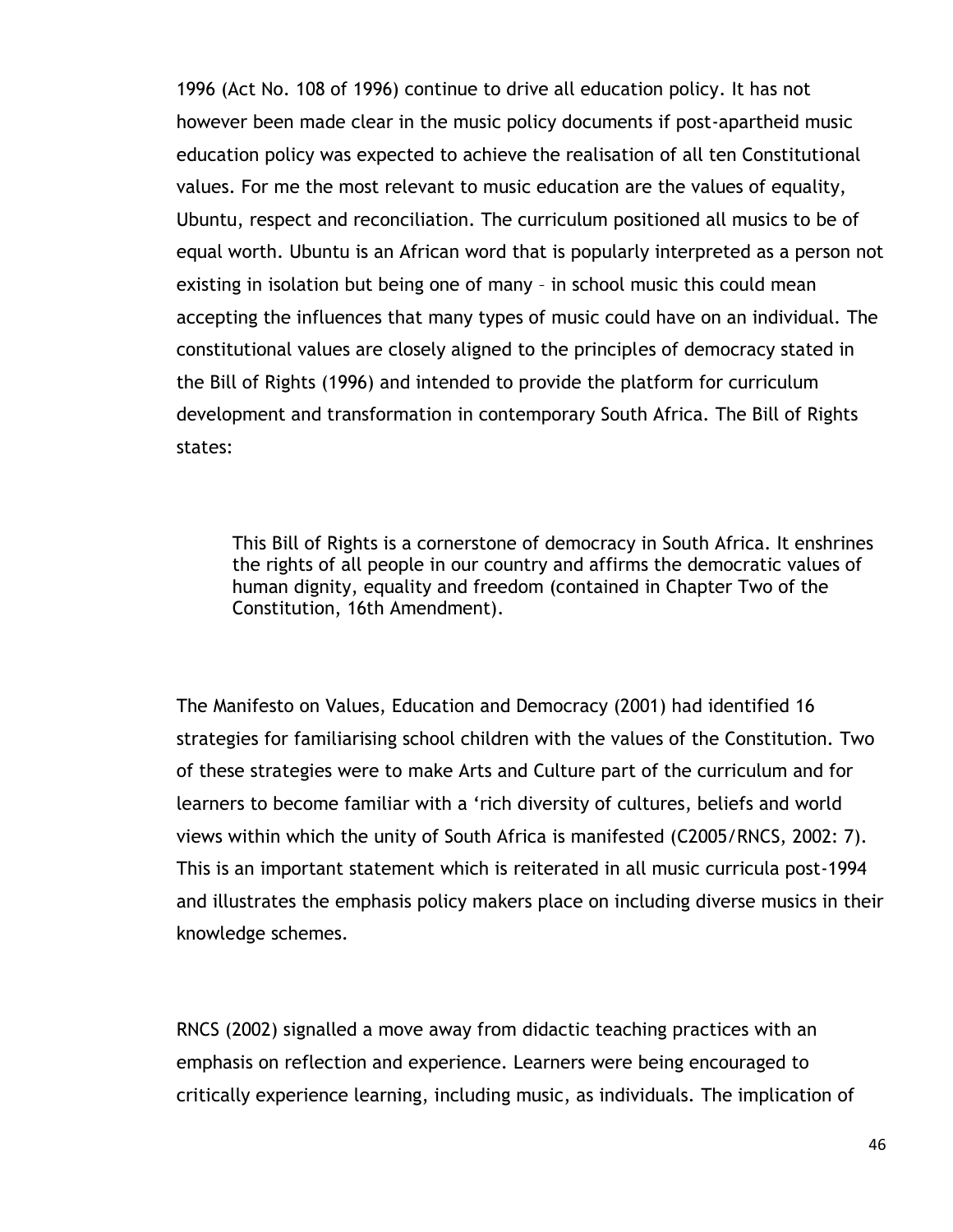1996 (Act No. 108 of 1996) continue to drive all education policy. It has not however been made clear in the music policy documents if post-apartheid music education policy was expected to achieve the realisation of all ten Constitutional values. For me the most relevant to music education are the values of equality, Ubuntu, respect and reconciliation. The curriculum positioned all musics to be of equal worth. Ubuntu is an African word that is popularly interpreted as a person not existing in isolation but being one of many – in school music this could mean accepting the influences that many types of music could have on an individual. The constitutional values are closely aligned to the principles of democracy stated in the Bill of Rights (1996) and intended to provide the platform for curriculum development and transformation in contemporary South Africa. The Bill of Rights states:

This Bill of Rights is a cornerstone of democracy in South Africa. It enshrines the rights of all people in our country and affirms the democratic values of human dignity, equality and freedom (contained in Chapter Two of the Constitution, 16th Amendment).

The Manifesto on Values, Education and Democracy (2001) had identified 16 strategies for familiarising school children with the values of the Constitution. Two of these strategies were to make Arts and Culture part of the curriculum and for learners to become familiar with a "rich diversity of cultures, beliefs and world views within which the unity of South Africa is manifested (C2005/RNCS, 2002: 7). This is an important statement which is reiterated in all music curricula post-1994 and illustrates the emphasis policy makers place on including diverse musics in their knowledge schemes.

RNCS (2002) signalled a move away from didactic teaching practices with an emphasis on reflection and experience. Learners were being encouraged to critically experience learning, including music, as individuals. The implication of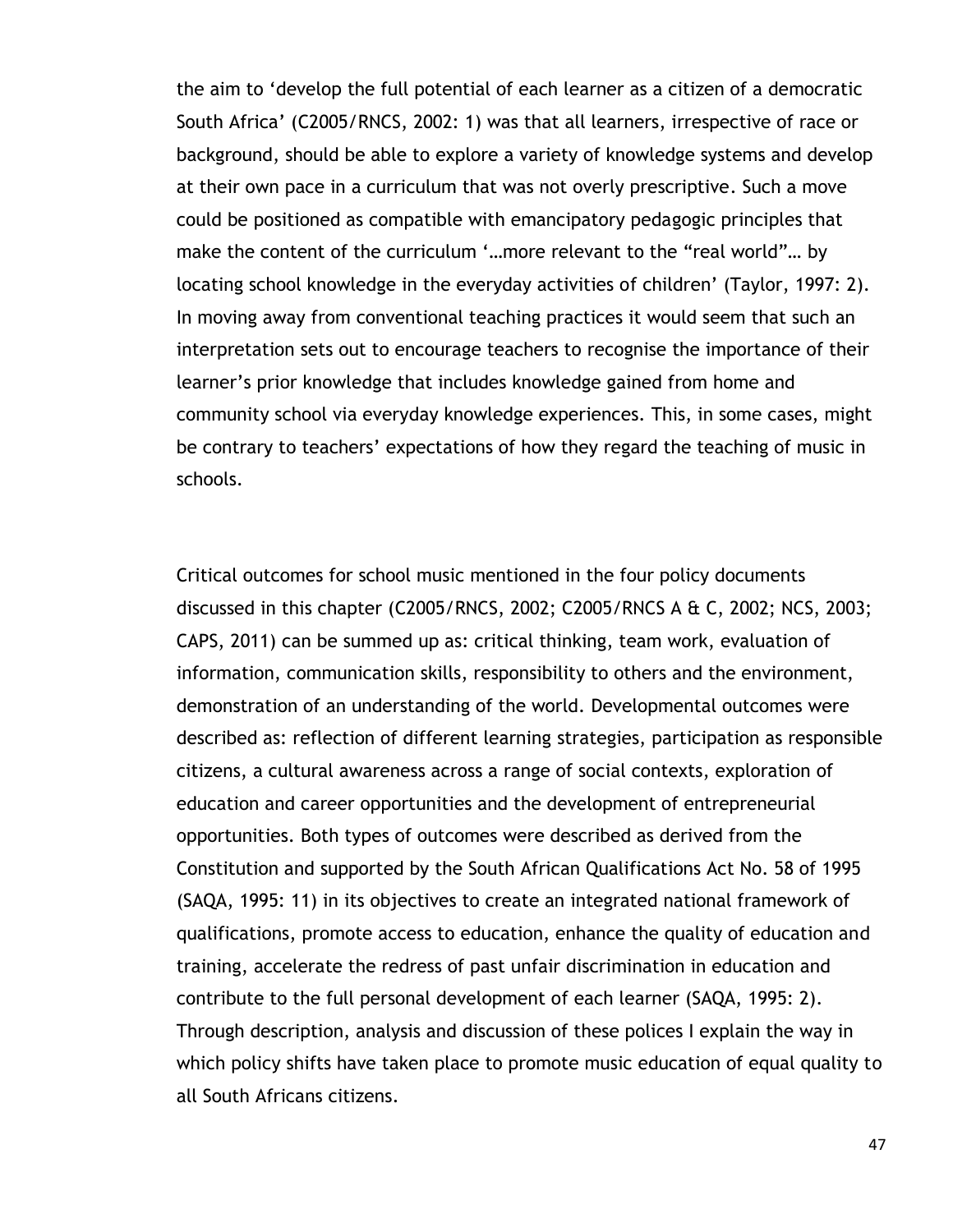the aim to "develop the full potential of each learner as a citizen of a democratic South Africa" (C2005/RNCS, 2002: 1) was that all learners, irrespective of race or background, should be able to explore a variety of knowledge systems and develop at their own pace in a curriculum that was not overly prescriptive. Such a move could be positioned as compatible with emancipatory pedagogic principles that make the content of the curriculum '...more relevant to the "real world"... by locating school knowledge in the everyday activities of children" (Taylor, 1997: 2). In moving away from conventional teaching practices it would seem that such an interpretation sets out to encourage teachers to recognise the importance of their learner"s prior knowledge that includes knowledge gained from home and community school via everyday knowledge experiences. This, in some cases, might be contrary to teachers' expectations of how they regard the teaching of music in schools.

Critical outcomes for school music mentioned in the four policy documents discussed in this chapter (C2005/RNCS, 2002; C2005/RNCS A & C, 2002; NCS, 2003; CAPS, 2011) can be summed up as: critical thinking, team work, evaluation of information, communication skills, responsibility to others and the environment, demonstration of an understanding of the world. Developmental outcomes were described as: reflection of different learning strategies, participation as responsible citizens, a cultural awareness across a range of social contexts, exploration of education and career opportunities and the development of entrepreneurial opportunities. Both types of outcomes were described as derived from the Constitution and supported by the South African Qualifications Act No. 58 of 1995 (SAQA, 1995: 11) in its objectives to create an integrated national framework of qualifications, promote access to education, enhance the quality of education and training, accelerate the redress of past unfair discrimination in education and contribute to the full personal development of each learner (SAQA, 1995: 2). Through description, analysis and discussion of these polices I explain the way in which policy shifts have taken place to promote music education of equal quality to all South Africans citizens.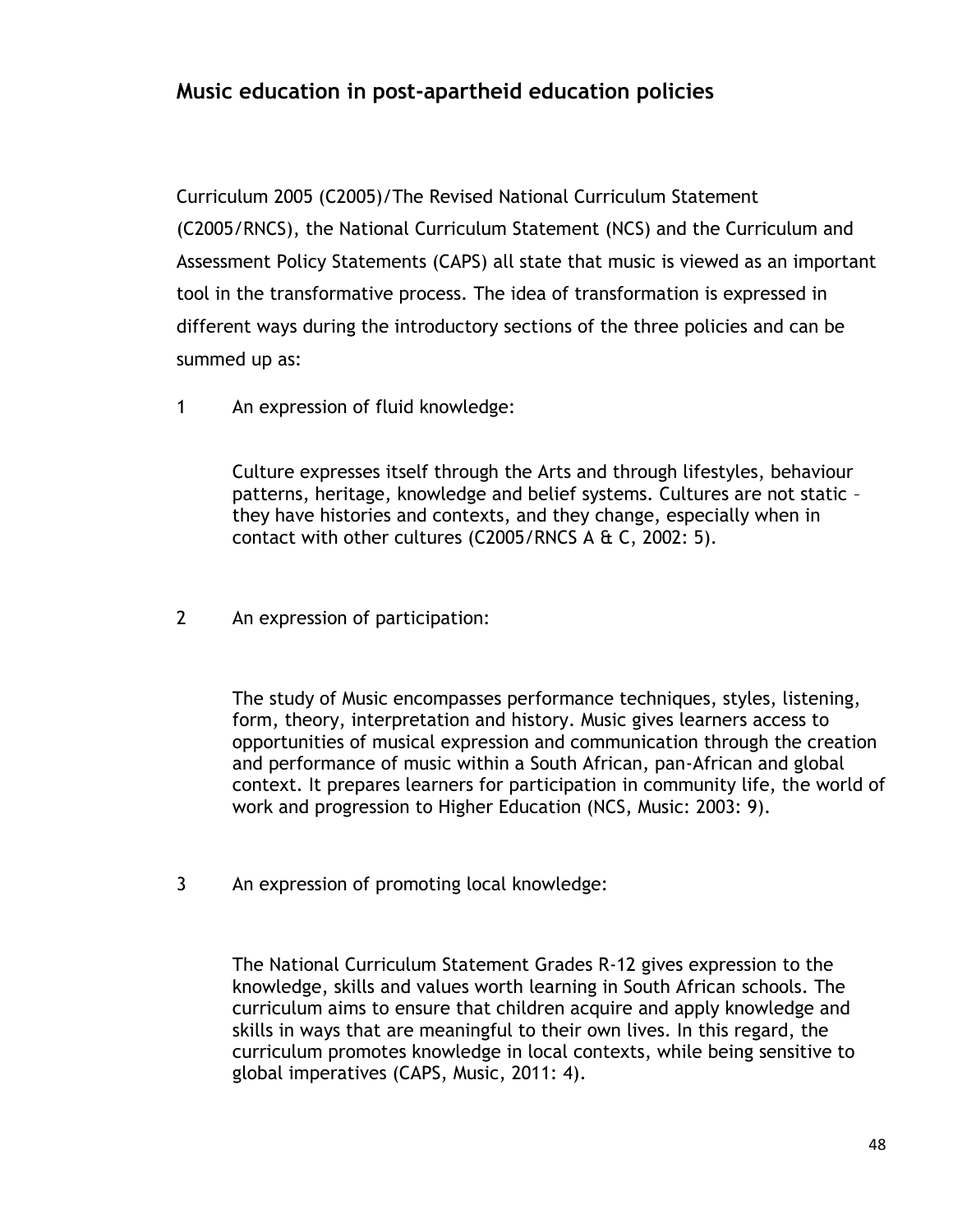# **Music education in post-apartheid education policies**

Curriculum 2005 (C2005)/The Revised National Curriculum Statement (C2005/RNCS), the National Curriculum Statement (NCS) and the Curriculum and Assessment Policy Statements (CAPS) all state that music is viewed as an important tool in the transformative process. The idea of transformation is expressed in different ways during the introductory sections of the three policies and can be summed up as:

1 An expression of fluid knowledge:

Culture expresses itself through the Arts and through lifestyles, behaviour patterns, heritage, knowledge and belief systems. Cultures are not static – they have histories and contexts, and they change, especially when in contact with other cultures (C2005/RNCS A  $\&$  C, 2002: 5).

2 An expression of participation:

The study of Music encompasses performance techniques, styles, listening, form, theory, interpretation and history. Music gives learners access to opportunities of musical expression and communication through the creation and performance of music within a South African, pan-African and global context. It prepares learners for participation in community life, the world of work and progression to Higher Education (NCS, Music: 2003: 9).

3 An expression of promoting local knowledge:

The National Curriculum Statement Grades R-12 gives expression to the knowledge, skills and values worth learning in South African schools. The curriculum aims to ensure that children acquire and apply knowledge and skills in ways that are meaningful to their own lives. In this regard, the curriculum promotes knowledge in local contexts, while being sensitive to global imperatives (CAPS, Music, 2011: 4).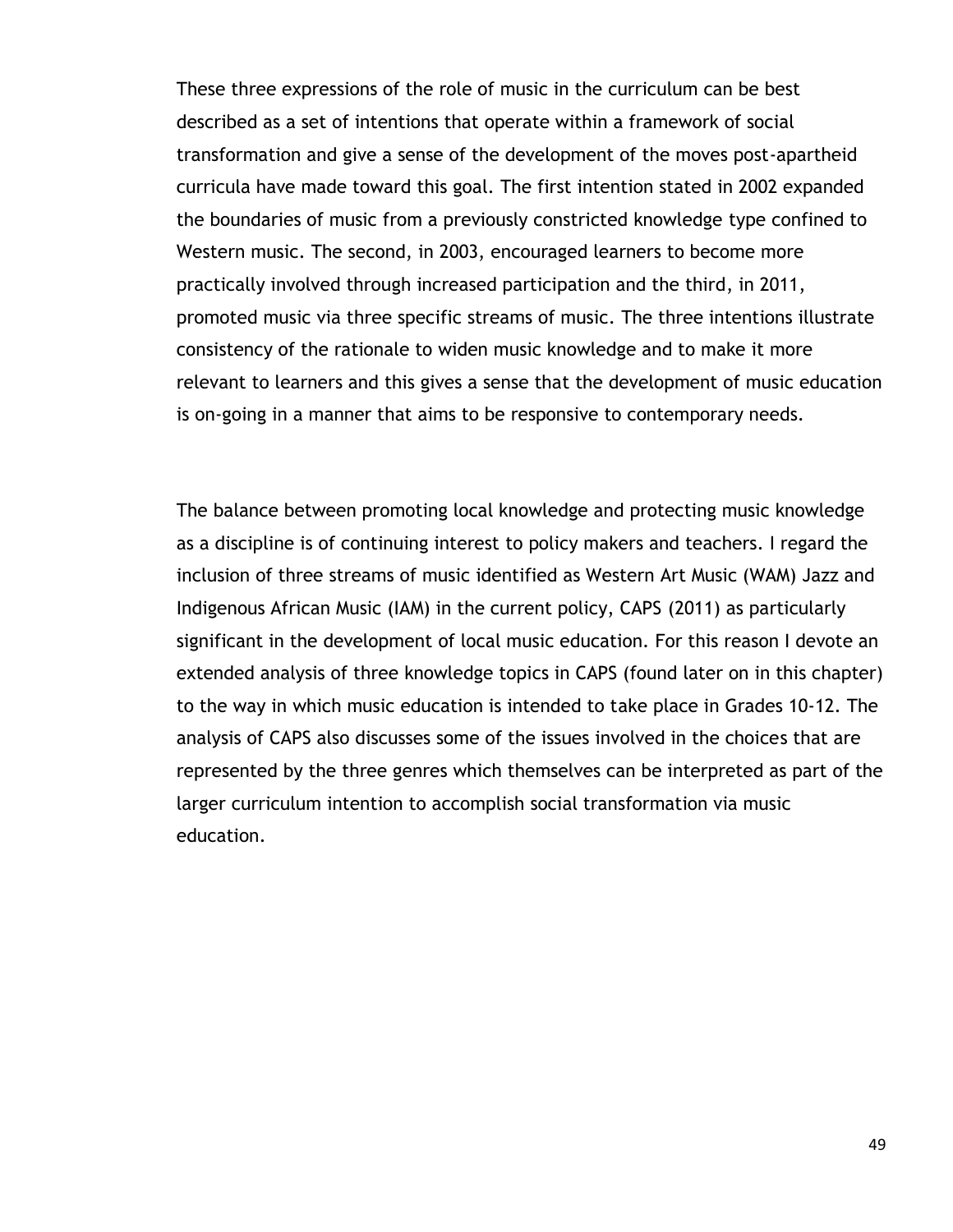These three expressions of the role of music in the curriculum can be best described as a set of intentions that operate within a framework of social transformation and give a sense of the development of the moves post-apartheid curricula have made toward this goal. The first intention stated in 2002 expanded the boundaries of music from a previously constricted knowledge type confined to Western music. The second, in 2003, encouraged learners to become more practically involved through increased participation and the third, in 2011, promoted music via three specific streams of music. The three intentions illustrate consistency of the rationale to widen music knowledge and to make it more relevant to learners and this gives a sense that the development of music education is on-going in a manner that aims to be responsive to contemporary needs.

The balance between promoting local knowledge and protecting music knowledge as a discipline is of continuing interest to policy makers and teachers. I regard the inclusion of three streams of music identified as Western Art Music (WAM) Jazz and Indigenous African Music (IAM) in the current policy, CAPS (2011) as particularly significant in the development of local music education. For this reason I devote an extended analysis of three knowledge topics in CAPS (found later on in this chapter) to the way in which music education is intended to take place in Grades 10-12. The analysis of CAPS also discusses some of the issues involved in the choices that are represented by the three genres which themselves can be interpreted as part of the larger curriculum intention to accomplish social transformation via music education.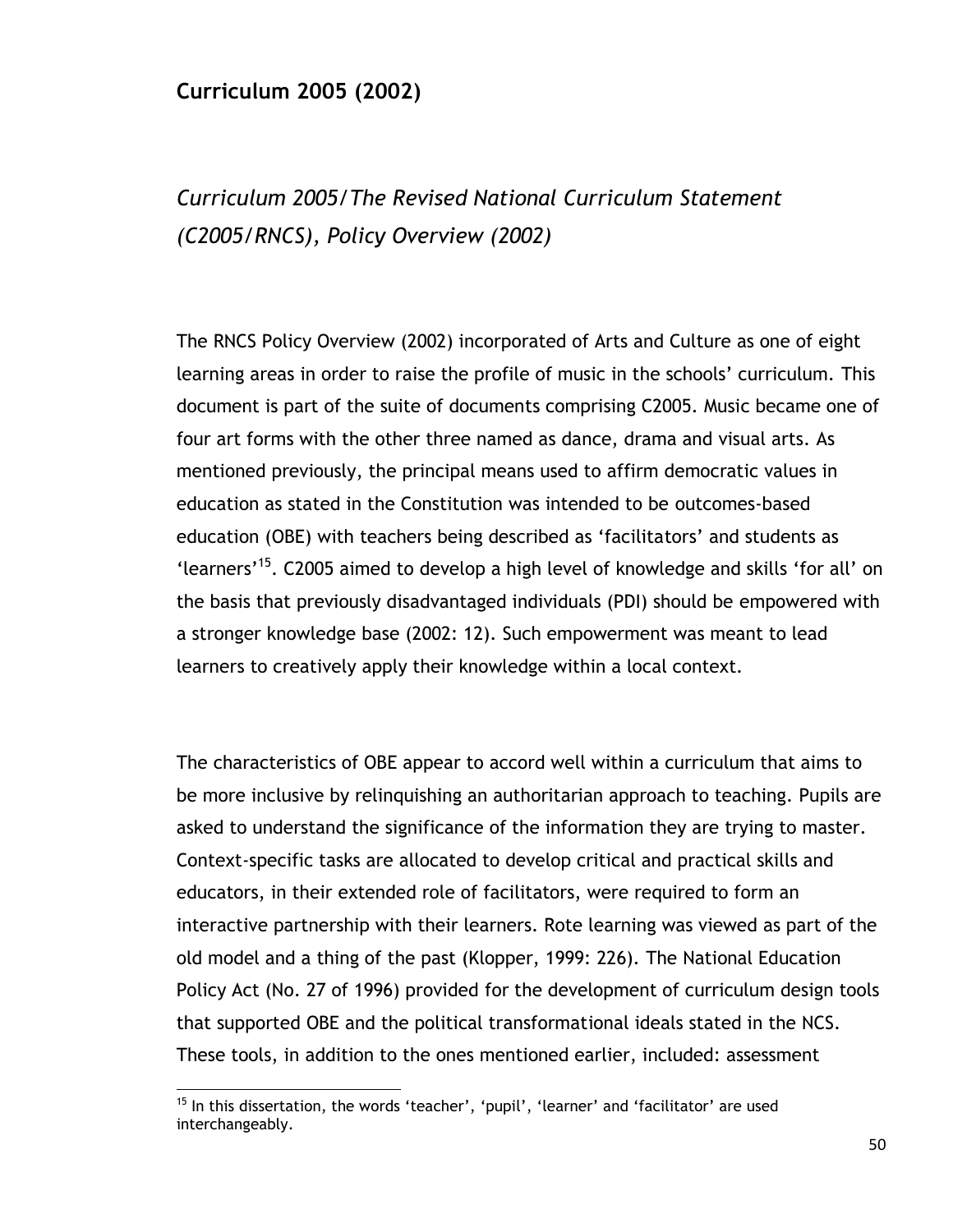## **Curriculum 2005 (2002)**

# *Curriculum 2005/The Revised National Curriculum Statement (C2005/RNCS), Policy Overview (2002)*

The RNCS Policy Overview (2002) incorporated of Arts and Culture as one of eight learning areas in order to raise the profile of music in the schools' curriculum. This document is part of the suite of documents comprising C2005. Music became one of four art forms with the other three named as dance, drama and visual arts. As mentioned previously, the principal means used to affirm democratic values in education as stated in the Constitution was intended to be outcomes-based education (OBE) with teachers being described as "facilitators" and students as 'learners'<sup>15</sup>. C2005 aimed to develop a high level of knowledge and skills 'for all' on the basis that previously disadvantaged individuals (PDI) should be empowered with a stronger knowledge base (2002: 12). Such empowerment was meant to lead learners to creatively apply their knowledge within a local context.

The characteristics of OBE appear to accord well within a curriculum that aims to be more inclusive by relinquishing an authoritarian approach to teaching. Pupils are asked to understand the significance of the information they are trying to master. Context-specific tasks are allocated to develop critical and practical skills and educators, in their extended role of facilitators, were required to form an interactive partnership with their learners. Rote learning was viewed as part of the old model and a thing of the past (Klopper, 1999: 226). The National Education Policy Act (No. 27 of 1996) provided for the development of curriculum design tools that supported OBE and the political transformational ideals stated in the NCS. These tools, in addition to the ones mentioned earlier, included: assessment

 $\overline{a}$ 

 $15$  In this dissertation, the words 'teacher', 'pupil', 'learner' and 'facilitator' are used interchangeably.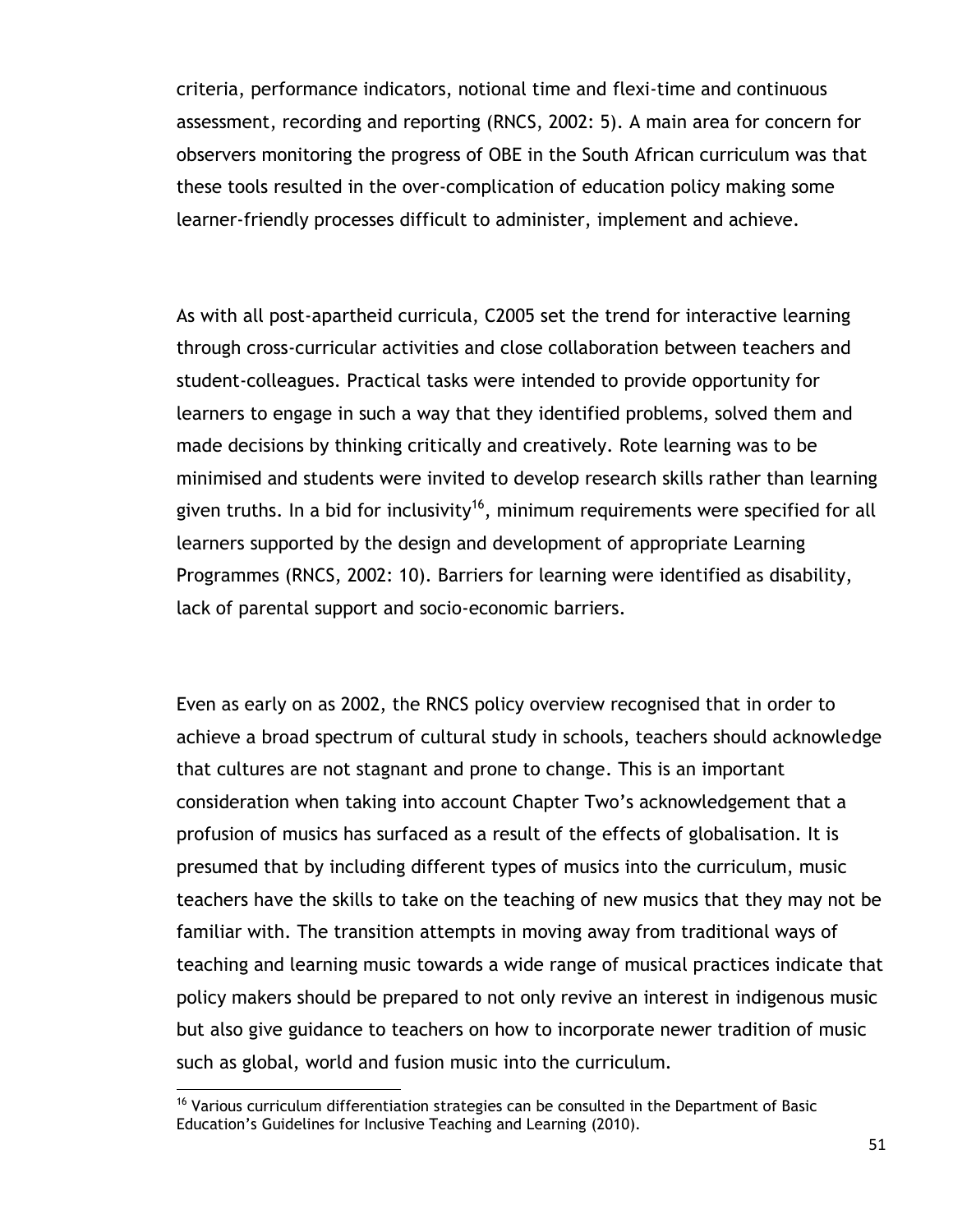criteria, performance indicators, notional time and flexi-time and continuous assessment, recording and reporting (RNCS, 2002: 5). A main area for concern for observers monitoring the progress of OBE in the South African curriculum was that these tools resulted in the over-complication of education policy making some learner-friendly processes difficult to administer, implement and achieve.

As with all post-apartheid curricula, C2005 set the trend for interactive learning through cross-curricular activities and close collaboration between teachers and student-colleagues. Practical tasks were intended to provide opportunity for learners to engage in such a way that they identified problems, solved them and made decisions by thinking critically and creatively. Rote learning was to be minimised and students were invited to develop research skills rather than learning given truths. In a bid for inclusivity<sup>16</sup>, minimum requirements were specified for all learners supported by the design and development of appropriate Learning Programmes (RNCS, 2002: 10). Barriers for learning were identified as disability, lack of parental support and socio-economic barriers.

Even as early on as 2002, the RNCS policy overview recognised that in order to achieve a broad spectrum of cultural study in schools, teachers should acknowledge that cultures are not stagnant and prone to change. This is an important consideration when taking into account Chapter Two"s acknowledgement that a profusion of musics has surfaced as a result of the effects of globalisation. It is presumed that by including different types of musics into the curriculum, music teachers have the skills to take on the teaching of new musics that they may not be familiar with. The transition attempts in moving away from traditional ways of teaching and learning music towards a wide range of musical practices indicate that policy makers should be prepared to not only revive an interest in indigenous music but also give guidance to teachers on how to incorporate newer tradition of music such as global, world and fusion music into the curriculum.

 $\overline{a}$ 

<sup>&</sup>lt;sup>16</sup> Various curriculum differentiation strategies can be consulted in the Department of Basic Education"s Guidelines for Inclusive Teaching and Learning (2010).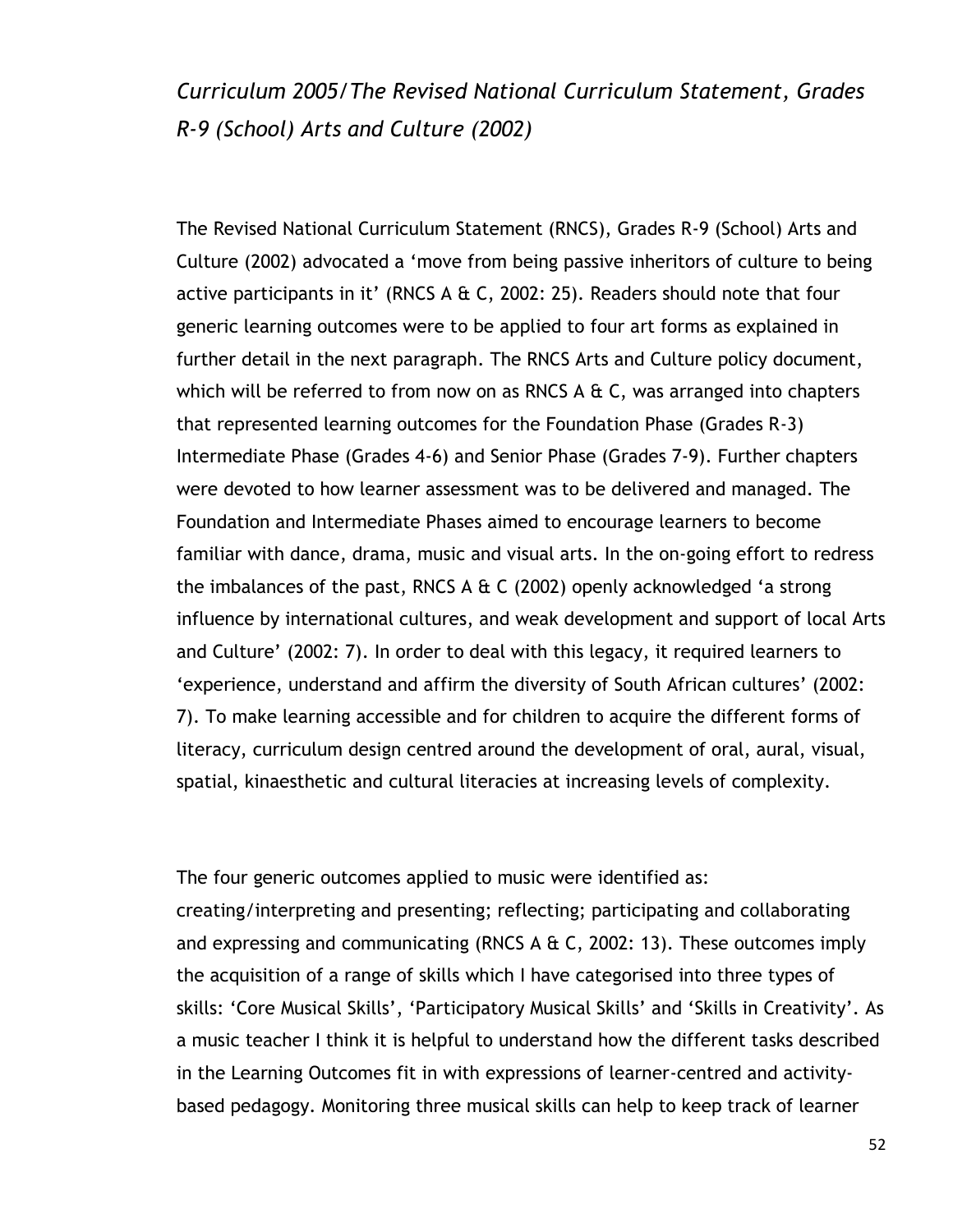*Curriculum 2005/The Revised National Curriculum Statement, Grades R-9 (School) Arts and Culture (2002)*

The Revised National Curriculum Statement (RNCS), Grades R-9 (School) Arts and Culture (2002) advocated a "move from being passive inheritors of culture to being active participants in it' (RNCS A  $\&$  C, 2002: 25). Readers should note that four generic learning outcomes were to be applied to four art forms as explained in further detail in the next paragraph. The RNCS Arts and Culture policy document, which will be referred to from now on as RNCS A & C, was arranged into chapters that represented learning outcomes for the Foundation Phase (Grades R-3) Intermediate Phase (Grades 4-6) and Senior Phase (Grades 7-9). Further chapters were devoted to how learner assessment was to be delivered and managed. The Foundation and Intermediate Phases aimed to encourage learners to become familiar with dance, drama, music and visual arts. In the on-going effort to redress the imbalances of the past, RNCS A  $\&$  C (2002) openly acknowledged 'a strong influence by international cultures, and weak development and support of local Arts and Culture' (2002: 7). In order to deal with this legacy, it required learners to "experience, understand and affirm the diversity of South African cultures" (2002: 7). To make learning accessible and for children to acquire the different forms of literacy, curriculum design centred around the development of oral, aural, visual, spatial, kinaesthetic and cultural literacies at increasing levels of complexity.

The four generic outcomes applied to music were identified as:

creating/interpreting and presenting; reflecting; participating and collaborating and expressing and communicating (RNCS A & C, 2002: 13). These outcomes imply the acquisition of a range of skills which I have categorised into three types of skills: "Core Musical Skills", "Participatory Musical Skills" and "Skills in Creativity". As a music teacher I think it is helpful to understand how the different tasks described in the Learning Outcomes fit in with expressions of learner-centred and activitybased pedagogy. Monitoring three musical skills can help to keep track of learner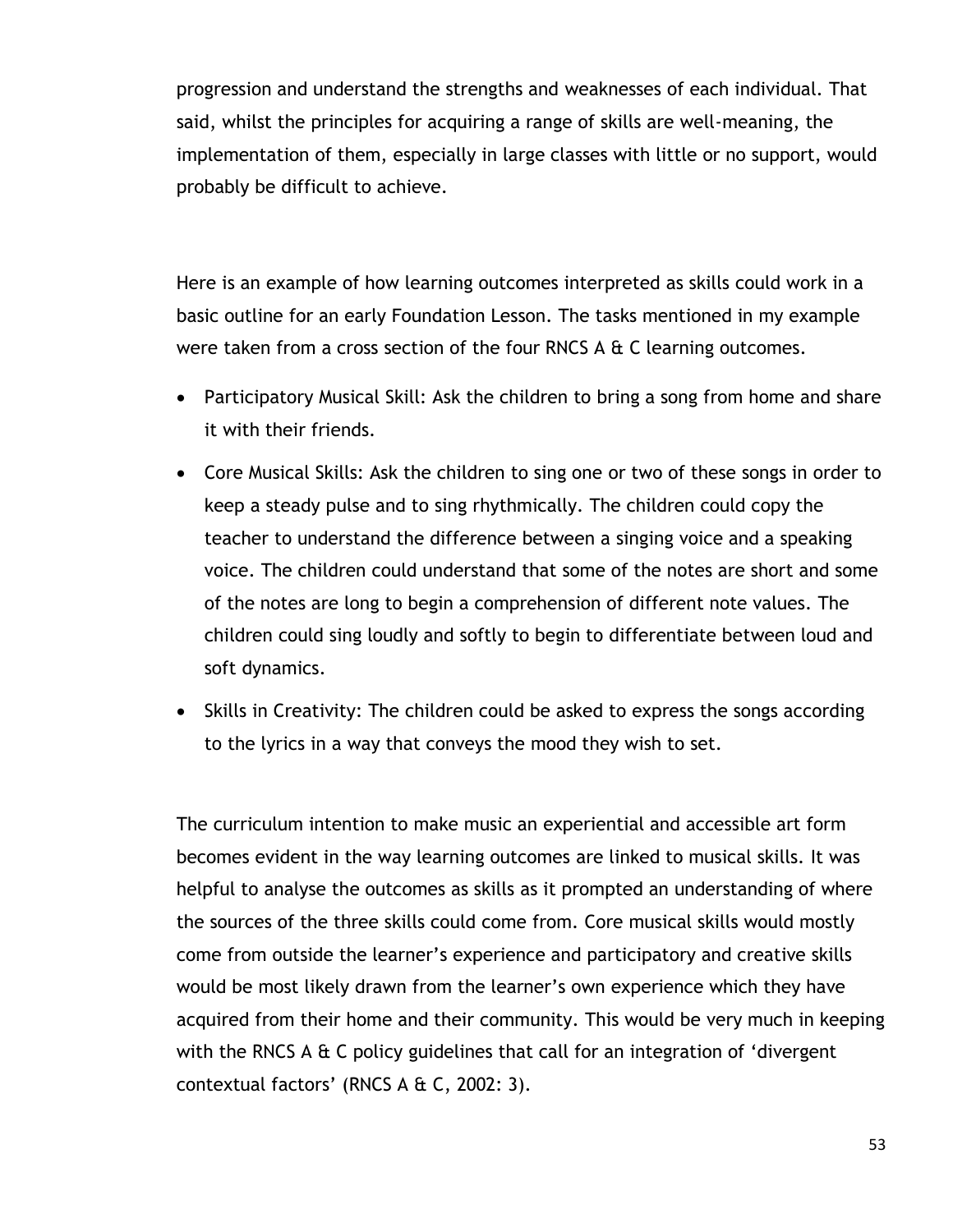progression and understand the strengths and weaknesses of each individual. That said, whilst the principles for acquiring a range of skills are well-meaning, the implementation of them, especially in large classes with little or no support, would probably be difficult to achieve.

Here is an example of how learning outcomes interpreted as skills could work in a basic outline for an early Foundation Lesson. The tasks mentioned in my example were taken from a cross section of the four RNCS A & C learning outcomes.

- Participatory Musical Skill: Ask the children to bring a song from home and share it with their friends.
- Core Musical Skills: Ask the children to sing one or two of these songs in order to keep a steady pulse and to sing rhythmically. The children could copy the teacher to understand the difference between a singing voice and a speaking voice. The children could understand that some of the notes are short and some of the notes are long to begin a comprehension of different note values. The children could sing loudly and softly to begin to differentiate between loud and soft dynamics.
- Skills in Creativity: The children could be asked to express the songs according to the lyrics in a way that conveys the mood they wish to set.

The curriculum intention to make music an experiential and accessible art form becomes evident in the way learning outcomes are linked to musical skills. It was helpful to analyse the outcomes as skills as it prompted an understanding of where the sources of the three skills could come from. Core musical skills would mostly come from outside the learner"s experience and participatory and creative skills would be most likely drawn from the learner"s own experience which they have acquired from their home and their community. This would be very much in keeping with the RNCS A & C policy guidelines that call for an integration of 'divergent contextual factors' (RNCS  $A \& C$ , 2002: 3).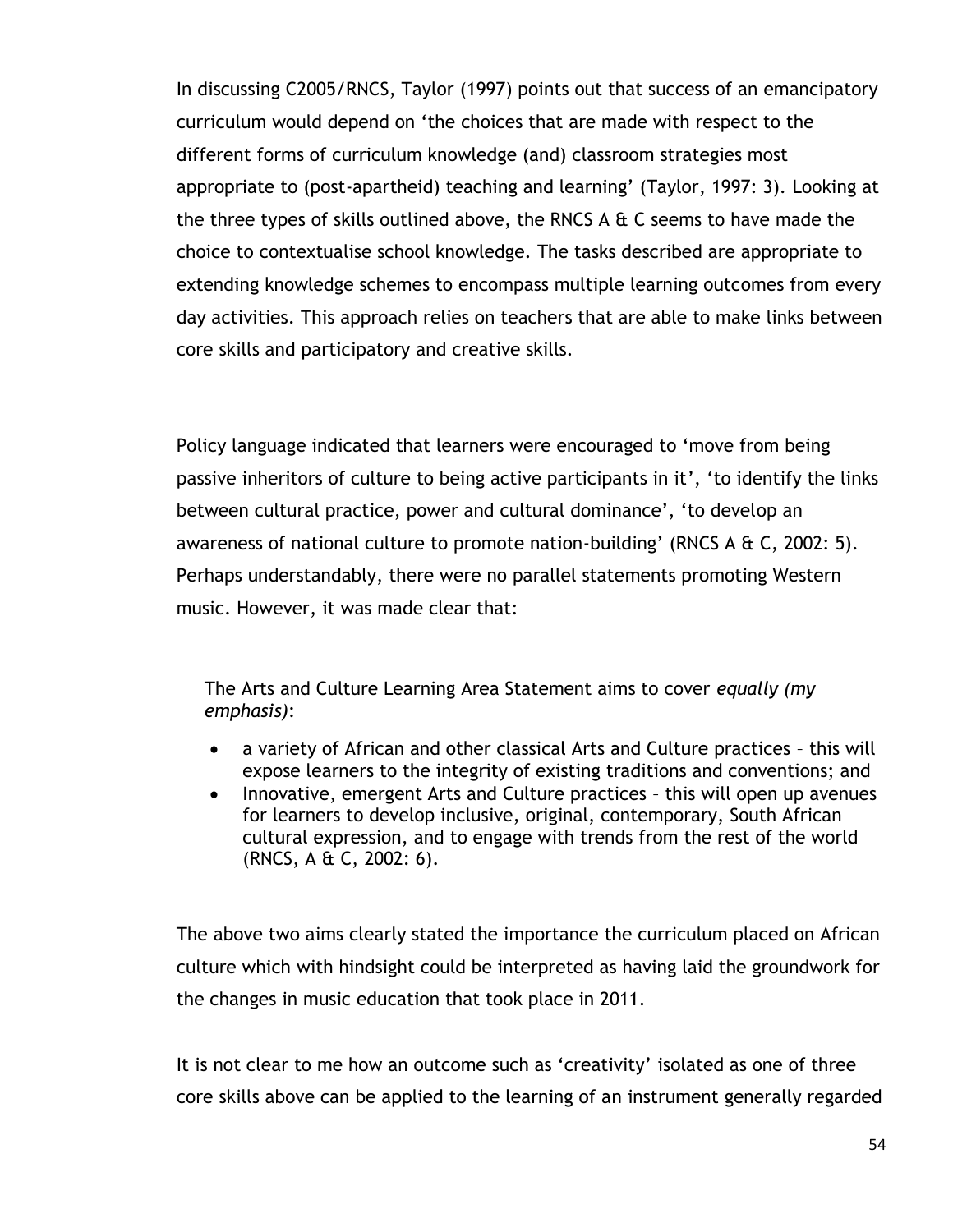In discussing C2005/RNCS, Taylor (1997) points out that success of an emancipatory curriculum would depend on "the choices that are made with respect to the different forms of curriculum knowledge (and) classroom strategies most appropriate to (post-apartheid) teaching and learning" (Taylor, 1997: 3). Looking at the three types of skills outlined above, the RNCS A & C seems to have made the choice to contextualise school knowledge. The tasks described are appropriate to extending knowledge schemes to encompass multiple learning outcomes from every day activities. This approach relies on teachers that are able to make links between core skills and participatory and creative skills.

Policy language indicated that learners were encouraged to "move from being passive inheritors of culture to being active participants in it', 'to identify the links between cultural practice, power and cultural dominance", "to develop an awareness of national culture to promote nation-building' (RNCS A  $\&$  C, 2002: 5). Perhaps understandably, there were no parallel statements promoting Western music. However, it was made clear that:

The Arts and Culture Learning Area Statement aims to cover *equally (my emphasis)*:

- a variety of African and other classical Arts and Culture practices this will expose learners to the integrity of existing traditions and conventions; and
- Innovative, emergent Arts and Culture practices this will open up avenues for learners to develop inclusive, original, contemporary, South African cultural expression, and to engage with trends from the rest of the world (RNCS, A & C, 2002: 6).

The above two aims clearly stated the importance the curriculum placed on African culture which with hindsight could be interpreted as having laid the groundwork for the changes in music education that took place in 2011.

It is not clear to me how an outcome such as "creativity" isolated as one of three core skills above can be applied to the learning of an instrument generally regarded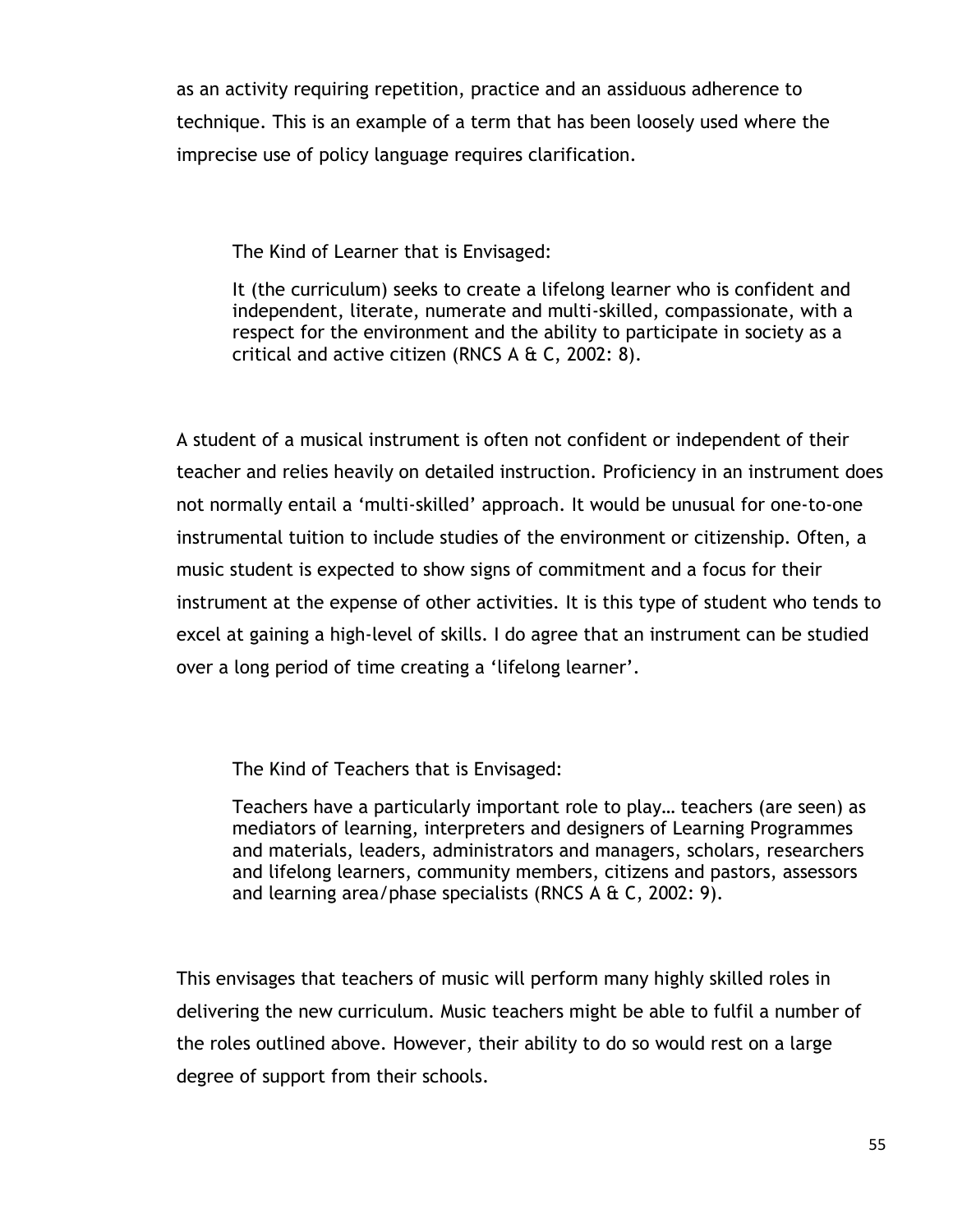as an activity requiring repetition, practice and an assiduous adherence to technique. This is an example of a term that has been loosely used where the imprecise use of policy language requires clarification.

The Kind of Learner that is Envisaged:

It (the curriculum) seeks to create a lifelong learner who is confident and independent, literate, numerate and multi-skilled, compassionate, with a respect for the environment and the ability to participate in society as a critical and active citizen (RNCS  $A \& C$ , 2002: 8).

A student of a musical instrument is often not confident or independent of their teacher and relies heavily on detailed instruction. Proficiency in an instrument does not normally entail a "multi-skilled" approach. It would be unusual for one-to-one instrumental tuition to include studies of the environment or citizenship. Often, a music student is expected to show signs of commitment and a focus for their instrument at the expense of other activities. It is this type of student who tends to excel at gaining a high-level of skills. I do agree that an instrument can be studied over a long period of time creating a "lifelong learner".

The Kind of Teachers that is Envisaged:

Teachers have a particularly important role to play… teachers (are seen) as mediators of learning, interpreters and designers of Learning Programmes and materials, leaders, administrators and managers, scholars, researchers and lifelong learners, community members, citizens and pastors, assessors and learning area/phase specialists (RNCS A & C, 2002: 9).

This envisages that teachers of music will perform many highly skilled roles in delivering the new curriculum. Music teachers might be able to fulfil a number of the roles outlined above. However, their ability to do so would rest on a large degree of support from their schools.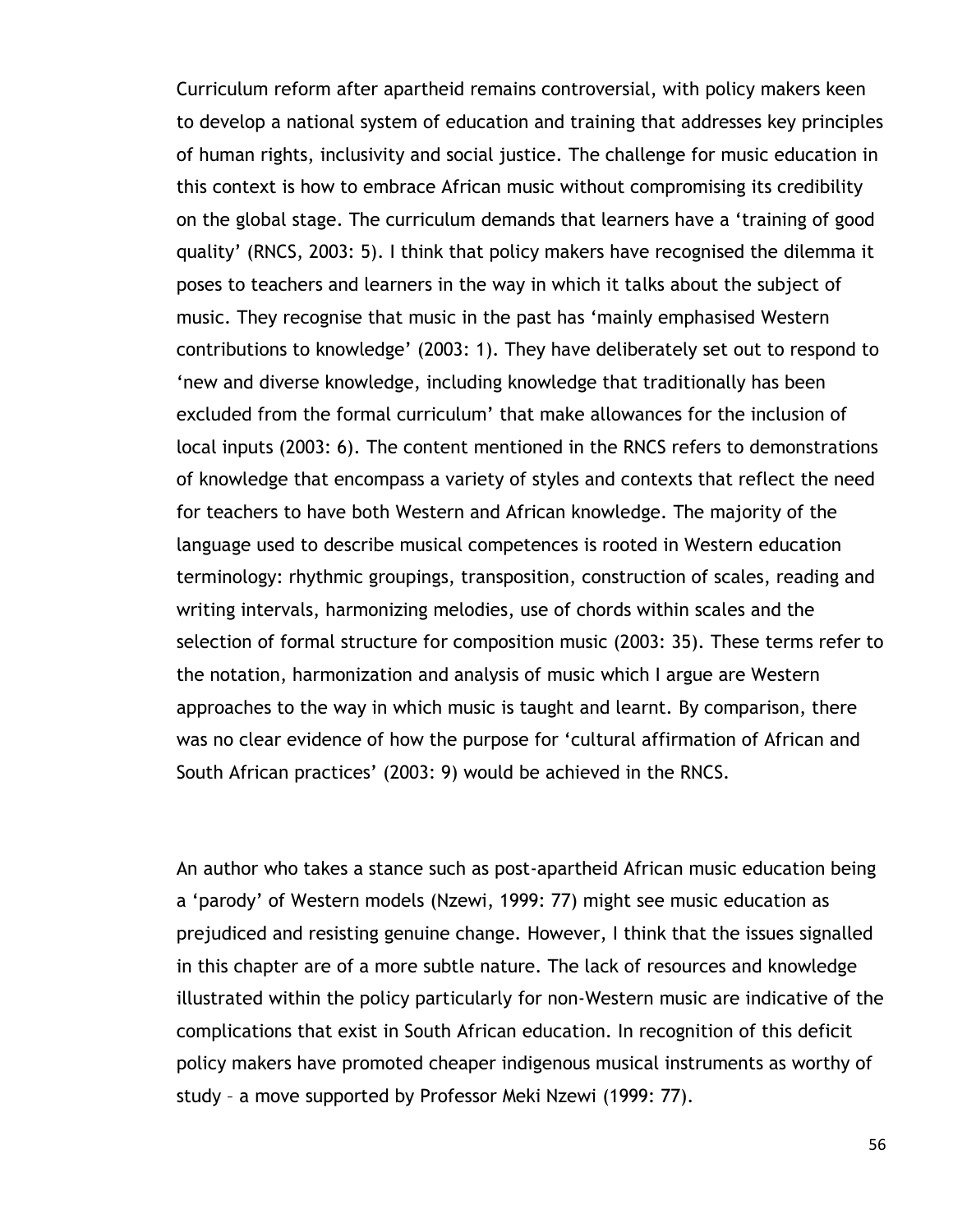Curriculum reform after apartheid remains controversial, with policy makers keen to develop a national system of education and training that addresses key principles of human rights, inclusivity and social justice. The challenge for music education in this context is how to embrace African music without compromising its credibility on the global stage. The curriculum demands that learners have a "training of good quality" (RNCS, 2003: 5). I think that policy makers have recognised the dilemma it poses to teachers and learners in the way in which it talks about the subject of music. They recognise that music in the past has "mainly emphasised Western contributions to knowledge" (2003: 1). They have deliberately set out to respond to "new and diverse knowledge, including knowledge that traditionally has been excluded from the formal curriculum" that make allowances for the inclusion of local inputs (2003: 6). The content mentioned in the RNCS refers to demonstrations of knowledge that encompass a variety of styles and contexts that reflect the need for teachers to have both Western and African knowledge. The majority of the language used to describe musical competences is rooted in Western education terminology: rhythmic groupings, transposition, construction of scales, reading and writing intervals, harmonizing melodies, use of chords within scales and the selection of formal structure for composition music (2003: 35). These terms refer to the notation, harmonization and analysis of music which I argue are Western approaches to the way in which music is taught and learnt. By comparison, there was no clear evidence of how the purpose for "cultural affirmation of African and South African practices' (2003: 9) would be achieved in the RNCS.

An author who takes a stance such as post-apartheid African music education being a "parody" of Western models (Nzewi, 1999: 77) might see music education as prejudiced and resisting genuine change. However, I think that the issues signalled in this chapter are of a more subtle nature. The lack of resources and knowledge illustrated within the policy particularly for non-Western music are indicative of the complications that exist in South African education. In recognition of this deficit policy makers have promoted cheaper indigenous musical instruments as worthy of study – a move supported by Professor Meki Nzewi (1999: 77).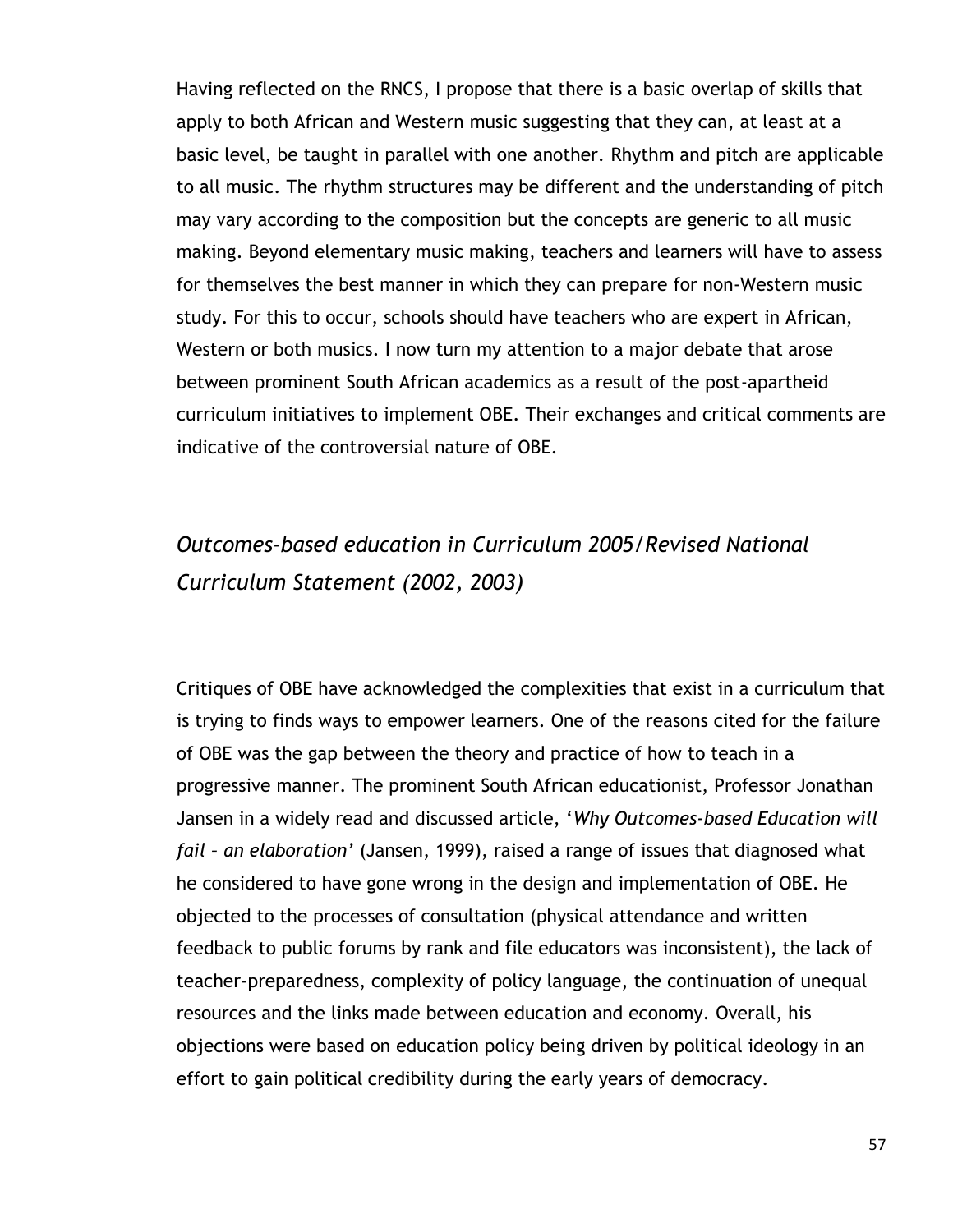Having reflected on the RNCS, I propose that there is a basic overlap of skills that apply to both African and Western music suggesting that they can, at least at a basic level, be taught in parallel with one another. Rhythm and pitch are applicable to all music. The rhythm structures may be different and the understanding of pitch may vary according to the composition but the concepts are generic to all music making. Beyond elementary music making, teachers and learners will have to assess for themselves the best manner in which they can prepare for non-Western music study. For this to occur, schools should have teachers who are expert in African, Western or both musics. I now turn my attention to a major debate that arose between prominent South African academics as a result of the post-apartheid curriculum initiatives to implement OBE. Their exchanges and critical comments are indicative of the controversial nature of OBE.

# *Outcomes-based education in Curriculum 2005/Revised National Curriculum Statement (2002, 2003)*

Critiques of OBE have acknowledged the complexities that exist in a curriculum that is trying to finds ways to empower learners. One of the reasons cited for the failure of OBE was the gap between the theory and practice of how to teach in a progressive manner. The prominent South African educationist, Professor Jonathan Jansen in a widely read and discussed article, "*Why Outcomes-based Education will fail – an elaboration'* (Jansen, 1999), raised a range of issues that diagnosed what he considered to have gone wrong in the design and implementation of OBE. He objected to the processes of consultation (physical attendance and written feedback to public forums by rank and file educators was inconsistent), the lack of teacher-preparedness, complexity of policy language, the continuation of unequal resources and the links made between education and economy. Overall, his objections were based on education policy being driven by political ideology in an effort to gain political credibility during the early years of democracy.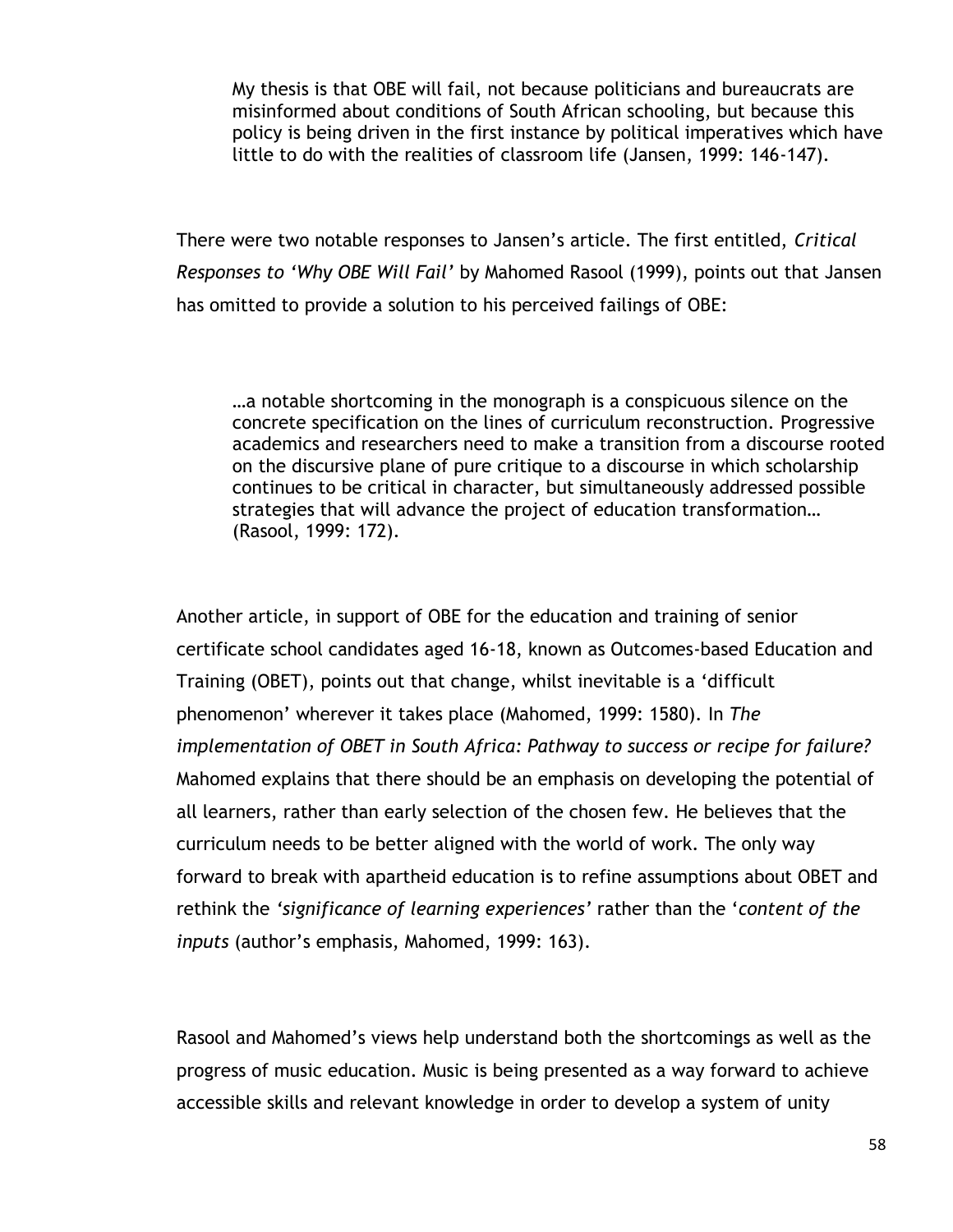My thesis is that OBE will fail, not because politicians and bureaucrats are misinformed about conditions of South African schooling, but because this policy is being driven in the first instance by political imperatives which have little to do with the realities of classroom life (Jansen, 1999: 146-147).

There were two notable responses to Jansen"s article. The first entitled, *Critical Responses to 'Why OBE Will Fail'* by Mahomed Rasool (1999), points out that Jansen has omitted to provide a solution to his perceived failings of OBE:

…a notable shortcoming in the monograph is a conspicuous silence on the concrete specification on the lines of curriculum reconstruction. Progressive academics and researchers need to make a transition from a discourse rooted on the discursive plane of pure critique to a discourse in which scholarship continues to be critical in character, but simultaneously addressed possible strategies that will advance the project of education transformation… (Rasool, 1999: 172).

Another article, in support of OBE for the education and training of senior certificate school candidates aged 16-18, known as Outcomes-based Education and Training (OBET), points out that change, whilst inevitable is a "difficult phenomenon" wherever it takes place (Mahomed, 1999: 1580). In *The implementation of OBET in South Africa: Pathway to success or recipe for failure?* Mahomed explains that there should be an emphasis on developing the potential of all learners, rather than early selection of the chosen few. He believes that the curriculum needs to be better aligned with the world of work. The only way forward to break with apartheid education is to refine assumptions about OBET and rethink the *'significance of learning experiences'* rather than the "*content of the inputs* (author"s emphasis, Mahomed, 1999: 163).

Rasool and Mahomed"s views help understand both the shortcomings as well as the progress of music education. Music is being presented as a way forward to achieve accessible skills and relevant knowledge in order to develop a system of unity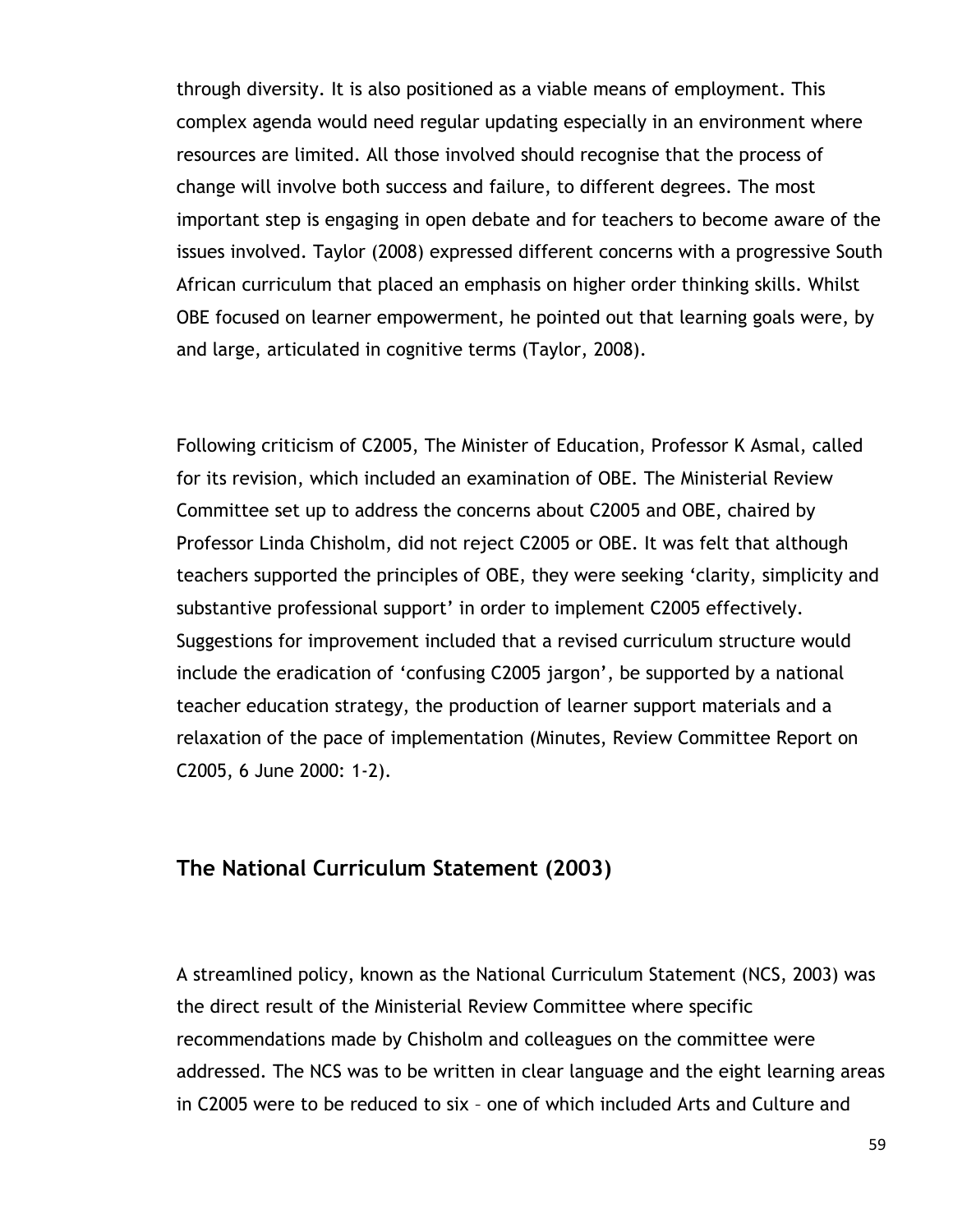through diversity. It is also positioned as a viable means of employment. This complex agenda would need regular updating especially in an environment where resources are limited. All those involved should recognise that the process of change will involve both success and failure, to different degrees. The most important step is engaging in open debate and for teachers to become aware of the issues involved. Taylor (2008) expressed different concerns with a progressive South African curriculum that placed an emphasis on higher order thinking skills. Whilst OBE focused on learner empowerment, he pointed out that learning goals were, by and large, articulated in cognitive terms (Taylor, 2008).

Following criticism of C2005, The Minister of Education, Professor K Asmal, called for its revision, which included an examination of OBE. The Ministerial Review Committee set up to address the concerns about C2005 and OBE, chaired by Professor Linda Chisholm, did not reject C2005 or OBE. It was felt that although teachers supported the principles of OBE, they were seeking "clarity, simplicity and substantive professional support' in order to implement C2005 effectively. Suggestions for improvement included that a revised curriculum structure would include the eradication of "confusing C2005 jargon", be supported by a national teacher education strategy, the production of learner support materials and a relaxation of the pace of implementation (Minutes, Review Committee Report on C2005, 6 June 2000: 1-2).

#### **The National Curriculum Statement (2003)**

A streamlined policy, known as the National Curriculum Statement (NCS, 2003) was the direct result of the Ministerial Review Committee where specific recommendations made by Chisholm and colleagues on the committee were addressed. The NCS was to be written in clear language and the eight learning areas in C2005 were to be reduced to six – one of which included Arts and Culture and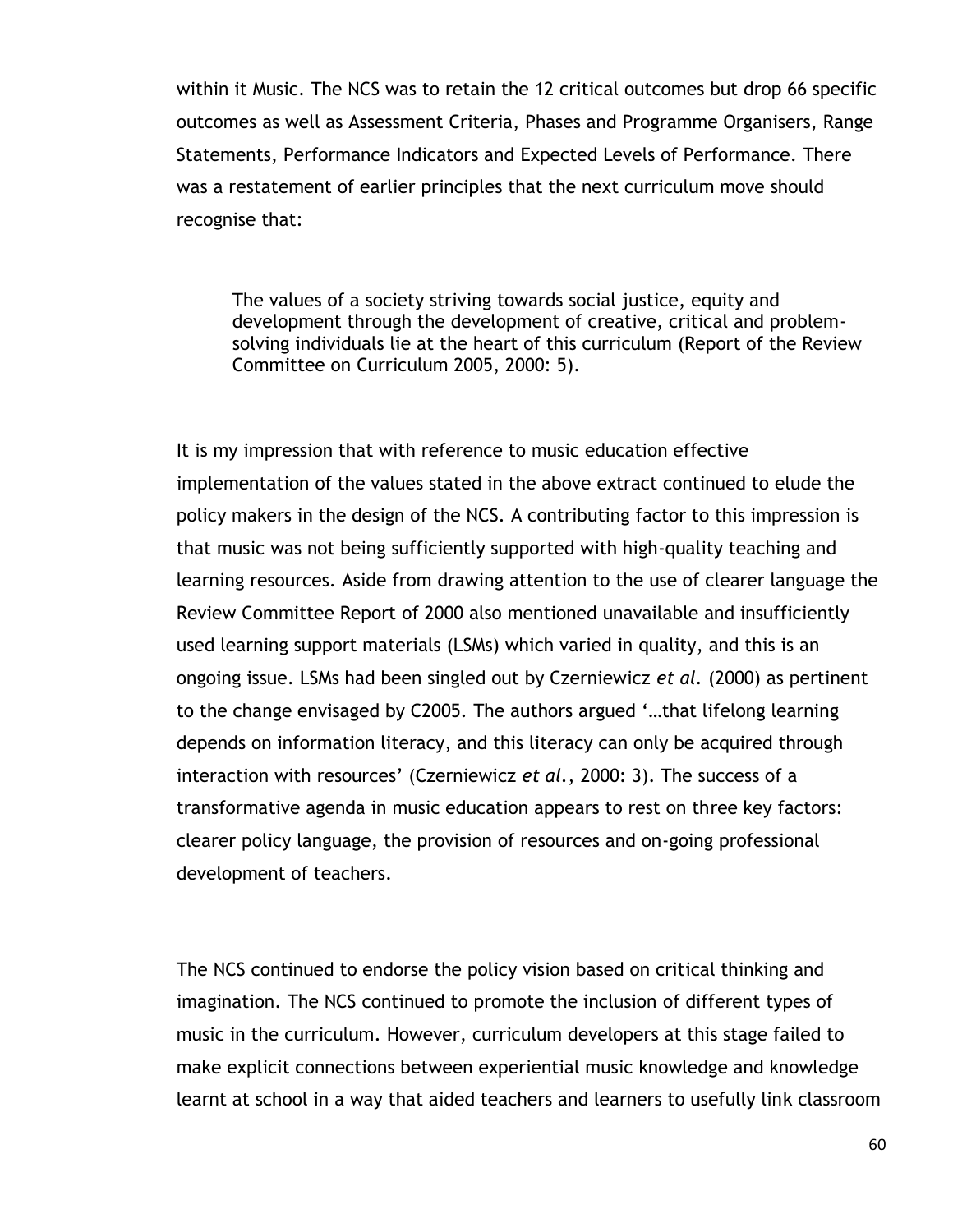within it Music. The NCS was to retain the 12 critical outcomes but drop 66 specific outcomes as well as Assessment Criteria, Phases and Programme Organisers, Range Statements, Performance Indicators and Expected Levels of Performance. There was a restatement of earlier principles that the next curriculum move should recognise that:

The values of a society striving towards social justice, equity and development through the development of creative, critical and problemsolving individuals lie at the heart of this curriculum (Report of the Review Committee on Curriculum 2005, 2000: 5).

It is my impression that with reference to music education effective implementation of the values stated in the above extract continued to elude the policy makers in the design of the NCS. A contributing factor to this impression is that music was not being sufficiently supported with high-quality teaching and learning resources. Aside from drawing attention to the use of clearer language the Review Committee Report of 2000 also mentioned unavailable and insufficiently used learning support materials (LSMs) which varied in quality, and this is an ongoing issue. LSMs had been singled out by Czerniewicz *et al.* (2000) as pertinent to the change envisaged by C2005. The authors argued "…that lifelong learning depends on information literacy, and this literacy can only be acquired through interaction with resources' (Czerniewicz et al., 2000: 3). The success of a transformative agenda in music education appears to rest on three key factors: clearer policy language, the provision of resources and on-going professional development of teachers.

The NCS continued to endorse the policy vision based on critical thinking and imagination. The NCS continued to promote the inclusion of different types of music in the curriculum. However, curriculum developers at this stage failed to make explicit connections between experiential music knowledge and knowledge learnt at school in a way that aided teachers and learners to usefully link classroom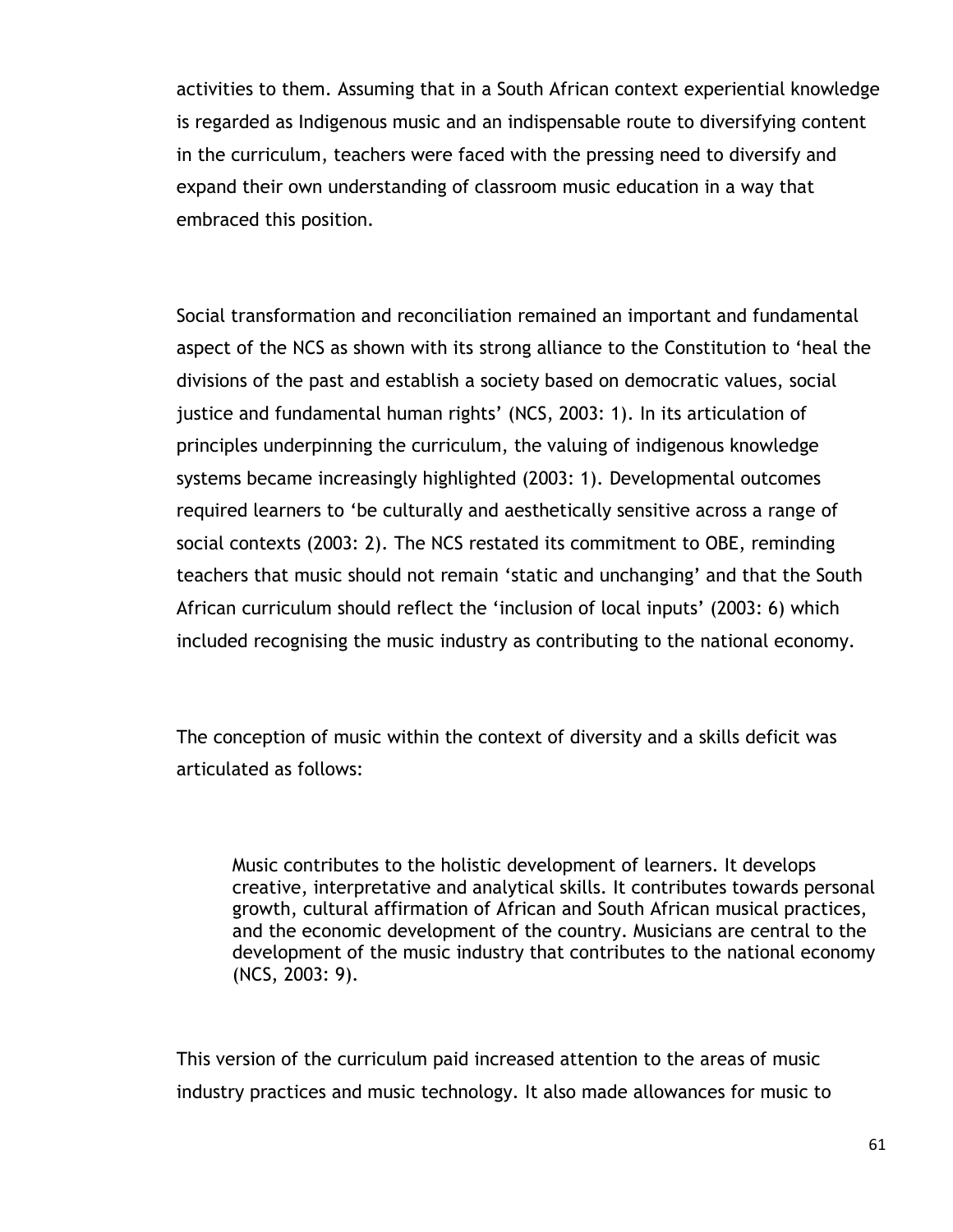activities to them. Assuming that in a South African context experiential knowledge is regarded as Indigenous music and an indispensable route to diversifying content in the curriculum, teachers were faced with the pressing need to diversify and expand their own understanding of classroom music education in a way that embraced this position.

Social transformation and reconciliation remained an important and fundamental aspect of the NCS as shown with its strong alliance to the Constitution to "heal the divisions of the past and establish a society based on democratic values, social justice and fundamental human rights' (NCS, 2003: 1). In its articulation of principles underpinning the curriculum, the valuing of indigenous knowledge systems became increasingly highlighted (2003: 1). Developmental outcomes required learners to "be culturally and aesthetically sensitive across a range of social contexts (2003: 2). The NCS restated its commitment to OBE, reminding teachers that music should not remain "static and unchanging" and that the South African curriculum should reflect the "inclusion of local inputs" (2003: 6) which included recognising the music industry as contributing to the national economy.

The conception of music within the context of diversity and a skills deficit was articulated as follows:

Music contributes to the holistic development of learners. It develops creative, interpretative and analytical skills. It contributes towards personal growth, cultural affirmation of African and South African musical practices, and the economic development of the country. Musicians are central to the development of the music industry that contributes to the national economy (NCS, 2003: 9).

This version of the curriculum paid increased attention to the areas of music industry practices and music technology. It also made allowances for music to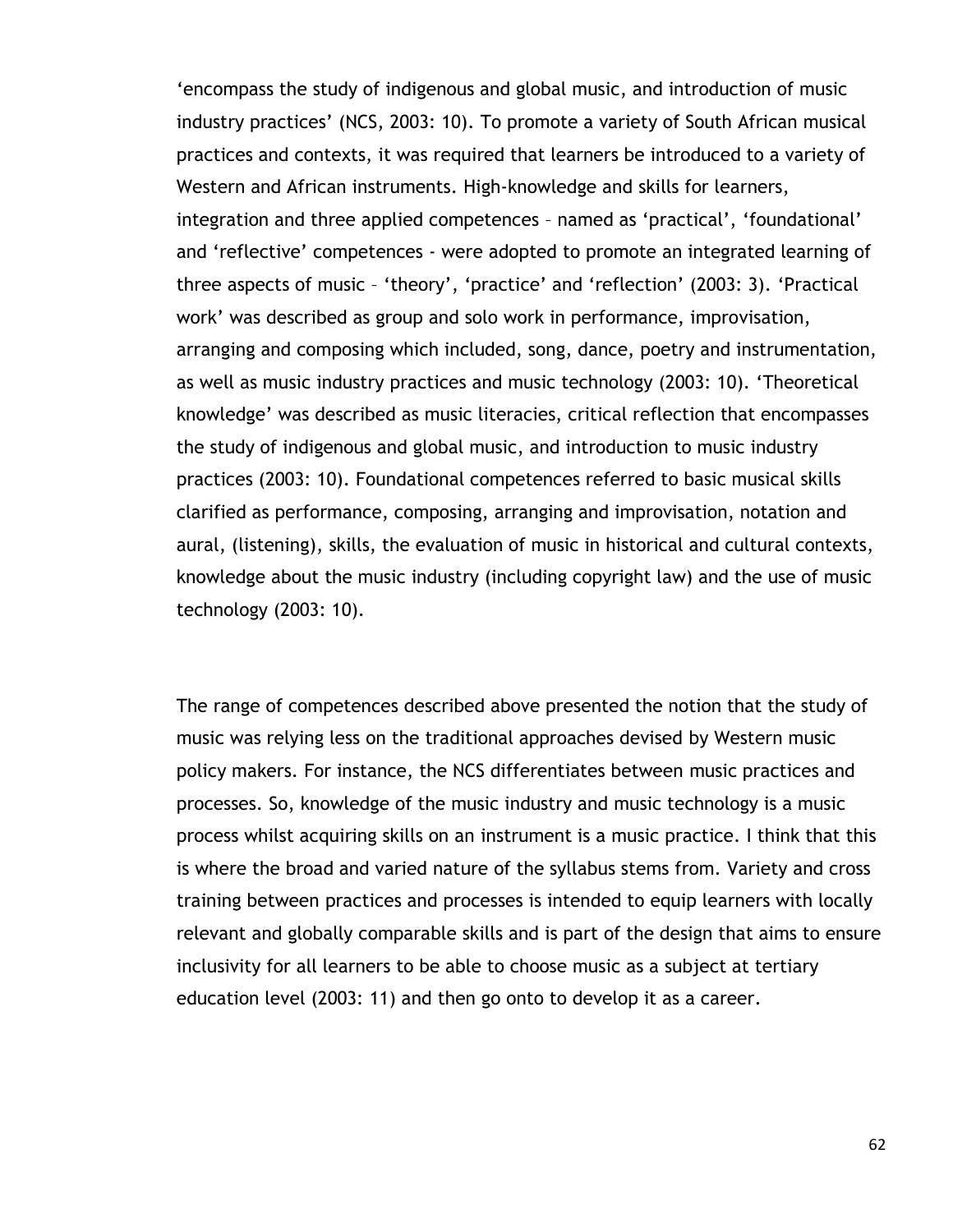"encompass the study of indigenous and global music, and introduction of music industry practices' (NCS, 2003: 10). To promote a variety of South African musical practices and contexts, it was required that learners be introduced to a variety of Western and African instruments. High-knowledge and skills for learners, integration and three applied competences - named as 'practical', 'foundational' and 'reflective' competences - were adopted to promote an integrated learning of three aspects of music – "theory", "practice" and "reflection" (2003: 3). "Practical work" was described as group and solo work in performance, improvisation, arranging and composing which included, song, dance, poetry and instrumentation, as well as music industry practices and music technology (2003: 10). "Theoretical knowledge" was described as music literacies, critical reflection that encompasses the study of indigenous and global music, and introduction to music industry practices (2003: 10). Foundational competences referred to basic musical skills clarified as performance, composing, arranging and improvisation, notation and aural, (listening), skills, the evaluation of music in historical and cultural contexts, knowledge about the music industry (including copyright law) and the use of music technology (2003: 10).

The range of competences described above presented the notion that the study of music was relying less on the traditional approaches devised by Western music policy makers. For instance, the NCS differentiates between music practices and processes. So, knowledge of the music industry and music technology is a music process whilst acquiring skills on an instrument is a music practice. I think that this is where the broad and varied nature of the syllabus stems from. Variety and cross training between practices and processes is intended to equip learners with locally relevant and globally comparable skills and is part of the design that aims to ensure inclusivity for all learners to be able to choose music as a subject at tertiary education level (2003: 11) and then go onto to develop it as a career.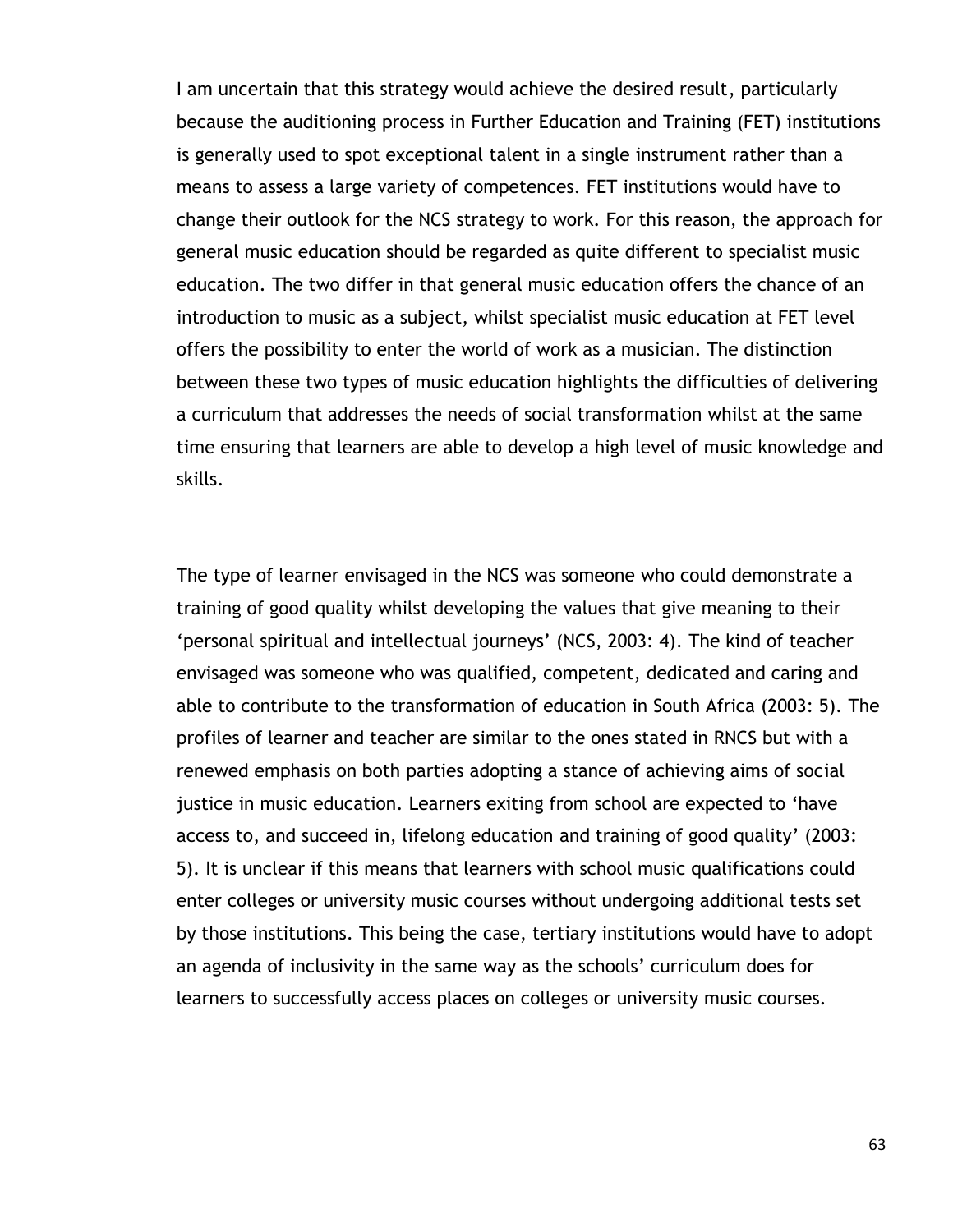I am uncertain that this strategy would achieve the desired result, particularly because the auditioning process in Further Education and Training (FET) institutions is generally used to spot exceptional talent in a single instrument rather than a means to assess a large variety of competences. FET institutions would have to change their outlook for the NCS strategy to work. For this reason, the approach for general music education should be regarded as quite different to specialist music education. The two differ in that general music education offers the chance of an introduction to music as a subject, whilst specialist music education at FET level offers the possibility to enter the world of work as a musician. The distinction between these two types of music education highlights the difficulties of delivering a curriculum that addresses the needs of social transformation whilst at the same time ensuring that learners are able to develop a high level of music knowledge and skills.

The type of learner envisaged in the NCS was someone who could demonstrate a training of good quality whilst developing the values that give meaning to their "personal spiritual and intellectual journeys" (NCS, 2003: 4). The kind of teacher envisaged was someone who was qualified, competent, dedicated and caring and able to contribute to the transformation of education in South Africa (2003: 5). The profiles of learner and teacher are similar to the ones stated in RNCS but with a renewed emphasis on both parties adopting a stance of achieving aims of social justice in music education. Learners exiting from school are expected to "have access to, and succeed in, lifelong education and training of good quality" (2003: 5). It is unclear if this means that learners with school music qualifications could enter colleges or university music courses without undergoing additional tests set by those institutions. This being the case, tertiary institutions would have to adopt an agenda of inclusivity in the same way as the schools' curriculum does for learners to successfully access places on colleges or university music courses.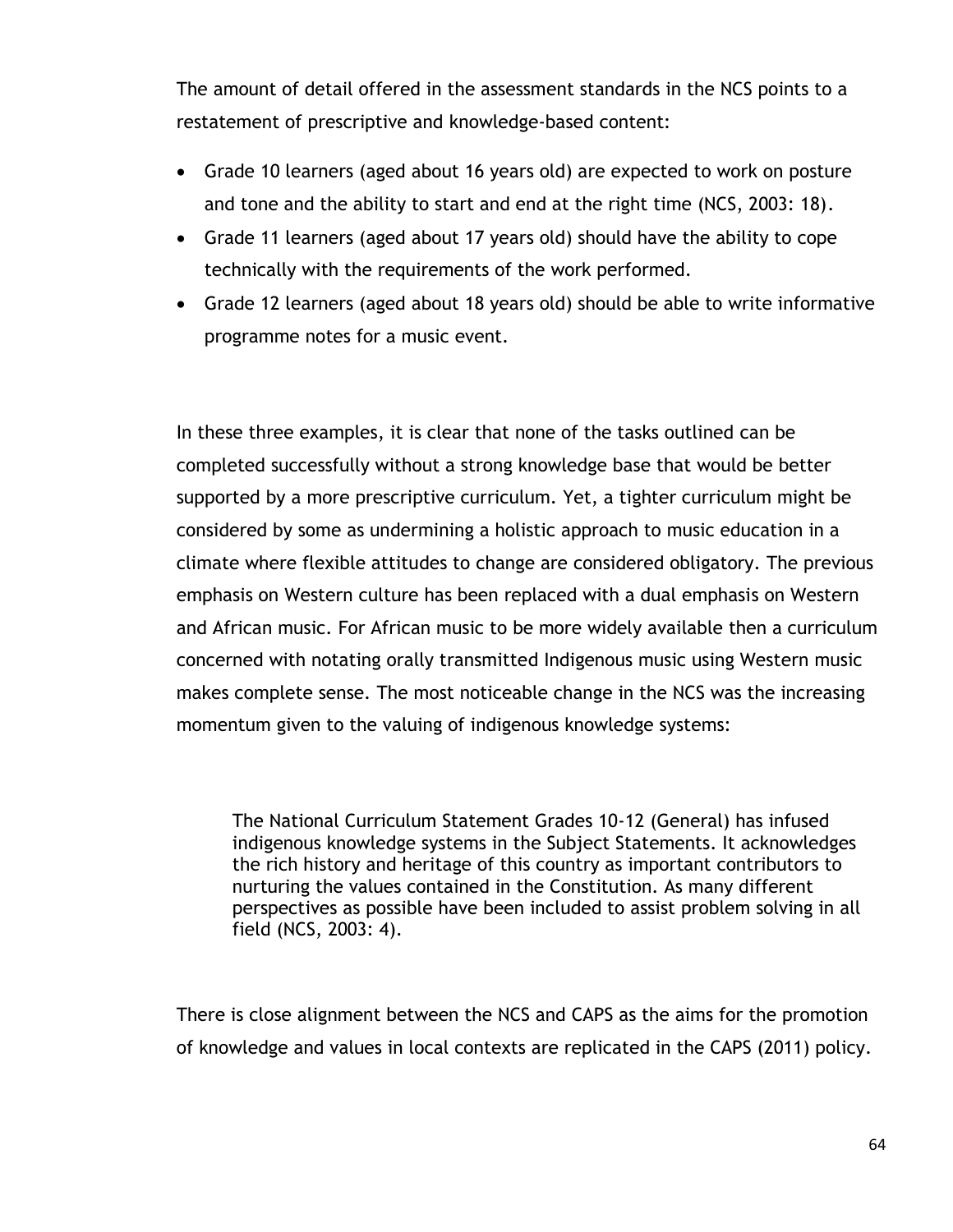The amount of detail offered in the assessment standards in the NCS points to a restatement of prescriptive and knowledge-based content:

- Grade 10 learners (aged about 16 years old) are expected to work on posture and tone and the ability to start and end at the right time (NCS, 2003: 18).
- Grade 11 learners (aged about 17 years old) should have the ability to cope technically with the requirements of the work performed.
- Grade 12 learners (aged about 18 years old) should be able to write informative programme notes for a music event.

In these three examples, it is clear that none of the tasks outlined can be completed successfully without a strong knowledge base that would be better supported by a more prescriptive curriculum. Yet, a tighter curriculum might be considered by some as undermining a holistic approach to music education in a climate where flexible attitudes to change are considered obligatory. The previous emphasis on Western culture has been replaced with a dual emphasis on Western and African music. For African music to be more widely available then a curriculum concerned with notating orally transmitted Indigenous music using Western music makes complete sense. The most noticeable change in the NCS was the increasing momentum given to the valuing of indigenous knowledge systems:

The National Curriculum Statement Grades 10-12 (General) has infused indigenous knowledge systems in the Subject Statements. It acknowledges the rich history and heritage of this country as important contributors to nurturing the values contained in the Constitution. As many different perspectives as possible have been included to assist problem solving in all field (NCS, 2003: 4).

There is close alignment between the NCS and CAPS as the aims for the promotion of knowledge and values in local contexts are replicated in the CAPS (2011) policy.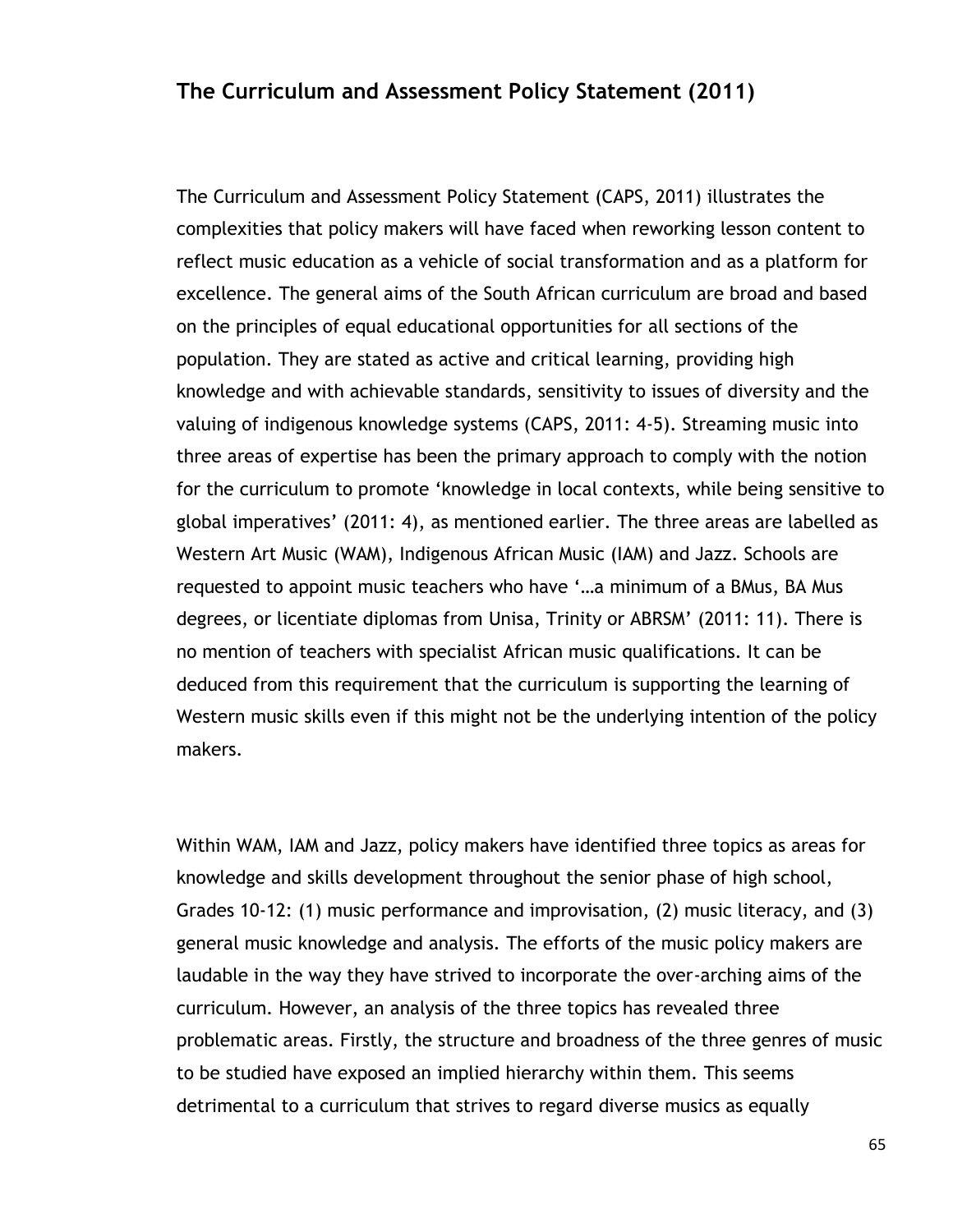## **The Curriculum and Assessment Policy Statement (2011)**

The Curriculum and Assessment Policy Statement (CAPS, 2011) illustrates the complexities that policy makers will have faced when reworking lesson content to reflect music education as a vehicle of social transformation and as a platform for excellence. The general aims of the South African curriculum are broad and based on the principles of equal educational opportunities for all sections of the population. They are stated as active and critical learning, providing high knowledge and with achievable standards, sensitivity to issues of diversity and the valuing of indigenous knowledge systems (CAPS, 2011: 4-5). Streaming music into three areas of expertise has been the primary approach to comply with the notion for the curriculum to promote "knowledge in local contexts, while being sensitive to global imperatives" (2011: 4), as mentioned earlier. The three areas are labelled as Western Art Music (WAM), Indigenous African Music (IAM) and Jazz. Schools are requested to appoint music teachers who have "…a minimum of a BMus, BA Mus degrees, or licentiate diplomas from Unisa, Trinity or ABRSM' (2011: 11). There is no mention of teachers with specialist African music qualifications. It can be deduced from this requirement that the curriculum is supporting the learning of Western music skills even if this might not be the underlying intention of the policy makers.

Within WAM, IAM and Jazz, policy makers have identified three topics as areas for knowledge and skills development throughout the senior phase of high school, Grades 10-12: (1) music performance and improvisation, (2) music literacy, and (3) general music knowledge and analysis. The efforts of the music policy makers are laudable in the way they have strived to incorporate the over-arching aims of the curriculum. However, an analysis of the three topics has revealed three problematic areas. Firstly, the structure and broadness of the three genres of music to be studied have exposed an implied hierarchy within them. This seems detrimental to a curriculum that strives to regard diverse musics as equally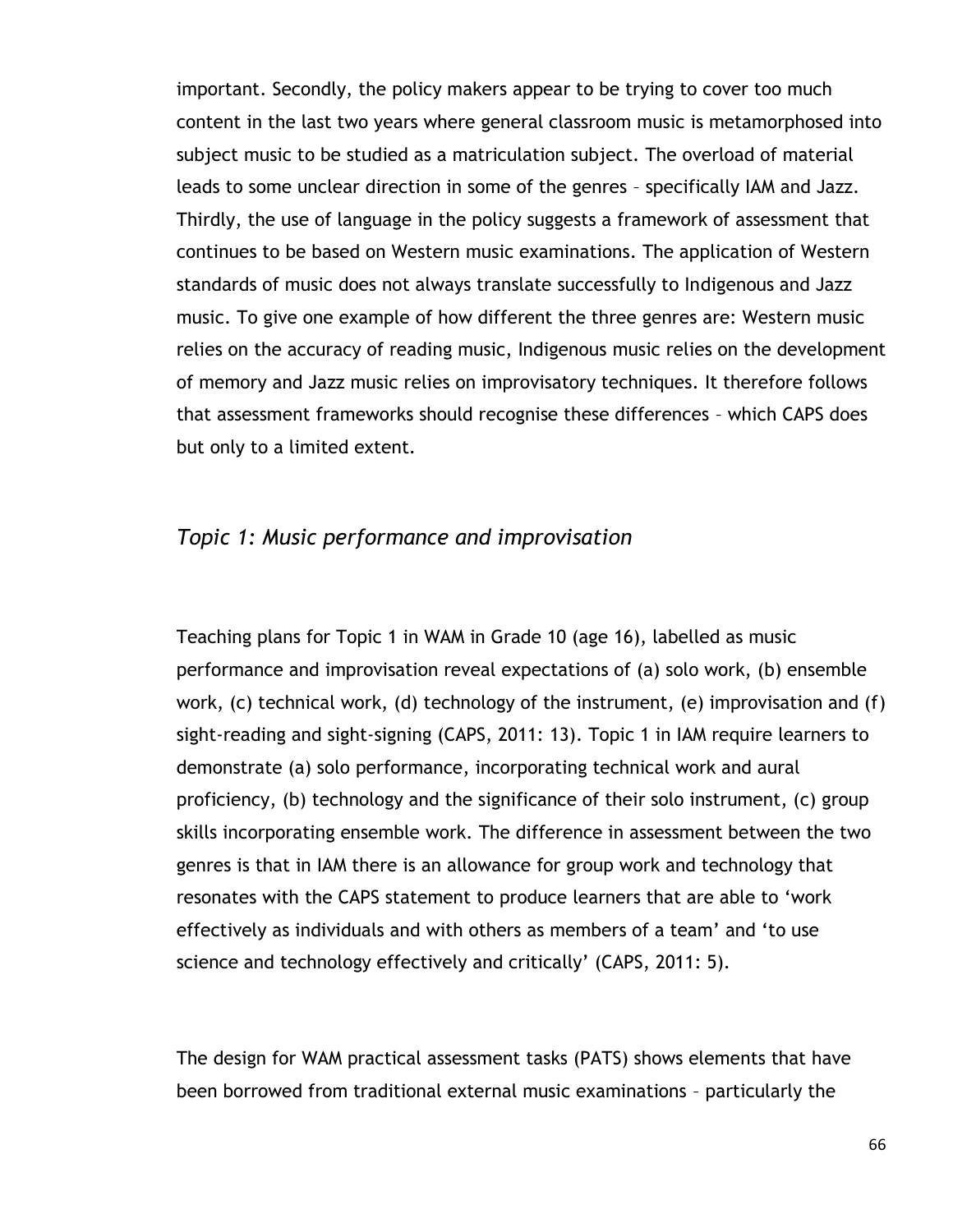important. Secondly, the policy makers appear to be trying to cover too much content in the last two years where general classroom music is metamorphosed into subject music to be studied as a matriculation subject. The overload of material leads to some unclear direction in some of the genres – specifically IAM and Jazz. Thirdly, the use of language in the policy suggests a framework of assessment that continues to be based on Western music examinations. The application of Western standards of music does not always translate successfully to Indigenous and Jazz music. To give one example of how different the three genres are: Western music relies on the accuracy of reading music, Indigenous music relies on the development of memory and Jazz music relies on improvisatory techniques. It therefore follows that assessment frameworks should recognise these differences – which CAPS does but only to a limited extent.

## *Topic 1: Music performance and improvisation*

Teaching plans for Topic 1 in WAM in Grade 10 (age 16), labelled as music performance and improvisation reveal expectations of (a) solo work, (b) ensemble work, (c) technical work, (d) technology of the instrument, (e) improvisation and (f) sight-reading and sight-signing (CAPS, 2011: 13). Topic 1 in IAM require learners to demonstrate (a) solo performance, incorporating technical work and aural proficiency, (b) technology and the significance of their solo instrument, (c) group skills incorporating ensemble work. The difference in assessment between the two genres is that in IAM there is an allowance for group work and technology that resonates with the CAPS statement to produce learners that are able to "work effectively as individuals and with others as members of a team" and "to use science and technology effectively and critically' (CAPS, 2011: 5).

The design for WAM practical assessment tasks (PATS) shows elements that have been borrowed from traditional external music examinations – particularly the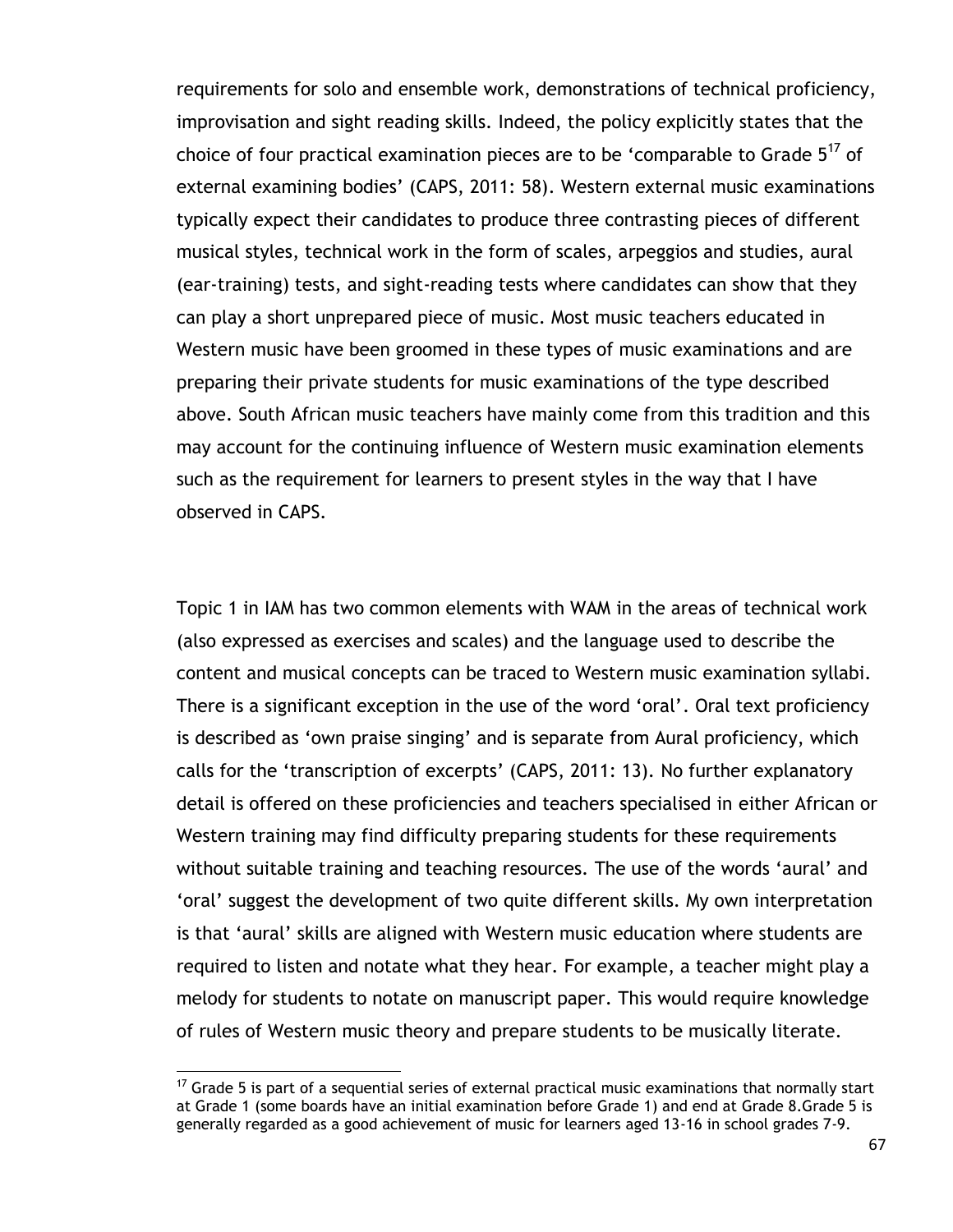requirements for solo and ensemble work, demonstrations of technical proficiency, improvisation and sight reading skills. Indeed, the policy explicitly states that the choice of four practical examination pieces are to be 'comparable to Grade  $5^{17}$  of external examining bodies' (CAPS, 2011: 58). Western external music examinations typically expect their candidates to produce three contrasting pieces of different musical styles, technical work in the form of scales, arpeggios and studies, aural (ear-training) tests, and sight-reading tests where candidates can show that they can play a short unprepared piece of music. Most music teachers educated in Western music have been groomed in these types of music examinations and are preparing their private students for music examinations of the type described above. South African music teachers have mainly come from this tradition and this may account for the continuing influence of Western music examination elements such as the requirement for learners to present styles in the way that I have observed in CAPS.

Topic 1 in IAM has two common elements with WAM in the areas of technical work (also expressed as exercises and scales) and the language used to describe the content and musical concepts can be traced to Western music examination syllabi. There is a significant exception in the use of the word 'oral'. Oral text proficiency is described as 'own praise singing' and is separate from Aural proficiency, which calls for the "transcription of excerpts" (CAPS, 2011: 13). No further explanatory detail is offered on these proficiencies and teachers specialised in either African or Western training may find difficulty preparing students for these requirements without suitable training and teaching resources. The use of the words "aural" and "oral" suggest the development of two quite different skills. My own interpretation is that "aural" skills are aligned with Western music education where students are required to listen and notate what they hear. For example, a teacher might play a melody for students to notate on manuscript paper. This would require knowledge of rules of Western music theory and prepare students to be musically literate.

 $17$  Grade 5 is part of a sequential series of external practical music examinations that normally start at Grade 1 (some boards have an initial examination before Grade 1) and end at Grade 8.Grade 5 is generally regarded as a good achievement of music for learners aged 13-16 in school grades 7-9.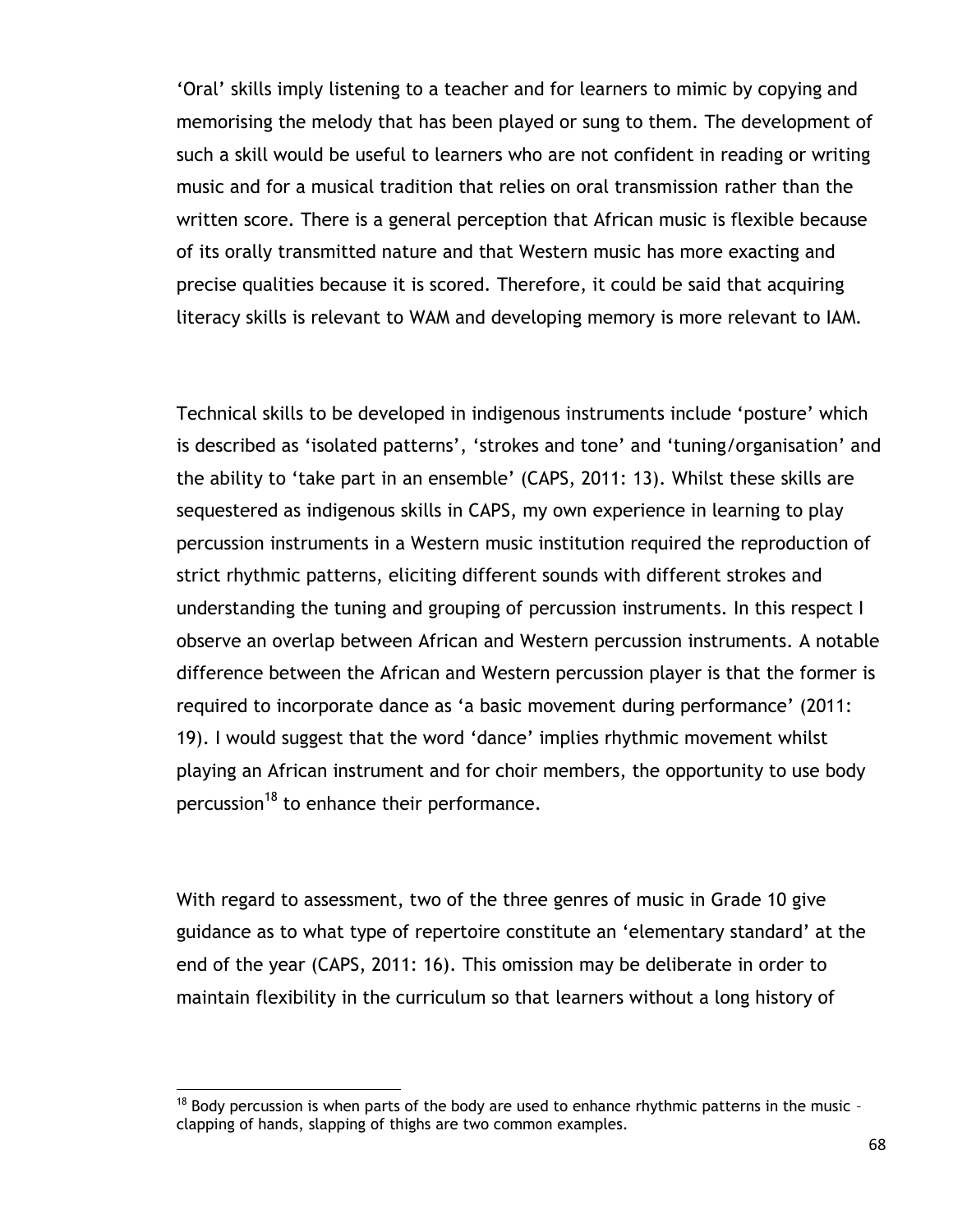"Oral" skills imply listening to a teacher and for learners to mimic by copying and memorising the melody that has been played or sung to them. The development of such a skill would be useful to learners who are not confident in reading or writing music and for a musical tradition that relies on oral transmission rather than the written score. There is a general perception that African music is flexible because of its orally transmitted nature and that Western music has more exacting and precise qualities because it is scored. Therefore, it could be said that acquiring literacy skills is relevant to WAM and developing memory is more relevant to IAM.

Technical skills to be developed in indigenous instruments include "posture" which is described as 'isolated patterns', 'strokes and tone' and 'tuning/organisation' and the ability to "take part in an ensemble" (CAPS, 2011: 13). Whilst these skills are sequestered as indigenous skills in CAPS, my own experience in learning to play percussion instruments in a Western music institution required the reproduction of strict rhythmic patterns, eliciting different sounds with different strokes and understanding the tuning and grouping of percussion instruments. In this respect I observe an overlap between African and Western percussion instruments. A notable difference between the African and Western percussion player is that the former is required to incorporate dance as 'a basic movement during performance' (2011: 19). I would suggest that the word "dance" implies rhythmic movement whilst playing an African instrument and for choir members, the opportunity to use body percussion<sup>18</sup> to enhance their performance.

With regard to assessment, two of the three genres of music in Grade 10 give guidance as to what type of repertoire constitute an "elementary standard" at the end of the year (CAPS, 2011: 16). This omission may be deliberate in order to maintain flexibility in the curriculum so that learners without a long history of

 $18$  Body percussion is when parts of the body are used to enhance rhythmic patterns in the music clapping of hands, slapping of thighs are two common examples.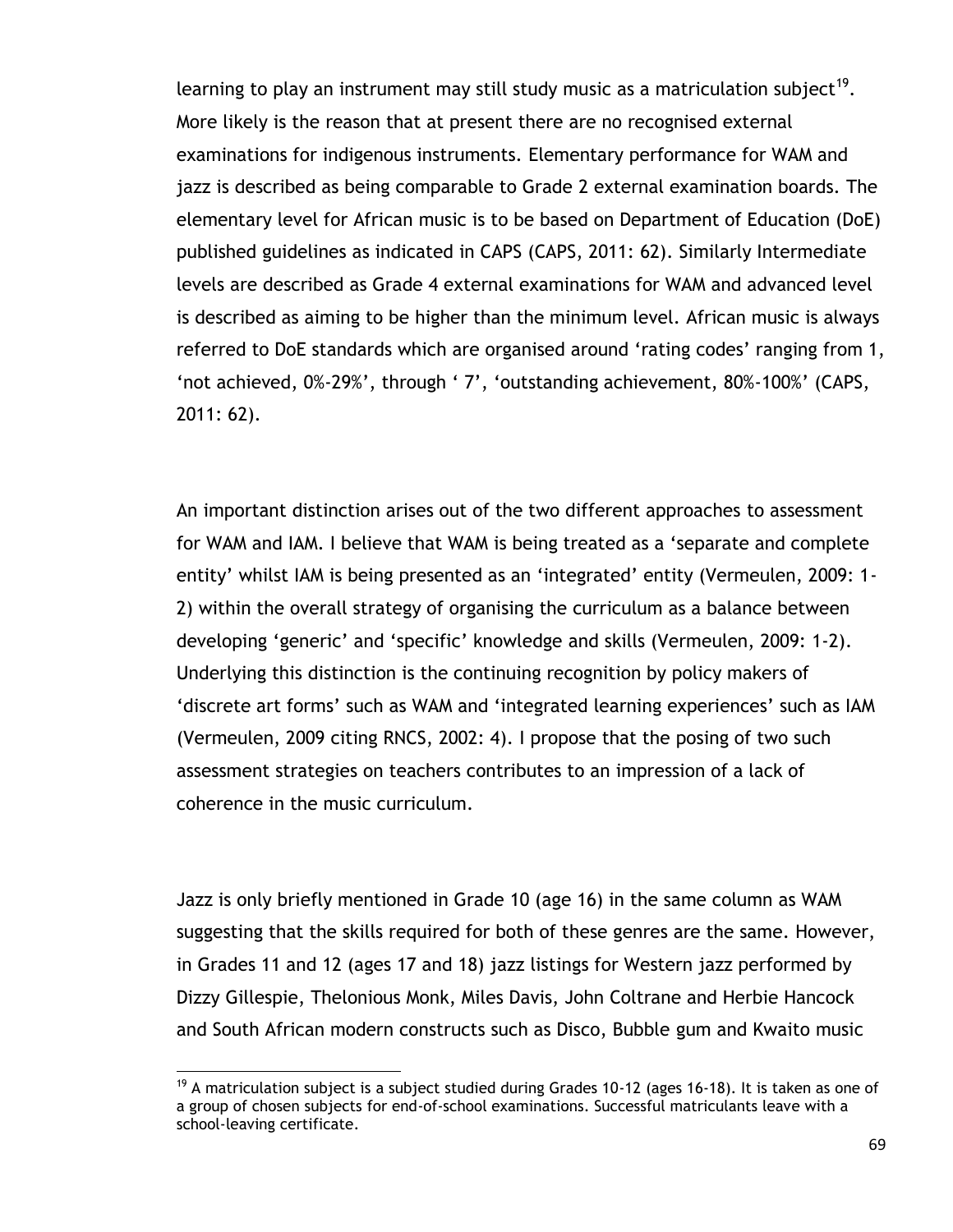learning to play an instrument may still study music as a matriculation subject<sup>19</sup>. More likely is the reason that at present there are no recognised external examinations for indigenous instruments. Elementary performance for WAM and jazz is described as being comparable to Grade 2 external examination boards. The elementary level for African music is to be based on Department of Education (DoE) published guidelines as indicated in CAPS (CAPS, 2011: 62). Similarly Intermediate levels are described as Grade 4 external examinations for WAM and advanced level is described as aiming to be higher than the minimum level. African music is always referred to DoE standards which are organised around "rating codes" ranging from 1, "not achieved, 0%-29%", through " 7", "outstanding achievement, 80%-100%" (CAPS, 2011: 62).

An important distinction arises out of the two different approaches to assessment for WAM and IAM. I believe that WAM is being treated as a "separate and complete entity' whilst IAM is being presented as an 'integrated' entity (Vermeulen, 2009: 1-2) within the overall strategy of organising the curriculum as a balance between developing "generic" and "specific" knowledge and skills (Vermeulen, 2009: 1-2). Underlying this distinction is the continuing recognition by policy makers of 'discrete art forms' such as WAM and 'integrated learning experiences' such as IAM (Vermeulen, 2009 citing RNCS, 2002: 4). I propose that the posing of two such assessment strategies on teachers contributes to an impression of a lack of coherence in the music curriculum.

Jazz is only briefly mentioned in Grade 10 (age 16) in the same column as WAM suggesting that the skills required for both of these genres are the same. However, in Grades 11 and 12 (ages 17 and 18) jazz listings for Western jazz performed by Dizzy Gillespie, Thelonious Monk, Miles Davis, John Coltrane and Herbie Hancock and South African modern constructs such as Disco, Bubble gum and Kwaito music

<sup>&</sup>lt;sup>19</sup> A matriculation subject is a subject studied during Grades 10-12 (ages 16-18). It is taken as one of a group of chosen subjects for end-of-school examinations. Successful matriculants leave with a school-leaving certificate.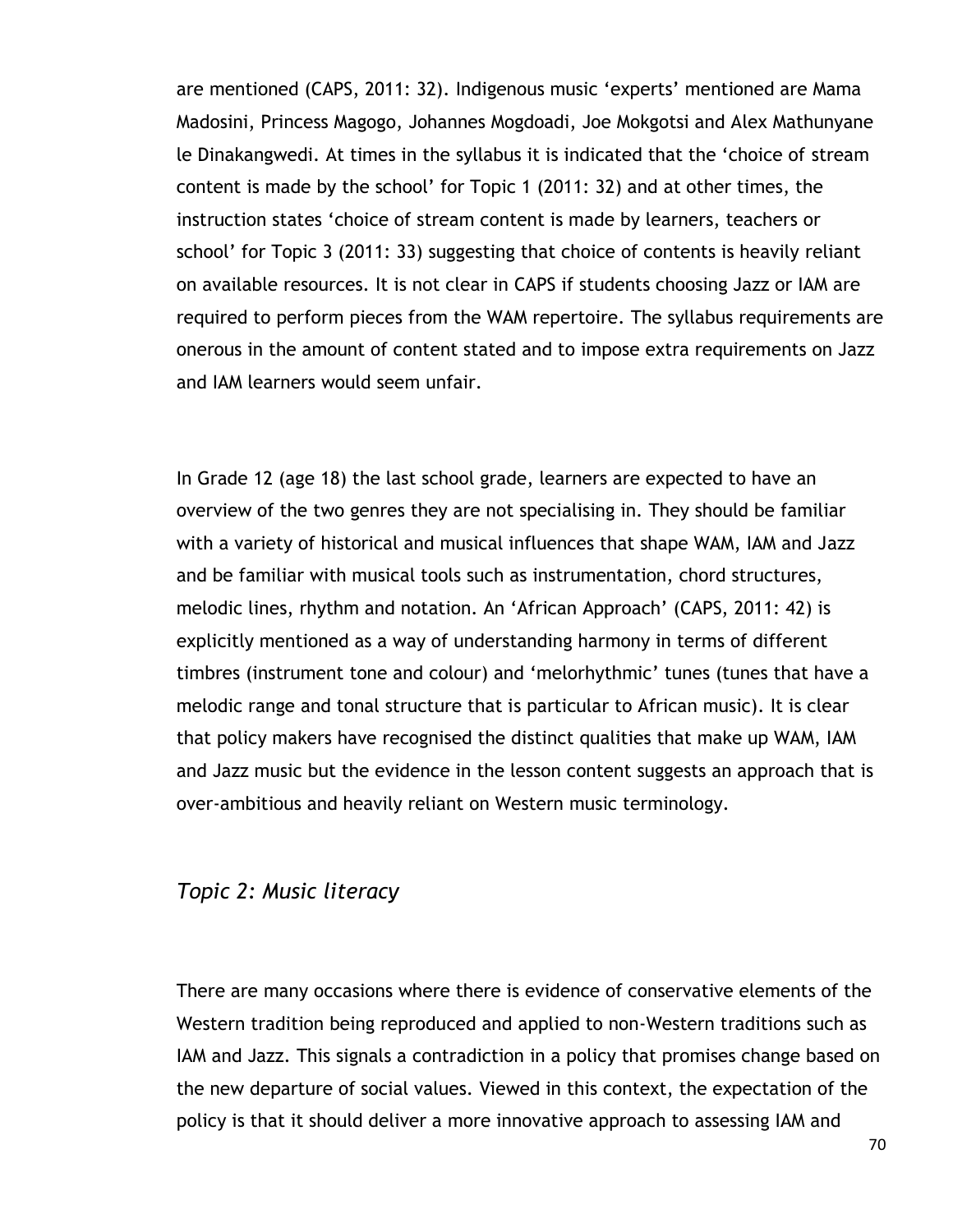are mentioned (CAPS, 2011: 32). Indigenous music "experts" mentioned are Mama Madosini, Princess Magogo, Johannes Mogdoadi, Joe Mokgotsi and Alex Mathunyane le Dinakangwedi. At times in the syllabus it is indicated that the "choice of stream content is made by the school" for Topic 1 (2011: 32) and at other times, the instruction states "choice of stream content is made by learners, teachers or school" for Topic 3 (2011: 33) suggesting that choice of contents is heavily reliant on available resources. It is not clear in CAPS if students choosing Jazz or IAM are required to perform pieces from the WAM repertoire. The syllabus requirements are onerous in the amount of content stated and to impose extra requirements on Jazz and IAM learners would seem unfair.

In Grade 12 (age 18) the last school grade, learners are expected to have an overview of the two genres they are not specialising in. They should be familiar with a variety of historical and musical influences that shape WAM, IAM and Jazz and be familiar with musical tools such as instrumentation, chord structures, melodic lines, rhythm and notation. An "African Approach" (CAPS, 2011: 42) is explicitly mentioned as a way of understanding harmony in terms of different timbres (instrument tone and colour) and "melorhythmic" tunes (tunes that have a melodic range and tonal structure that is particular to African music). It is clear that policy makers have recognised the distinct qualities that make up WAM, IAM and Jazz music but the evidence in the lesson content suggests an approach that is over-ambitious and heavily reliant on Western music terminology.

#### *Topic 2: Music literacy*

There are many occasions where there is evidence of conservative elements of the Western tradition being reproduced and applied to non-Western traditions such as IAM and Jazz. This signals a contradiction in a policy that promises change based on the new departure of social values. Viewed in this context, the expectation of the policy is that it should deliver a more innovative approach to assessing IAM and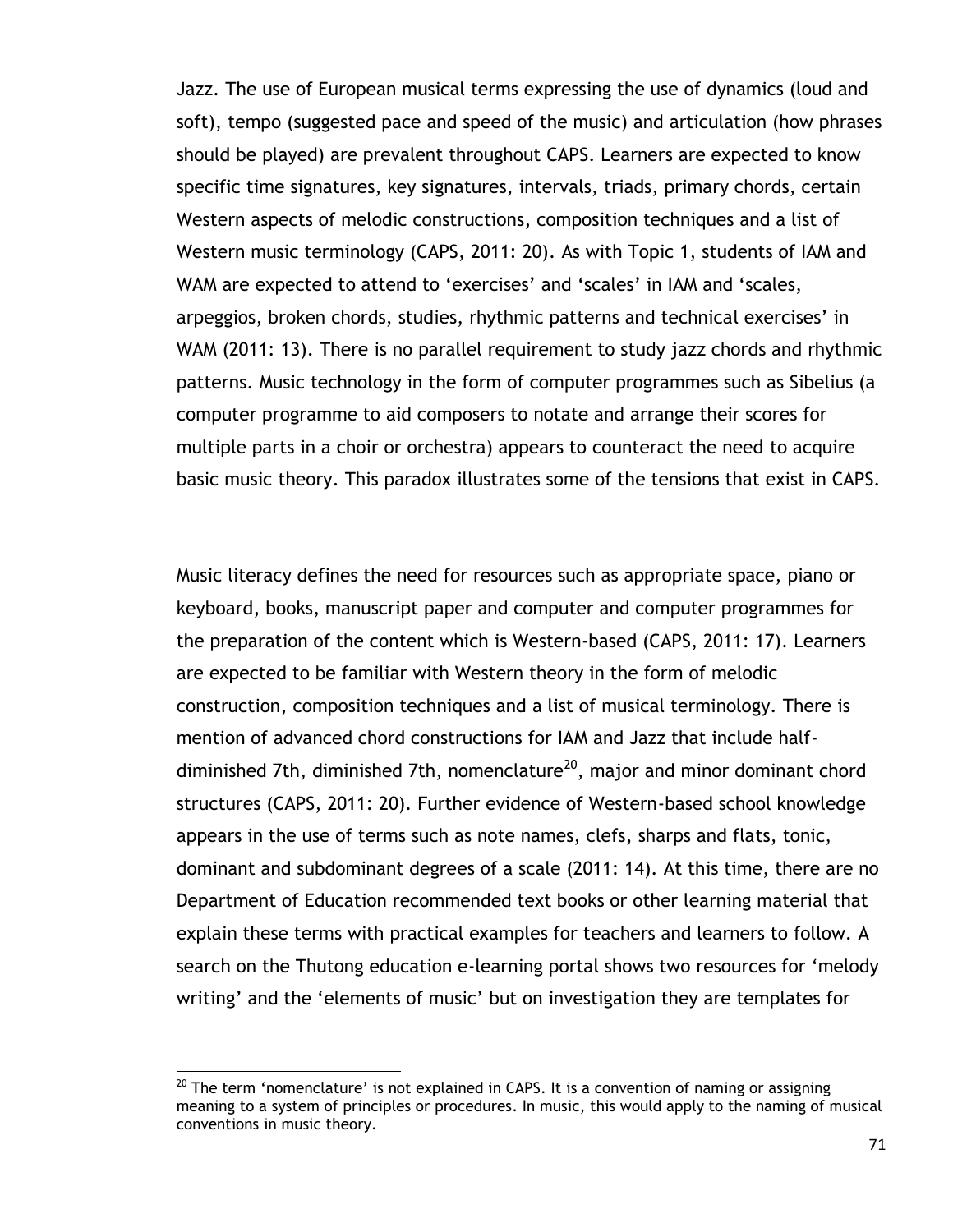Jazz. The use of European musical terms expressing the use of dynamics (loud and soft), tempo (suggested pace and speed of the music) and articulation (how phrases should be played) are prevalent throughout CAPS. Learners are expected to know specific time signatures, key signatures, intervals, triads, primary chords, certain Western aspects of melodic constructions, composition techniques and a list of Western music terminology (CAPS, 2011: 20). As with Topic 1, students of IAM and WAM are expected to attend to 'exercises' and 'scales' in IAM and 'scales, arpeggios, broken chords, studies, rhythmic patterns and technical exercises" in WAM (2011: 13). There is no parallel requirement to study jazz chords and rhythmic patterns. Music technology in the form of computer programmes such as Sibelius (a computer programme to aid composers to notate and arrange their scores for multiple parts in a choir or orchestra) appears to counteract the need to acquire basic music theory. This paradox illustrates some of the tensions that exist in CAPS.

Music literacy defines the need for resources such as appropriate space, piano or keyboard, books, manuscript paper and computer and computer programmes for the preparation of the content which is Western-based (CAPS, 2011: 17). Learners are expected to be familiar with Western theory in the form of melodic construction, composition techniques and a list of musical terminology. There is mention of advanced chord constructions for IAM and Jazz that include halfdiminished 7th, diminished 7th, nomenclature<sup>20</sup>, major and minor dominant chord structures (CAPS, 2011: 20). Further evidence of Western-based school knowledge appears in the use of terms such as note names, clefs, sharps and flats, tonic, dominant and subdominant degrees of a scale (2011: 14). At this time, there are no Department of Education recommended text books or other learning material that explain these terms with practical examples for teachers and learners to follow. A search on the Thutong education e-learning portal shows two resources for "melody writing' and the 'elements of music' but on investigation they are templates for

 $^{20}$  The term 'nomenclature' is not explained in CAPS. It is a convention of naming or assigning meaning to a system of principles or procedures. In music, this would apply to the naming of musical conventions in music theory.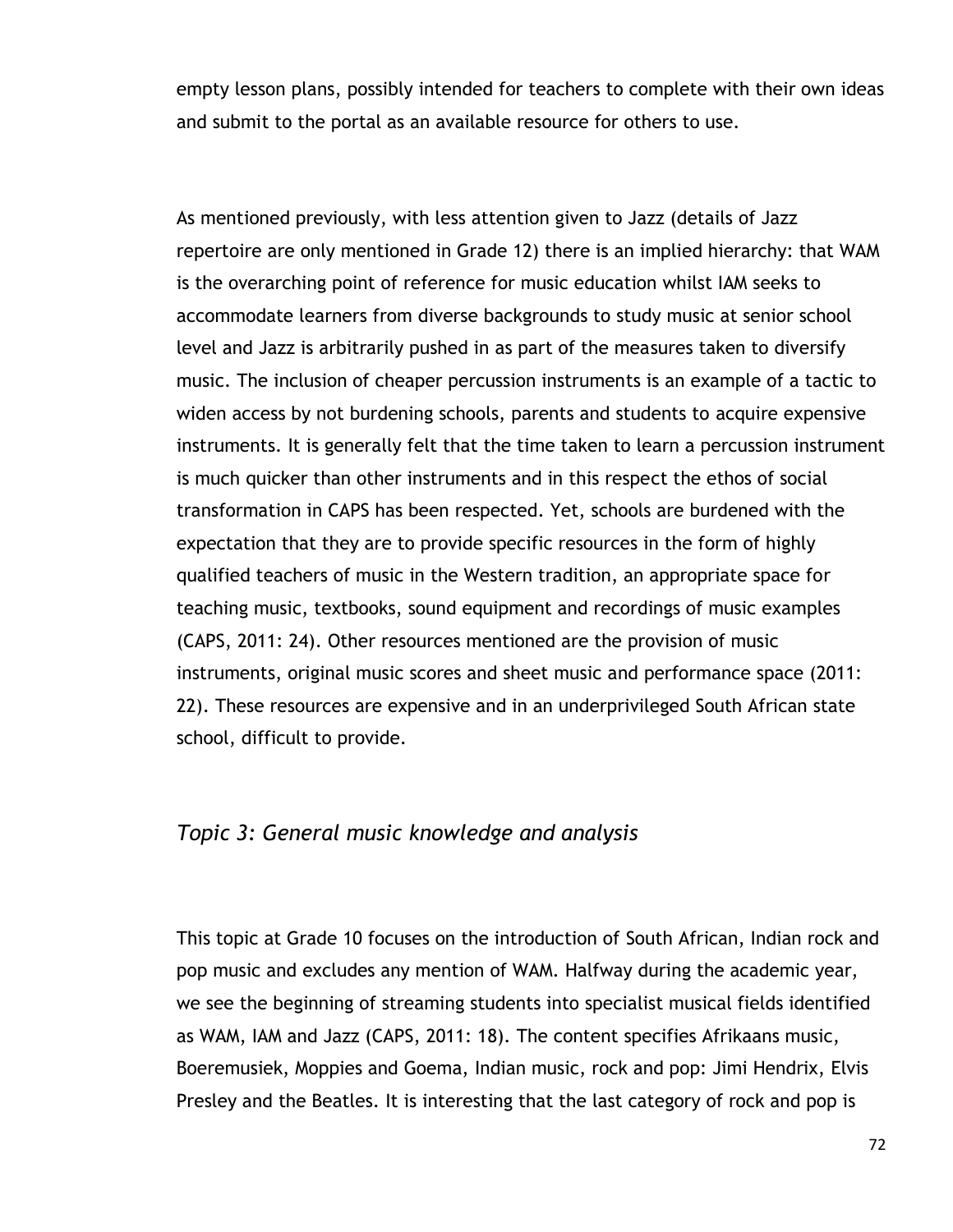empty lesson plans, possibly intended for teachers to complete with their own ideas and submit to the portal as an available resource for others to use.

As mentioned previously, with less attention given to Jazz (details of Jazz repertoire are only mentioned in Grade 12) there is an implied hierarchy: that WAM is the overarching point of reference for music education whilst IAM seeks to accommodate learners from diverse backgrounds to study music at senior school level and Jazz is arbitrarily pushed in as part of the measures taken to diversify music. The inclusion of cheaper percussion instruments is an example of a tactic to widen access by not burdening schools, parents and students to acquire expensive instruments. It is generally felt that the time taken to learn a percussion instrument is much quicker than other instruments and in this respect the ethos of social transformation in CAPS has been respected. Yet, schools are burdened with the expectation that they are to provide specific resources in the form of highly qualified teachers of music in the Western tradition, an appropriate space for teaching music, textbooks, sound equipment and recordings of music examples (CAPS, 2011: 24). Other resources mentioned are the provision of music instruments, original music scores and sheet music and performance space (2011: 22). These resources are expensive and in an underprivileged South African state school, difficult to provide.

## *Topic 3: General music knowledge and analysis*

This topic at Grade 10 focuses on the introduction of South African, Indian rock and pop music and excludes any mention of WAM. Halfway during the academic year, we see the beginning of streaming students into specialist musical fields identified as WAM, IAM and Jazz (CAPS, 2011: 18). The content specifies Afrikaans music, Boeremusiek, Moppies and Goema, Indian music, rock and pop: Jimi Hendrix, Elvis Presley and the Beatles. It is interesting that the last category of rock and pop is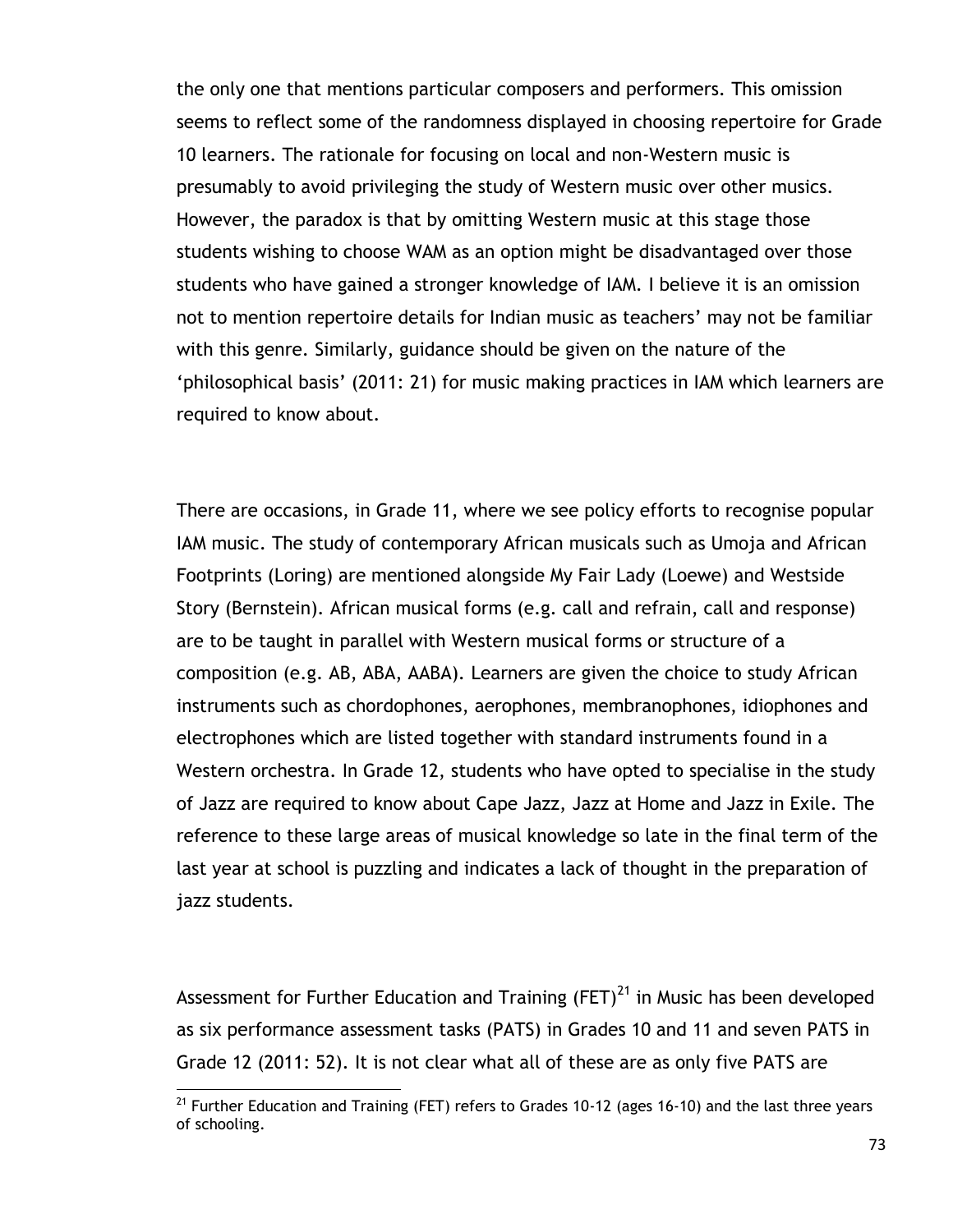the only one that mentions particular composers and performers. This omission seems to reflect some of the randomness displayed in choosing repertoire for Grade 10 learners. The rationale for focusing on local and non-Western music is presumably to avoid privileging the study of Western music over other musics. However, the paradox is that by omitting Western music at this stage those students wishing to choose WAM as an option might be disadvantaged over those students who have gained a stronger knowledge of IAM. I believe it is an omission not to mention repertoire details for Indian music as teachers' may not be familiar with this genre. Similarly, guidance should be given on the nature of the "philosophical basis" (2011: 21) for music making practices in IAM which learners are required to know about.

There are occasions, in Grade 11, where we see policy efforts to recognise popular IAM music. The study of contemporary African musicals such as Umoja and African Footprints (Loring) are mentioned alongside My Fair Lady (Loewe) and Westside Story (Bernstein). African musical forms (e.g. call and refrain, call and response) are to be taught in parallel with Western musical forms or structure of a composition (e.g. AB, ABA, AABA). Learners are given the choice to study African instruments such as chordophones, aerophones, membranophones, idiophones and electrophones which are listed together with standard instruments found in a Western orchestra. In Grade 12, students who have opted to specialise in the study of Jazz are required to know about Cape Jazz, Jazz at Home and Jazz in Exile. The reference to these large areas of musical knowledge so late in the final term of the last year at school is puzzling and indicates a lack of thought in the preparation of jazz students.

Assessment for Further Education and Training  $(FET)^{21}$  in Music has been developed as six performance assessment tasks (PATS) in Grades 10 and 11 and seven PATS in Grade 12 (2011: 52). It is not clear what all of these are as only five PATS are

 $^{21}$  Further Education and Training (FET) refers to Grades 10-12 (ages 16-10) and the last three years of schooling.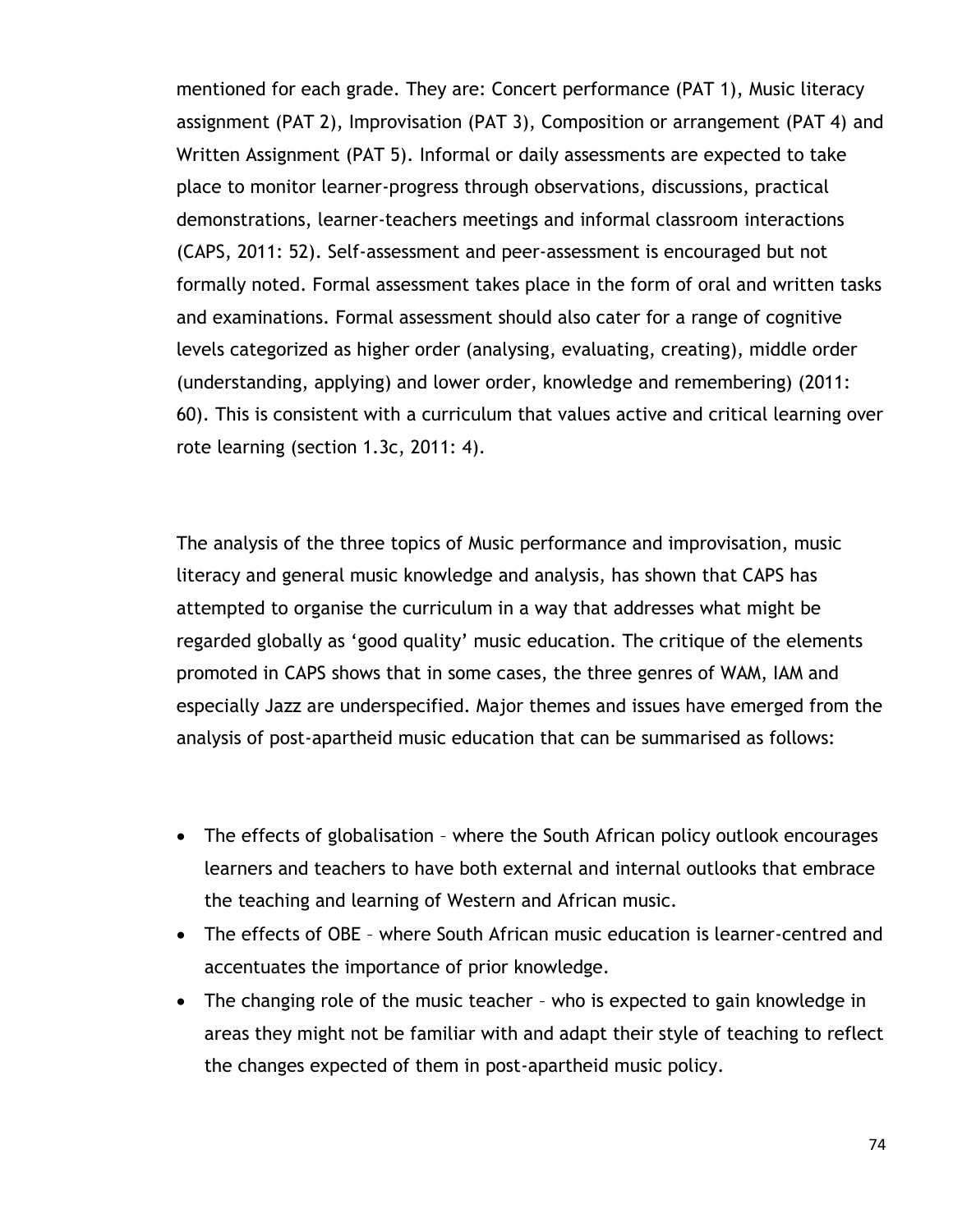mentioned for each grade. They are: Concert performance (PAT 1), Music literacy assignment (PAT 2), Improvisation (PAT 3), Composition or arrangement (PAT 4) and Written Assignment (PAT 5). Informal or daily assessments are expected to take place to monitor learner-progress through observations, discussions, practical demonstrations, learner-teachers meetings and informal classroom interactions (CAPS, 2011: 52). Self-assessment and peer-assessment is encouraged but not formally noted. Formal assessment takes place in the form of oral and written tasks and examinations. Formal assessment should also cater for a range of cognitive levels categorized as higher order (analysing, evaluating, creating), middle order (understanding, applying) and lower order, knowledge and remembering) (2011: 60). This is consistent with a curriculum that values active and critical learning over rote learning (section 1.3c, 2011: 4).

The analysis of the three topics of Music performance and improvisation, music literacy and general music knowledge and analysis, has shown that CAPS has attempted to organise the curriculum in a way that addresses what might be regarded globally as "good quality" music education. The critique of the elements promoted in CAPS shows that in some cases, the three genres of WAM, IAM and especially Jazz are underspecified. Major themes and issues have emerged from the analysis of post-apartheid music education that can be summarised as follows:

- The effects of globalisation where the South African policy outlook encourages learners and teachers to have both external and internal outlooks that embrace the teaching and learning of Western and African music.
- The effects of OBE where South African music education is learner-centred and accentuates the importance of prior knowledge.
- The changing role of the music teacher who is expected to gain knowledge in areas they might not be familiar with and adapt their style of teaching to reflect the changes expected of them in post-apartheid music policy.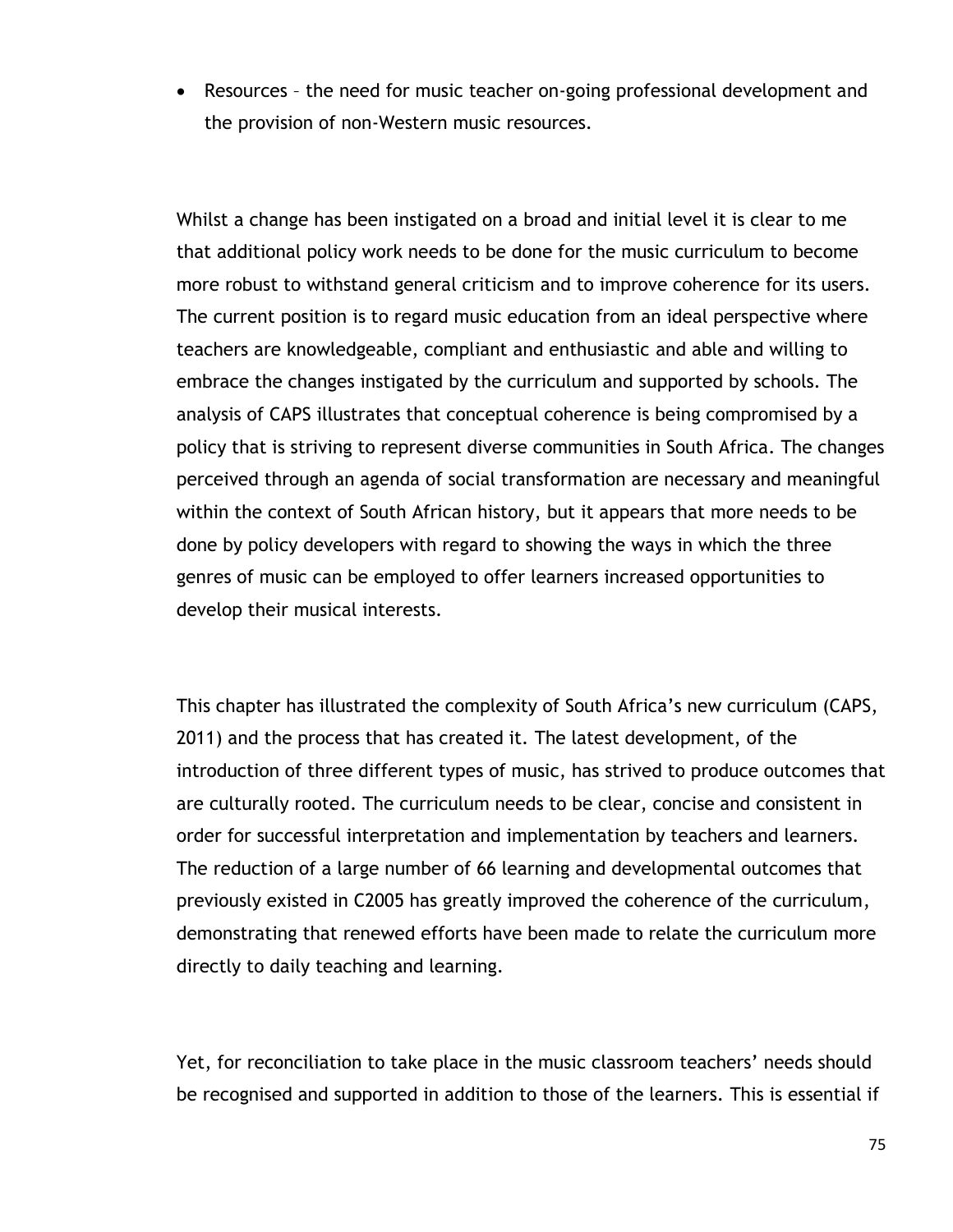Resources – the need for music teacher on-going professional development and the provision of non-Western music resources.

Whilst a change has been instigated on a broad and initial level it is clear to me that additional policy work needs to be done for the music curriculum to become more robust to withstand general criticism and to improve coherence for its users. The current position is to regard music education from an ideal perspective where teachers are knowledgeable, compliant and enthusiastic and able and willing to embrace the changes instigated by the curriculum and supported by schools. The analysis of CAPS illustrates that conceptual coherence is being compromised by a policy that is striving to represent diverse communities in South Africa. The changes perceived through an agenda of social transformation are necessary and meaningful within the context of South African history, but it appears that more needs to be done by policy developers with regard to showing the ways in which the three genres of music can be employed to offer learners increased opportunities to develop their musical interests.

This chapter has illustrated the complexity of South Africa's new curriculum (CAPS, 2011) and the process that has created it. The latest development, of the introduction of three different types of music, has strived to produce outcomes that are culturally rooted. The curriculum needs to be clear, concise and consistent in order for successful interpretation and implementation by teachers and learners. The reduction of a large number of 66 learning and developmental outcomes that previously existed in C2005 has greatly improved the coherence of the curriculum, demonstrating that renewed efforts have been made to relate the curriculum more directly to daily teaching and learning.

Yet, for reconciliation to take place in the music classroom teachers' needs should be recognised and supported in addition to those of the learners. This is essential if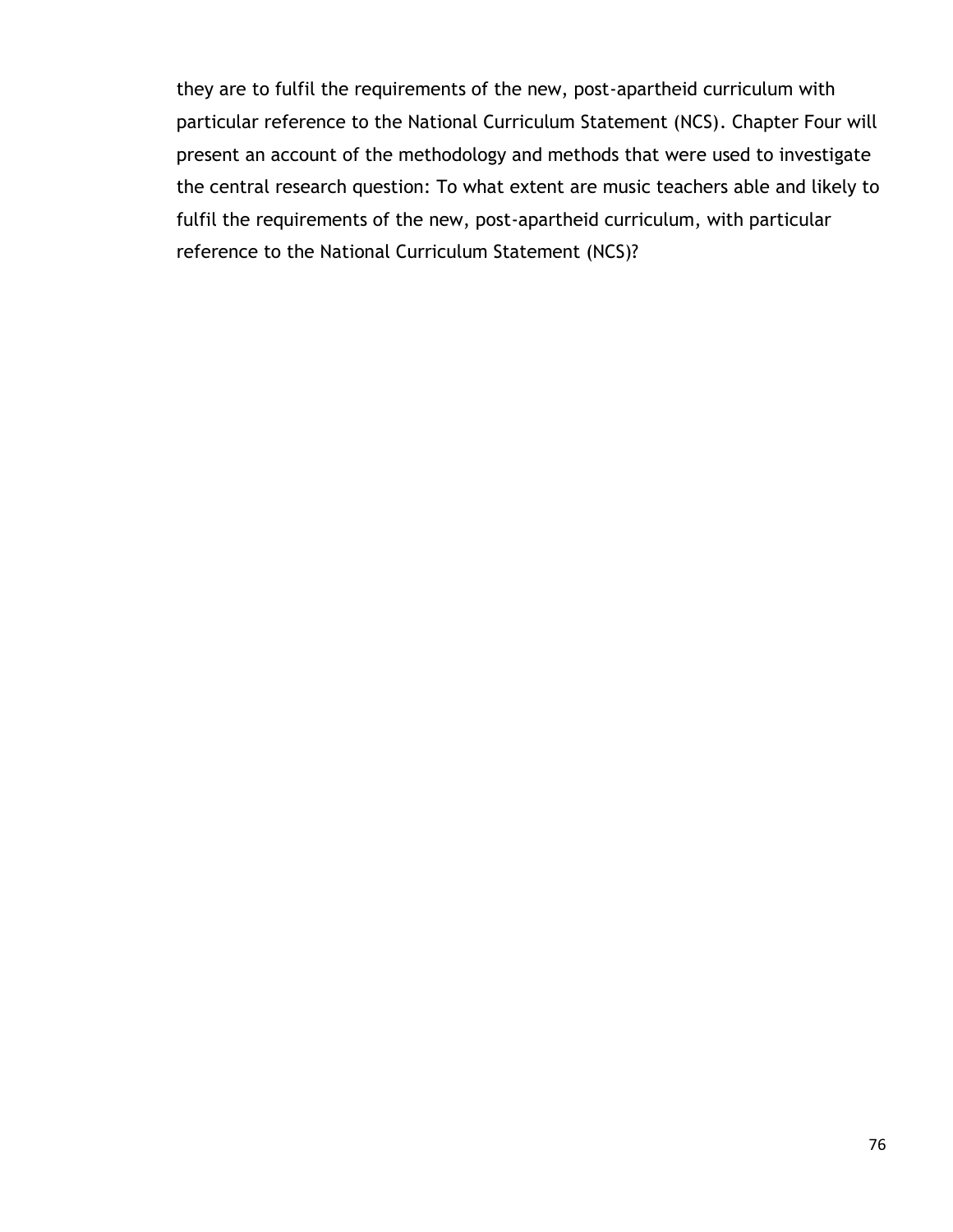they are to fulfil the requirements of the new, post-apartheid curriculum with particular reference to the National Curriculum Statement (NCS). Chapter Four will present an account of the methodology and methods that were used to investigate the central research question: To what extent are music teachers able and likely to fulfil the requirements of the new, post-apartheid curriculum, with particular reference to the National Curriculum Statement (NCS)?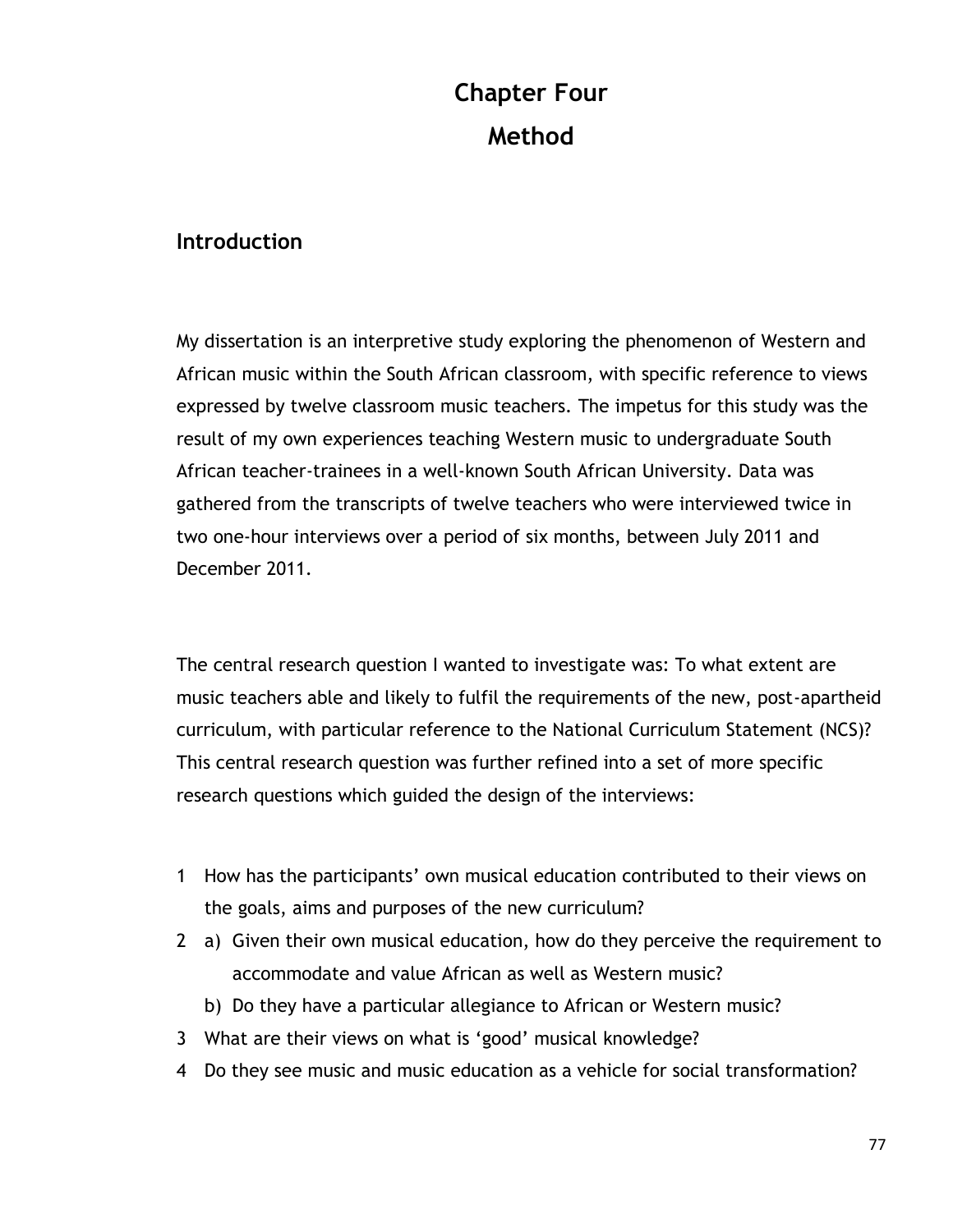# **Chapter Four Method**

## **Introduction**

My dissertation is an interpretive study exploring the phenomenon of Western and African music within the South African classroom, with specific reference to views expressed by twelve classroom music teachers. The impetus for this study was the result of my own experiences teaching Western music to undergraduate South African teacher-trainees in a well-known South African University. Data was gathered from the transcripts of twelve teachers who were interviewed twice in two one-hour interviews over a period of six months, between July 2011 and December 2011.

The central research question I wanted to investigate was: To what extent are music teachers able and likely to fulfil the requirements of the new, post-apartheid curriculum, with particular reference to the National Curriculum Statement (NCS)? This central research question was further refined into a set of more specific research questions which guided the design of the interviews:

- 1 How has the participants" own musical education contributed to their views on the goals, aims and purposes of the new curriculum?
- 2 a) Given their own musical education, how do they perceive the requirement to accommodate and value African as well as Western music?
	- b) Do they have a particular allegiance to African or Western music?
- 3 What are their views on what is "good" musical knowledge?
- 4 Do they see music and music education as a vehicle for social transformation?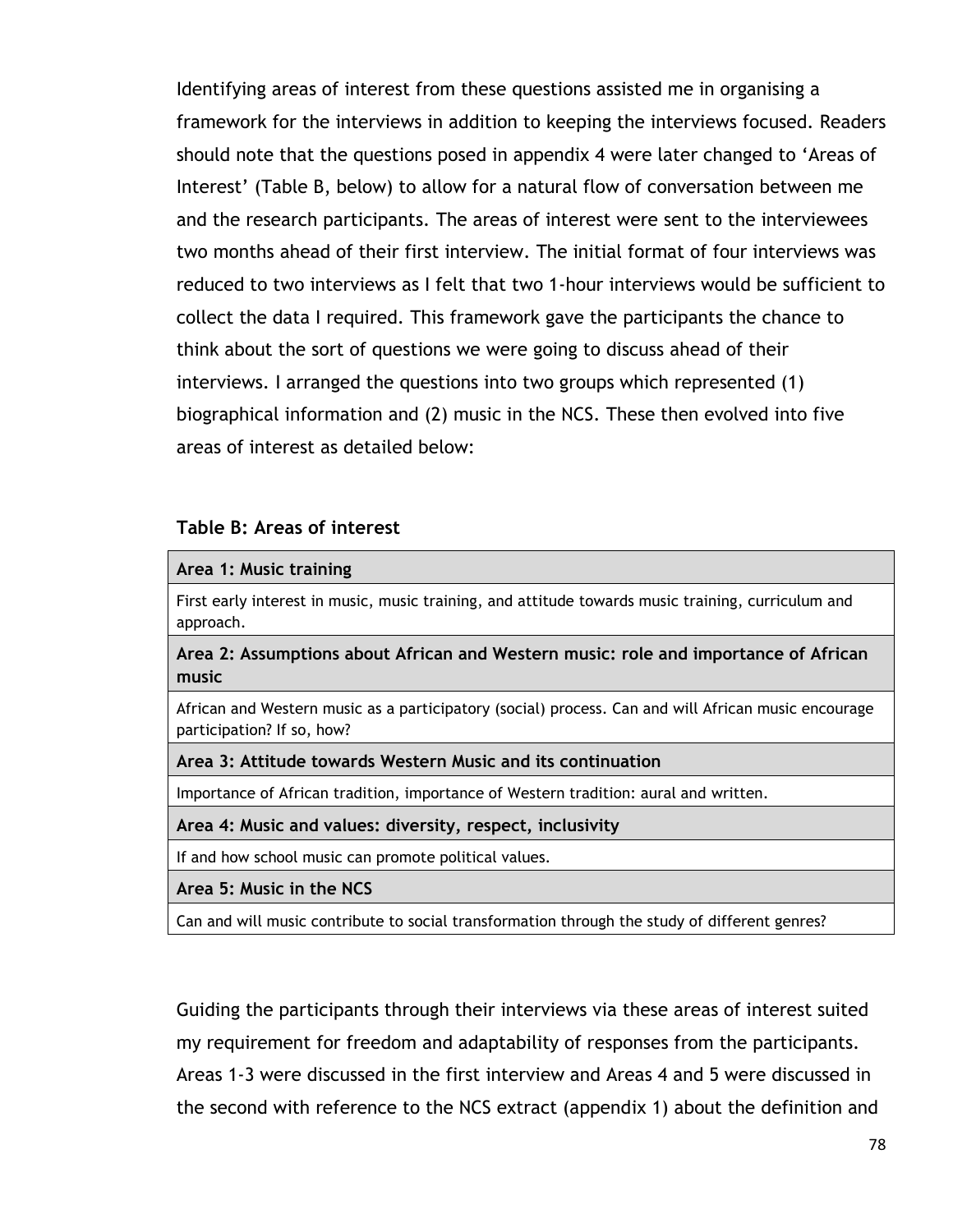Identifying areas of interest from these questions assisted me in organising a framework for the interviews in addition to keeping the interviews focused. Readers should note that the questions posed in appendix 4 were later changed to "Areas of Interest' (Table B, below) to allow for a natural flow of conversation between me and the research participants. The areas of interest were sent to the interviewees two months ahead of their first interview. The initial format of four interviews was reduced to two interviews as I felt that two 1-hour interviews would be sufficient to collect the data I required. This framework gave the participants the chance to think about the sort of questions we were going to discuss ahead of their interviews. I arranged the questions into two groups which represented (1) biographical information and (2) music in the NCS. These then evolved into five areas of interest as detailed below:

#### **Table B: Areas of interest**

#### **Area 1: Music training**

First early interest in music, music training, and attitude towards music training, curriculum and approach.

**Area 2: Assumptions about African and Western music: role and importance of African music**

African and Western music as a participatory (social) process. Can and will African music encourage participation? If so, how?

#### **Area 3: Attitude towards Western Music and its continuation**

Importance of African tradition, importance of Western tradition: aural and written.

#### **Area 4: Music and values: diversity, respect, inclusivity**

If and how school music can promote political values.

**Area 5: Music in the NCS**

Can and will music contribute to social transformation through the study of different genres?

Guiding the participants through their interviews via these areas of interest suited my requirement for freedom and adaptability of responses from the participants. Areas 1-3 were discussed in the first interview and Areas 4 and 5 were discussed in the second with reference to the NCS extract (appendix 1) about the definition and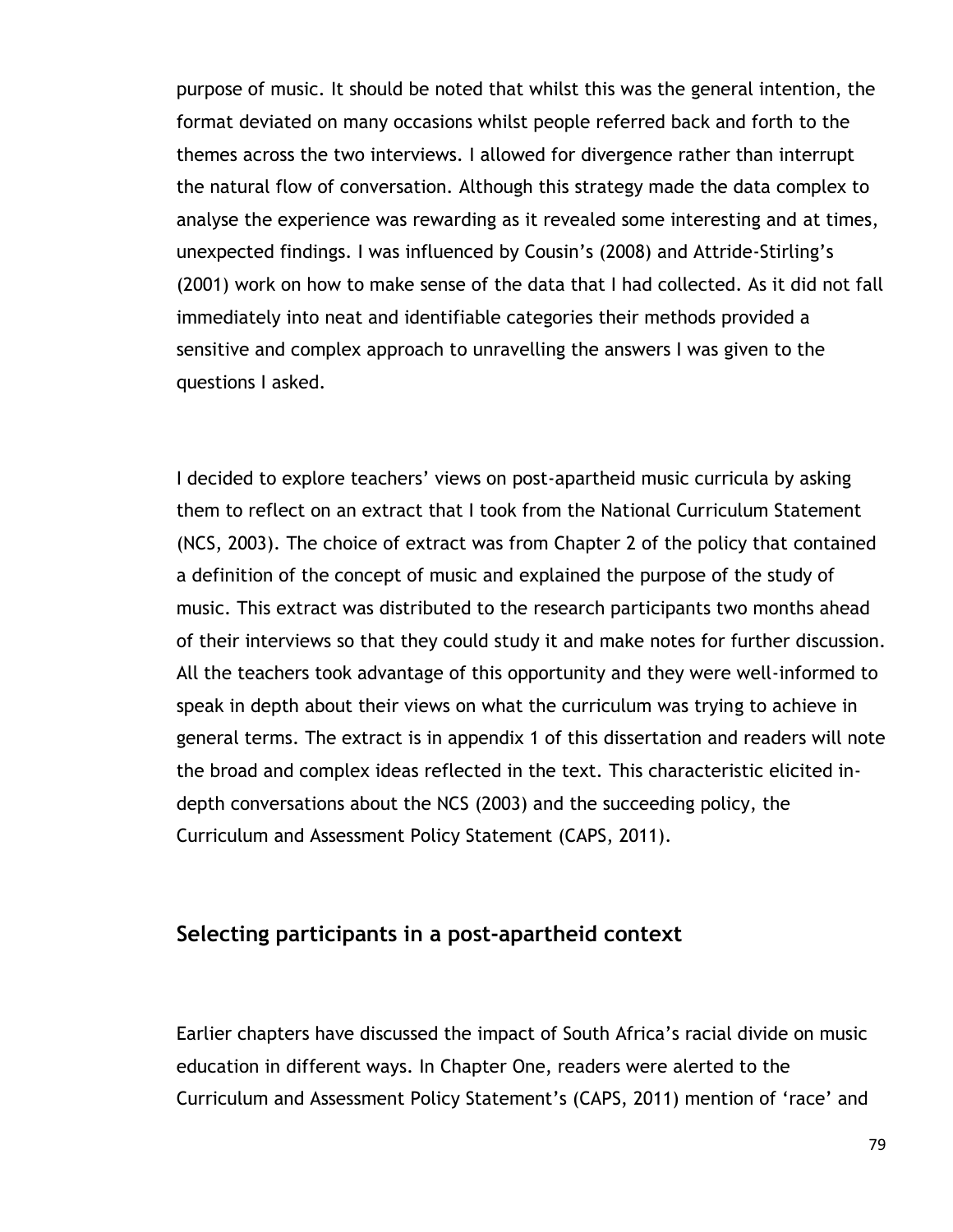purpose of music. It should be noted that whilst this was the general intention, the format deviated on many occasions whilst people referred back and forth to the themes across the two interviews. I allowed for divergence rather than interrupt the natural flow of conversation. Although this strategy made the data complex to analyse the experience was rewarding as it revealed some interesting and at times, unexpected findings. I was influenced by Cousin"s (2008) and Attride-Stirling"s (2001) work on how to make sense of the data that I had collected. As it did not fall immediately into neat and identifiable categories their methods provided a sensitive and complex approach to unravelling the answers I was given to the questions I asked.

I decided to explore teachers' views on post-apartheid music curricula by asking them to reflect on an extract that I took from the National Curriculum Statement (NCS, 2003). The choice of extract was from Chapter 2 of the policy that contained a definition of the concept of music and explained the purpose of the study of music. This extract was distributed to the research participants two months ahead of their interviews so that they could study it and make notes for further discussion. All the teachers took advantage of this opportunity and they were well-informed to speak in depth about their views on what the curriculum was trying to achieve in general terms. The extract is in appendix 1 of this dissertation and readers will note the broad and complex ideas reflected in the text. This characteristic elicited indepth conversations about the NCS (2003) and the succeeding policy, the Curriculum and Assessment Policy Statement (CAPS, 2011).

### **Selecting participants in a post-apartheid context**

Earlier chapters have discussed the impact of South Africa"s racial divide on music education in different ways. In Chapter One, readers were alerted to the Curriculum and Assessment Policy Statement"s (CAPS, 2011) mention of "race" and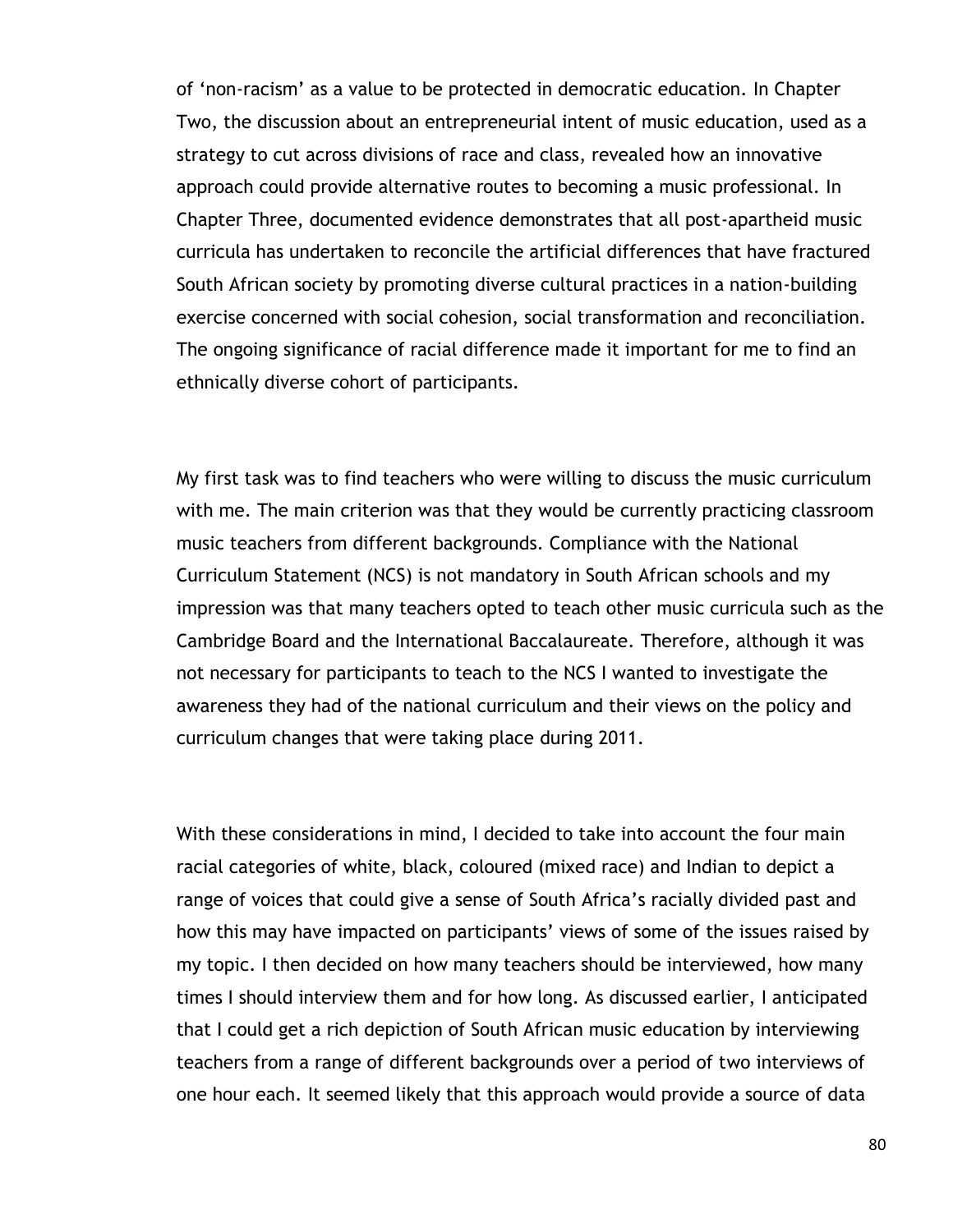of "non-racism" as a value to be protected in democratic education. In Chapter Two, the discussion about an entrepreneurial intent of music education, used as a strategy to cut across divisions of race and class, revealed how an innovative approach could provide alternative routes to becoming a music professional. In Chapter Three, documented evidence demonstrates that all post-apartheid music curricula has undertaken to reconcile the artificial differences that have fractured South African society by promoting diverse cultural practices in a nation-building exercise concerned with social cohesion, social transformation and reconciliation. The ongoing significance of racial difference made it important for me to find an ethnically diverse cohort of participants.

My first task was to find teachers who were willing to discuss the music curriculum with me. The main criterion was that they would be currently practicing classroom music teachers from different backgrounds. Compliance with the National Curriculum Statement (NCS) is not mandatory in South African schools and my impression was that many teachers opted to teach other music curricula such as the Cambridge Board and the International Baccalaureate. Therefore, although it was not necessary for participants to teach to the NCS I wanted to investigate the awareness they had of the national curriculum and their views on the policy and curriculum changes that were taking place during 2011.

With these considerations in mind, I decided to take into account the four main racial categories of white, black, coloured (mixed race) and Indian to depict a range of voices that could give a sense of South Africa"s racially divided past and how this may have impacted on participants' views of some of the issues raised by my topic. I then decided on how many teachers should be interviewed, how many times I should interview them and for how long. As discussed earlier, I anticipated that I could get a rich depiction of South African music education by interviewing teachers from a range of different backgrounds over a period of two interviews of one hour each. It seemed likely that this approach would provide a source of data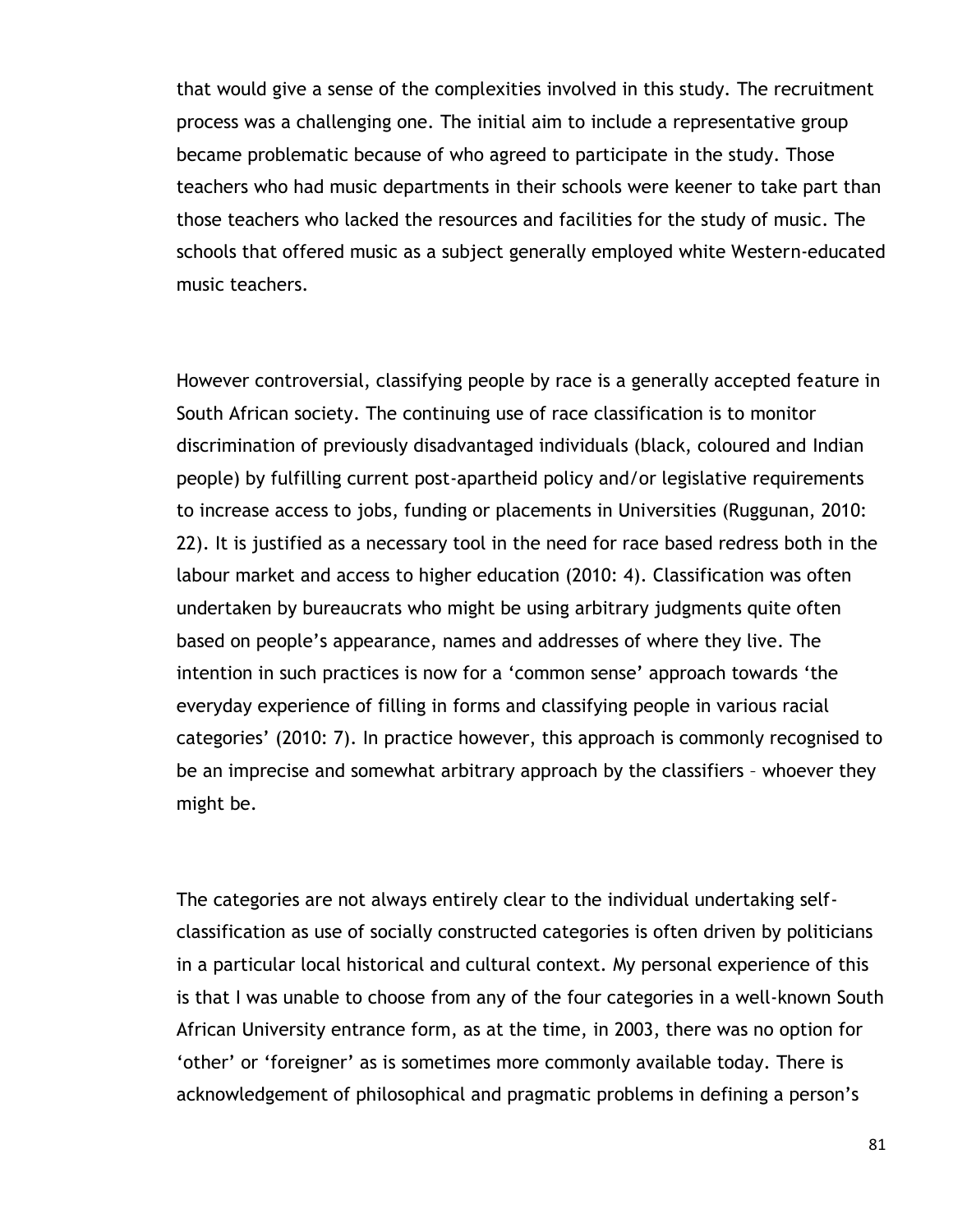that would give a sense of the complexities involved in this study. The recruitment process was a challenging one. The initial aim to include a representative group became problematic because of who agreed to participate in the study. Those teachers who had music departments in their schools were keener to take part than those teachers who lacked the resources and facilities for the study of music. The schools that offered music as a subject generally employed white Western-educated music teachers.

However controversial, classifying people by race is a generally accepted feature in South African society. The continuing use of race classification is to monitor discrimination of previously disadvantaged individuals (black, coloured and Indian people) by fulfilling current post-apartheid policy and/or legislative requirements to increase access to jobs, funding or placements in Universities (Ruggunan, 2010: 22). It is justified as a necessary tool in the need for race based redress both in the labour market and access to higher education (2010: 4). Classification was often undertaken by bureaucrats who might be using arbitrary judgments quite often based on people"s appearance, names and addresses of where they live. The intention in such practices is now for a 'common sense' approach towards 'the everyday experience of filling in forms and classifying people in various racial categories" (2010: 7). In practice however, this approach is commonly recognised to be an imprecise and somewhat arbitrary approach by the classifiers – whoever they might be.

The categories are not always entirely clear to the individual undertaking selfclassification as use of socially constructed categories is often driven by politicians in a particular local historical and cultural context. My personal experience of this is that I was unable to choose from any of the four categories in a well-known South African University entrance form, as at the time, in 2003, there was no option for "other" or "foreigner" as is sometimes more commonly available today. There is acknowledgement of philosophical and pragmatic problems in defining a person"s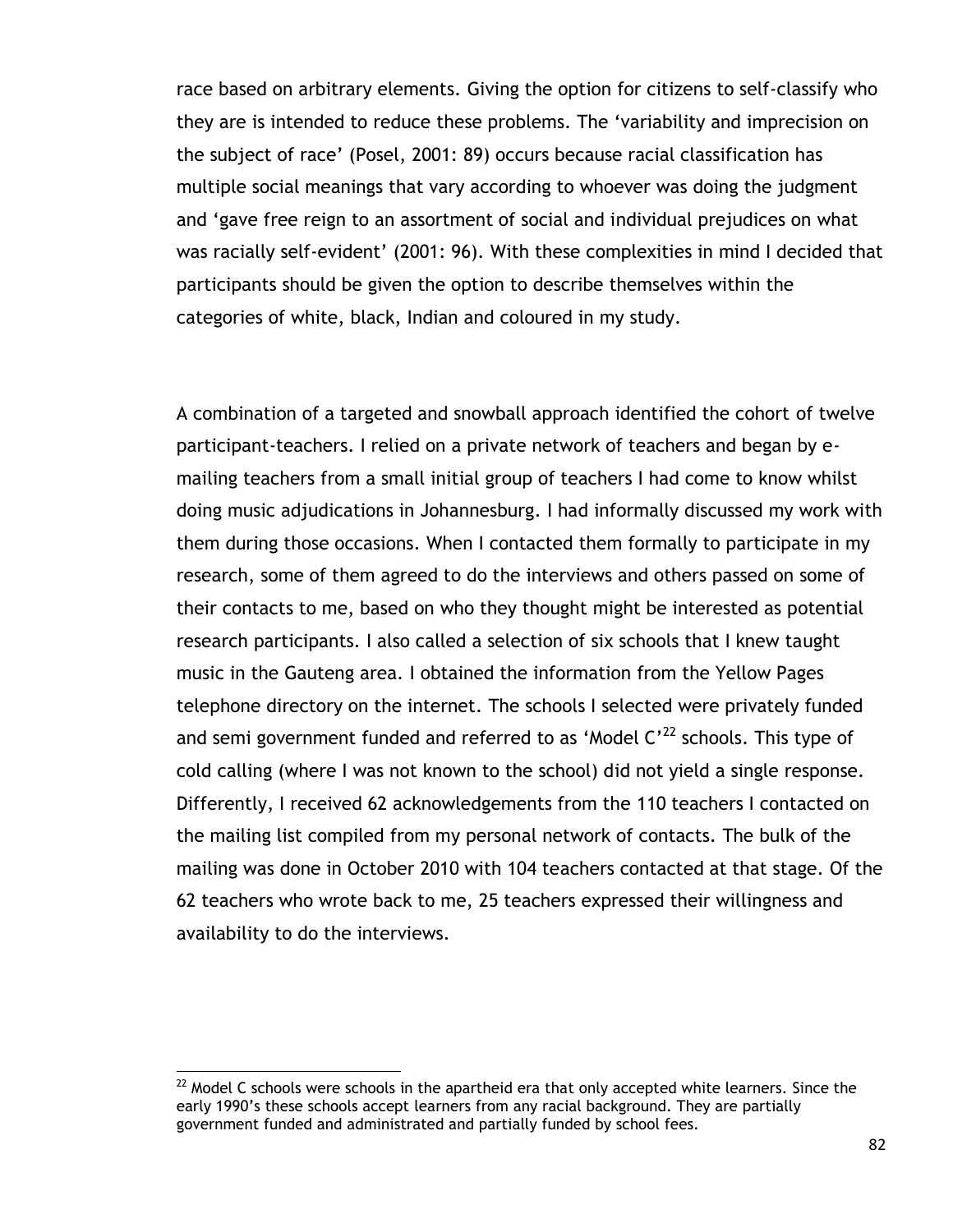race based on arbitrary elements. Giving the option for citizens to self-classify who they are is intended to reduce these problems. The "variability and imprecision on the subject of race" (Posel, 2001: 89) occurs because racial classification has multiple social meanings that vary according to whoever was doing the judgment and "gave free reign to an assortment of social and individual prejudices on what was racially self-evident' (2001: 96). With these complexities in mind I decided that participants should be given the option to describe themselves within the categories of white, black, Indian and coloured in my study.

A combination of a targeted and snowball approach identified the cohort of twelve participant-teachers. I relied on a private network of teachers and began by emailing teachers from a small initial group of teachers I had come to know whilst doing music adjudications in Johannesburg. I had informally discussed my work with them during those occasions. When I contacted them formally to participate in my research, some of them agreed to do the interviews and others passed on some of their contacts to me, based on who they thought might be interested as potential research participants. I also called a selection of six schools that I knew taught music in the Gauteng area. I obtained the information from the Yellow Pages telephone directory on the internet. The schools I selected were privately funded and semi government funded and referred to as 'Model  $C^{22}$  schools. This type of cold calling (where I was not known to the school) did not yield a single response. Differently, I received 62 acknowledgements from the 110 teachers I contacted on the mailing list compiled from my personal network of contacts. The bulk of the mailing was done in October 2010 with 104 teachers contacted at that stage. Of the 62 teachers who wrote back to me, 25 teachers expressed their willingness and availability to do the interviews.

 $^{22}$  Model C schools were schools in the apartheid era that only accepted white learners. Since the early 1990"s these schools accept learners from any racial background. They are partially government funded and administrated and partially funded by school fees.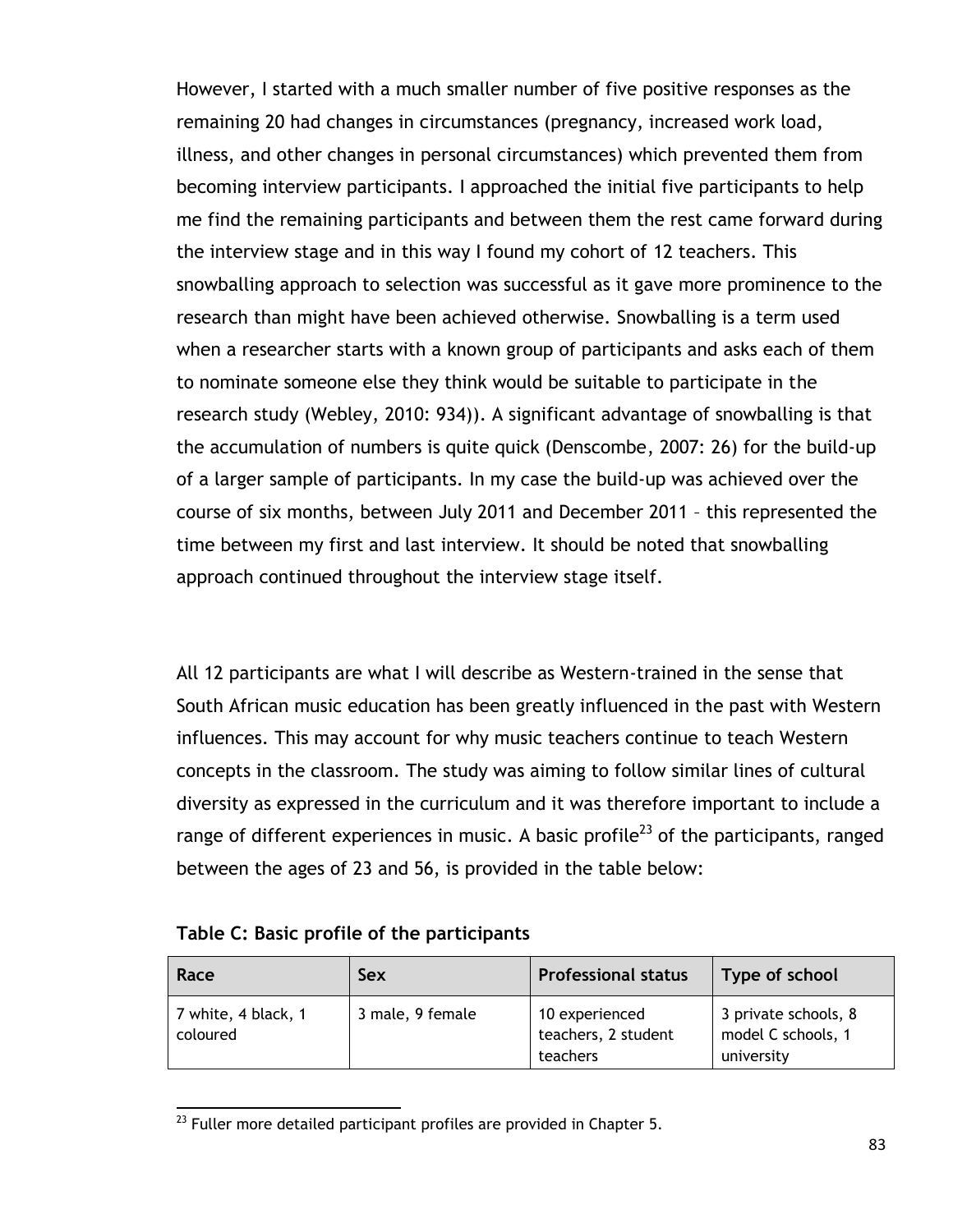However, I started with a much smaller number of five positive responses as the remaining 20 had changes in circumstances (pregnancy, increased work load, illness, and other changes in personal circumstances) which prevented them from becoming interview participants. I approached the initial five participants to help me find the remaining participants and between them the rest came forward during the interview stage and in this way I found my cohort of 12 teachers. This snowballing approach to selection was successful as it gave more prominence to the research than might have been achieved otherwise. Snowballing is a term used when a researcher starts with a known group of participants and asks each of them to nominate someone else they think would be suitable to participate in the research study (Webley, 2010: 934)). A significant advantage of snowballing is that the accumulation of numbers is quite quick (Denscombe, 2007: 26) for the build-up of a larger sample of participants. In my case the build-up was achieved over the course of six months, between July 2011 and December 2011 – this represented the time between my first and last interview. It should be noted that snowballing approach continued throughout the interview stage itself.

All 12 participants are what I will describe as Western-trained in the sense that South African music education has been greatly influenced in the past with Western influences. This may account for why music teachers continue to teach Western concepts in the classroom. The study was aiming to follow similar lines of cultural diversity as expressed in the curriculum and it was therefore important to include a range of different experiences in music. A basic profile<sup>23</sup> of the participants, ranged between the ages of 23 and 56, is provided in the table below:

#### **Table C: Basic profile of the participants**

| Race                            | Sex              | <b>Professional status</b>                        | Type of school                                           |
|---------------------------------|------------------|---------------------------------------------------|----------------------------------------------------------|
| 7 white, 4 black, 1<br>coloured | 3 male, 9 female | 10 experienced<br>teachers, 2 student<br>teachers | 3 private schools, 8<br>model C schools, 1<br>university |

 $\overline{a}$  $^{23}$  Fuller more detailed participant profiles are provided in Chapter 5.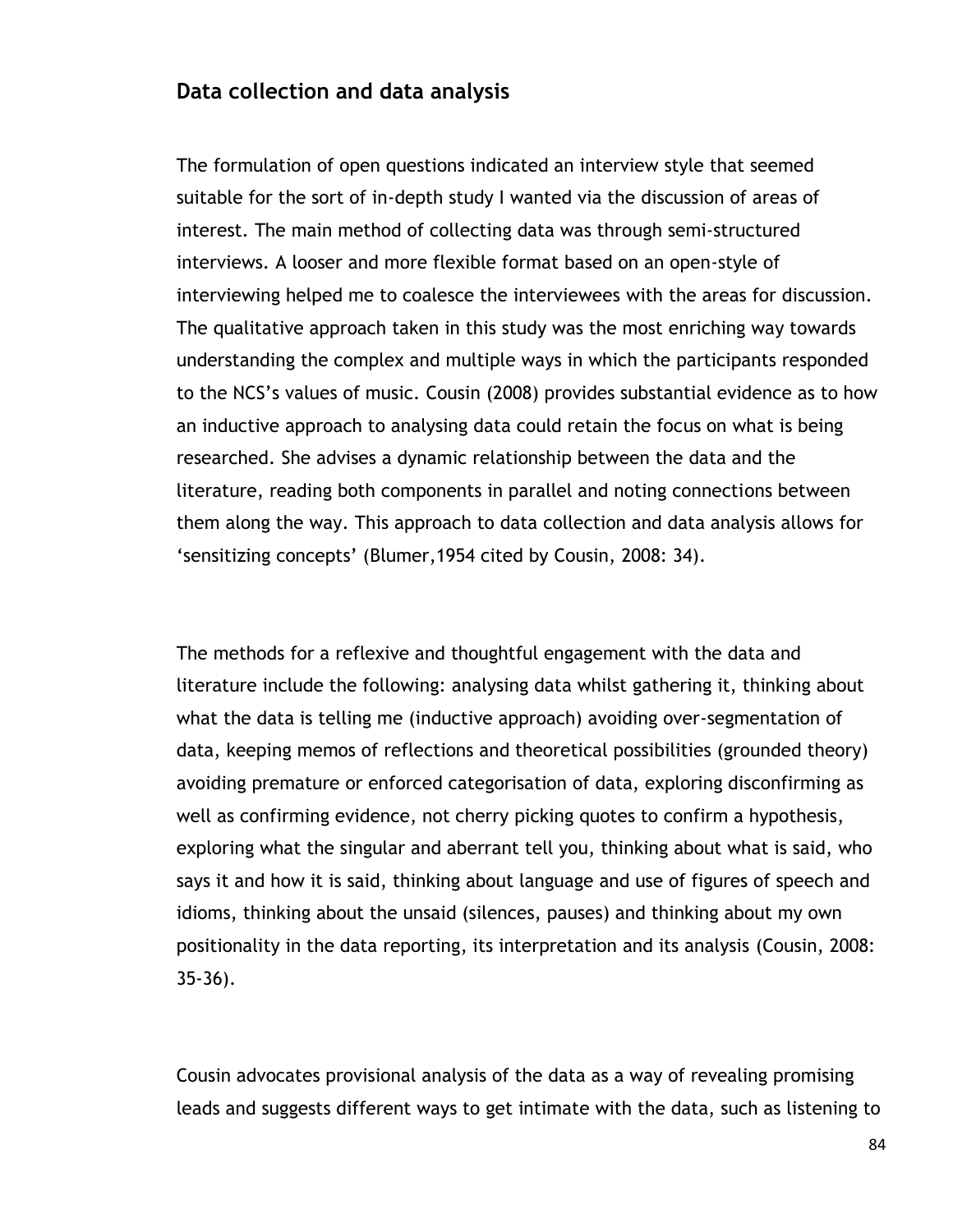## **Data collection and data analysis**

The formulation of open questions indicated an interview style that seemed suitable for the sort of in-depth study I wanted via the discussion of areas of interest. The main method of collecting data was through semi-structured interviews. A looser and more flexible format based on an open-style of interviewing helped me to coalesce the interviewees with the areas for discussion. The qualitative approach taken in this study was the most enriching way towards understanding the complex and multiple ways in which the participants responded to the NCS"s values of music. Cousin (2008) provides substantial evidence as to how an inductive approach to analysing data could retain the focus on what is being researched. She advises a dynamic relationship between the data and the literature, reading both components in parallel and noting connections between them along the way. This approach to data collection and data analysis allows for 'sensitizing concepts' (Blumer, 1954 cited by Cousin, 2008: 34).

The methods for a reflexive and thoughtful engagement with the data and literature include the following: analysing data whilst gathering it, thinking about what the data is telling me (inductive approach) avoiding over-segmentation of data, keeping memos of reflections and theoretical possibilities (grounded theory) avoiding premature or enforced categorisation of data, exploring disconfirming as well as confirming evidence, not cherry picking quotes to confirm a hypothesis, exploring what the singular and aberrant tell you, thinking about what is said, who says it and how it is said, thinking about language and use of figures of speech and idioms, thinking about the unsaid (silences, pauses) and thinking about my own positionality in the data reporting, its interpretation and its analysis (Cousin, 2008: 35-36).

Cousin advocates provisional analysis of the data as a way of revealing promising leads and suggests different ways to get intimate with the data, such as listening to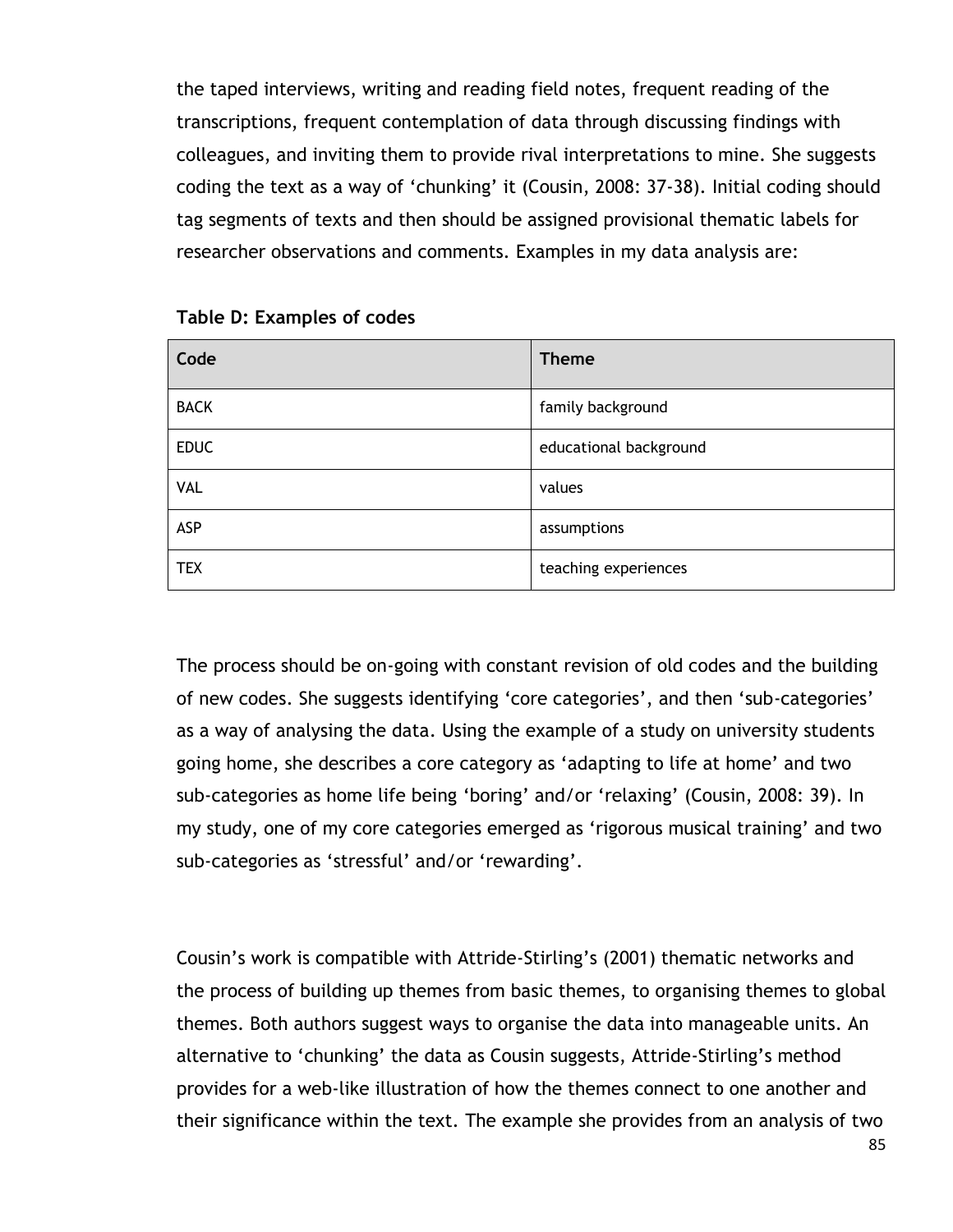the taped interviews, writing and reading field notes, frequent reading of the transcriptions, frequent contemplation of data through discussing findings with colleagues, and inviting them to provide rival interpretations to mine. She suggests coding the text as a way of "chunking" it (Cousin, 2008: 37-38). Initial coding should tag segments of texts and then should be assigned provisional thematic labels for researcher observations and comments. Examples in my data analysis are:

| Code        | <b>Theme</b>           |
|-------------|------------------------|
| <b>BACK</b> | family background      |
| <b>EDUC</b> | educational background |
| <b>VAL</b>  | values                 |
| ASP         | assumptions            |
| <b>TEX</b>  | teaching experiences   |

#### **Table D: Examples of codes**

The process should be on-going with constant revision of old codes and the building of new codes. She suggests identifying "core categories", and then "sub-categories" as a way of analysing the data. Using the example of a study on university students going home, she describes a core category as "adapting to life at home" and two sub-categories as home life being 'boring' and/or 'relaxing' (Cousin, 2008: 39). In my study, one of my core categories emerged as "rigorous musical training" and two sub-categories as 'stressful' and/or 'rewarding'.

Cousin"s work is compatible with Attride-Stirling"s (2001) thematic networks and the process of building up themes from basic themes, to organising themes to global themes. Both authors suggest ways to organise the data into manageable units. An alternative to "chunking" the data as Cousin suggests, Attride-Stirling"s method provides for a web-like illustration of how the themes connect to one another and their significance within the text. The example she provides from an analysis of two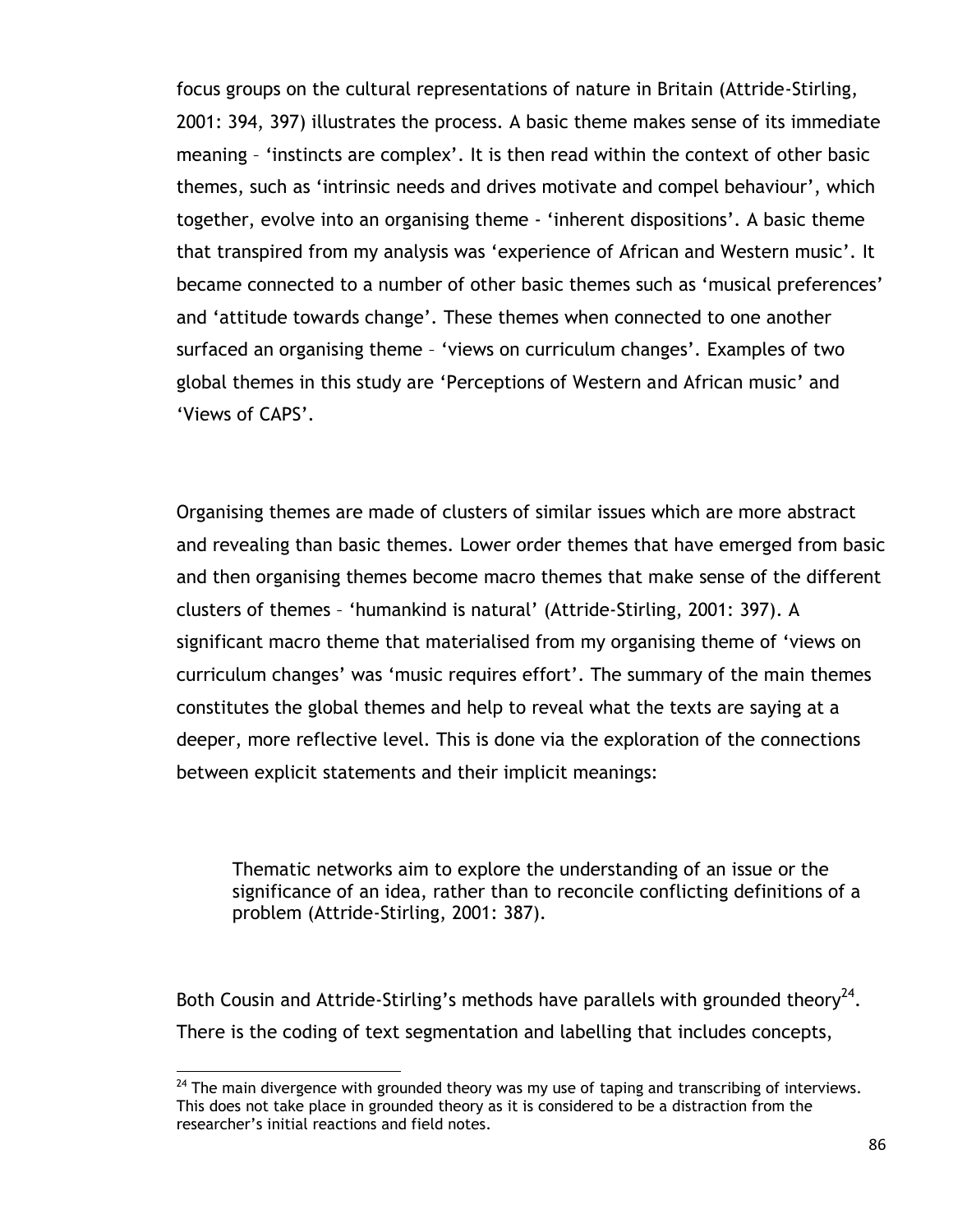focus groups on the cultural representations of nature in Britain (Attride-Stirling, 2001: 394, 397) illustrates the process. A basic theme makes sense of its immediate meaning – "instincts are complex". It is then read within the context of other basic themes, such as "intrinsic needs and drives motivate and compel behaviour", which together, evolve into an organising theme - 'inherent dispositions'. A basic theme that transpired from my analysis was "experience of African and Western music". It became connected to a number of other basic themes such as "musical preferences" and 'attitude towards change'. These themes when connected to one another surfaced an organising theme - 'views on curriculum changes'. Examples of two global themes in this study are "Perceptions of Western and African music" and 'Views of CAPS'.

Organising themes are made of clusters of similar issues which are more abstract and revealing than basic themes. Lower order themes that have emerged from basic and then organising themes become macro themes that make sense of the different clusters of themes – "humankind is natural" (Attride-Stirling, 2001: 397). A significant macro theme that materialised from my organising theme of "views on curriculum changes' was 'music requires effort'. The summary of the main themes constitutes the global themes and help to reveal what the texts are saying at a deeper, more reflective level. This is done via the exploration of the connections between explicit statements and their implicit meanings:

Thematic networks aim to explore the understanding of an issue or the significance of an idea, rather than to reconcile conflicting definitions of a problem (Attride-Stirling, 2001: 387).

Both Cousin and Attride-Stirling's methods have parallels with grounded theory<sup>24</sup>. There is the coding of text segmentation and labelling that includes concepts,

 $24$  The main divergence with grounded theory was my use of taping and transcribing of interviews. This does not take place in grounded theory as it is considered to be a distraction from the researcher"s initial reactions and field notes.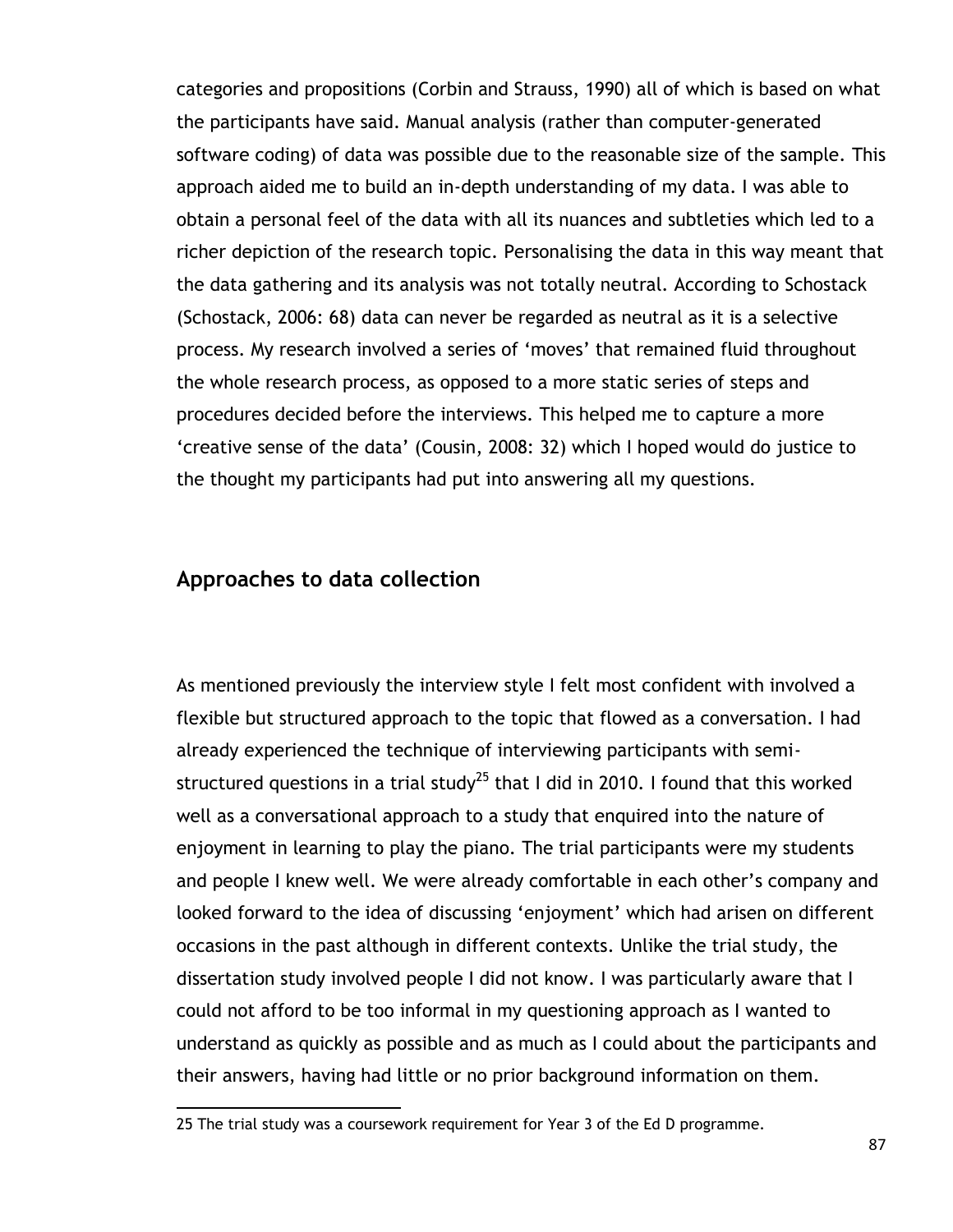categories and propositions (Corbin and Strauss, 1990) all of which is based on what the participants have said. Manual analysis (rather than computer-generated software coding) of data was possible due to the reasonable size of the sample. This approach aided me to build an in-depth understanding of my data. I was able to obtain a personal feel of the data with all its nuances and subtleties which led to a richer depiction of the research topic. Personalising the data in this way meant that the data gathering and its analysis was not totally neutral. According to Schostack (Schostack, 2006: 68) data can never be regarded as neutral as it is a selective process. My research involved a series of "moves" that remained fluid throughout the whole research process, as opposed to a more static series of steps and procedures decided before the interviews. This helped me to capture a more "creative sense of the data" (Cousin, 2008: 32) which I hoped would do justice to the thought my participants had put into answering all my questions.

## **Approaches to data collection**

 $\overline{a}$ 

As mentioned previously the interview style I felt most confident with involved a flexible but structured approach to the topic that flowed as a conversation. I had already experienced the technique of interviewing participants with semistructured questions in a trial study<sup>25</sup> that I did in 2010. I found that this worked well as a conversational approach to a study that enquired into the nature of enjoyment in learning to play the piano. The trial participants were my students and people I knew well. We were already comfortable in each other"s company and looked forward to the idea of discussing 'enjoyment' which had arisen on different occasions in the past although in different contexts. Unlike the trial study, the dissertation study involved people I did not know. I was particularly aware that I could not afford to be too informal in my questioning approach as I wanted to understand as quickly as possible and as much as I could about the participants and their answers, having had little or no prior background information on them.

<sup>25</sup> The trial study was a coursework requirement for Year 3 of the Ed D programme.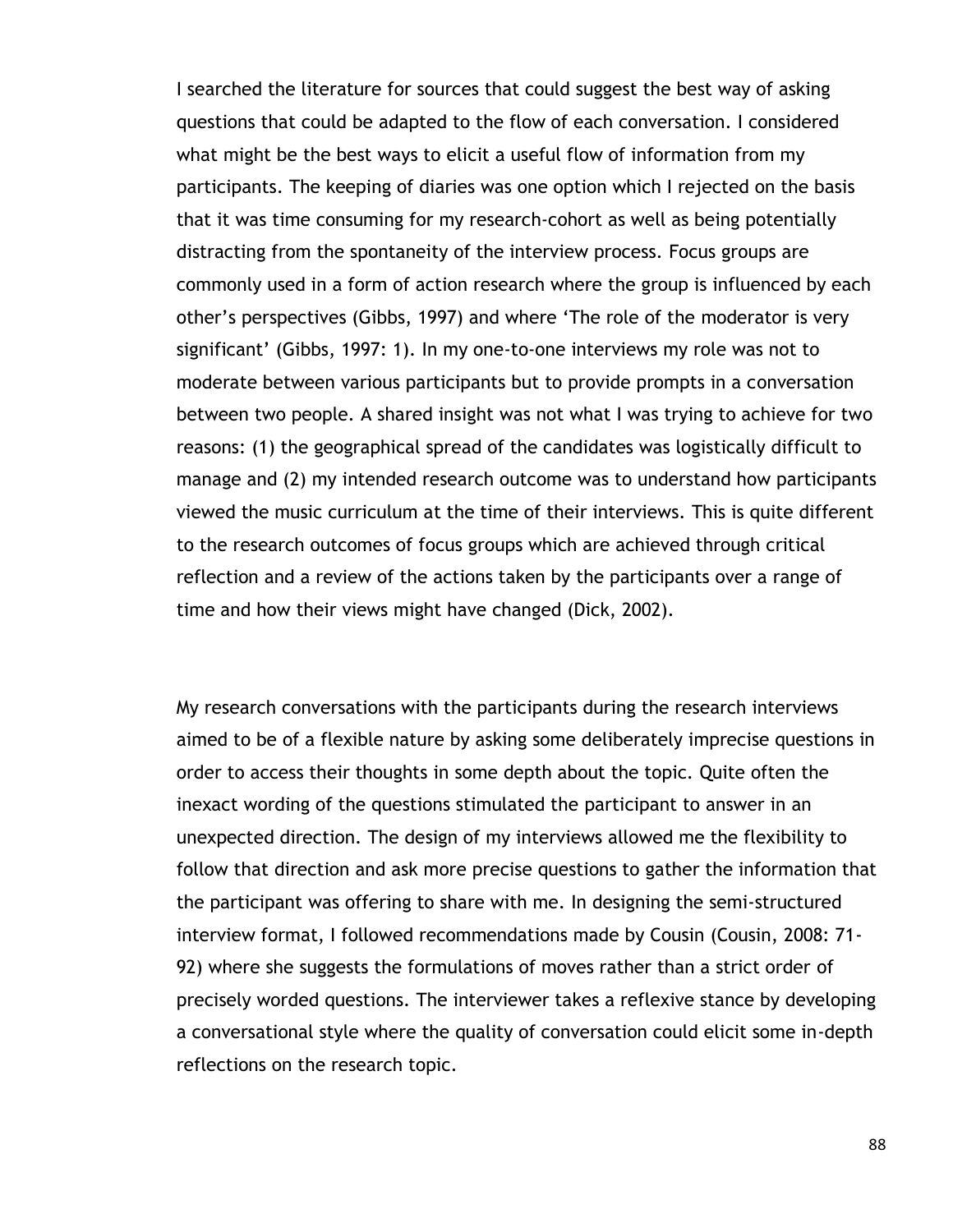I searched the literature for sources that could suggest the best way of asking questions that could be adapted to the flow of each conversation. I considered what might be the best ways to elicit a useful flow of information from my participants. The keeping of diaries was one option which I rejected on the basis that it was time consuming for my research-cohort as well as being potentially distracting from the spontaneity of the interview process. Focus groups are commonly used in a form of action research where the group is influenced by each other"s perspectives (Gibbs, 1997) and where "The role of the moderator is very significant' (Gibbs, 1997: 1). In my one-to-one interviews my role was not to moderate between various participants but to provide prompts in a conversation between two people. A shared insight was not what I was trying to achieve for two reasons: (1) the geographical spread of the candidates was logistically difficult to manage and (2) my intended research outcome was to understand how participants viewed the music curriculum at the time of their interviews. This is quite different to the research outcomes of focus groups which are achieved through critical reflection and a review of the actions taken by the participants over a range of time and how their views might have changed (Dick, 2002).

My research conversations with the participants during the research interviews aimed to be of a flexible nature by asking some deliberately imprecise questions in order to access their thoughts in some depth about the topic. Quite often the inexact wording of the questions stimulated the participant to answer in an unexpected direction. The design of my interviews allowed me the flexibility to follow that direction and ask more precise questions to gather the information that the participant was offering to share with me. In designing the semi-structured interview format, I followed recommendations made by Cousin (Cousin, 2008: 71- 92) where she suggests the formulations of moves rather than a strict order of precisely worded questions. The interviewer takes a reflexive stance by developing a conversational style where the quality of conversation could elicit some in-depth reflections on the research topic.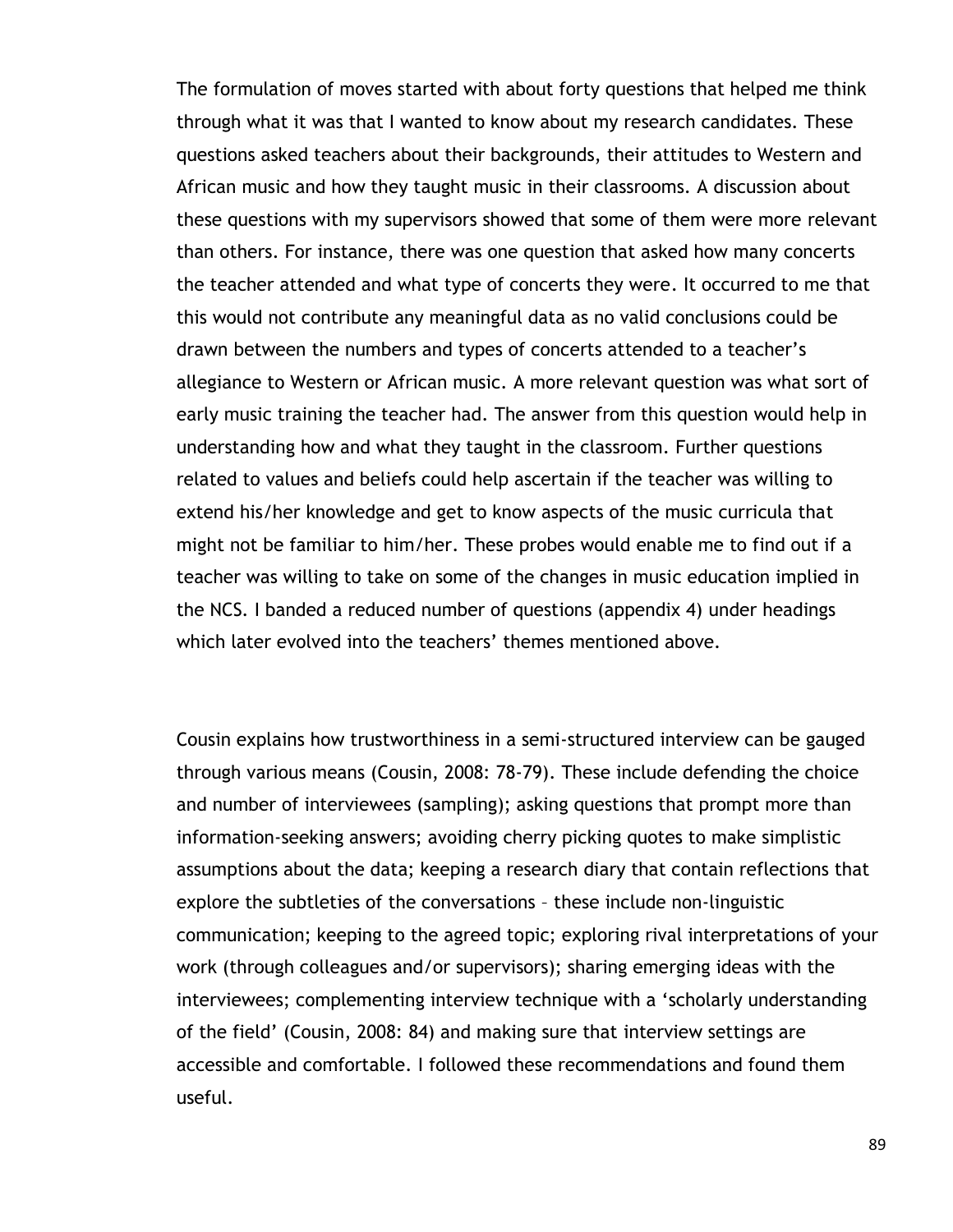The formulation of moves started with about forty questions that helped me think through what it was that I wanted to know about my research candidates. These questions asked teachers about their backgrounds, their attitudes to Western and African music and how they taught music in their classrooms. A discussion about these questions with my supervisors showed that some of them were more relevant than others. For instance, there was one question that asked how many concerts the teacher attended and what type of concerts they were. It occurred to me that this would not contribute any meaningful data as no valid conclusions could be drawn between the numbers and types of concerts attended to a teacher"s allegiance to Western or African music. A more relevant question was what sort of early music training the teacher had. The answer from this question would help in understanding how and what they taught in the classroom. Further questions related to values and beliefs could help ascertain if the teacher was willing to extend his/her knowledge and get to know aspects of the music curricula that might not be familiar to him/her. These probes would enable me to find out if a teacher was willing to take on some of the changes in music education implied in the NCS. I banded a reduced number of questions (appendix 4) under headings which later evolved into the teachers' themes mentioned above.

Cousin explains how trustworthiness in a semi-structured interview can be gauged through various means (Cousin, 2008: 78-79). These include defending the choice and number of interviewees (sampling); asking questions that prompt more than information-seeking answers; avoiding cherry picking quotes to make simplistic assumptions about the data; keeping a research diary that contain reflections that explore the subtleties of the conversations – these include non-linguistic communication; keeping to the agreed topic; exploring rival interpretations of your work (through colleagues and/or supervisors); sharing emerging ideas with the interviewees; complementing interview technique with a "scholarly understanding of the field" (Cousin, 2008: 84) and making sure that interview settings are accessible and comfortable. I followed these recommendations and found them useful.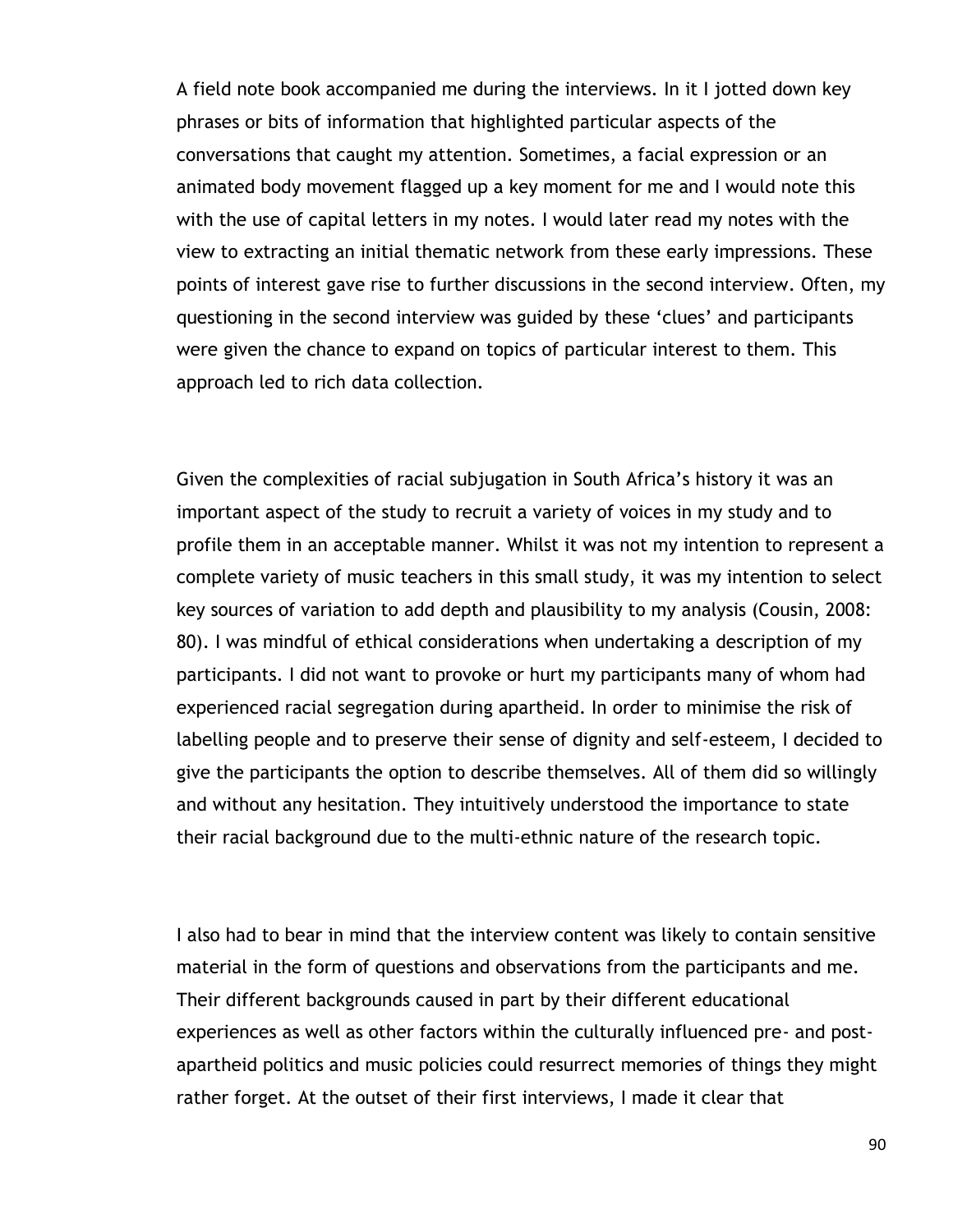A field note book accompanied me during the interviews. In it I jotted down key phrases or bits of information that highlighted particular aspects of the conversations that caught my attention. Sometimes, a facial expression or an animated body movement flagged up a key moment for me and I would note this with the use of capital letters in my notes. I would later read my notes with the view to extracting an initial thematic network from these early impressions. These points of interest gave rise to further discussions in the second interview. Often, my questioning in the second interview was guided by these "clues" and participants were given the chance to expand on topics of particular interest to them. This approach led to rich data collection.

Given the complexities of racial subjugation in South Africa"s history it was an important aspect of the study to recruit a variety of voices in my study and to profile them in an acceptable manner. Whilst it was not my intention to represent a complete variety of music teachers in this small study, it was my intention to select key sources of variation to add depth and plausibility to my analysis (Cousin, 2008: 80). I was mindful of ethical considerations when undertaking a description of my participants. I did not want to provoke or hurt my participants many of whom had experienced racial segregation during apartheid. In order to minimise the risk of labelling people and to preserve their sense of dignity and self-esteem, I decided to give the participants the option to describe themselves. All of them did so willingly and without any hesitation. They intuitively understood the importance to state their racial background due to the multi-ethnic nature of the research topic.

I also had to bear in mind that the interview content was likely to contain sensitive material in the form of questions and observations from the participants and me. Their different backgrounds caused in part by their different educational experiences as well as other factors within the culturally influenced pre- and postapartheid politics and music policies could resurrect memories of things they might rather forget. At the outset of their first interviews, I made it clear that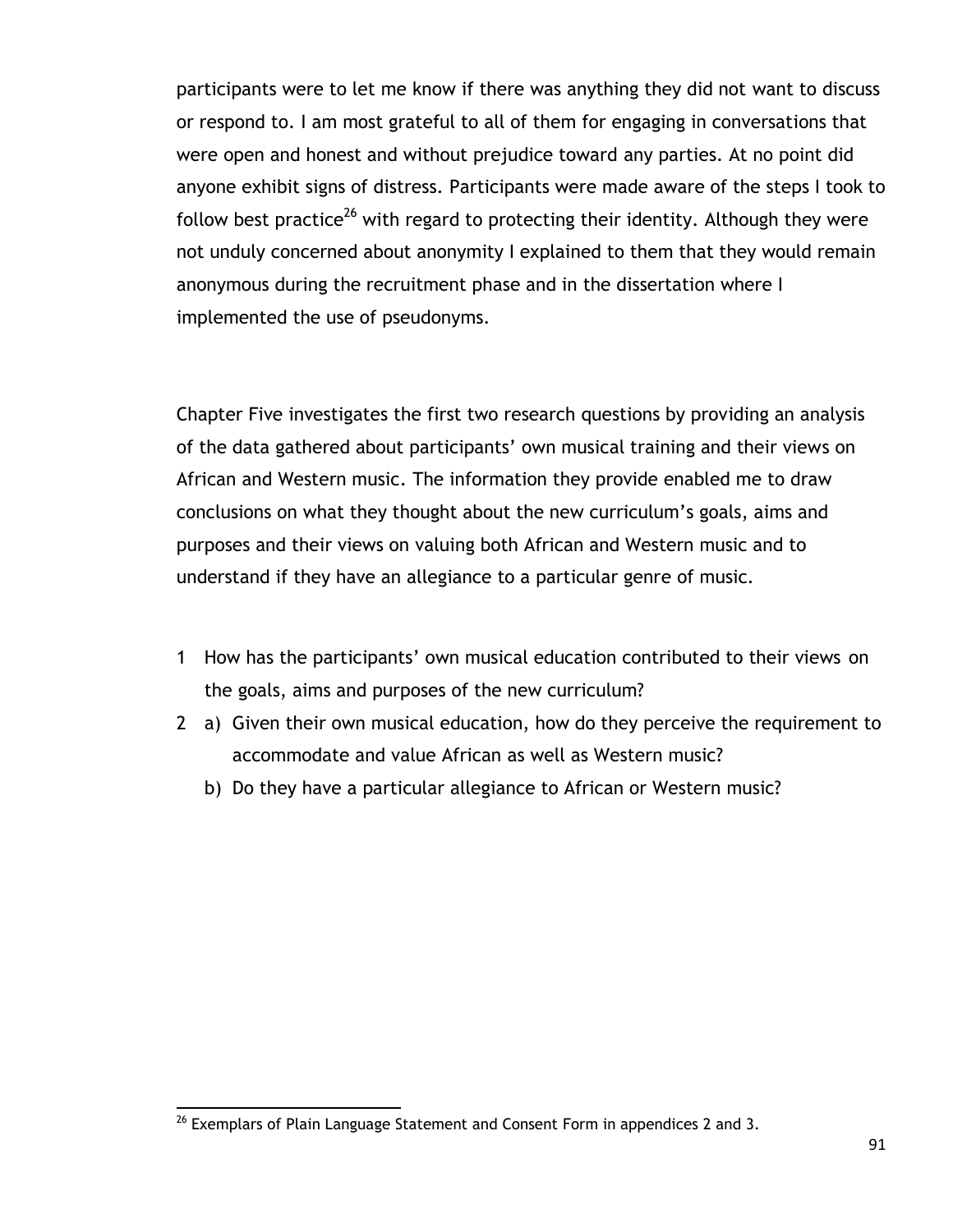participants were to let me know if there was anything they did not want to discuss or respond to. I am most grateful to all of them for engaging in conversations that were open and honest and without prejudice toward any parties. At no point did anyone exhibit signs of distress. Participants were made aware of the steps I took to follow best practice<sup>26</sup> with regard to protecting their identity. Although they were not unduly concerned about anonymity I explained to them that they would remain anonymous during the recruitment phase and in the dissertation where I implemented the use of pseudonyms.

Chapter Five investigates the first two research questions by providing an analysis of the data gathered about participants" own musical training and their views on African and Western music. The information they provide enabled me to draw conclusions on what they thought about the new curriculum"s goals, aims and purposes and their views on valuing both African and Western music and to understand if they have an allegiance to a particular genre of music.

- 1 How has the participants" own musical education contributed to their views on the goals, aims and purposes of the new curriculum?
- 2 a) Given their own musical education, how do they perceive the requirement to accommodate and value African as well as Western music?
	- b) Do they have a particular allegiance to African or Western music?

 $\overline{a}$  $^{26}$  Exemplars of Plain Language Statement and Consent Form in appendices 2 and 3.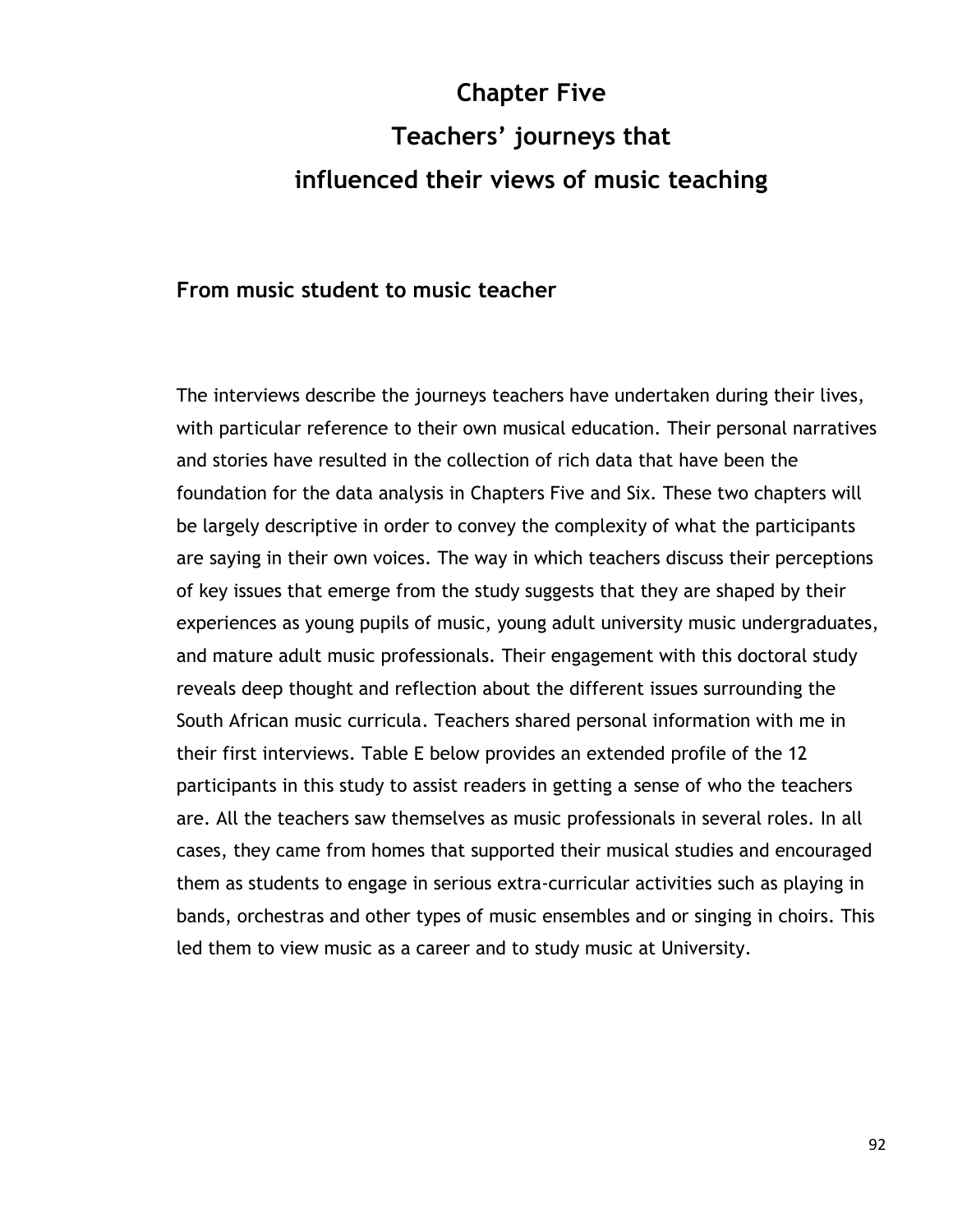# **Chapter Five Teachers' journeys that influenced their views of music teaching**

#### **From music student to music teacher**

The interviews describe the journeys teachers have undertaken during their lives, with particular reference to their own musical education. Their personal narratives and stories have resulted in the collection of rich data that have been the foundation for the data analysis in Chapters Five and Six. These two chapters will be largely descriptive in order to convey the complexity of what the participants are saying in their own voices. The way in which teachers discuss their perceptions of key issues that emerge from the study suggests that they are shaped by their experiences as young pupils of music, young adult university music undergraduates, and mature adult music professionals. Their engagement with this doctoral study reveals deep thought and reflection about the different issues surrounding the South African music curricula. Teachers shared personal information with me in their first interviews. Table E below provides an extended profile of the 12 participants in this study to assist readers in getting a sense of who the teachers are. All the teachers saw themselves as music professionals in several roles. In all cases, they came from homes that supported their musical studies and encouraged them as students to engage in serious extra-curricular activities such as playing in bands, orchestras and other types of music ensembles and or singing in choirs. This led them to view music as a career and to study music at University.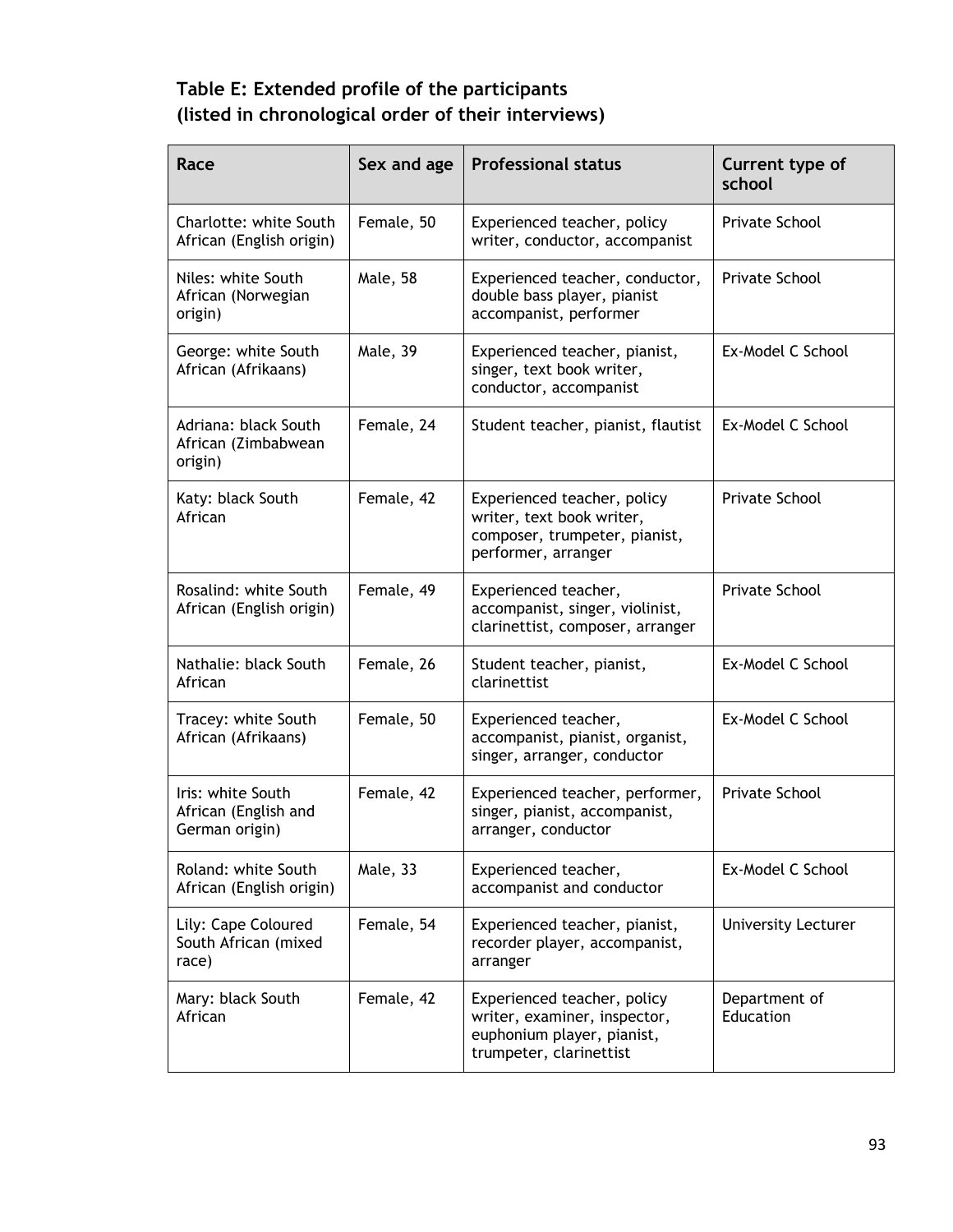# **Table E: Extended profile of the participants (listed in chronological order of their interviews)**

| Race                                                        | Sex and age | <b>Professional status</b>                                                                                           | Current type of<br>school  |
|-------------------------------------------------------------|-------------|----------------------------------------------------------------------------------------------------------------------|----------------------------|
| Charlotte: white South<br>African (English origin)          | Female, 50  | Experienced teacher, policy<br>writer, conductor, accompanist                                                        | Private School             |
| Niles: white South<br>African (Norwegian<br>origin)         | Male, 58    | Experienced teacher, conductor,<br>double bass player, pianist<br>accompanist, performer                             | Private School             |
| George: white South<br>African (Afrikaans)                  | Male, 39    | Experienced teacher, pianist,<br>singer, text book writer,<br>conductor, accompanist                                 | Ex-Model C School          |
| Adriana: black South<br>African (Zimbabwean<br>origin)      | Female, 24  | Student teacher, pianist, flautist                                                                                   | Ex-Model C School          |
| Katy: black South<br>African                                | Female, 42  | Experienced teacher, policy<br>writer, text book writer,<br>composer, trumpeter, pianist,<br>performer, arranger     | Private School             |
| Rosalind: white South<br>African (English origin)           | Female, 49  | Experienced teacher,<br>accompanist, singer, violinist,<br>clarinettist, composer, arranger                          | Private School             |
| Nathalie: black South<br>African                            | Female, 26  | Student teacher, pianist,<br>clarinettist                                                                            | Ex-Model C School          |
| Tracey: white South<br>African (Afrikaans)                  | Female, 50  | Experienced teacher,<br>accompanist, pianist, organist,<br>singer, arranger, conductor                               | Ex-Model C School          |
| Iris: white South<br>African (English and<br>German origin) | Female, 42  | Experienced teacher, performer,<br>singer, pianist, accompanist,<br>arranger, conductor                              | <b>Private School</b>      |
| Roland: white South<br>African (English origin)             | Male, 33    | Experienced teacher,<br>accompanist and conductor                                                                    | Ex-Model C School          |
| Lily: Cape Coloured<br>South African (mixed<br>race)        | Female, 54  | Experienced teacher, pianist,<br>recorder player, accompanist,<br>arranger                                           | <b>University Lecturer</b> |
| Mary: black South<br>African                                | Female, 42  | Experienced teacher, policy<br>writer, examiner, inspector,<br>euphonium player, pianist,<br>trumpeter, clarinettist | Department of<br>Education |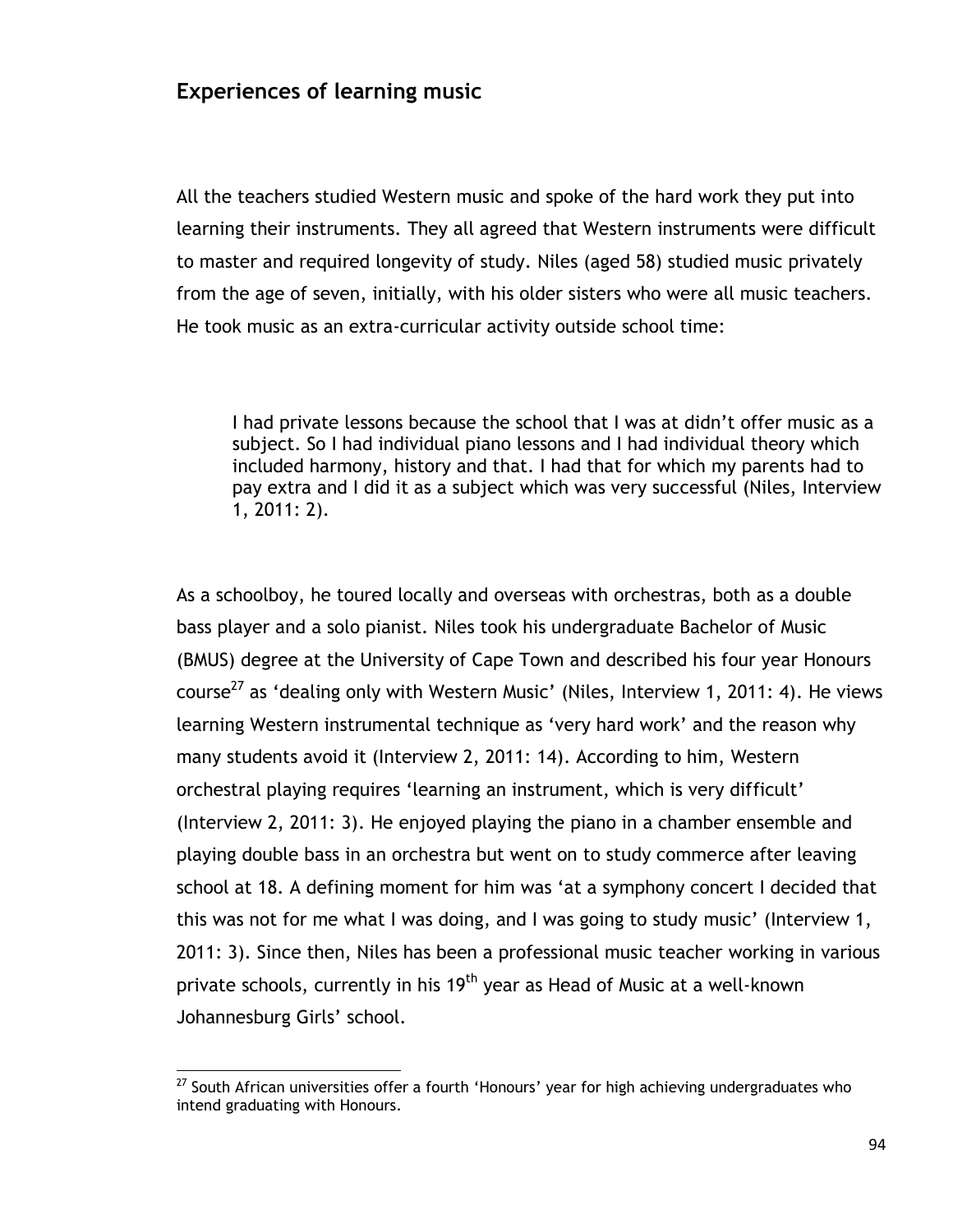## **Experiences of learning music**

All the teachers studied Western music and spoke of the hard work they put into learning their instruments. They all agreed that Western instruments were difficult to master and required longevity of study. Niles (aged 58) studied music privately from the age of seven, initially, with his older sisters who were all music teachers. He took music as an extra-curricular activity outside school time:

I had private lessons because the school that I was at didn"t offer music as a subject. So I had individual piano lessons and I had individual theory which included harmony, history and that. I had that for which my parents had to pay extra and I did it as a subject which was very successful (Niles, Interview 1, 2011: 2).

As a schoolboy, he toured locally and overseas with orchestras, both as a double bass player and a solo pianist. Niles took his undergraduate Bachelor of Music (BMUS) degree at the University of Cape Town and described his four year Honours course<sup>27</sup> as 'dealing only with Western Music' (Niles, Interview 1, 2011: 4). He views learning Western instrumental technique as "very hard work" and the reason why many students avoid it (Interview 2, 2011: 14). According to him, Western orchestral playing requires "learning an instrument, which is very difficult" (Interview 2, 2011: 3). He enjoyed playing the piano in a chamber ensemble and playing double bass in an orchestra but went on to study commerce after leaving school at 18. A defining moment for him was "at a symphony concert I decided that this was not for me what I was doing, and I was going to study music" (Interview 1, 2011: 3). Since then, Niles has been a professional music teacher working in various private schools, currently in his 19<sup>th</sup> year as Head of Music at a well-known Johannesburg Girls' school.

 $^{27}$  South African universities offer a fourth 'Honours' year for high achieving undergraduates who intend graduating with Honours.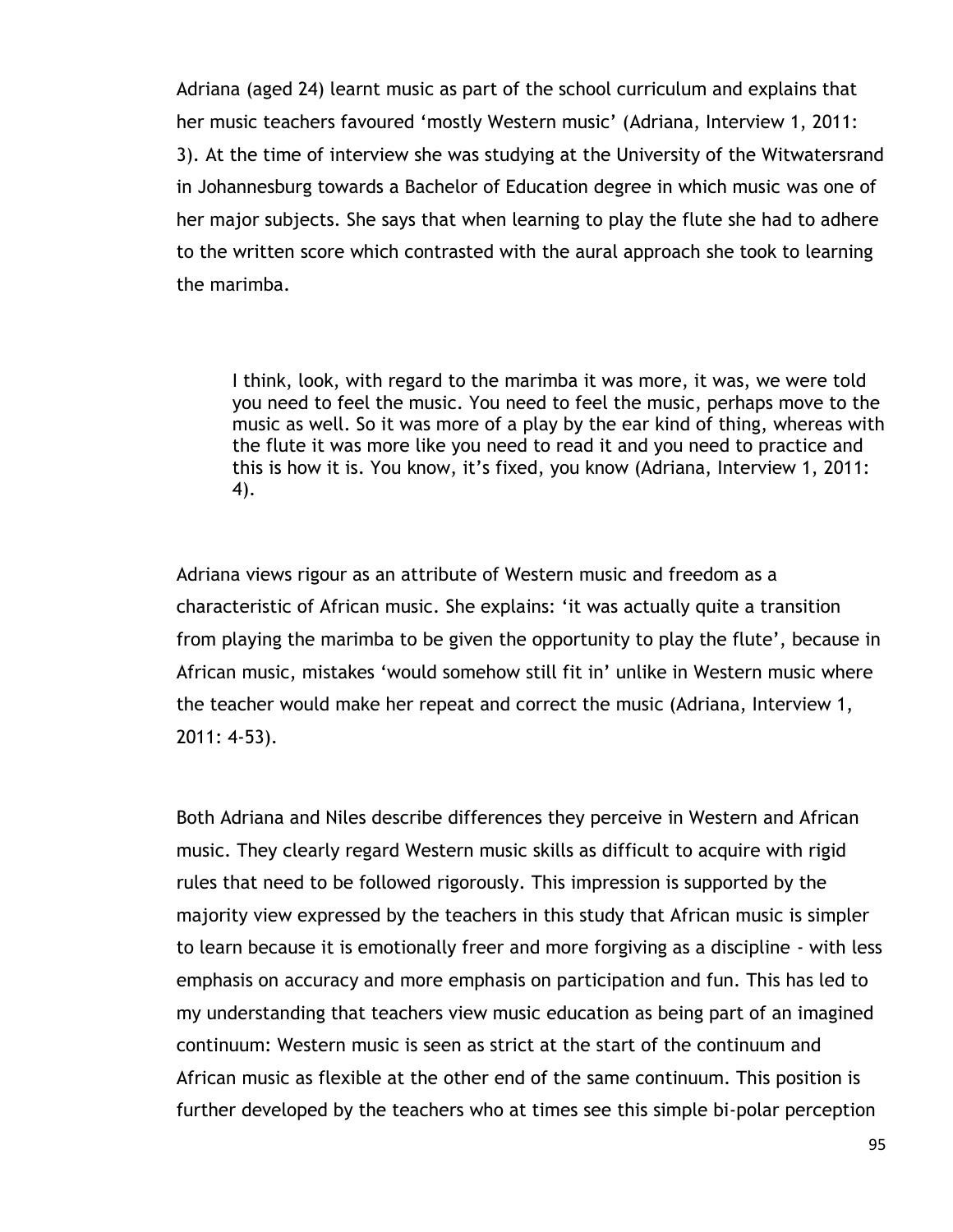Adriana (aged 24) learnt music as part of the school curriculum and explains that her music teachers favoured 'mostly Western music' (Adriana, Interview 1, 2011: 3). At the time of interview she was studying at the University of the Witwatersrand in Johannesburg towards a Bachelor of Education degree in which music was one of her major subjects. She says that when learning to play the flute she had to adhere to the written score which contrasted with the aural approach she took to learning the marimba.

I think, look, with regard to the marimba it was more, it was, we were told you need to feel the music. You need to feel the music, perhaps move to the music as well. So it was more of a play by the ear kind of thing, whereas with the flute it was more like you need to read it and you need to practice and this is how it is. You know, it's fixed, you know (Adriana, Interview 1, 2011: 4).

Adriana views rigour as an attribute of Western music and freedom as a characteristic of African music. She explains: "it was actually quite a transition from playing the marimba to be given the opportunity to play the flute", because in African music, mistakes "would somehow still fit in" unlike in Western music where the teacher would make her repeat and correct the music (Adriana, Interview 1, 2011: 4-53).

Both Adriana and Niles describe differences they perceive in Western and African music. They clearly regard Western music skills as difficult to acquire with rigid rules that need to be followed rigorously. This impression is supported by the majority view expressed by the teachers in this study that African music is simpler to learn because it is emotionally freer and more forgiving as a discipline - with less emphasis on accuracy and more emphasis on participation and fun. This has led to my understanding that teachers view music education as being part of an imagined continuum: Western music is seen as strict at the start of the continuum and African music as flexible at the other end of the same continuum. This position is further developed by the teachers who at times see this simple bi-polar perception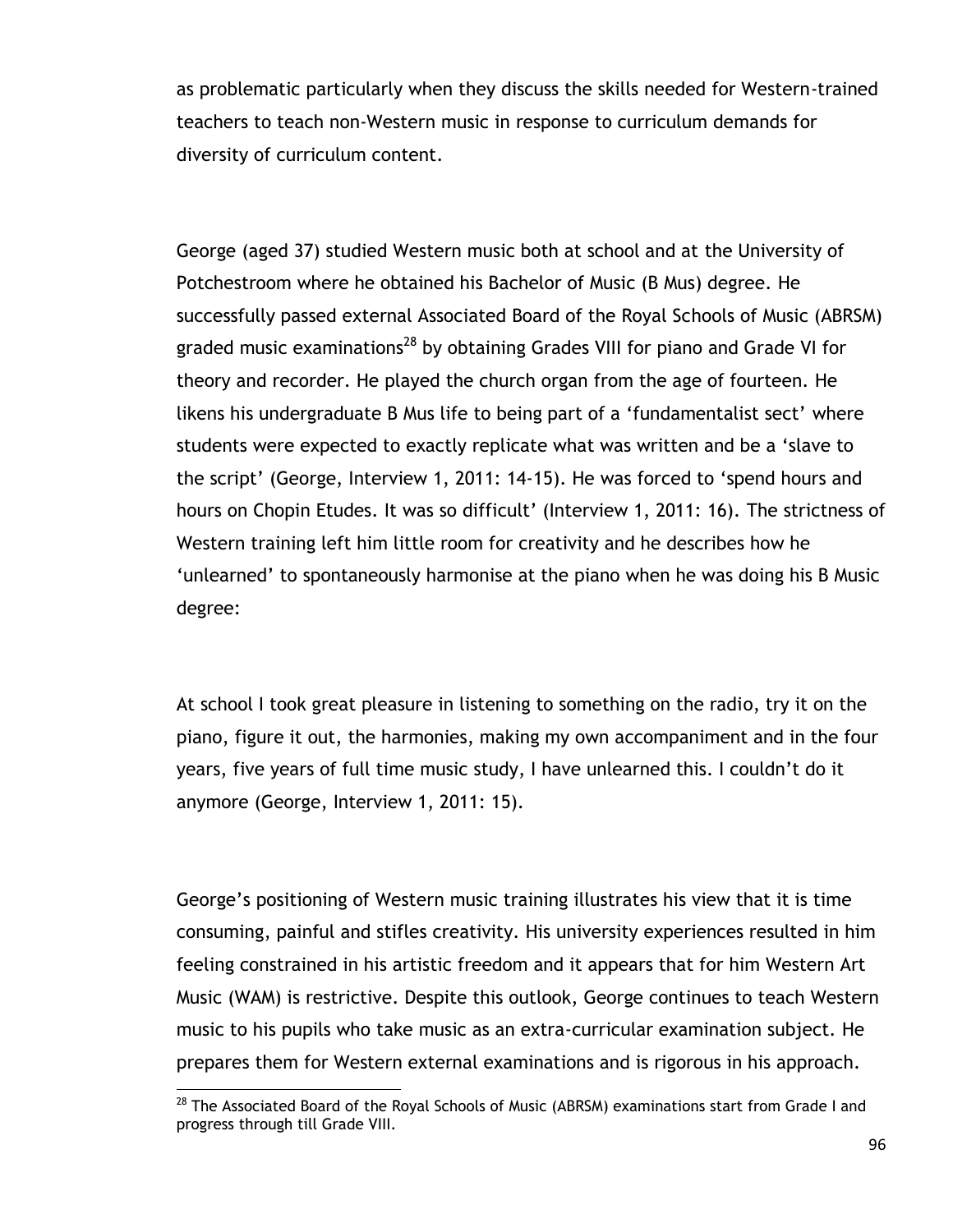as problematic particularly when they discuss the skills needed for Western-trained teachers to teach non-Western music in response to curriculum demands for diversity of curriculum content.

George (aged 37) studied Western music both at school and at the University of Potchestroom where he obtained his Bachelor of Music (B Mus) degree. He successfully passed external Associated Board of the Royal Schools of Music (ABRSM) graded music examinations<sup>28</sup> by obtaining Grades VIII for piano and Grade VI for theory and recorder. He played the church organ from the age of fourteen. He likens his undergraduate B Mus life to being part of a "fundamentalist sect" where students were expected to exactly replicate what was written and be a "slave to the script' (George, Interview 1, 2011: 14-15). He was forced to 'spend hours and hours on Chopin Etudes. It was so difficult' (Interview 1, 2011: 16). The strictness of Western training left him little room for creativity and he describes how he "unlearned" to spontaneously harmonise at the piano when he was doing his B Music degree:

At school I took great pleasure in listening to something on the radio, try it on the piano, figure it out, the harmonies, making my own accompaniment and in the four years, five years of full time music study, I have unlearned this. I couldn"t do it anymore (George, Interview 1, 2011: 15).

George"s positioning of Western music training illustrates his view that it is time consuming, painful and stifles creativity. His university experiences resulted in him feeling constrained in his artistic freedom and it appears that for him Western Art Music (WAM) is restrictive. Despite this outlook, George continues to teach Western music to his pupils who take music as an extra-curricular examination subject. He prepares them for Western external examinations and is rigorous in his approach.

 $\overline{a}$  $^{28}$  The Associated Board of the Royal Schools of Music (ABRSM) examinations start from Grade I and progress through till Grade VIII.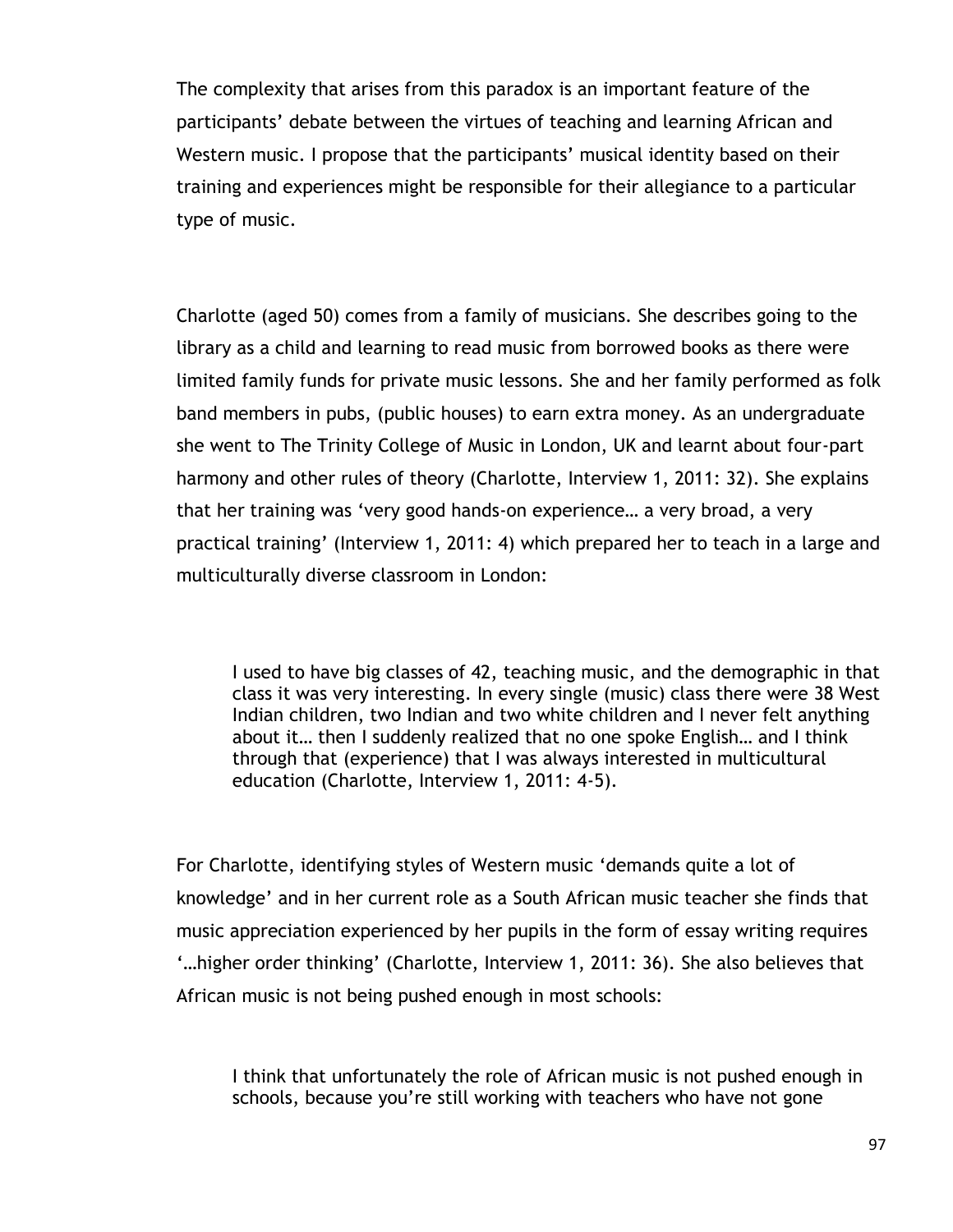The complexity that arises from this paradox is an important feature of the participants' debate between the virtues of teaching and learning African and Western music. I propose that the participants' musical identity based on their training and experiences might be responsible for their allegiance to a particular type of music.

Charlotte (aged 50) comes from a family of musicians. She describes going to the library as a child and learning to read music from borrowed books as there were limited family funds for private music lessons. She and her family performed as folk band members in pubs, (public houses) to earn extra money. As an undergraduate she went to The Trinity College of Music in London, UK and learnt about four-part harmony and other rules of theory (Charlotte, Interview 1, 2011: 32). She explains that her training was "very good hands-on experience… a very broad, a very practical training" (Interview 1, 2011: 4) which prepared her to teach in a large and multiculturally diverse classroom in London:

I used to have big classes of 42, teaching music, and the demographic in that class it was very interesting. In every single (music) class there were 38 West Indian children, two Indian and two white children and I never felt anything about it… then I suddenly realized that no one spoke English… and I think through that (experience) that I was always interested in multicultural education (Charlotte, Interview 1, 2011: 4-5).

For Charlotte, identifying styles of Western music "demands quite a lot of knowledge" and in her current role as a South African music teacher she finds that music appreciation experienced by her pupils in the form of essay writing requires "...higher order thinking' (Charlotte, Interview 1, 2011: 36). She also believes that African music is not being pushed enough in most schools:

I think that unfortunately the role of African music is not pushed enough in schools, because you"re still working with teachers who have not gone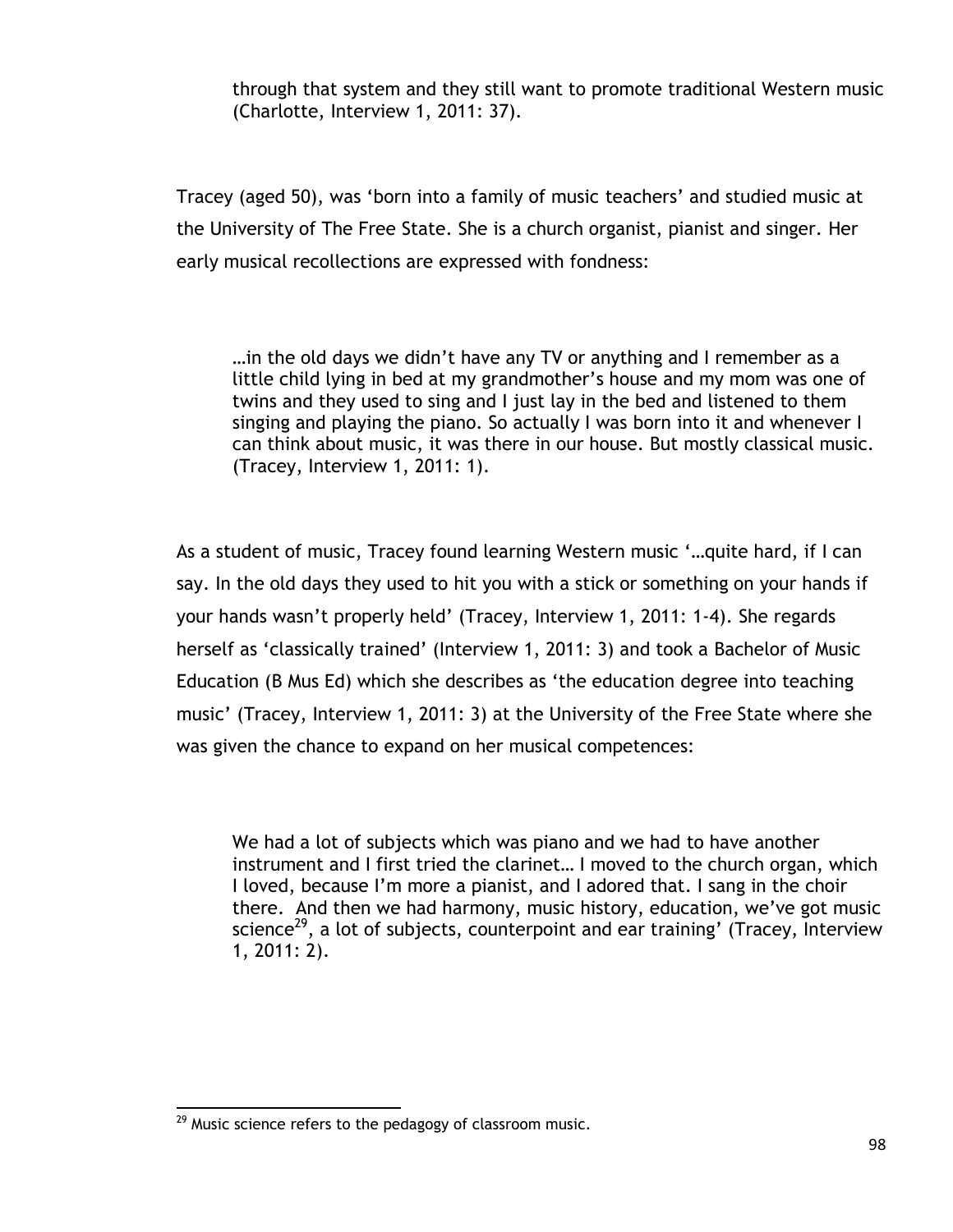through that system and they still want to promote traditional Western music (Charlotte, Interview 1, 2011: 37).

Tracey (aged 50), was "born into a family of music teachers" and studied music at the University of The Free State. She is a church organist, pianist and singer. Her early musical recollections are expressed with fondness:

…in the old days we didn"t have any TV or anything and I remember as a little child lying in bed at my grandmother"s house and my mom was one of twins and they used to sing and I just lay in the bed and listened to them singing and playing the piano. So actually I was born into it and whenever I can think about music, it was there in our house. But mostly classical music. (Tracey, Interview 1, 2011: 1).

As a student of music, Tracey found learning Western music "…quite hard, if I can say. In the old days they used to hit you with a stick or something on your hands if your hands wasn"t properly held" (Tracey, Interview 1, 2011: 1-4). She regards herself as 'classically trained' (Interview 1, 2011: 3) and took a Bachelor of Music Education (B Mus Ed) which she describes as "the education degree into teaching music" (Tracey, Interview 1, 2011: 3) at the University of the Free State where she was given the chance to expand on her musical competences:

We had a lot of subjects which was piano and we had to have another instrument and I first tried the clarinet… I moved to the church organ, which I loved, because I"m more a pianist, and I adored that. I sang in the choir there. And then we had harmony, music history, education, we"ve got music science<sup>29</sup>, a lot of subjects, counterpoint and ear training' (Tracey, Interview 1, 2011: 2).

 $\overline{a}$  $^{29}$  Music science refers to the pedagogy of classroom music.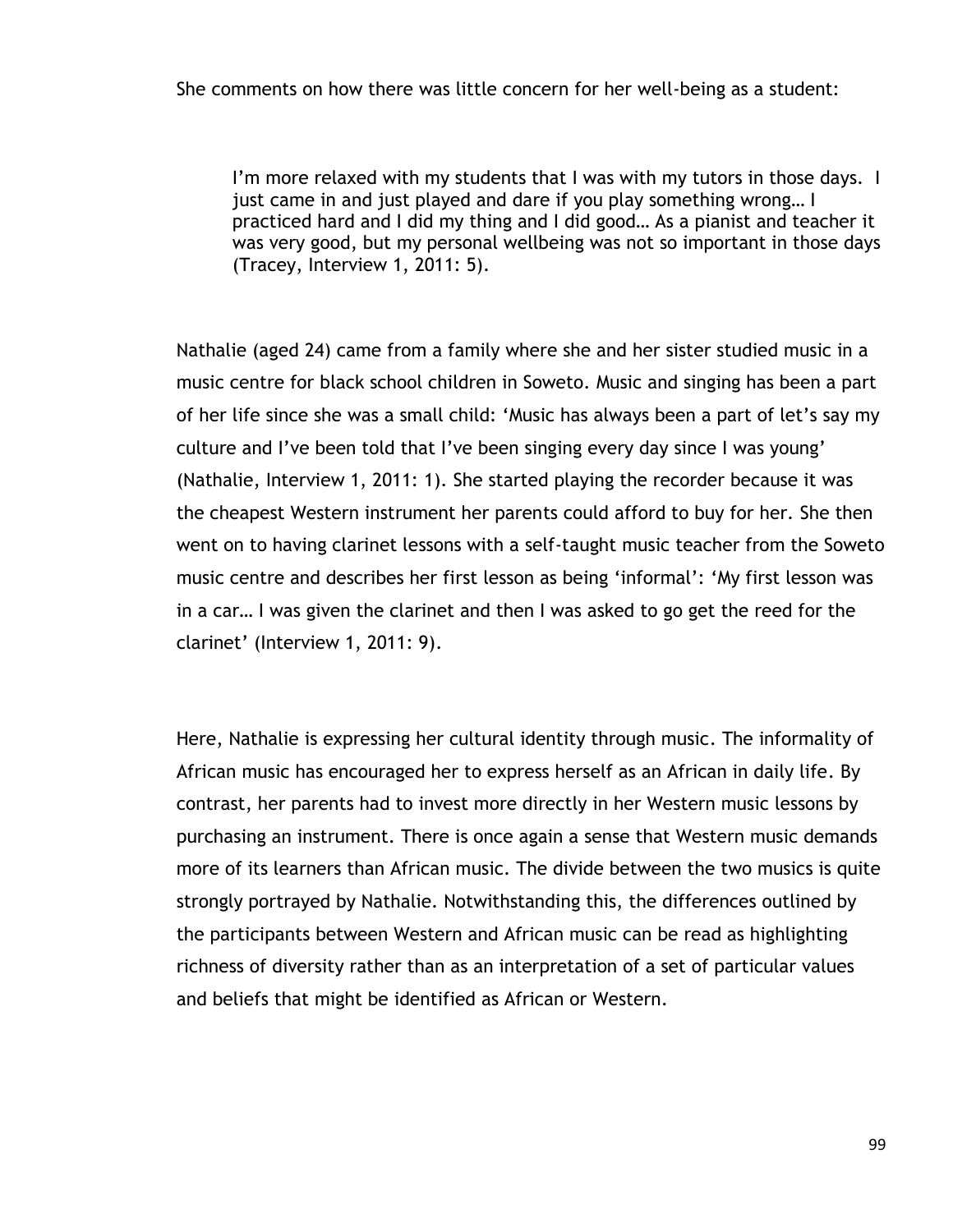I'm more relaxed with my students that I was with my tutors in those days. I just came in and just played and dare if you play something wrong… I practiced hard and I did my thing and I did good… As a pianist and teacher it was very good, but my personal wellbeing was not so important in those days (Tracey, Interview 1, 2011: 5).

Nathalie (aged 24) came from a family where she and her sister studied music in a music centre for black school children in Soweto. Music and singing has been a part of her life since she was a small child: "Music has always been a part of let"s say my culture and I've been told that I've been singing every day since I was young' (Nathalie, Interview 1, 2011: 1). She started playing the recorder because it was the cheapest Western instrument her parents could afford to buy for her. She then went on to having clarinet lessons with a self-taught music teacher from the Soweto music centre and describes her first lesson as being 'informal': 'My first lesson was in a car… I was given the clarinet and then I was asked to go get the reed for the clarinet" (Interview 1, 2011: 9).

Here, Nathalie is expressing her cultural identity through music. The informality of African music has encouraged her to express herself as an African in daily life. By contrast, her parents had to invest more directly in her Western music lessons by purchasing an instrument. There is once again a sense that Western music demands more of its learners than African music. The divide between the two musics is quite strongly portrayed by Nathalie. Notwithstanding this, the differences outlined by the participants between Western and African music can be read as highlighting richness of diversity rather than as an interpretation of a set of particular values and beliefs that might be identified as African or Western.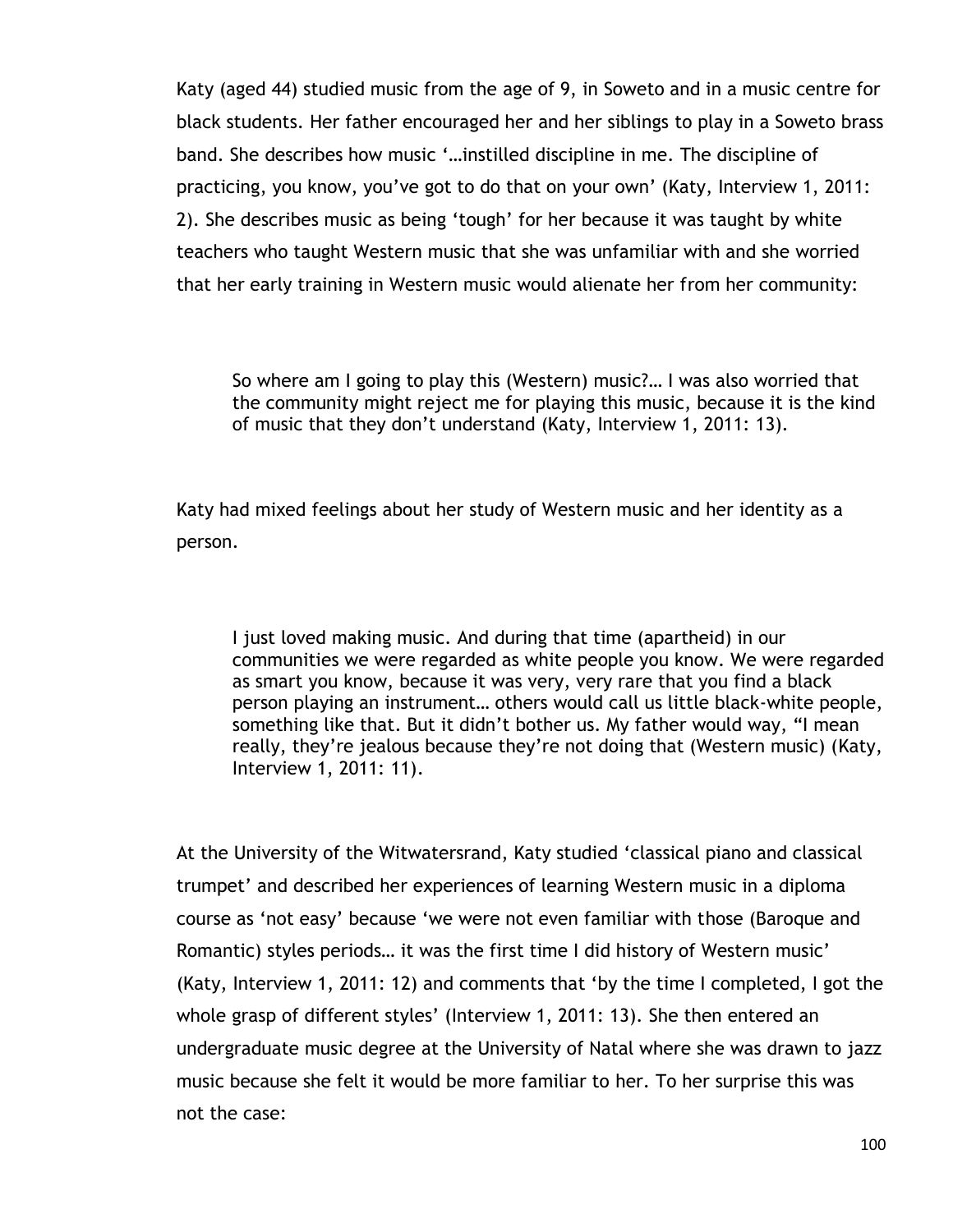Katy (aged 44) studied music from the age of 9, in Soweto and in a music centre for black students. Her father encouraged her and her siblings to play in a Soweto brass band. She describes how music "…instilled discipline in me. The discipline of practicing, you know, you"ve got to do that on your own" (Katy, Interview 1, 2011: 2). She describes music as being "tough" for her because it was taught by white teachers who taught Western music that she was unfamiliar with and she worried that her early training in Western music would alienate her from her community:

So where am I going to play this (Western) music?… I was also worried that the community might reject me for playing this music, because it is the kind of music that they don"t understand (Katy, Interview 1, 2011: 13).

Katy had mixed feelings about her study of Western music and her identity as a person.

I just loved making music. And during that time (apartheid) in our communities we were regarded as white people you know. We were regarded as smart you know, because it was very, very rare that you find a black person playing an instrument… others would call us little black-white people, something like that. But it didn't bother us. My father would way, "I mean really, they're jealous because they're not doing that (Western music) (Katy, Interview 1, 2011: 11).

At the University of the Witwatersrand, Katy studied "classical piano and classical trumpet" and described her experiences of learning Western music in a diploma course as "not easy" because "we were not even familiar with those (Baroque and Romantic) styles periods… it was the first time I did history of Western music" (Katy, Interview 1, 2011: 12) and comments that "by the time I completed, I got the whole grasp of different styles' (Interview 1, 2011: 13). She then entered an undergraduate music degree at the University of Natal where she was drawn to jazz music because she felt it would be more familiar to her. To her surprise this was not the case: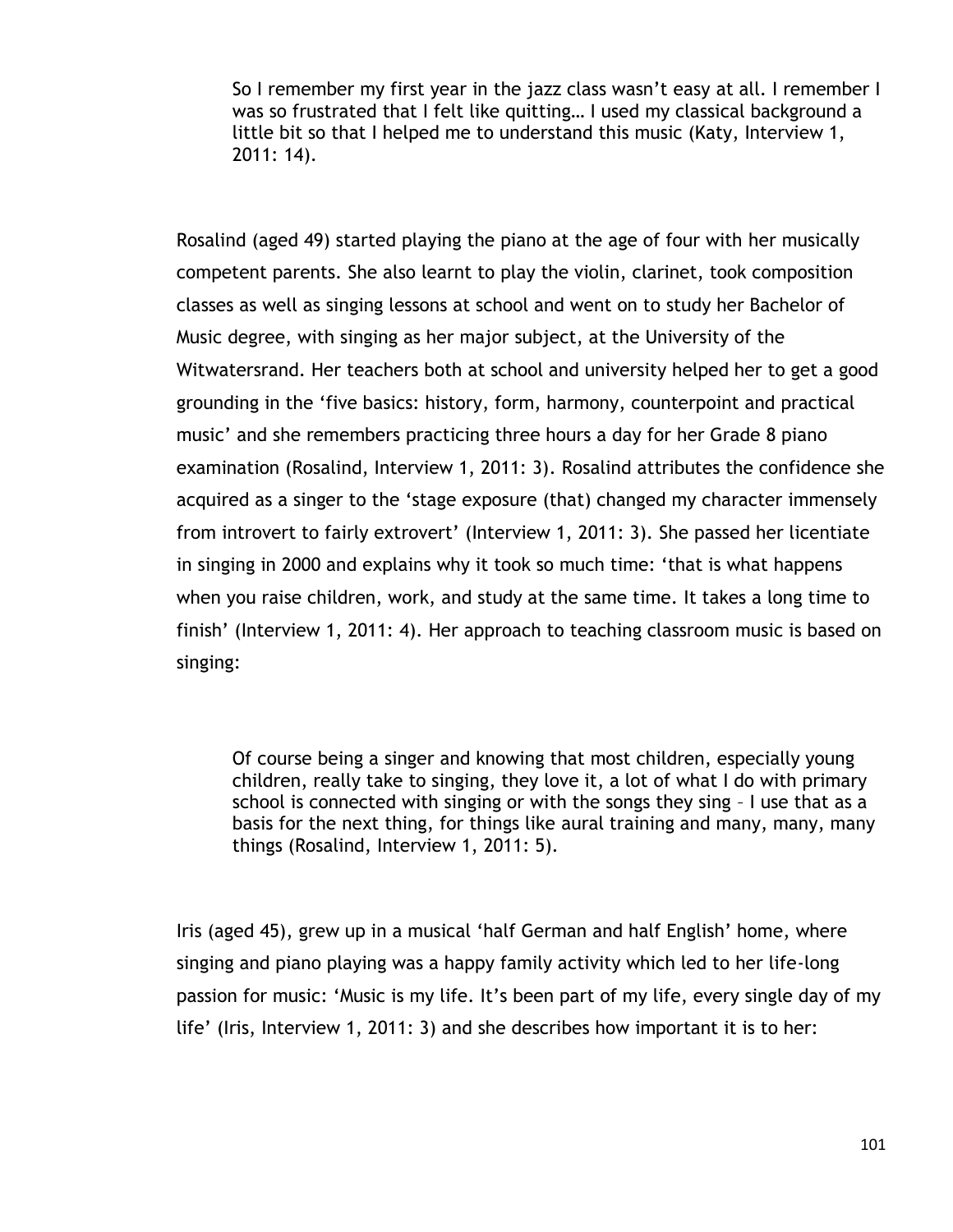So I remember my first year in the jazz class wasn't easy at all. I remember I was so frustrated that I felt like quitting… I used my classical background a little bit so that I helped me to understand this music (Katy, Interview 1, 2011: 14).

Rosalind (aged 49) started playing the piano at the age of four with her musically competent parents. She also learnt to play the violin, clarinet, took composition classes as well as singing lessons at school and went on to study her Bachelor of Music degree, with singing as her major subject, at the University of the Witwatersrand. Her teachers both at school and university helped her to get a good grounding in the "five basics: history, form, harmony, counterpoint and practical music' and she remembers practicing three hours a day for her Grade 8 piano examination (Rosalind, Interview 1, 2011: 3). Rosalind attributes the confidence she acquired as a singer to the "stage exposure (that) changed my character immensely from introvert to fairly extrovert' (Interview 1, 2011: 3). She passed her licentiate in singing in 2000 and explains why it took so much time: "that is what happens when you raise children, work, and study at the same time. It takes a long time to finish' (Interview 1, 2011: 4). Her approach to teaching classroom music is based on singing:

Of course being a singer and knowing that most children, especially young children, really take to singing, they love it, a lot of what I do with primary school is connected with singing or with the songs they sing – I use that as a basis for the next thing, for things like aural training and many, many, many things (Rosalind, Interview 1, 2011: 5).

Iris (aged 45), grew up in a musical "half German and half English" home, where singing and piano playing was a happy family activity which led to her life-long passion for music: 'Music is my life. It's been part of my life, every single day of my life" (Iris, Interview 1, 2011: 3) and she describes how important it is to her: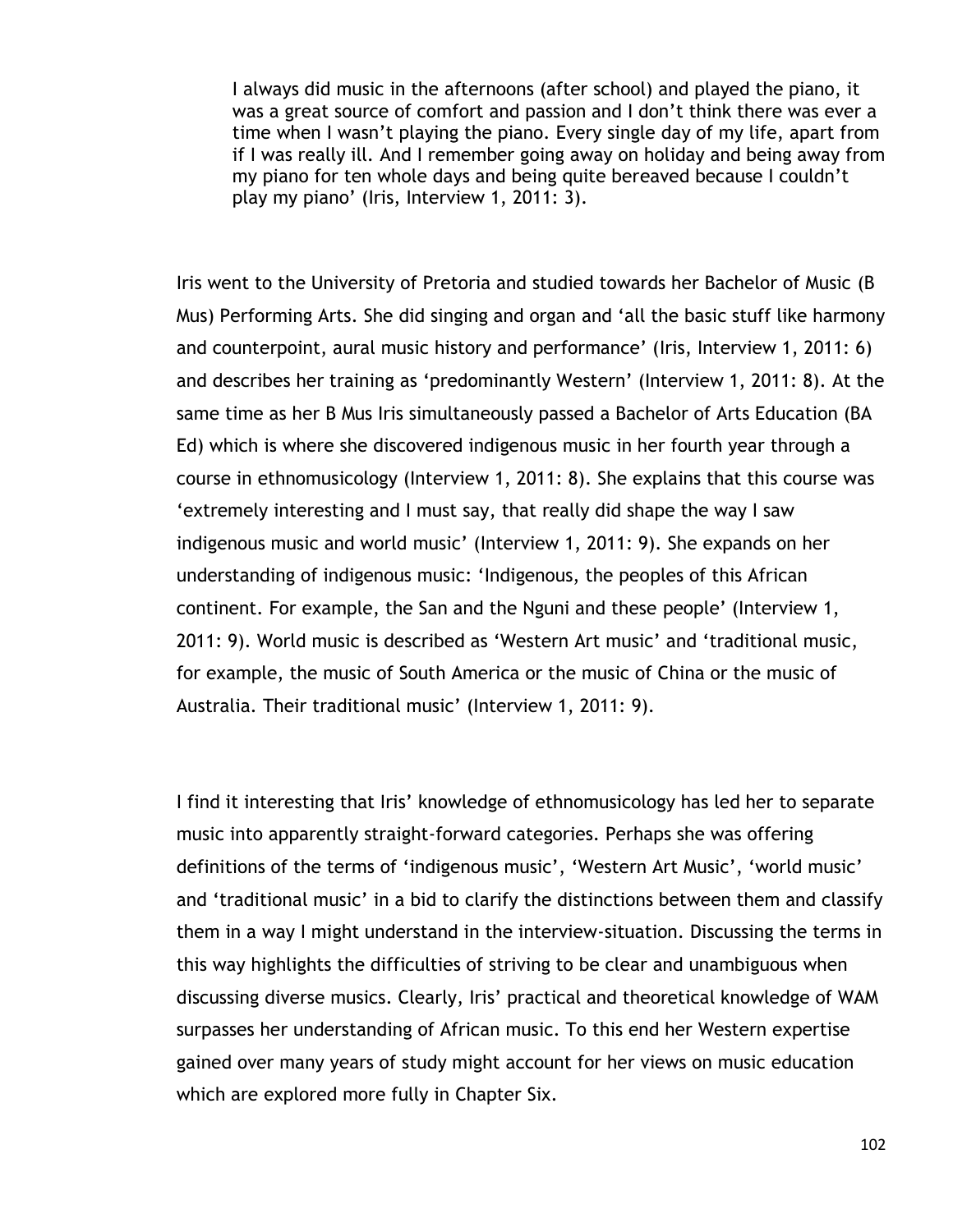I always did music in the afternoons (after school) and played the piano, it was a great source of comfort and passion and I don"t think there was ever a time when I wasn"t playing the piano. Every single day of my life, apart from if I was really ill. And I remember going away on holiday and being away from my piano for ten whole days and being quite bereaved because I couldn"t play my piano' (Iris, Interview 1, 2011: 3).

Iris went to the University of Pretoria and studied towards her Bachelor of Music (B Mus) Performing Arts. She did singing and organ and "all the basic stuff like harmony and counterpoint, aural music history and performance' (Iris, Interview 1, 2011: 6) and describes her training as "predominantly Western" (Interview 1, 2011: 8). At the same time as her B Mus Iris simultaneously passed a Bachelor of Arts Education (BA Ed) which is where she discovered indigenous music in her fourth year through a course in ethnomusicology (Interview 1, 2011: 8). She explains that this course was "extremely interesting and I must say, that really did shape the way I saw indigenous music and world music' (Interview 1, 2011: 9). She expands on her understanding of indigenous music: "Indigenous, the peoples of this African continent. For example, the San and the Nguni and these people" (Interview 1, 2011: 9). World music is described as "Western Art music" and "traditional music, for example, the music of South America or the music of China or the music of Australia. Their traditional music' (Interview 1, 2011: 9).

I find it interesting that Iris' knowledge of ethnomusicology has led her to separate music into apparently straight-forward categories. Perhaps she was offering definitions of the terms of 'indigenous music', 'Western Art Music', 'world music' and 'traditional music' in a bid to clarify the distinctions between them and classify them in a way I might understand in the interview-situation. Discussing the terms in this way highlights the difficulties of striving to be clear and unambiguous when discussing diverse musics. Clearly, Iris" practical and theoretical knowledge of WAM surpasses her understanding of African music. To this end her Western expertise gained over many years of study might account for her views on music education which are explored more fully in Chapter Six.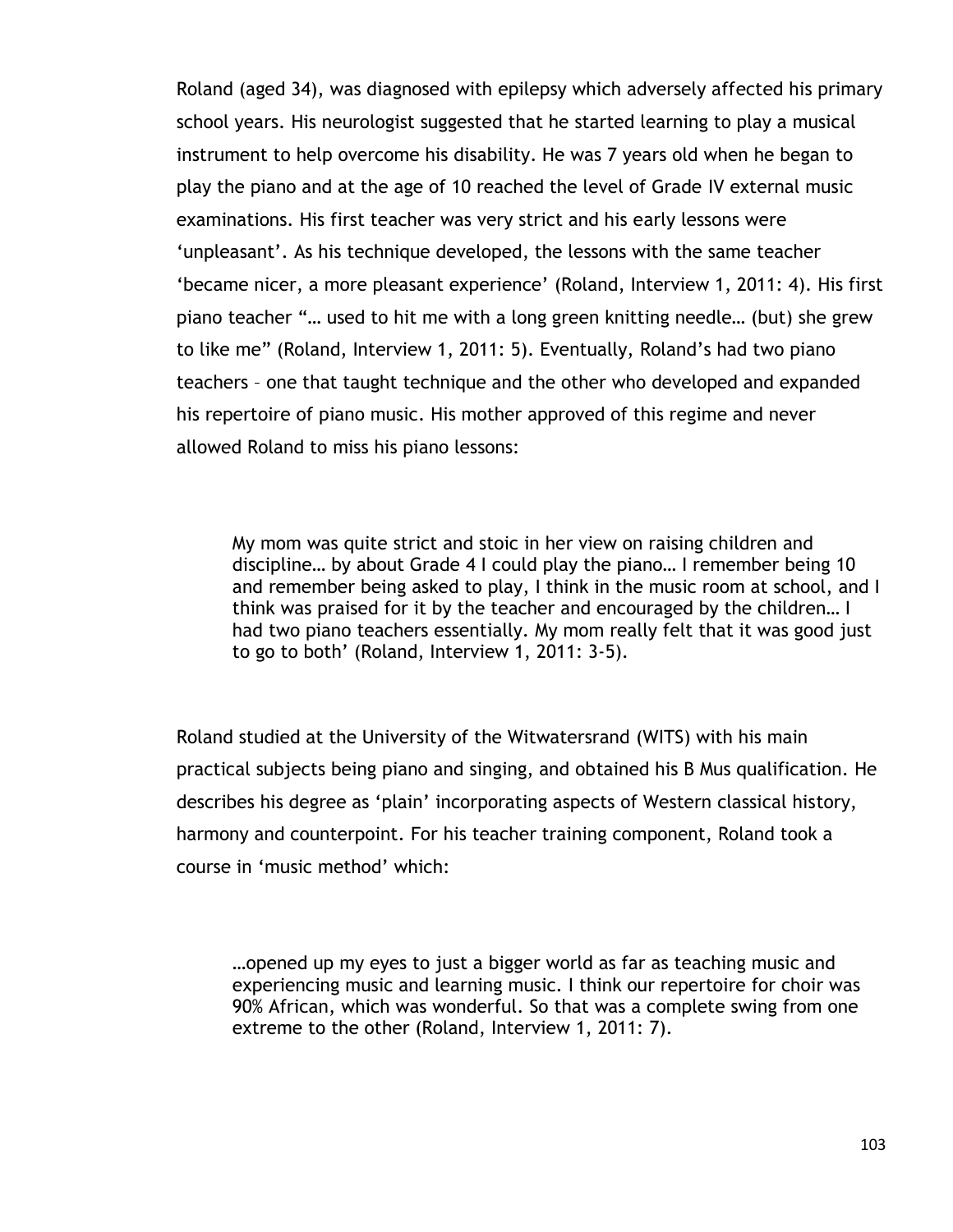Roland (aged 34), was diagnosed with epilepsy which adversely affected his primary school years. His neurologist suggested that he started learning to play a musical instrument to help overcome his disability. He was 7 years old when he began to play the piano and at the age of 10 reached the level of Grade IV external music examinations. His first teacher was very strict and his early lessons were 'unpleasant'. As his technique developed, the lessons with the same teacher "became nicer, a more pleasant experience" (Roland, Interview 1, 2011: 4). His first piano teacher "… used to hit me with a long green knitting needle… (but) she grew to like me" (Roland, Interview 1, 2011: 5). Eventually, Roland"s had two piano teachers – one that taught technique and the other who developed and expanded his repertoire of piano music. His mother approved of this regime and never allowed Roland to miss his piano lessons:

My mom was quite strict and stoic in her view on raising children and discipline… by about Grade 4 I could play the piano… I remember being 10 and remember being asked to play, I think in the music room at school, and I think was praised for it by the teacher and encouraged by the children… I had two piano teachers essentially. My mom really felt that it was good just to go to both" (Roland, Interview 1, 2011: 3-5).

Roland studied at the University of the Witwatersrand (WITS) with his main practical subjects being piano and singing, and obtained his B Mus qualification. He describes his degree as "plain" incorporating aspects of Western classical history, harmony and counterpoint. For his teacher training component, Roland took a course in "music method" which:

…opened up my eyes to just a bigger world as far as teaching music and experiencing music and learning music. I think our repertoire for choir was 90% African, which was wonderful. So that was a complete swing from one extreme to the other (Roland, Interview 1, 2011: 7).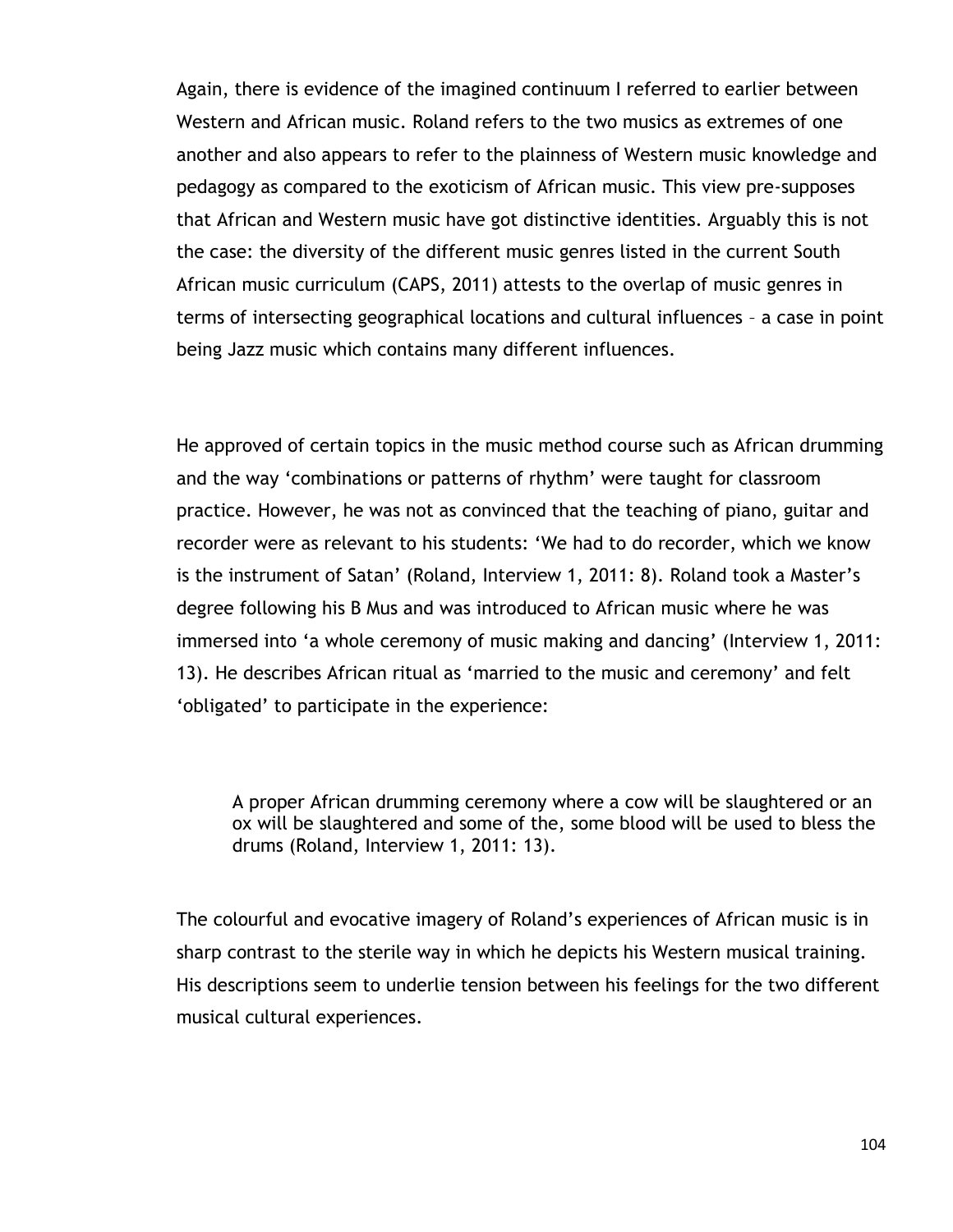Again, there is evidence of the imagined continuum I referred to earlier between Western and African music. Roland refers to the two musics as extremes of one another and also appears to refer to the plainness of Western music knowledge and pedagogy as compared to the exoticism of African music. This view pre-supposes that African and Western music have got distinctive identities. Arguably this is not the case: the diversity of the different music genres listed in the current South African music curriculum (CAPS, 2011) attests to the overlap of music genres in terms of intersecting geographical locations and cultural influences – a case in point being Jazz music which contains many different influences.

He approved of certain topics in the music method course such as African drumming and the way 'combinations or patterns of rhythm' were taught for classroom practice. However, he was not as convinced that the teaching of piano, guitar and recorder were as relevant to his students: "We had to do recorder, which we know is the instrument of Satan' (Roland, Interview 1, 2011: 8). Roland took a Master's degree following his B Mus and was introduced to African music where he was immersed into 'a whole ceremony of music making and dancing' (Interview 1, 2011: 13). He describes African ritual as "married to the music and ceremony" and felt "obligated" to participate in the experience:

A proper African drumming ceremony where a cow will be slaughtered or an ox will be slaughtered and some of the, some blood will be used to bless the drums (Roland, Interview 1, 2011: 13).

The colourful and evocative imagery of Roland"s experiences of African music is in sharp contrast to the sterile way in which he depicts his Western musical training. His descriptions seem to underlie tension between his feelings for the two different musical cultural experiences.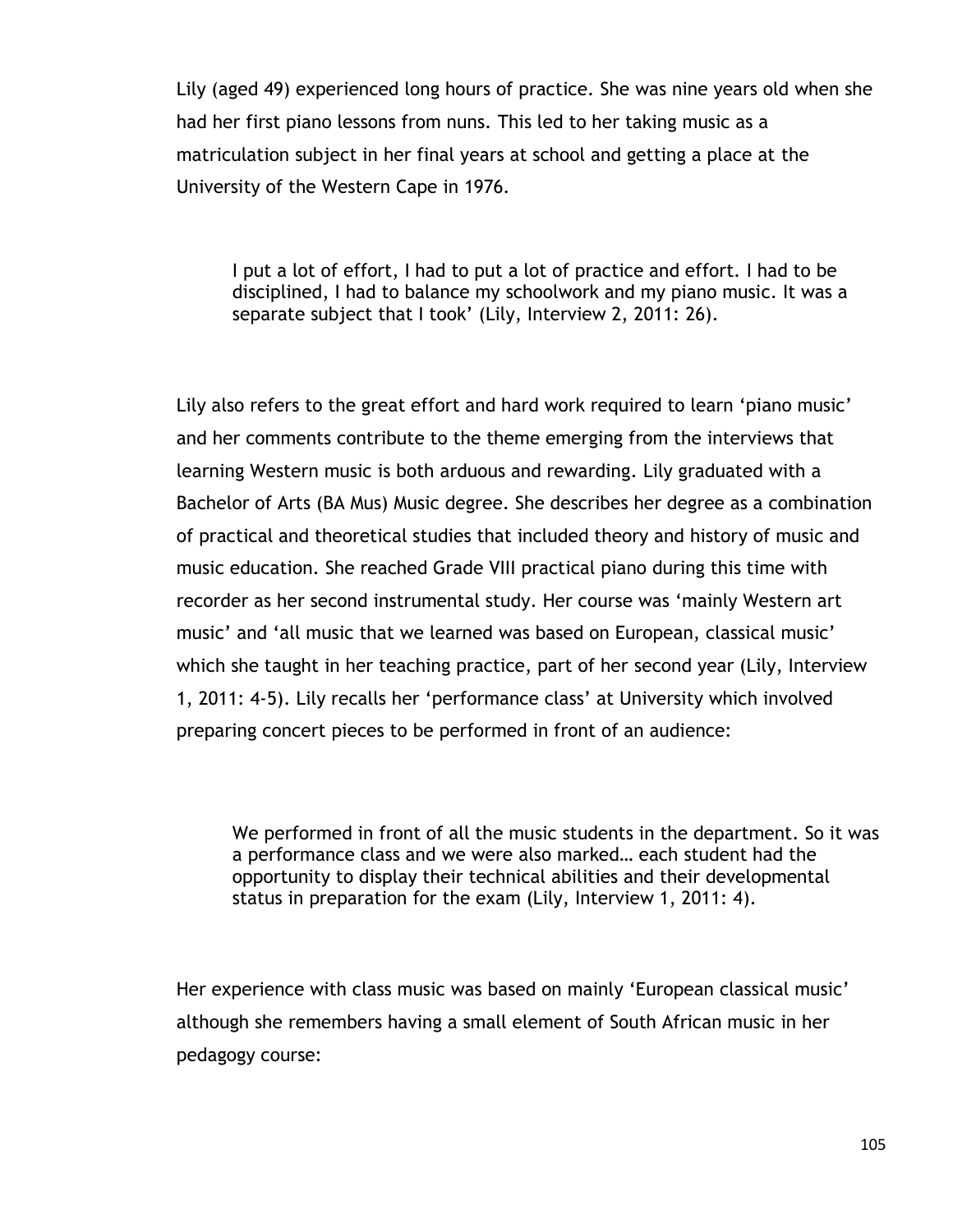Lily (aged 49) experienced long hours of practice. She was nine years old when she had her first piano lessons from nuns. This led to her taking music as a matriculation subject in her final years at school and getting a place at the University of the Western Cape in 1976.

I put a lot of effort, I had to put a lot of practice and effort. I had to be disciplined, I had to balance my schoolwork and my piano music. It was a separate subject that I took' (Lily, Interview 2, 2011: 26).

Lily also refers to the great effort and hard work required to learn 'piano music' and her comments contribute to the theme emerging from the interviews that learning Western music is both arduous and rewarding. Lily graduated with a Bachelor of Arts (BA Mus) Music degree. She describes her degree as a combination of practical and theoretical studies that included theory and history of music and music education. She reached Grade VIII practical piano during this time with recorder as her second instrumental study. Her course was "mainly Western art music' and 'all music that we learned was based on European, classical music' which she taught in her teaching practice, part of her second year (Lily, Interview 1, 2011: 4-5). Lily recalls her "performance class" at University which involved preparing concert pieces to be performed in front of an audience:

We performed in front of all the music students in the department. So it was a performance class and we were also marked… each student had the opportunity to display their technical abilities and their developmental status in preparation for the exam (Lily, Interview 1, 2011: 4).

Her experience with class music was based on mainly 'European classical music' although she remembers having a small element of South African music in her pedagogy course: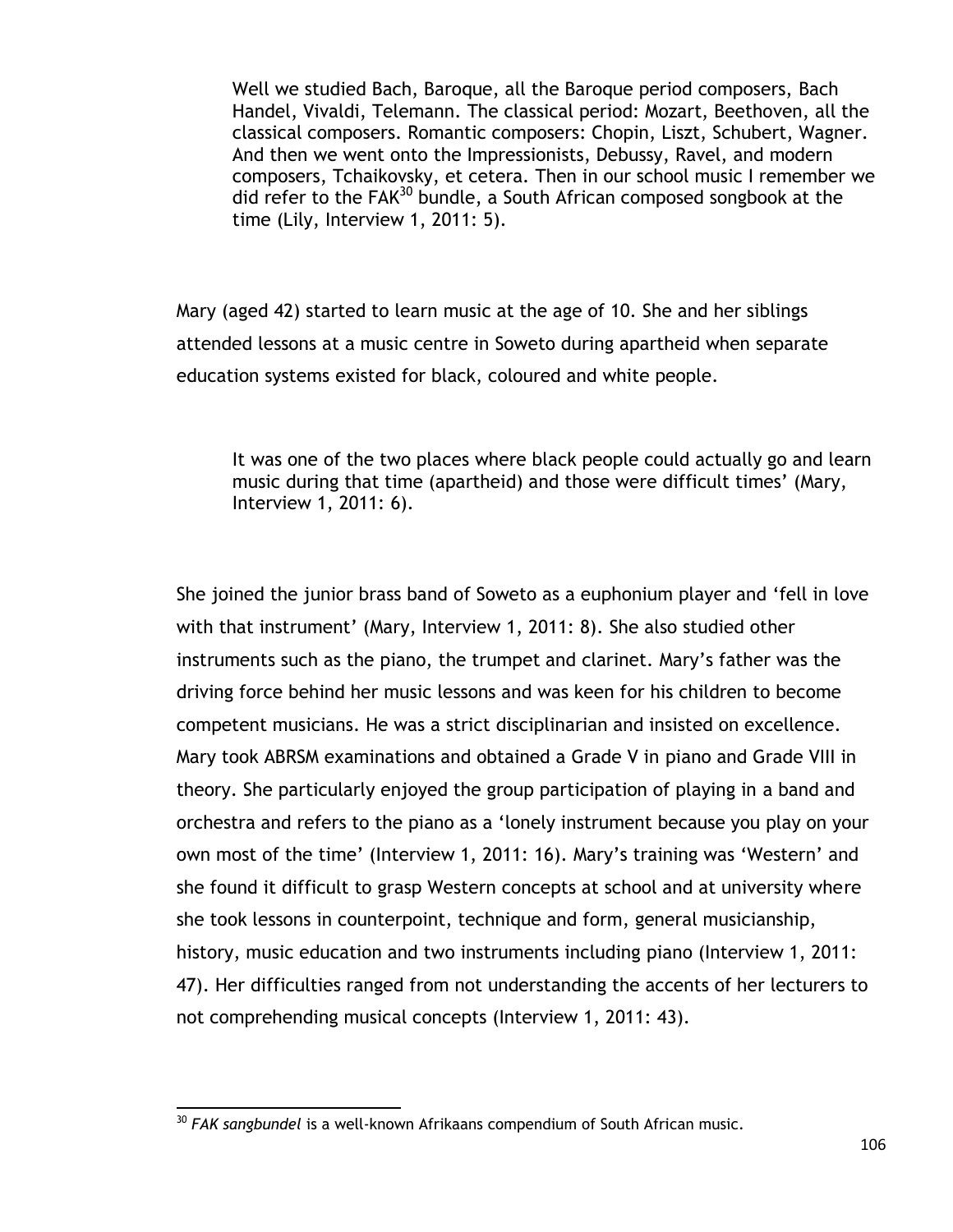Well we studied Bach, Baroque, all the Baroque period composers, Bach Handel, Vivaldi, Telemann. The classical period: Mozart, Beethoven, all the classical composers. Romantic composers: Chopin, Liszt, Schubert, Wagner. And then we went onto the Impressionists, Debussy, Ravel, and modern composers, Tchaikovsky, et cetera. Then in our school music I remember we did refer to the  $FAK^{30}$  bundle, a South African composed songbook at the time (Lily, Interview 1, 2011: 5).

Mary (aged 42) started to learn music at the age of 10. She and her siblings attended lessons at a music centre in Soweto during apartheid when separate education systems existed for black, coloured and white people.

It was one of the two places where black people could actually go and learn music during that time (apartheid) and those were difficult times" (Mary, Interview 1, 2011: 6).

She joined the junior brass band of Soweto as a euphonium player and "fell in love with that instrument' (Mary, Interview 1, 2011: 8). She also studied other instruments such as the piano, the trumpet and clarinet. Mary"s father was the driving force behind her music lessons and was keen for his children to become competent musicians. He was a strict disciplinarian and insisted on excellence. Mary took ABRSM examinations and obtained a Grade V in piano and Grade VIII in theory. She particularly enjoyed the group participation of playing in a band and orchestra and refers to the piano as a "lonely instrument because you play on your own most of the time' (Interview 1, 2011: 16). Mary's training was 'Western' and she found it difficult to grasp Western concepts at school and at university where she took lessons in counterpoint, technique and form, general musicianship, history, music education and two instruments including piano (Interview 1, 2011: 47). Her difficulties ranged from not understanding the accents of her lecturers to not comprehending musical concepts (Interview 1, 2011: 43).

 $\overline{a}$ <sup>30</sup> *FAK sangbundel* is a well-known Afrikaans compendium of South African music.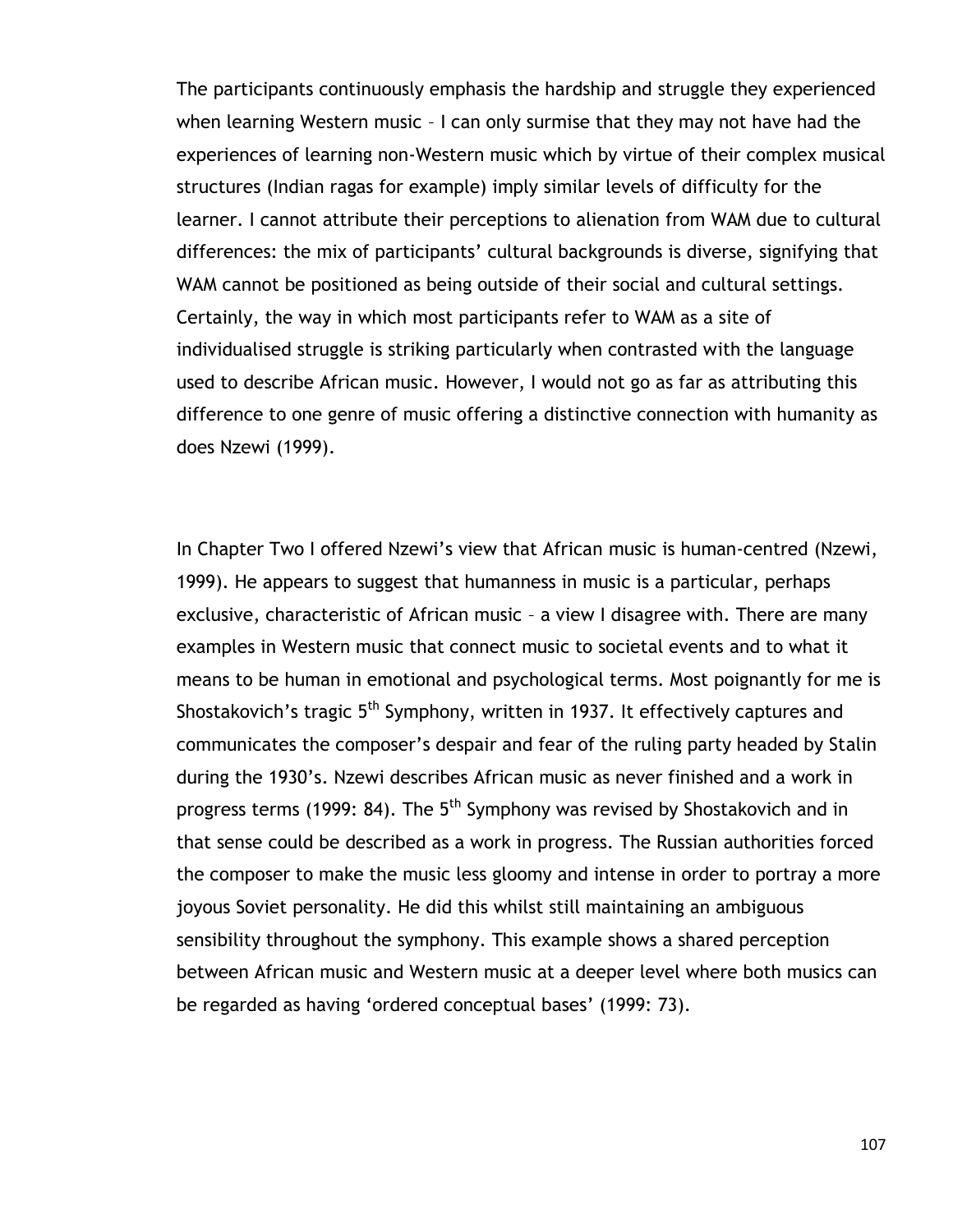The participants continuously emphasis the hardship and struggle they experienced when learning Western music – I can only surmise that they may not have had the experiences of learning non-Western music which by virtue of their complex musical structures (Indian ragas for example) imply similar levels of difficulty for the learner. I cannot attribute their perceptions to alienation from WAM due to cultural differences: the mix of participants' cultural backgrounds is diverse, signifying that WAM cannot be positioned as being outside of their social and cultural settings. Certainly, the way in which most participants refer to WAM as a site of individualised struggle is striking particularly when contrasted with the language used to describe African music. However, I would not go as far as attributing this difference to one genre of music offering a distinctive connection with humanity as does Nzewi (1999).

In Chapter Two I offered Nzewi's view that African music is human-centred (Nzewi, 1999). He appears to suggest that humanness in music is a particular, perhaps exclusive, characteristic of African music – a view I disagree with. There are many examples in Western music that connect music to societal events and to what it means to be human in emotional and psychological terms. Most poignantly for me is Shostakovich's tragic 5<sup>th</sup> Symphony, written in 1937. It effectively captures and communicates the composer"s despair and fear of the ruling party headed by Stalin during the 1930"s. Nzewi describes African music as never finished and a work in progress terms (1999: 84). The 5<sup>th</sup> Symphony was revised by Shostakovich and in that sense could be described as a work in progress. The Russian authorities forced the composer to make the music less gloomy and intense in order to portray a more joyous Soviet personality. He did this whilst still maintaining an ambiguous sensibility throughout the symphony. This example shows a shared perception between African music and Western music at a deeper level where both musics can be regarded as having 'ordered conceptual bases' (1999: 73).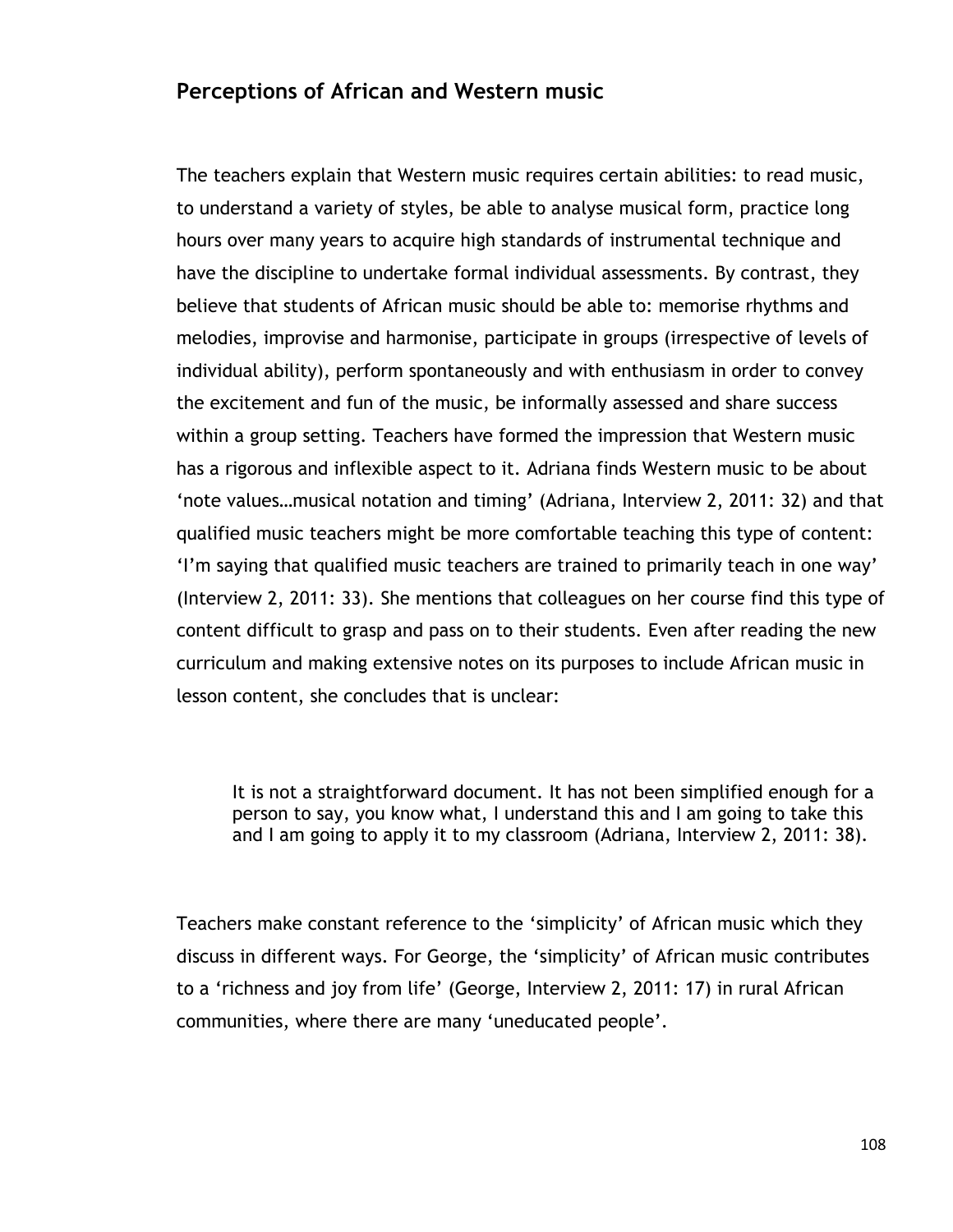### **Perceptions of African and Western music**

The teachers explain that Western music requires certain abilities: to read music, to understand a variety of styles, be able to analyse musical form, practice long hours over many years to acquire high standards of instrumental technique and have the discipline to undertake formal individual assessments. By contrast, they believe that students of African music should be able to: memorise rhythms and melodies, improvise and harmonise, participate in groups (irrespective of levels of individual ability), perform spontaneously and with enthusiasm in order to convey the excitement and fun of the music, be informally assessed and share success within a group setting. Teachers have formed the impression that Western music has a rigorous and inflexible aspect to it. Adriana finds Western music to be about 'note values...musical notation and timing' (Adriana, Interview 2, 2011: 32) and that qualified music teachers might be more comfortable teaching this type of content: "I"m saying that qualified music teachers are trained to primarily teach in one way" (Interview 2, 2011: 33). She mentions that colleagues on her course find this type of content difficult to grasp and pass on to their students. Even after reading the new curriculum and making extensive notes on its purposes to include African music in lesson content, she concludes that is unclear:

It is not a straightforward document. It has not been simplified enough for a person to say, you know what, I understand this and I am going to take this and I am going to apply it to my classroom (Adriana, Interview 2, 2011: 38).

Teachers make constant reference to the "simplicity" of African music which they discuss in different ways. For George, the "simplicity" of African music contributes to a 'richness and joy from life' (George, Interview 2, 2011: 17) in rural African communities, where there are many "uneducated people".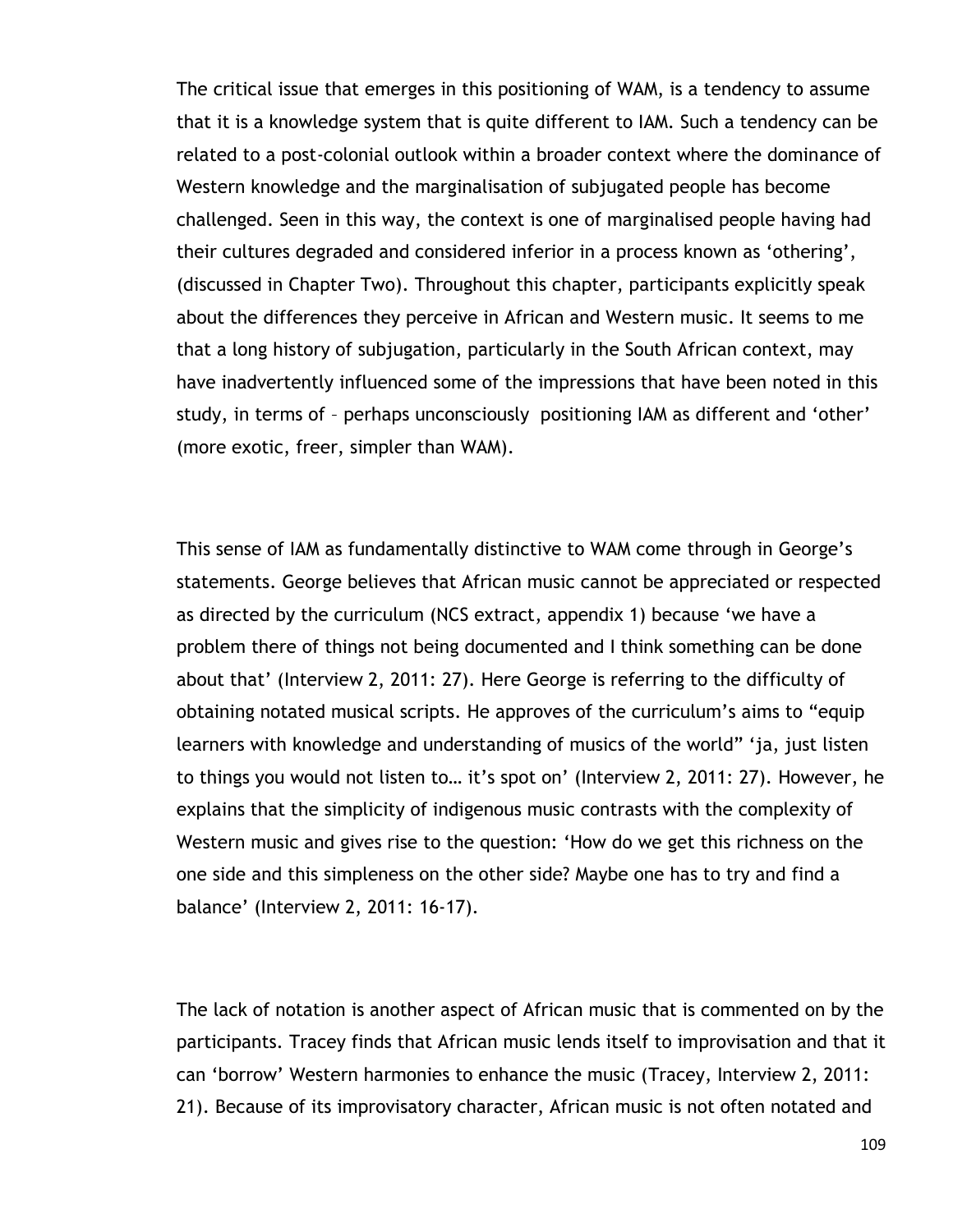The critical issue that emerges in this positioning of WAM, is a tendency to assume that it is a knowledge system that is quite different to IAM. Such a tendency can be related to a post-colonial outlook within a broader context where the dominance of Western knowledge and the marginalisation of subjugated people has become challenged. Seen in this way, the context is one of marginalised people having had their cultures degraded and considered inferior in a process known as "othering", (discussed in Chapter Two). Throughout this chapter, participants explicitly speak about the differences they perceive in African and Western music. It seems to me that a long history of subjugation, particularly in the South African context, may have inadvertently influenced some of the impressions that have been noted in this study, in terms of – perhaps unconsciously positioning IAM as different and "other" (more exotic, freer, simpler than WAM).

This sense of IAM as fundamentally distinctive to WAM come through in George"s statements. George believes that African music cannot be appreciated or respected as directed by the curriculum (NCS extract, appendix 1) because "we have a problem there of things not being documented and I think something can be done about that' (Interview 2, 2011: 27). Here George is referring to the difficulty of obtaining notated musical scripts. He approves of the curriculum"s aims to "equip learners with knowledge and understanding of musics of the world" "ja, just listen to things you would not listen to… it"s spot on" (Interview 2, 2011: 27). However, he explains that the simplicity of indigenous music contrasts with the complexity of Western music and gives rise to the question: "How do we get this richness on the one side and this simpleness on the other side? Maybe one has to try and find a balance" (Interview 2, 2011: 16-17).

The lack of notation is another aspect of African music that is commented on by the participants. Tracey finds that African music lends itself to improvisation and that it can "borrow" Western harmonies to enhance the music (Tracey, Interview 2, 2011: 21). Because of its improvisatory character, African music is not often notated and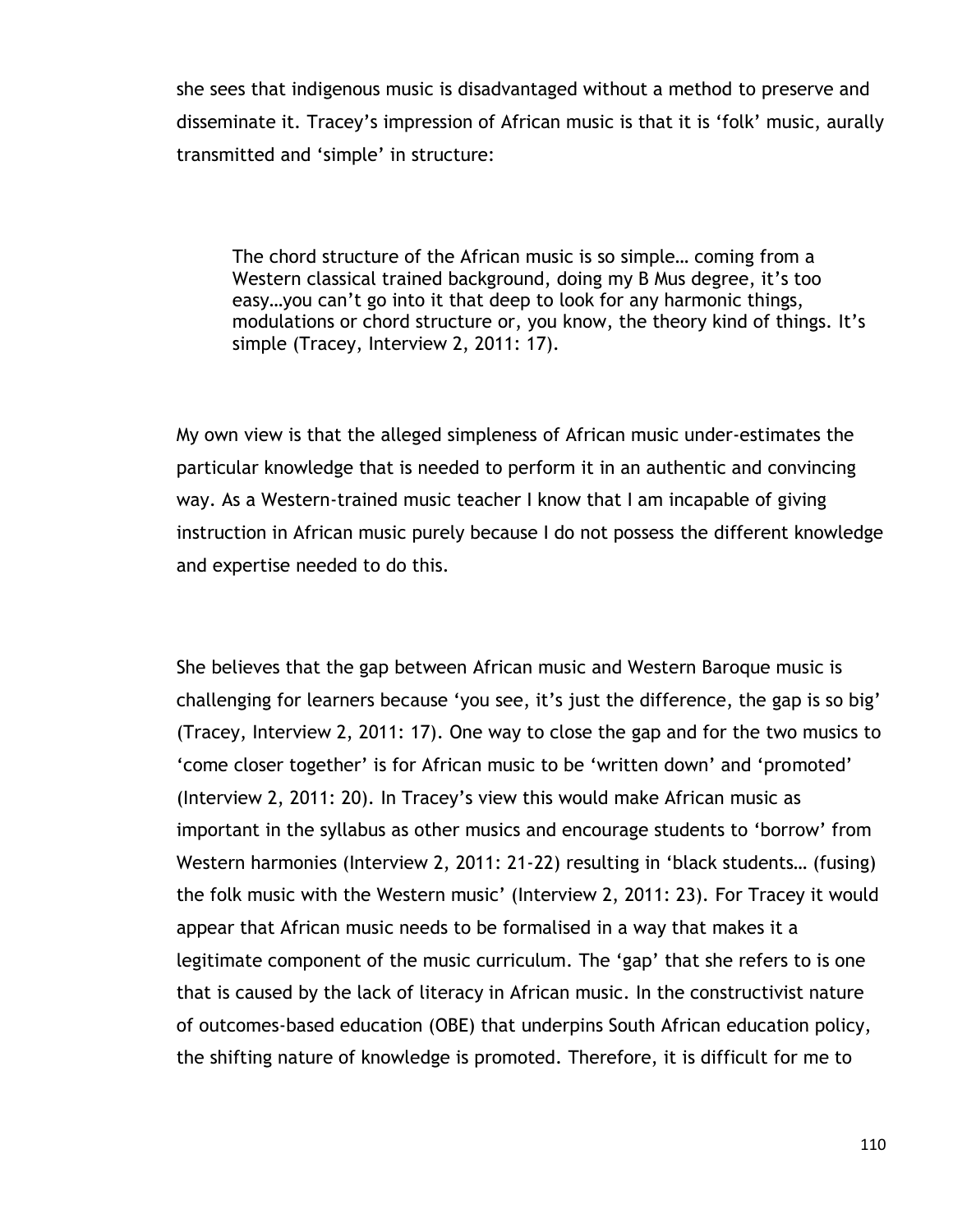she sees that indigenous music is disadvantaged without a method to preserve and disseminate it. Tracey's impression of African music is that it is 'folk' music, aurally transmitted and "simple" in structure:

The chord structure of the African music is so simple… coming from a Western classical trained background, doing my B Mus degree, it's too easy... you can't go into it that deep to look for any harmonic things, modulations or chord structure or, you know, the theory kind of things. It's simple (Tracey, Interview 2, 2011: 17).

My own view is that the alleged simpleness of African music under-estimates the particular knowledge that is needed to perform it in an authentic and convincing way. As a Western-trained music teacher I know that I am incapable of giving instruction in African music purely because I do not possess the different knowledge and expertise needed to do this.

She believes that the gap between African music and Western Baroque music is challenging for learners because 'you see, it's just the difference, the gap is so big' (Tracey, Interview 2, 2011: 17). One way to close the gap and for the two musics to "come closer together" is for African music to be "written down" and "promoted" (Interview 2, 2011: 20). In Tracey"s view this would make African music as important in the syllabus as other musics and encourage students to "borrow" from Western harmonies (Interview 2, 2011: 21-22) resulting in "black students… (fusing) the folk music with the Western music" (Interview 2, 2011: 23). For Tracey it would appear that African music needs to be formalised in a way that makes it a legitimate component of the music curriculum. The "gap" that she refers to is one that is caused by the lack of literacy in African music. In the constructivist nature of outcomes-based education (OBE) that underpins South African education policy, the shifting nature of knowledge is promoted. Therefore, it is difficult for me to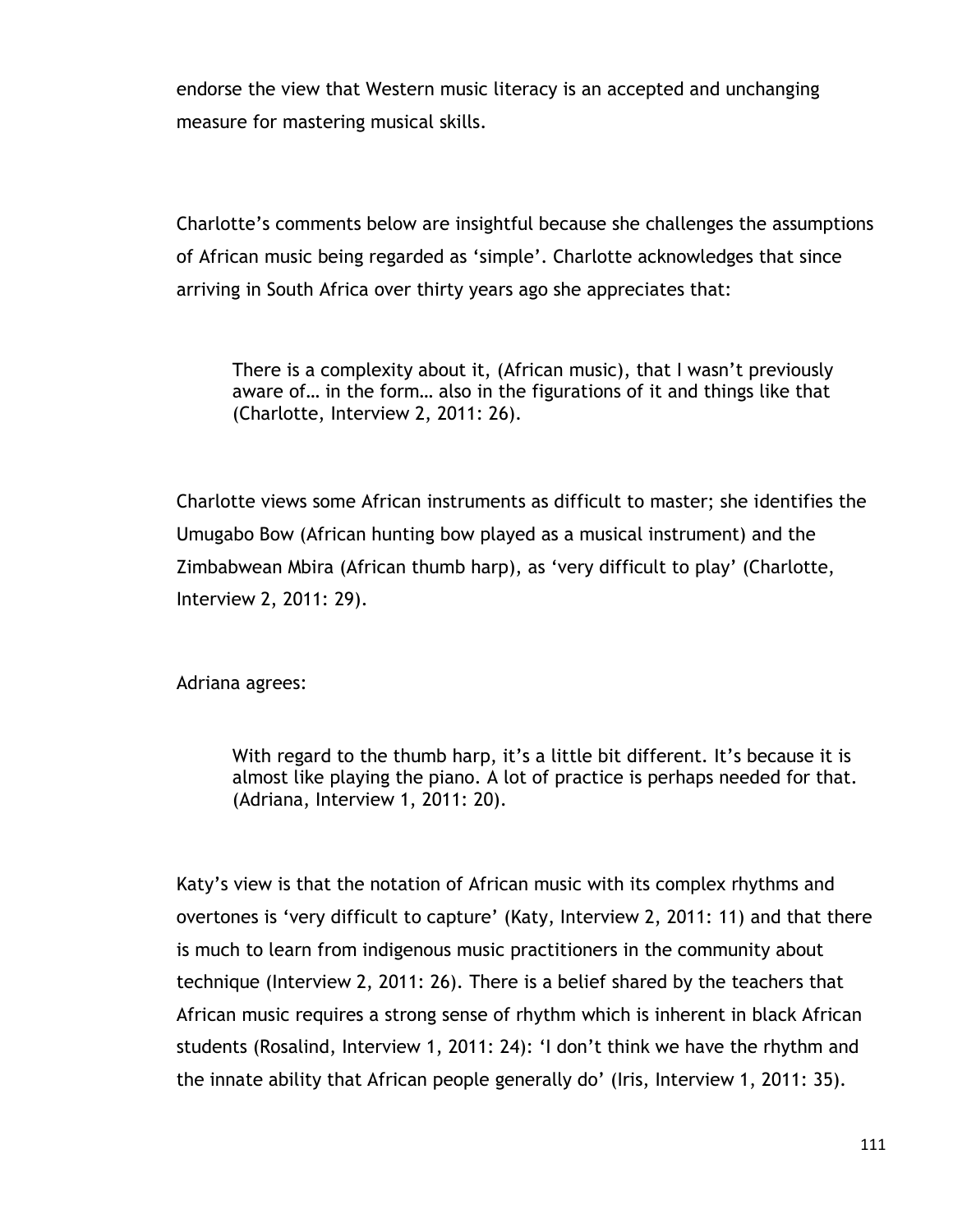endorse the view that Western music literacy is an accepted and unchanging measure for mastering musical skills.

Charlotte"s comments below are insightful because she challenges the assumptions of African music being regarded as "simple". Charlotte acknowledges that since arriving in South Africa over thirty years ago she appreciates that:

There is a complexity about it, (African music), that I wasn't previously aware of… in the form… also in the figurations of it and things like that (Charlotte, Interview 2, 2011: 26).

Charlotte views some African instruments as difficult to master; she identifies the Umugabo Bow (African hunting bow played as a musical instrument) and the Zimbabwean Mbira (African thumb harp), as "very difficult to play" (Charlotte, Interview 2, 2011: 29).

Adriana agrees:

With regard to the thumb harp, it's a little bit different. It's because it is almost like playing the piano. A lot of practice is perhaps needed for that. (Adriana, Interview 1, 2011: 20).

Katy"s view is that the notation of African music with its complex rhythms and overtones is "very difficult to capture" (Katy, Interview 2, 2011: 11) and that there is much to learn from indigenous music practitioners in the community about technique (Interview 2, 2011: 26). There is a belief shared by the teachers that African music requires a strong sense of rhythm which is inherent in black African students (Rosalind, Interview 1, 2011: 24): "I don"t think we have the rhythm and the innate ability that African people generally do" (Iris, Interview 1, 2011: 35).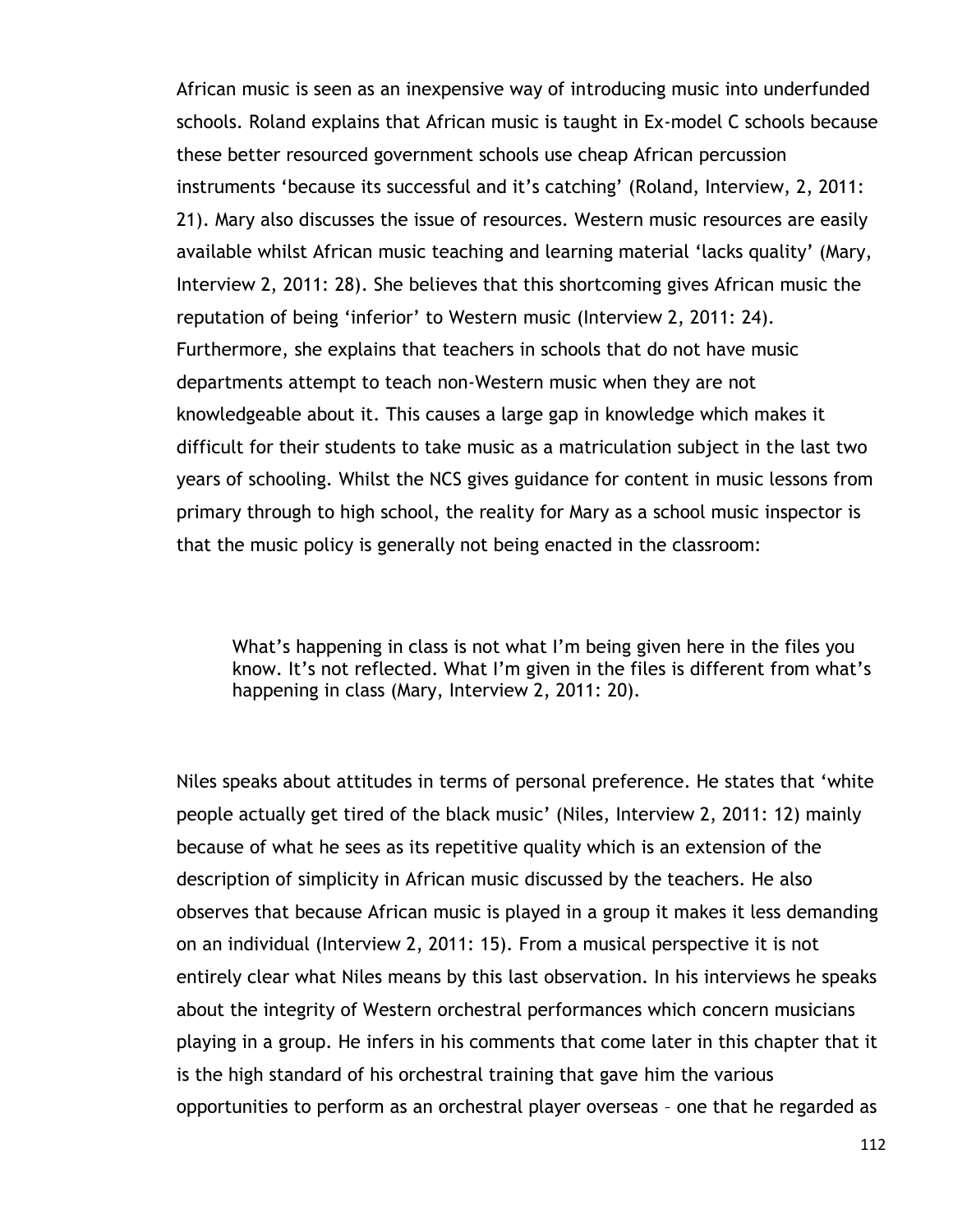African music is seen as an inexpensive way of introducing music into underfunded schools. Roland explains that African music is taught in Ex-model C schools because these better resourced government schools use cheap African percussion instruments 'because its successful and it's catching' (Roland, Interview, 2, 2011: 21). Mary also discusses the issue of resources. Western music resources are easily available whilst African music teaching and learning material "lacks quality" (Mary, Interview 2, 2011: 28). She believes that this shortcoming gives African music the reputation of being "inferior" to Western music (Interview 2, 2011: 24). Furthermore, she explains that teachers in schools that do not have music departments attempt to teach non-Western music when they are not knowledgeable about it. This causes a large gap in knowledge which makes it difficult for their students to take music as a matriculation subject in the last two years of schooling. Whilst the NCS gives guidance for content in music lessons from primary through to high school, the reality for Mary as a school music inspector is that the music policy is generally not being enacted in the classroom:

What's happening in class is not what I'm being given here in the files you know. It's not reflected. What I'm given in the files is different from what's happening in class (Mary, Interview 2, 2011: 20).

Niles speaks about attitudes in terms of personal preference. He states that "white people actually get tired of the black music" (Niles, Interview 2, 2011: 12) mainly because of what he sees as its repetitive quality which is an extension of the description of simplicity in African music discussed by the teachers. He also observes that because African music is played in a group it makes it less demanding on an individual (Interview 2, 2011: 15). From a musical perspective it is not entirely clear what Niles means by this last observation. In his interviews he speaks about the integrity of Western orchestral performances which concern musicians playing in a group. He infers in his comments that come later in this chapter that it is the high standard of his orchestral training that gave him the various opportunities to perform as an orchestral player overseas – one that he regarded as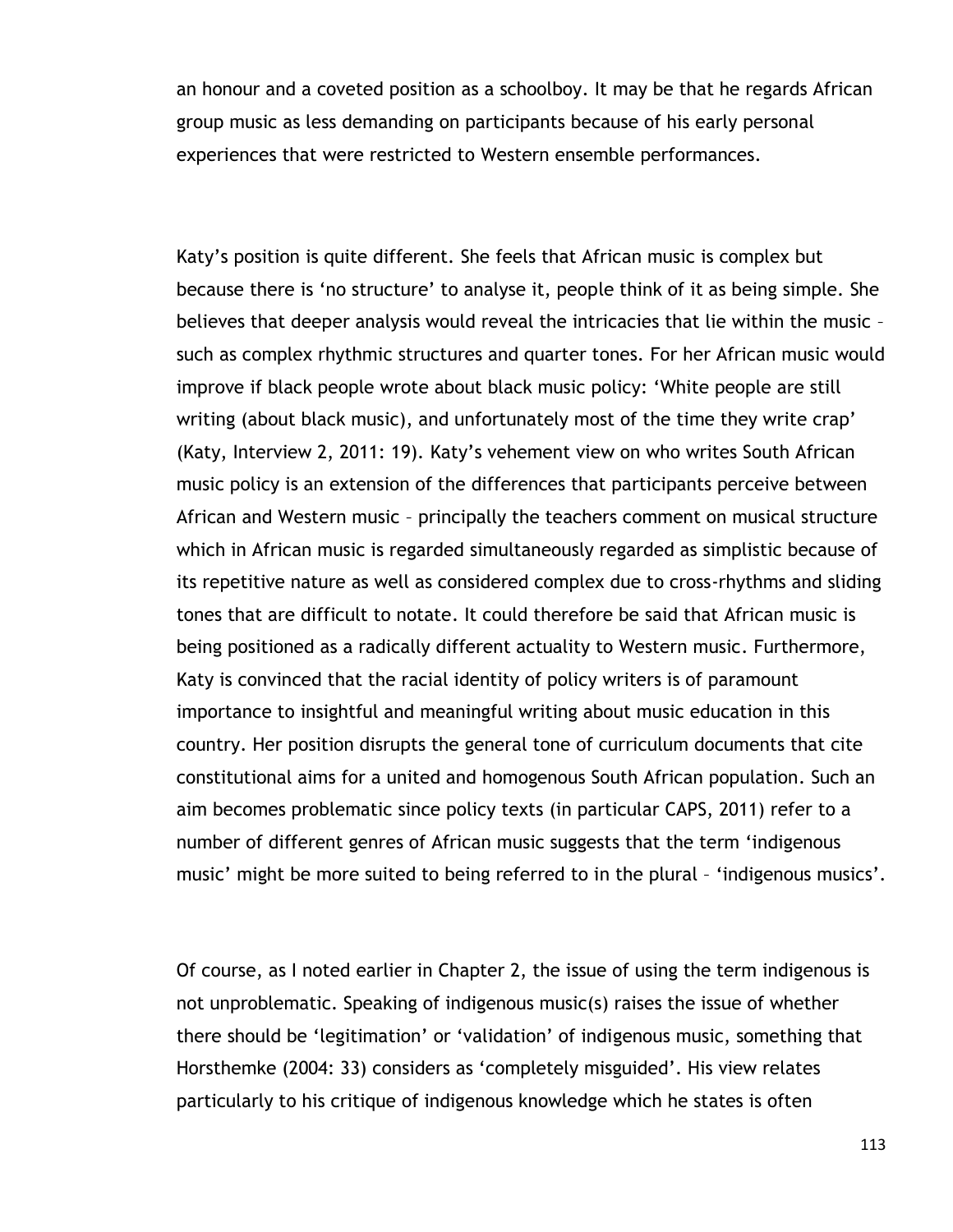an honour and a coveted position as a schoolboy. It may be that he regards African group music as less demanding on participants because of his early personal experiences that were restricted to Western ensemble performances.

Katy"s position is quite different. She feels that African music is complex but because there is "no structure" to analyse it, people think of it as being simple. She believes that deeper analysis would reveal the intricacies that lie within the music – such as complex rhythmic structures and quarter tones. For her African music would improve if black people wrote about black music policy: "White people are still writing (about black music), and unfortunately most of the time they write crap' (Katy, Interview 2, 2011: 19). Katy"s vehement view on who writes South African music policy is an extension of the differences that participants perceive between African and Western music – principally the teachers comment on musical structure which in African music is regarded simultaneously regarded as simplistic because of its repetitive nature as well as considered complex due to cross-rhythms and sliding tones that are difficult to notate. It could therefore be said that African music is being positioned as a radically different actuality to Western music. Furthermore, Katy is convinced that the racial identity of policy writers is of paramount importance to insightful and meaningful writing about music education in this country. Her position disrupts the general tone of curriculum documents that cite constitutional aims for a united and homogenous South African population. Such an aim becomes problematic since policy texts (in particular CAPS, 2011) refer to a number of different genres of African music suggests that the term "indigenous music' might be more suited to being referred to in the plural - 'indigenous musics'.

Of course, as I noted earlier in Chapter 2, the issue of using the term indigenous is not unproblematic. Speaking of indigenous music(s) raises the issue of whether there should be "legitimation" or "validation" of indigenous music, something that Horsthemke (2004: 33) considers as "completely misguided". His view relates particularly to his critique of indigenous knowledge which he states is often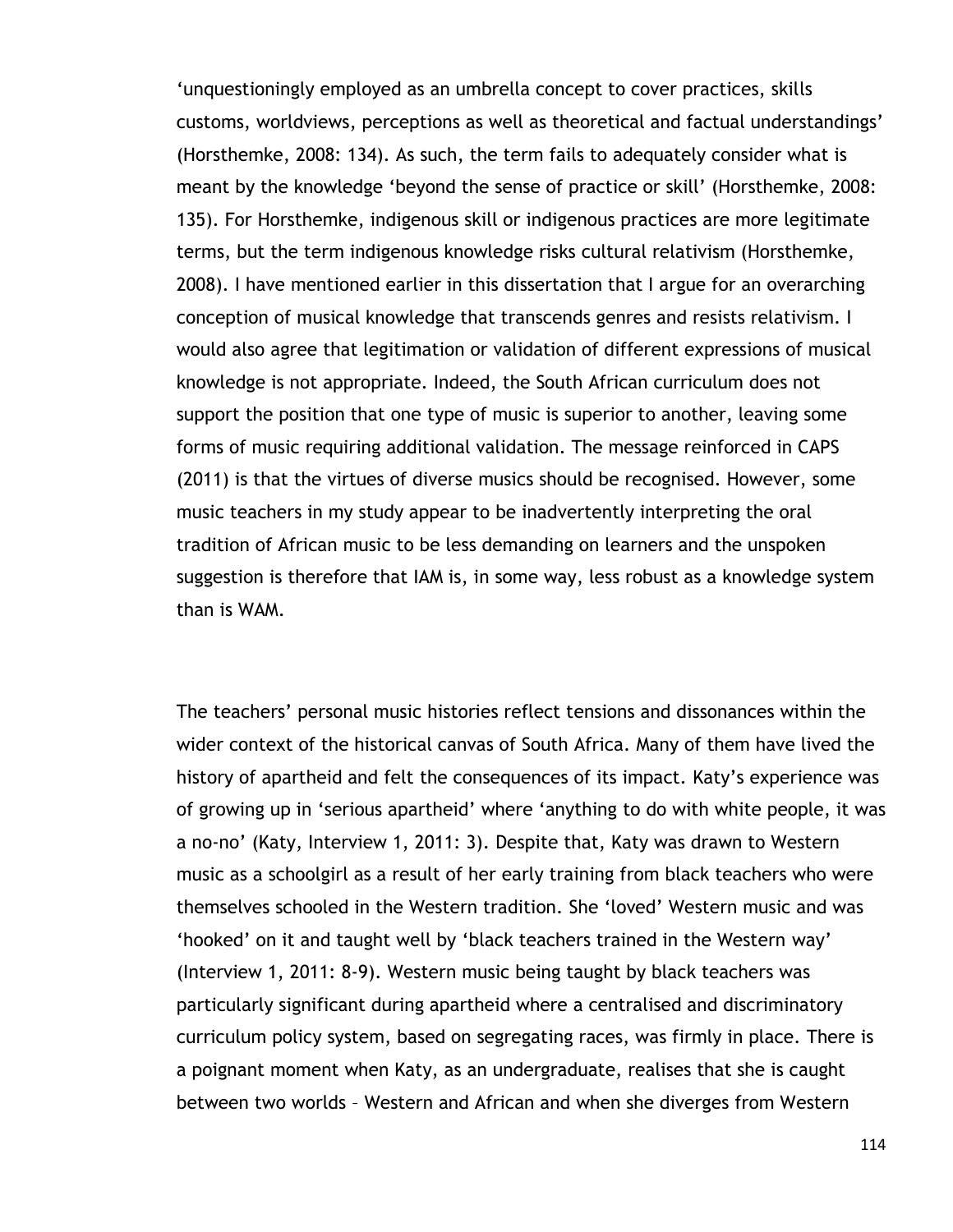"unquestioningly employed as an umbrella concept to cover practices, skills customs, worldviews, perceptions as well as theoretical and factual understandings" (Horsthemke, 2008: 134). As such, the term fails to adequately consider what is meant by the knowledge 'beyond the sense of practice or skill' (Horsthemke, 2008: 135). For Horsthemke, indigenous skill or indigenous practices are more legitimate terms, but the term indigenous knowledge risks cultural relativism (Horsthemke, 2008). I have mentioned earlier in this dissertation that I argue for an overarching conception of musical knowledge that transcends genres and resists relativism. I would also agree that legitimation or validation of different expressions of musical knowledge is not appropriate. Indeed, the South African curriculum does not support the position that one type of music is superior to another, leaving some forms of music requiring additional validation. The message reinforced in CAPS (2011) is that the virtues of diverse musics should be recognised. However, some music teachers in my study appear to be inadvertently interpreting the oral tradition of African music to be less demanding on learners and the unspoken suggestion is therefore that IAM is, in some way, less robust as a knowledge system than is WAM.

The teachers" personal music histories reflect tensions and dissonances within the wider context of the historical canvas of South Africa. Many of them have lived the history of apartheid and felt the consequences of its impact. Katy's experience was of growing up in "serious apartheid" where "anything to do with white people, it was a no-no" (Katy, Interview 1, 2011: 3). Despite that, Katy was drawn to Western music as a schoolgirl as a result of her early training from black teachers who were themselves schooled in the Western tradition. She "loved" Western music and was "hooked" on it and taught well by 'black teachers trained in the Western way' (Interview 1, 2011: 8-9). Western music being taught by black teachers was particularly significant during apartheid where a centralised and discriminatory curriculum policy system, based on segregating races, was firmly in place. There is a poignant moment when Katy, as an undergraduate, realises that she is caught between two worlds – Western and African and when she diverges from Western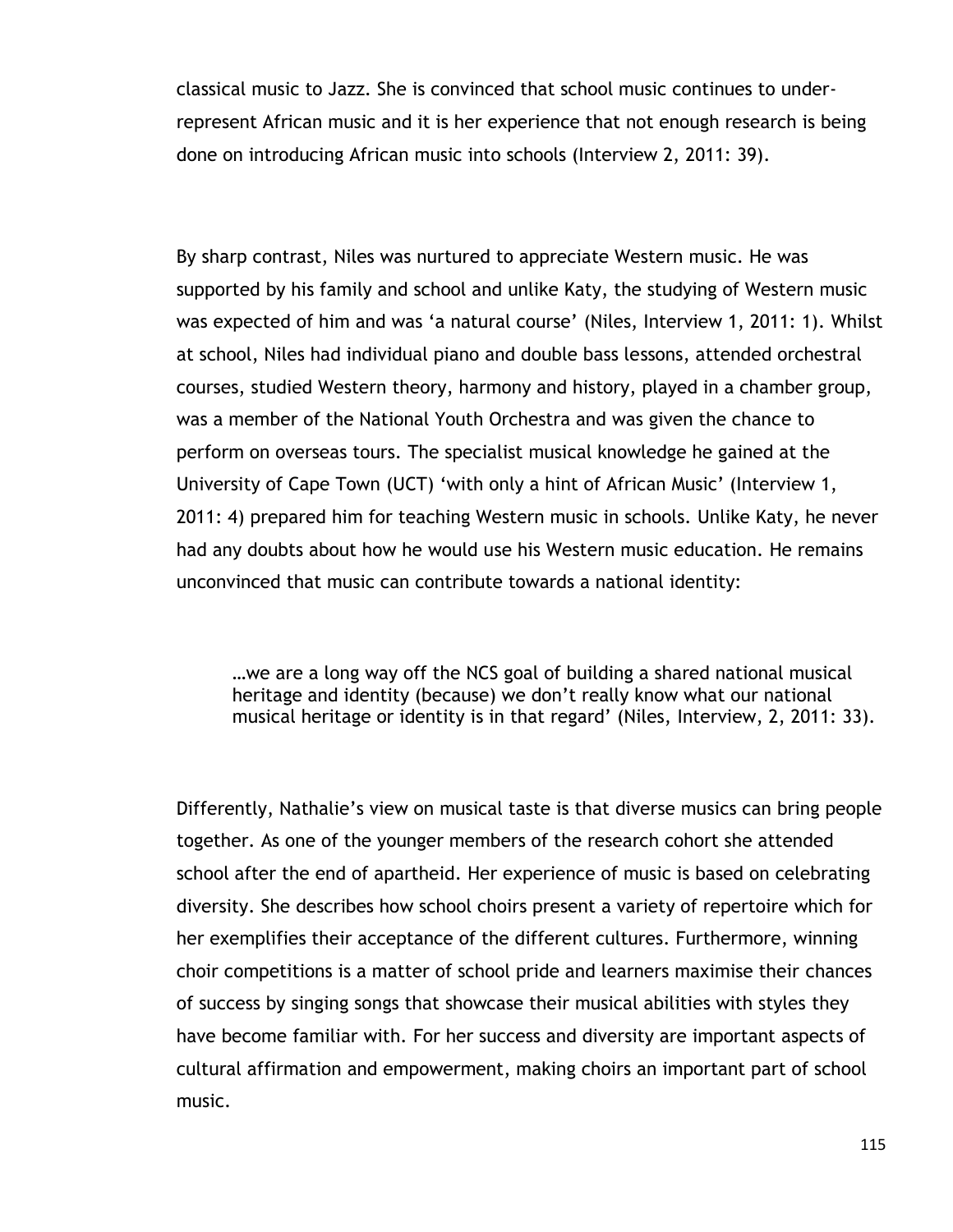classical music to Jazz. She is convinced that school music continues to underrepresent African music and it is her experience that not enough research is being done on introducing African music into schools (Interview 2, 2011: 39).

By sharp contrast, Niles was nurtured to appreciate Western music. He was supported by his family and school and unlike Katy, the studying of Western music was expected of him and was "a natural course" (Niles, Interview 1, 2011: 1). Whilst at school, Niles had individual piano and double bass lessons, attended orchestral courses, studied Western theory, harmony and history, played in a chamber group, was a member of the National Youth Orchestra and was given the chance to perform on overseas tours. The specialist musical knowledge he gained at the University of Cape Town (UCT) "with only a hint of African Music" (Interview 1, 2011: 4) prepared him for teaching Western music in schools. Unlike Katy, he never had any doubts about how he would use his Western music education. He remains unconvinced that music can contribute towards a national identity:

…we are a long way off the NCS goal of building a shared national musical heritage and identity (because) we don"t really know what our national musical heritage or identity is in that regard' (Niles, Interview, 2, 2011: 33).

Differently, Nathalie"s view on musical taste is that diverse musics can bring people together. As one of the younger members of the research cohort she attended school after the end of apartheid. Her experience of music is based on celebrating diversity. She describes how school choirs present a variety of repertoire which for her exemplifies their acceptance of the different cultures. Furthermore, winning choir competitions is a matter of school pride and learners maximise their chances of success by singing songs that showcase their musical abilities with styles they have become familiar with. For her success and diversity are important aspects of cultural affirmation and empowerment, making choirs an important part of school music.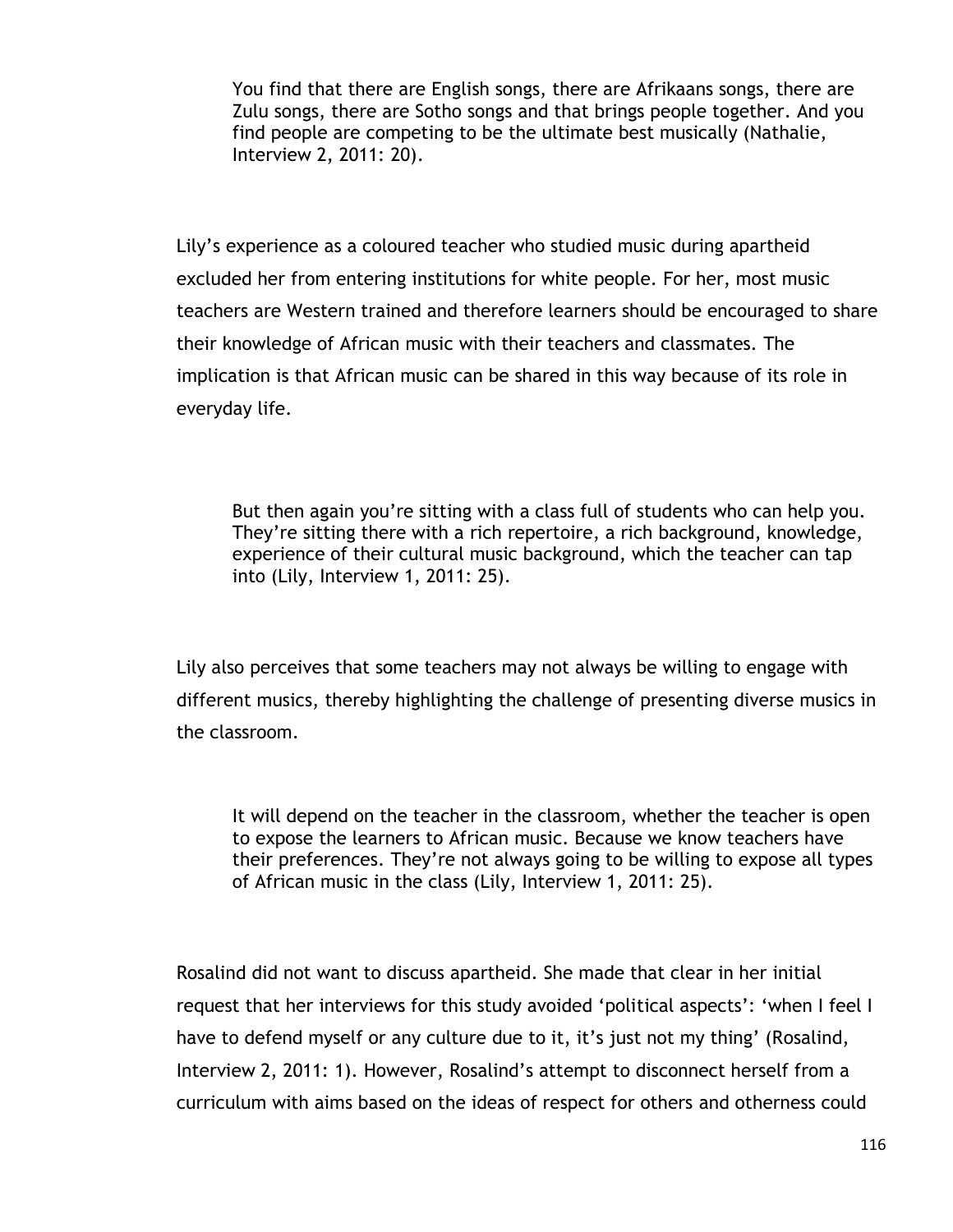You find that there are English songs, there are Afrikaans songs, there are Zulu songs, there are Sotho songs and that brings people together. And you find people are competing to be the ultimate best musically (Nathalie, Interview 2, 2011: 20).

Lily"s experience as a coloured teacher who studied music during apartheid excluded her from entering institutions for white people. For her, most music teachers are Western trained and therefore learners should be encouraged to share their knowledge of African music with their teachers and classmates. The implication is that African music can be shared in this way because of its role in everyday life.

But then again you"re sitting with a class full of students who can help you. They"re sitting there with a rich repertoire, a rich background, knowledge, experience of their cultural music background, which the teacher can tap into (Lily, Interview 1, 2011: 25).

Lily also perceives that some teachers may not always be willing to engage with different musics, thereby highlighting the challenge of presenting diverse musics in the classroom.

It will depend on the teacher in the classroom, whether the teacher is open to expose the learners to African music. Because we know teachers have their preferences. They"re not always going to be willing to expose all types of African music in the class (Lily, Interview 1, 2011: 25).

Rosalind did not want to discuss apartheid. She made that clear in her initial request that her interviews for this study avoided 'political aspects': 'when I feel I have to defend myself or any culture due to it, it's just not my thing' (Rosalind, Interview 2, 2011: 1). However, Rosalind's attempt to disconnect herself from a curriculum with aims based on the ideas of respect for others and otherness could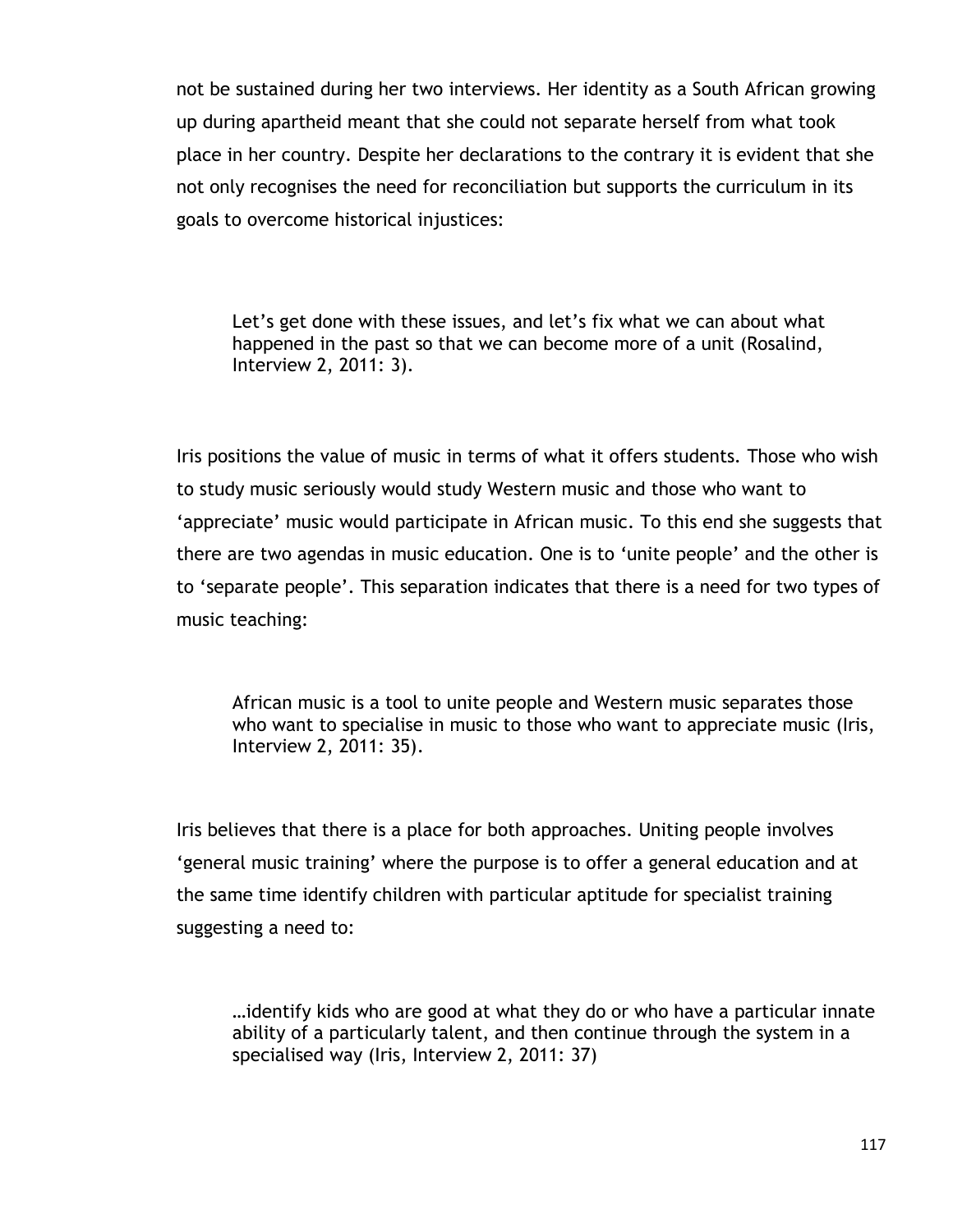not be sustained during her two interviews. Her identity as a South African growing up during apartheid meant that she could not separate herself from what took place in her country. Despite her declarations to the contrary it is evident that she not only recognises the need for reconciliation but supports the curriculum in its goals to overcome historical injustices:

Let's get done with these issues, and let's fix what we can about what happened in the past so that we can become more of a unit (Rosalind, Interview 2, 2011: 3).

Iris positions the value of music in terms of what it offers students. Those who wish to study music seriously would study Western music and those who want to 'appreciate' music would participate in African music. To this end she suggests that there are two agendas in music education. One is to "unite people" and the other is to "separate people". This separation indicates that there is a need for two types of music teaching:

African music is a tool to unite people and Western music separates those who want to specialise in music to those who want to appreciate music (Iris, Interview 2, 2011: 35).

Iris believes that there is a place for both approaches. Uniting people involves "general music training" where the purpose is to offer a general education and at the same time identify children with particular aptitude for specialist training suggesting a need to:

…identify kids who are good at what they do or who have a particular innate ability of a particularly talent, and then continue through the system in a specialised way (Iris, Interview 2, 2011: 37)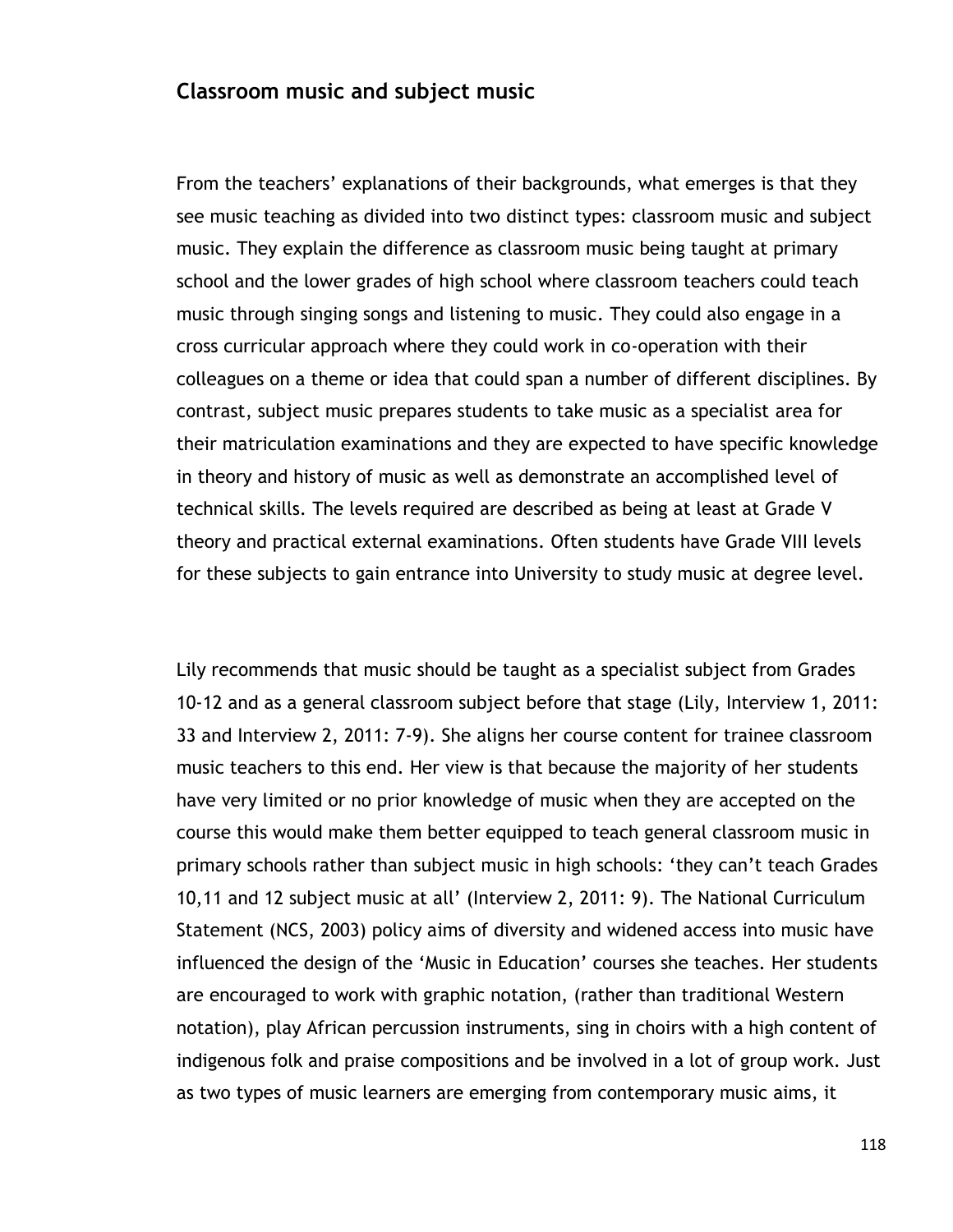## **Classroom music and subject music**

From the teachers' explanations of their backgrounds, what emerges is that they see music teaching as divided into two distinct types: classroom music and subject music. They explain the difference as classroom music being taught at primary school and the lower grades of high school where classroom teachers could teach music through singing songs and listening to music. They could also engage in a cross curricular approach where they could work in co-operation with their colleagues on a theme or idea that could span a number of different disciplines. By contrast, subject music prepares students to take music as a specialist area for their matriculation examinations and they are expected to have specific knowledge in theory and history of music as well as demonstrate an accomplished level of technical skills. The levels required are described as being at least at Grade V theory and practical external examinations. Often students have Grade VIII levels for these subjects to gain entrance into University to study music at degree level.

Lily recommends that music should be taught as a specialist subject from Grades 10-12 and as a general classroom subject before that stage (Lily, Interview 1, 2011: 33 and Interview 2, 2011: 7-9). She aligns her course content for trainee classroom music teachers to this end. Her view is that because the majority of her students have very limited or no prior knowledge of music when they are accepted on the course this would make them better equipped to teach general classroom music in primary schools rather than subject music in high schools: "they can"t teach Grades 10,11 and 12 subject music at all" (Interview 2, 2011: 9). The National Curriculum Statement (NCS, 2003) policy aims of diversity and widened access into music have influenced the design of the 'Music in Education' courses she teaches. Her students are encouraged to work with graphic notation, (rather than traditional Western notation), play African percussion instruments, sing in choirs with a high content of indigenous folk and praise compositions and be involved in a lot of group work. Just as two types of music learners are emerging from contemporary music aims, it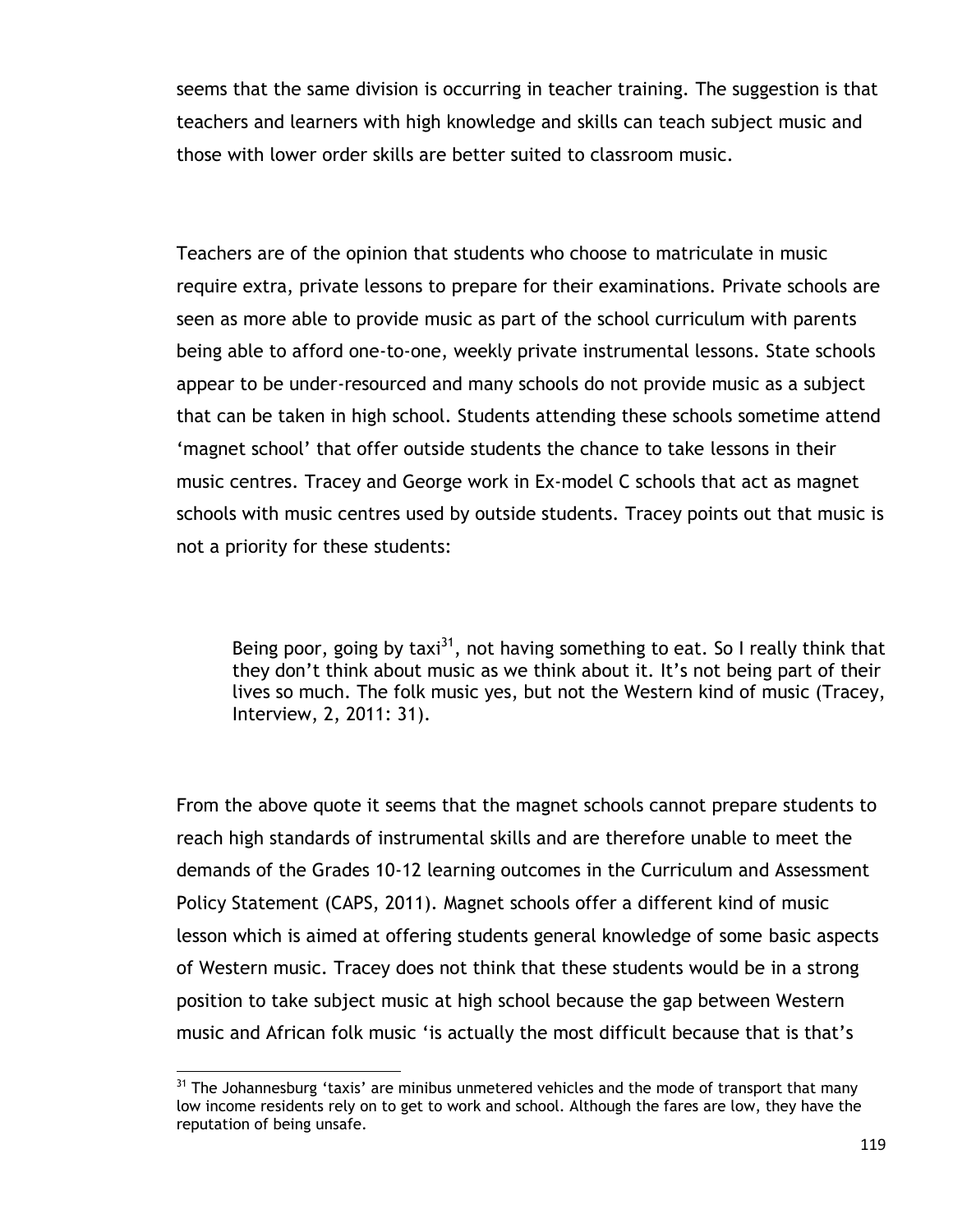seems that the same division is occurring in teacher training. The suggestion is that teachers and learners with high knowledge and skills can teach subject music and those with lower order skills are better suited to classroom music.

Teachers are of the opinion that students who choose to matriculate in music require extra, private lessons to prepare for their examinations. Private schools are seen as more able to provide music as part of the school curriculum with parents being able to afford one-to-one, weekly private instrumental lessons. State schools appear to be under-resourced and many schools do not provide music as a subject that can be taken in high school. Students attending these schools sometime attend "magnet school" that offer outside students the chance to take lessons in their music centres. Tracey and George work in Ex-model C schools that act as magnet schools with music centres used by outside students. Tracey points out that music is not a priority for these students:

Being poor, going by taxi<sup>31</sup>, not having something to eat. So I really think that they don't think about music as we think about it. It's not being part of their lives so much. The folk music yes, but not the Western kind of music (Tracey, Interview, 2, 2011: 31).

From the above quote it seems that the magnet schools cannot prepare students to reach high standards of instrumental skills and are therefore unable to meet the demands of the Grades 10-12 learning outcomes in the Curriculum and Assessment Policy Statement (CAPS, 2011). Magnet schools offer a different kind of music lesson which is aimed at offering students general knowledge of some basic aspects of Western music. Tracey does not think that these students would be in a strong position to take subject music at high school because the gap between Western music and African folk music "is actually the most difficult because that is that"s

 $\overline{a}$ 

 $31$  The Johannesburg 'taxis' are minibus unmetered vehicles and the mode of transport that many low income residents rely on to get to work and school. Although the fares are low, they have the reputation of being unsafe.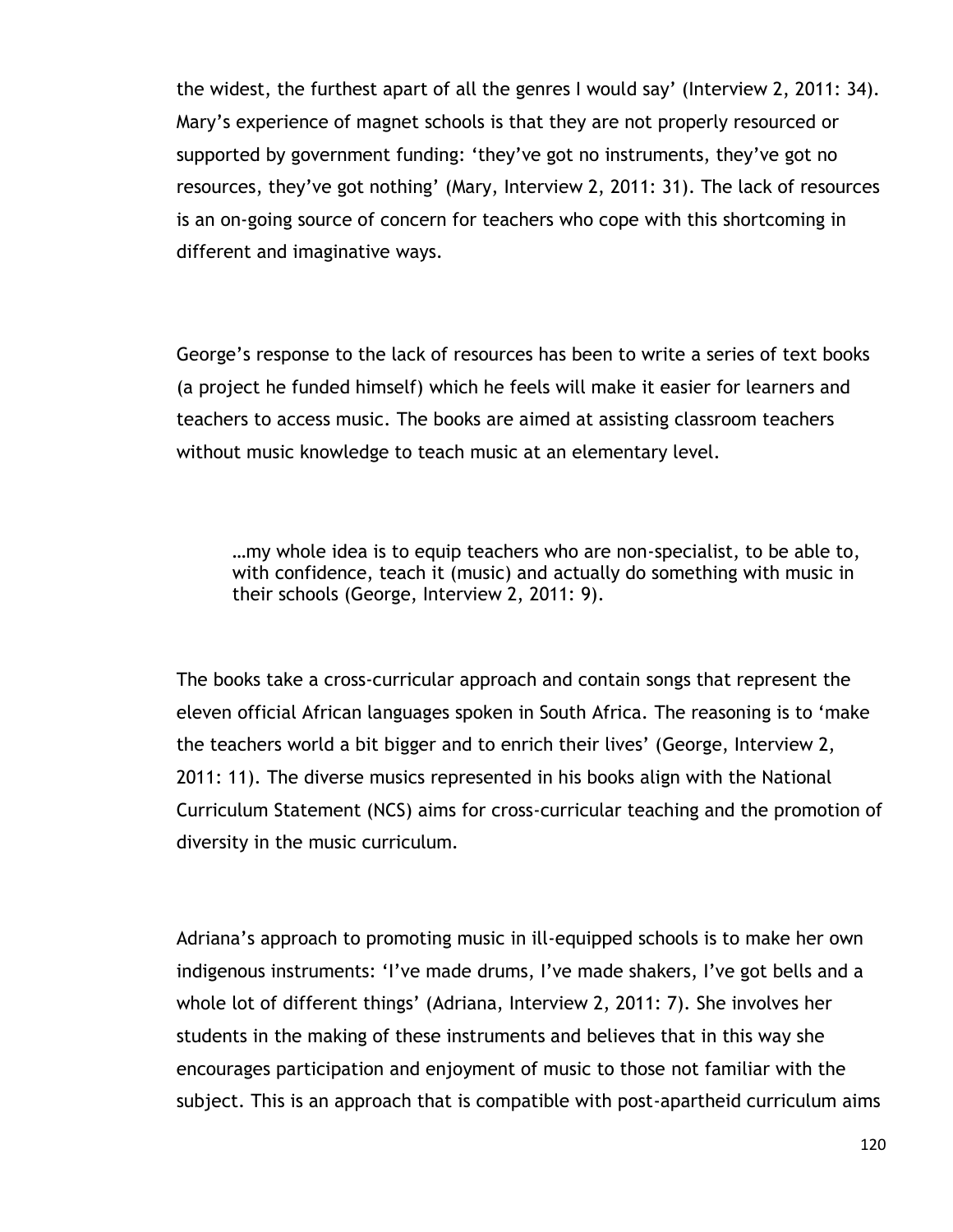the widest, the furthest apart of all the genres I would say" (Interview 2, 2011: 34). Mary"s experience of magnet schools is that they are not properly resourced or supported by government funding: "they"ve got no instruments, they"ve got no resources, they've got nothing' (Mary, Interview 2, 2011: 31). The lack of resources is an on-going source of concern for teachers who cope with this shortcoming in different and imaginative ways.

George"s response to the lack of resources has been to write a series of text books (a project he funded himself) which he feels will make it easier for learners and teachers to access music. The books are aimed at assisting classroom teachers without music knowledge to teach music at an elementary level.

…my whole idea is to equip teachers who are non-specialist, to be able to, with confidence, teach it (music) and actually do something with music in their schools (George, Interview 2, 2011: 9).

The books take a cross-curricular approach and contain songs that represent the eleven official African languages spoken in South Africa. The reasoning is to "make the teachers world a bit bigger and to enrich their lives" (George, Interview 2, 2011: 11). The diverse musics represented in his books align with the National Curriculum Statement (NCS) aims for cross-curricular teaching and the promotion of diversity in the music curriculum.

Adriana"s approach to promoting music in ill-equipped schools is to make her own indigenous instruments: 'I've made drums, I've made shakers, I've got bells and a whole lot of different things" (Adriana, Interview 2, 2011: 7). She involves her students in the making of these instruments and believes that in this way she encourages participation and enjoyment of music to those not familiar with the subject. This is an approach that is compatible with post-apartheid curriculum aims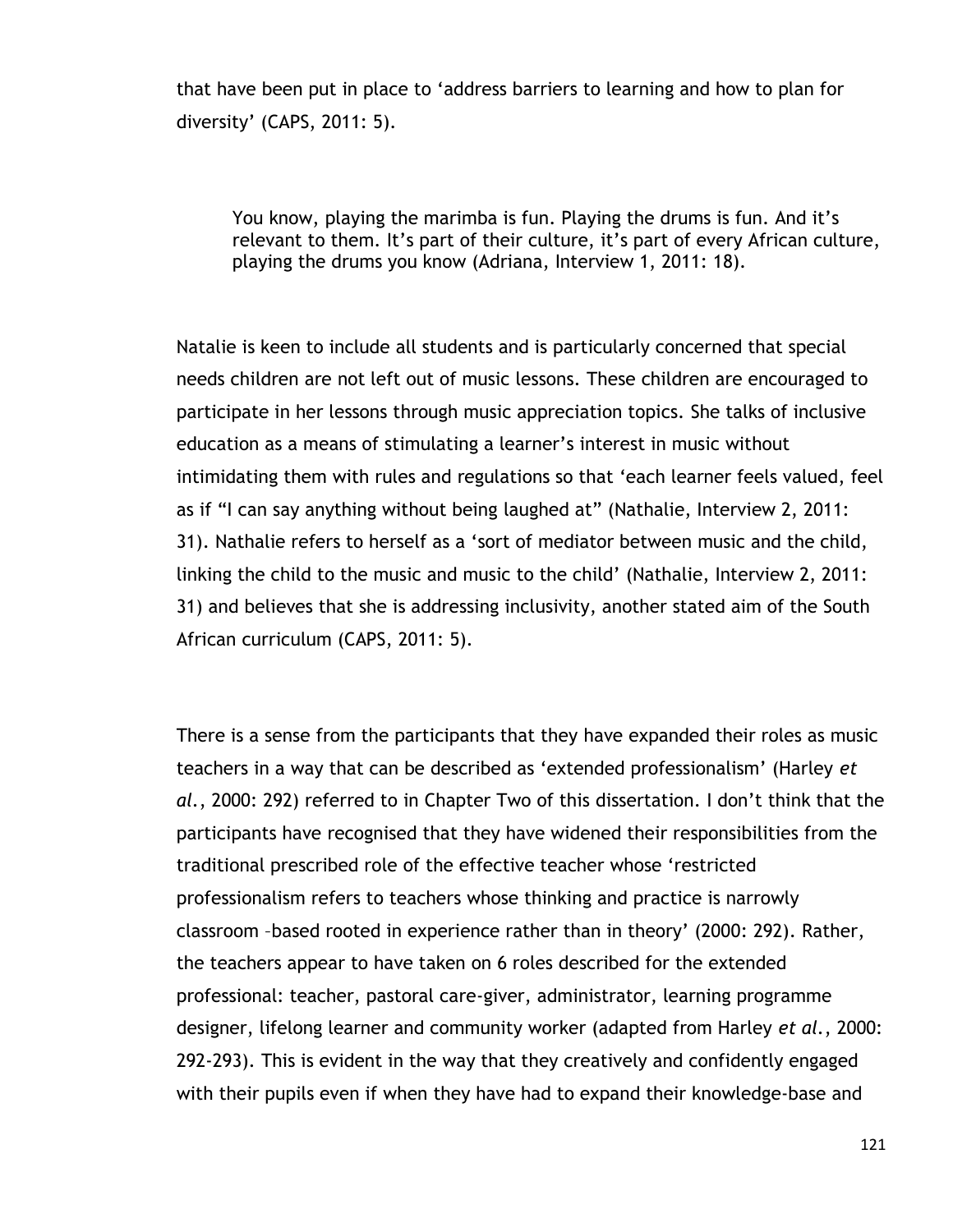that have been put in place to "address barriers to learning and how to plan for diversity" (CAPS, 2011: 5).

You know, playing the marimba is fun. Playing the drums is fun. And it"s relevant to them. It's part of their culture, it's part of every African culture, playing the drums you know (Adriana, Interview 1, 2011: 18).

Natalie is keen to include all students and is particularly concerned that special needs children are not left out of music lessons. These children are encouraged to participate in her lessons through music appreciation topics. She talks of inclusive education as a means of stimulating a learner"s interest in music without intimidating them with rules and regulations so that "each learner feels valued, feel as if "I can say anything without being laughed at" (Nathalie, Interview 2, 2011: 31). Nathalie refers to herself as a "sort of mediator between music and the child, linking the child to the music and music to the child" (Nathalie, Interview 2, 2011: 31) and believes that she is addressing inclusivity, another stated aim of the South African curriculum (CAPS, 2011: 5).

There is a sense from the participants that they have expanded their roles as music teachers in a way that can be described as "extended professionalism" (Harley *et al.*, 2000: 292) referred to in Chapter Two of this dissertation. I don"t think that the participants have recognised that they have widened their responsibilities from the traditional prescribed role of the effective teacher whose "restricted professionalism refers to teachers whose thinking and practice is narrowly classroom –based rooted in experience rather than in theory" (2000: 292). Rather, the teachers appear to have taken on 6 roles described for the extended professional: teacher, pastoral care-giver, administrator, learning programme designer, lifelong learner and community worker (adapted from Harley *et al.*, 2000: 292-293). This is evident in the way that they creatively and confidently engaged with their pupils even if when they have had to expand their knowledge-base and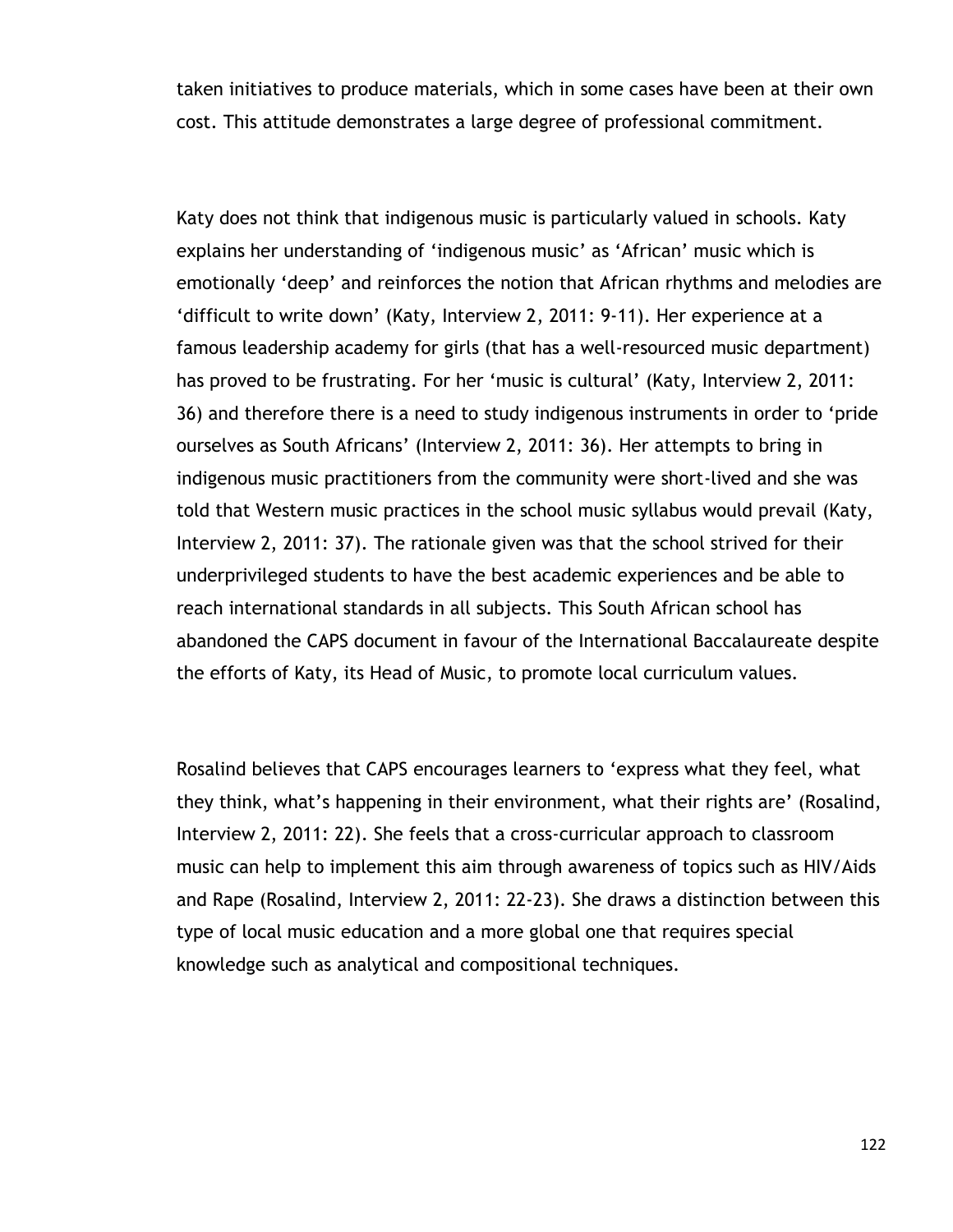taken initiatives to produce materials, which in some cases have been at their own cost. This attitude demonstrates a large degree of professional commitment.

Katy does not think that indigenous music is particularly valued in schools. Katy explains her understanding of "indigenous music" as "African" music which is emotionally "deep" and reinforces the notion that African rhythms and melodies are "difficult to write down" (Katy, Interview 2, 2011: 9-11). Her experience at a famous leadership academy for girls (that has a well-resourced music department) has proved to be frustrating. For her 'music is cultural' (Katy, Interview 2, 2011: 36) and therefore there is a need to study indigenous instruments in order to "pride ourselves as South Africans" (Interview 2, 2011: 36). Her attempts to bring in indigenous music practitioners from the community were short-lived and she was told that Western music practices in the school music syllabus would prevail (Katy, Interview 2, 2011: 37). The rationale given was that the school strived for their underprivileged students to have the best academic experiences and be able to reach international standards in all subjects. This South African school has abandoned the CAPS document in favour of the International Baccalaureate despite the efforts of Katy, its Head of Music, to promote local curriculum values.

Rosalind believes that CAPS encourages learners to "express what they feel, what they think, what"s happening in their environment, what their rights are" (Rosalind, Interview 2, 2011: 22). She feels that a cross-curricular approach to classroom music can help to implement this aim through awareness of topics such as HIV/Aids and Rape (Rosalind, Interview 2, 2011: 22-23). She draws a distinction between this type of local music education and a more global one that requires special knowledge such as analytical and compositional techniques.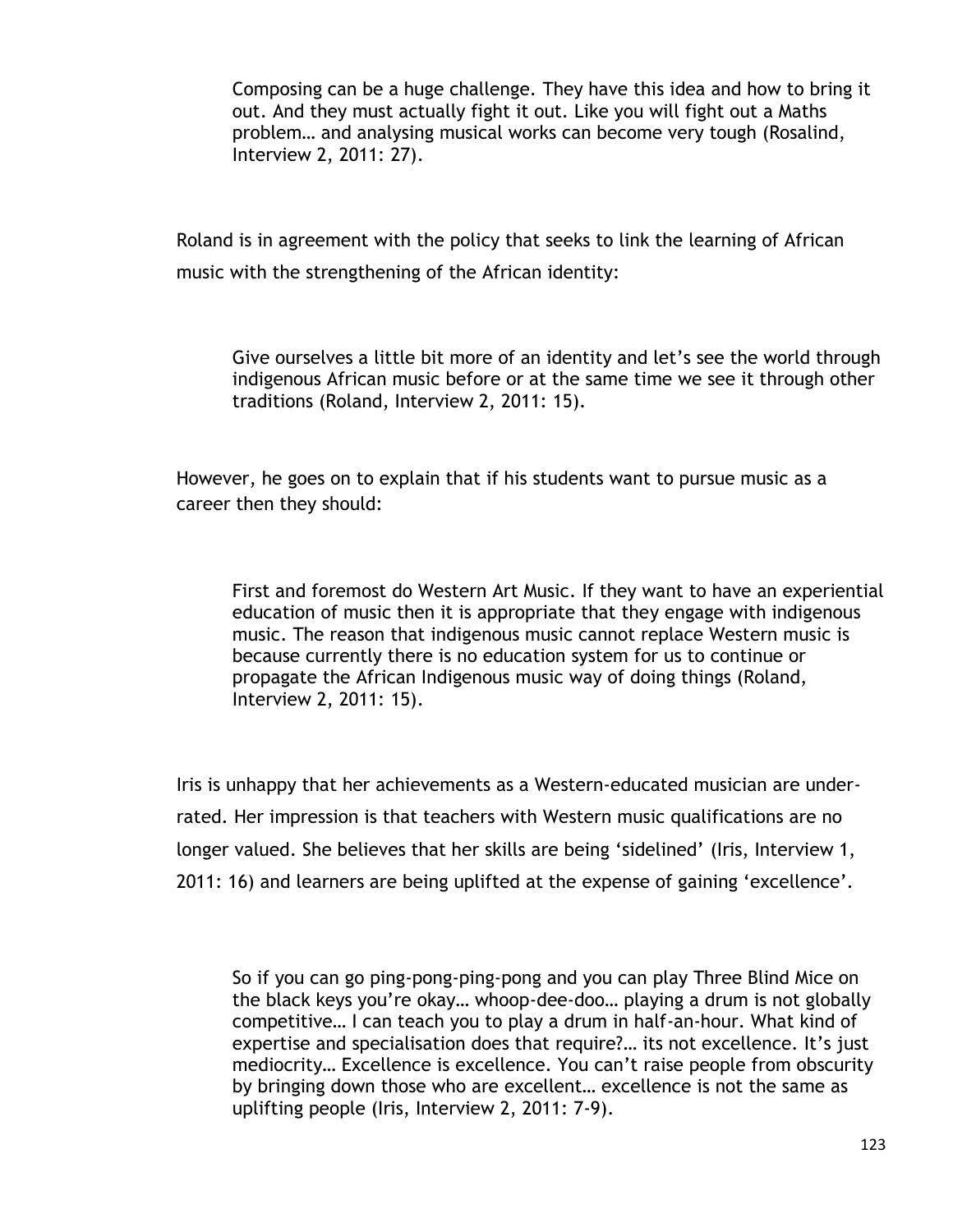Composing can be a huge challenge. They have this idea and how to bring it out. And they must actually fight it out. Like you will fight out a Maths problem… and analysing musical works can become very tough (Rosalind, Interview 2, 2011: 27).

Roland is in agreement with the policy that seeks to link the learning of African music with the strengthening of the African identity:

Give ourselves a little bit more of an identity and let"s see the world through indigenous African music before or at the same time we see it through other traditions (Roland, Interview 2, 2011: 15).

However, he goes on to explain that if his students want to pursue music as a career then they should:

First and foremost do Western Art Music. If they want to have an experiential education of music then it is appropriate that they engage with indigenous music. The reason that indigenous music cannot replace Western music is because currently there is no education system for us to continue or propagate the African Indigenous music way of doing things (Roland, Interview 2, 2011: 15).

Iris is unhappy that her achievements as a Western-educated musician are underrated. Her impression is that teachers with Western music qualifications are no longer valued. She believes that her skills are being "sidelined" (Iris, Interview 1, 2011: 16) and learners are being uplifted at the expense of gaining "excellence".

So if you can go ping-pong-ping-pong and you can play Three Blind Mice on the black keys you"re okay… whoop-dee-doo… playing a drum is not globally competitive… I can teach you to play a drum in half-an-hour. What kind of expertise and specialisation does that require?... its not excellence. It's just mediocrity… Excellence is excellence. You can"t raise people from obscurity by bringing down those who are excellent… excellence is not the same as uplifting people (Iris, Interview 2, 2011: 7-9).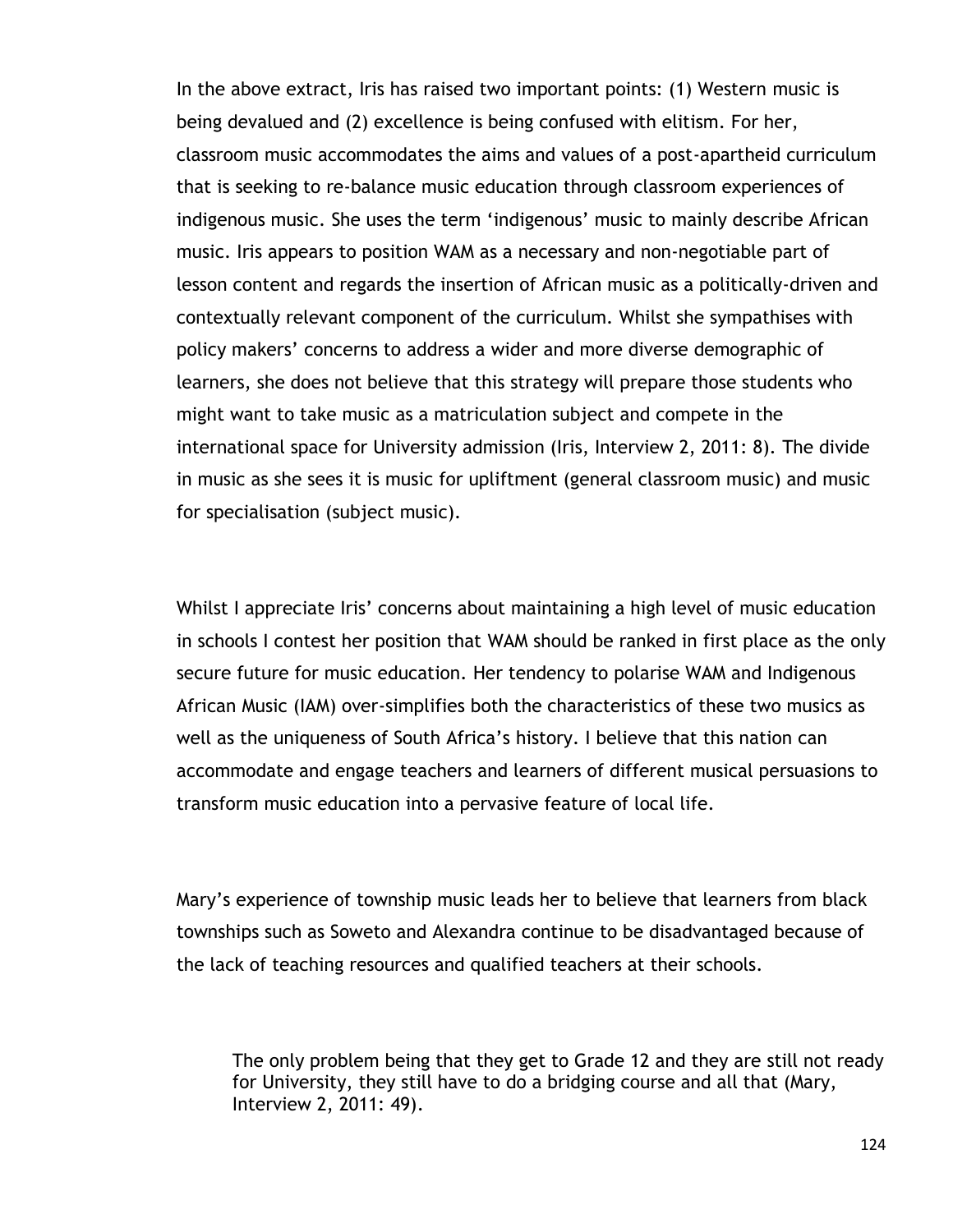In the above extract, Iris has raised two important points: (1) Western music is being devalued and (2) excellence is being confused with elitism. For her, classroom music accommodates the aims and values of a post-apartheid curriculum that is seeking to re-balance music education through classroom experiences of indigenous music. She uses the term "indigenous" music to mainly describe African music. Iris appears to position WAM as a necessary and non-negotiable part of lesson content and regards the insertion of African music as a politically-driven and contextually relevant component of the curriculum. Whilst she sympathises with policy makers' concerns to address a wider and more diverse demographic of learners, she does not believe that this strategy will prepare those students who might want to take music as a matriculation subject and compete in the international space for University admission (Iris, Interview 2, 2011: 8). The divide in music as she sees it is music for upliftment (general classroom music) and music for specialisation (subject music).

Whilst I appreciate Iris' concerns about maintaining a high level of music education in schools I contest her position that WAM should be ranked in first place as the only secure future for music education. Her tendency to polarise WAM and Indigenous African Music (IAM) over-simplifies both the characteristics of these two musics as well as the uniqueness of South Africa's history. I believe that this nation can accommodate and engage teachers and learners of different musical persuasions to transform music education into a pervasive feature of local life.

Mary"s experience of township music leads her to believe that learners from black townships such as Soweto and Alexandra continue to be disadvantaged because of the lack of teaching resources and qualified teachers at their schools.

The only problem being that they get to Grade 12 and they are still not ready for University, they still have to do a bridging course and all that (Mary, Interview 2, 2011: 49).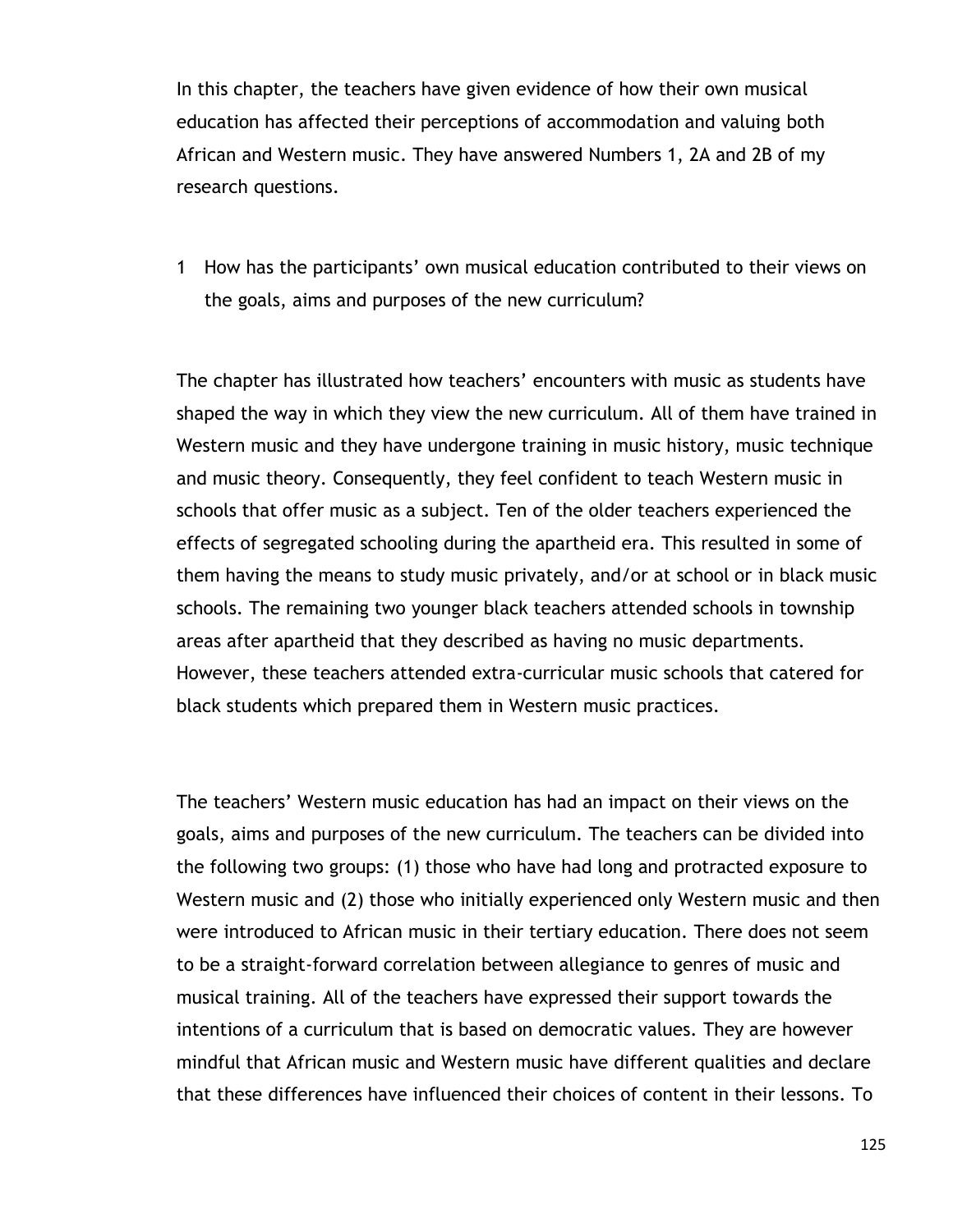In this chapter, the teachers have given evidence of how their own musical education has affected their perceptions of accommodation and valuing both African and Western music. They have answered Numbers 1, 2A and 2B of my research questions.

1 How has the participants" own musical education contributed to their views on the goals, aims and purposes of the new curriculum?

The chapter has illustrated how teachers" encounters with music as students have shaped the way in which they view the new curriculum. All of them have trained in Western music and they have undergone training in music history, music technique and music theory. Consequently, they feel confident to teach Western music in schools that offer music as a subject. Ten of the older teachers experienced the effects of segregated schooling during the apartheid era. This resulted in some of them having the means to study music privately, and/or at school or in black music schools. The remaining two younger black teachers attended schools in township areas after apartheid that they described as having no music departments. However, these teachers attended extra-curricular music schools that catered for black students which prepared them in Western music practices.

The teachers" Western music education has had an impact on their views on the goals, aims and purposes of the new curriculum. The teachers can be divided into the following two groups: (1) those who have had long and protracted exposure to Western music and (2) those who initially experienced only Western music and then were introduced to African music in their tertiary education. There does not seem to be a straight-forward correlation between allegiance to genres of music and musical training. All of the teachers have expressed their support towards the intentions of a curriculum that is based on democratic values. They are however mindful that African music and Western music have different qualities and declare that these differences have influenced their choices of content in their lessons. To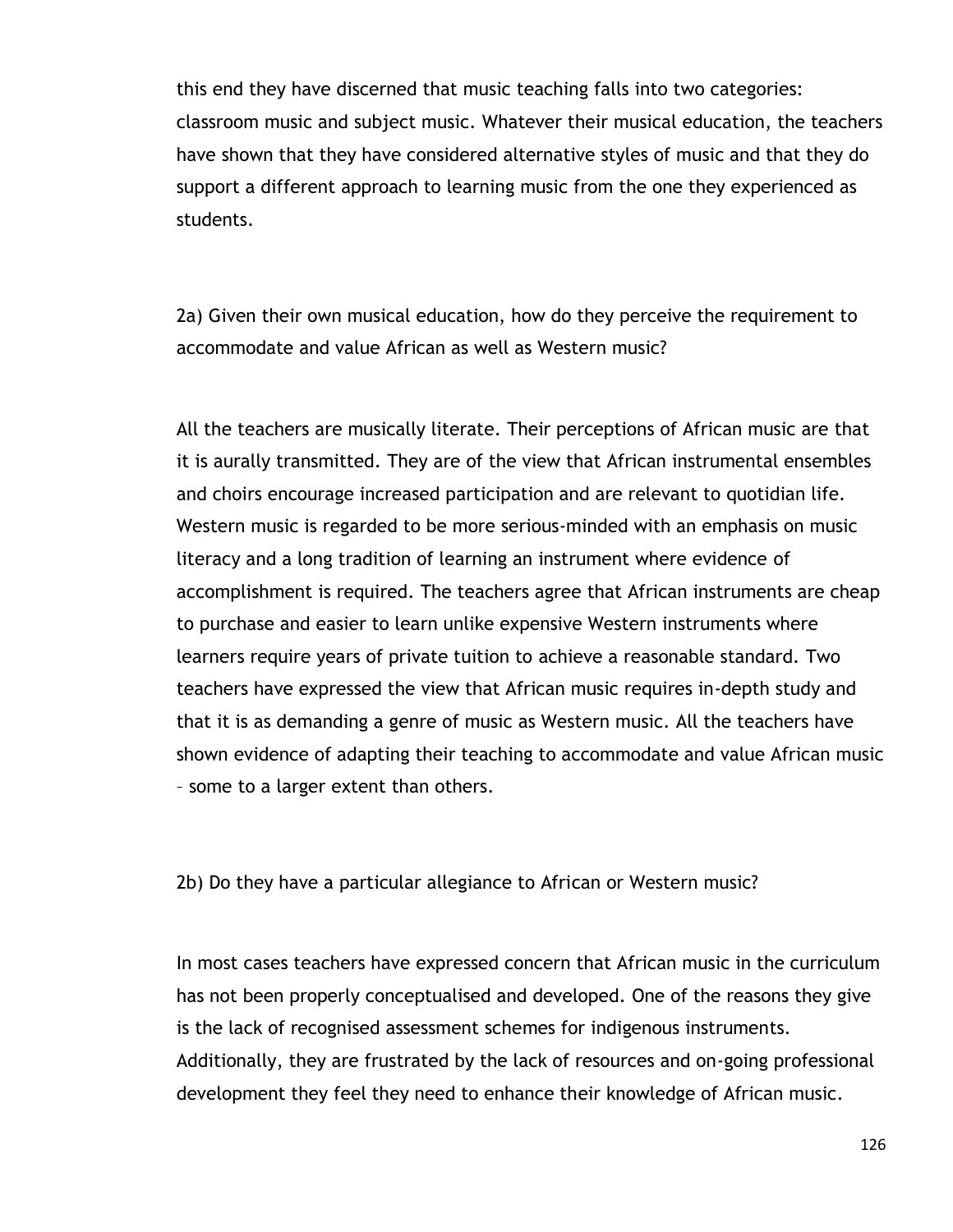this end they have discerned that music teaching falls into two categories: classroom music and subject music. Whatever their musical education, the teachers have shown that they have considered alternative styles of music and that they do support a different approach to learning music from the one they experienced as students.

2a) Given their own musical education, how do they perceive the requirement to accommodate and value African as well as Western music?

All the teachers are musically literate. Their perceptions of African music are that it is aurally transmitted. They are of the view that African instrumental ensembles and choirs encourage increased participation and are relevant to quotidian life. Western music is regarded to be more serious-minded with an emphasis on music literacy and a long tradition of learning an instrument where evidence of accomplishment is required. The teachers agree that African instruments are cheap to purchase and easier to learn unlike expensive Western instruments where learners require years of private tuition to achieve a reasonable standard. Two teachers have expressed the view that African music requires in-depth study and that it is as demanding a genre of music as Western music. All the teachers have shown evidence of adapting their teaching to accommodate and value African music – some to a larger extent than others.

2b) Do they have a particular allegiance to African or Western music?

In most cases teachers have expressed concern that African music in the curriculum has not been properly conceptualised and developed. One of the reasons they give is the lack of recognised assessment schemes for indigenous instruments. Additionally, they are frustrated by the lack of resources and on-going professional development they feel they need to enhance their knowledge of African music.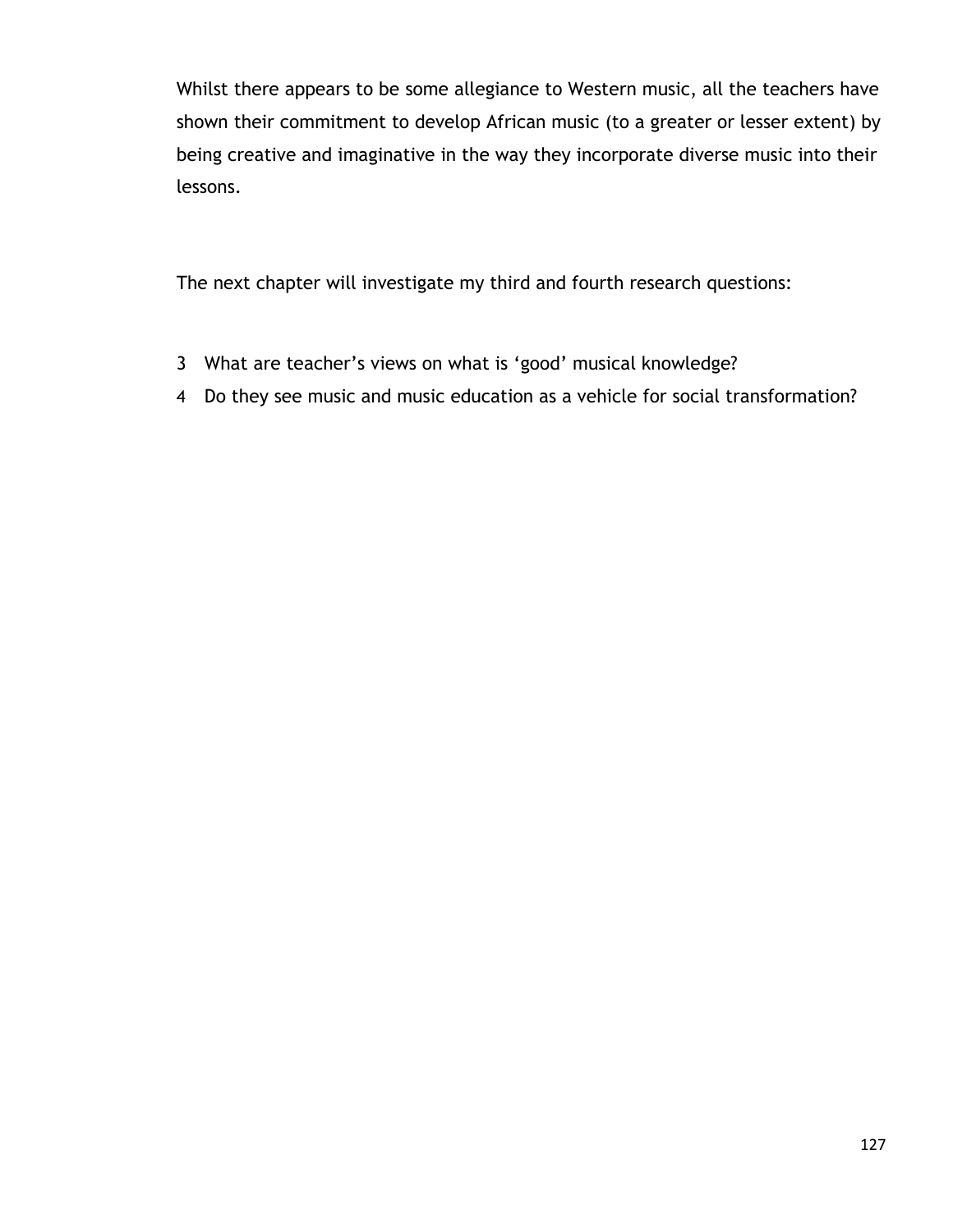Whilst there appears to be some allegiance to Western music, all the teachers have shown their commitment to develop African music (to a greater or lesser extent) by being creative and imaginative in the way they incorporate diverse music into their lessons.

The next chapter will investigate my third and fourth research questions:

- 3 What are teacher"s views on what is "good" musical knowledge?
- 4 Do they see music and music education as a vehicle for social transformation?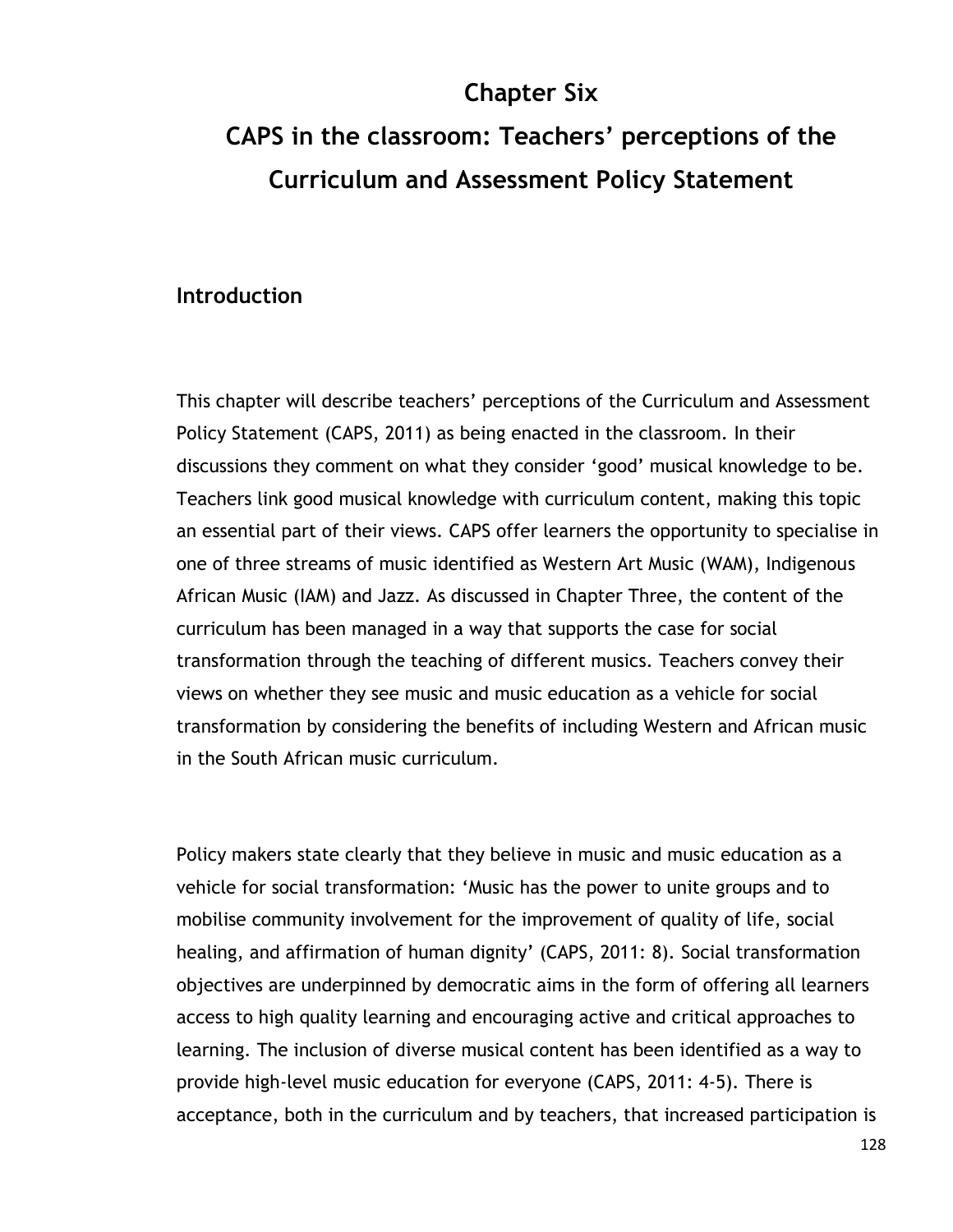# **Chapter Six CAPS in the classroom: Teachers' perceptions of the Curriculum and Assessment Policy Statement**

#### **Introduction**

This chapter will describe teachers' perceptions of the Curriculum and Assessment Policy Statement (CAPS, 2011) as being enacted in the classroom. In their discussions they comment on what they consider "good" musical knowledge to be. Teachers link good musical knowledge with curriculum content, making this topic an essential part of their views. CAPS offer learners the opportunity to specialise in one of three streams of music identified as Western Art Music (WAM), Indigenous African Music (IAM) and Jazz. As discussed in Chapter Three, the content of the curriculum has been managed in a way that supports the case for social transformation through the teaching of different musics. Teachers convey their views on whether they see music and music education as a vehicle for social transformation by considering the benefits of including Western and African music in the South African music curriculum.

Policy makers state clearly that they believe in music and music education as a vehicle for social transformation: "Music has the power to unite groups and to mobilise community involvement for the improvement of quality of life, social healing, and affirmation of human dignity' (CAPS, 2011: 8). Social transformation objectives are underpinned by democratic aims in the form of offering all learners access to high quality learning and encouraging active and critical approaches to learning. The inclusion of diverse musical content has been identified as a way to provide high-level music education for everyone (CAPS, 2011: 4-5). There is acceptance, both in the curriculum and by teachers, that increased participation is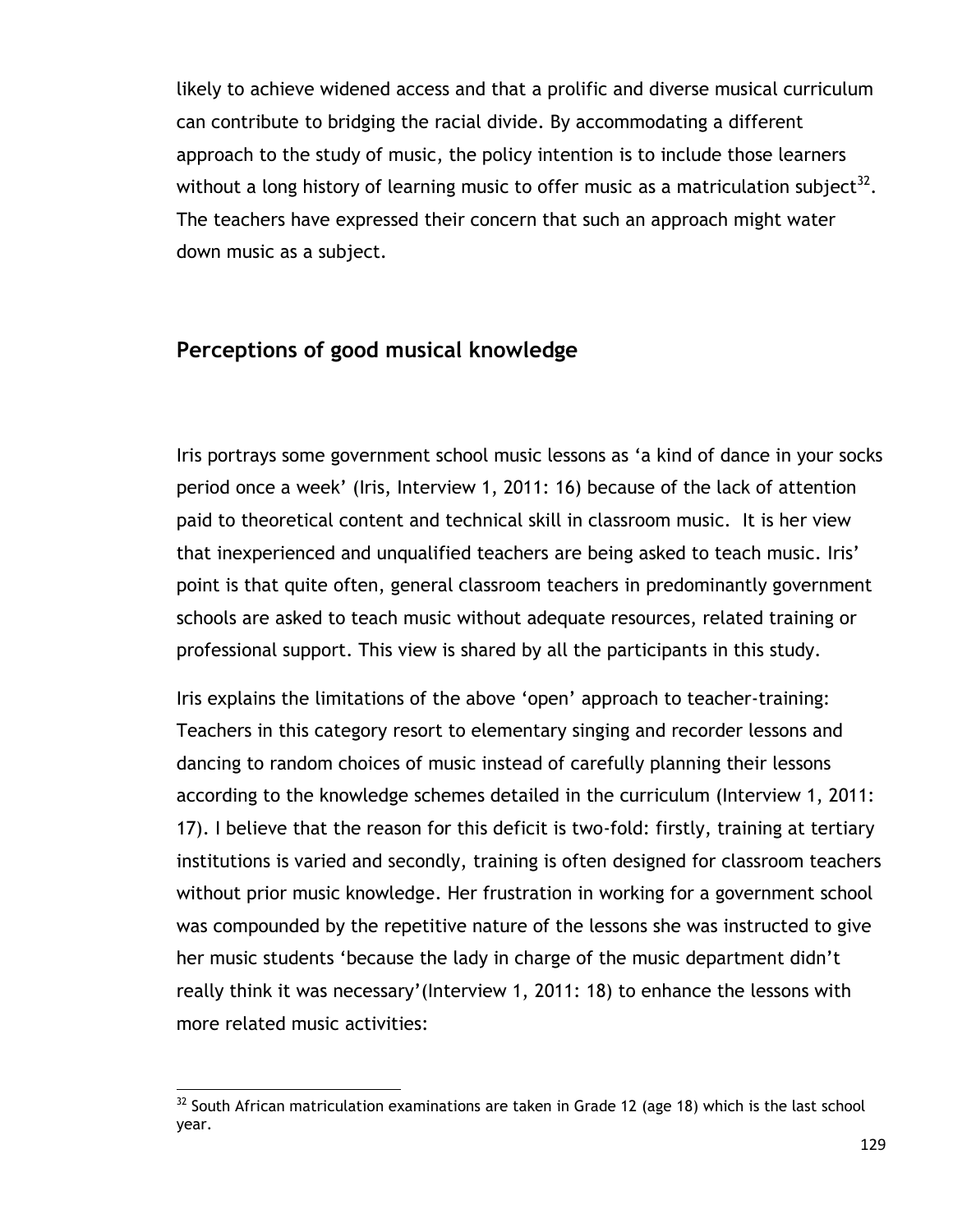likely to achieve widened access and that a prolific and diverse musical curriculum can contribute to bridging the racial divide. By accommodating a different approach to the study of music, the policy intention is to include those learners without a long history of learning music to offer music as a matriculation subject $^{32}$ . The teachers have expressed their concern that such an approach might water down music as a subject.

## **Perceptions of good musical knowledge**

Iris portrays some government school music lessons as "a kind of dance in your socks period once a week" (Iris, Interview 1, 2011: 16) because of the lack of attention paid to theoretical content and technical skill in classroom music. It is her view that inexperienced and unqualified teachers are being asked to teach music. Iris" point is that quite often, general classroom teachers in predominantly government schools are asked to teach music without adequate resources, related training or professional support. This view is shared by all the participants in this study.

Iris explains the limitations of the above 'open' approach to teacher-training: Teachers in this category resort to elementary singing and recorder lessons and dancing to random choices of music instead of carefully planning their lessons according to the knowledge schemes detailed in the curriculum (Interview 1, 2011: 17). I believe that the reason for this deficit is two-fold: firstly, training at tertiary institutions is varied and secondly, training is often designed for classroom teachers without prior music knowledge. Her frustration in working for a government school was compounded by the repetitive nature of the lessons she was instructed to give her music students 'because the lady in charge of the music department didn't really think it was necessary"(Interview 1, 2011: 18) to enhance the lessons with more related music activities:

 $\overline{a}$  $32$  South African matriculation examinations are taken in Grade 12 (age 18) which is the last school year.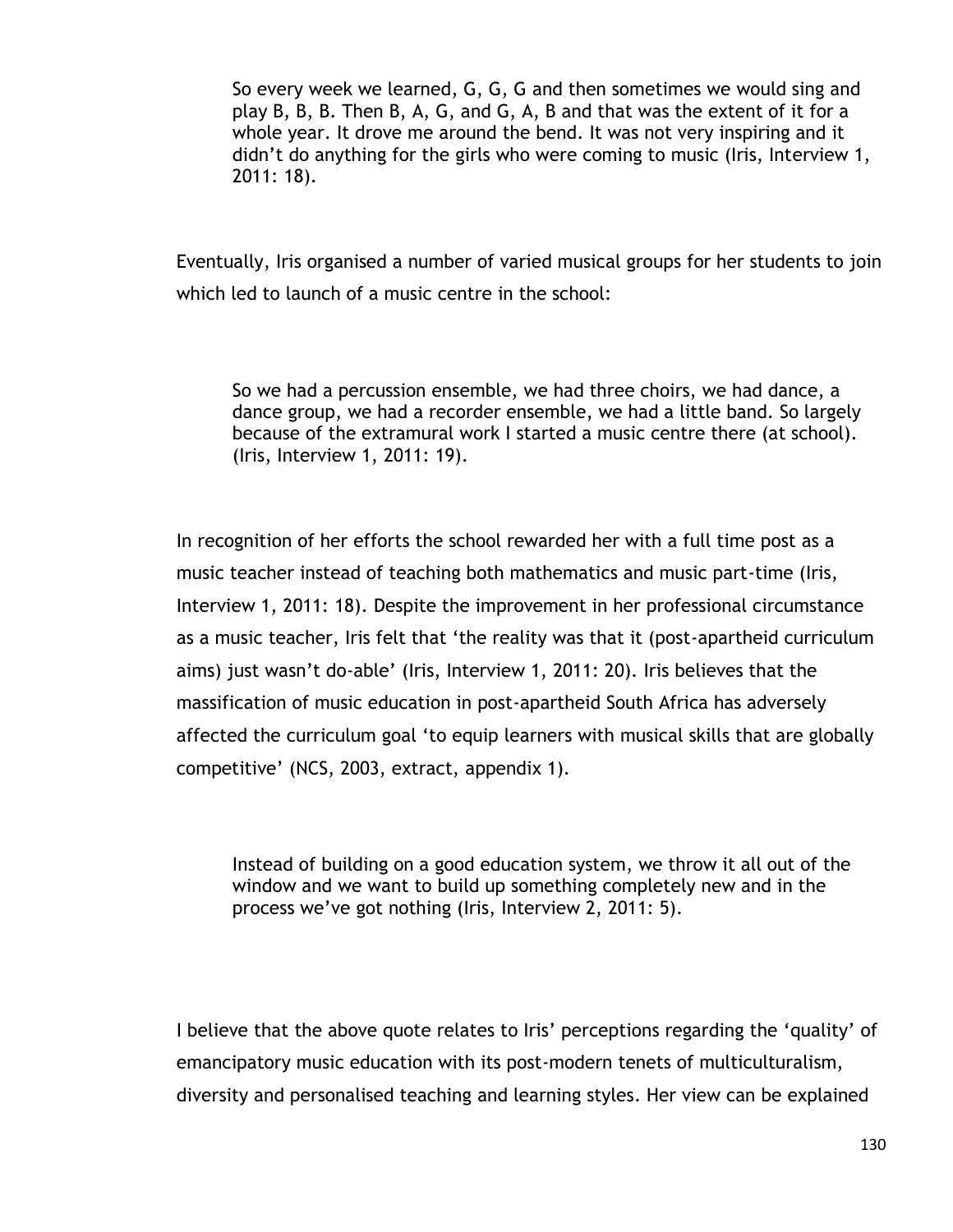So every week we learned, G, G, G and then sometimes we would sing and play B, B, B. Then B, A, G, and G, A, B and that was the extent of it for a whole year. It drove me around the bend. It was not very inspiring and it didn"t do anything for the girls who were coming to music (Iris, Interview 1, 2011: 18).

Eventually, Iris organised a number of varied musical groups for her students to join which led to launch of a music centre in the school:

So we had a percussion ensemble, we had three choirs, we had dance, a dance group, we had a recorder ensemble, we had a little band. So largely because of the extramural work I started a music centre there (at school). (Iris, Interview 1, 2011: 19).

In recognition of her efforts the school rewarded her with a full time post as a music teacher instead of teaching both mathematics and music part-time (Iris, Interview 1, 2011: 18). Despite the improvement in her professional circumstance as a music teacher, Iris felt that "the reality was that it (post-apartheid curriculum aims) just wasn't do-able' (Iris, Interview 1, 2011: 20). Iris believes that the massification of music education in post-apartheid South Africa has adversely affected the curriculum goal "to equip learners with musical skills that are globally competitive" (NCS, 2003, extract, appendix 1).

Instead of building on a good education system, we throw it all out of the window and we want to build up something completely new and in the process we"ve got nothing (Iris, Interview 2, 2011: 5).

I believe that the above quote relates to Iris' perceptions regarding the 'quality' of emancipatory music education with its post-modern tenets of multiculturalism, diversity and personalised teaching and learning styles. Her view can be explained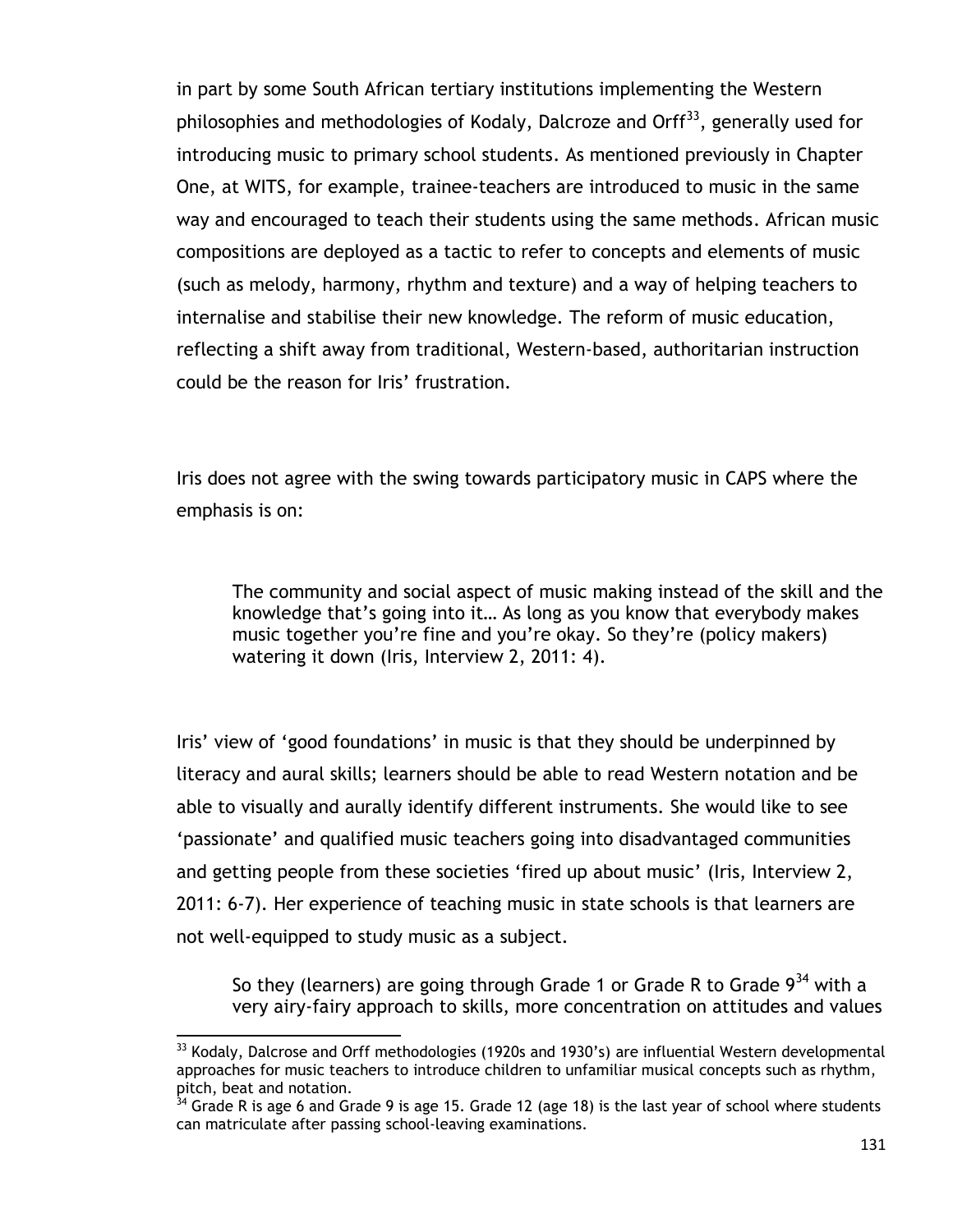in part by some South African tertiary institutions implementing the Western philosophies and methodologies of Kodaly, Dalcroze and Orff<sup>33</sup>, generally used for introducing music to primary school students. As mentioned previously in Chapter One, at WITS, for example, trainee-teachers are introduced to music in the same way and encouraged to teach their students using the same methods. African music compositions are deployed as a tactic to refer to concepts and elements of music (such as melody, harmony, rhythm and texture) and a way of helping teachers to internalise and stabilise their new knowledge. The reform of music education, reflecting a shift away from traditional, Western-based, authoritarian instruction could be the reason for Iris' frustration.

Iris does not agree with the swing towards participatory music in CAPS where the emphasis is on:

The community and social aspect of music making instead of the skill and the knowledge that"s going into it… As long as you know that everybody makes music together you"re fine and you"re okay. So they"re (policy makers) watering it down (Iris, Interview 2, 2011: 4).

Iris' view of 'good foundations' in music is that they should be underpinned by literacy and aural skills; learners should be able to read Western notation and be able to visually and aurally identify different instruments. She would like to see "passionate" and qualified music teachers going into disadvantaged communities and getting people from these societies 'fired up about music' (Iris, Interview 2, 2011: 6-7). Her experience of teaching music in state schools is that learners are not well-equipped to study music as a subject.

So they (learners) are going through Grade 1 or Grade R to Grade  $9^{34}$  with a very airy-fairy approach to skills, more concentration on attitudes and values

 $\overline{a}$  $33$  Kodaly, Dalcrose and Orff methodologies (1920s and 1930's) are influential Western developmental approaches for music teachers to introduce children to unfamiliar musical concepts such as rhythm, pitch, beat and notation.

Grade R is age 6 and Grade 9 is age 15. Grade 12 (age 18) is the last year of school where students can matriculate after passing school-leaving examinations.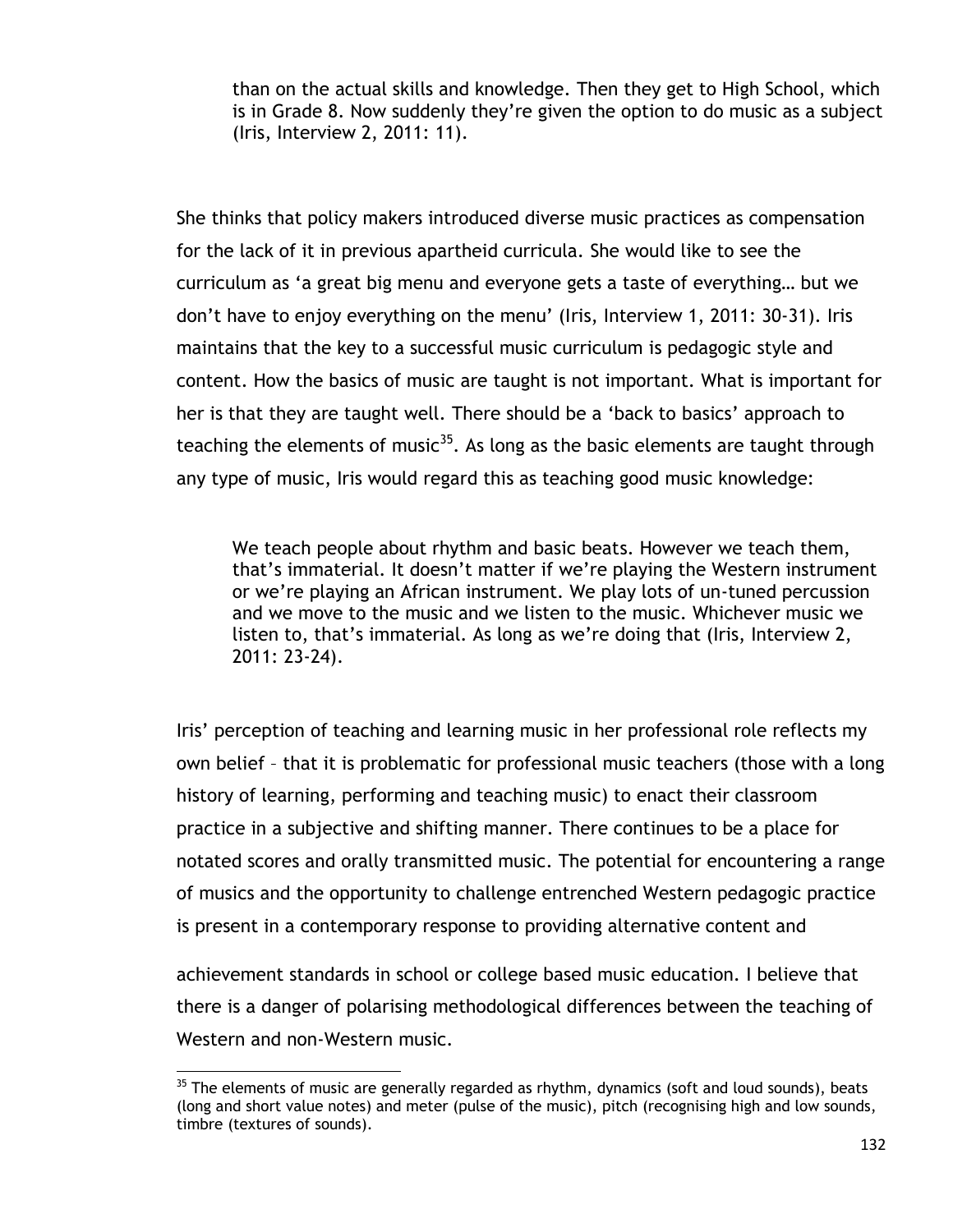than on the actual skills and knowledge. Then they get to High School, which is in Grade 8. Now suddenly they"re given the option to do music as a subject (Iris, Interview 2, 2011: 11).

She thinks that policy makers introduced diverse music practices as compensation for the lack of it in previous apartheid curricula. She would like to see the curriculum as "a great big menu and everyone gets a taste of everything… but we don"t have to enjoy everything on the menu" (Iris, Interview 1, 2011: 30-31). Iris maintains that the key to a successful music curriculum is pedagogic style and content. How the basics of music are taught is not important. What is important for her is that they are taught well. There should be a 'back to basics' approach to teaching the elements of music<sup>35</sup>. As long as the basic elements are taught through any type of music, Iris would regard this as teaching good music knowledge:

We teach people about rhythm and basic beats. However we teach them, that"s immaterial. It doesn"t matter if we"re playing the Western instrument or we"re playing an African instrument. We play lots of un-tuned percussion and we move to the music and we listen to the music. Whichever music we listen to, that's immaterial. As long as we're doing that (Iris, Interview 2, 2011: 23-24).

Iris" perception of teaching and learning music in her professional role reflects my own belief – that it is problematic for professional music teachers (those with a long history of learning, performing and teaching music) to enact their classroom practice in a subjective and shifting manner. There continues to be a place for notated scores and orally transmitted music. The potential for encountering a range of musics and the opportunity to challenge entrenched Western pedagogic practice is present in a contemporary response to providing alternative content and

achievement standards in school or college based music education. I believe that there is a danger of polarising methodological differences between the teaching of Western and non-Western music.

 $\overline{a}$ 

 $35$  The elements of music are generally regarded as rhythm, dynamics (soft and loud sounds), beats (long and short value notes) and meter (pulse of the music), pitch (recognising high and low sounds, timbre (textures of sounds).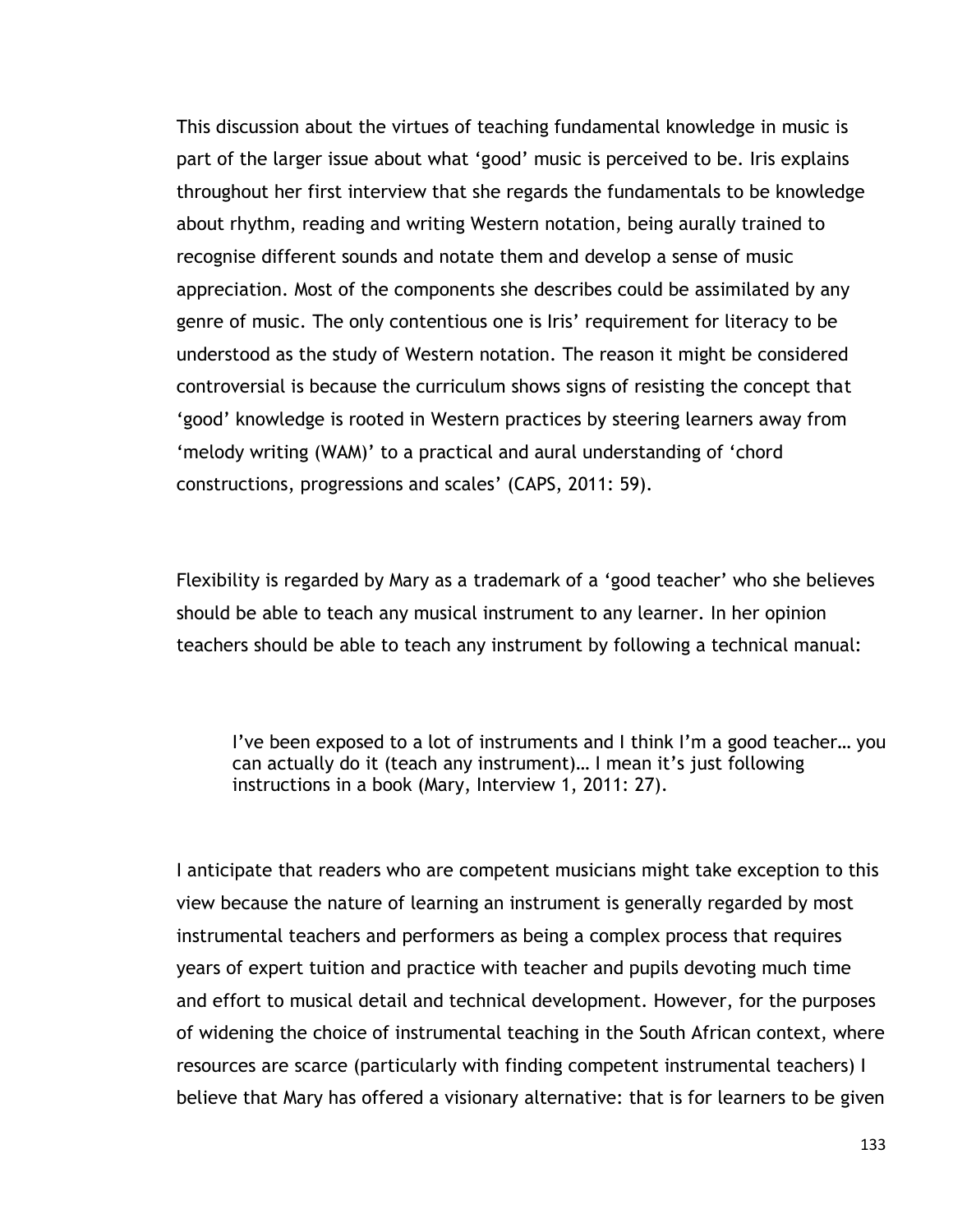This discussion about the virtues of teaching fundamental knowledge in music is part of the larger issue about what "good" music is perceived to be. Iris explains throughout her first interview that she regards the fundamentals to be knowledge about rhythm, reading and writing Western notation, being aurally trained to recognise different sounds and notate them and develop a sense of music appreciation. Most of the components she describes could be assimilated by any genre of music. The only contentious one is Iris' requirement for literacy to be understood as the study of Western notation. The reason it might be considered controversial is because the curriculum shows signs of resisting the concept that "good" knowledge is rooted in Western practices by steering learners away from "melody writing (WAM)" to a practical and aural understanding of "chord constructions, progressions and scales" (CAPS, 2011: 59).

Flexibility is regarded by Mary as a trademark of a "good teacher" who she believes should be able to teach any musical instrument to any learner. In her opinion teachers should be able to teach any instrument by following a technical manual:

I"ve been exposed to a lot of instruments and I think I"m a good teacher… you can actually do it (teach any instrument)... I mean it's just following instructions in a book (Mary, Interview 1, 2011: 27).

I anticipate that readers who are competent musicians might take exception to this view because the nature of learning an instrument is generally regarded by most instrumental teachers and performers as being a complex process that requires years of expert tuition and practice with teacher and pupils devoting much time and effort to musical detail and technical development. However, for the purposes of widening the choice of instrumental teaching in the South African context, where resources are scarce (particularly with finding competent instrumental teachers) I believe that Mary has offered a visionary alternative: that is for learners to be given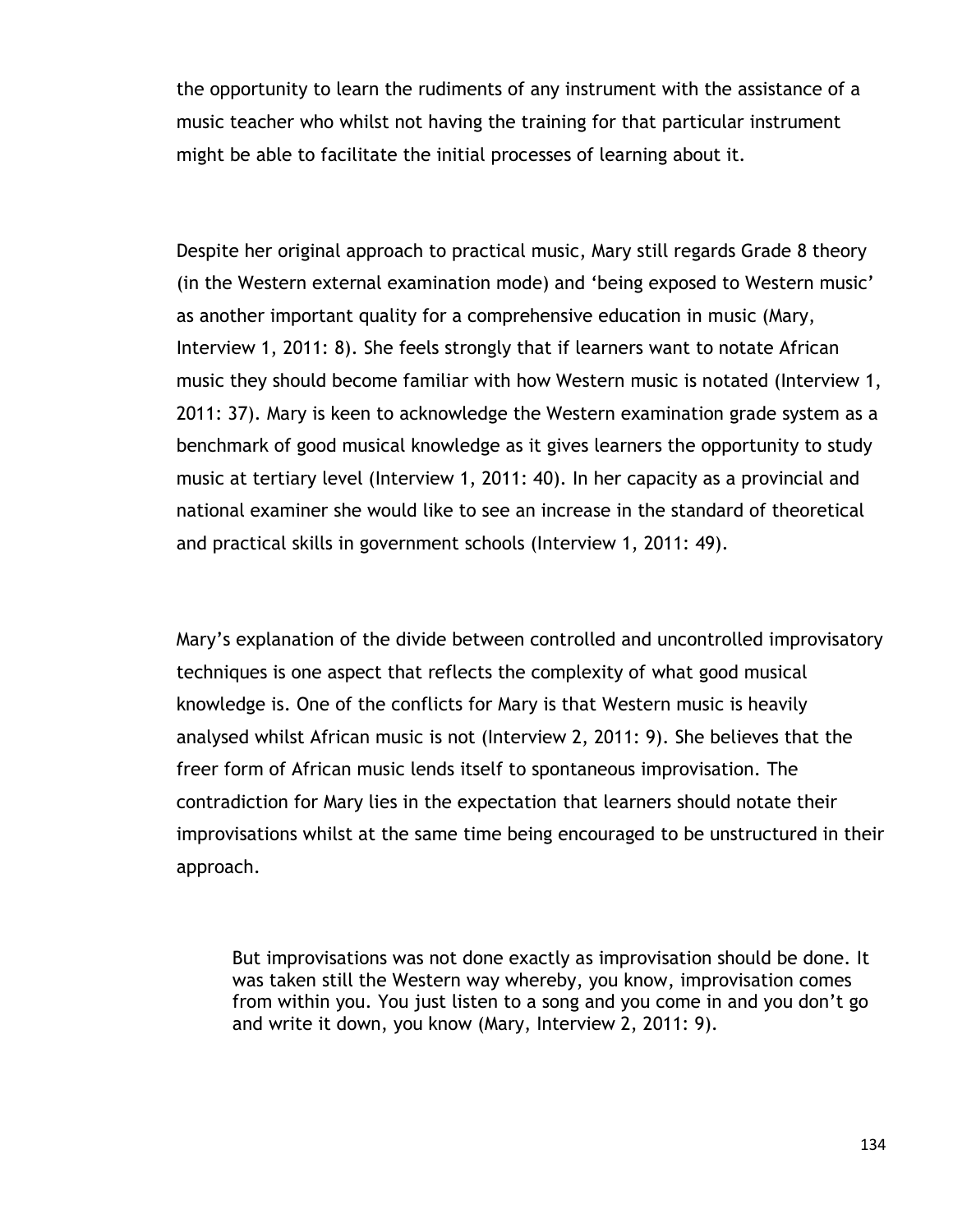the opportunity to learn the rudiments of any instrument with the assistance of a music teacher who whilst not having the training for that particular instrument might be able to facilitate the initial processes of learning about it.

Despite her original approach to practical music, Mary still regards Grade 8 theory (in the Western external examination mode) and "being exposed to Western music" as another important quality for a comprehensive education in music (Mary, Interview 1, 2011: 8). She feels strongly that if learners want to notate African music they should become familiar with how Western music is notated (Interview 1, 2011: 37). Mary is keen to acknowledge the Western examination grade system as a benchmark of good musical knowledge as it gives learners the opportunity to study music at tertiary level (Interview 1, 2011: 40). In her capacity as a provincial and national examiner she would like to see an increase in the standard of theoretical and practical skills in government schools (Interview 1, 2011: 49).

Mary"s explanation of the divide between controlled and uncontrolled improvisatory techniques is one aspect that reflects the complexity of what good musical knowledge is. One of the conflicts for Mary is that Western music is heavily analysed whilst African music is not (Interview 2, 2011: 9). She believes that the freer form of African music lends itself to spontaneous improvisation. The contradiction for Mary lies in the expectation that learners should notate their improvisations whilst at the same time being encouraged to be unstructured in their approach.

But improvisations was not done exactly as improvisation should be done. It was taken still the Western way whereby, you know, improvisation comes from within you. You just listen to a song and you come in and you don"t go and write it down, you know (Mary, Interview 2, 2011: 9).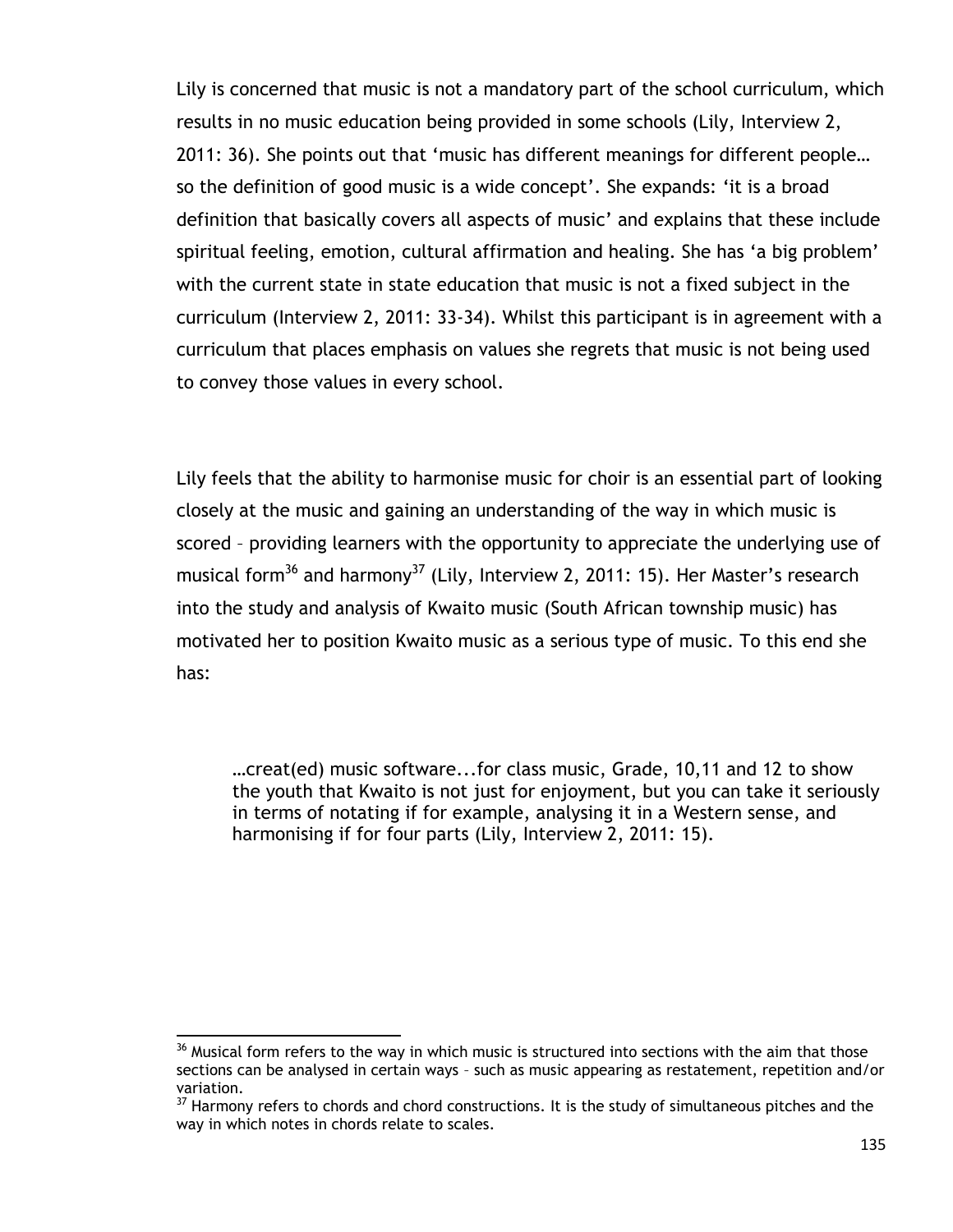Lily is concerned that music is not a mandatory part of the school curriculum, which results in no music education being provided in some schools (Lily, Interview 2, 2011: 36). She points out that "music has different meanings for different people… so the definition of good music is a wide concept'. She expands: 'it is a broad definition that basically covers all aspects of music" and explains that these include spiritual feeling, emotion, cultural affirmation and healing. She has 'a big problem' with the current state in state education that music is not a fixed subject in the curriculum (Interview 2, 2011: 33-34). Whilst this participant is in agreement with a curriculum that places emphasis on values she regrets that music is not being used to convey those values in every school.

Lily feels that the ability to harmonise music for choir is an essential part of looking closely at the music and gaining an understanding of the way in which music is scored – providing learners with the opportunity to appreciate the underlying use of musical form<sup>36</sup> and harmony<sup>37</sup> (Lily, Interview 2, 2011: 15). Her Master's research into the study and analysis of Kwaito music (South African township music) has motivated her to position Kwaito music as a serious type of music. To this end she has:

…creat(ed) music software...for class music, Grade, 10,11 and 12 to show the youth that Kwaito is not just for enjoyment, but you can take it seriously in terms of notating if for example, analysing it in a Western sense, and harmonising if for four parts (Lily, Interview 2, 2011: 15).

 $\overline{a}$  $36$  Musical form refers to the way in which music is structured into sections with the aim that those sections can be analysed in certain ways – such as music appearing as restatement, repetition and/or variation.

<sup>&</sup>lt;sup>37</sup> Harmony refers to chords and chord constructions. It is the study of simultaneous pitches and the way in which notes in chords relate to scales.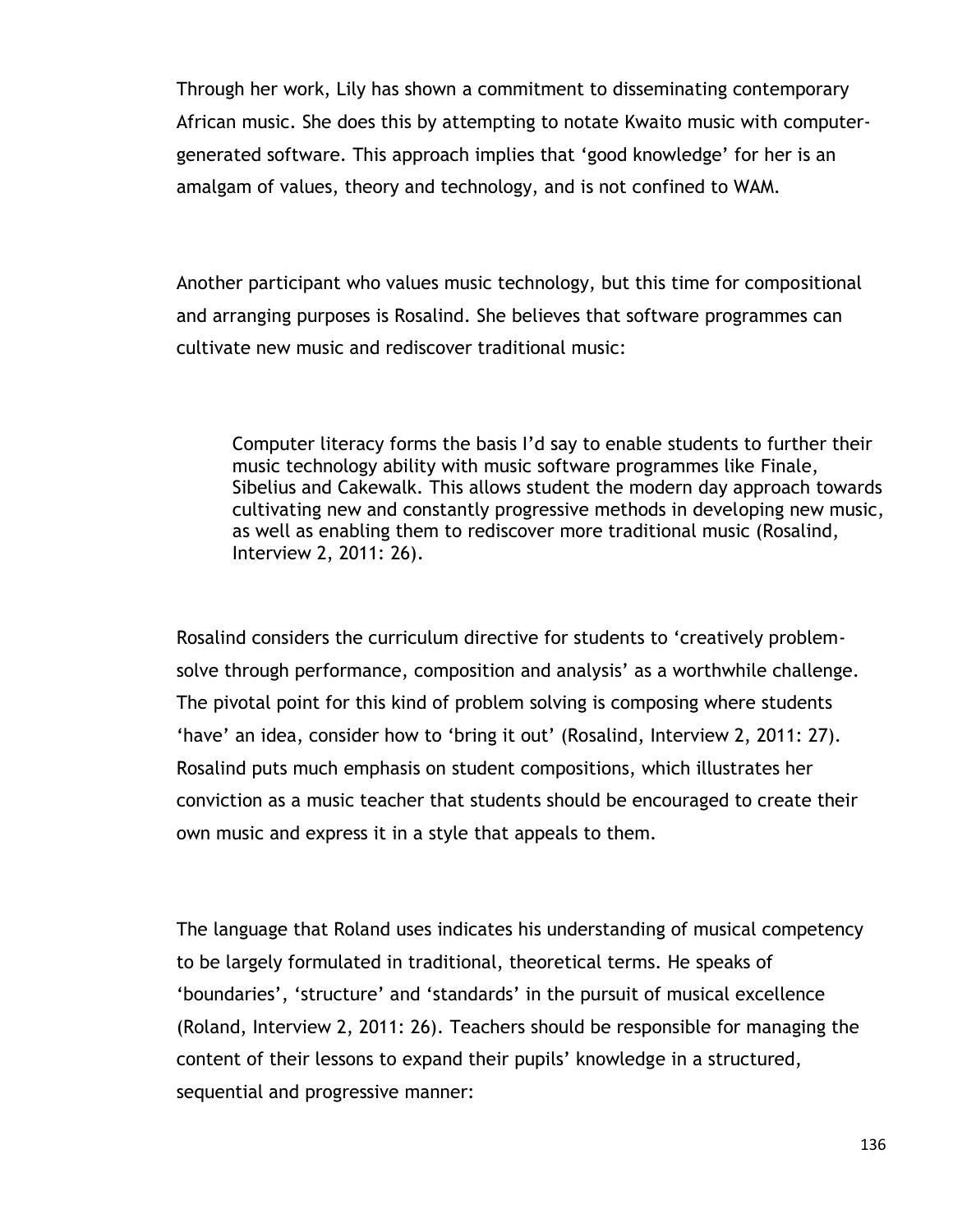Through her work, Lily has shown a commitment to disseminating contemporary African music. She does this by attempting to notate Kwaito music with computergenerated software. This approach implies that "good knowledge" for her is an amalgam of values, theory and technology, and is not confined to WAM.

Another participant who values music technology, but this time for compositional and arranging purposes is Rosalind. She believes that software programmes can cultivate new music and rediscover traditional music:

Computer literacy forms the basis I"d say to enable students to further their music technology ability with music software programmes like Finale, Sibelius and Cakewalk. This allows student the modern day approach towards cultivating new and constantly progressive methods in developing new music, as well as enabling them to rediscover more traditional music (Rosalind, Interview 2, 2011: 26).

Rosalind considers the curriculum directive for students to "creatively problemsolve through performance, composition and analysis' as a worthwhile challenge. The pivotal point for this kind of problem solving is composing where students 'have' an idea, consider how to 'bring it out' (Rosalind, Interview 2, 2011: 27). Rosalind puts much emphasis on student compositions, which illustrates her conviction as a music teacher that students should be encouraged to create their own music and express it in a style that appeals to them.

The language that Roland uses indicates his understanding of musical competency to be largely formulated in traditional, theoretical terms. He speaks of 'boundaries', 'structure' and 'standards' in the pursuit of musical excellence (Roland, Interview 2, 2011: 26). Teachers should be responsible for managing the content of their lessons to expand their pupils" knowledge in a structured, sequential and progressive manner: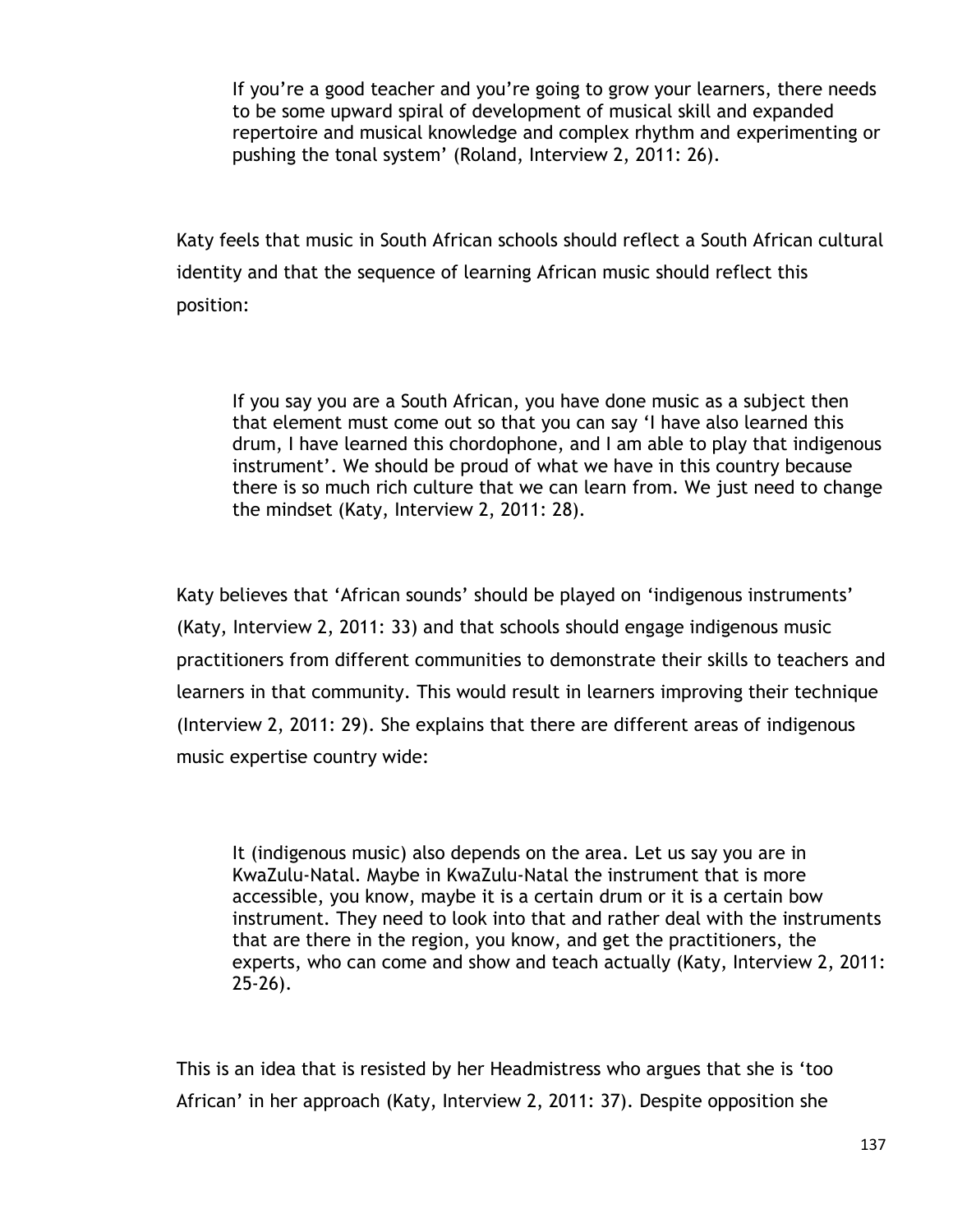If you"re a good teacher and you"re going to grow your learners, there needs to be some upward spiral of development of musical skill and expanded repertoire and musical knowledge and complex rhythm and experimenting or pushing the tonal system' (Roland, Interview 2, 2011: 26).

Katy feels that music in South African schools should reflect a South African cultural identity and that the sequence of learning African music should reflect this position:

If you say you are a South African, you have done music as a subject then that element must come out so that you can say "I have also learned this drum, I have learned this chordophone, and I am able to play that indigenous instrument'. We should be proud of what we have in this country because there is so much rich culture that we can learn from. We just need to change the mindset (Katy, Interview 2, 2011: 28).

Katy believes that "African sounds" should be played on "indigenous instruments" (Katy, Interview 2, 2011: 33) and that schools should engage indigenous music practitioners from different communities to demonstrate their skills to teachers and learners in that community. This would result in learners improving their technique (Interview 2, 2011: 29). She explains that there are different areas of indigenous music expertise country wide:

It (indigenous music) also depends on the area. Let us say you are in KwaZulu-Natal. Maybe in KwaZulu-Natal the instrument that is more accessible, you know, maybe it is a certain drum or it is a certain bow instrument. They need to look into that and rather deal with the instruments that are there in the region, you know, and get the practitioners, the experts, who can come and show and teach actually (Katy, Interview 2, 2011: 25-26).

This is an idea that is resisted by her Headmistress who argues that she is "too African" in her approach (Katy, Interview 2, 2011: 37). Despite opposition she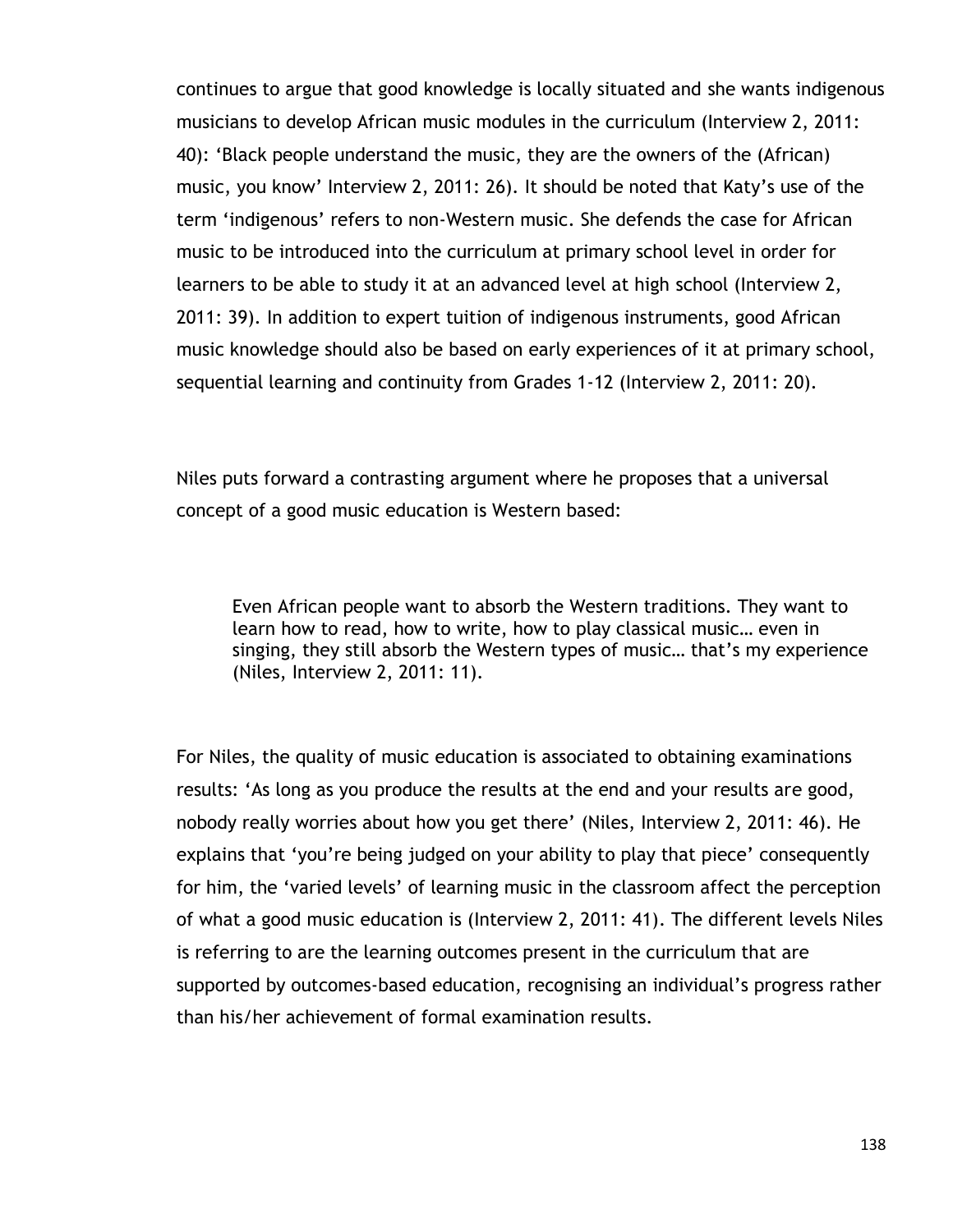continues to argue that good knowledge is locally situated and she wants indigenous musicians to develop African music modules in the curriculum (Interview 2, 2011: 40): "Black people understand the music, they are the owners of the (African) music, you know" Interview 2, 2011: 26). It should be noted that Katy"s use of the term "indigenous" refers to non-Western music. She defends the case for African music to be introduced into the curriculum at primary school level in order for learners to be able to study it at an advanced level at high school (Interview 2, 2011: 39). In addition to expert tuition of indigenous instruments, good African music knowledge should also be based on early experiences of it at primary school, sequential learning and continuity from Grades 1-12 (Interview 2, 2011: 20).

Niles puts forward a contrasting argument where he proposes that a universal concept of a good music education is Western based:

Even African people want to absorb the Western traditions. They want to learn how to read, how to write, how to play classical music… even in singing, they still absorb the Western types of music… that"s my experience (Niles, Interview 2, 2011: 11).

For Niles, the quality of music education is associated to obtaining examinations results: "As long as you produce the results at the end and your results are good, nobody really worries about how you get there" (Niles, Interview 2, 2011: 46). He explains that 'you're being judged on your ability to play that piece' consequently for him, the "varied levels" of learning music in the classroom affect the perception of what a good music education is (Interview 2, 2011: 41). The different levels Niles is referring to are the learning outcomes present in the curriculum that are supported by outcomes-based education, recognising an individual's progress rather than his/her achievement of formal examination results.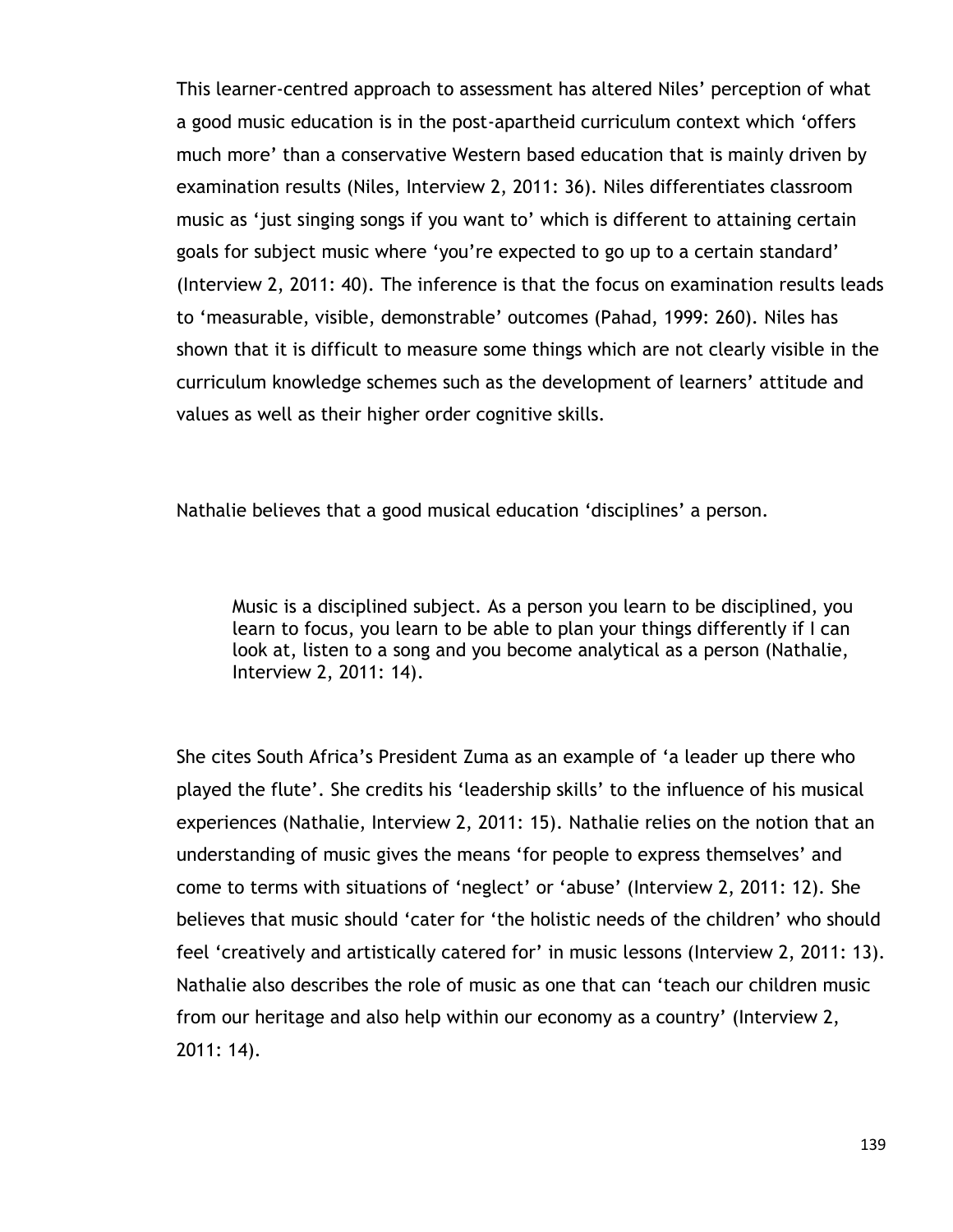This learner-centred approach to assessment has altered Niles" perception of what a good music education is in the post-apartheid curriculum context which "offers much more" than a conservative Western based education that is mainly driven by examination results (Niles, Interview 2, 2011: 36). Niles differentiates classroom music as "just singing songs if you want to" which is different to attaining certain goals for subject music where "you"re expected to go up to a certain standard" (Interview 2, 2011: 40). The inference is that the focus on examination results leads to "measurable, visible, demonstrable" outcomes (Pahad, 1999: 260). Niles has shown that it is difficult to measure some things which are not clearly visible in the curriculum knowledge schemes such as the development of learners" attitude and values as well as their higher order cognitive skills.

Nathalie believes that a good musical education 'disciplines' a person.

Music is a disciplined subject. As a person you learn to be disciplined, you learn to focus, you learn to be able to plan your things differently if I can look at, listen to a song and you become analytical as a person (Nathalie, Interview 2, 2011: 14).

She cites South Africa"s President Zuma as an example of "a leader up there who played the flute". She credits his "leadership skills" to the influence of his musical experiences (Nathalie, Interview 2, 2011: 15). Nathalie relies on the notion that an understanding of music gives the means "for people to express themselves" and come to terms with situations of "neglect" or "abuse" (Interview 2, 2011: 12). She believes that music should "cater for "the holistic needs of the children" who should feel 'creatively and artistically catered for' in music lessons (Interview 2, 2011: 13). Nathalie also describes the role of music as one that can "teach our children music from our heritage and also help within our economy as a country" (Interview 2, 2011: 14).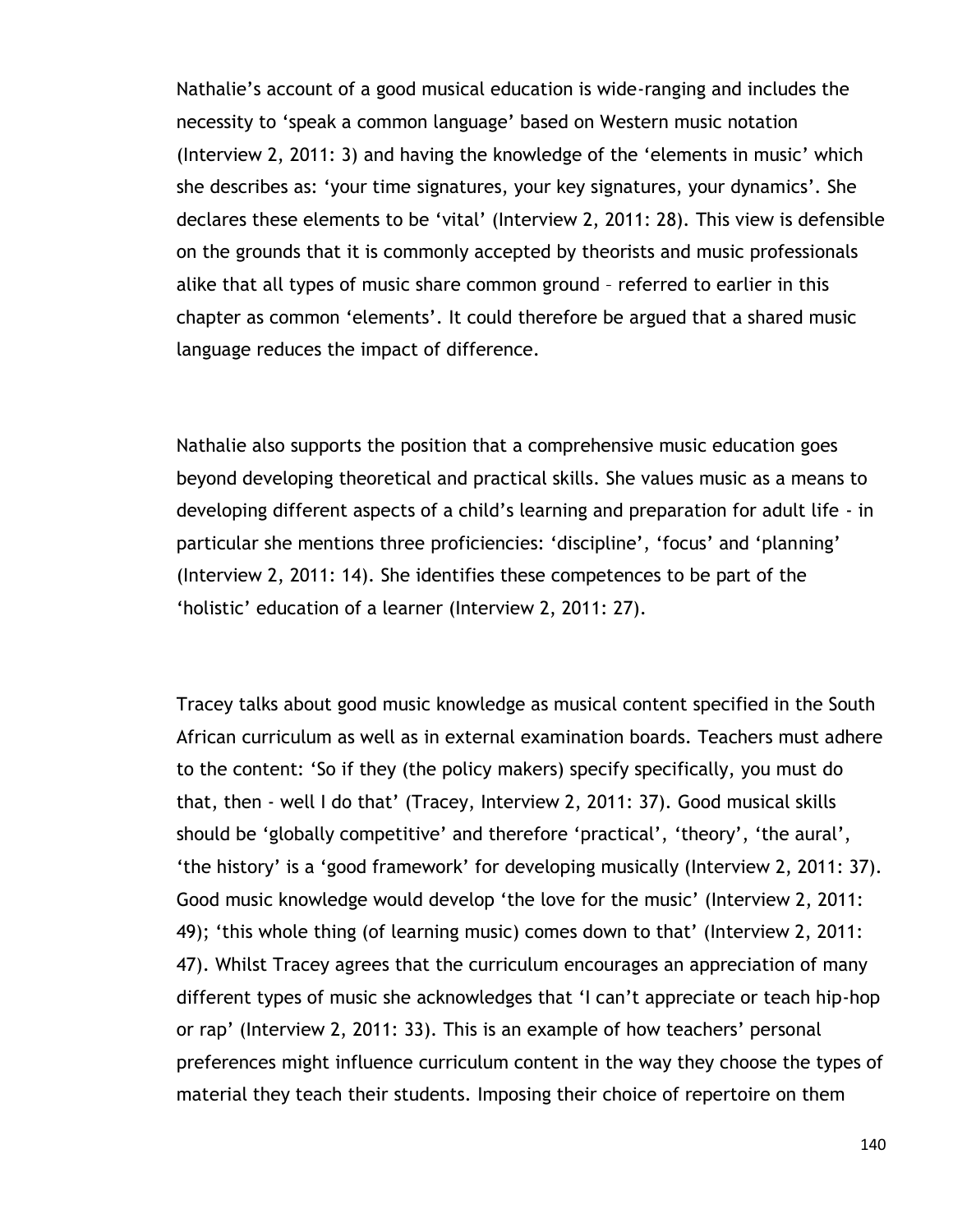Nathalie"s account of a good musical education is wide-ranging and includes the necessity to "speak a common language" based on Western music notation (Interview 2, 2011: 3) and having the knowledge of the "elements in music" which she describes as: 'your time signatures, your key signatures, your dynamics'. She declares these elements to be "vital" (Interview 2, 2011: 28). This view is defensible on the grounds that it is commonly accepted by theorists and music professionals alike that all types of music share common ground – referred to earlier in this chapter as common "elements". It could therefore be argued that a shared music language reduces the impact of difference.

Nathalie also supports the position that a comprehensive music education goes beyond developing theoretical and practical skills. She values music as a means to developing different aspects of a child"s learning and preparation for adult life - in particular she mentions three proficiencies: 'discipline', 'focus' and 'planning' (Interview 2, 2011: 14). She identifies these competences to be part of the 'holistic' education of a learner (Interview 2, 2011: 27).

Tracey talks about good music knowledge as musical content specified in the South African curriculum as well as in external examination boards. Teachers must adhere to the content: "So if they (the policy makers) specify specifically, you must do that, then - well I do that" (Tracey, Interview 2, 2011: 37). Good musical skills should be 'globally competitive' and therefore 'practical', 'theory', 'the aural', "the history" is a "good framework" for developing musically (Interview 2, 2011: 37). Good music knowledge would develop "the love for the music" (Interview 2, 2011: 49); 'this whole thing (of learning music) comes down to that' (Interview 2, 2011: 47). Whilst Tracey agrees that the curriculum encourages an appreciation of many different types of music she acknowledges that "I can"t appreciate or teach hip-hop or rap' (Interview 2, 2011: 33). This is an example of how teachers' personal preferences might influence curriculum content in the way they choose the types of material they teach their students. Imposing their choice of repertoire on them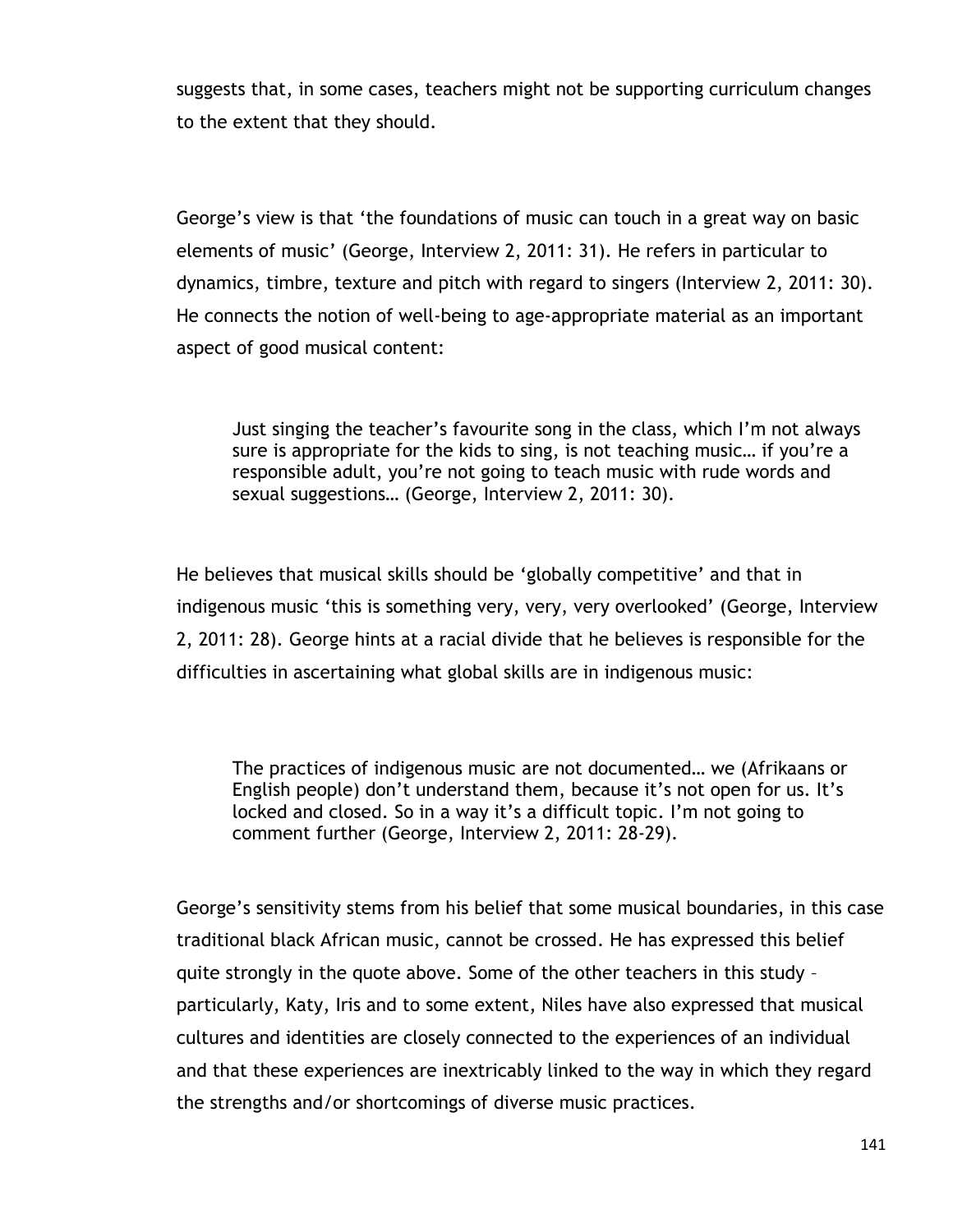suggests that, in some cases, teachers might not be supporting curriculum changes to the extent that they should.

George"s view is that "the foundations of music can touch in a great way on basic elements of music" (George, Interview 2, 2011: 31). He refers in particular to dynamics, timbre, texture and pitch with regard to singers (Interview 2, 2011: 30). He connects the notion of well-being to age-appropriate material as an important aspect of good musical content:

Just singing the teacher"s favourite song in the class, which I"m not always sure is appropriate for the kids to sing, is not teaching music... if you're a responsible adult, you"re not going to teach music with rude words and sexual suggestions… (George, Interview 2, 2011: 30).

He believes that musical skills should be "globally competitive" and that in indigenous music 'this is something very, very, very overlooked' (George, Interview 2, 2011: 28). George hints at a racial divide that he believes is responsible for the difficulties in ascertaining what global skills are in indigenous music:

The practices of indigenous music are not documented… we (Afrikaans or English people) don't understand them, because it's not open for us. It's locked and closed. So in a way it's a difficult topic. I'm not going to comment further (George, Interview 2, 2011: 28-29).

George"s sensitivity stems from his belief that some musical boundaries, in this case traditional black African music, cannot be crossed. He has expressed this belief quite strongly in the quote above. Some of the other teachers in this study – particularly, Katy, Iris and to some extent, Niles have also expressed that musical cultures and identities are closely connected to the experiences of an individual and that these experiences are inextricably linked to the way in which they regard the strengths and/or shortcomings of diverse music practices.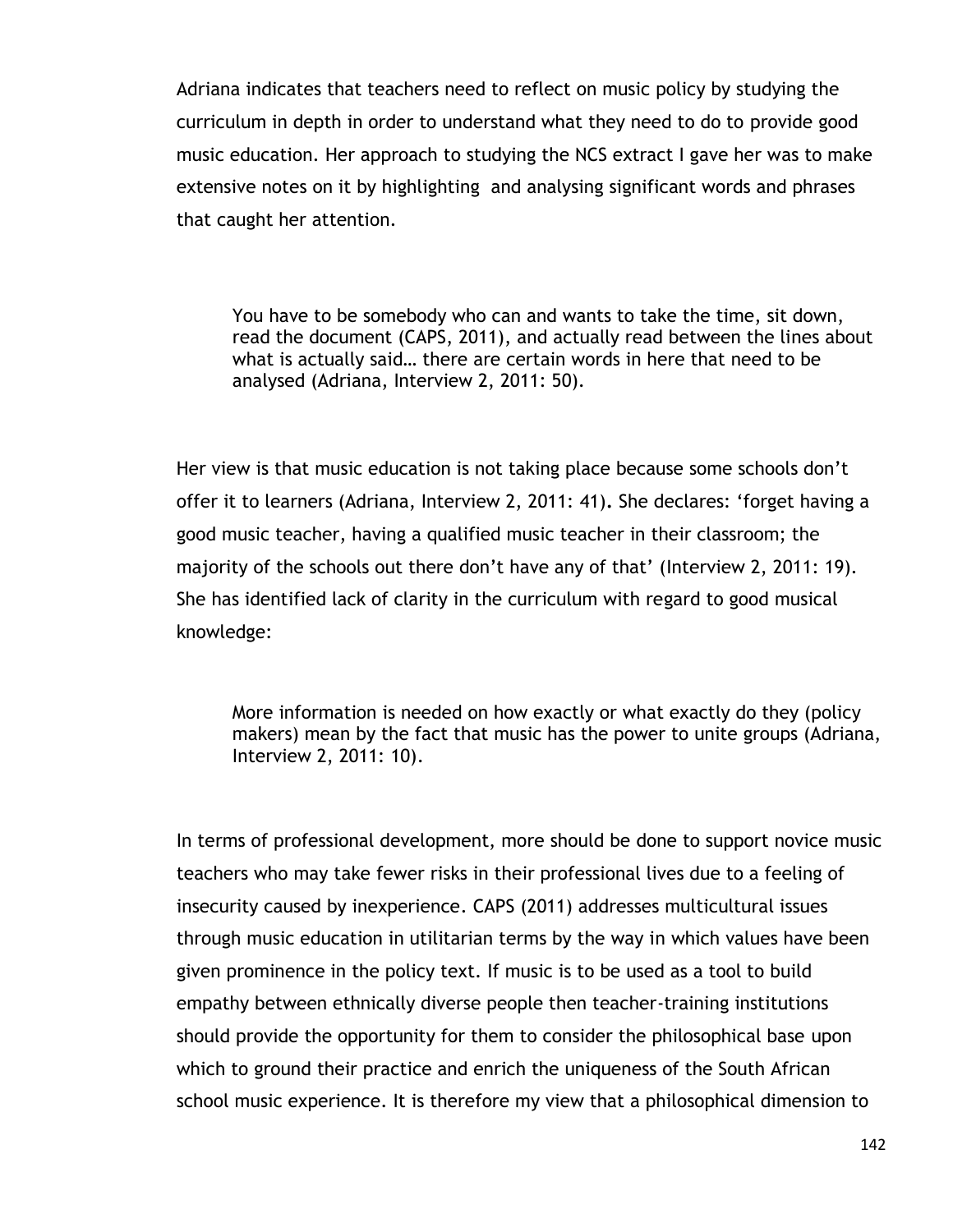Adriana indicates that teachers need to reflect on music policy by studying the curriculum in depth in order to understand what they need to do to provide good music education. Her approach to studying the NCS extract I gave her was to make extensive notes on it by highlighting and analysing significant words and phrases that caught her attention.

You have to be somebody who can and wants to take the time, sit down, read the document (CAPS, 2011), and actually read between the lines about what is actually said… there are certain words in here that need to be analysed (Adriana, Interview 2, 2011: 50).

Her view is that music education is not taking place because some schools don't offer it to learners (Adriana, Interview 2, 2011: 41)**.** She declares: "forget having a good music teacher, having a qualified music teacher in their classroom; the majority of the schools out there don't have any of that' (Interview 2, 2011: 19). She has identified lack of clarity in the curriculum with regard to good musical knowledge:

More information is needed on how exactly or what exactly do they (policy makers) mean by the fact that music has the power to unite groups (Adriana, Interview 2, 2011: 10).

In terms of professional development, more should be done to support novice music teachers who may take fewer risks in their professional lives due to a feeling of insecurity caused by inexperience. CAPS (2011) addresses multicultural issues through music education in utilitarian terms by the way in which values have been given prominence in the policy text. If music is to be used as a tool to build empathy between ethnically diverse people then teacher-training institutions should provide the opportunity for them to consider the philosophical base upon which to ground their practice and enrich the uniqueness of the South African school music experience. It is therefore my view that a philosophical dimension to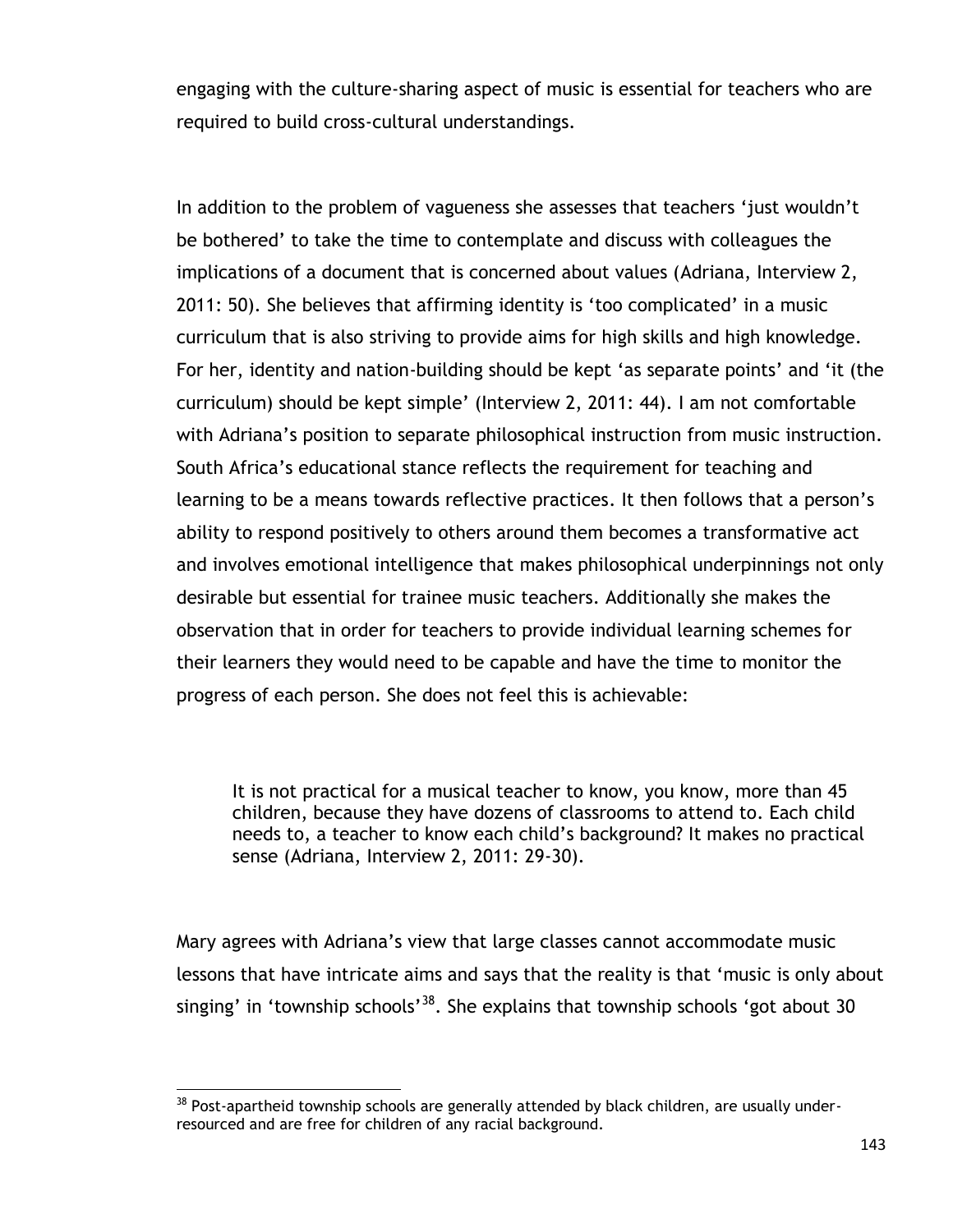engaging with the culture-sharing aspect of music is essential for teachers who are required to build cross-cultural understandings.

In addition to the problem of vagueness she assesses that teachers "just wouldn"t be bothered" to take the time to contemplate and discuss with colleagues the implications of a document that is concerned about values (Adriana, Interview 2, 2011: 50). She believes that affirming identity is 'too complicated' in a music curriculum that is also striving to provide aims for high skills and high knowledge. For her, identity and nation-building should be kept 'as separate points' and 'it (the curriculum) should be kept simple" (Interview 2, 2011: 44). I am not comfortable with Adriana's position to separate philosophical instruction from music instruction. South Africa"s educational stance reflects the requirement for teaching and learning to be a means towards reflective practices. It then follows that a person"s ability to respond positively to others around them becomes a transformative act and involves emotional intelligence that makes philosophical underpinnings not only desirable but essential for trainee music teachers. Additionally she makes the observation that in order for teachers to provide individual learning schemes for their learners they would need to be capable and have the time to monitor the progress of each person. She does not feel this is achievable:

It is not practical for a musical teacher to know, you know, more than 45 children, because they have dozens of classrooms to attend to. Each child needs to, a teacher to know each child"s background? It makes no practical sense (Adriana, Interview 2, 2011: 29-30).

Mary agrees with Adriana"s view that large classes cannot accommodate music lessons that have intricate aims and says that the reality is that "music is only about singing' in 'township schools'<sup>38</sup>. She explains that township schools 'got about 30

 $\overline{a}$ 

 $38$  Post-apartheid township schools are generally attended by black children, are usually underresourced and are free for children of any racial background.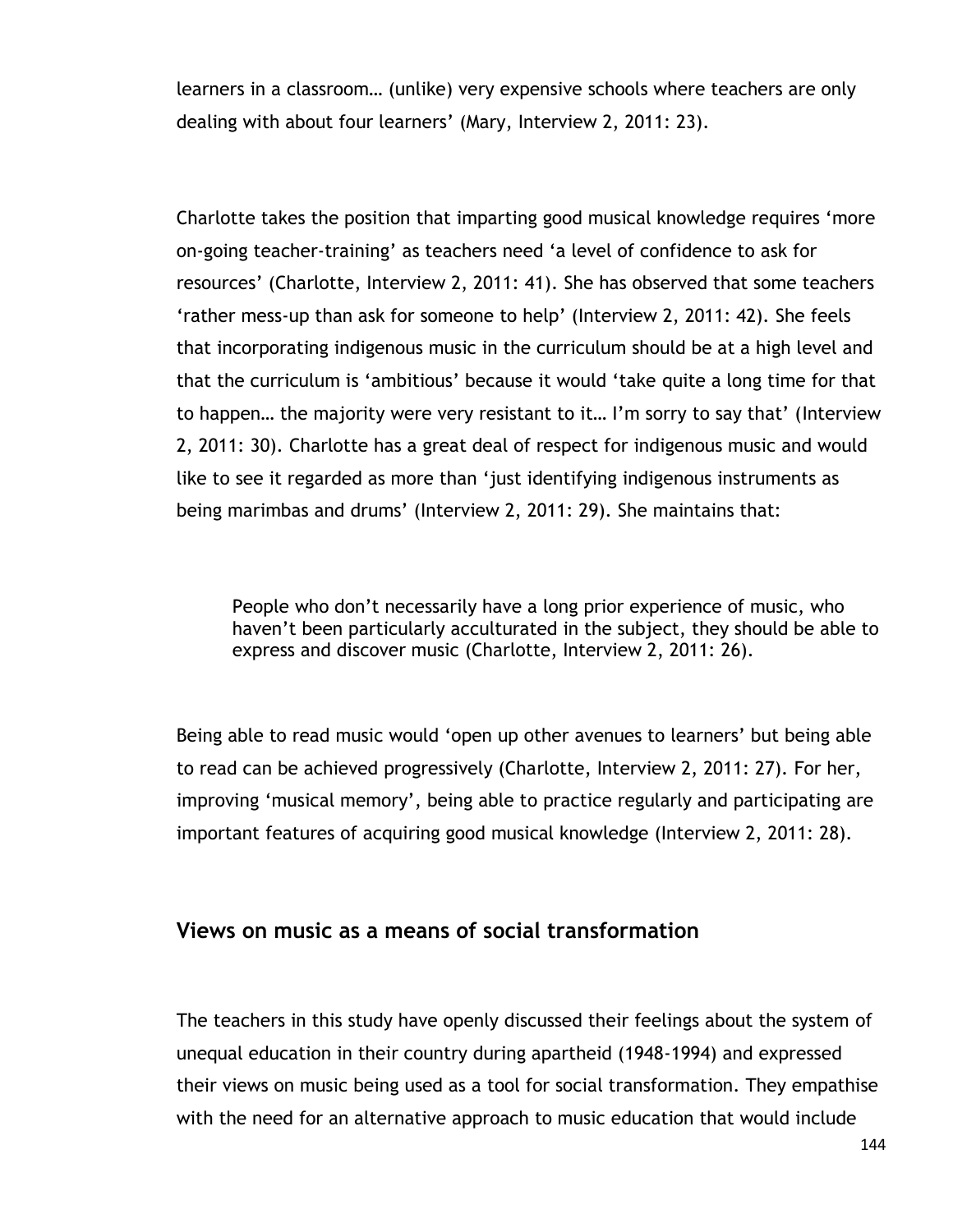learners in a classroom… (unlike) very expensive schools where teachers are only dealing with about four learners' (Mary, Interview 2, 2011: 23).

Charlotte takes the position that imparting good musical knowledge requires "more on-going teacher-training" as teachers need "a level of confidence to ask for resources" (Charlotte, Interview 2, 2011: 41). She has observed that some teachers "rather mess-up than ask for someone to help" (Interview 2, 2011: 42). She feels that incorporating indigenous music in the curriculum should be at a high level and that the curriculum is "ambitious" because it would "take quite a long time for that to happen… the majority were very resistant to it… I"m sorry to say that" (Interview 2, 2011: 30). Charlotte has a great deal of respect for indigenous music and would like to see it regarded as more than "just identifying indigenous instruments as being marimbas and drums' (Interview 2, 2011: 29). She maintains that:

People who don't necessarily have a long prior experience of music, who haven't been particularly acculturated in the subject, they should be able to express and discover music (Charlotte, Interview 2, 2011: 26).

Being able to read music would 'open up other avenues to learners' but being able to read can be achieved progressively (Charlotte, Interview 2, 2011: 27). For her, improving 'musical memory', being able to practice regularly and participating are important features of acquiring good musical knowledge (Interview 2, 2011: 28).

# **Views on music as a means of social transformation**

The teachers in this study have openly discussed their feelings about the system of unequal education in their country during apartheid (1948-1994) and expressed their views on music being used as a tool for social transformation. They empathise with the need for an alternative approach to music education that would include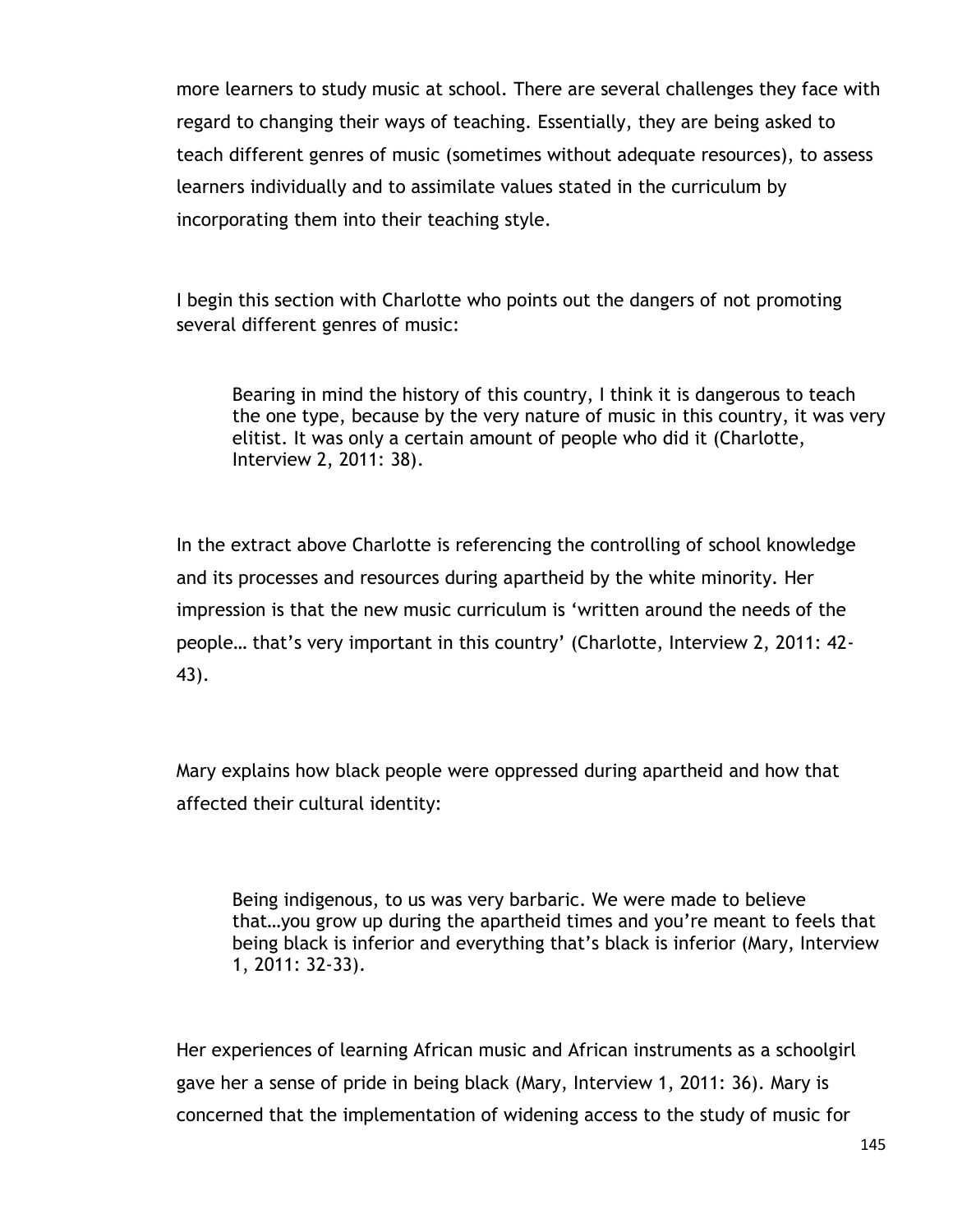more learners to study music at school. There are several challenges they face with regard to changing their ways of teaching. Essentially, they are being asked to teach different genres of music (sometimes without adequate resources), to assess learners individually and to assimilate values stated in the curriculum by incorporating them into their teaching style.

I begin this section with Charlotte who points out the dangers of not promoting several different genres of music:

Bearing in mind the history of this country, I think it is dangerous to teach the one type, because by the very nature of music in this country, it was very elitist. It was only a certain amount of people who did it (Charlotte, Interview 2, 2011: 38).

In the extract above Charlotte is referencing the controlling of school knowledge and its processes and resources during apartheid by the white minority. Her impression is that the new music curriculum is "written around the needs of the people… that"s very important in this country" (Charlotte, Interview 2, 2011: 42- 43).

Mary explains how black people were oppressed during apartheid and how that affected their cultural identity:

Being indigenous, to us was very barbaric. We were made to believe that…you grow up during the apartheid times and you"re meant to feels that being black is inferior and everything that"s black is inferior (Mary, Interview 1, 2011: 32-33).

Her experiences of learning African music and African instruments as a schoolgirl gave her a sense of pride in being black (Mary, Interview 1, 2011: 36). Mary is concerned that the implementation of widening access to the study of music for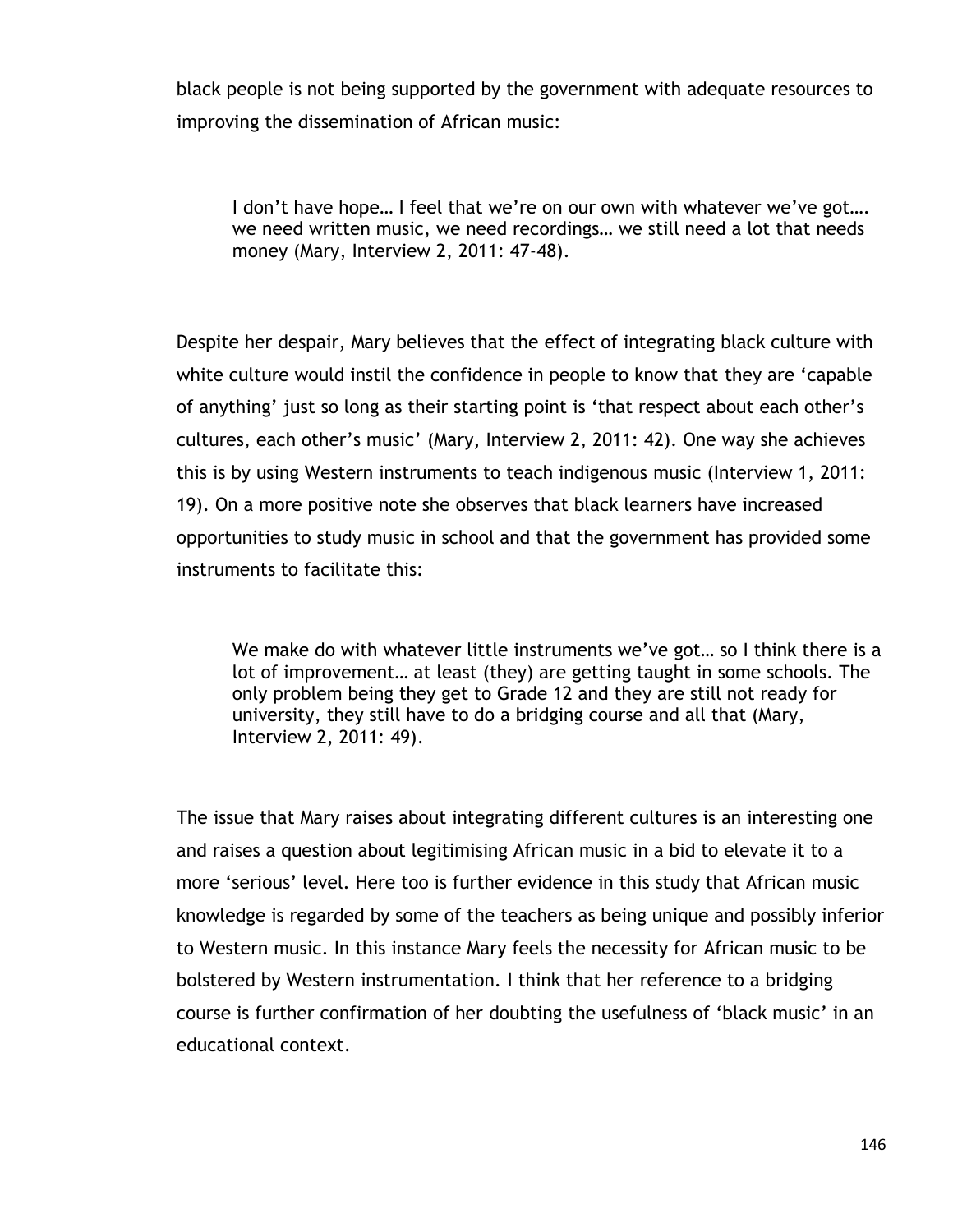black people is not being supported by the government with adequate resources to improving the dissemination of African music:

I don't have hope... I feel that we're on our own with whatever we've got.... we need written music, we need recordings… we still need a lot that needs money (Mary, Interview 2, 2011: 47-48).

Despite her despair, Mary believes that the effect of integrating black culture with white culture would instil the confidence in people to know that they are "capable of anything' just so long as their starting point is 'that respect about each other's cultures, each other"s music" (Mary, Interview 2, 2011: 42). One way she achieves this is by using Western instruments to teach indigenous music (Interview 1, 2011: 19). On a more positive note she observes that black learners have increased opportunities to study music in school and that the government has provided some instruments to facilitate this:

We make do with whatever little instruments we've got... so I think there is a lot of improvement… at least (they) are getting taught in some schools. The only problem being they get to Grade 12 and they are still not ready for university, they still have to do a bridging course and all that (Mary, Interview 2, 2011: 49).

The issue that Mary raises about integrating different cultures is an interesting one and raises a question about legitimising African music in a bid to elevate it to a more 'serious' level. Here too is further evidence in this study that African music knowledge is regarded by some of the teachers as being unique and possibly inferior to Western music. In this instance Mary feels the necessity for African music to be bolstered by Western instrumentation. I think that her reference to a bridging course is further confirmation of her doubting the usefulness of "black music" in an educational context.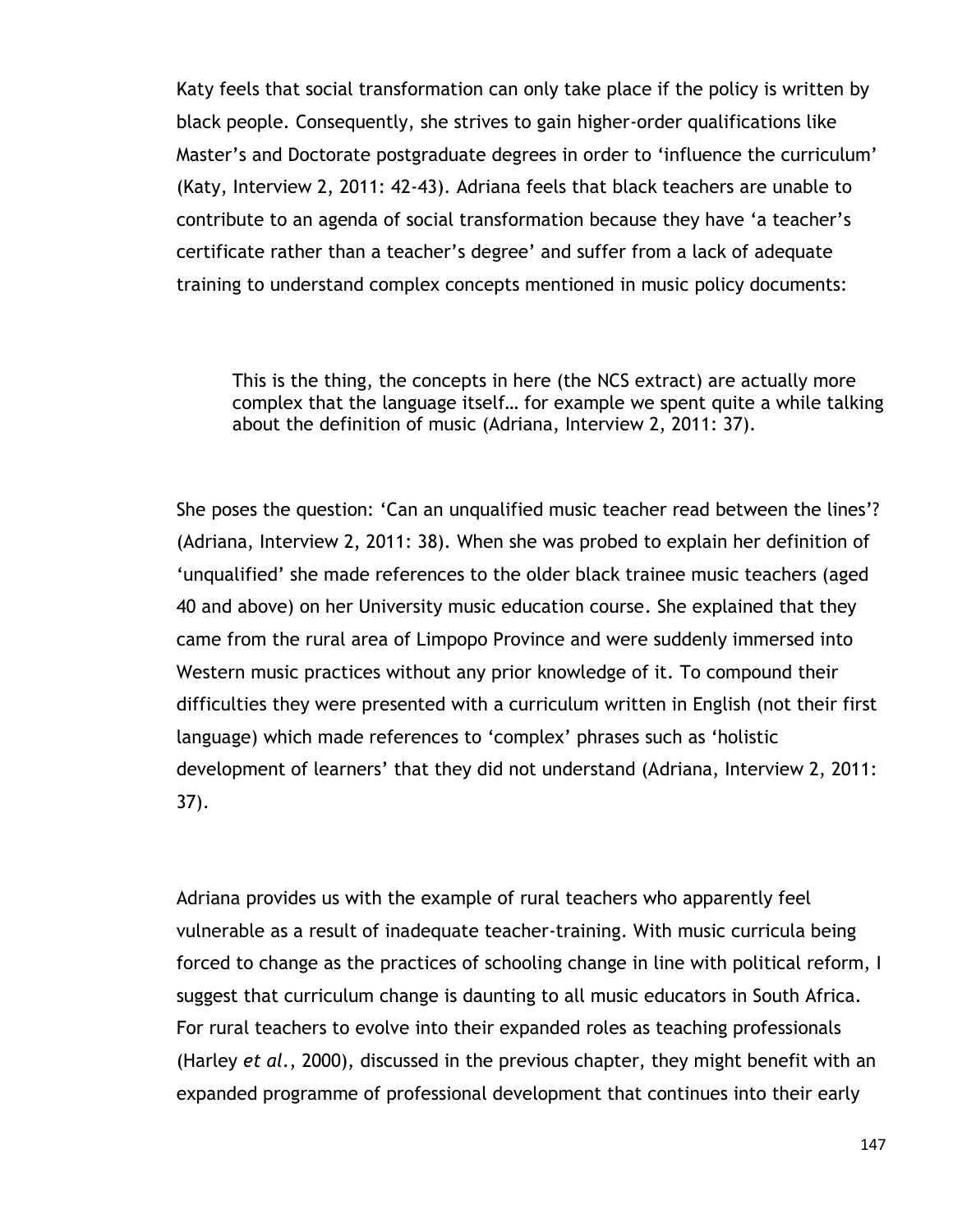Katy feels that social transformation can only take place if the policy is written by black people. Consequently, she strives to gain higher-order qualifications like Master's and Doctorate postgraduate degrees in order to 'influence the curriculum' (Katy, Interview 2, 2011: 42-43). Adriana feels that black teachers are unable to contribute to an agenda of social transformation because they have "a teacher"s certificate rather than a teacher"s degree" and suffer from a lack of adequate training to understand complex concepts mentioned in music policy documents:

This is the thing, the concepts in here (the NCS extract) are actually more complex that the language itself… for example we spent quite a while talking about the definition of music (Adriana, Interview 2, 2011: 37).

She poses the question: "Can an unqualified music teacher read between the lines"? (Adriana, Interview 2, 2011: 38). When she was probed to explain her definition of "unqualified" she made references to the older black trainee music teachers (aged 40 and above) on her University music education course. She explained that they came from the rural area of Limpopo Province and were suddenly immersed into Western music practices without any prior knowledge of it. To compound their difficulties they were presented with a curriculum written in English (not their first language) which made references to "complex" phrases such as "holistic development of learners' that they did not understand (Adriana, Interview 2, 2011: 37).

Adriana provides us with the example of rural teachers who apparently feel vulnerable as a result of inadequate teacher-training. With music curricula being forced to change as the practices of schooling change in line with political reform, I suggest that curriculum change is daunting to all music educators in South Africa. For rural teachers to evolve into their expanded roles as teaching professionals (Harley *et al*., 2000), discussed in the previous chapter, they might benefit with an expanded programme of professional development that continues into their early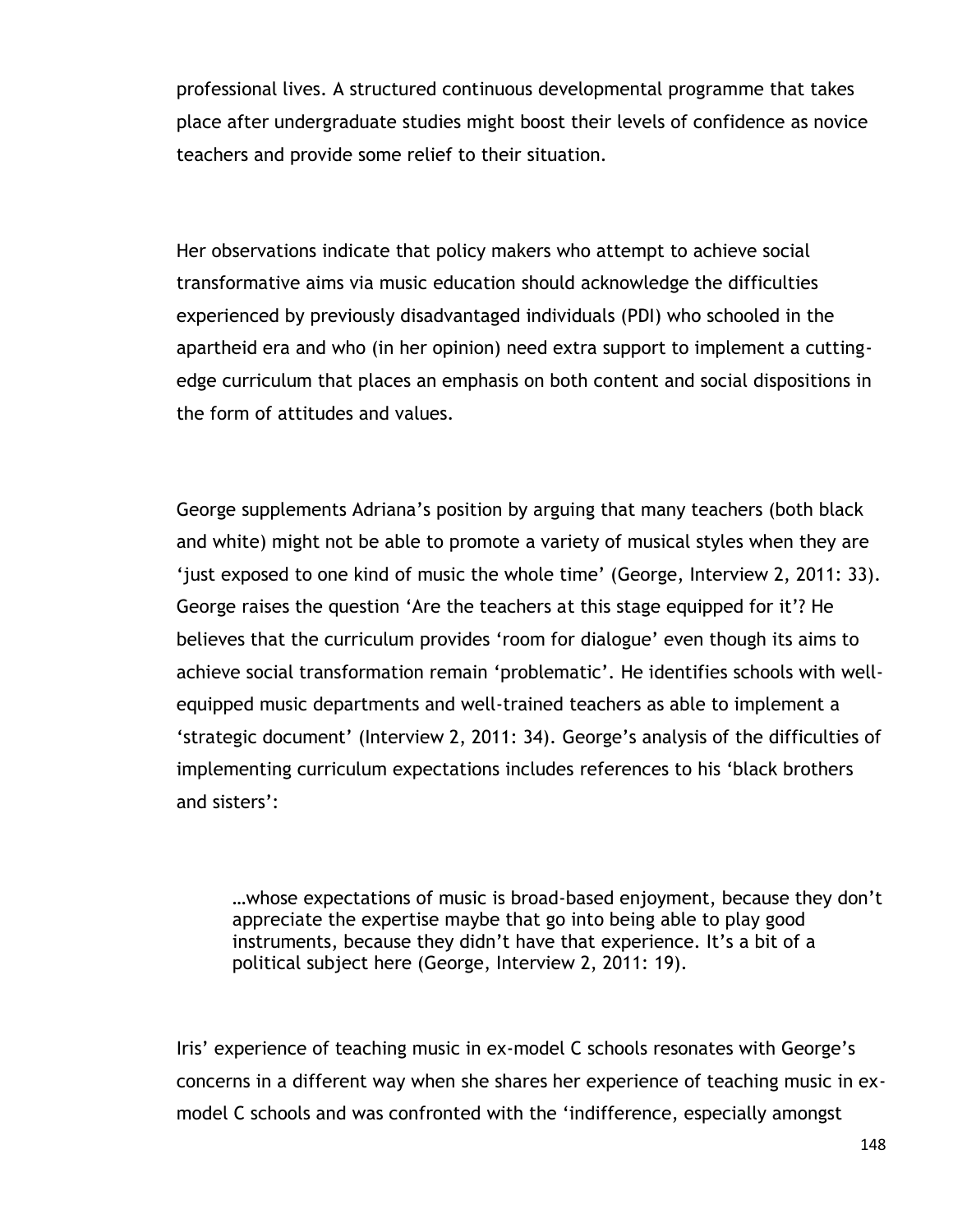professional lives. A structured continuous developmental programme that takes place after undergraduate studies might boost their levels of confidence as novice teachers and provide some relief to their situation.

Her observations indicate that policy makers who attempt to achieve social transformative aims via music education should acknowledge the difficulties experienced by previously disadvantaged individuals (PDI) who schooled in the apartheid era and who (in her opinion) need extra support to implement a cuttingedge curriculum that places an emphasis on both content and social dispositions in the form of attitudes and values.

George supplements Adriana"s position by arguing that many teachers (both black and white) might not be able to promote a variety of musical styles when they are 'just exposed to one kind of music the whole time' (George, Interview 2, 2011: 33). George raises the question "Are the teachers at this stage equipped for it"? He believes that the curriculum provides 'room for dialogue' even though its aims to achieve social transformation remain "problematic". He identifies schools with wellequipped music departments and well-trained teachers as able to implement a "strategic document" (Interview 2, 2011: 34). George"s analysis of the difficulties of implementing curriculum expectations includes references to his "black brothers and sisters':

…whose expectations of music is broad-based enjoyment, because they don"t appreciate the expertise maybe that go into being able to play good instruments, because they didn't have that experience. It's a bit of a political subject here (George, Interview 2, 2011: 19).

Iris' experience of teaching music in ex-model C schools resonates with George's concerns in a different way when she shares her experience of teaching music in exmodel C schools and was confronted with the "indifference, especially amongst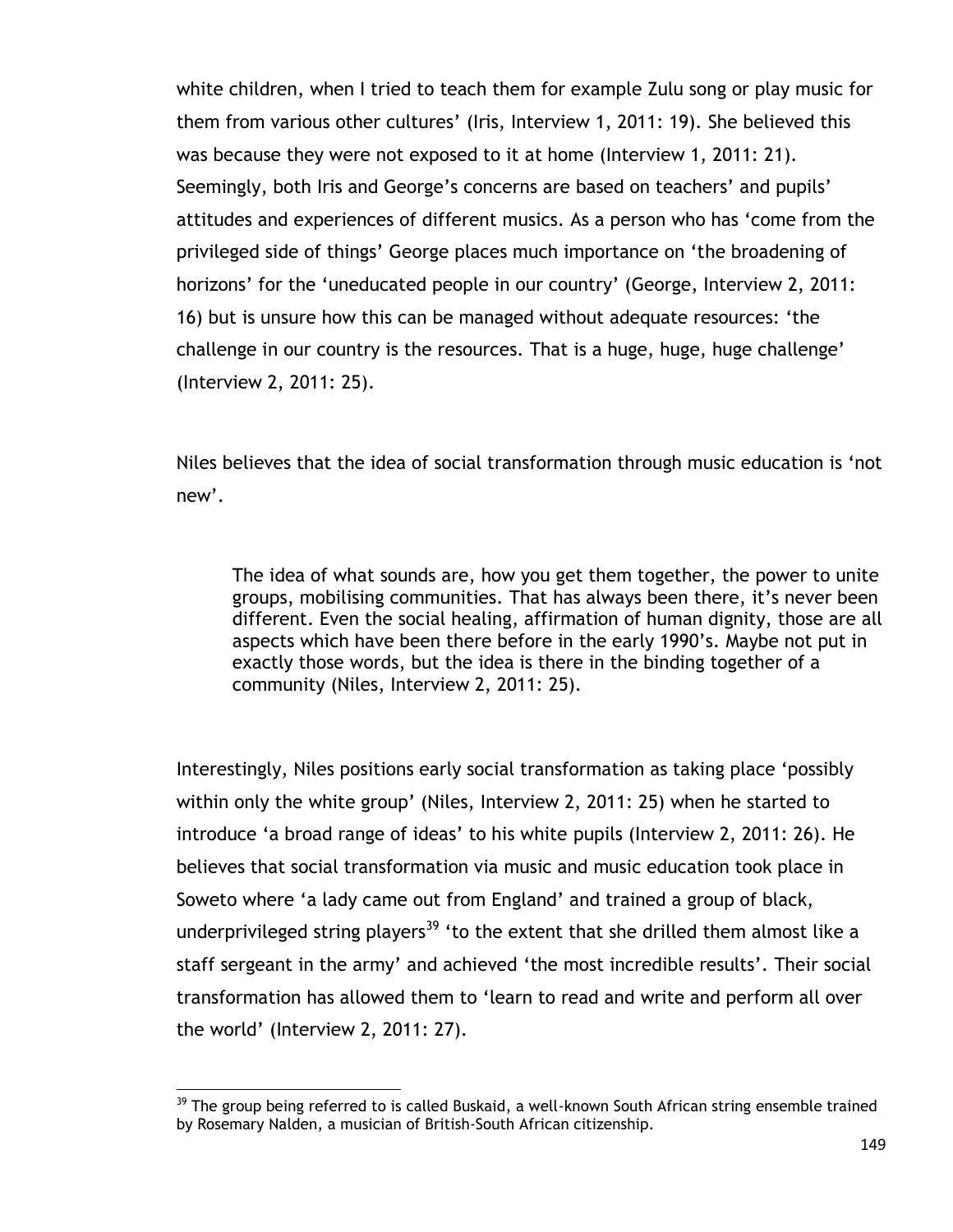white children, when I tried to teach them for example Zulu song or play music for them from various other cultures" (Iris, Interview 1, 2011: 19). She believed this was because they were not exposed to it at home (Interview 1, 2011: 21). Seemingly, both Iris and George's concerns are based on teachers' and pupils' attitudes and experiences of different musics. As a person who has "come from the privileged side of things" George places much importance on "the broadening of horizons' for the 'uneducated people in our country' (George, Interview 2, 2011: 16) but is unsure how this can be managed without adequate resources: "the challenge in our country is the resources. That is a huge, huge, huge challenge" (Interview 2, 2011: 25).

Niles believes that the idea of social transformation through music education is "not new'.

The idea of what sounds are, how you get them together, the power to unite groups, mobilising communities. That has always been there, it"s never been different. Even the social healing, affirmation of human dignity, those are all aspects which have been there before in the early 1990"s. Maybe not put in exactly those words, but the idea is there in the binding together of a community (Niles, Interview 2, 2011: 25).

Interestingly, Niles positions early social transformation as taking place "possibly within only the white group' (Niles, Interview 2, 2011: 25) when he started to introduce 'a broad range of ideas' to his white pupils (Interview 2, 2011: 26). He believes that social transformation via music and music education took place in Soweto where "a lady came out from England" and trained a group of black, underprivileged string players<sup>39</sup> 'to the extent that she drilled them almost like a staff sergeant in the army" and achieved "the most incredible results". Their social transformation has allowed them to "learn to read and write and perform all over the world" (Interview 2, 2011: 27).

 $\overline{a}$ 

 $39$  The group being referred to is called Buskaid, a well-known South African string ensemble trained by Rosemary Nalden, a musician of British-South African citizenship.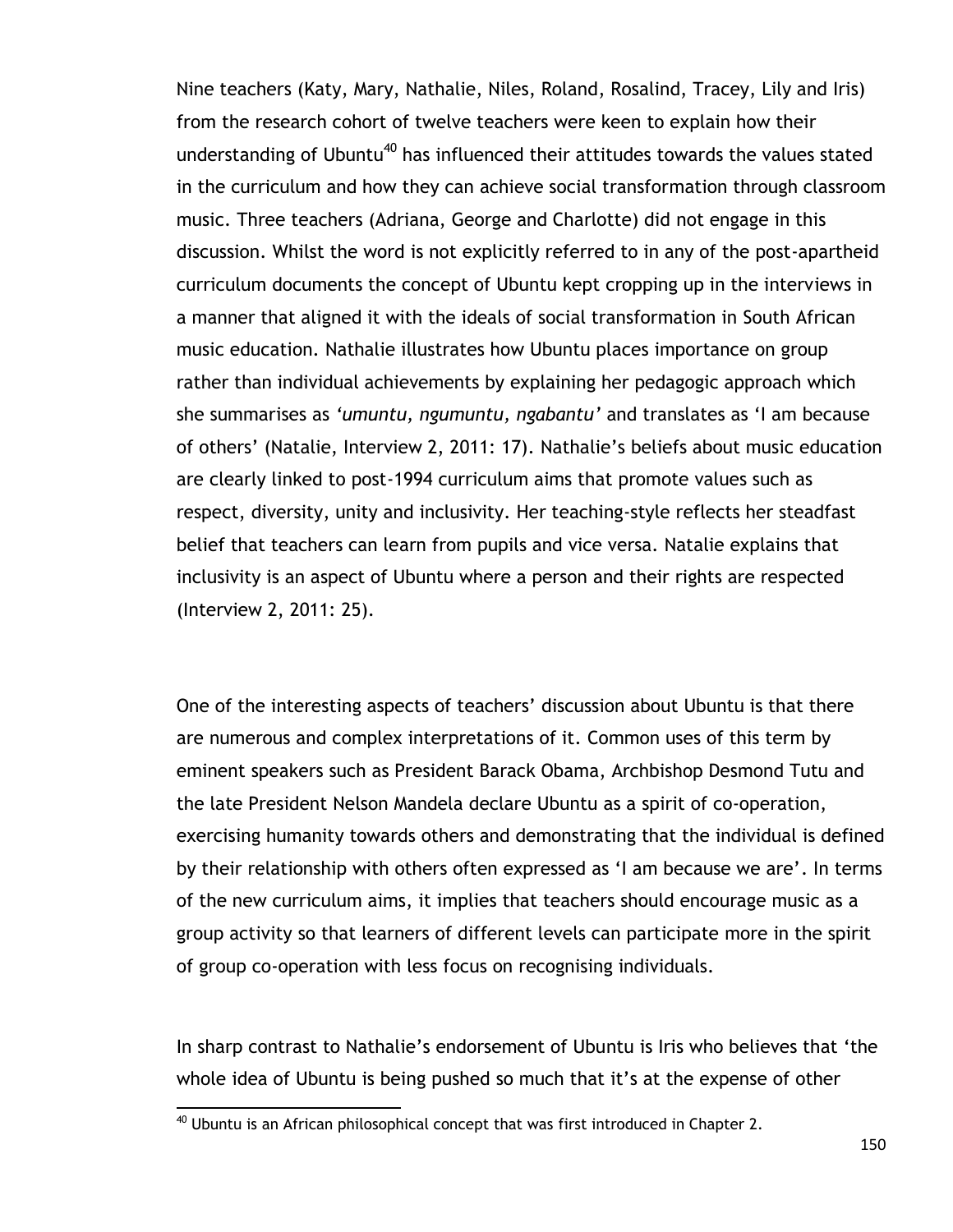Nine teachers (Katy, Mary, Nathalie, Niles, Roland, Rosalind, Tracey, Lily and Iris) from the research cohort of twelve teachers were keen to explain how their understanding of Ubuntu<sup>40</sup> has influenced their attitudes towards the values stated in the curriculum and how they can achieve social transformation through classroom music. Three teachers (Adriana, George and Charlotte) did not engage in this discussion. Whilst the word is not explicitly referred to in any of the post-apartheid curriculum documents the concept of Ubuntu kept cropping up in the interviews in a manner that aligned it with the ideals of social transformation in South African music education. Nathalie illustrates how Ubuntu places importance on group rather than individual achievements by explaining her pedagogic approach which she summarises as *'umuntu, ngumuntu, ngabantu'* and translates as "I am because of others" (Natalie, Interview 2, 2011: 17). Nathalie"s beliefs about music education are clearly linked to post-1994 curriculum aims that promote values such as respect, diversity, unity and inclusivity. Her teaching-style reflects her steadfast belief that teachers can learn from pupils and vice versa. Natalie explains that inclusivity is an aspect of Ubuntu where a person and their rights are respected (Interview 2, 2011: 25).

One of the interesting aspects of teachers' discussion about Ubuntu is that there are numerous and complex interpretations of it. Common uses of this term by eminent speakers such as President Barack Obama, Archbishop Desmond Tutu and the late President Nelson Mandela declare Ubuntu as a spirit of co-operation, exercising humanity towards others and demonstrating that the individual is defined by their relationship with others often expressed as 'I am because we are'. In terms of the new curriculum aims, it implies that teachers should encourage music as a group activity so that learners of different levels can participate more in the spirit of group co-operation with less focus on recognising individuals.

In sharp contrast to Nathalie"s endorsement of Ubuntu is Iris who believes that "the whole idea of Ubuntu is being pushed so much that it's at the expense of other

 $\overline{a}$  $^{40}$  Ubuntu is an African philosophical concept that was first introduced in Chapter 2.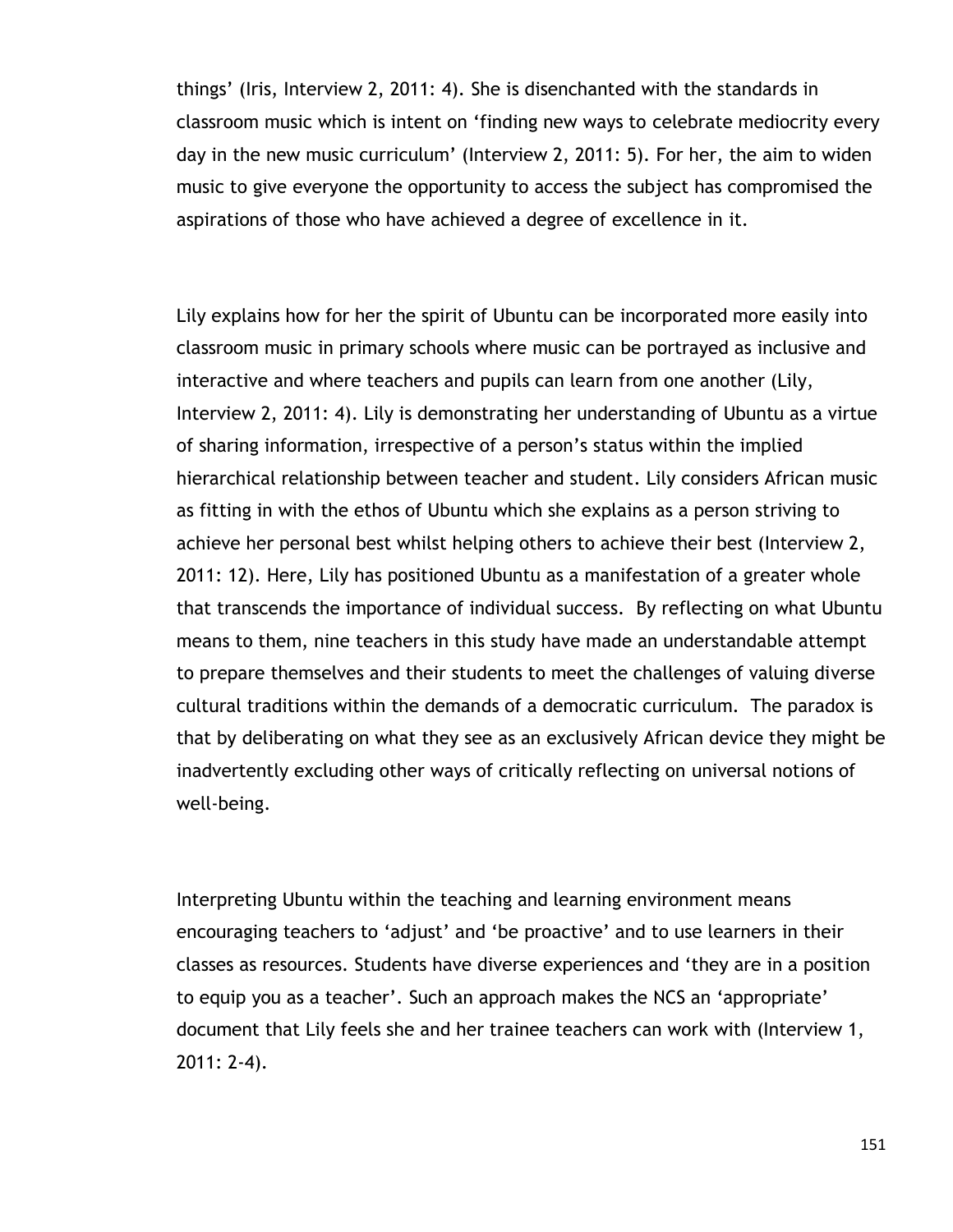things" (Iris, Interview 2, 2011: 4). She is disenchanted with the standards in classroom music which is intent on "finding new ways to celebrate mediocrity every day in the new music curriculum" (Interview 2, 2011: 5). For her, the aim to widen music to give everyone the opportunity to access the subject has compromised the aspirations of those who have achieved a degree of excellence in it.

Lily explains how for her the spirit of Ubuntu can be incorporated more easily into classroom music in primary schools where music can be portrayed as inclusive and interactive and where teachers and pupils can learn from one another (Lily, Interview 2, 2011: 4). Lily is demonstrating her understanding of Ubuntu as a virtue of sharing information, irrespective of a person"s status within the implied hierarchical relationship between teacher and student. Lily considers African music as fitting in with the ethos of Ubuntu which she explains as a person striving to achieve her personal best whilst helping others to achieve their best (Interview 2, 2011: 12). Here, Lily has positioned Ubuntu as a manifestation of a greater whole that transcends the importance of individual success. By reflecting on what Ubuntu means to them, nine teachers in this study have made an understandable attempt to prepare themselves and their students to meet the challenges of valuing diverse cultural traditions within the demands of a democratic curriculum. The paradox is that by deliberating on what they see as an exclusively African device they might be inadvertently excluding other ways of critically reflecting on universal notions of well-being.

Interpreting Ubuntu within the teaching and learning environment means encouraging teachers to "adjust" and "be proactive" and to use learners in their classes as resources. Students have diverse experiences and "they are in a position to equip you as a teacher'. Such an approach makes the NCS an 'appropriate' document that Lily feels she and her trainee teachers can work with (Interview 1, 2011: 2-4).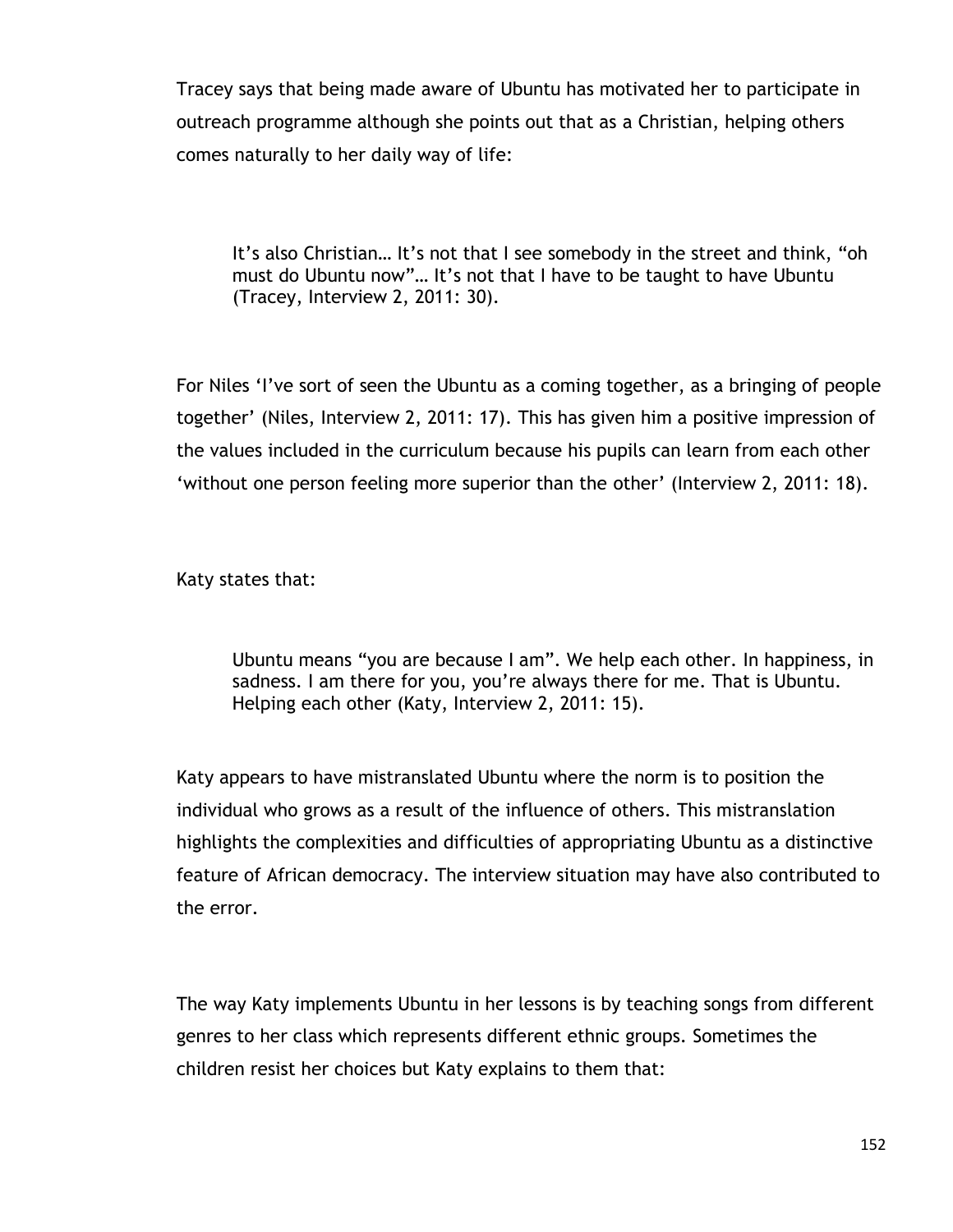Tracey says that being made aware of Ubuntu has motivated her to participate in outreach programme although she points out that as a Christian, helping others comes naturally to her daily way of life:

It's also Christian... It's not that I see somebody in the street and think, "oh must do Ubuntu now"... It's not that I have to be taught to have Ubuntu (Tracey, Interview 2, 2011: 30).

For Niles "I"ve sort of seen the Ubuntu as a coming together, as a bringing of people together" (Niles, Interview 2, 2011: 17). This has given him a positive impression of the values included in the curriculum because his pupils can learn from each other "without one person feeling more superior than the other" (Interview 2, 2011: 18).

Katy states that:

Ubuntu means "you are because I am". We help each other. In happiness, in sadness. I am there for you, you"re always there for me. That is Ubuntu. Helping each other (Katy, Interview 2, 2011: 15).

Katy appears to have mistranslated Ubuntu where the norm is to position the individual who grows as a result of the influence of others. This mistranslation highlights the complexities and difficulties of appropriating Ubuntu as a distinctive feature of African democracy. The interview situation may have also contributed to the error.

The way Katy implements Ubuntu in her lessons is by teaching songs from different genres to her class which represents different ethnic groups. Sometimes the children resist her choices but Katy explains to them that: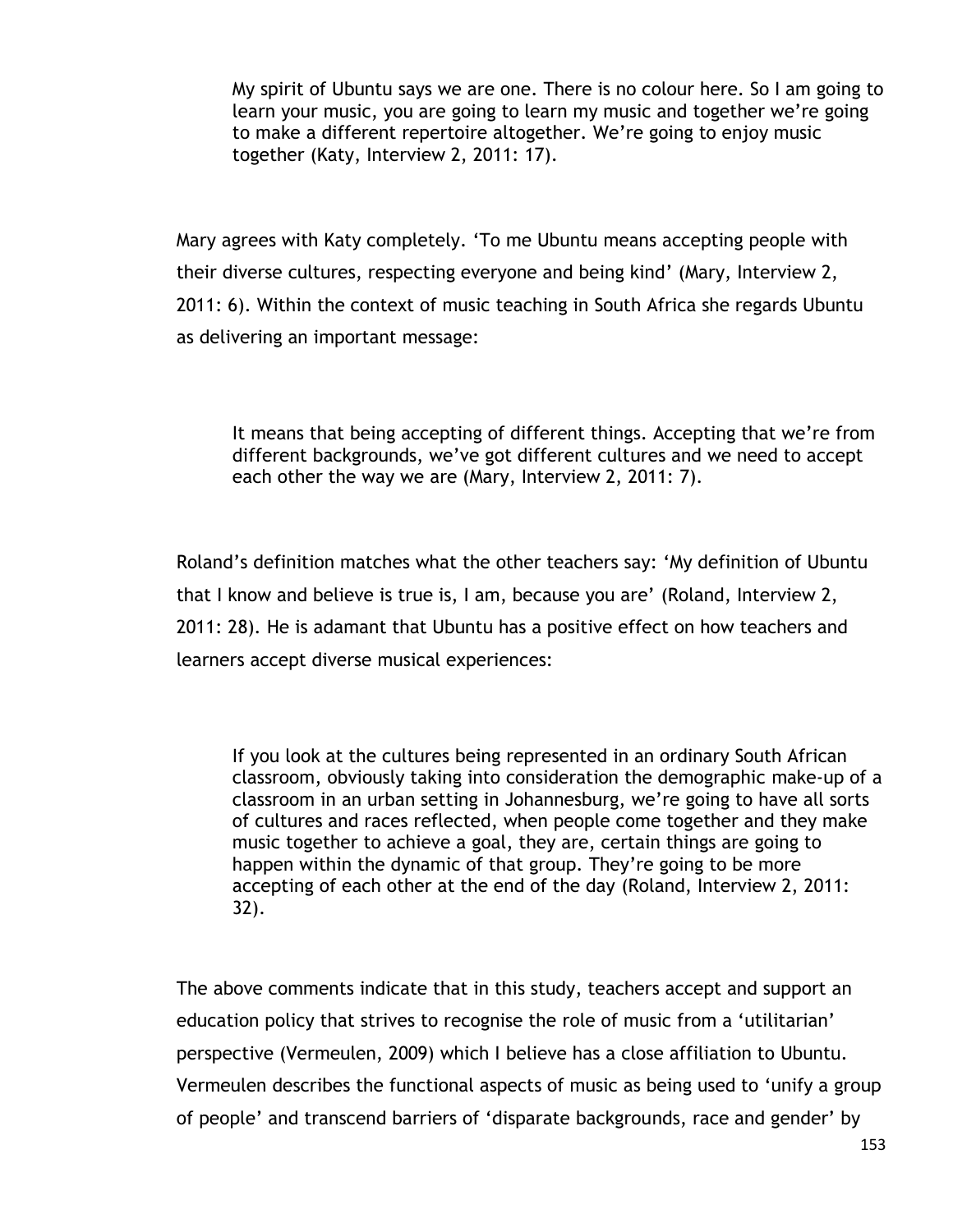My spirit of Ubuntu says we are one. There is no colour here. So I am going to learn your music, you are going to learn my music and together we"re going to make a different repertoire altogether. We're going to enjoy music together (Katy, Interview 2, 2011: 17).

Mary agrees with Katy completely. "To me Ubuntu means accepting people with their diverse cultures, respecting everyone and being kind" (Mary, Interview 2, 2011: 6). Within the context of music teaching in South Africa she regards Ubuntu as delivering an important message:

It means that being accepting of different things. Accepting that we"re from different backgrounds, we"ve got different cultures and we need to accept each other the way we are (Mary, Interview 2, 2011: 7).

Roland"s definition matches what the other teachers say: "My definition of Ubuntu that I know and believe is true is, I am, because you are" (Roland, Interview 2, 2011: 28)*.* He is adamant that Ubuntu has a positive effect on how teachers and learners accept diverse musical experiences:

If you look at the cultures being represented in an ordinary South African classroom, obviously taking into consideration the demographic make-up of a classroom in an urban setting in Johannesburg, we"re going to have all sorts of cultures and races reflected, when people come together and they make music together to achieve a goal, they are, certain things are going to happen within the dynamic of that group. They're going to be more accepting of each other at the end of the day (Roland, Interview 2, 2011: 32).

The above comments indicate that in this study, teachers accept and support an education policy that strives to recognise the role of music from a "utilitarian" perspective (Vermeulen, 2009) which I believe has a close affiliation to Ubuntu. Vermeulen describes the functional aspects of music as being used to "unify a group of people" and transcend barriers of "disparate backgrounds, race and gender" by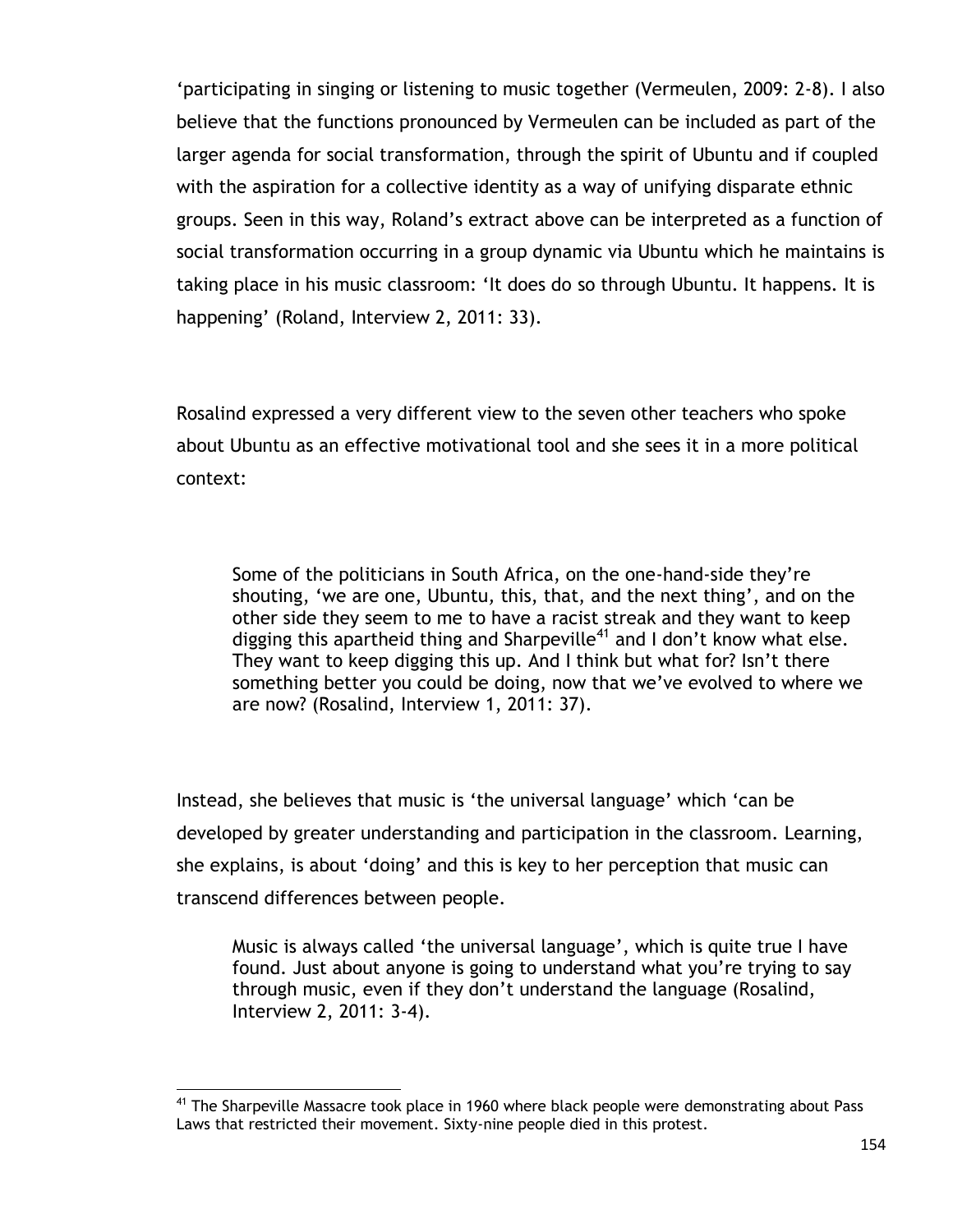"participating in singing or listening to music together (Vermeulen, 2009: 2-8). I also believe that the functions pronounced by Vermeulen can be included as part of the larger agenda for social transformation, through the spirit of Ubuntu and if coupled with the aspiration for a collective identity as a way of unifying disparate ethnic groups. Seen in this way, Roland"s extract above can be interpreted as a function of social transformation occurring in a group dynamic via Ubuntu which he maintains is taking place in his music classroom: "It does do so through Ubuntu. It happens. It is happening' (Roland, Interview 2, 2011: 33).

Rosalind expressed a very different view to the seven other teachers who spoke about Ubuntu as an effective motivational tool and she sees it in a more political context:

Some of the politicians in South Africa, on the one-hand-side they"re shouting, "we are one, Ubuntu*,* this, that, and the next thing", and on the other side they seem to me to have a racist streak and they want to keep digging this apartheid thing and Sharpeville<sup>41</sup> and I don't know what else. They want to keep digging this up. And I think but what for? Isn't there something better you could be doing, now that we"ve evolved to where we are now? (Rosalind, Interview 1, 2011: 37).

Instead, she believes that music is 'the universal language' which 'can be developed by greater understanding and participation in the classroom. Learning, she explains, is about "doing" and this is key to her perception that music can transcend differences between people.

Music is always called "the universal language", which is quite true I have found. Just about anyone is going to understand what you"re trying to say through music, even if they don"t understand the language (Rosalind, Interview 2, 2011: 3-4).

 $\overline{a}$ <sup>41</sup> The Sharpeville Massacre took place in 1960 where black people were demonstrating about Pass Laws that restricted their movement. Sixty-nine people died in this protest.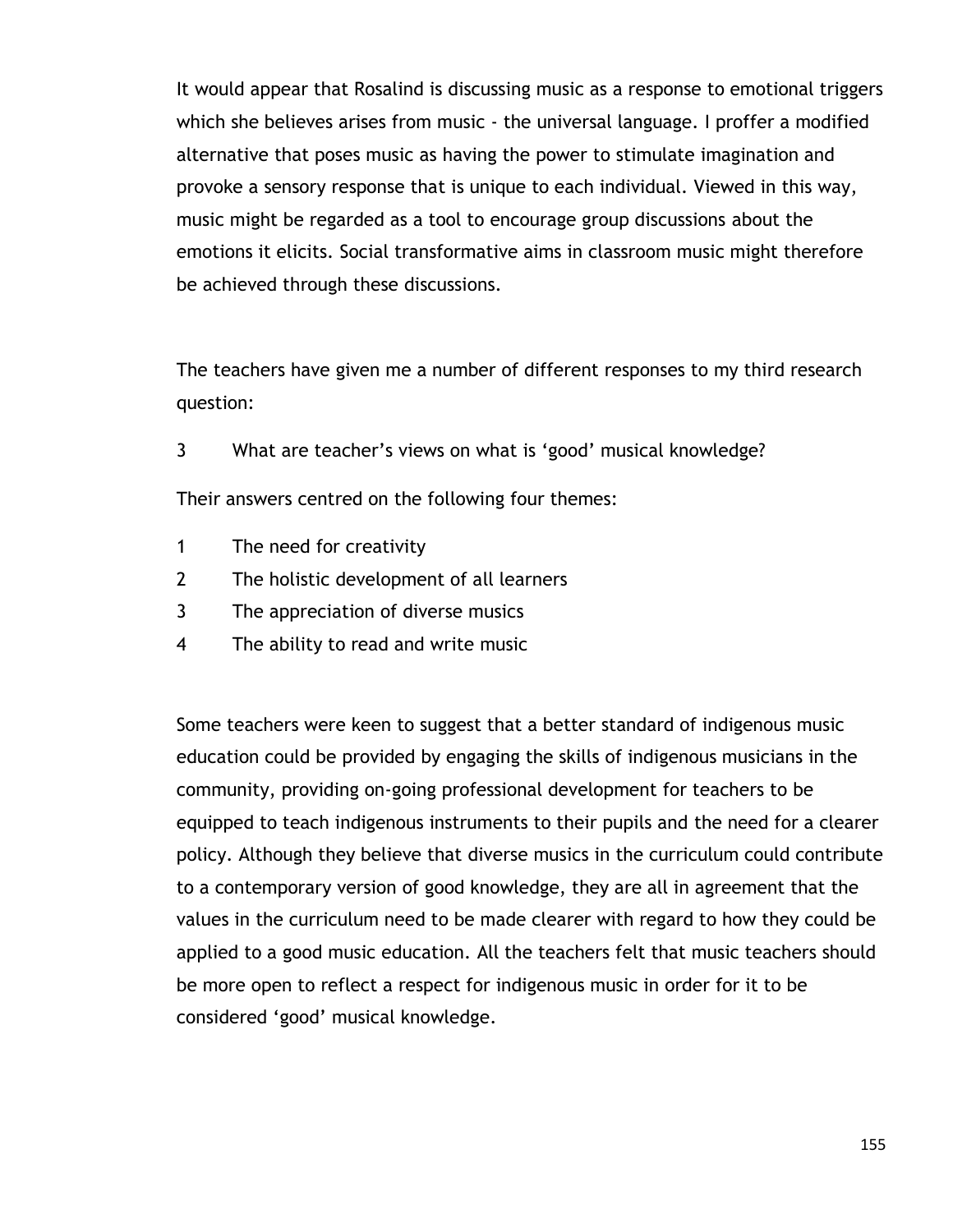It would appear that Rosalind is discussing music as a response to emotional triggers which she believes arises from music - the universal language. I proffer a modified alternative that poses music as having the power to stimulate imagination and provoke a sensory response that is unique to each individual. Viewed in this way, music might be regarded as a tool to encourage group discussions about the emotions it elicits. Social transformative aims in classroom music might therefore be achieved through these discussions.

The teachers have given me a number of different responses to my third research question:

3 What are teacher"s views on what is "good" musical knowledge?

Their answers centred on the following four themes:

- 1 The need for creativity
- 2 The holistic development of all learners
- 3 The appreciation of diverse musics
- 4 The ability to read and write music

Some teachers were keen to suggest that a better standard of indigenous music education could be provided by engaging the skills of indigenous musicians in the community, providing on-going professional development for teachers to be equipped to teach indigenous instruments to their pupils and the need for a clearer policy. Although they believe that diverse musics in the curriculum could contribute to a contemporary version of good knowledge, they are all in agreement that the values in the curriculum need to be made clearer with regard to how they could be applied to a good music education. All the teachers felt that music teachers should be more open to reflect a respect for indigenous music in order for it to be considered "good" musical knowledge.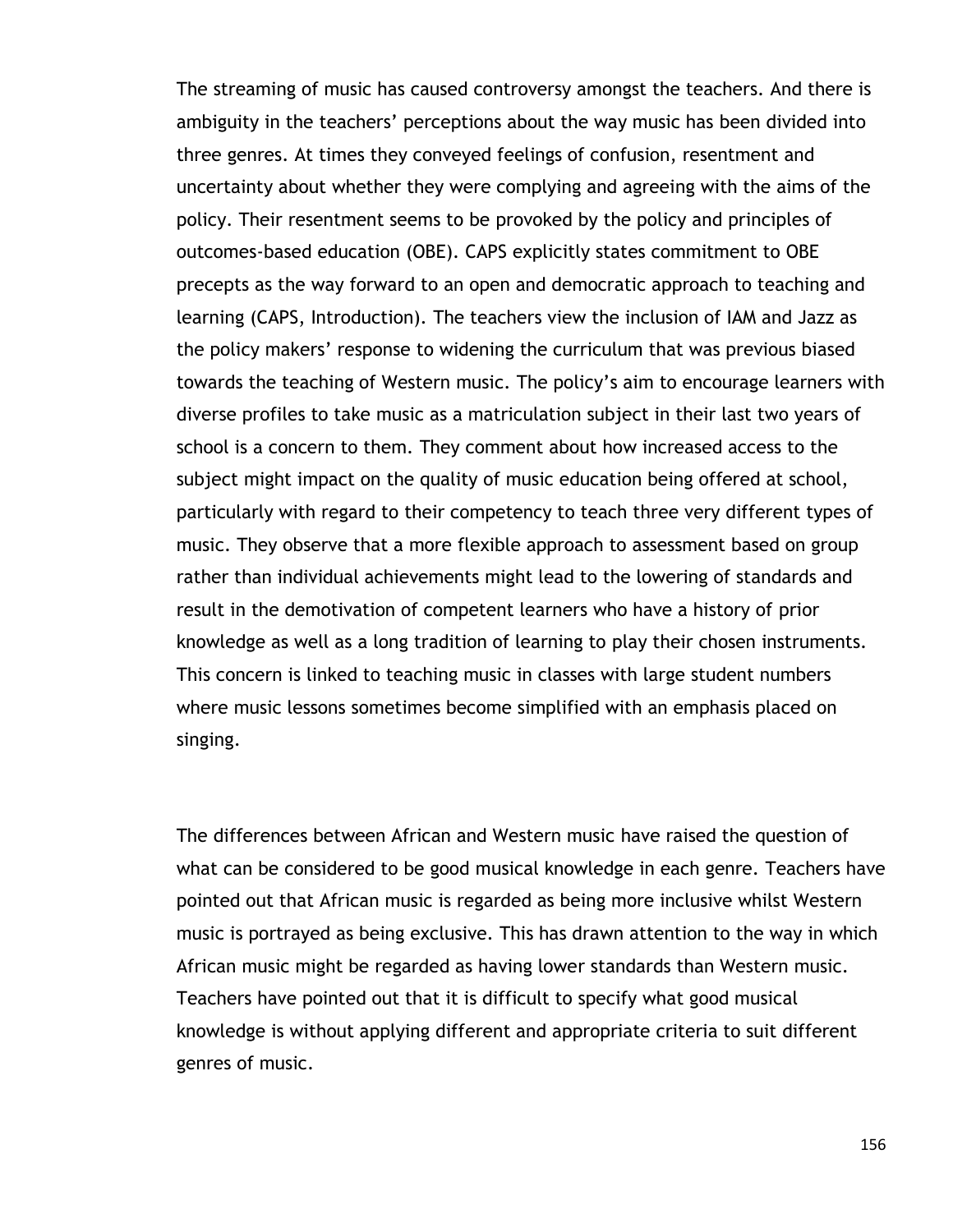The streaming of music has caused controversy amongst the teachers. And there is ambiguity in the teachers' perceptions about the way music has been divided into three genres. At times they conveyed feelings of confusion, resentment and uncertainty about whether they were complying and agreeing with the aims of the policy. Their resentment seems to be provoked by the policy and principles of outcomes-based education (OBE). CAPS explicitly states commitment to OBE precepts as the way forward to an open and democratic approach to teaching and learning (CAPS, Introduction). The teachers view the inclusion of IAM and Jazz as the policy makers' response to widening the curriculum that was previous biased towards the teaching of Western music. The policy"s aim to encourage learners with diverse profiles to take music as a matriculation subject in their last two years of school is a concern to them. They comment about how increased access to the subject might impact on the quality of music education being offered at school, particularly with regard to their competency to teach three very different types of music. They observe that a more flexible approach to assessment based on group rather than individual achievements might lead to the lowering of standards and result in the demotivation of competent learners who have a history of prior knowledge as well as a long tradition of learning to play their chosen instruments. This concern is linked to teaching music in classes with large student numbers where music lessons sometimes become simplified with an emphasis placed on singing.

The differences between African and Western music have raised the question of what can be considered to be good musical knowledge in each genre. Teachers have pointed out that African music is regarded as being more inclusive whilst Western music is portrayed as being exclusive. This has drawn attention to the way in which African music might be regarded as having lower standards than Western music. Teachers have pointed out that it is difficult to specify what good musical knowledge is without applying different and appropriate criteria to suit different genres of music.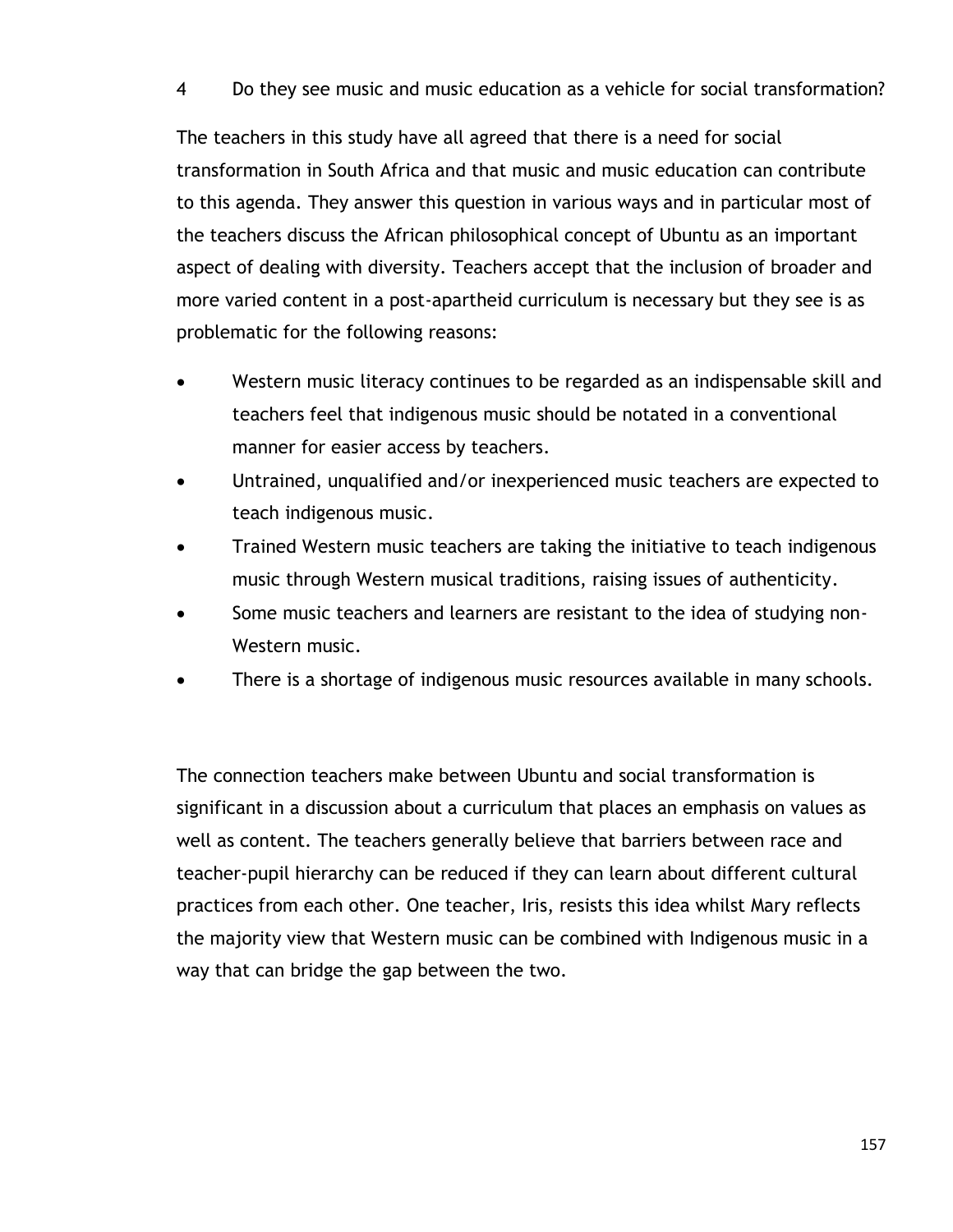#### 4 Do they see music and music education as a vehicle for social transformation?

The teachers in this study have all agreed that there is a need for social transformation in South Africa and that music and music education can contribute to this agenda. They answer this question in various ways and in particular most of the teachers discuss the African philosophical concept of Ubuntu as an important aspect of dealing with diversity. Teachers accept that the inclusion of broader and more varied content in a post-apartheid curriculum is necessary but they see is as problematic for the following reasons:

- Western music literacy continues to be regarded as an indispensable skill and teachers feel that indigenous music should be notated in a conventional manner for easier access by teachers.
- Untrained, unqualified and/or inexperienced music teachers are expected to teach indigenous music.
- Trained Western music teachers are taking the initiative to teach indigenous music through Western musical traditions, raising issues of authenticity.
- Some music teachers and learners are resistant to the idea of studying non-Western music.
- There is a shortage of indigenous music resources available in many schools.

The connection teachers make between Ubuntu and social transformation is significant in a discussion about a curriculum that places an emphasis on values as well as content. The teachers generally believe that barriers between race and teacher-pupil hierarchy can be reduced if they can learn about different cultural practices from each other. One teacher, Iris, resists this idea whilst Mary reflects the majority view that Western music can be combined with Indigenous music in a way that can bridge the gap between the two.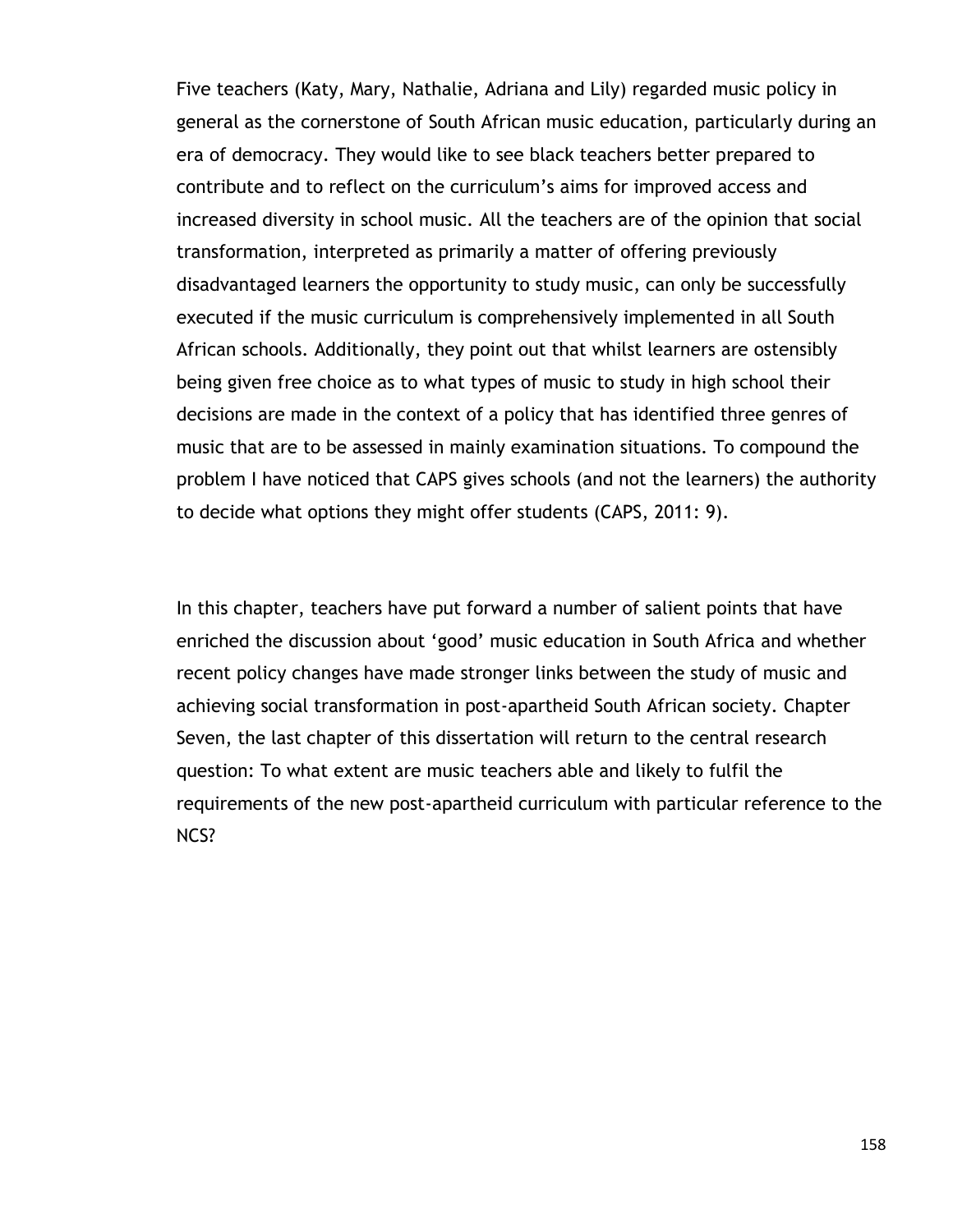Five teachers (Katy, Mary, Nathalie, Adriana and Lily) regarded music policy in general as the cornerstone of South African music education, particularly during an era of democracy. They would like to see black teachers better prepared to contribute and to reflect on the curriculum"s aims for improved access and increased diversity in school music. All the teachers are of the opinion that social transformation, interpreted as primarily a matter of offering previously disadvantaged learners the opportunity to study music, can only be successfully executed if the music curriculum is comprehensively implemented in all South African schools. Additionally, they point out that whilst learners are ostensibly being given free choice as to what types of music to study in high school their decisions are made in the context of a policy that has identified three genres of music that are to be assessed in mainly examination situations. To compound the problem I have noticed that CAPS gives schools (and not the learners) the authority to decide what options they might offer students (CAPS, 2011: 9).

In this chapter, teachers have put forward a number of salient points that have enriched the discussion about "good" music education in South Africa and whether recent policy changes have made stronger links between the study of music and achieving social transformation in post-apartheid South African society. Chapter Seven, the last chapter of this dissertation will return to the central research question: To what extent are music teachers able and likely to fulfil the requirements of the new post-apartheid curriculum with particular reference to the NCS?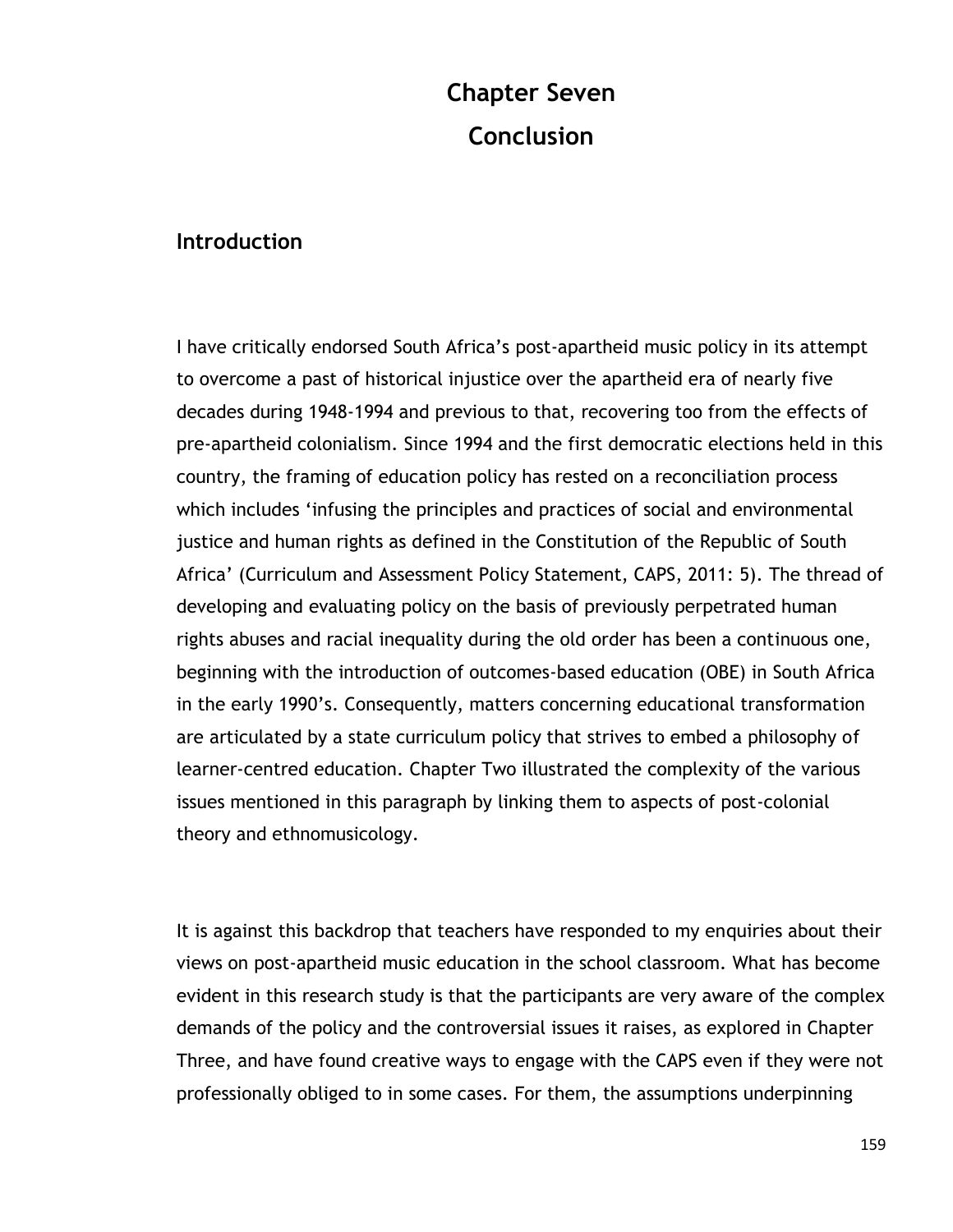# **Chapter Seven Conclusion**

## **Introduction**

I have critically endorsed South Africa"s post-apartheid music policy in its attempt to overcome a past of historical injustice over the apartheid era of nearly five decades during 1948-1994 and previous to that, recovering too from the effects of pre-apartheid colonialism. Since 1994 and the first democratic elections held in this country, the framing of education policy has rested on a reconciliation process which includes "infusing the principles and practices of social and environmental justice and human rights as defined in the Constitution of the Republic of South Africa" (Curriculum and Assessment Policy Statement, CAPS, 2011: 5). The thread of developing and evaluating policy on the basis of previously perpetrated human rights abuses and racial inequality during the old order has been a continuous one, beginning with the introduction of outcomes-based education (OBE) in South Africa in the early 1990"s. Consequently, matters concerning educational transformation are articulated by a state curriculum policy that strives to embed a philosophy of learner-centred education. Chapter Two illustrated the complexity of the various issues mentioned in this paragraph by linking them to aspects of post-colonial theory and ethnomusicology.

It is against this backdrop that teachers have responded to my enquiries about their views on post-apartheid music education in the school classroom. What has become evident in this research study is that the participants are very aware of the complex demands of the policy and the controversial issues it raises, as explored in Chapter Three, and have found creative ways to engage with the CAPS even if they were not professionally obliged to in some cases. For them, the assumptions underpinning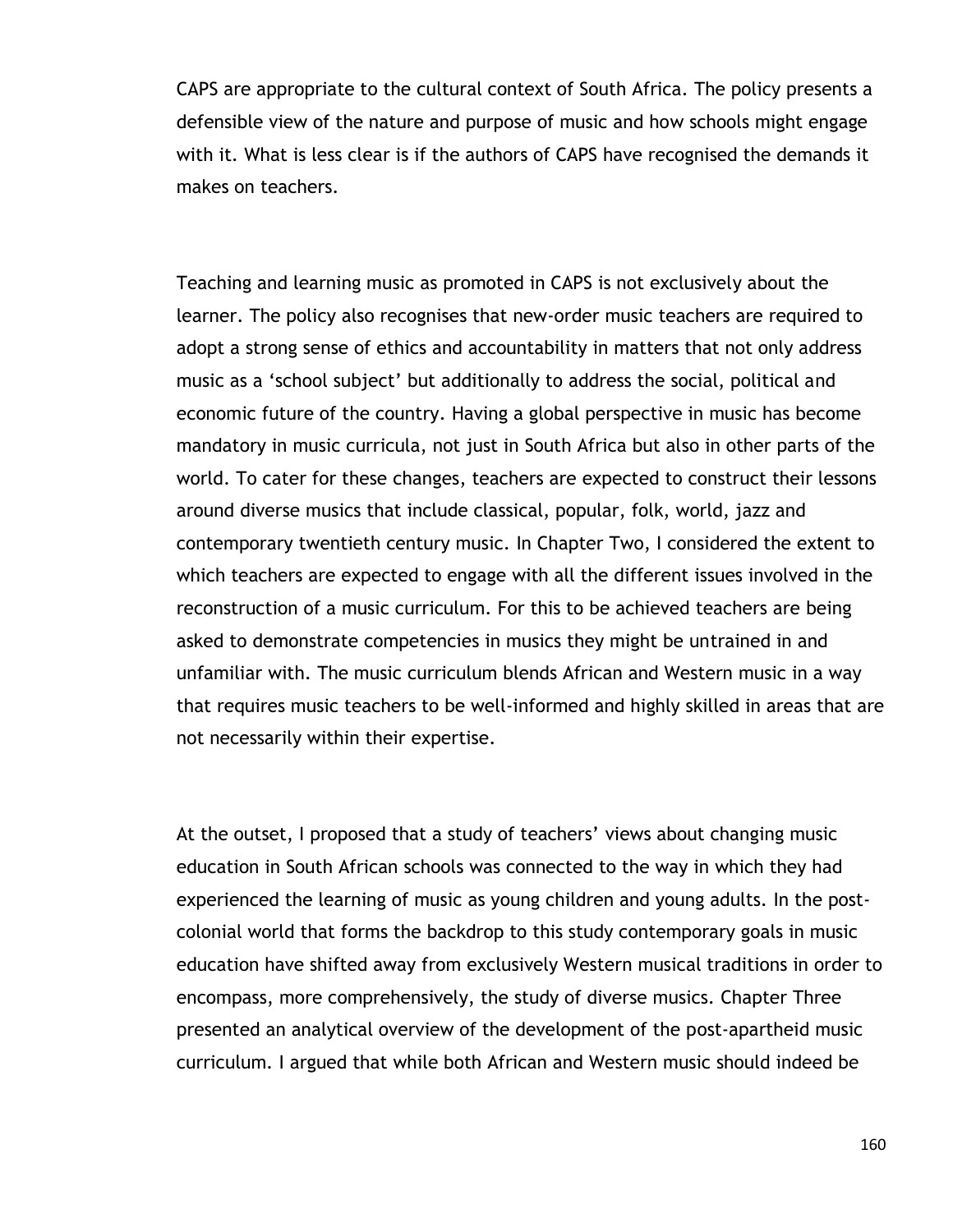CAPS are appropriate to the cultural context of South Africa. The policy presents a defensible view of the nature and purpose of music and how schools might engage with it. What is less clear is if the authors of CAPS have recognised the demands it makes on teachers.

Teaching and learning music as promoted in CAPS is not exclusively about the learner. The policy also recognises that new-order music teachers are required to adopt a strong sense of ethics and accountability in matters that not only address music as a "school subject" but additionally to address the social, political and economic future of the country. Having a global perspective in music has become mandatory in music curricula, not just in South Africa but also in other parts of the world. To cater for these changes, teachers are expected to construct their lessons around diverse musics that include classical, popular, folk, world, jazz and contemporary twentieth century music. In Chapter Two, I considered the extent to which teachers are expected to engage with all the different issues involved in the reconstruction of a music curriculum. For this to be achieved teachers are being asked to demonstrate competencies in musics they might be untrained in and unfamiliar with. The music curriculum blends African and Western music in a way that requires music teachers to be well-informed and highly skilled in areas that are not necessarily within their expertise.

At the outset, I proposed that a study of teachers' views about changing music education in South African schools was connected to the way in which they had experienced the learning of music as young children and young adults. In the postcolonial world that forms the backdrop to this study contemporary goals in music education have shifted away from exclusively Western musical traditions in order to encompass, more comprehensively, the study of diverse musics. Chapter Three presented an analytical overview of the development of the post-apartheid music curriculum. I argued that while both African and Western music should indeed be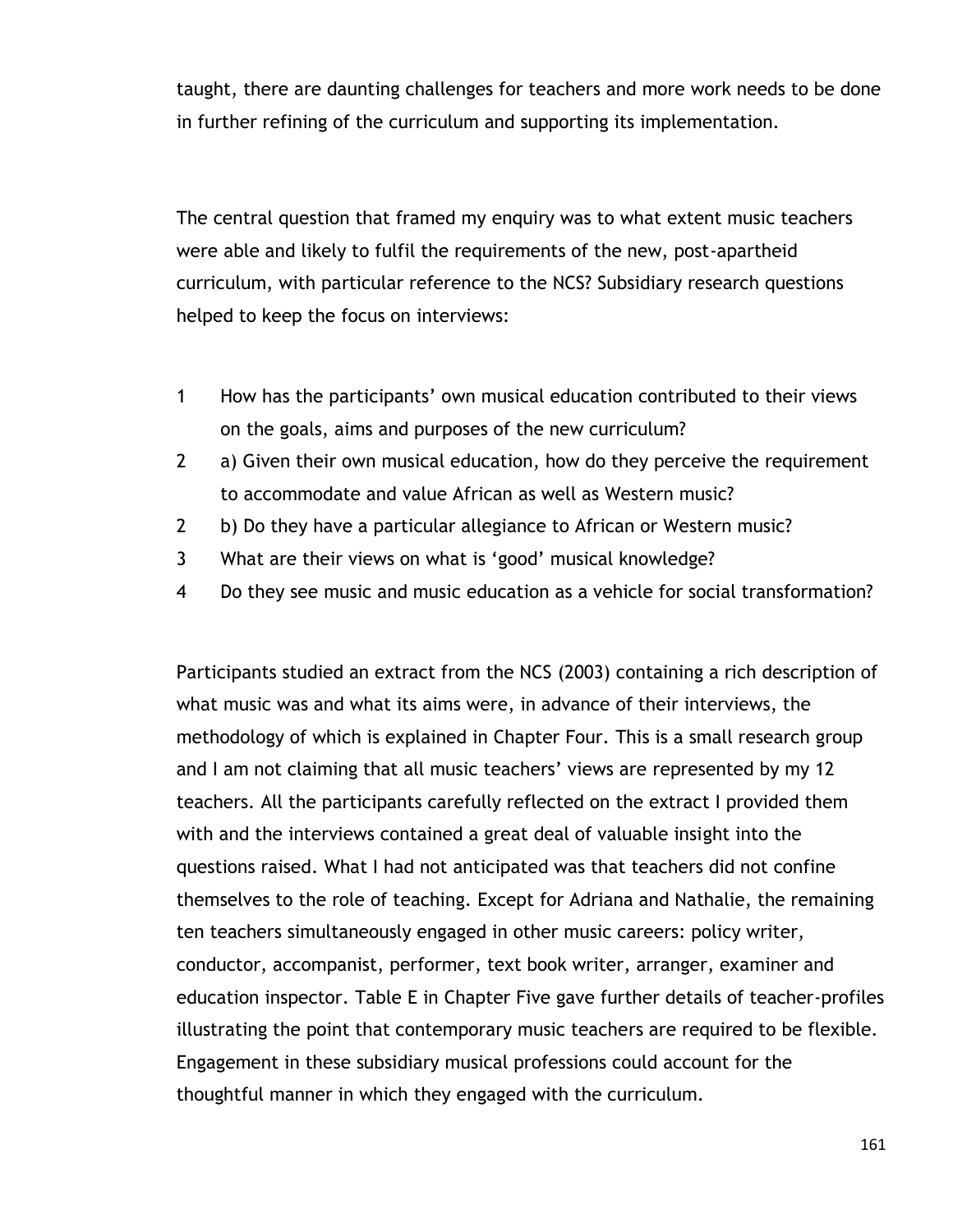taught, there are daunting challenges for teachers and more work needs to be done in further refining of the curriculum and supporting its implementation.

The central question that framed my enquiry was to what extent music teachers were able and likely to fulfil the requirements of the new, post-apartheid curriculum, with particular reference to the NCS? Subsidiary research questions helped to keep the focus on interviews:

- 1 How has the participants" own musical education contributed to their views on the goals, aims and purposes of the new curriculum?
- 2 a) Given their own musical education, how do they perceive the requirement to accommodate and value African as well as Western music?
- 2 b) Do they have a particular allegiance to African or Western music?
- 3 What are their views on what is "good" musical knowledge?
- 4 Do they see music and music education as a vehicle for social transformation?

Participants studied an extract from the NCS (2003) containing a rich description of what music was and what its aims were, in advance of their interviews, the methodology of which is explained in Chapter Four. This is a small research group and I am not claiming that all music teachers' views are represented by my 12 teachers. All the participants carefully reflected on the extract I provided them with and the interviews contained a great deal of valuable insight into the questions raised. What I had not anticipated was that teachers did not confine themselves to the role of teaching. Except for Adriana and Nathalie, the remaining ten teachers simultaneously engaged in other music careers: policy writer, conductor, accompanist, performer, text book writer, arranger, examiner and education inspector. Table E in Chapter Five gave further details of teacher-profiles illustrating the point that contemporary music teachers are required to be flexible. Engagement in these subsidiary musical professions could account for the thoughtful manner in which they engaged with the curriculum.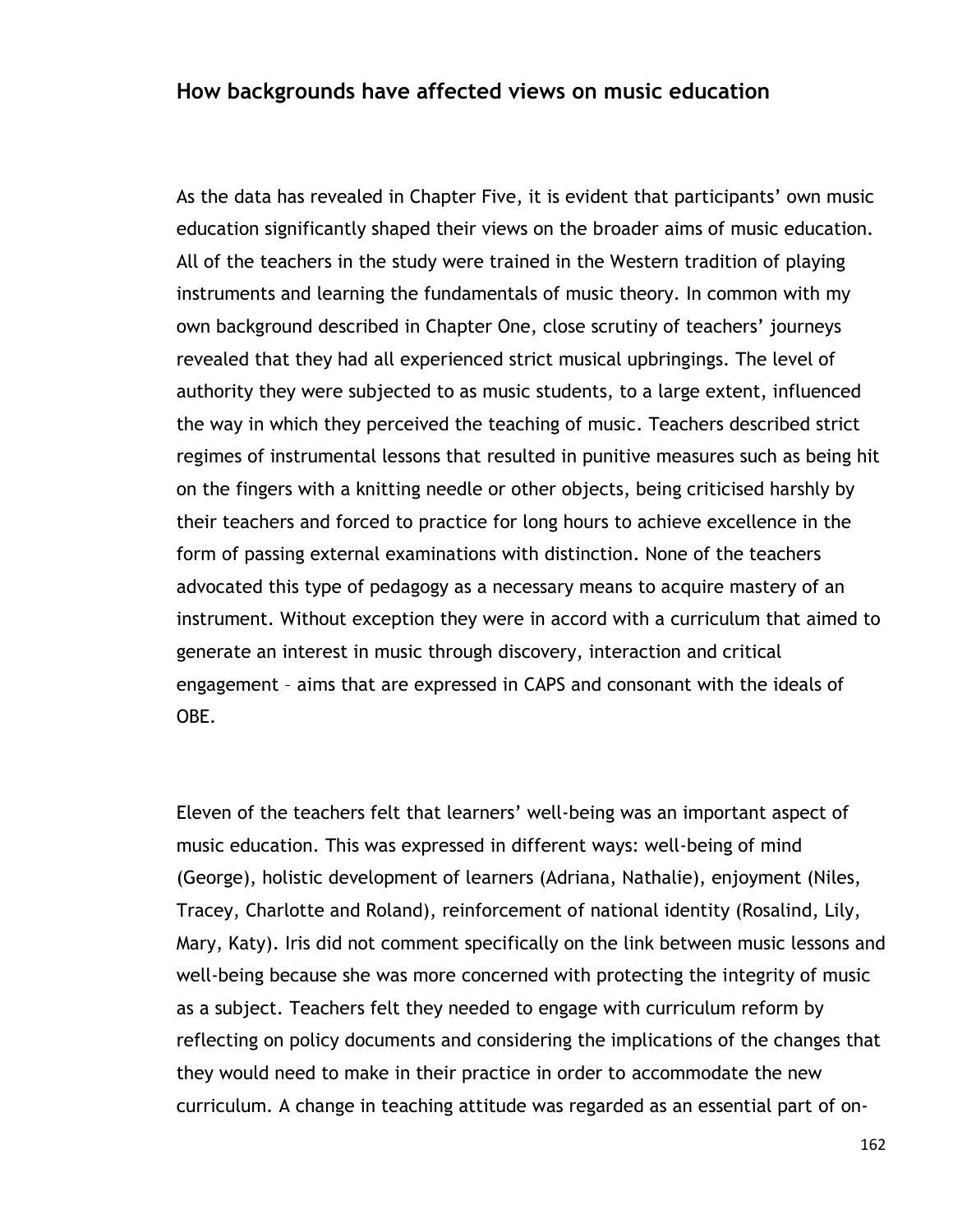## **How backgrounds have affected views on music education**

As the data has revealed in Chapter Five, it is evident that participants' own music education significantly shaped their views on the broader aims of music education. All of the teachers in the study were trained in the Western tradition of playing instruments and learning the fundamentals of music theory. In common with my own background described in Chapter One, close scrutiny of teachers' journeys revealed that they had all experienced strict musical upbringings. The level of authority they were subjected to as music students, to a large extent, influenced the way in which they perceived the teaching of music. Teachers described strict regimes of instrumental lessons that resulted in punitive measures such as being hit on the fingers with a knitting needle or other objects, being criticised harshly by their teachers and forced to practice for long hours to achieve excellence in the form of passing external examinations with distinction. None of the teachers advocated this type of pedagogy as a necessary means to acquire mastery of an instrument. Without exception they were in accord with a curriculum that aimed to generate an interest in music through discovery, interaction and critical engagement – aims that are expressed in CAPS and consonant with the ideals of OBE.

Eleven of the teachers felt that learners' well-being was an important aspect of music education. This was expressed in different ways: well-being of mind (George), holistic development of learners (Adriana, Nathalie), enjoyment (Niles, Tracey, Charlotte and Roland), reinforcement of national identity (Rosalind, Lily, Mary, Katy). Iris did not comment specifically on the link between music lessons and well-being because she was more concerned with protecting the integrity of music as a subject. Teachers felt they needed to engage with curriculum reform by reflecting on policy documents and considering the implications of the changes that they would need to make in their practice in order to accommodate the new curriculum. A change in teaching attitude was regarded as an essential part of on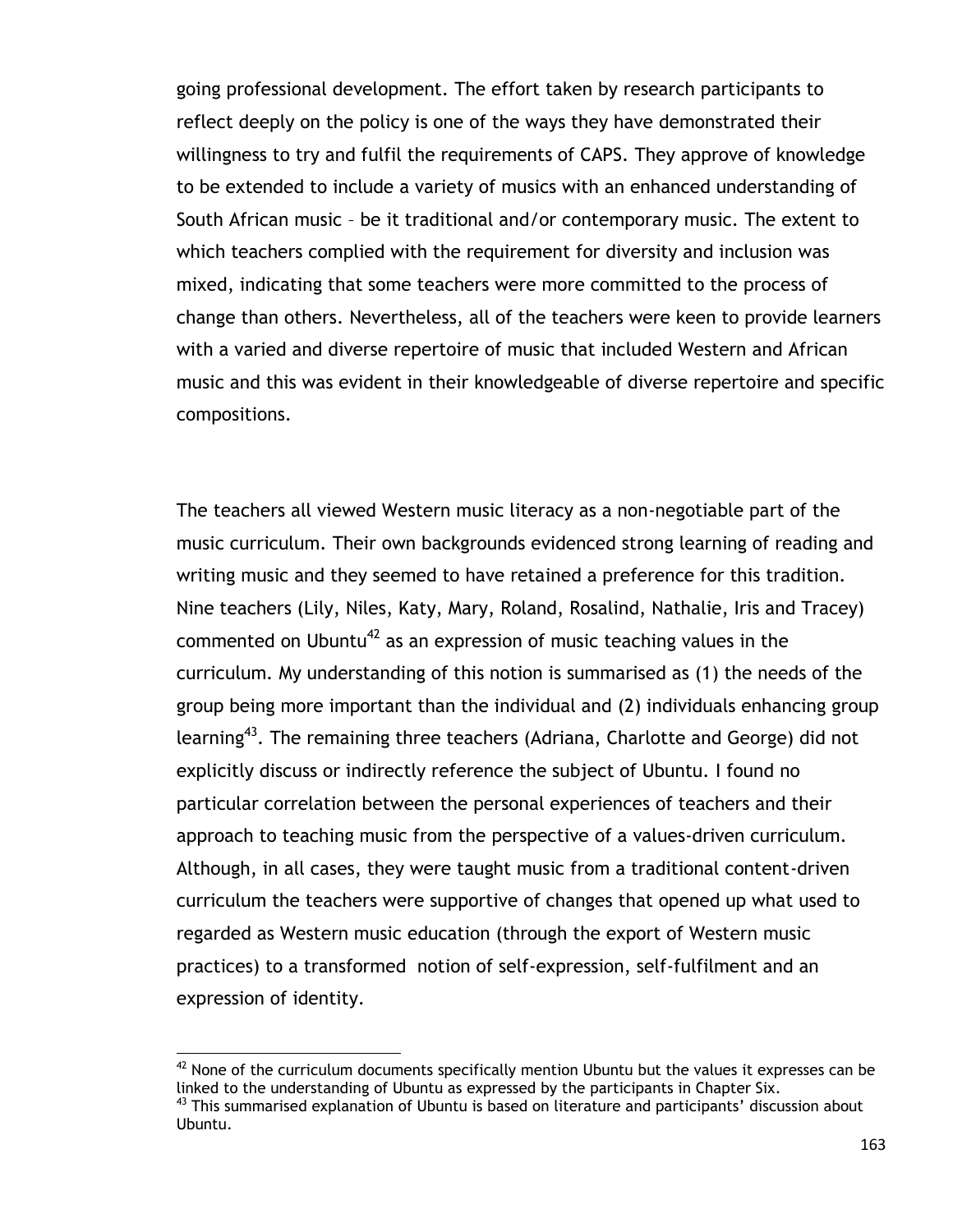going professional development. The effort taken by research participants to reflect deeply on the policy is one of the ways they have demonstrated their willingness to try and fulfil the requirements of CAPS. They approve of knowledge to be extended to include a variety of musics with an enhanced understanding of South African music – be it traditional and/or contemporary music. The extent to which teachers complied with the requirement for diversity and inclusion was mixed, indicating that some teachers were more committed to the process of change than others. Nevertheless, all of the teachers were keen to provide learners with a varied and diverse repertoire of music that included Western and African music and this was evident in their knowledgeable of diverse repertoire and specific compositions.

The teachers all viewed Western music literacy as a non-negotiable part of the music curriculum. Their own backgrounds evidenced strong learning of reading and writing music and they seemed to have retained a preference for this tradition. Nine teachers (Lily, Niles, Katy, Mary, Roland, Rosalind, Nathalie, Iris and Tracey) commented on Ubuntu<sup>42</sup> as an expression of music teaching values in the curriculum. My understanding of this notion is summarised as (1) the needs of the group being more important than the individual and (2) individuals enhancing group learning<sup>43</sup>. The remaining three teachers (Adriana, Charlotte and George) did not explicitly discuss or indirectly reference the subject of Ubuntu. I found no particular correlation between the personal experiences of teachers and their approach to teaching music from the perspective of a values-driven curriculum. Although, in all cases, they were taught music from a traditional content-driven curriculum the teachers were supportive of changes that opened up what used to regarded as Western music education (through the export of Western music practices) to a transformed notion of self-expression, self-fulfilment and an expression of identity.

 $\overline{a}$ 

 $42$  None of the curriculum documents specifically mention Ubuntu but the values it expresses can be linked to the understanding of Ubuntu as expressed by the participants in Chapter Six.  $43$  This summarised explanation of Ubuntu is based on literature and participants' discussion about Ubuntu.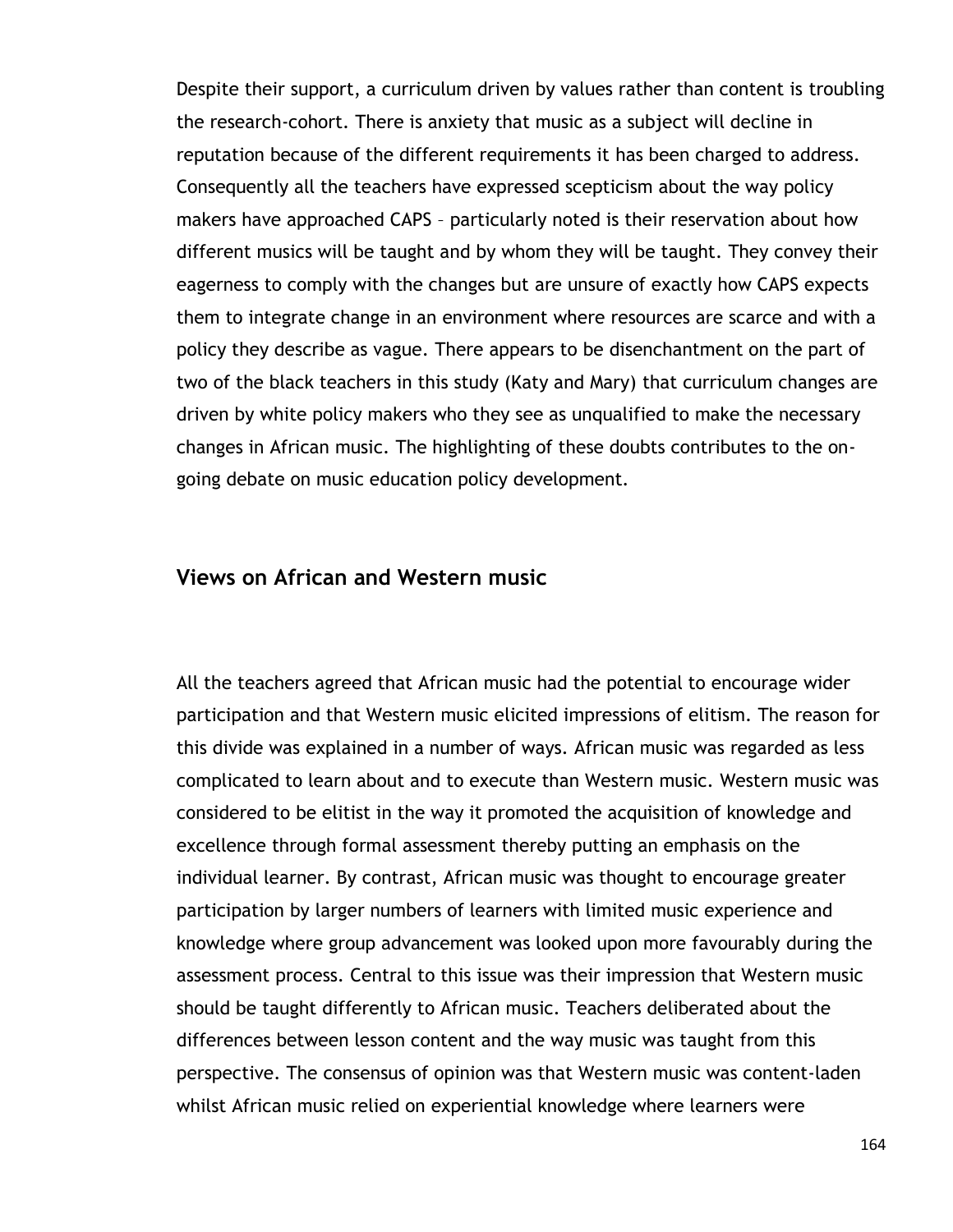Despite their support, a curriculum driven by values rather than content is troubling the research-cohort. There is anxiety that music as a subject will decline in reputation because of the different requirements it has been charged to address. Consequently all the teachers have expressed scepticism about the way policy makers have approached CAPS – particularly noted is their reservation about how different musics will be taught and by whom they will be taught. They convey their eagerness to comply with the changes but are unsure of exactly how CAPS expects them to integrate change in an environment where resources are scarce and with a policy they describe as vague. There appears to be disenchantment on the part of two of the black teachers in this study (Katy and Mary) that curriculum changes are driven by white policy makers who they see as unqualified to make the necessary changes in African music. The highlighting of these doubts contributes to the ongoing debate on music education policy development.

#### **Views on African and Western music**

All the teachers agreed that African music had the potential to encourage wider participation and that Western music elicited impressions of elitism. The reason for this divide was explained in a number of ways. African music was regarded as less complicated to learn about and to execute than Western music. Western music was considered to be elitist in the way it promoted the acquisition of knowledge and excellence through formal assessment thereby putting an emphasis on the individual learner. By contrast, African music was thought to encourage greater participation by larger numbers of learners with limited music experience and knowledge where group advancement was looked upon more favourably during the assessment process. Central to this issue was their impression that Western music should be taught differently to African music. Teachers deliberated about the differences between lesson content and the way music was taught from this perspective. The consensus of opinion was that Western music was content-laden whilst African music relied on experiential knowledge where learners were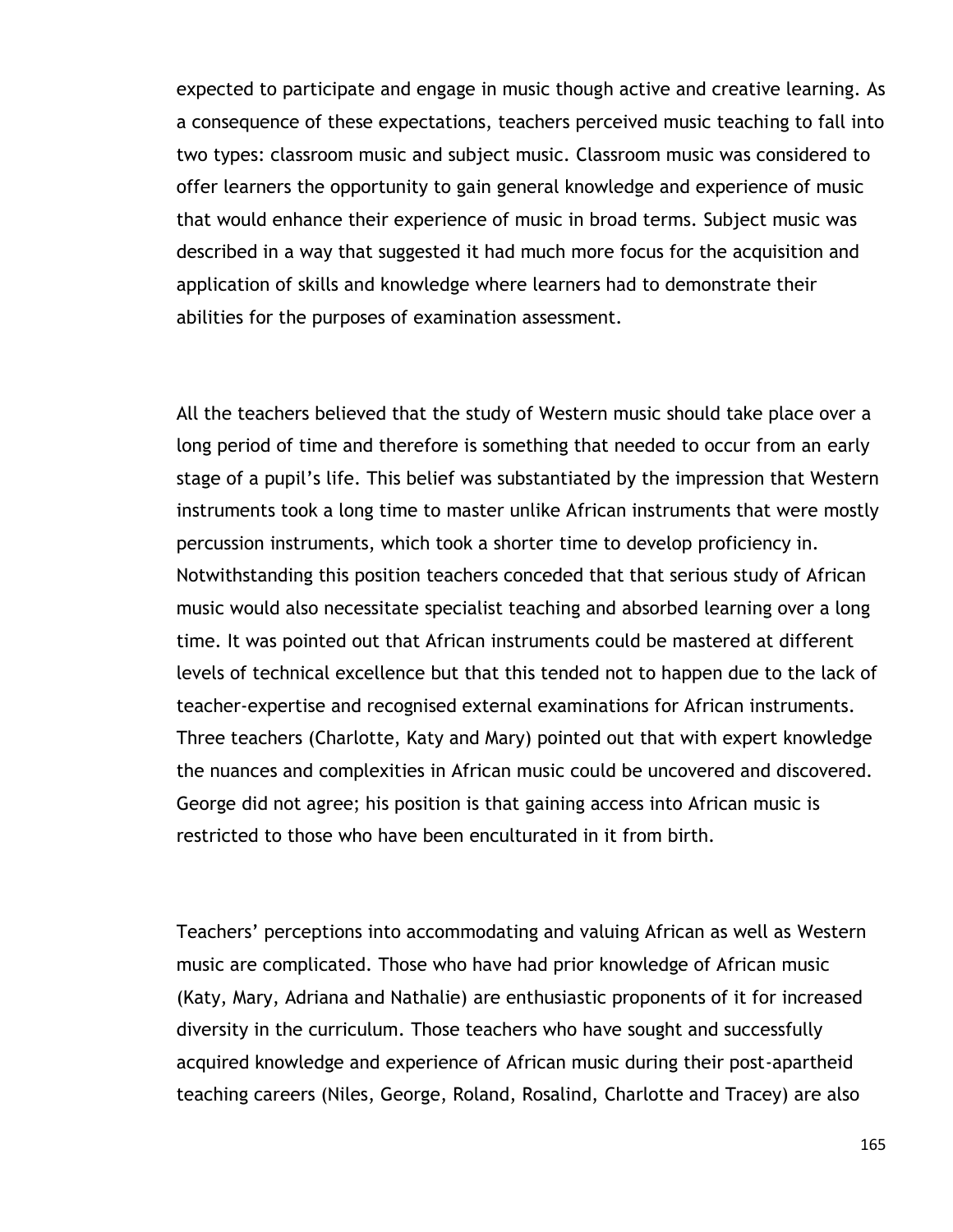expected to participate and engage in music though active and creative learning. As a consequence of these expectations, teachers perceived music teaching to fall into two types: classroom music and subject music. Classroom music was considered to offer learners the opportunity to gain general knowledge and experience of music that would enhance their experience of music in broad terms. Subject music was described in a way that suggested it had much more focus for the acquisition and application of skills and knowledge where learners had to demonstrate their abilities for the purposes of examination assessment.

All the teachers believed that the study of Western music should take place over a long period of time and therefore is something that needed to occur from an early stage of a pupil's life. This belief was substantiated by the impression that Western instruments took a long time to master unlike African instruments that were mostly percussion instruments, which took a shorter time to develop proficiency in. Notwithstanding this position teachers conceded that that serious study of African music would also necessitate specialist teaching and absorbed learning over a long time. It was pointed out that African instruments could be mastered at different levels of technical excellence but that this tended not to happen due to the lack of teacher-expertise and recognised external examinations for African instruments. Three teachers (Charlotte, Katy and Mary) pointed out that with expert knowledge the nuances and complexities in African music could be uncovered and discovered. George did not agree; his position is that gaining access into African music is restricted to those who have been enculturated in it from birth.

Teachers" perceptions into accommodating and valuing African as well as Western music are complicated. Those who have had prior knowledge of African music (Katy, Mary, Adriana and Nathalie) are enthusiastic proponents of it for increased diversity in the curriculum. Those teachers who have sought and successfully acquired knowledge and experience of African music during their post-apartheid teaching careers (Niles, George, Roland, Rosalind, Charlotte and Tracey) are also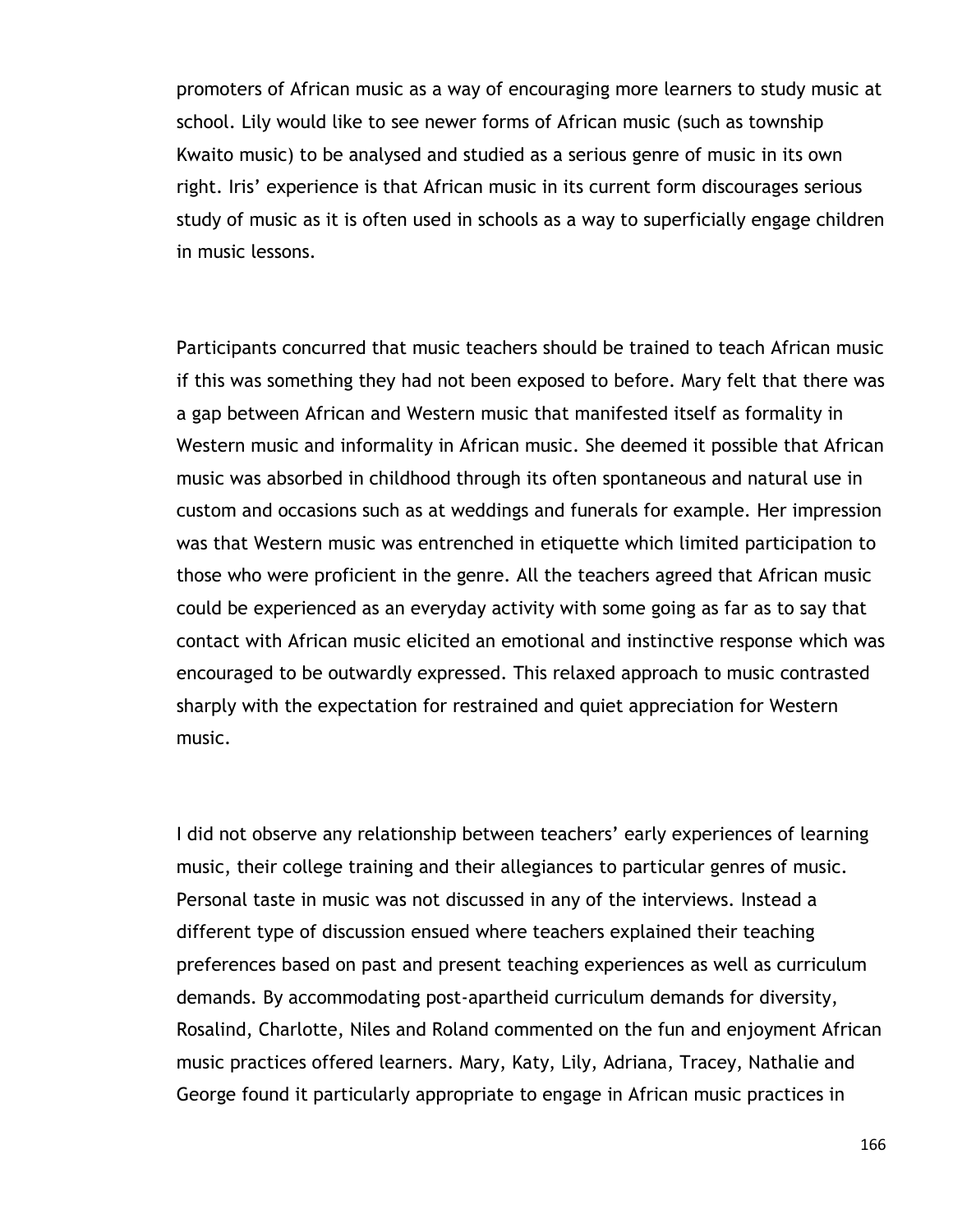promoters of African music as a way of encouraging more learners to study music at school. Lily would like to see newer forms of African music (such as township Kwaito music) to be analysed and studied as a serious genre of music in its own right. Iris' experience is that African music in its current form discourages serious study of music as it is often used in schools as a way to superficially engage children in music lessons.

Participants concurred that music teachers should be trained to teach African music if this was something they had not been exposed to before. Mary felt that there was a gap between African and Western music that manifested itself as formality in Western music and informality in African music. She deemed it possible that African music was absorbed in childhood through its often spontaneous and natural use in custom and occasions such as at weddings and funerals for example. Her impression was that Western music was entrenched in etiquette which limited participation to those who were proficient in the genre. All the teachers agreed that African music could be experienced as an everyday activity with some going as far as to say that contact with African music elicited an emotional and instinctive response which was encouraged to be outwardly expressed. This relaxed approach to music contrasted sharply with the expectation for restrained and quiet appreciation for Western music.

I did not observe any relationship between teachers' early experiences of learning music, their college training and their allegiances to particular genres of music. Personal taste in music was not discussed in any of the interviews. Instead a different type of discussion ensued where teachers explained their teaching preferences based on past and present teaching experiences as well as curriculum demands. By accommodating post-apartheid curriculum demands for diversity, Rosalind, Charlotte, Niles and Roland commented on the fun and enjoyment African music practices offered learners. Mary, Katy, Lily, Adriana, Tracey, Nathalie and George found it particularly appropriate to engage in African music practices in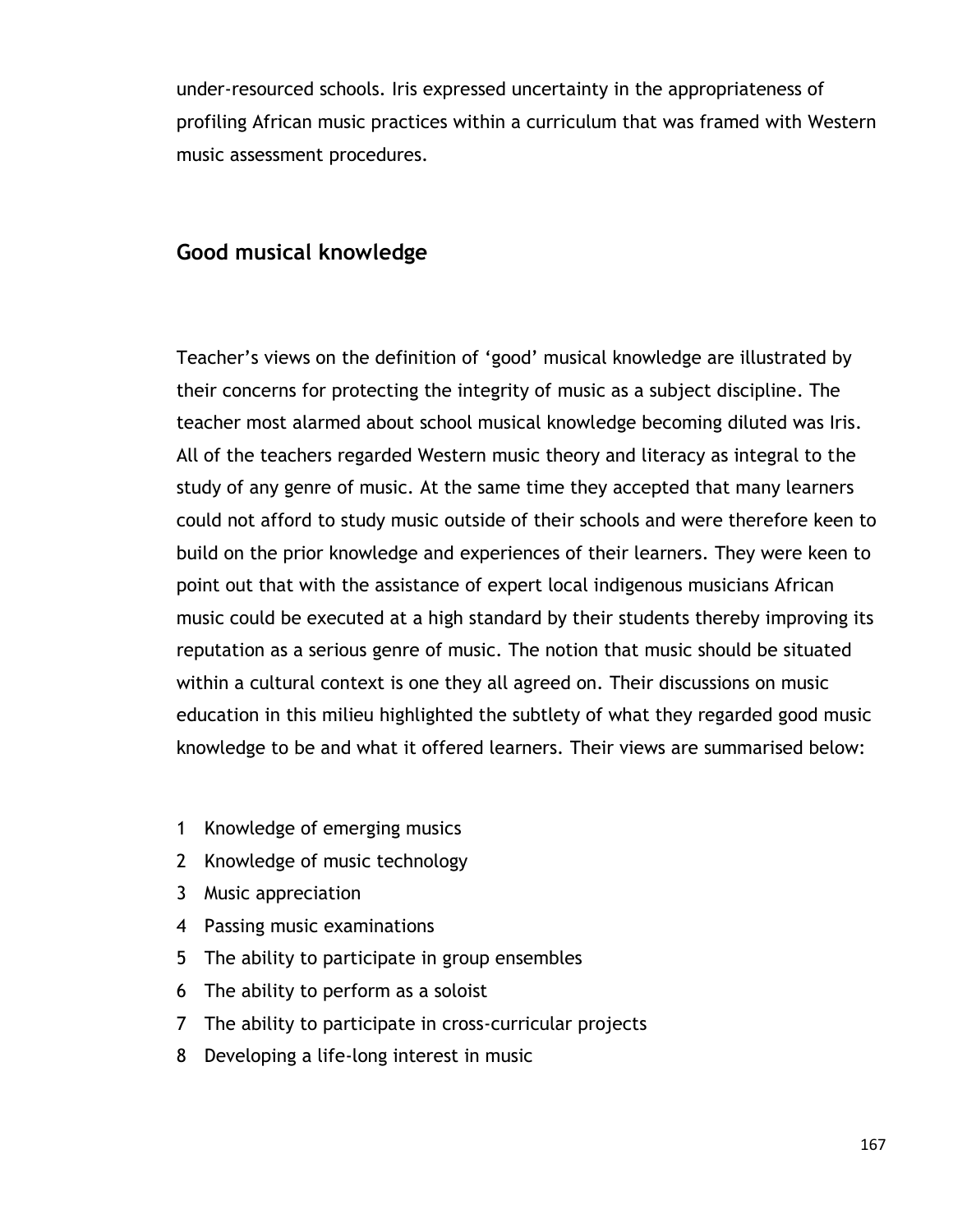under-resourced schools. Iris expressed uncertainty in the appropriateness of profiling African music practices within a curriculum that was framed with Western music assessment procedures.

# **Good musical knowledge**

Teacher"s views on the definition of "good" musical knowledge are illustrated by their concerns for protecting the integrity of music as a subject discipline. The teacher most alarmed about school musical knowledge becoming diluted was Iris. All of the teachers regarded Western music theory and literacy as integral to the study of any genre of music. At the same time they accepted that many learners could not afford to study music outside of their schools and were therefore keen to build on the prior knowledge and experiences of their learners. They were keen to point out that with the assistance of expert local indigenous musicians African music could be executed at a high standard by their students thereby improving its reputation as a serious genre of music. The notion that music should be situated within a cultural context is one they all agreed on. Their discussions on music education in this milieu highlighted the subtlety of what they regarded good music knowledge to be and what it offered learners. Their views are summarised below:

- 1 Knowledge of emerging musics
- 2 Knowledge of music technology
- 3 Music appreciation
- 4 Passing music examinations
- 5 The ability to participate in group ensembles
- 6 The ability to perform as a soloist
- 7 The ability to participate in cross-curricular projects
- 8 Developing a life-long interest in music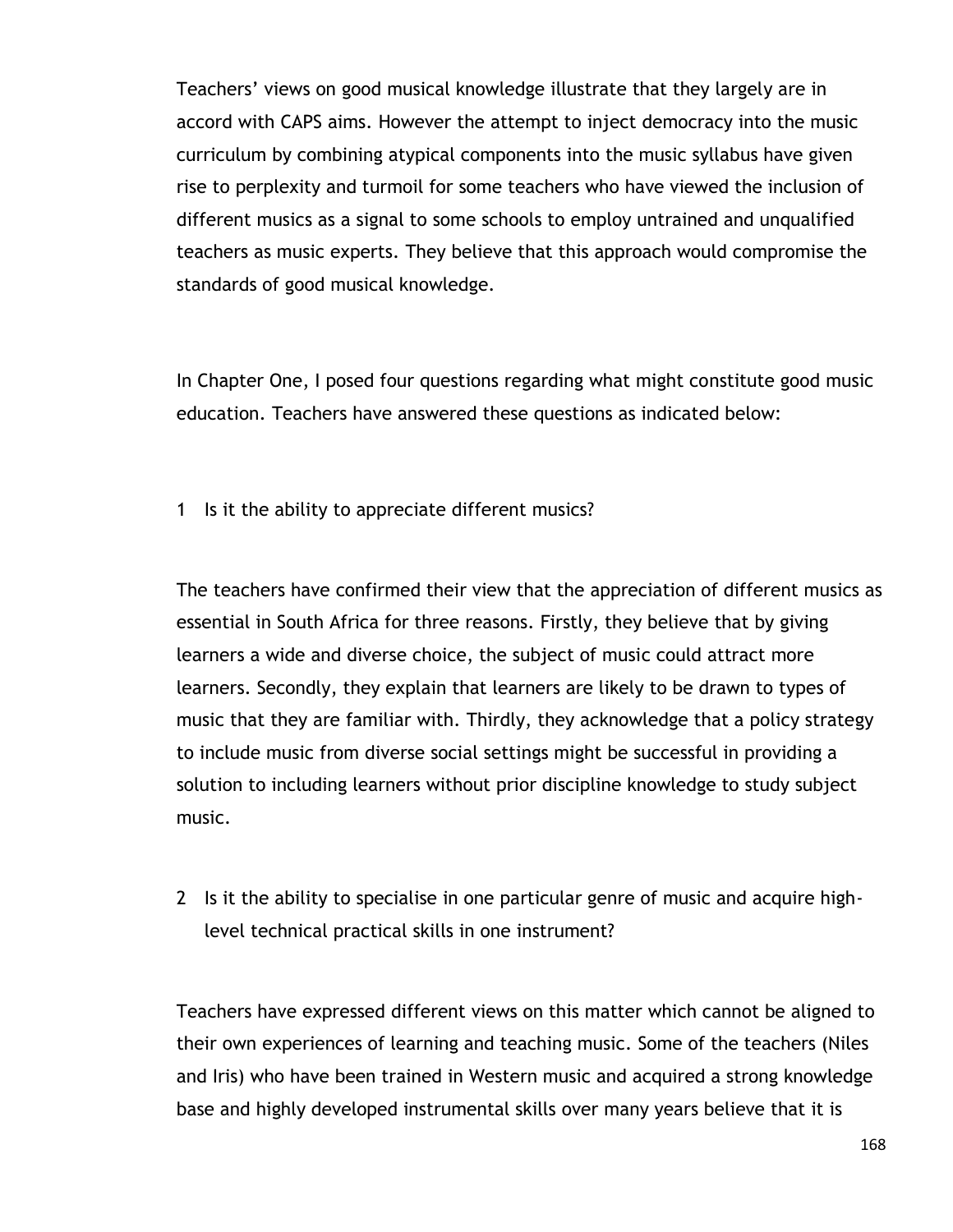Teachers" views on good musical knowledge illustrate that they largely are in accord with CAPS aims. However the attempt to inject democracy into the music curriculum by combining atypical components into the music syllabus have given rise to perplexity and turmoil for some teachers who have viewed the inclusion of different musics as a signal to some schools to employ untrained and unqualified teachers as music experts. They believe that this approach would compromise the standards of good musical knowledge.

In Chapter One, I posed four questions regarding what might constitute good music education. Teachers have answered these questions as indicated below:

1 Is it the ability to appreciate different musics?

The teachers have confirmed their view that the appreciation of different musics as essential in South Africa for three reasons. Firstly, they believe that by giving learners a wide and diverse choice, the subject of music could attract more learners. Secondly, they explain that learners are likely to be drawn to types of music that they are familiar with. Thirdly, they acknowledge that a policy strategy to include music from diverse social settings might be successful in providing a solution to including learners without prior discipline knowledge to study subject music.

2 Is it the ability to specialise in one particular genre of music and acquire highlevel technical practical skills in one instrument?

Teachers have expressed different views on this matter which cannot be aligned to their own experiences of learning and teaching music. Some of the teachers (Niles and Iris) who have been trained in Western music and acquired a strong knowledge base and highly developed instrumental skills over many years believe that it is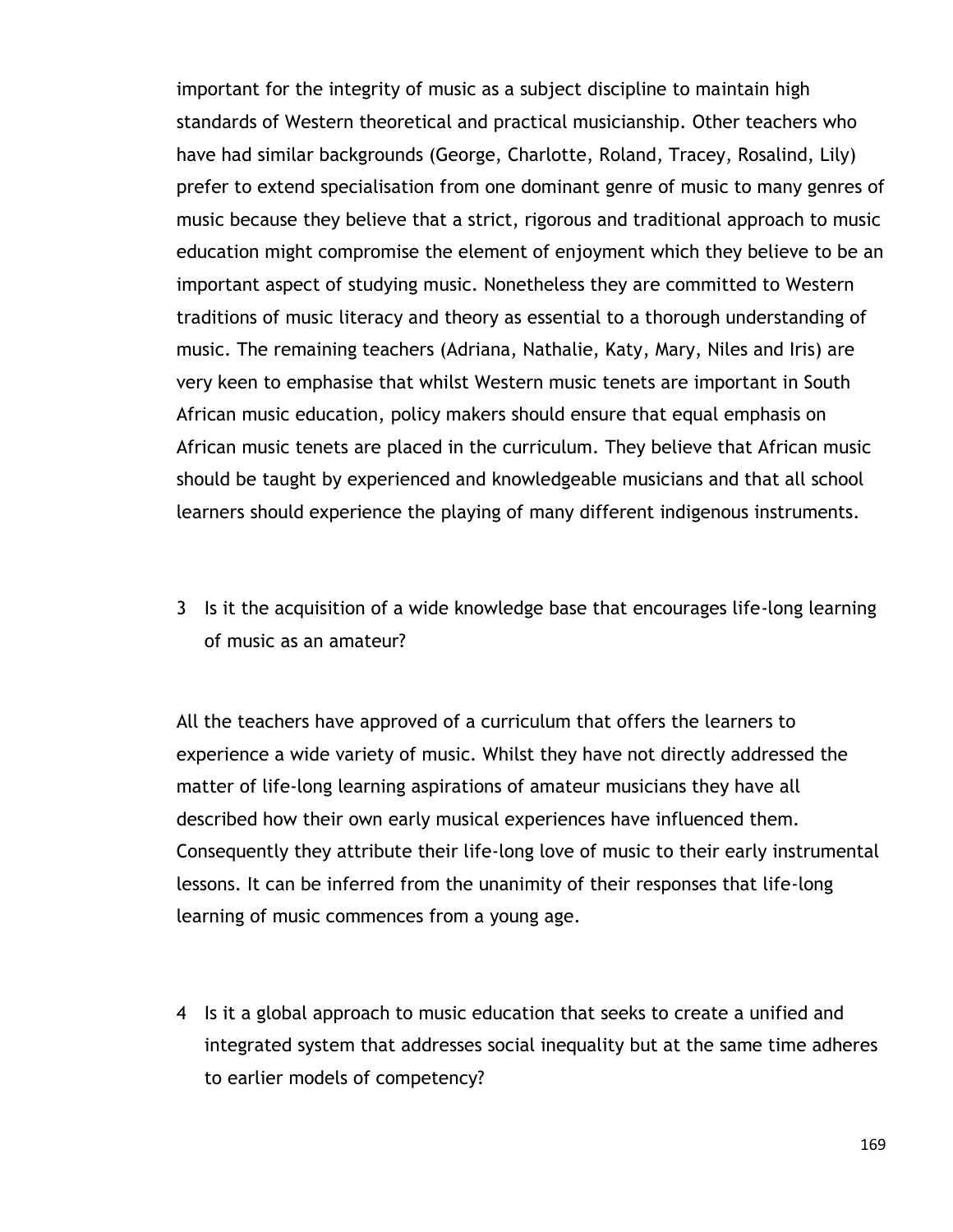important for the integrity of music as a subject discipline to maintain high standards of Western theoretical and practical musicianship. Other teachers who have had similar backgrounds (George, Charlotte, Roland, Tracey, Rosalind, Lily) prefer to extend specialisation from one dominant genre of music to many genres of music because they believe that a strict, rigorous and traditional approach to music education might compromise the element of enjoyment which they believe to be an important aspect of studying music. Nonetheless they are committed to Western traditions of music literacy and theory as essential to a thorough understanding of music. The remaining teachers (Adriana, Nathalie, Katy, Mary, Niles and Iris) are very keen to emphasise that whilst Western music tenets are important in South African music education, policy makers should ensure that equal emphasis on African music tenets are placed in the curriculum. They believe that African music should be taught by experienced and knowledgeable musicians and that all school learners should experience the playing of many different indigenous instruments.

3 Is it the acquisition of a wide knowledge base that encourages life-long learning of music as an amateur?

All the teachers have approved of a curriculum that offers the learners to experience a wide variety of music. Whilst they have not directly addressed the matter of life-long learning aspirations of amateur musicians they have all described how their own early musical experiences have influenced them. Consequently they attribute their life-long love of music to their early instrumental lessons. It can be inferred from the unanimity of their responses that life-long learning of music commences from a young age.

4 Is it a global approach to music education that seeks to create a unified and integrated system that addresses social inequality but at the same time adheres to earlier models of competency?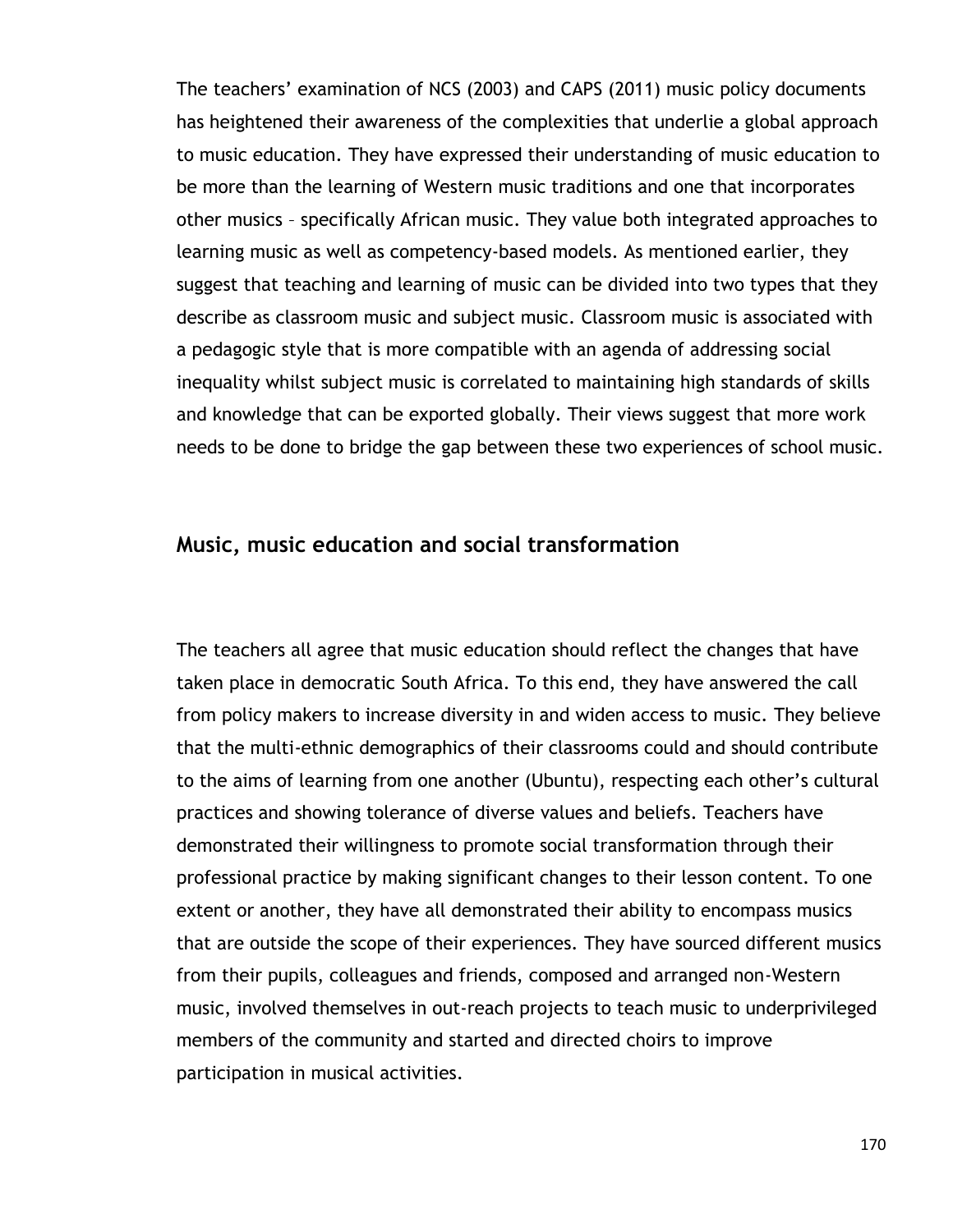The teachers' examination of NCS (2003) and CAPS (2011) music policy documents has heightened their awareness of the complexities that underlie a global approach to music education. They have expressed their understanding of music education to be more than the learning of Western music traditions and one that incorporates other musics – specifically African music. They value both integrated approaches to learning music as well as competency-based models. As mentioned earlier, they suggest that teaching and learning of music can be divided into two types that they describe as classroom music and subject music. Classroom music is associated with a pedagogic style that is more compatible with an agenda of addressing social inequality whilst subject music is correlated to maintaining high standards of skills and knowledge that can be exported globally. Their views suggest that more work needs to be done to bridge the gap between these two experiences of school music.

#### **Music, music education and social transformation**

The teachers all agree that music education should reflect the changes that have taken place in democratic South Africa. To this end, they have answered the call from policy makers to increase diversity in and widen access to music. They believe that the multi-ethnic demographics of their classrooms could and should contribute to the aims of learning from one another (Ubuntu), respecting each other"s cultural practices and showing tolerance of diverse values and beliefs. Teachers have demonstrated their willingness to promote social transformation through their professional practice by making significant changes to their lesson content. To one extent or another, they have all demonstrated their ability to encompass musics that are outside the scope of their experiences. They have sourced different musics from their pupils, colleagues and friends, composed and arranged non-Western music, involved themselves in out-reach projects to teach music to underprivileged members of the community and started and directed choirs to improve participation in musical activities.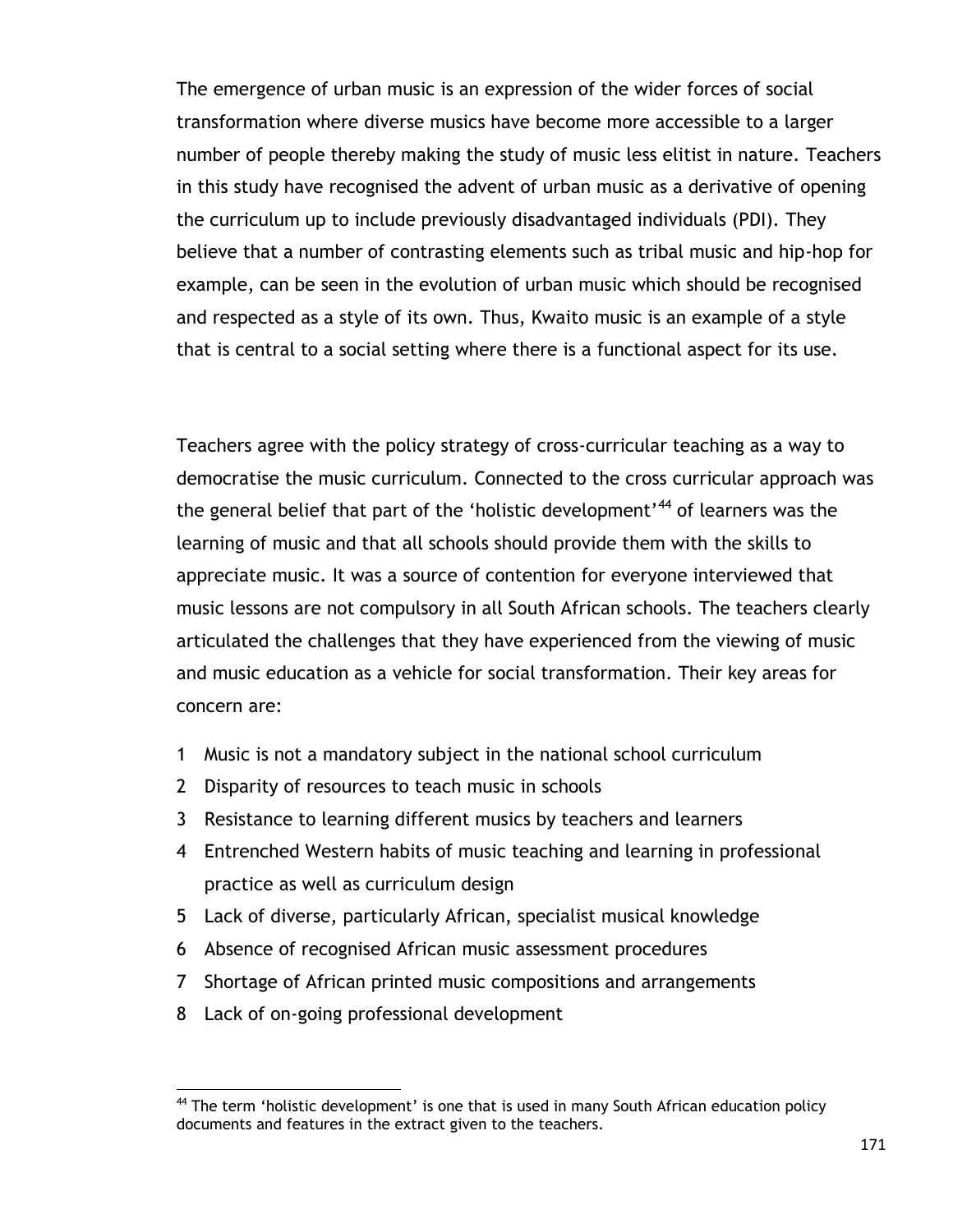The emergence of urban music is an expression of the wider forces of social transformation where diverse musics have become more accessible to a larger number of people thereby making the study of music less elitist in nature. Teachers in this study have recognised the advent of urban music as a derivative of opening the curriculum up to include previously disadvantaged individuals (PDI). They believe that a number of contrasting elements such as tribal music and hip-hop for example, can be seen in the evolution of urban music which should be recognised and respected as a style of its own. Thus, Kwaito music is an example of a style that is central to a social setting where there is a functional aspect for its use.

Teachers agree with the policy strategy of cross-curricular teaching as a way to democratise the music curriculum. Connected to the cross curricular approach was the general belief that part of the 'holistic development'<sup>44</sup> of learners was the learning of music and that all schools should provide them with the skills to appreciate music. It was a source of contention for everyone interviewed that music lessons are not compulsory in all South African schools. The teachers clearly articulated the challenges that they have experienced from the viewing of music and music education as a vehicle for social transformation. Their key areas for concern are:

- 1 Music is not a mandatory subject in the national school curriculum
- 2 Disparity of resources to teach music in schools
- 3 Resistance to learning different musics by teachers and learners
- 4 Entrenched Western habits of music teaching and learning in professional practice as well as curriculum design
- 5 Lack of diverse, particularly African, specialist musical knowledge
- 6 Absence of recognised African music assessment procedures
- 7 Shortage of African printed music compositions and arrangements
- 8 Lack of on-going professional development

 $\overline{a}$ 

 $44$  The term 'holistic development' is one that is used in many South African education policy documents and features in the extract given to the teachers.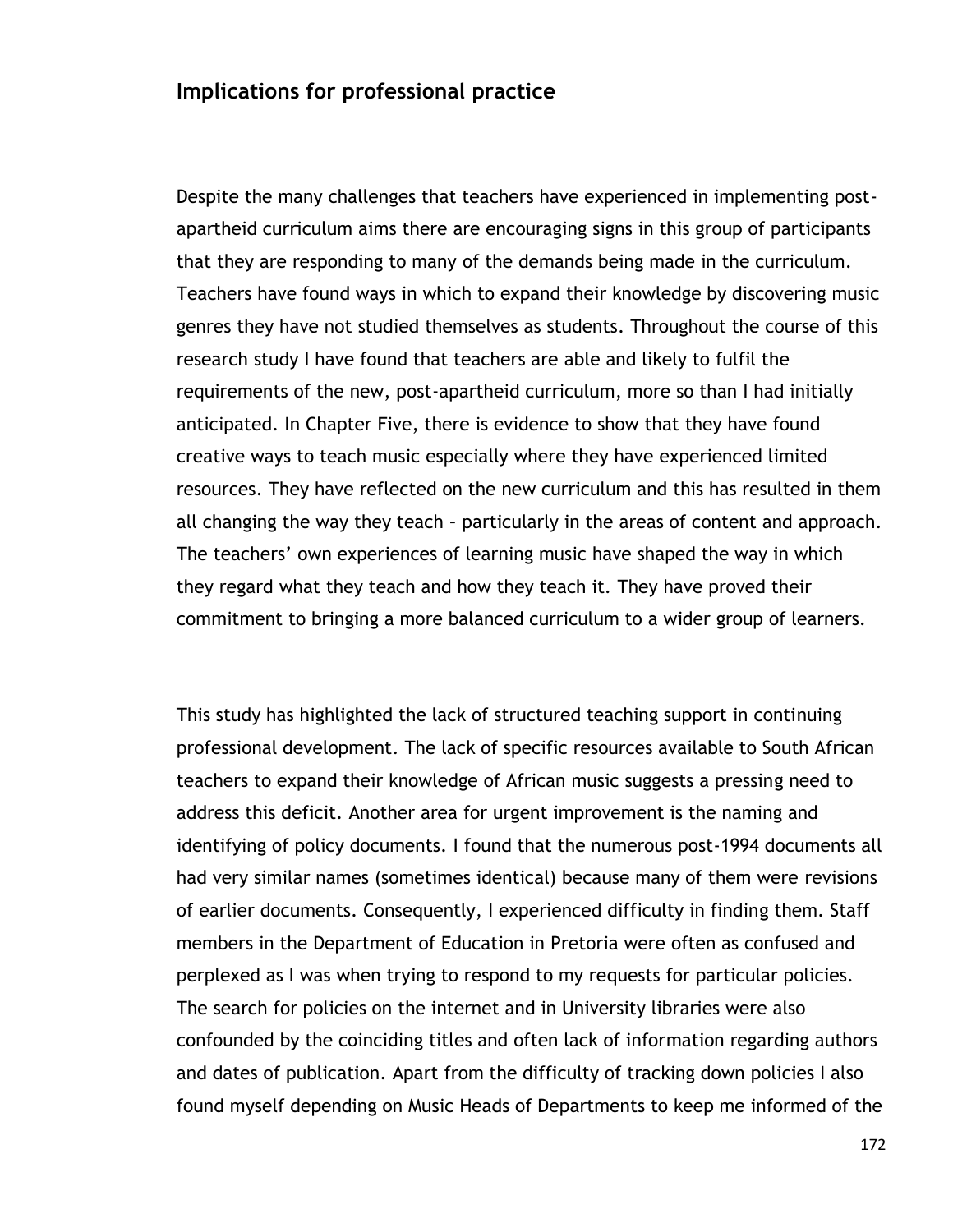### **Implications for professional practice**

Despite the many challenges that teachers have experienced in implementing postapartheid curriculum aims there are encouraging signs in this group of participants that they are responding to many of the demands being made in the curriculum. Teachers have found ways in which to expand their knowledge by discovering music genres they have not studied themselves as students. Throughout the course of this research study I have found that teachers are able and likely to fulfil the requirements of the new, post-apartheid curriculum, more so than I had initially anticipated. In Chapter Five, there is evidence to show that they have found creative ways to teach music especially where they have experienced limited resources. They have reflected on the new curriculum and this has resulted in them all changing the way they teach – particularly in the areas of content and approach. The teachers' own experiences of learning music have shaped the way in which they regard what they teach and how they teach it. They have proved their commitment to bringing a more balanced curriculum to a wider group of learners.

This study has highlighted the lack of structured teaching support in continuing professional development. The lack of specific resources available to South African teachers to expand their knowledge of African music suggests a pressing need to address this deficit. Another area for urgent improvement is the naming and identifying of policy documents. I found that the numerous post-1994 documents all had very similar names (sometimes identical) because many of them were revisions of earlier documents. Consequently, I experienced difficulty in finding them. Staff members in the Department of Education in Pretoria were often as confused and perplexed as I was when trying to respond to my requests for particular policies. The search for policies on the internet and in University libraries were also confounded by the coinciding titles and often lack of information regarding authors and dates of publication. Apart from the difficulty of tracking down policies I also found myself depending on Music Heads of Departments to keep me informed of the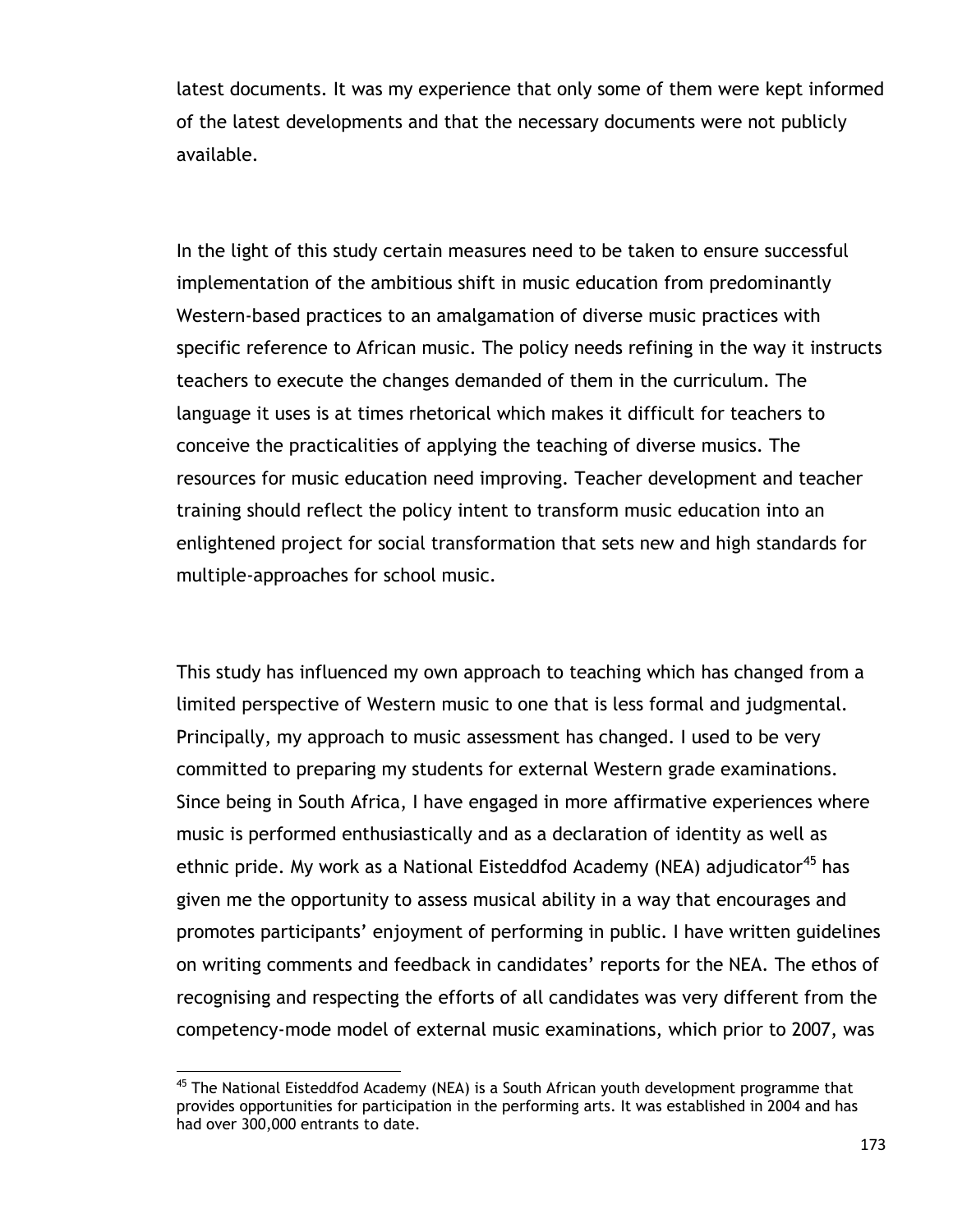latest documents. It was my experience that only some of them were kept informed of the latest developments and that the necessary documents were not publicly available.

In the light of this study certain measures need to be taken to ensure successful implementation of the ambitious shift in music education from predominantly Western-based practices to an amalgamation of diverse music practices with specific reference to African music. The policy needs refining in the way it instructs teachers to execute the changes demanded of them in the curriculum. The language it uses is at times rhetorical which makes it difficult for teachers to conceive the practicalities of applying the teaching of diverse musics. The resources for music education need improving. Teacher development and teacher training should reflect the policy intent to transform music education into an enlightened project for social transformation that sets new and high standards for multiple-approaches for school music.

This study has influenced my own approach to teaching which has changed from a limited perspective of Western music to one that is less formal and judgmental. Principally, my approach to music assessment has changed. I used to be very committed to preparing my students for external Western grade examinations. Since being in South Africa, I have engaged in more affirmative experiences where music is performed enthusiastically and as a declaration of identity as well as ethnic pride. My work as a National Eisteddfod Academy (NEA) adjudicator<sup>45</sup> has given me the opportunity to assess musical ability in a way that encourages and promotes participants" enjoyment of performing in public. I have written guidelines on writing comments and feedback in candidates' reports for the NEA. The ethos of recognising and respecting the efforts of all candidates was very different from the competency-mode model of external music examinations, which prior to 2007, was

 $\overline{a}$ 

<sup>&</sup>lt;sup>45</sup> The National Eisteddfod Academy (NEA) is a South African youth development programme that provides opportunities for participation in the performing arts. It was established in 2004 and has had over 300,000 entrants to date.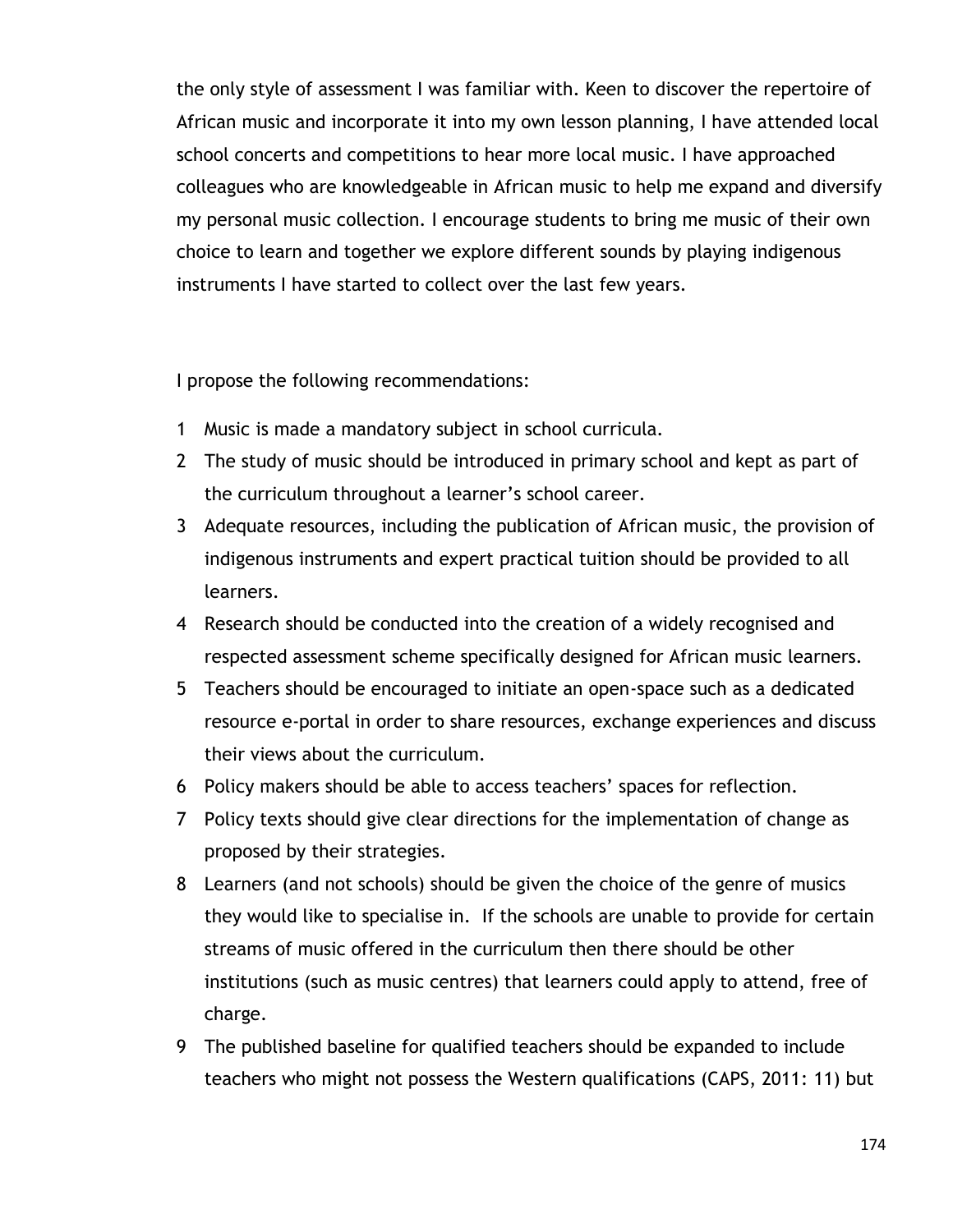the only style of assessment I was familiar with. Keen to discover the repertoire of African music and incorporate it into my own lesson planning, I have attended local school concerts and competitions to hear more local music. I have approached colleagues who are knowledgeable in African music to help me expand and diversify my personal music collection. I encourage students to bring me music of their own choice to learn and together we explore different sounds by playing indigenous instruments I have started to collect over the last few years.

I propose the following recommendations:

- 1 Music is made a mandatory subject in school curricula.
- 2 The study of music should be introduced in primary school and kept as part of the curriculum throughout a learner"s school career.
- 3 Adequate resources, including the publication of African music, the provision of indigenous instruments and expert practical tuition should be provided to all learners.
- 4 Research should be conducted into the creation of a widely recognised and respected assessment scheme specifically designed for African music learners.
- 5 Teachers should be encouraged to initiate an open-space such as a dedicated resource e-portal in order to share resources, exchange experiences and discuss their views about the curriculum.
- 6 Policy makers should be able to access teachers" spaces for reflection.
- 7 Policy texts should give clear directions for the implementation of change as proposed by their strategies.
- 8 Learners (and not schools) should be given the choice of the genre of musics they would like to specialise in. If the schools are unable to provide for certain streams of music offered in the curriculum then there should be other institutions (such as music centres) that learners could apply to attend, free of charge.
- 9 The published baseline for qualified teachers should be expanded to include teachers who might not possess the Western qualifications (CAPS, 2011: 11) but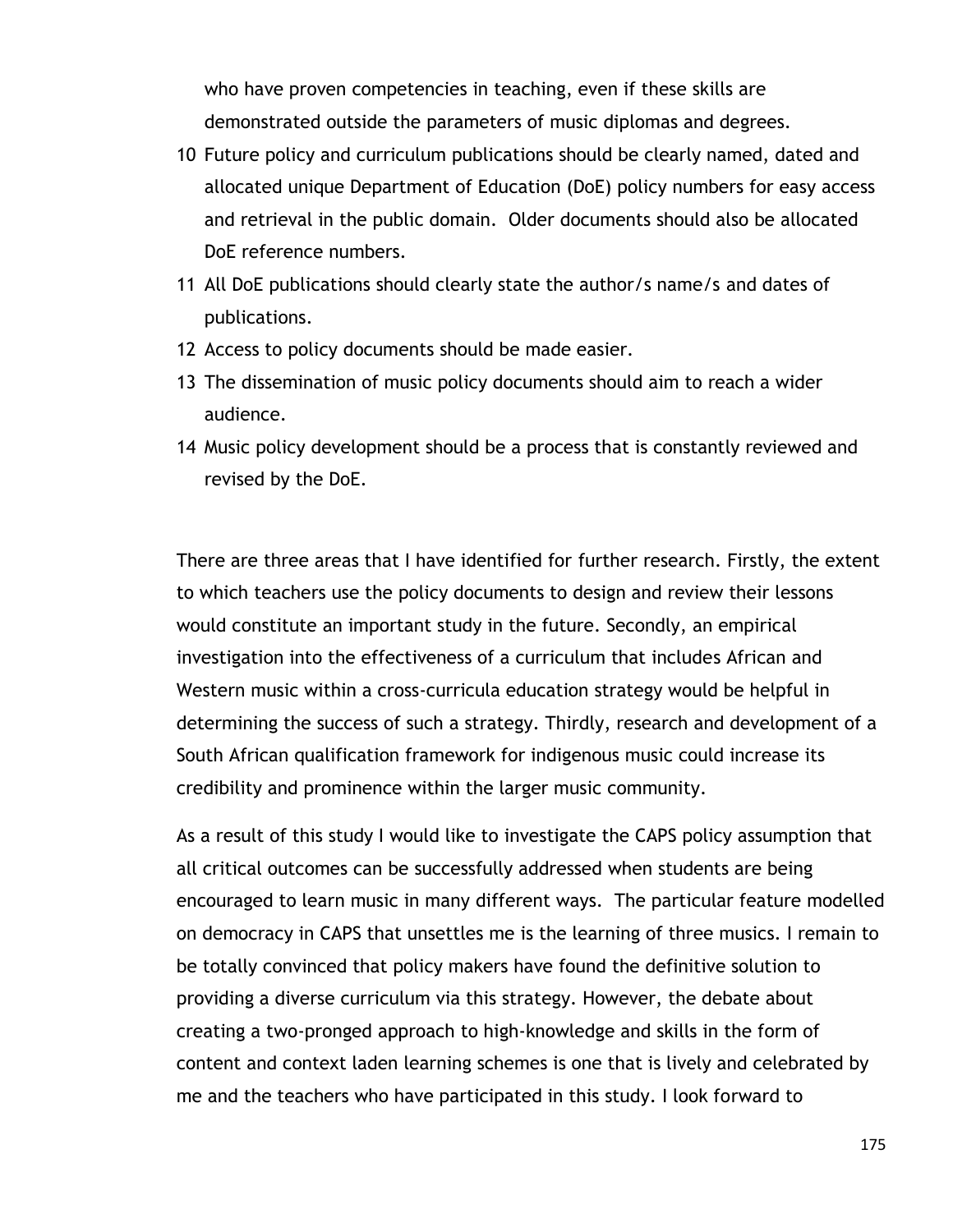who have proven competencies in teaching, even if these skills are demonstrated outside the parameters of music diplomas and degrees.

- 10 Future policy and curriculum publications should be clearly named, dated and allocated unique Department of Education (DoE) policy numbers for easy access and retrieval in the public domain. Older documents should also be allocated DoE reference numbers.
- 11 All DoE publications should clearly state the author/s name/s and dates of publications.
- 12 Access to policy documents should be made easier.
- 13 The dissemination of music policy documents should aim to reach a wider audience.
- 14 Music policy development should be a process that is constantly reviewed and revised by the DoE.

There are three areas that I have identified for further research. Firstly, the extent to which teachers use the policy documents to design and review their lessons would constitute an important study in the future. Secondly, an empirical investigation into the effectiveness of a curriculum that includes African and Western music within a cross-curricula education strategy would be helpful in determining the success of such a strategy. Thirdly, research and development of a South African qualification framework for indigenous music could increase its credibility and prominence within the larger music community.

As a result of this study I would like to investigate the CAPS policy assumption that all critical outcomes can be successfully addressed when students are being encouraged to learn music in many different ways. The particular feature modelled on democracy in CAPS that unsettles me is the learning of three musics. I remain to be totally convinced that policy makers have found the definitive solution to providing a diverse curriculum via this strategy. However, the debate about creating a two-pronged approach to high-knowledge and skills in the form of content and context laden learning schemes is one that is lively and celebrated by me and the teachers who have participated in this study. I look forward to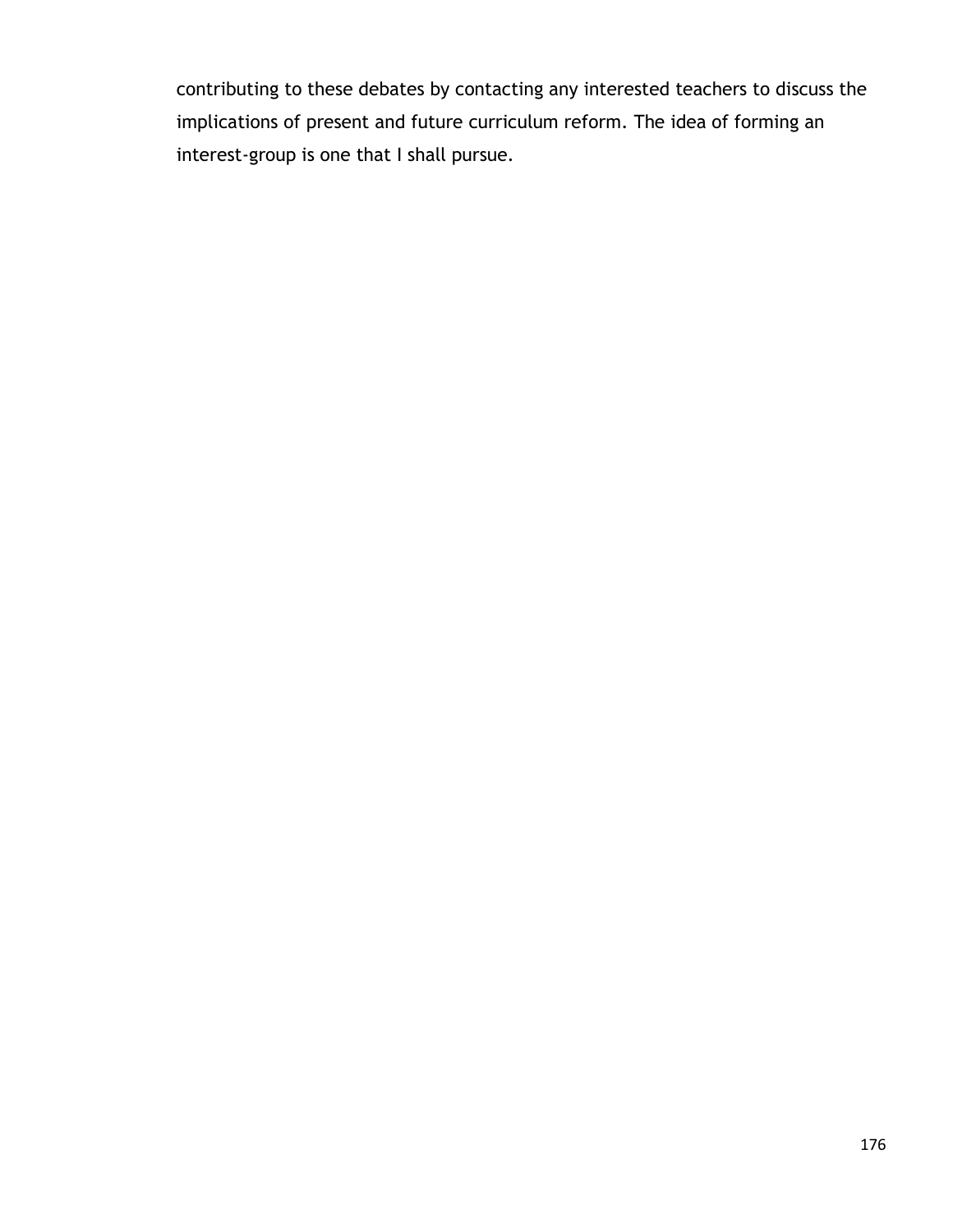contributing to these debates by contacting any interested teachers to discuss the implications of present and future curriculum reform. The idea of forming an interest-group is one that I shall pursue.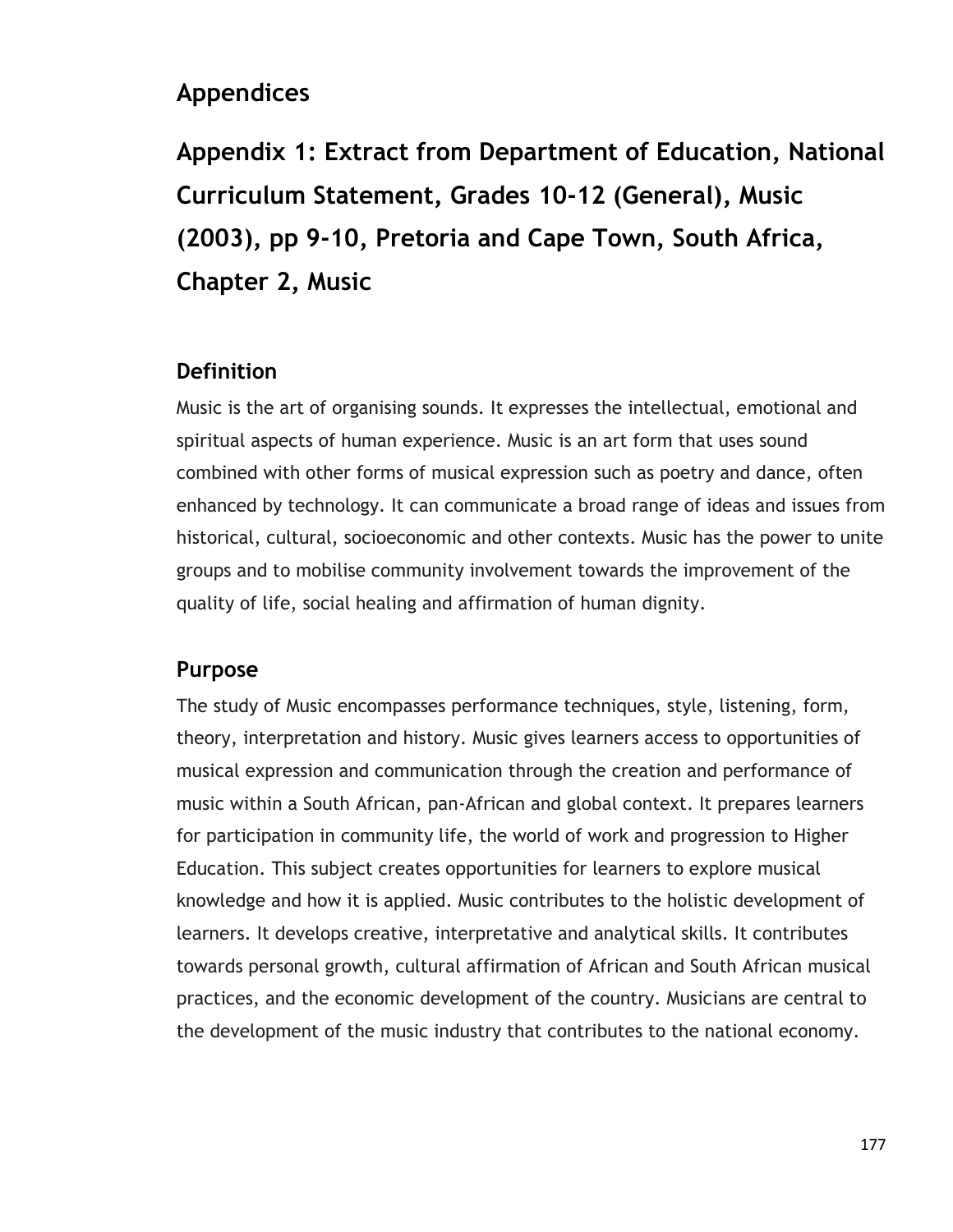## **Appendices**

**Appendix 1: Extract from Department of Education, National Curriculum Statement, Grades 10-12 (General), Music (2003), pp 9-10, Pretoria and Cape Town, South Africa, Chapter 2, Music** 

### **Definition**

Music is the art of organising sounds. It expresses the intellectual, emotional and spiritual aspects of human experience. Music is an art form that uses sound combined with other forms of musical expression such as poetry and dance, often enhanced by technology. It can communicate a broad range of ideas and issues from historical, cultural, socioeconomic and other contexts. Music has the power to unite groups and to mobilise community involvement towards the improvement of the quality of life, social healing and affirmation of human dignity.

### **Purpose**

The study of Music encompasses performance techniques, style, listening, form, theory, interpretation and history. Music gives learners access to opportunities of musical expression and communication through the creation and performance of music within a South African, pan-African and global context. It prepares learners for participation in community life, the world of work and progression to Higher Education. This subject creates opportunities for learners to explore musical knowledge and how it is applied. Music contributes to the holistic development of learners. It develops creative, interpretative and analytical skills. It contributes towards personal growth, cultural affirmation of African and South African musical practices, and the economic development of the country. Musicians are central to the development of the music industry that contributes to the national economy.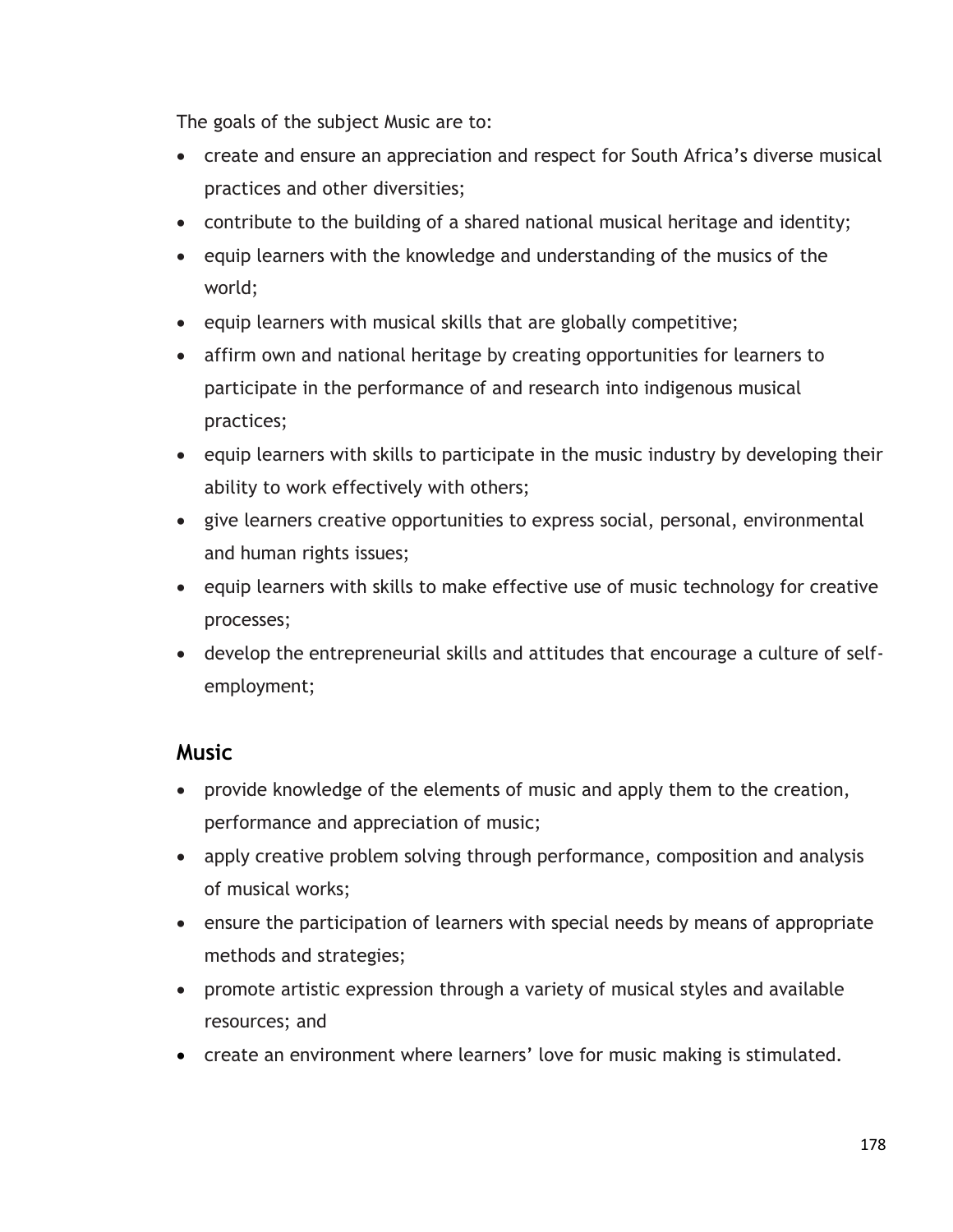The goals of the subject Music are to:

- create and ensure an appreciation and respect for South Africa's diverse musical practices and other diversities;
- contribute to the building of a shared national musical heritage and identity;
- equip learners with the knowledge and understanding of the musics of the world;
- $\bullet$  equip learners with musical skills that are globally competitive;
- affirm own and national heritage by creating opportunities for learners to participate in the performance of and research into indigenous musical practices;
- equip learners with skills to participate in the music industry by developing their ability to work effectively with others;
- give learners creative opportunities to express social, personal, environmental and human rights issues;
- equip learners with skills to make effective use of music technology for creative processes;
- develop the entrepreneurial skills and attitudes that encourage a culture of selfemployment;

### **Music**

- provide knowledge of the elements of music and apply them to the creation, performance and appreciation of music;
- apply creative problem solving through performance, composition and analysis of musical works;
- ensure the participation of learners with special needs by means of appropriate methods and strategies;
- promote artistic expression through a variety of musical styles and available resources; and
- create an environment where learners' love for music making is stimulated.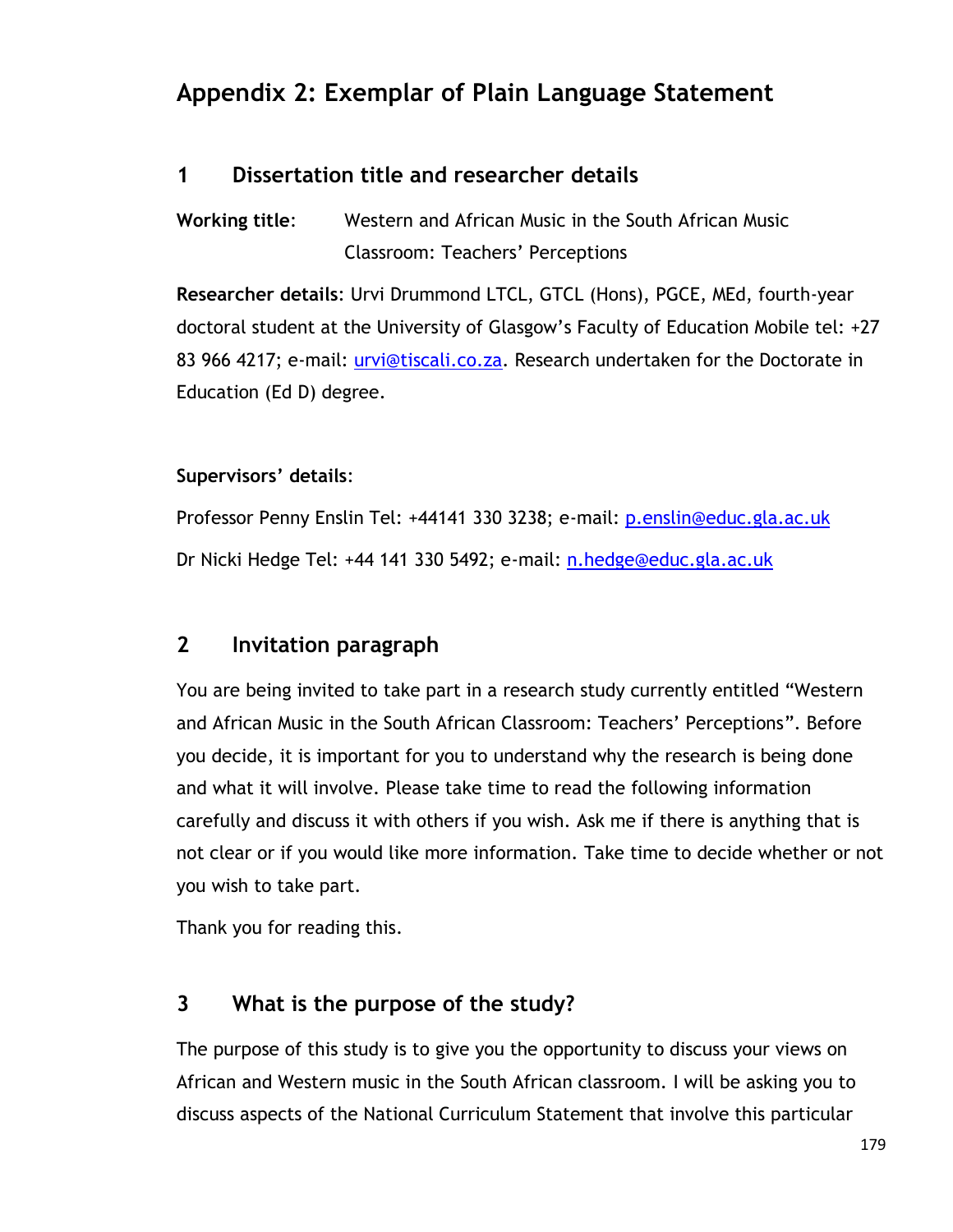# **Appendix 2: Exemplar of Plain Language Statement**

### **1 Dissertation title and researcher details**

**Working title**: Western and African Music in the South African Music Classroom: Teachers" Perceptions

**Researcher details**: Urvi Drummond LTCL, GTCL (Hons), PGCE, MEd, fourth-year doctoral student at the University of Glasgow"s Faculty of Education Mobile tel: +27 83 966 4217; e-mail: *urvi@tiscali.co.za.* Research undertaken for the Doctorate in Education (Ed D) degree.

#### **Supervisors' details**:

Professor Penny Enslin Tel: +44141 330 3238; e-mail: [p.enslin@educ.gla.ac.uk](mailto:p.enslin@educ.gla.ac.uk) Dr Nicki Hedge Tel: +44 141 330 5492; e-mail: [n.hedge@educ.gla.ac.uk](mailto:n.hedge@educ.gla.ac.uk) 

### **2 Invitation paragraph**

You are being invited to take part in a research study currently entitled "Western and African Music in the South African Classroom: Teachers' Perceptions". Before you decide, it is important for you to understand why the research is being done and what it will involve. Please take time to read the following information carefully and discuss it with others if you wish. Ask me if there is anything that is not clear or if you would like more information. Take time to decide whether or not you wish to take part.

Thank you for reading this.

### **3 What is the purpose of the study?**

The purpose of this study is to give you the opportunity to discuss your views on African and Western music in the South African classroom. I will be asking you to discuss aspects of the National Curriculum Statement that involve this particular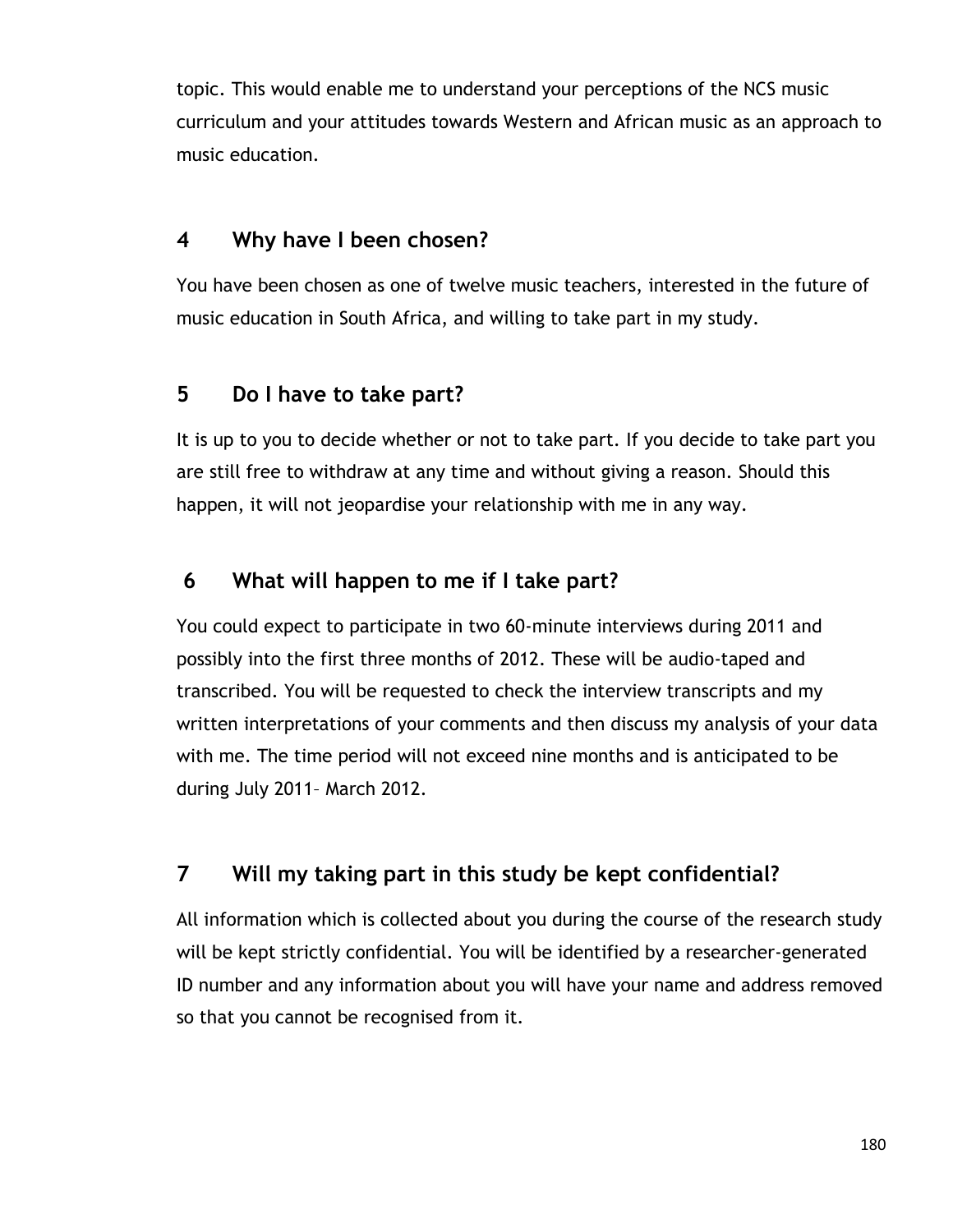topic. This would enable me to understand your perceptions of the NCS music curriculum and your attitudes towards Western and African music as an approach to music education.

### **4 Why have I been chosen?**

You have been chosen as one of twelve music teachers, interested in the future of music education in South Africa, and willing to take part in my study.

### **5 Do I have to take part?**

It is up to you to decide whether or not to take part. If you decide to take part you are still free to withdraw at any time and without giving a reason. Should this happen, it will not jeopardise your relationship with me in any way.

## **6 What will happen to me if I take part?**

You could expect to participate in two 60-minute interviews during 2011 and possibly into the first three months of 2012. These will be audio-taped and transcribed. You will be requested to check the interview transcripts and my written interpretations of your comments and then discuss my analysis of your data with me. The time period will not exceed nine months and is anticipated to be during July 2011– March 2012.

## **7 Will my taking part in this study be kept confidential?**

All information which is collected about you during the course of the research study will be kept strictly confidential. You will be identified by a researcher-generated ID number and any information about you will have your name and address removed so that you cannot be recognised from it.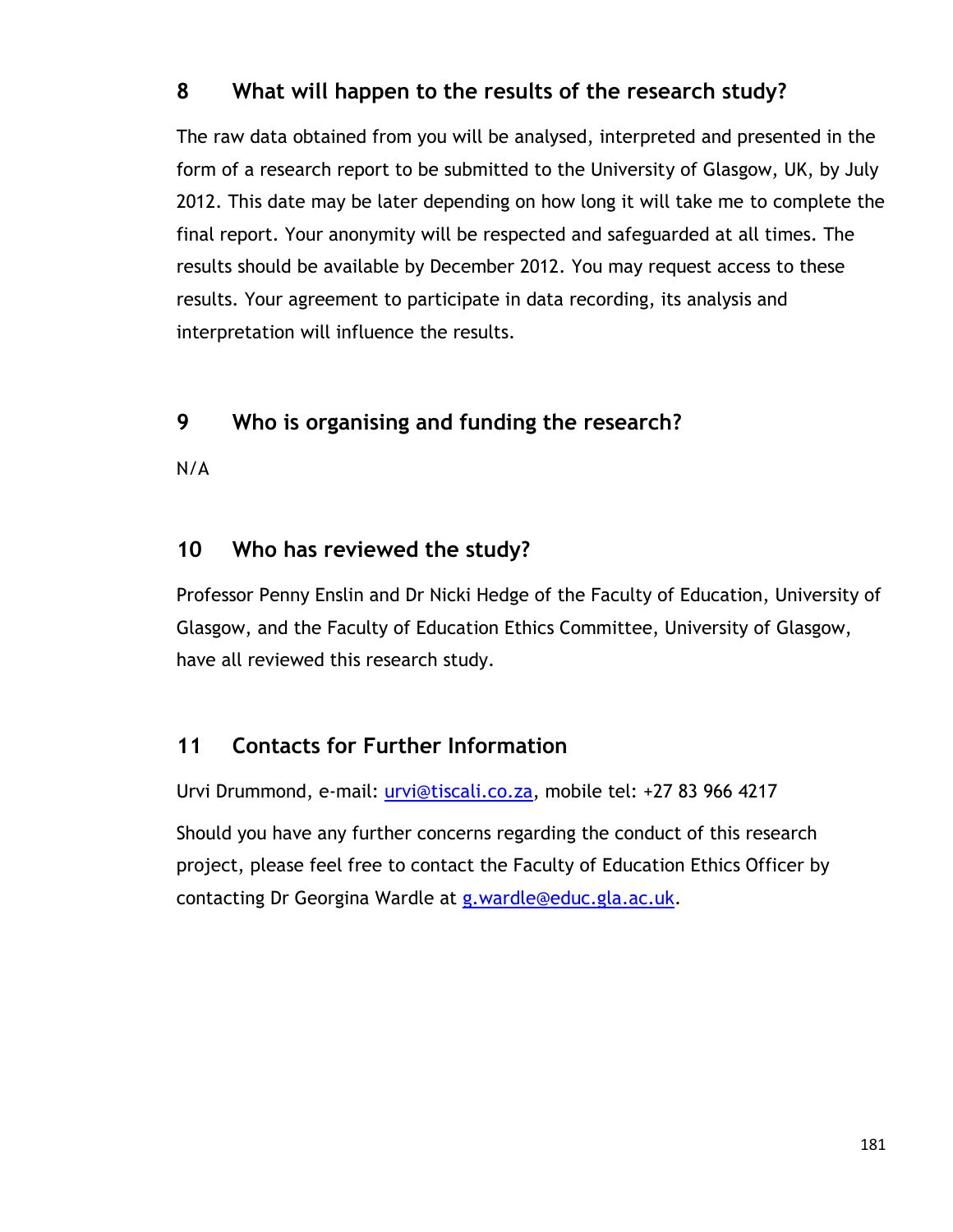### **8 What will happen to the results of the research study?**

The raw data obtained from you will be analysed, interpreted and presented in the form of a research report to be submitted to the University of Glasgow, UK, by July 2012. This date may be later depending on how long it will take me to complete the final report. Your anonymity will be respected and safeguarded at all times. The results should be available by December 2012. You may request access to these results. Your agreement to participate in data recording, its analysis and interpretation will influence the results.

### **9 Who is organising and funding the research?**

N/A

### **10 Who has reviewed the study?**

Professor Penny Enslin and Dr Nicki Hedge of the Faculty of Education, University of Glasgow, and the Faculty of Education Ethics Committee, University of Glasgow, have all reviewed this research study.

### **11 Contacts for Further Information**

Urvi Drummond, e-mail: [urvi@tiscali.co.za,](mailto:urvi@tiscali.co.za) mobile tel: +27 83 966 4217

Should you have any further concerns regarding the conduct of this research project, please feel free to contact the Faculty of Education Ethics Officer by contacting Dr Georgina Wardle at [g.wardle@educ.gla.ac.uk.](mailto:g.wardle@educ.gla.ac.uk)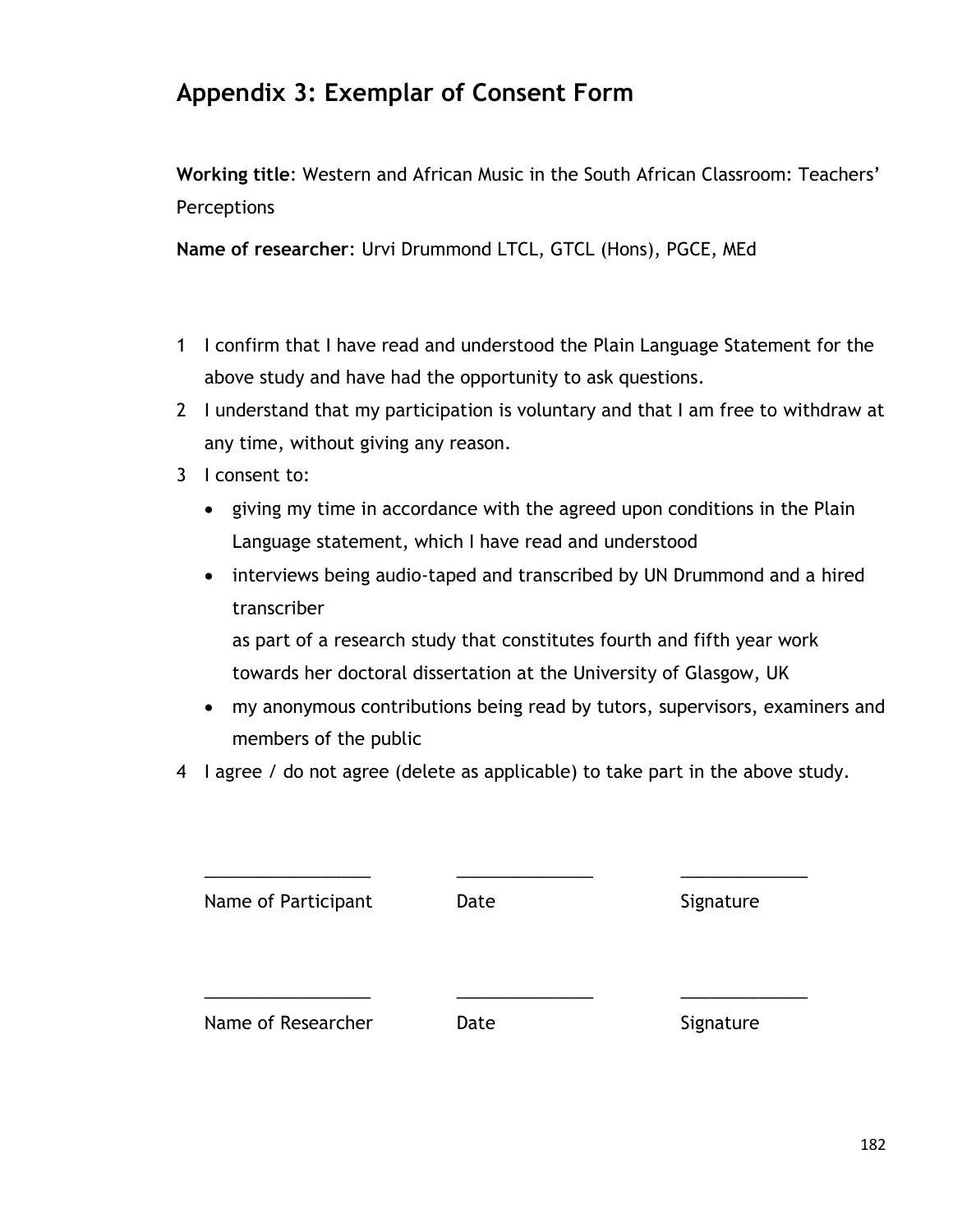# **Appendix 3: Exemplar of Consent Form**

**Working title**: Western and African Music in the South African Classroom: Teachers" **Perceptions** 

**Name of researcher**: Urvi Drummond LTCL, GTCL (Hons), PGCE, MEd

- 1 I confirm that I have read and understood the Plain Language Statement for the above study and have had the opportunity to ask questions.
- 2 I understand that my participation is voluntary and that I am free to withdraw at any time, without giving any reason.
- 3 I consent to:
	- giving my time in accordance with the agreed upon conditions in the Plain Language statement, which I have read and understood
	- interviews being audio-taped and transcribed by UN Drummond and a hired transcriber

as part of a research study that constitutes fourth and fifth year work towards her doctoral dissertation at the University of Glasgow, UK

- my anonymous contributions being read by tutors, supervisors, examiners and members of the public
- 4 I agree / do not agree (delete as applicable) to take part in the above study.

| Name of Participant | Date | Signature |
|---------------------|------|-----------|
| Name of Researcher  | Date | Signature |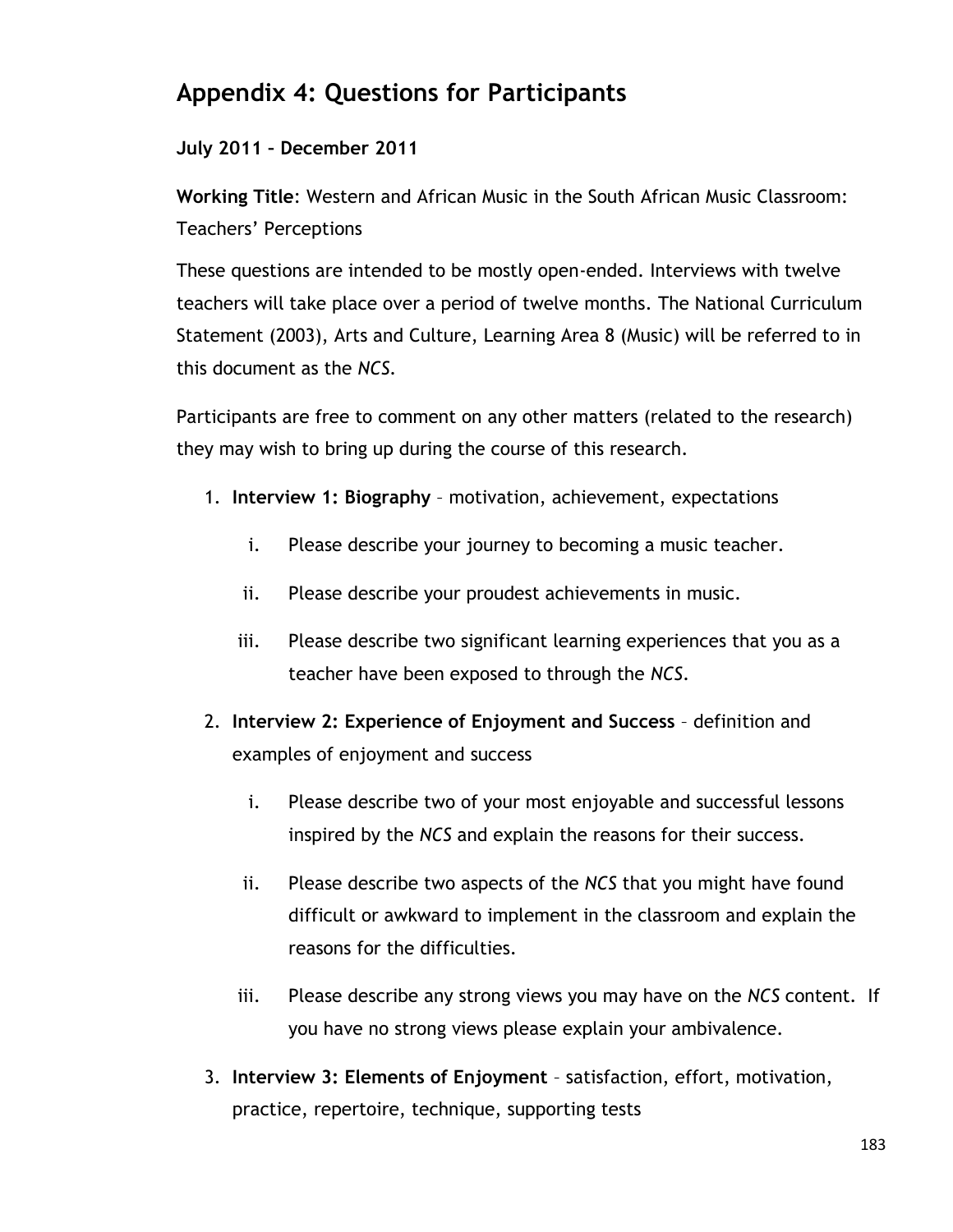# **Appendix 4: Questions for Participants**

#### **July 2011 – December 2011**

**Working Title**: Western and African Music in the South African Music Classroom: Teachers" Perceptions

These questions are intended to be mostly open-ended. Interviews with twelve teachers will take place over a period of twelve months. The National Curriculum Statement (2003), Arts and Culture, Learning Area 8 (Music) will be referred to in this document as the *NCS.*

Participants are free to comment on any other matters (related to the research) they may wish to bring up during the course of this research.

- 1. **Interview 1: Biography**  motivation, achievement, expectations
	- i. Please describe your journey to becoming a music teacher.
	- ii. Please describe your proudest achievements in music.
	- iii. Please describe two significant learning experiences that you as a teacher have been exposed to through the *NCS*.
- 2. **Interview 2: Experience of Enjoyment and Success** definition and examples of enjoyment and success
	- i. Please describe two of your most enjoyable and successful lessons inspired by the *NCS* and explain the reasons for their success.
	- ii. Please describe two aspects of the *NCS* that you might have found difficult or awkward to implement in the classroom and explain the reasons for the difficulties.
	- iii. Please describe any strong views you may have on the *NCS* content. If you have no strong views please explain your ambivalence.
- 3. **Interview 3: Elements of Enjoyment**  satisfaction, effort, motivation, practice, repertoire, technique, supporting tests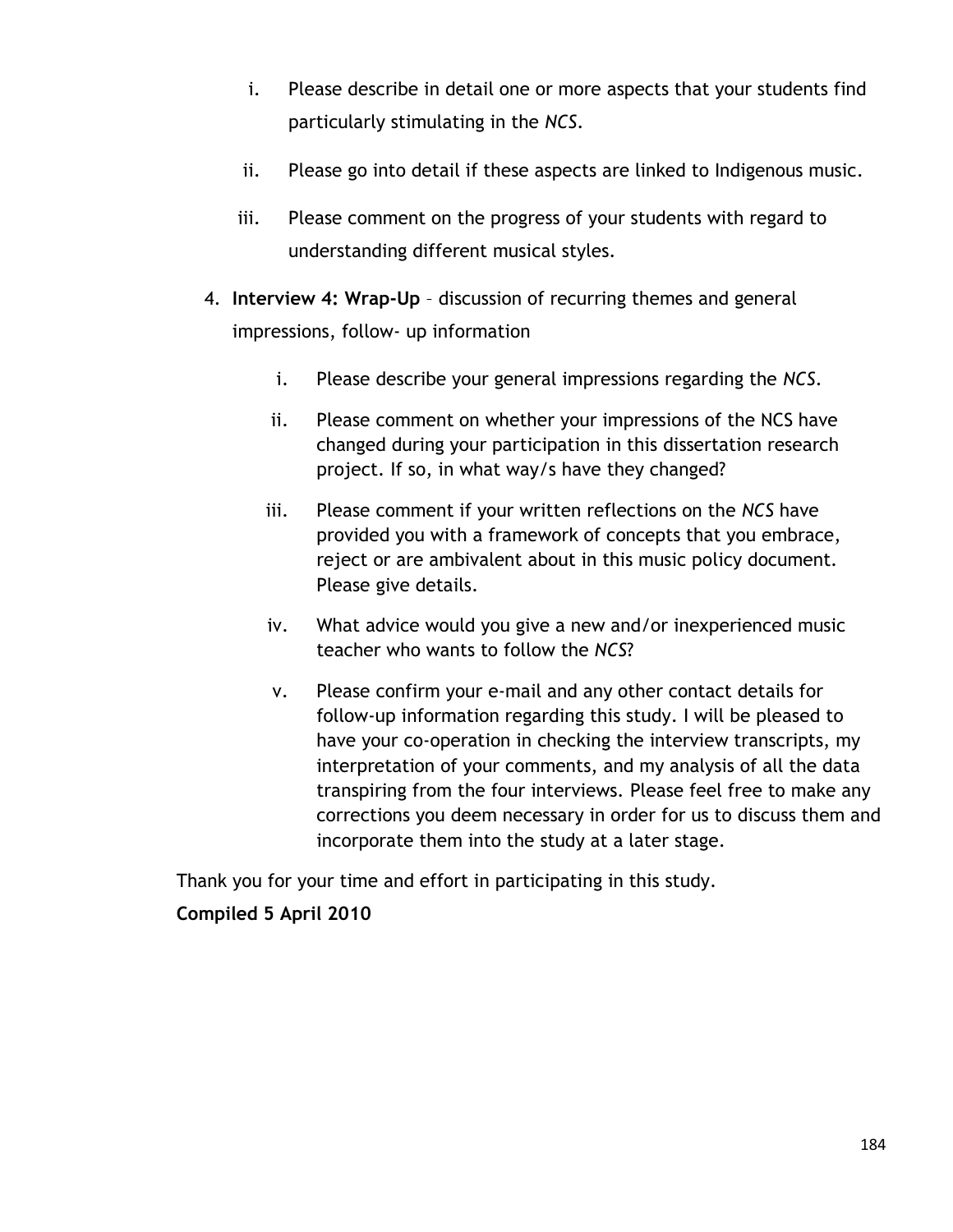- i. Please describe in detail one or more aspects that your students find particularly stimulating in the *NCS*.
- ii. Please go into detail if these aspects are linked to Indigenous music.
- iii. Please comment on the progress of your students with regard to understanding different musical styles.
- 4. **Interview 4: Wrap-Up**  discussion of recurring themes and general impressions, follow- up information
	- i. Please describe your general impressions regarding the *NCS*.
	- ii. Please comment on whether your impressions of the NCS have changed during your participation in this dissertation research project. If so, in what way/s have they changed?
	- iii. Please comment if your written reflections on the *NCS* have provided you with a framework of concepts that you embrace, reject or are ambivalent about in this music policy document. Please give details.
	- iv. What advice would you give a new and/or inexperienced music teacher who wants to follow the *NCS*?
	- v. Please confirm your e-mail and any other contact details for follow-up information regarding this study. I will be pleased to have your co-operation in checking the interview transcripts, my interpretation of your comments, and my analysis of all the data transpiring from the four interviews. Please feel free to make any corrections you deem necessary in order for us to discuss them and incorporate them into the study at a later stage.

Thank you for your time and effort in participating in this study.

#### **Compiled 5 April 2010**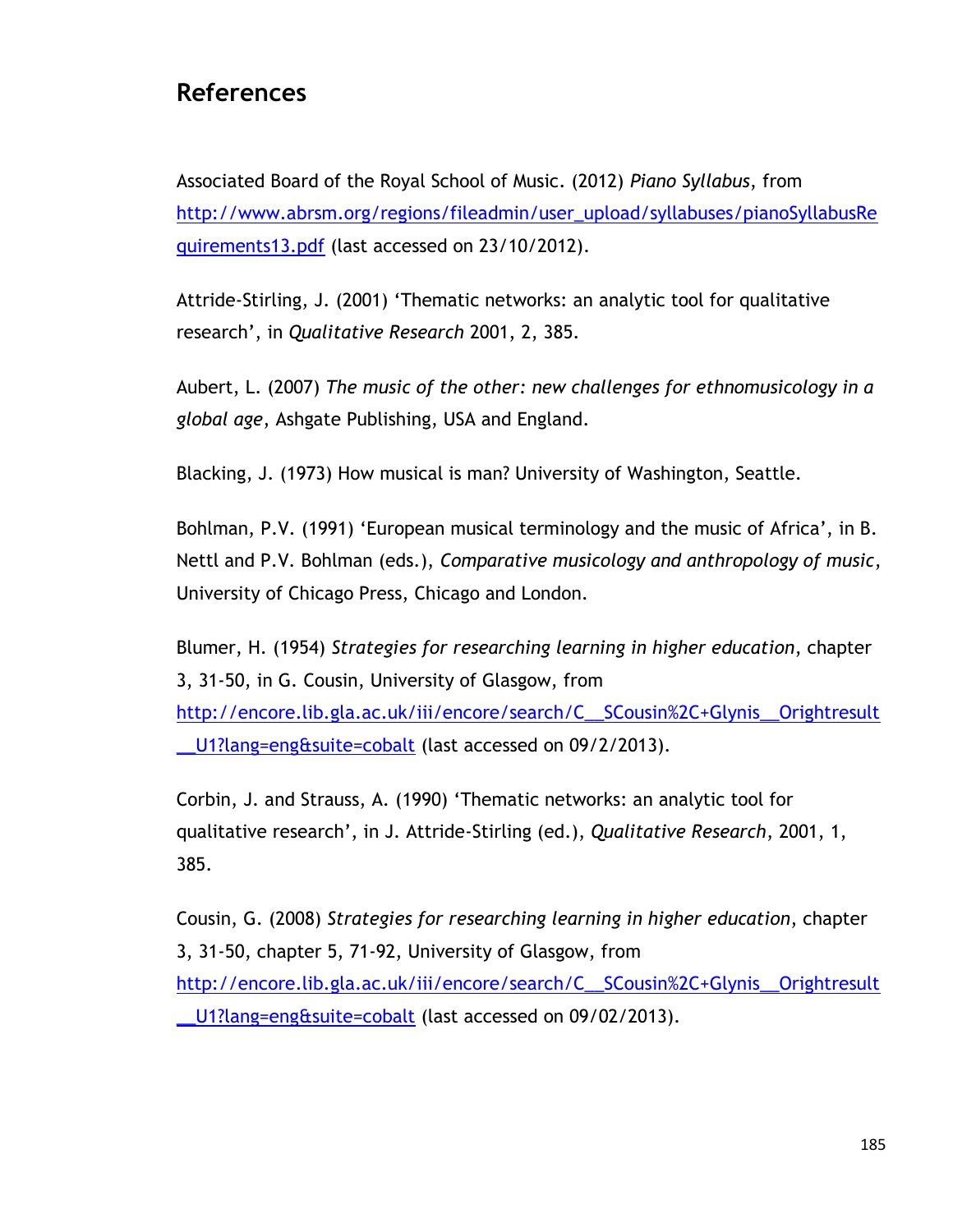## **References**

Associated Board of the Royal School of Music. (2012) *Piano Syllabus*, from [http://www.abrsm.org/regions/fileadmin/user\\_upload/syllabuses/pianoSyllabusRe](http://www.abrsm.org/regions/fileadmin/user_upload/syllabuses/pianoSyllabusRequirements13.pdf) [quirements13.pdf](http://www.abrsm.org/regions/fileadmin/user_upload/syllabuses/pianoSyllabusRequirements13.pdf) (last accessed on 23/10/2012).

Attride-Stirling, J. (2001) "Thematic networks: an analytic tool for qualitative research", in *Qualitative Research* 2001, 2, 385.

Aubert, L. (2007) *The music of the other: new challenges for ethnomusicology in a global age*, Ashgate Publishing, USA and England.

Blacking, J. (1973) How musical is man? University of Washington, Seattle.

Bohlman, P.V. (1991) 'European musical terminology and the music of Africa', in B. Nettl and P.V. Bohlman (eds.), *Comparative musicology and anthropology of music*, University of Chicago Press, Chicago and London.

Blumer, H. (1954) *Strategies for researching learning in higher education*, chapter 3, 31-50, in G. Cousin, University of Glasgow, from [http://encore.lib.gla.ac.uk/iii/encore/search/C\\_\\_SCousin%2C+Glynis\\_\\_Orightresult](http://encore.lib.gla.ac.uk/iii/encore/search/C__SCousin%2C+Glynis__Orightresult__U1?lang=eng&suite=cobalt) U1?lang=eng&suite=cobalt (last accessed on 09/2/2013).

Corbin, J. and Strauss, A. (1990) "Thematic networks: an analytic tool for qualitative research", in J. Attride-Stirling (ed.), *Qualitative Research*, 2001, 1, 385.

Cousin, G. (2008) *Strategies for researching learning in higher education*, chapter 3, 31-50, chapter 5, 71-92, University of Glasgow, from [http://encore.lib.gla.ac.uk/iii/encore/search/C\\_\\_SCousin%2C+Glynis\\_\\_Orightresult](http://encore.lib.gla.ac.uk/iii/encore/search/C__SCousin%2C+Glynis__Orightresult__U1?lang=eng&suite=cobalt) [\\_\\_U1?lang=eng&suite=cobalt](http://encore.lib.gla.ac.uk/iii/encore/search/C__SCousin%2C+Glynis__Orightresult__U1?lang=eng&suite=cobalt) (last accessed on 09/02/2013).

185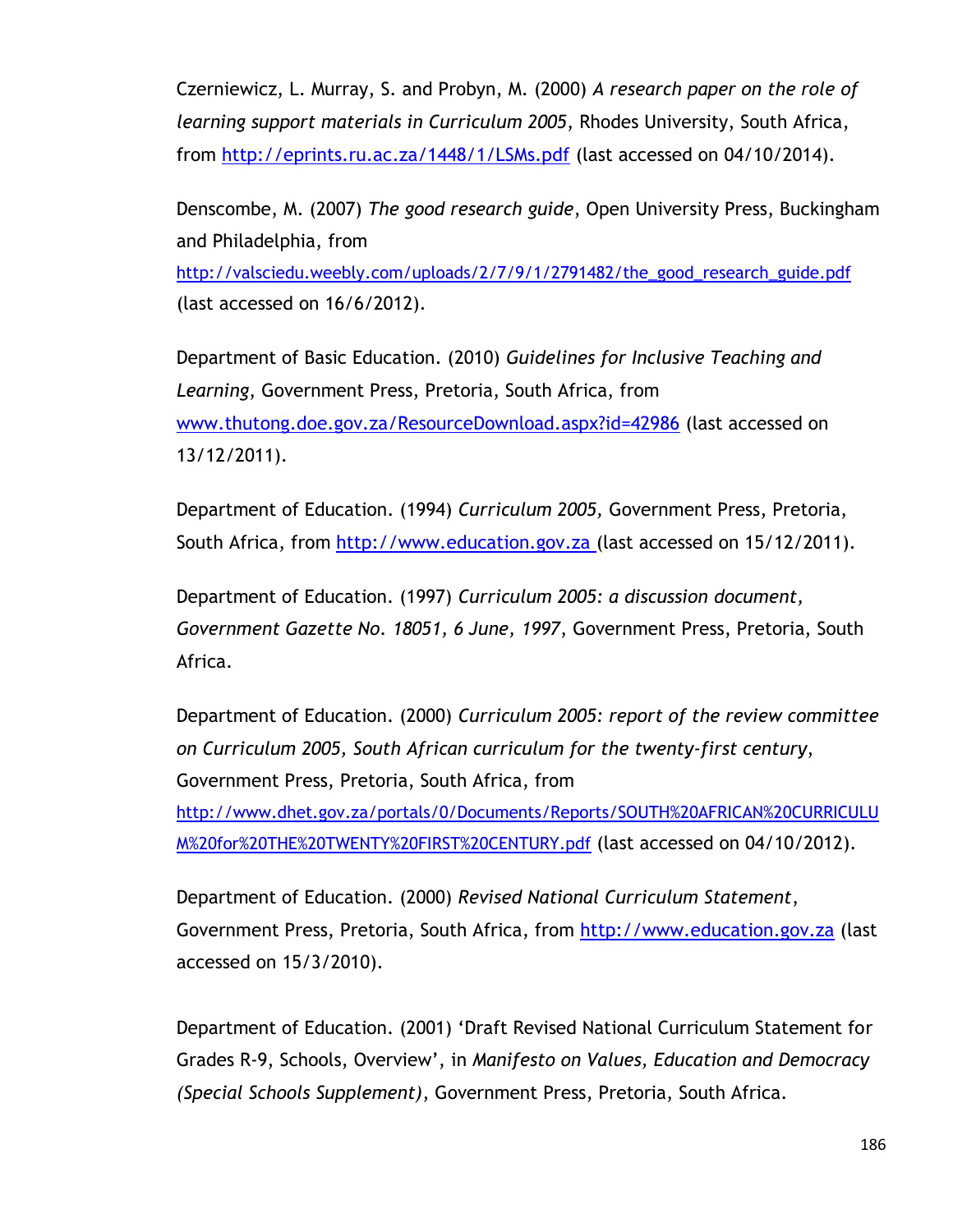Czerniewicz, L. Murray, S. and Probyn, M. (2000) *A research paper on the role of learning support materials in Curriculum 2005*, Rhodes University, South Africa, from<http://eprints.ru.ac.za/1448/1/LSMs.pdf> (last accessed on 04/10/2014).

Denscombe, M. (2007) *The good research guide*, Open University Press, Buckingham and Philadelphia, from

[http://valsciedu.weebly.com/uploads/2/7/9/1/2791482/the\\_good\\_research\\_guide.pdf](http://valsciedu.weebly.com/uploads/2/7/9/1/2791482/the_good_research_guide.pdf) (last accessed on 16/6/2012).

Department of Basic Education. (2010) *Guidelines for Inclusive Teaching and Learning*, Government Press, Pretoria, South Africa, from [www.thutong.doe.gov.za/ResourceDownload.aspx?id=42986](http://www.thutong.doe.gov.za/ResourceDownload.aspx?id=42986) (last accessed on 13/12/2011).

Department of Education. (1994) *Curriculum 2005,* Government Press, Pretoria, South Africa, from [http://www.education.gov.za](http://www.education.gov.za/) (last accessed on 15/12/2011).

Department of Education. (1997) *Curriculum 2005: a discussion document, Government Gazette No. 18051, 6 June, 1997*, Government Press, Pretoria, South Africa.

Department of Education. (2000) *Curriculum 2005: report of the review committee on Curriculum 2005, South African curriculum for the twenty-first century*, Government Press, Pretoria, South Africa, from

[http://www.dhet.gov.za/portals/0/Documents/Reports/SOUTH%20AFRICAN%20CURRICULU](http://www.dhet.gov.za/portals/0/Documents/Reports/SOUTH%20AFRICAN%20CURRICULUM%20for%20THE%20TWENTY%20FIRST%20CENTURY.pdf) [M%20for%20THE%20TWENTY%20FIRST%20CENTURY.pdf](http://www.dhet.gov.za/portals/0/Documents/Reports/SOUTH%20AFRICAN%20CURRICULUM%20for%20THE%20TWENTY%20FIRST%20CENTURY.pdf) (last accessed on 04/10/2012).

Department of Education. (2000) *Revised National Curriculum Statement*, Government Press, Pretoria, South Africa, from [http://www.education.gov.za](http://www.education.gov.za/) (last accessed on 15/3/2010).

Department of Education. (2001) "Draft Revised National Curriculum Statement for Grades R-9, Schools, Overview", in *Manifesto on Values, Education and Democracy (Special Schools Supplement)*, Government Press, Pretoria, South Africa.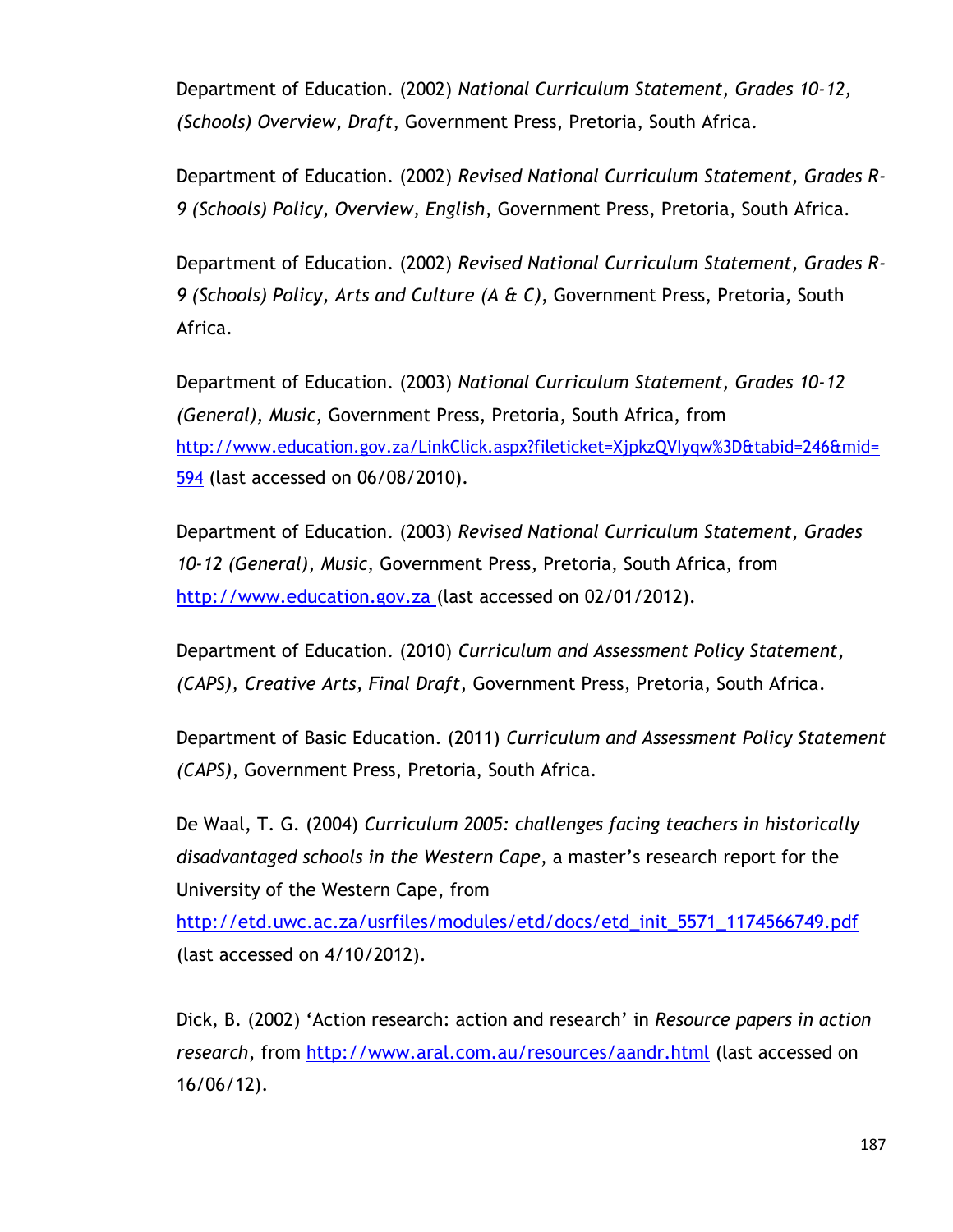Department of Education. (2002) *National Curriculum Statement, Grades 10-12, (Schools) Overview, Draft*, Government Press, Pretoria, South Africa.

Department of Education. (2002) *Revised National Curriculum Statement, Grades R-9 (Schools) Policy, Overview, English*, Government Press, Pretoria, South Africa.

Department of Education. (2002) *Revised National Curriculum Statement, Grades R-9 (Schools) Policy, Arts and Culture (A & C)*, Government Press, Pretoria, South Africa.

Department of Education. (2003) *National Curriculum Statement, Grades 10-12 (General), Music*, Government Press, Pretoria, South Africa, from [http://www.education.gov.za/LinkClick.aspx?fileticket=XjpkzQVIyqw%3D&tabid=246&mid=](http://www.education.gov.za/LinkClick.aspx?fileticket=XjpkzQVIyqw%3D&tabid=246&mid=594) [594](http://www.education.gov.za/LinkClick.aspx?fileticket=XjpkzQVIyqw%3D&tabid=246&mid=594) (last accessed on 06/08/2010).

Department of Education. (2003) *Revised National Curriculum Statement, Grades 10-12 (General), Music*, Government Press, Pretoria, South Africa, from [http://www.education.gov.za](http://www.education.gov.za/) (last accessed on 02/01/2012).

Department of Education. (2010) *Curriculum and Assessment Policy Statement, (CAPS), Creative Arts, Final Draft*, Government Press, Pretoria, South Africa.

Department of Basic Education. (2011) *Curriculum and Assessment Policy Statement (CAPS)*, Government Press, Pretoria, South Africa.

De Waal, T. G. (2004) *Curriculum 2005: challenges facing teachers in historically disadvantaged schools in the Western Cape*, a master"s research report for the University of the Western Cape, from

[http://etd.uwc.ac.za/usrfiles/modules/etd/docs/etd\\_init\\_5571\\_1174566749.pdf](http://etd.uwc.ac.za/usrfiles/modules/etd/docs/etd_init_5571_1174566749.pdf) (last accessed on 4/10/2012).

Dick, B. (2002) "Action research: action and research" in *Resource papers in action research*, from<http://www.aral.com.au/resources/aandr.html> (last accessed on 16/06/12).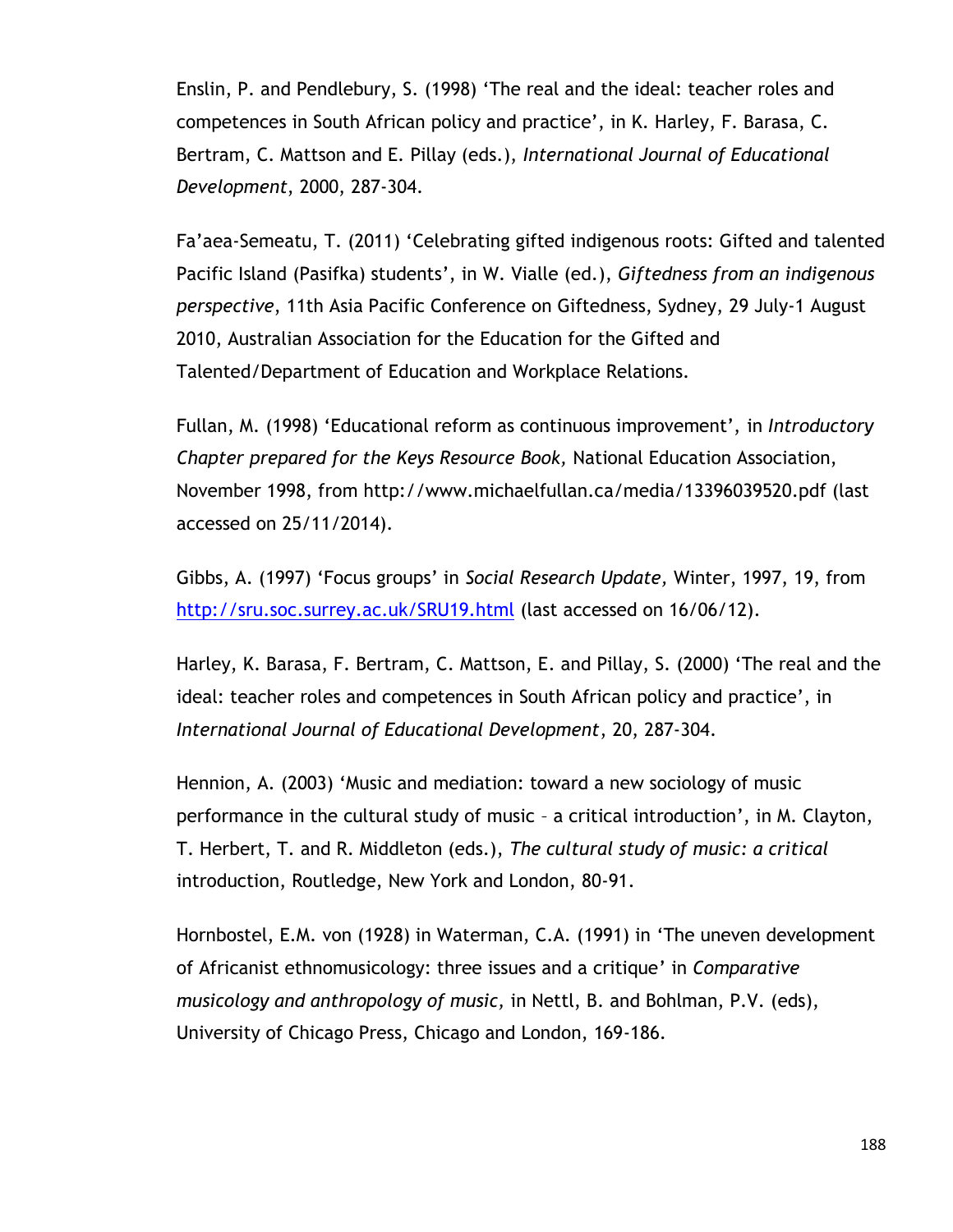Enslin, P. and Pendlebury, S. (1998) "The real and the ideal: teacher roles and competences in South African policy and practice", in K. Harley, F. Barasa, C. Bertram, C. Mattson and E. Pillay (eds.), *International Journal of Educational Development*, 2000, 287-304.

Fa"aea-Semeatu, T. (2011) "Celebrating gifted indigenous roots: Gifted and talented Pacific Island (Pasifka) students", in W. Vialle (ed.), *Giftedness from an indigenous perspective*, 11th Asia Pacific Conference on Giftedness, Sydney, 29 July-1 August 2010, Australian Association for the Education for the Gifted and Talented/Department of Education and Workplace Relations.

Fullan, M. (1998) "Educational reform as continuous improvement", in *Introductory Chapter prepared for the Keys Resource Book,* National Education Association, November 1998, from http://www.michaelfullan.ca/media/13396039520.pdf (last accessed on 25/11/2014).

Gibbs, A. (1997) "Focus groups" in *Social Research Update,* Winter, 1997, 19, from <http://sru.soc.surrey.ac.uk/SRU19.html> (last accessed on 16/06/12).

Harley, K. Barasa, F. Bertram, C. Mattson, E. and Pillay, S. (2000) "The real and the ideal: teacher roles and competences in South African policy and practice", in *International Journal of Educational Development*, 20, 287-304.

Hennion, A. (2003) "Music and mediation: toward a new sociology of music performance in the cultural study of music – a critical introduction", in M. Clayton, T. Herbert, T. and R. Middleton (eds.), *The cultural study of music: a critical*  introduction, Routledge, New York and London, 80-91.

Hornbostel, E.M. von (1928) in Waterman, C.A. (1991) in "The uneven development of Africanist ethnomusicology: three issues and a critique" in *Comparative musicology and anthropology of music,* in Nettl, B. and Bohlman, P.V. (eds), University of Chicago Press, Chicago and London, 169-186.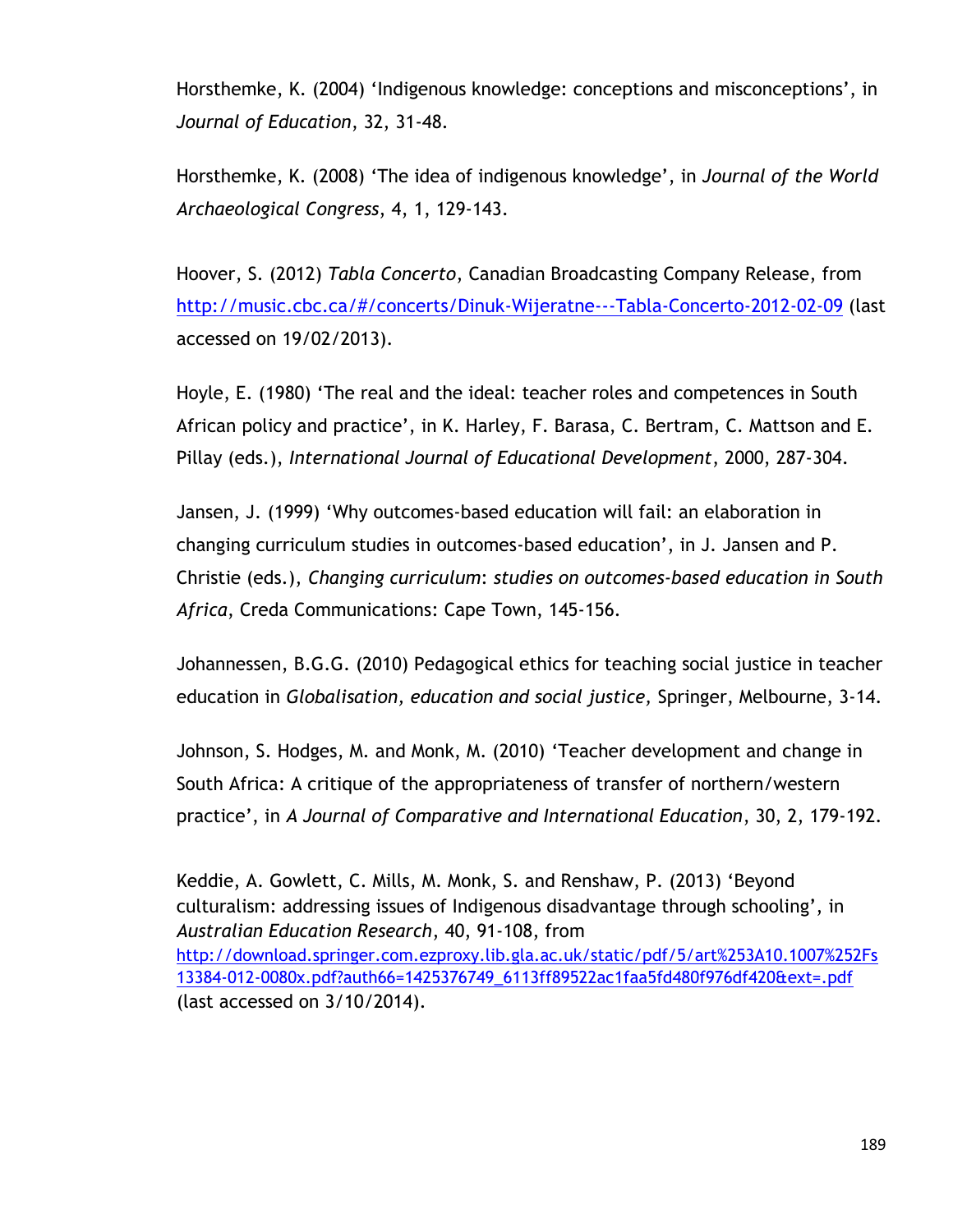Horsthemke, K. (2004) "Indigenous knowledge: conceptions and misconceptions", in *Journal of Education*, 32, 31-48.

Horsthemke, K. (2008) "The idea of indigenous knowledge", in *Journal of the World Archaeological Congress*, 4, 1, 129-143.

Hoover, S. (2012) *Tabla Concerto*, Canadian Broadcasting Company Release, from <http://music.cbc.ca/#/concerts/Dinuk-Wijeratne---Tabla-Concerto-2012-02-09> (last accessed on 19/02/2013).

Hoyle, E. (1980) "The real and the ideal: teacher roles and competences in South African policy and practice", in K. Harley, F. Barasa, C. Bertram, C. Mattson and E. Pillay (eds.), *International Journal of Educational Development*, 2000, 287-304.

Jansen, J. (1999) "Why outcomes-based education will fail: an elaboration in changing curriculum studies in outcomes-based education", in J. Jansen and P. Christie (eds.), *Changing curriculum*: *studies on outcomes-based education in South Africa*, Creda Communications: Cape Town, 145-156.

Johannessen, B.G.G. (2010) Pedagogical ethics for teaching social justice in teacher education in *Globalisation, education and social justice,* Springer, Melbourne, 3-14.

Johnson, S. Hodges, M. and Monk, M. (2010) "Teacher development and change in South Africa: A critique of the appropriateness of transfer of northern/western practice", in *A Journal of Comparative and International Education*, 30, 2, 179-192.

Keddie, A. Gowlett, C. Mills, M. Monk, S. and Renshaw, P. (2013) "Beyond culturalism: addressing issues of Indigenous disadvantage through schooling", in *Australian Education Research*, 40, 91-108, from [http://download.springer.com.ezproxy.lib.gla.ac.uk/static/pdf/5/art%253A10.1007%252Fs](http://download.springer.com.ezproxy.lib.gla.ac.uk/static/pdf/5/art%253A10.1007%252Fs13384-012-0080x.pdf?auth66=1425376749_6113ff89522ac1faa5fd480f976df420&ext=.pdf) [13384-012-0080x.pdf?auth66=1425376749\\_6113ff89522ac1faa5fd480f976df420&ext=.pdf](http://download.springer.com.ezproxy.lib.gla.ac.uk/static/pdf/5/art%253A10.1007%252Fs13384-012-0080x.pdf?auth66=1425376749_6113ff89522ac1faa5fd480f976df420&ext=.pdf) (last accessed on 3/10/2014).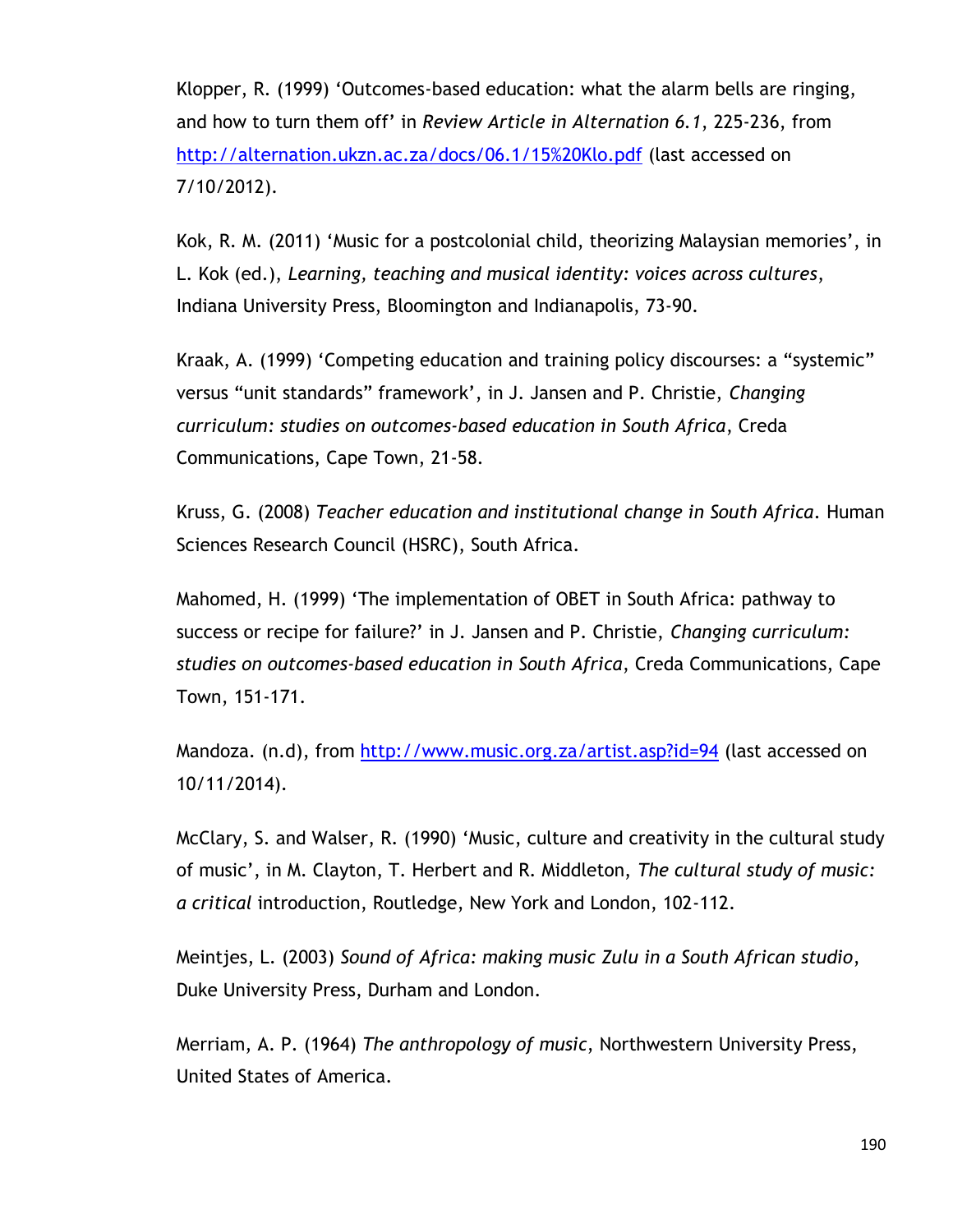Klopper, R. (1999) "Outcomes-based education: what the alarm bells are ringing, and how to turn them off" in *Review Article in Alternation 6.1*, 225-236, from <http://alternation.ukzn.ac.za/docs/06.1/15%20Klo.pdf> (last accessed on 7/10/2012).

Kok, R. M. (2011) "Music for a postcolonial child, theorizing Malaysian memories", in L. Kok (ed.), *Learning, teaching and musical identity: voices across cultures*, Indiana University Press, Bloomington and Indianapolis, 73-90.

Kraak, A. (1999) "Competing education and training policy discourses: a "systemic" versus "unit standards" framework", in J. Jansen and P. Christie, *Changing curriculum: studies on outcomes-based education in South Africa*, Creda Communications, Cape Town, 21-58.

Kruss, G. (2008) *Teacher education and institutional change in South Africa.* Human Sciences Research Council (HSRC), South Africa.

Mahomed, H. (1999) "The implementation of OBET in South Africa: pathway to success or recipe for failure?" in J. Jansen and P. Christie, *Changing curriculum: studies on outcomes-based education in South Africa*, Creda Communications, Cape Town, 151-171.

Mandoza. (n.d), from<http://www.music.org.za/artist.asp?id=94> (last accessed on 10/11/2014).

McClary, S. and Walser, R. (1990) "Music, culture and creativity in the cultural study of music", in M. Clayton, T. Herbert and R. Middleton, *The cultural study of music: a critical* introduction, Routledge, New York and London, 102-112.

Meintjes, L. (2003) *Sound of Africa: making music Zulu in a South African studio*, Duke University Press, Durham and London.

Merriam, A. P. (1964) *The anthropology of music*, Northwestern University Press, United States of America.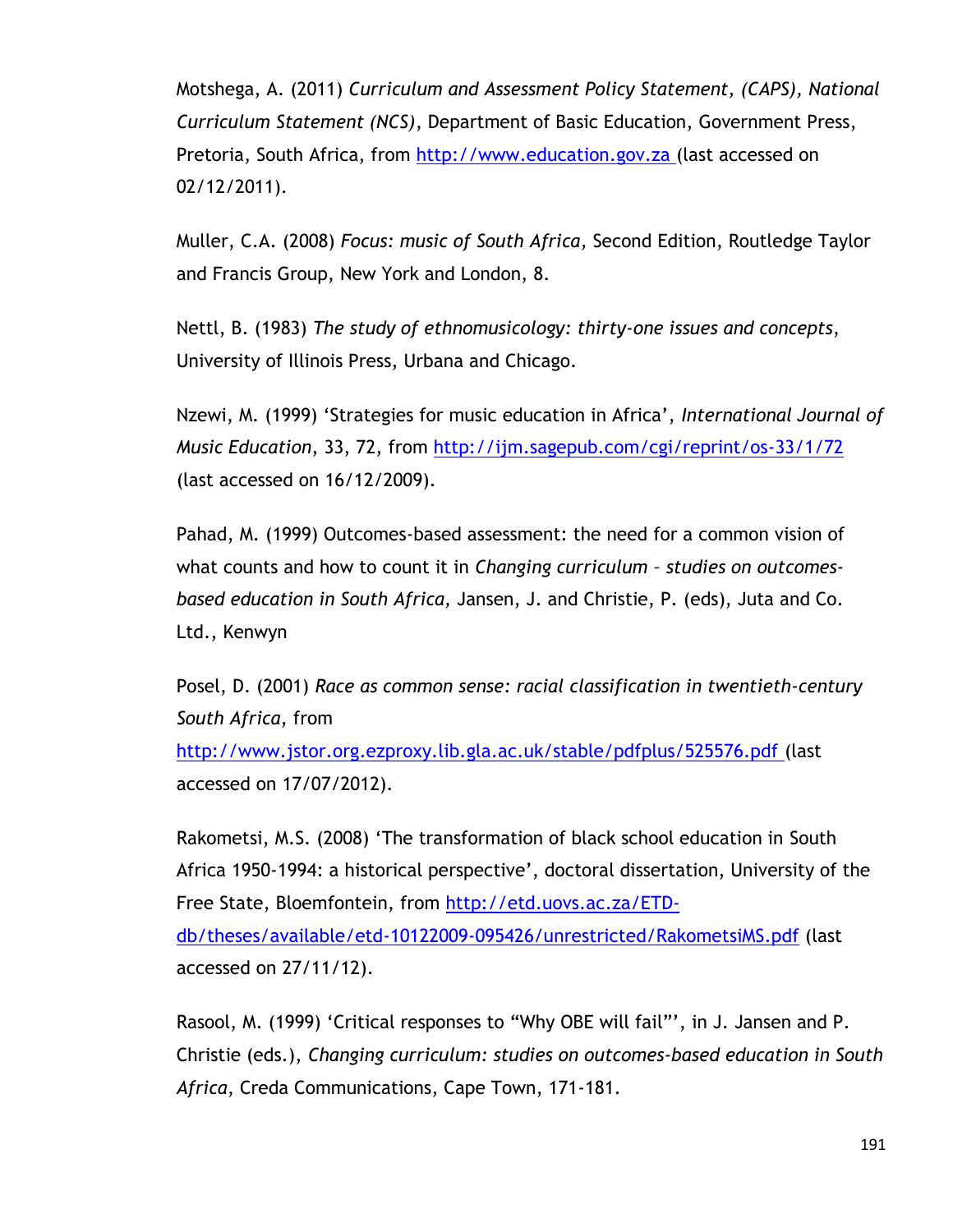Motshega, A. (2011) *Curriculum and Assessment Policy Statement, (CAPS), National Curriculum Statement (NCS)*, Department of Basic Education, Government Press, Pretoria, South Africa, from [http://www.education.gov.za](http://www.education.gov.za/) (last accessed on 02/12/2011).

Muller, C.A. (2008) *Focus: music of South Africa,* Second Edition, Routledge Taylor and Francis Group, New York and London, 8.

Nettl, B. (1983) *The study of ethnomusicology: thirty-one issues and concepts*, University of Illinois Press, Urbana and Chicago.

Nzewi, M. (1999) "Strategies for music education in Africa", *International Journal of Music Education*, 33, 72, from<http://ijm.sagepub.com/cgi/reprint/os-33/1/72> (last accessed on 16/12/2009).

Pahad, M. (1999) Outcomes-based assessment: the need for a common vision of what counts and how to count it in *Changing curriculum – studies on outcomesbased education in South Africa,* Jansen, J. and Christie, P. (eds), Juta and Co. Ltd., Kenwyn

Posel, D. (2001) *Race as common sense: racial classification in twentieth-century South Africa*, from

<http://www.jstor.org.ezproxy.lib.gla.ac.uk/stable/pdfplus/525576.pdf> (last accessed on 17/07/2012).

Rakometsi, M.S. (2008) "The transformation of black school education in South Africa 1950-1994: a historical perspective", doctoral dissertation, University of the Free State, Bloemfontein, from [http://etd.uovs.ac.za/ETD](http://etd.uovs.ac.za/ETD-db/theses/available/etd-10122009-095426/unrestricted/RakometsiMS.pdf)[db/theses/available/etd-10122009-095426/unrestricted/RakometsiMS.pdf](http://etd.uovs.ac.za/ETD-db/theses/available/etd-10122009-095426/unrestricted/RakometsiMS.pdf) (last accessed on 27/11/12).

Rasool, M. (1999) "Critical responses to "Why OBE will fail"", in J. Jansen and P. Christie (eds.), *Changing curriculum: studies on outcomes-based education in South Africa*, Creda Communications, Cape Town, 171-181.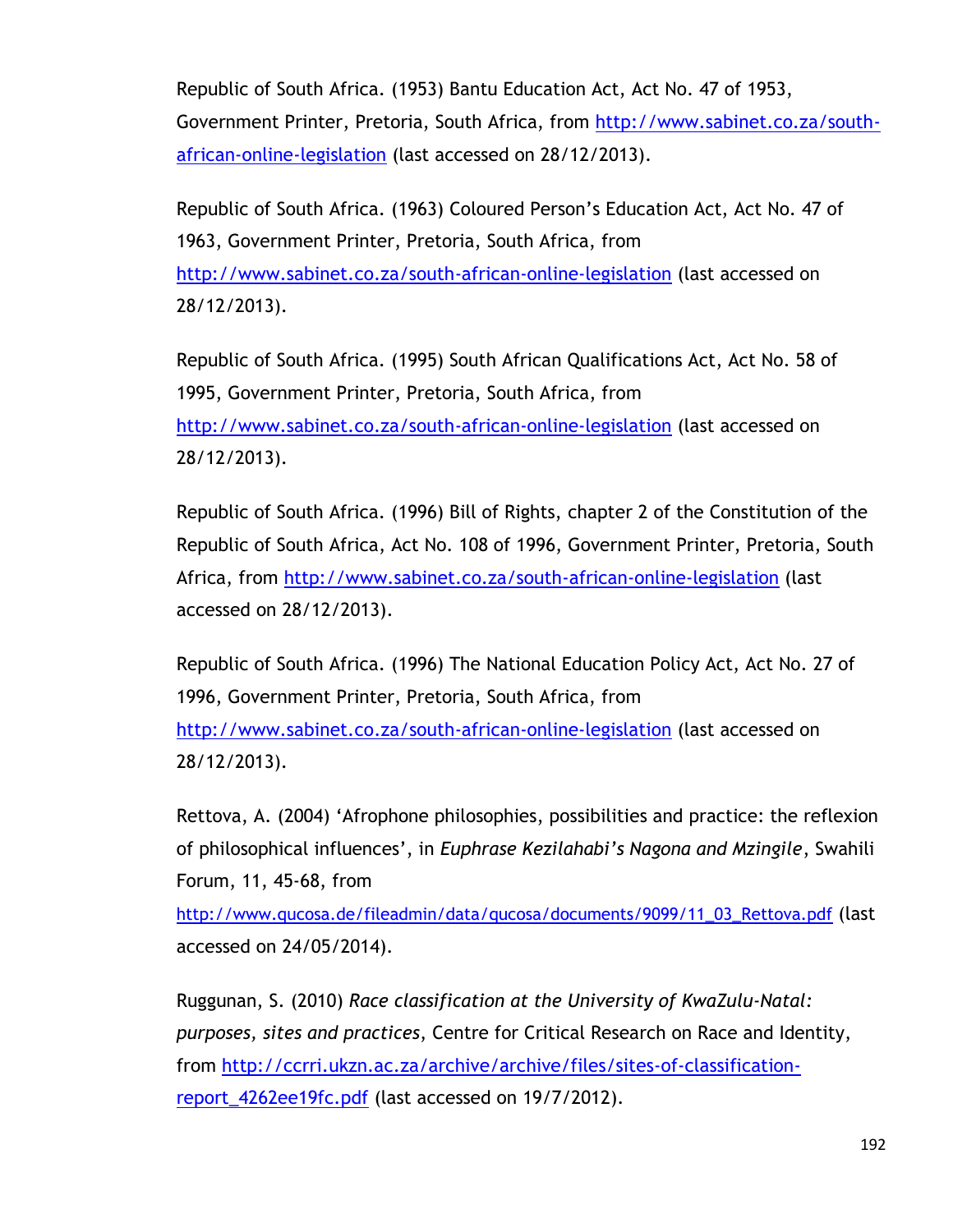Republic of South Africa. (1953) Bantu Education Act, Act No. 47 of 1953, Government Printer, Pretoria, South Africa, from [http://www.sabinet.co.za/south](http://www.sabinet.co.za/south-african-online-legislation)[african-online-legislation](http://www.sabinet.co.za/south-african-online-legislation) (last accessed on 28/12/2013).

Republic of South Africa. (1963) Coloured Person"s Education Act, Act No. 47 of 1963, Government Printer, Pretoria, South Africa, from <http://www.sabinet.co.za/south-african-online-legislation> (last accessed on 28/12/2013).

Republic of South Africa. (1995) South African Qualifications Act, Act No. 58 of 1995, Government Printer, Pretoria, South Africa, from <http://www.sabinet.co.za/south-african-online-legislation> (last accessed on 28/12/2013).

Republic of South Africa. (1996) Bill of Rights, chapter 2 of the Constitution of the Republic of South Africa, Act No. 108 of 1996, Government Printer, Pretoria, South Africa, from<http://www.sabinet.co.za/south-african-online-legislation> (last accessed on 28/12/2013).

Republic of South Africa. (1996) The National Education Policy Act, Act No. 27 of 1996, Government Printer, Pretoria, South Africa, from

<http://www.sabinet.co.za/south-african-online-legislation> (last accessed on 28/12/2013).

Rettova, A. (2004) "Afrophone philosophies, possibilities and practice: the reflexion of philosophical influences", in *Euphrase Kezilahabi's Nagona and Mzingile*, Swahili Forum, 11, 45-68, from

[http://www.qucosa.de/fileadmin/data/qucosa/documents/9099/11\\_03\\_Rettova.pdf](http://www.qucosa.de/fileadmin/data/qucosa/documents/9099/11_03_Rettova.pdf) (last accessed on 24/05/2014).

Ruggunan, S. (2010) *Race classification at the University of KwaZulu-Natal: purposes, sites and practices*, Centre for Critical Research on Race and Identity, from [http://ccrri.ukzn.ac.za/archive/archive/files/sites-of-classification](http://ccrri.ukzn.ac.za/archive/archive/files/sites-of-classification-report_4262ee19fc.pdf)[report\\_4262ee19fc.pdf](http://ccrri.ukzn.ac.za/archive/archive/files/sites-of-classification-report_4262ee19fc.pdf) (last accessed on 19/7/2012).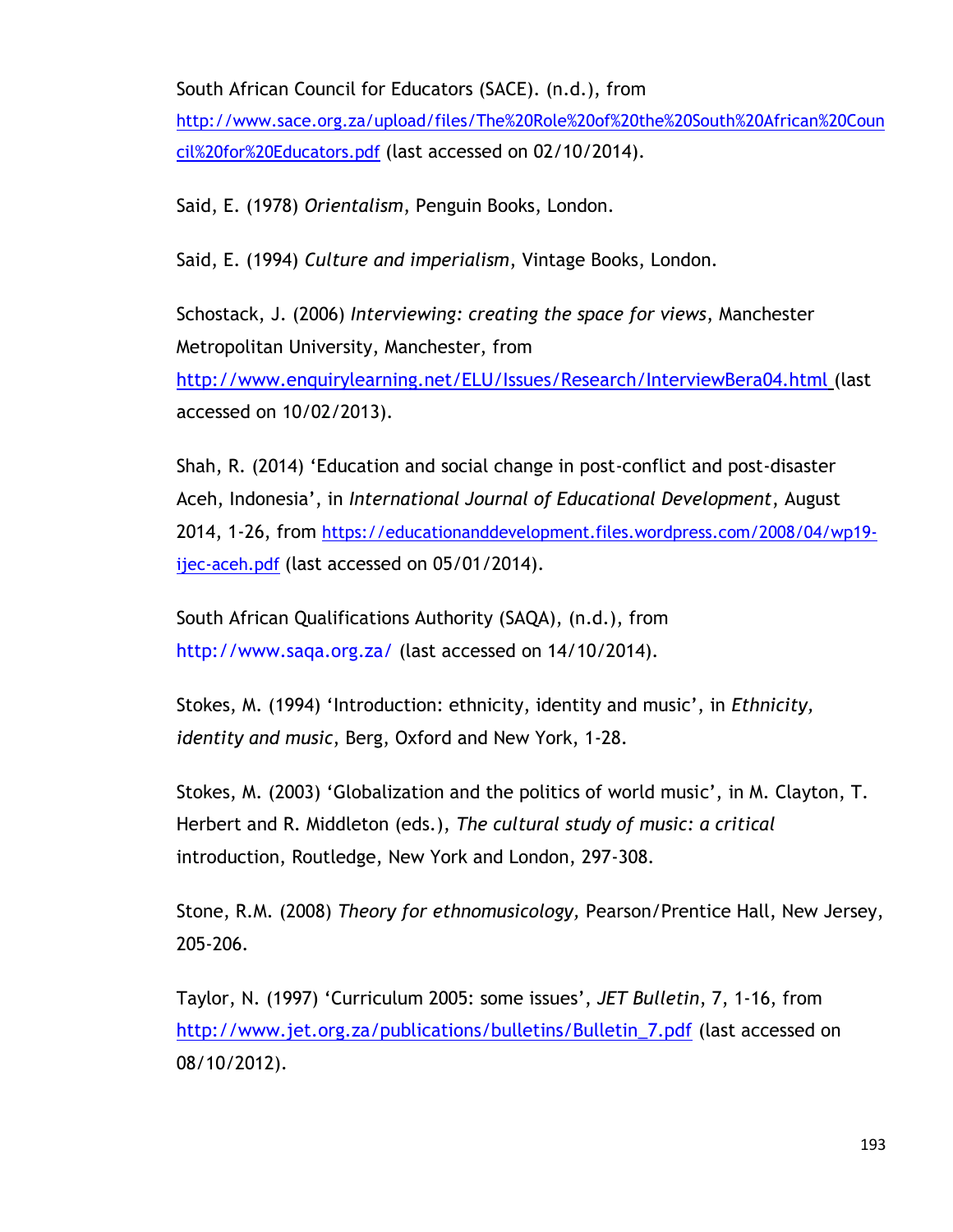South African Council for Educators (SACE). (n.d.), from

[http://www.sace.org.za/upload/files/The%20Role%20of%20the%20South%20African%20Coun](http://www.sace.org.za/upload/files/The%20Role%20of%20the%20South%20African%20Council%20for%20Educators.pdf) [cil%20for%20Educators.pdf](http://www.sace.org.za/upload/files/The%20Role%20of%20the%20South%20African%20Council%20for%20Educators.pdf) (last accessed on 02/10/2014).

Said, E. (1978) *Orientalism*, Penguin Books, London.

Said, E. (1994) *Culture and imperialism*, Vintage Books, London.

Schostack, J. (2006) *Interviewing: creating the space for views*, Manchester Metropolitan University, Manchester, from <http://www.enquirylearning.net/ELU/Issues/Research/InterviewBera04.html> (last accessed on 10/02/2013).

Shah, R. (2014) "Education and social change in post-conflict and post-disaster Aceh, Indonesia", in *International Journal of Educational Development*, August 2014, 1-26, from [https://educationanddevelopment.files.wordpress.com/2008/04/wp19](https://educationanddevelopment.files.wordpress.com/2008/04/wp19-ijec-aceh.pdf) [ijec-aceh.pdf](https://educationanddevelopment.files.wordpress.com/2008/04/wp19-ijec-aceh.pdf) (last accessed on 05/01/2014).

South African Qualifications Authority (SAQA), (n.d.), from <http://www.saqa.org.za/> (last accessed on 14/10/2014).

Stokes, M. (1994) "Introduction: ethnicity, identity and music", in *Ethnicity, identity and music*, Berg, Oxford and New York, 1-28.

Stokes, M. (2003) "Globalization and the politics of world music", in M. Clayton, T. Herbert and R. Middleton (eds.), *The cultural study of music: a critical*  introduction, Routledge, New York and London, 297-308.

Stone, R.M. (2008) *Theory for ethnomusicology,* Pearson/Prentice Hall, New Jersey, 205-206.

Taylor, N. (1997) "Curriculum 2005: some issues", *JET Bulletin*, 7, 1-16, from [http://www.jet.org.za/publications/bulletins/Bulletin\\_7.pdf](http://www.jet.org.za/publications/bulletins/Bulletin_7.pdf) (last accessed on 08/10/2012).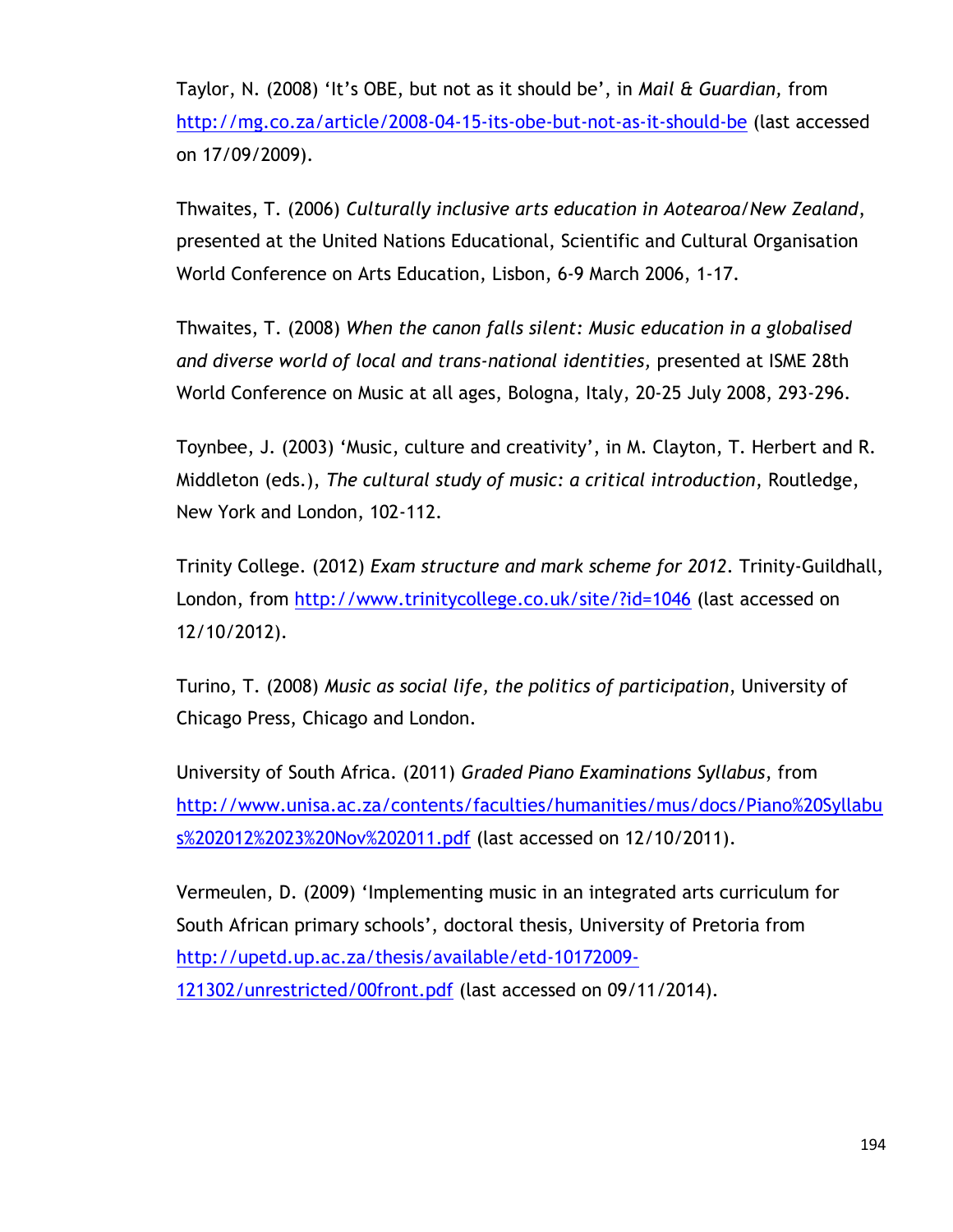Taylor, N. (2008) "It"s OBE, but not as it should be", in *Mail & Guardian,* from <http://mg.co.za/article/2008-04-15-its-obe-but-not-as-it-should-be> (last accessed on 17/09/2009).

Thwaites, T. (2006) *Culturally inclusive arts education in Aotearoa/New Zealand*, presented at the United Nations Educational, Scientific and Cultural Organisation World Conference on Arts Education, Lisbon, 6-9 March 2006, 1-17.

Thwaites, T. (2008) *When the canon falls silent: Music education in a globalised and diverse world of local and trans-national identities,* presented at ISME 28th World Conference on Music at all ages, Bologna, Italy, 20-25 July 2008, 293-296.

Toynbee, J. (2003) "Music, culture and creativity", in M. Clayton, T. Herbert and R. Middleton (eds.), *The cultural study of music: a critical introduction*, Routledge, New York and London, 102-112.

Trinity College. (2012) *Exam structure and mark scheme for 2012*. Trinity-Guildhall, London, from<http://www.trinitycollege.co.uk/site/?id=1046> (last accessed on 12/10/2012).

Turino, T. (2008) *Music as social life, the politics of participation*, University of Chicago Press, Chicago and London.

University of South Africa. (2011) *Graded Piano Examinations Syllabus*, from [http://www.unisa.ac.za/contents/faculties/humanities/mus/docs/Piano%20Syllabu](http://www.unisa.ac.za/contents/faculties/humanities/mus/docs/Piano%20Syllabus%202012%2023%20Nov%202011.pdf) [s%202012%2023%20Nov%202011.pdf](http://www.unisa.ac.za/contents/faculties/humanities/mus/docs/Piano%20Syllabus%202012%2023%20Nov%202011.pdf) (last accessed on 12/10/2011).

Vermeulen, D. (2009) "Implementing music in an integrated arts curriculum for South African primary schools", doctoral thesis, University of Pretoria from [http://upetd.up.ac.za/thesis/available/etd-10172009-](http://upetd.up.ac.za/thesis/available/etd-10172009-121302/unrestricted/00front.pdf) [121302/unrestricted/00front.pdf](http://upetd.up.ac.za/thesis/available/etd-10172009-121302/unrestricted/00front.pdf) (last accessed on 09/11/2014).